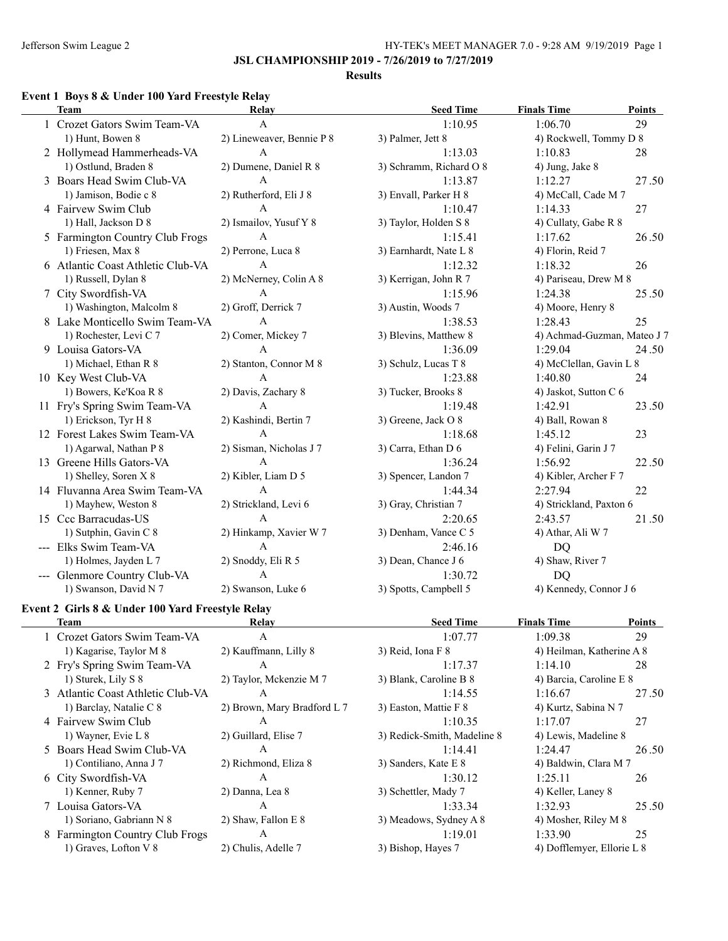$\overline{\phantom{a}}$ 

### **JSL CHAMPIONSHIP 2019 - 7/26/2019 to 7/27/2019**

#### **Results**

### **Event 1 Boys 8 & Under 100 Yard Freestyle Relay**

| <b>Team</b>                       | <b>Relay</b>              | <b>Seed Time</b>        | <b>Finals Time</b>          | <b>Points</b> |
|-----------------------------------|---------------------------|-------------------------|-----------------------------|---------------|
| 1 Crozet Gators Swim Team-VA      | $\mathbf{A}$              | 1:10.95                 | 1:06.70                     | 29            |
| 1) Hunt, Bowen 8                  | 2) Lineweaver, Bennie P 8 | 3) Palmer, Jett 8       | 4) Rockwell, Tommy D 8      |               |
| 2 Hollymead Hammerheads-VA        | A                         | 1:13.03                 | 1:10.83                     | 28            |
| 1) Ostlund, Braden 8              | 2) Dumene, Daniel R 8     | 3) Schramm, Richard O 8 | 4) Jung, Jake 8             |               |
| 3 Boars Head Swim Club-VA         | $\mathsf{A}$              | 1:13.87                 | 1:12.27                     | 27.50         |
| 1) Jamison, Bodie c 8             | 2) Rutherford, Eli J 8    | 3) Envall, Parker H 8   | 4) McCall, Cade M 7         |               |
| 4 Fairvew Swim Club               | $\mathsf{A}$              | 1:10.47                 | 1:14.33                     | 27            |
| 1) Hall, Jackson D 8              | 2) Ismailov, Yusuf Y 8    | 3) Taylor, Holden S 8   | 4) Cullaty, Gabe R 8        |               |
| 5 Farmington Country Club Frogs   | A                         | 1:15.41                 | 1:17.62                     | 26.50         |
| 1) Friesen, Max 8                 | 2) Perrone, Luca 8        | 3) Earnhardt, Nate L 8  | 4) Florin, Reid 7           |               |
| 6 Atlantic Coast Athletic Club-VA | $\mathbf{A}$              | 1:12.32                 | 1:18.32                     | 26            |
| 1) Russell, Dylan 8               | 2) McNerney, Colin A 8    | 3) Kerrigan, John R 7   | 4) Pariseau, Drew M 8       |               |
| 7 City Swordfish-VA               | A                         | 1:15.96                 | 1:24.38                     | 25.50         |
| 1) Washington, Malcolm 8          | 2) Groff, Derrick 7       | 3) Austin, Woods 7      | 4) Moore, Henry 8           |               |
| 8 Lake Monticello Swim Team-VA    | $\overline{A}$            | 1:38.53                 | 1:28.43                     | 25            |
| 1) Rochester, Levi C 7            | 2) Comer, Mickey 7        | 3) Blevins, Matthew 8   | 4) Achmad-Guzman, Mateo J 7 |               |
| 9 Louisa Gators-VA                | A                         | 1:36.09                 | 1:29.04                     | 24.50         |
| 1) Michael, Ethan R 8             | 2) Stanton, Connor M 8    | 3) Schulz, Lucas T 8    | 4) McClellan, Gavin L 8     |               |
| 10 Key West Club-VA               | $\mathbf{A}$              | 1:23.88                 | 1:40.80                     | 24            |
| 1) Bowers, Ke'Koa R 8             | 2) Davis, Zachary 8       | 3) Tucker, Brooks 8     | 4) Jaskot, Sutton C 6       |               |
| 11 Fry's Spring Swim Team-VA      | $\mathbf{A}$              | 1:19.48                 | 1:42.91                     | 23.50         |
| 1) Erickson, Tyr H 8              | 2) Kashindi, Bertin 7     | 3) Greene, Jack O 8     | 4) Ball, Rowan 8            |               |
| 12 Forest Lakes Swim Team-VA      | $\mathbf{A}$              | 1:18.68                 | 1:45.12                     | 23            |
| 1) Agarwal, Nathan P 8            | 2) Sisman, Nicholas J 7   | 3) Carra, Ethan D 6     | 4) Felini, Garin J 7        |               |
| 13 Greene Hills Gators-VA         | $\mathsf{A}$              | 1:36.24                 | 1:56.92                     | 22.50         |
| 1) Shelley, Soren X 8             | 2) Kibler, Liam D 5       | 3) Spencer, Landon 7    | 4) Kibler, Archer F 7       |               |
| 14 Fluvanna Area Swim Team-VA     | $\mathsf{A}$              | 1:44.34                 | 2:27.94                     | 22            |
| 1) Mayhew, Weston 8               | 2) Strickland, Levi 6     | 3) Gray, Christian 7    | 4) Strickland, Paxton 6     |               |
| 15 Ccc Barracudas-US              | A                         | 2:20.65                 | 2:43.57                     | 21.50         |
| 1) Sutphin, Gavin C 8             | 2) Hinkamp, Xavier W 7    | 3) Denham, Vance C 5    | 4) Athar, Ali W 7           |               |
| --- Elks Swim Team-VA             | $\mathbf{A}$              | 2:46.16                 | DQ                          |               |
| 1) Holmes, Jayden L 7             | 2) Snoddy, Eli R 5        | 3) Dean, Chance J 6     | 4) Shaw, River 7            |               |
| Glenmore Country Club-VA          | A                         | 1:30.72                 | DQ                          |               |
| 1) Swanson, David N 7             | 2) Swanson, Luke 6        | 3) Spotts, Campbell 5   | 4) Kennedy, Connor J 6      |               |

#### **Event 2 Girls 8 & Under 100 Yard Freestyle Relay**

| Team                              | Relay                       | <b>Seed Time</b>            | <b>Finals Time</b>         | <b>Points</b> |
|-----------------------------------|-----------------------------|-----------------------------|----------------------------|---------------|
| 1 Crozet Gators Swim Team-VA      | A                           | 1:07.77                     | 1:09.38                    | 29            |
| 1) Kagarise, Taylor M 8           | 2) Kauffmann, Lilly 8       | 3) Reid, Iona $F_8$         | 4) Heilman, Katherine A 8  |               |
| 2 Fry's Spring Swim Team-VA       | $\mathsf{A}$                | 1:17.37                     | 1:14.10                    | 28            |
| 1) Sturek, Lily S 8               | 2) Taylor, Mckenzie M 7     | 3) Blank, Caroline B 8      | 4) Barcia, Caroline E 8    |               |
| 3 Atlantic Coast Athletic Club-VA | A                           | 1:14.55                     | 1:16.67                    | 27.50         |
| 1) Barclay, Natalie C 8           | 2) Brown, Mary Bradford L 7 | 3) Easton, Mattie F 8       | 4) Kurtz, Sabina N 7       |               |
| 4 Fairvew Swim Club               | A                           | 1:10.35                     | 1:17.07                    | 27            |
| 1) Wayner, Evie L 8               | 2) Guillard, Elise 7        | 3) Redick-Smith, Madeline 8 | 4) Lewis, Madeline 8       |               |
| 5 Boars Head Swim Club-VA         | A                           | 1:14.41                     | 1:24.47                    | 26.50         |
| 1) Contiliano, Anna J 7           | 2) Richmond, Eliza 8        | 3) Sanders, Kate E 8        | 4) Baldwin, Clara M 7      |               |
| 6 City Swordfish-VA               | A                           | 1:30.12                     | 1:25.11                    | 26            |
| 1) Kenner, Ruby 7                 | 2) Danna, Lea 8             | 3) Schettler, Mady 7        | 4) Keller, Laney 8         |               |
| 7 Louisa Gators-VA                | A                           | 1:33.34                     | 1:32.93                    | 25.50         |
| 1) Soriano, Gabriann N 8          | 2) Shaw, Fallon E 8         | 3) Meadows, Sydney A 8      | 4) Mosher, Riley M 8       |               |
| 8 Farmington Country Club Frogs   | A                           | 1:19.01                     | 1:33.90                    | 25            |
| 1) Graves, Lofton V 8             | 2) Chulis, Adelle 7         | 3) Bishop, Hayes 7          | 4) Dofflemyer, Ellorie L 8 |               |
|                                   |                             |                             |                            |               |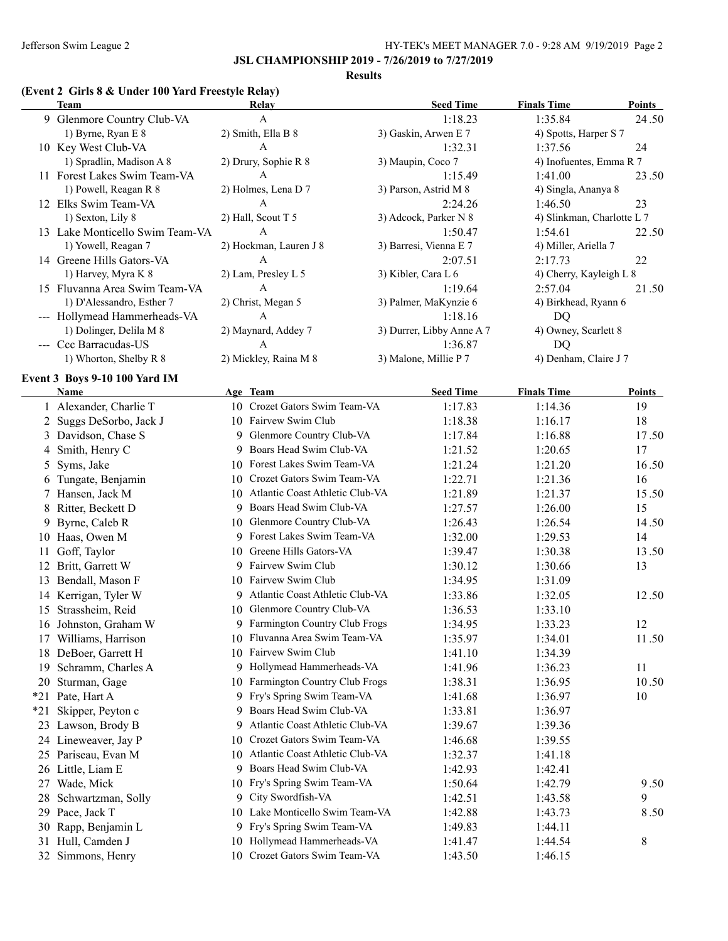#### **Results**

### **(Event 2 Girls 8 & Under 100 Yard Freestyle Relay)**

|       | <b>Team</b>                                 |     | Relay                              | <b>Seed Time</b>          | <b>Finals Time</b>         | <b>Points</b> |
|-------|---------------------------------------------|-----|------------------------------------|---------------------------|----------------------------|---------------|
|       | 9 Glenmore Country Club-VA                  |     | $\mathbf{A}$                       | 1:18.23                   | 1:35.84                    | 24.50         |
|       | 1) Byrne, Ryan E 8                          |     | 2) Smith, Ella B 8                 | 3) Gaskin, Arwen E 7      | 4) Spotts, Harper S 7      |               |
|       | 10 Key West Club-VA                         |     | $\mathbf{A}$                       | 1:32.31                   | 1:37.56                    | 24            |
|       | 1) Spradlin, Madison A 8                    |     | 2) Drury, Sophie R 8               | 3) Maupin, Coco 7         | 4) Inofuentes, Emma R 7    |               |
|       | 11 Forest Lakes Swim Team-VA                |     | A                                  | 1:15.49                   | 1:41.00                    | 23.50         |
|       | 1) Powell, Reagan R 8                       |     | 2) Holmes, Lena D 7                | 3) Parson, Astrid M 8     | 4) Singla, Ananya 8        |               |
|       | 12 Elks Swim Team-VA                        |     | A                                  | 2:24.26                   | 1:46.50                    | 23            |
|       | 1) Sexton, Lily 8                           |     | 2) Hall, Scout T 5                 | 3) Adcock, Parker N 8     | 4) Slinkman, Charlotte L 7 |               |
|       | 13 Lake Monticello Swim Team-VA             |     | A                                  | 1:50.47                   | 1:54.61                    | 22.50         |
|       | 1) Yowell, Reagan 7                         |     | 2) Hockman, Lauren J 8             | 3) Barresi, Vienna E 7    | 4) Miller, Ariella 7       |               |
|       | 14 Greene Hills Gators-VA                   |     | A                                  | 2:07.51                   | 2:17.73                    | 22            |
|       | 1) Harvey, Myra K 8                         |     | 2) Lam, Presley L 5                | 3) Kibler, Cara L 6       | 4) Cherry, Kayleigh L 8    |               |
|       | 15 Fluvanna Area Swim Team-VA               |     | A                                  | 1:19.64                   | 2:57.04                    | 21.50         |
|       | 1) D'Alessandro, Esther 7                   |     | 2) Christ, Megan 5                 | 3) Palmer, MaKynzie 6     | 4) Birkhead, Ryann 6       |               |
|       | --- Hollymead Hammerheads-VA                |     | A                                  | 1:18.16                   | <b>DQ</b>                  |               |
|       | 1) Dolinger, Delila M 8                     |     | 2) Maynard, Addey 7                | 3) Durrer, Libby Anne A 7 | 4) Owney, Scarlett 8       |               |
|       | --- Ccc Barracudas-US                       |     | A                                  | 1:36.87                   | <b>DQ</b>                  |               |
|       | 1) Whorton, Shelby R 8                      |     | 2) Mickley, Raina M 8              | 3) Malone, Millie P 7     | 4) Denham, Claire J 7      |               |
|       | Event 3 Boys 9-10 100 Yard IM               |     |                                    |                           |                            |               |
|       | Name                                        |     | Age Team                           | <b>Seed Time</b>          | <b>Finals Time</b>         | Points        |
|       | 1 Alexander, Charlie T                      |     | 10 Crozet Gators Swim Team-VA      | 1:17.83                   | 1:14.36                    | 19            |
|       | 2 Suggs DeSorbo, Jack J                     |     | 10 Fairvew Swim Club               | 1:18.38                   | 1:16.17                    | 18            |
|       | 3 Davidson, Chase S                         |     | 9 Glenmore Country Club-VA         | 1:17.84                   | 1:16.88                    | 17.50         |
|       | 4 Smith, Henry C                            |     | 9 Boars Head Swim Club-VA          | 1:21.52                   | 1:20.65                    | 17            |
|       | 5 Syms, Jake                                |     | 10 Forest Lakes Swim Team-VA       | 1:21.24                   | 1:21.20                    | 16.50         |
|       | 6 Tungate, Benjamin                         |     | 10 Crozet Gators Swim Team-VA      | 1:22.71                   | 1:21.36                    | 16            |
|       | 7 Hansen, Jack M                            |     | 10 Atlantic Coast Athletic Club-VA | 1:21.89                   | 1:21.37                    | 15.50         |
|       | 8 Ritter, Beckett D                         |     | 9 Boars Head Swim Club-VA          | 1:27.57                   | 1:26.00                    | 15            |
|       | 9 Byrne, Caleb R                            |     | 10 Glenmore Country Club-VA        | 1:26.43                   | 1:26.54                    | 14.50         |
|       | 10 Haas, Owen M                             |     | 9 Forest Lakes Swim Team-VA        | 1:32.00                   | 1:29.53                    | 14            |
|       | 11 Goff, Taylor                             |     | 10 Greene Hills Gators-VA          | 1:39.47                   | 1:30.38                    | 13.50         |
|       | 12 Britt, Garrett W                         |     | 9 Fairvew Swim Club                | 1:30.12                   | 1:30.66                    | 13            |
|       | 13 Bendall, Mason F                         |     | 10 Fairvew Swim Club               | 1:34.95                   | 1:31.09                    |               |
|       |                                             |     | 9 Atlantic Coast Athletic Club-VA  | 1:33.86                   |                            | 12.50         |
|       | 14 Kerrigan, Tyler W<br>15 Strassheim, Reid |     | 10 Glenmore Country Club-VA        | 1:36.53                   | 1:32.05<br>1:33.10         |               |
|       | 16 Johnston, Graham W                       |     | 9 Farmington Country Club Frogs    | 1:34.95                   | 1:33.23                    | 12            |
|       | 17 Williams, Harrison                       |     | 10 Fluvanna Area Swim Team-VA      | 1:35.97                   | 1:34.01                    | 11.50         |
|       |                                             |     | 10 Fairvew Swim Club               |                           |                            |               |
| 18    | DeBoer, Garrett H                           |     | 9 Hollymead Hammerheads-VA         | 1:41.10                   | 1:34.39                    |               |
| 19    | Schramm, Charles A                          |     | 10 Farmington Country Club Frogs   | 1:41.96                   | 1:36.23                    | 11            |
| 20    | Sturman, Gage                               |     | 9 Fry's Spring Swim Team-VA        | 1:38.31                   | 1:36.95                    | 10.50         |
| $*21$ | Pate, Hart A                                |     |                                    | 1:41.68                   | 1:36.97                    | 10            |
| $*21$ | Skipper, Peyton c                           | 9.  | Boars Head Swim Club-VA            | 1:33.81                   | 1:36.97                    |               |
|       | 23 Lawson, Brody B                          | 9.  | Atlantic Coast Athletic Club-VA    | 1:39.67                   | 1:39.36                    |               |
|       | 24 Lineweaver, Jay P                        | 10. | Crozet Gators Swim Team-VA         | 1:46.68                   | 1:39.55                    |               |
|       | 25 Pariseau, Evan M                         | 10  | Atlantic Coast Athletic Club-VA    | 1:32.37                   | 1:41.18                    |               |
|       | 26 Little, Liam E                           |     | 9 Boars Head Swim Club-VA          | 1:42.93                   | 1:42.41                    |               |
|       | 27 Wade, Mick                               |     | 10 Fry's Spring Swim Team-VA       | 1:50.64                   | 1:42.79                    | 9.50          |
|       | 28 Schwartzman, Solly                       |     | 9 City Swordfish-VA                | 1:42.51                   | 1:43.58                    | 9             |
|       | 29 Pace, Jack T                             |     | 10 Lake Monticello Swim Team-VA    | 1:42.88                   | 1:43.73                    | 8.50          |
|       | 30 Rapp, Benjamin L                         |     | 9 Fry's Spring Swim Team-VA        | 1:49.83                   | 1:44.11                    |               |
|       | 31 Hull, Camden J                           |     | 10 Hollymead Hammerheads-VA        | 1:41.47                   | 1:44.54                    | 8             |
|       | 32 Simmons, Henry                           |     | 10 Crozet Gators Swim Team-VA      | 1:43.50                   | 1:46.15                    |               |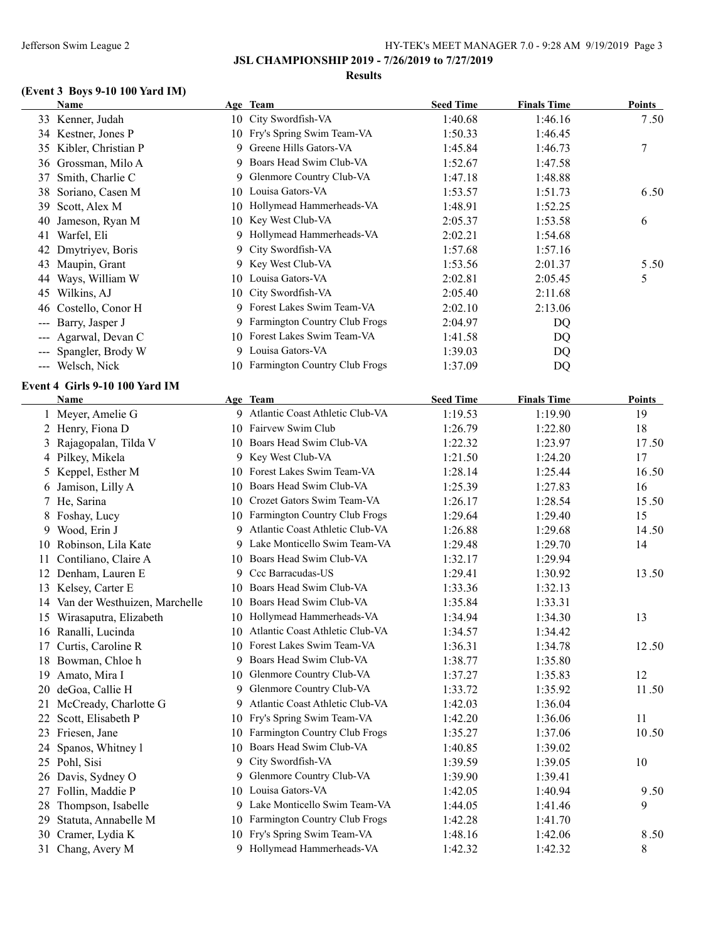**JSL CHAMPIONSHIP 2019 - 7/26/2019 to 7/27/2019**

#### **Results**

# **(Event 3 Boys 9-10 100 Yard IM)**

|     | Name                             |    | Age Team                           | <b>Seed Time</b> | <b>Finals Time</b> | <b>Points</b> |
|-----|----------------------------------|----|------------------------------------|------------------|--------------------|---------------|
|     | 33 Kenner, Judah                 |    | 10 City Swordfish-VA               | 1:40.68          | 1:46.16            | 7.50          |
|     | 34 Kestner, Jones P              |    | 10 Fry's Spring Swim Team-VA       | 1:50.33          | 1:46.45            |               |
|     | 35 Kibler, Christian P           |    | 9 Greene Hills Gators-VA           | 1:45.84          | 1:46.73            | 7             |
|     | 36 Grossman, Milo A              |    | 9 Boars Head Swim Club-VA          | 1:52.67          | 1:47.58            |               |
| 37  | Smith, Charlie C                 |    | 9 Glenmore Country Club-VA         | 1:47.18          | 1:48.88            |               |
| 38  | Soriano, Casen M                 |    | 10 Louisa Gators-VA                | 1:53.57          | 1:51.73            | 6.50          |
| 39  | Scott, Alex M                    |    | 10 Hollymead Hammerheads-VA        | 1:48.91          | 1:52.25            |               |
| 40  | Jameson, Ryan M                  | 10 | Key West Club-VA                   | 2:05.37          | 1:53.58            | 6             |
| 41  | Warfel, Eli                      |    | 9 Hollymead Hammerheads-VA         | 2:02.21          | 1:54.68            |               |
|     | 42 Dmytriyev, Boris              | 9. | City Swordfish-VA                  | 1:57.68          | 1:57.16            |               |
|     | 43 Maupin, Grant                 |    | 9 Key West Club-VA                 | 1:53.56          | 2:01.37            | 5.50          |
|     | 44 Ways, William W               |    | 10 Louisa Gators-VA                | 2:02.81          | 2:05.45            | 5             |
|     | 45 Wilkins, AJ                   | 10 | City Swordfish-VA                  | 2:05.40          | 2:11.68            |               |
| 46  | Costello, Conor H                |    | 9 Forest Lakes Swim Team-VA        | 2:02.10          | 2:13.06            |               |
| --- | Barry, Jasper J                  |    | 9 Farmington Country Club Frogs    | 2:04.97          | DQ                 |               |
| --- | Agarwal, Devan C                 |    | 10 Forest Lakes Swim Team-VA       | 1:41.58          | DQ                 |               |
| --- | Spangler, Brody W                |    | 9 Louisa Gators-VA                 | 1:39.03          | DQ                 |               |
|     | --- Welsch, Nick                 |    | 10 Farmington Country Club Frogs   | 1:37.09          | DQ                 |               |
|     |                                  |    |                                    |                  |                    |               |
|     | Event 4 Girls 9-10 100 Yard IM   |    |                                    |                  |                    |               |
|     | Name                             |    | Age Team                           | <b>Seed Time</b> | <b>Finals Time</b> | <b>Points</b> |
|     | 1 Meyer, Amelie G                |    | 9 Atlantic Coast Athletic Club-VA  | 1:19.53          | 1:19.90            | 19            |
|     | 2 Henry, Fiona D                 |    | 10 Fairvew Swim Club               | 1:26.79          | 1:22.80            | 18            |
|     | 3 Rajagopalan, Tilda V           |    | 10 Boars Head Swim Club-VA         | 1:22.32          | 1:23.97            | 17.50         |
|     | 4 Pilkey, Mikela                 | 9  | Key West Club-VA                   | 1:21.50          | 1:24.20            | 17            |
|     | 5 Keppel, Esther M               | 10 | Forest Lakes Swim Team-VA          | 1:28.14          | 1:25.44            | 16.50         |
|     | 6 Jamison, Lilly A               | 10 | Boars Head Swim Club-VA            | 1:25.39          | 1:27.83            | 16            |
|     | 7 He, Sarina                     |    | 10 Crozet Gators Swim Team-VA      | 1:26.17          | 1:28.54            | 15.50         |
|     | 8 Foshay, Lucy                   |    | 10 Farmington Country Club Frogs   | 1:29.64          | 1:29.40            | 15            |
|     | 9 Wood, Erin J                   |    | 9 Atlantic Coast Athletic Club-VA  | 1:26.88          | 1:29.68            | 14.50         |
|     | 10 Robinson, Lila Kate           |    | 9 Lake Monticello Swim Team-VA     | 1:29.48          | 1:29.70            | 14            |
| 11  | Contiliano, Claire A             |    | 10 Boars Head Swim Club-VA         | 1:32.17          | 1:29.94            |               |
|     | 12 Denham, Lauren E              |    | 9 Ccc Barracudas-US                | 1:29.41          | 1:30.92            | 13.50         |
|     | 13 Kelsey, Carter E              |    | 10 Boars Head Swim Club-VA         | 1:33.36          | 1:32.13            |               |
|     | 14 Van der Westhuizen, Marchelle |    | 10 Boars Head Swim Club-VA         | 1:35.84          | 1:33.31            |               |
|     | 15 Wirasaputra, Elizabeth        |    | 10 Hollymead Hammerheads-VA        | 1:34.94          | 1:34.30            | 13            |
|     | 16 Ranalli, Lucinda              |    | 10 Atlantic Coast Athletic Club-VA | 1:34.57          | 1:34.42            |               |
|     | 17 Curtis, Caroline R            |    | 10 Forest Lakes Swim Team-VA       | 1:36.31          | 1:34.78            | 12.50         |
|     | 18 Bowman, Chloe h               |    | 9 Boars Head Swim Club-VA          | 1:38.77          | 1:35.80            |               |
|     | 19 Amato, Mira I                 | 10 | Glenmore Country Club-VA           | 1:37.27          | 1:35.83            | 12            |
|     | 20 deGoa, Callie H               | 9. | Glenmore Country Club-VA           | 1:33.72          | 1:35.92            | 11.50         |
|     | 21 McCready, Charlotte G         | 9. | Atlantic Coast Athletic Club-VA    | 1:42.03          | 1:36.04            |               |
|     | 22 Scott, Elisabeth P            |    | 10 Fry's Spring Swim Team-VA       | 1:42.20          | 1:36.06            | 11            |
|     | 23 Friesen, Jane                 |    | 10 Farmington Country Club Frogs   | 1:35.27          | 1:37.06            | 10.50         |
|     | 24 Spanos, Whitney l             |    | 10 Boars Head Swim Club-VA         | 1:40.85          | 1:39.02            |               |
|     | 25 Pohl, Sisi                    |    | 9 City Swordfish-VA                | 1:39.59          | 1:39.05            | 10            |
|     | 26 Davis, Sydney O               |    | 9 Glenmore Country Club-VA         | 1:39.90          | 1:39.41            |               |
|     | 27 Follin, Maddie P              |    | 10 Louisa Gators-VA                | 1:42.05          | 1:40.94            | 9.50          |
| 28  | Thompson, Isabelle               |    | 9 Lake Monticello Swim Team-VA     | 1:44.05          | 1:41.46            | 9             |
| 29  | Statuta, Annabelle M             |    | 10 Farmington Country Club Frogs   | 1:42.28          | 1:41.70            |               |
|     | 30 Cramer, Lydia K               |    | 10 Fry's Spring Swim Team-VA       | 1:48.16          | 1:42.06            | 8.50          |
|     | 31 Chang, Avery M                |    | 9 Hollymead Hammerheads-VA         | 1:42.32          | 1:42.32            | 8             |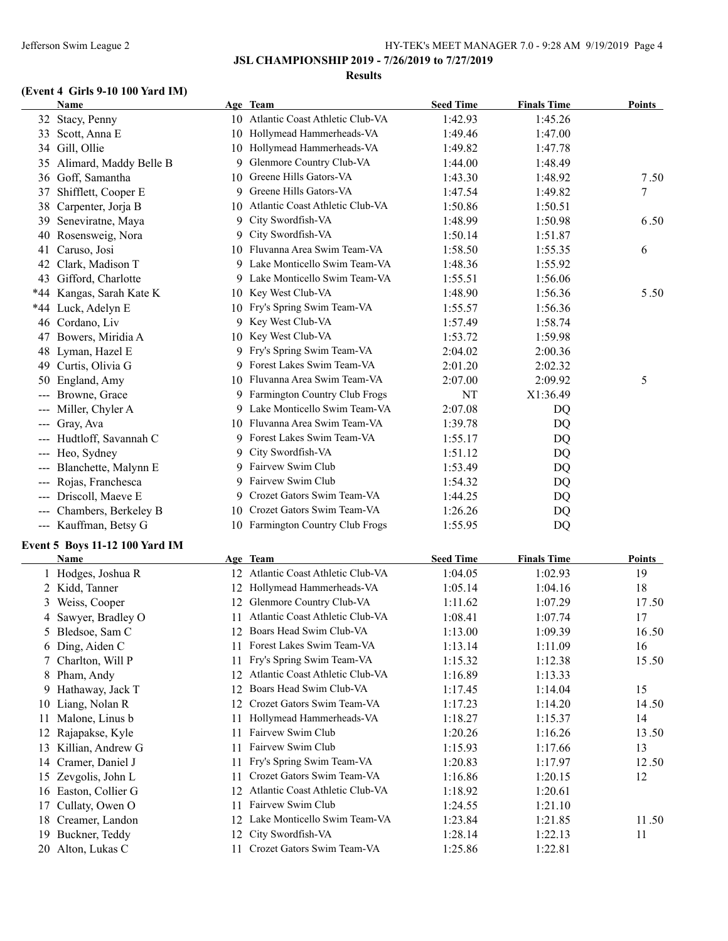**JSL CHAMPIONSHIP 2019 - 7/26/2019 to 7/27/2019**

#### **Results**

# **(Event 4 Girls 9-10 100 Yard IM)**

|                        | Name                           |     | Age Team                           | <b>Seed Time</b> | <b>Finals Time</b> | <b>Points</b> |
|------------------------|--------------------------------|-----|------------------------------------|------------------|--------------------|---------------|
|                        | 32 Stacy, Penny                |     | 10 Atlantic Coast Athletic Club-VA | 1:42.93          | 1:45.26            |               |
|                        | 33 Scott, Anna E               |     | 10 Hollymead Hammerheads-VA        | 1:49.46          | 1:47.00            |               |
|                        | 34 Gill, Ollie                 |     | 10 Hollymead Hammerheads-VA        | 1:49.82          | 1:47.78            |               |
|                        | 35 Alimard, Maddy Belle B      | 9.  | Glenmore Country Club-VA           | 1:44.00          | 1:48.49            |               |
|                        | 36 Goff, Samantha              |     | 10 Greene Hills Gators-VA          | 1:43.30          | 1:48.92            | 7.50          |
| 37                     | Shifflett, Cooper E            |     | 9 Greene Hills Gators-VA           | 1:47.54          | 1:49.82            | $\tau$        |
| 38                     | Carpenter, Jorja B             |     | 10 Atlantic Coast Athletic Club-VA | 1:50.86          | 1:50.51            |               |
| 39                     | Seneviratne, Maya              | 9   | City Swordfish-VA                  | 1:48.99          | 1:50.98            | 6.50          |
| 40                     | Rosensweig, Nora               |     | 9 City Swordfish-VA                | 1:50.14          | 1:51.87            |               |
|                        | 41 Caruso, Josi                |     | 10 Fluvanna Area Swim Team-VA      | 1:58.50          | 1:55.35            | 6             |
|                        | 42 Clark, Madison T            |     | 9 Lake Monticello Swim Team-VA     | 1:48.36          | 1:55.92            |               |
|                        | 43 Gifford, Charlotte          |     | 9 Lake Monticello Swim Team-VA     | 1:55.51          | 1:56.06            |               |
|                        | *44 Kangas, Sarah Kate K       |     | 10 Key West Club-VA                | 1:48.90          | 1:56.36            | 5.50          |
|                        | *44 Luck, Adelyn E             |     | 10 Fry's Spring Swim Team-VA       | 1:55.57          | 1:56.36            |               |
|                        | 46 Cordano, Liv                |     | 9 Key West Club-VA                 | 1:57.49          | 1:58.74            |               |
| 47                     | Bowers, Miridia A              |     | 10 Key West Club-VA                | 1:53.72          | 1:59.98            |               |
|                        | 48 Lyman, Hazel E              |     | 9 Fry's Spring Swim Team-VA        | 2:04.02          | 2:00.36            |               |
| 49                     | Curtis, Olivia G               |     | 9 Forest Lakes Swim Team-VA        | 2:01.20          | 2:02.32            |               |
| 50                     | England, Amy                   |     | 10 Fluvanna Area Swim Team-VA      | 2:07.00          | 2:09.92            | 5             |
| $\qquad \qquad - -$    | Browne, Grace                  |     | 9 Farmington Country Club Frogs    | NT               | X1:36.49           |               |
|                        | Miller, Chyler A               |     | 9 Lake Monticello Swim Team-VA     | 2:07.08          | DQ                 |               |
| $---$<br>$---$         | Gray, Ava                      |     | 10 Fluvanna Area Swim Team-VA      | 1:39.78          | DQ                 |               |
|                        | Hudtloff, Savannah C           |     | 9 Forest Lakes Swim Team-VA        |                  |                    |               |
| $\qquad \qquad -$      |                                |     | 9 City Swordfish-VA                | 1:55.17          | DQ                 |               |
| $\qquad \qquad -$      | Heo, Sydney                    |     | 9 Fairvew Swim Club                | 1:51.12          | DQ                 |               |
|                        | Blanchette, Malynn E           |     | 9 Fairvew Swim Club                | 1:53.49          | DQ                 |               |
| $\qquad \qquad \cdots$ | Rojas, Franchesca              |     | 9 Crozet Gators Swim Team-VA       | 1:54.32          | DQ                 |               |
|                        | Driscoll, Maeve E              |     |                                    | 1:44.25          | DQ                 |               |
| $\qquad \qquad - -$    | Chambers, Berkeley B           | 10- | Crozet Gators Swim Team-VA         | 1:26.26          | DQ                 |               |
|                        | --- Kauffman, Betsy G          |     | 10 Farmington Country Club Frogs   | 1:55.95          | DQ                 |               |
|                        | Event 5 Boys 11-12 100 Yard IM |     |                                    |                  |                    |               |
|                        | Name                           |     | Age Team                           | <b>Seed Time</b> | <b>Finals Time</b> | <b>Points</b> |
|                        | 1 Hodges, Joshua R             |     | 12 Atlantic Coast Athletic Club-VA | 1:04.05          | 1:02.93            | 19            |
|                        | 2 Kidd, Tanner                 |     | 12 Hollymead Hammerheads-VA        | 1:05.14          | 1:04.16            | 18            |
|                        | 3 Weiss, Cooper                |     | 12 Glenmore Country Club-VA        | 1:11.62          | 1:07.29            | 17.50         |
|                        | 4 Sawyer, Bradley O            |     | 11 Atlantic Coast Athletic Club-VA | 1:08.41          | 1:07.74            | 17            |
|                        | 5 Bledsoe, Sam C               |     | 12 Boars Head Swim Club-VA         | 1:13.00          | 1:09.39            | 16.50         |
|                        | 6 Ding, Aiden C                |     | 11 Forest Lakes Swim Team-VA       | 1:13.14          | 1:11.09            | 16            |
| 7                      | Charlton, Will P               | 11  | Fry's Spring Swim Team-VA          | 1:15.32          | 1:12.38            | 15.50         |
| 8                      | Pham, Andy                     |     | 12 Atlantic Coast Athletic Club-VA | 1:16.89          | 1:13.33            |               |
| 9                      | Hathaway, Jack T               | 12  | Boars Head Swim Club-VA            | 1:17.45          | 1:14.04            | 15            |
| 10                     | Liang, Nolan R                 | 12  | Crozet Gators Swim Team-VA         | 1:17.23          | 1:14.20            | 14.50         |
|                        | 11 Malone, Linus b             | 11  | Hollymead Hammerheads-VA           | 1:18.27          | 1:15.37            | 14            |
|                        | 12 Rajapakse, Kyle             | 11  | Fairvew Swim Club                  | 1:20.26          | 1:16.26            | 13.50         |
|                        | 13 Killian, Andrew G           | 11  | Fairvew Swim Club                  | 1:15.93          | 1:17.66            | 13            |
|                        | 14 Cramer, Daniel J            | 11  | Fry's Spring Swim Team-VA          | 1:20.83          | 1:17.97            | 12.50         |
|                        | 15 Zevgolis, John L            | 11. | Crozet Gators Swim Team-VA         | 1:16.86          | 1:20.15            | 12            |
|                        | 16 Easton, Collier G           | 12  | Atlantic Coast Athletic Club-VA    | 1:18.92          | 1:20.61            |               |
| 17                     | Cullaty, Owen O                | 11  | Fairvew Swim Club                  | 1:24.55          | 1:21.10            |               |
|                        | 18 Creamer, Landon             |     | 12 Lake Monticello Swim Team-VA    | 1:23.84          | 1:21.85            | 11.50         |
|                        | 19 Buckner, Teddy              | 12  | City Swordfish-VA                  | 1:28.14          | 1:22.13            | 11            |
|                        | 20 Alton, Lukas C              |     | 11 Crozet Gators Swim Team-VA      | 1:25.86          | 1:22.81            |               |
|                        |                                |     |                                    |                  |                    |               |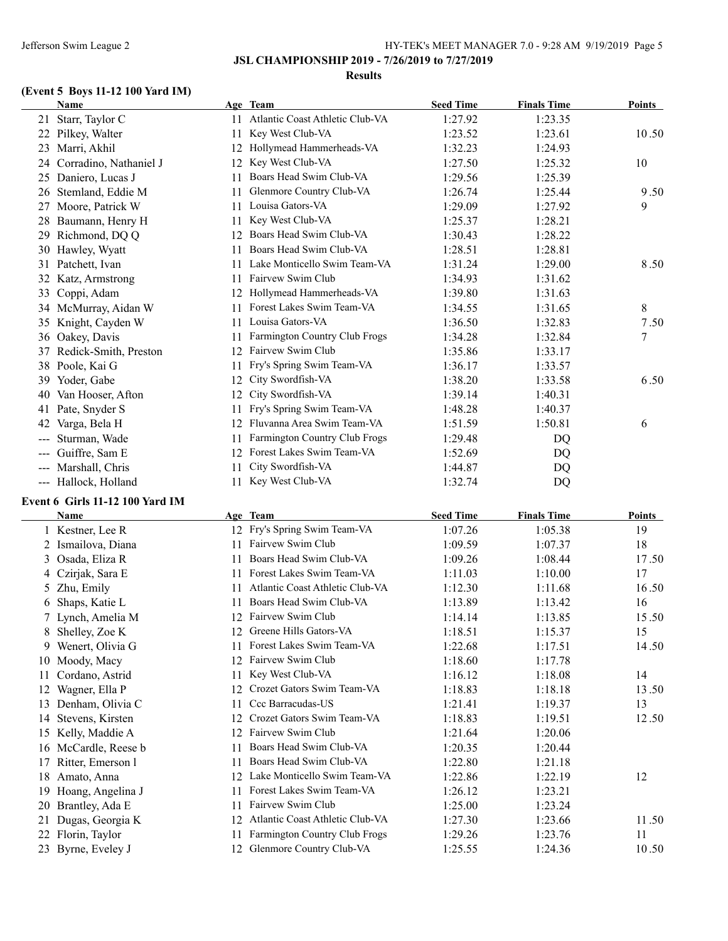#### **Results**

# **(Event 5 Boys 11-12 100 Yard IM)**

| <b>Name</b>                                                                                                                                                                                                                                                                                                                                                                                                                                                                                   |    | Age Team                        | <b>Seed Time</b> | <b>Finals Time</b> | <b>Points</b> |
|-----------------------------------------------------------------------------------------------------------------------------------------------------------------------------------------------------------------------------------------------------------------------------------------------------------------------------------------------------------------------------------------------------------------------------------------------------------------------------------------------|----|---------------------------------|------------------|--------------------|---------------|
| Starr, Taylor C<br>21                                                                                                                                                                                                                                                                                                                                                                                                                                                                         | 11 | Atlantic Coast Athletic Club-VA | 1:27.92          | 1:23.35            |               |
| 22<br>Pilkey, Walter                                                                                                                                                                                                                                                                                                                                                                                                                                                                          | 11 | Key West Club-VA                | 1:23.52          | 1:23.61            | 10.50         |
| Marri, Akhil<br>23                                                                                                                                                                                                                                                                                                                                                                                                                                                                            | 12 | Hollymead Hammerheads-VA        | 1:32.23          | 1:24.93            |               |
| Corradino, Nathaniel J<br>24                                                                                                                                                                                                                                                                                                                                                                                                                                                                  | 12 | Key West Club-VA                | 1:27.50          | 1:25.32            | 10            |
| 25 Daniero, Lucas J                                                                                                                                                                                                                                                                                                                                                                                                                                                                           | 11 | Boars Head Swim Club-VA         | 1:29.56          | 1:25.39            |               |
| Stemland, Eddie M<br>26                                                                                                                                                                                                                                                                                                                                                                                                                                                                       | 11 | Glenmore Country Club-VA        | 1:26.74          | 1:25.44            | 9.50          |
| Moore, Patrick W<br>27                                                                                                                                                                                                                                                                                                                                                                                                                                                                        | 11 | Louisa Gators-VA                | 1:29.09          | 1:27.92            | 9             |
| Baumann, Henry H<br>28                                                                                                                                                                                                                                                                                                                                                                                                                                                                        | 11 | Key West Club-VA                | 1:25.37          | 1:28.21            |               |
| Richmond, DQ Q<br>29                                                                                                                                                                                                                                                                                                                                                                                                                                                                          | 12 | Boars Head Swim Club-VA         | 1:30.43          | 1:28.22            |               |
| 30 Hawley, Wyatt                                                                                                                                                                                                                                                                                                                                                                                                                                                                              | 11 | Boars Head Swim Club-VA         | 1:28.51          | 1:28.81            |               |
| Patchett, Ivan<br>31                                                                                                                                                                                                                                                                                                                                                                                                                                                                          | 11 | Lake Monticello Swim Team-VA    | 1:31.24          | 1:29.00            | 8.50          |
| 32<br>Katz, Armstrong                                                                                                                                                                                                                                                                                                                                                                                                                                                                         | 11 | Fairvew Swim Club               | 1:34.93          | 1:31.62            |               |
| Coppi, Adam<br>33                                                                                                                                                                                                                                                                                                                                                                                                                                                                             | 12 | Hollymead Hammerheads-VA        | 1:39.80          | 1:31.63            |               |
| McMurray, Aidan W<br>34                                                                                                                                                                                                                                                                                                                                                                                                                                                                       |    | Forest Lakes Swim Team-VA       | 1:34.55          | 1:31.65            | 8             |
| Knight, Cayden W<br>35                                                                                                                                                                                                                                                                                                                                                                                                                                                                        | 11 | Louisa Gators-VA                | 1:36.50          | 1:32.83            | 7.50          |
| Oakey, Davis<br>36                                                                                                                                                                                                                                                                                                                                                                                                                                                                            |    | Farmington Country Club Frogs   | 1:34.28          | 1:32.84            | 7             |
| Redick-Smith, Preston<br>37                                                                                                                                                                                                                                                                                                                                                                                                                                                                   | 12 | Fairvew Swim Club               | 1:35.86          | 1:33.17            |               |
| 38 Poole, Kai G                                                                                                                                                                                                                                                                                                                                                                                                                                                                               | 11 | Fry's Spring Swim Team-VA       | 1:36.17          | 1:33.57            |               |
| Yoder, Gabe<br>39                                                                                                                                                                                                                                                                                                                                                                                                                                                                             | 12 | City Swordfish-VA               | 1:38.20          | 1:33.58            | 6.50          |
| Van Hooser, Afton<br>40                                                                                                                                                                                                                                                                                                                                                                                                                                                                       | 12 | City Swordfish-VA               | 1:39.14          | 1:40.31            |               |
| Pate, Snyder S<br>41                                                                                                                                                                                                                                                                                                                                                                                                                                                                          | 11 | Fry's Spring Swim Team-VA       | 1:48.28          | 1:40.37            |               |
| 42<br>Varga, Bela H                                                                                                                                                                                                                                                                                                                                                                                                                                                                           | 12 | Fluvanna Area Swim Team-VA      | 1:51.59          | 1:50.81            | 6             |
| Sturman, Wade                                                                                                                                                                                                                                                                                                                                                                                                                                                                                 | 11 | Farmington Country Club Frogs   | 1:29.48          | DQ                 |               |
| Guiffre, Sam E<br>---                                                                                                                                                                                                                                                                                                                                                                                                                                                                         | 12 | Forest Lakes Swim Team-VA       | 1:52.69          | DQ                 |               |
| Marshall, Chris<br>$\frac{1}{2} \left( \frac{1}{2} \right) \left( \frac{1}{2} \right) \left( \frac{1}{2} \right) \left( \frac{1}{2} \right) \left( \frac{1}{2} \right) \left( \frac{1}{2} \right) \left( \frac{1}{2} \right) \left( \frac{1}{2} \right) \left( \frac{1}{2} \right) \left( \frac{1}{2} \right) \left( \frac{1}{2} \right) \left( \frac{1}{2} \right) \left( \frac{1}{2} \right) \left( \frac{1}{2} \right) \left( \frac{1}{2} \right) \left( \frac{1}{2} \right) \left( \frac$ |    | City Swordfish-VA               | 1:44.87          | DQ                 |               |
| Hallock, Holland<br>---                                                                                                                                                                                                                                                                                                                                                                                                                                                                       | 11 | Key West Club-VA                | 1:32.74          | DQ                 |               |

### **Event 6 Girls 11-12 100 Yard IM**

|    | <b>Name</b>        |     | Age Team                        | <b>Seed Time</b> | <b>Finals Time</b> | <b>Points</b> |
|----|--------------------|-----|---------------------------------|------------------|--------------------|---------------|
|    | Kestner, Lee R     |     | 12 Fry's Spring Swim Team-VA    | 1:07.26          | 1:05.38            | 19            |
|    | 2 Ismailova, Diana |     | Fairvew Swim Club               | 1:09.59          | 1:07.37            | 18            |
| 3  | Osada, Eliza R     | 11  | Boars Head Swim Club-VA         | 1:09.26          | 1:08.44            | 17.50         |
|    | Czirjak, Sara E    | 11  | Forest Lakes Swim Team-VA       | 1:11.03          | 1:10.00            | 17            |
|    | Zhu, Emily         |     | Atlantic Coast Athletic Club-VA | 1:12.30          | 1:11.68            | 16.50         |
| 6  | Shaps, Katie L     | 11  | Boars Head Swim Club-VA         | 1:13.89          | 1:13.42            | 16            |
|    | 7 Lynch, Amelia M  | 12  | Fairvew Swim Club               | 1:14.14          | 1:13.85            | 15.50         |
| 8  | Shelley, Zoe K     | 12  | Greene Hills Gators-VA          | 1:18.51          | 1:15.37            | 15            |
| 9  | Wenert, Olivia G   | 11  | Forest Lakes Swim Team-VA       | 1:22.68          | 1:17.51            | 14.50         |
| 10 | Moody, Macy        | 12  | Fairvew Swim Club               | 1:18.60          | 1:17.78            |               |
| 11 | Cordano, Astrid    | 11  | Key West Club-VA                | 1:16.12          | 1:18.08            | 14            |
| 12 | Wagner, Ella P     | 12. | Crozet Gators Swim Team-VA      | 1:18.83          | 1:18.18            | 13.50         |
| 13 | Denham, Olivia C   | 11  | Ccc Barracudas-US               | 1:21.41          | 1:19.37            | 13            |
| 14 | Stevens, Kirsten   | 12  | Crozet Gators Swim Team-VA      | 1:18.83          | 1:19.51            | 12.50         |
| 15 | Kelly, Maddie A    | 12  | Fairvew Swim Club               | 1:21.64          | 1:20.06            |               |
| 16 | McCardle, Reese b  |     | Boars Head Swim Club-VA         | 1:20.35          | 1:20.44            |               |
| 17 | Ritter, Emerson 1  | 11  | Boars Head Swim Club-VA         | 1:22.80          | 1:21.18            |               |
| 18 | Amato, Anna        | 12  | Lake Monticello Swim Team-VA    | 1:22.86          | 1:22.19            | 12            |
| 19 | Hoang, Angelina J  | 11  | Forest Lakes Swim Team-VA       | 1:26.12          | 1:23.21            |               |
| 20 | Brantley, Ada E    | 11  | Fairvew Swim Club               | 1:25.00          | 1:23.24            |               |
| 21 | Dugas, Georgia K   | 12  | Atlantic Coast Athletic Club-VA | 1:27.30          | 1:23.66            | 11.50         |
| 22 | Florin, Taylor     | 11  | Farmington Country Club Frogs   | 1:29.26          | 1:23.76            | 11            |
| 23 | Byrne, Eveley J    | 12  | Glenmore Country Club-VA        | 1:25.55          | 1:24.36            | 10.50         |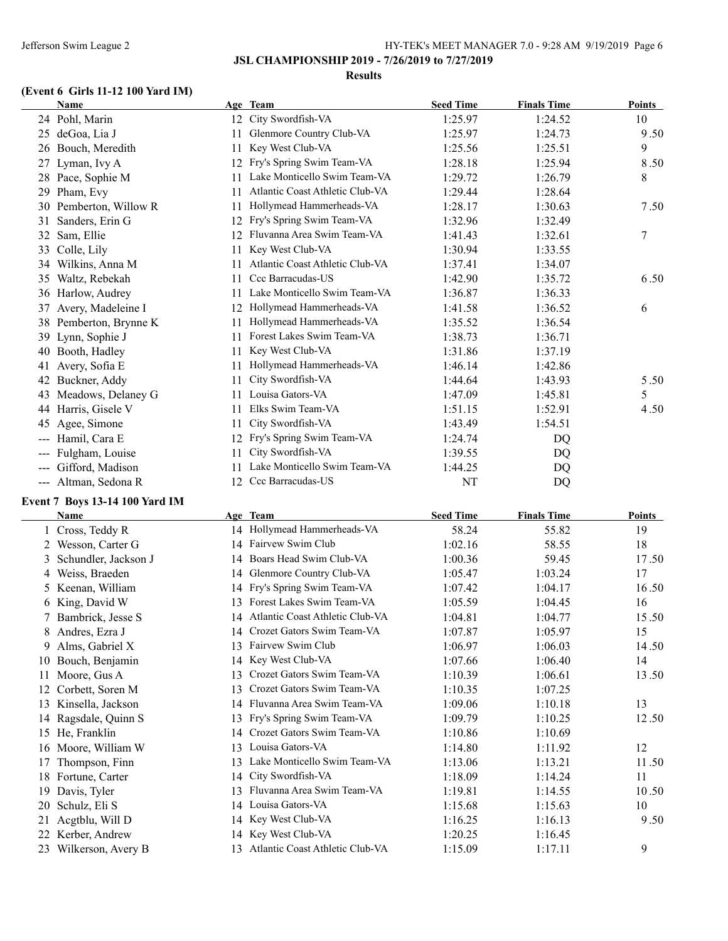**JSL CHAMPIONSHIP 2019 - 7/26/2019 to 7/27/2019**

#### **Results**

# **(Event 6 Girls 11-12 100 Yard IM)**

|               | <b>Name</b>          |    | Age Team                        | <b>Seed Time</b> | <b>Finals Time</b> | Points |
|---------------|----------------------|----|---------------------------------|------------------|--------------------|--------|
|               | 24 Pohl, Marin       |    | 12 City Swordfish-VA            | 1:25.97          | 1:24.52            | 10     |
| 25            | deGoa, Lia J         | 11 | Glenmore Country Club-VA        | 1:25.97          | 1:24.73            | 9.50   |
| 26            | Bouch, Meredith      | 11 | Key West Club-VA                | 1:25.56          | 1:25.51            | 9      |
| 27            | Lyman, Ivy A         | 12 | Fry's Spring Swim Team-VA       | 1:28.18          | 1:25.94            | 8.50   |
| 28            | Pace, Sophie M       | 11 | Lake Monticello Swim Team-VA    | 1:29.72          | 1:26.79            | 8      |
| 29            | Pham, Evy            | 11 | Atlantic Coast Athletic Club-VA | 1:29.44          | 1:28.64            |        |
| 30            | Pemberton, Willow R  | 11 | Hollymead Hammerheads-VA        | 1:28.17          | 1:30.63            | 7.50   |
| 31            | Sanders, Erin G      | 12 | Fry's Spring Swim Team-VA       | 1:32.96          | 1:32.49            |        |
| 32            | Sam, Ellie           | 12 | Fluvanna Area Swim Team-VA      | 1:41.43          | 1:32.61            | 7      |
| 33            | Colle, Lily          | 11 | Key West Club-VA                | 1:30.94          | 1:33.55            |        |
| 34            | Wilkins, Anna M      | 11 | Atlantic Coast Athletic Club-VA | 1:37.41          | 1:34.07            |        |
| 35            | Waltz, Rebekah       | 11 | Ccc Barracudas-US               | 1:42.90          | 1:35.72            | 6.50   |
| 36            | Harlow, Audrey       | 11 | Lake Monticello Swim Team-VA    | 1:36.87          | 1:36.33            |        |
| 37            | Avery, Madeleine I   | 12 | Hollymead Hammerheads-VA        | 1:41.58          | 1:36.52            | 6      |
| 38            | Pemberton, Brynne K  | 11 | Hollymead Hammerheads-VA        | 1:35.52          | 1:36.54            |        |
| 39            | Lynn, Sophie J       | 11 | Forest Lakes Swim Team-VA       | 1:38.73          | 1:36.71            |        |
| 40            | Booth, Hadley        | 11 | Key West Club-VA                | 1:31.86          | 1:37.19            |        |
| 41            | Avery, Sofia E       | 11 | Hollymead Hammerheads-VA        | 1:46.14          | 1:42.86            |        |
| 42            | Buckner, Addy        | 11 | City Swordfish-VA               | 1:44.64          | 1:43.93            | 5.50   |
| 43            | Meadows, Delaney G   | 11 | Louisa Gators-VA                | 1:47.09          | 1:45.81            | 5      |
| 44            | Harris, Gisele V     | 11 | Elks Swim Team-VA               | 1:51.15          | 1:52.91            | 4.50   |
| 45            | Agee, Simone         | 11 | City Swordfish-VA               | 1:43.49          | 1:54.51            |        |
| $\frac{1}{2}$ | Hamil, Cara E        | 12 | Fry's Spring Swim Team-VA       | 1:24.74          | DQ                 |        |
| $---$         | Fulgham, Louise      | 11 | City Swordfish-VA               | 1:39.55          | DQ                 |        |
| ---           | Gifford, Madison     | 11 | Lake Monticello Swim Team-VA    | 1:44.25          | DQ                 |        |
|               | --- Altman, Sedona R | 12 | Ccc Barracudas-US               | NT               | DQ                 |        |
|               |                      |    |                                 |                  |                    |        |

# **Event 7 Boys 13-14 100 Yard IM**

 $\overline{\phantom{a}}$ 

|    | Name                 | Age | <b>Team</b>                        | <b>Seed Time</b> | <b>Finals Time</b> | Points |
|----|----------------------|-----|------------------------------------|------------------|--------------------|--------|
|    | Cross, Teddy R       |     | 14 Hollymead Hammerheads-VA        | 58.24            | 55.82              | 19     |
| 2  | Wesson, Carter G     |     | 14 Fairvew Swim Club               | 1:02.16          | 58.55              | 18     |
| 3  | Schundler, Jackson J |     | 14 Boars Head Swim Club-VA         | 1:00.36          | 59.45              | 17.50  |
|    | Weiss, Braeden       |     | 14 Glenmore Country Club-VA        | 1:05.47          | 1:03.24            | 17     |
|    | 5 Keenan, William    | 14  | Fry's Spring Swim Team-VA          | 1:07.42          | 1:04.17            | 16.50  |
|    | 6 King, David W      | 13  | Forest Lakes Swim Team-VA          | 1:05.59          | 1:04.45            | 16     |
|    | Bambrick, Jesse S    |     | 14 Atlantic Coast Athletic Club-VA | 1:04.81          | 1:04.77            | 15.50  |
| 8  | Andres, Ezra J       | 14  | Crozet Gators Swim Team-VA         | 1:07.87          | 1:05.97            | 15     |
| 9  | Alms, Gabriel X      | 13  | Fairvew Swim Club                  | 1:06.97          | 1:06.03            | 14.50  |
| 10 | Bouch, Benjamin      | 14  | Key West Club-VA                   | 1:07.66          | 1:06.40            | 14     |
| 11 | Moore, Gus A         | 13  | Crozet Gators Swim Team-VA         | 1:10.39          | 1:06.61            | 13.50  |
| 12 | Corbett, Soren M     | 13  | Crozet Gators Swim Team-VA         | 1:10.35          | 1:07.25            |        |
| 13 | Kinsella, Jackson    | 14  | Fluvanna Area Swim Team-VA         | 1:09.06          | 1:10.18            | 13     |
|    | 14 Ragsdale, Quinn S | 13  | Fry's Spring Swim Team-VA          | 1:09.79          | 1:10.25            | 12.50  |
| 15 | He, Franklin         | 14  | Crozet Gators Swim Team-VA         | 1:10.86          | 1:10.69            |        |
|    | 16 Moore, William W  | 13  | Louisa Gators-VA                   | 1:14.80          | 1:11.92            | 12     |
| 17 | Thompson, Finn       | 13  | Lake Monticello Swim Team-VA       | 1:13.06          | 1:13.21            | 11.50  |
| 18 | Fortune, Carter      |     | 14 City Swordfish-VA               | 1:18.09          | 1:14.24            | 11     |
| 19 | Davis, Tyler         | 13  | Fluvanna Area Swim Team-VA         | 1:19.81          | 1:14.55            | 10.50  |
| 20 | Schulz, Eli S        |     | 14 Louisa Gators-VA                | 1:15.68          | 1:15.63            | 10     |
| 21 | Acgtblu, Will D      |     | 14 Key West Club-VA                | 1:16.25          | 1:16.13            | 9.50   |
| 22 | Kerber, Andrew       |     | 14 Key West Club-VA                | 1:20.25          | 1:16.45            |        |
| 23 | Wilkerson, Avery B   | 13  | Atlantic Coast Athletic Club-VA    | 1:15.09          | 1:17.11            | 9      |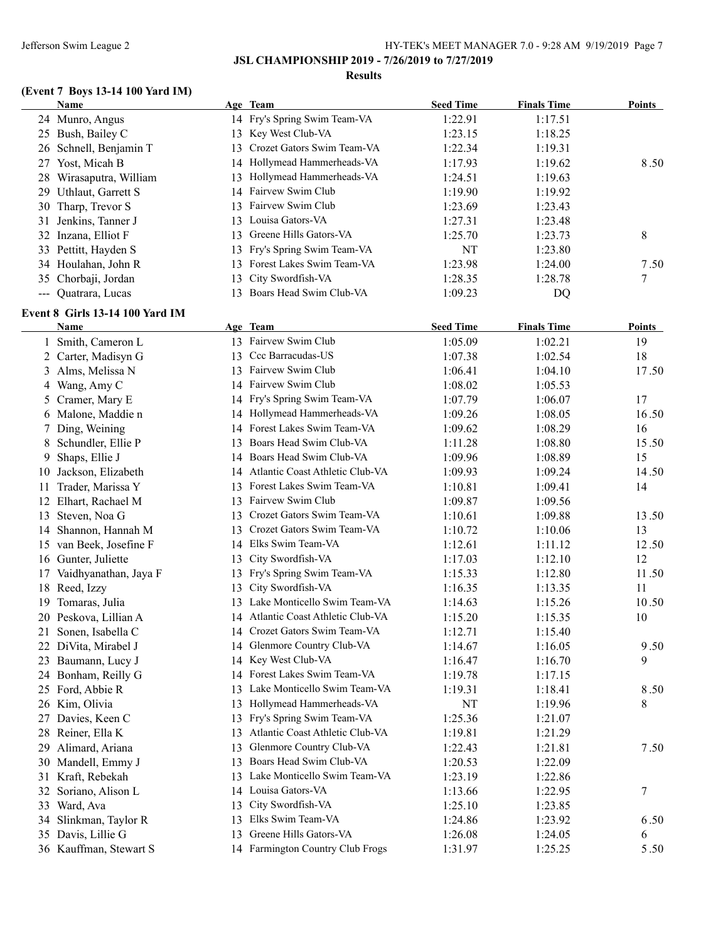### **Results**

# **(Event 7 Boys 13-14 100 Yard IM)**

|                     | Name                            |    | Age Team                           | <b>Seed Time</b> | <b>Finals Time</b> | <b>Points</b> |
|---------------------|---------------------------------|----|------------------------------------|------------------|--------------------|---------------|
|                     | 24 Munro, Angus                 |    | 14 Fry's Spring Swim Team-VA       | 1:22.91          | 1:17.51            |               |
|                     | 25 Bush, Bailey C               | 13 | Key West Club-VA                   | 1:23.15          | 1:18.25            |               |
|                     | 26 Schnell, Benjamin T          | 13 | Crozet Gators Swim Team-VA         | 1:22.34          | 1:19.31            |               |
|                     | 27 Yost, Micah B                | 14 | Hollymead Hammerheads-VA           | 1:17.93          | 1:19.62            | 8.50          |
|                     | 28 Wirasaputra, William         | 13 | Hollymead Hammerheads-VA           | 1:24.51          | 1:19.63            |               |
|                     | 29 Uthlaut, Garrett S           | 14 | Fairvew Swim Club                  | 1:19.90          | 1:19.92            |               |
|                     | 30 Tharp, Trevor S              | 13 | Fairvew Swim Club                  | 1:23.69          | 1:23.43            |               |
| 31                  | Jenkins, Tanner J               | 13 | Louisa Gators-VA                   | 1:27.31          | 1:23.48            |               |
|                     | 32 Inzana, Elliot F             | 13 | Greene Hills Gators-VA             | 1:25.70          | 1:23.73            | 8             |
|                     | 33 Pettitt, Hayden S            | 13 | Fry's Spring Swim Team-VA          | NT               | 1:23.80            |               |
|                     | 34 Houlahan, John R             | 13 | Forest Lakes Swim Team-VA          | 1:23.98          | 1:24.00            | 7.50          |
| 35                  | Chorbaji, Jordan                | 13 | City Swordfish-VA                  | 1:28.35          | 1:28.78            | 7             |
| $\qquad \qquad - -$ | Quatrara, Lucas                 | 13 | Boars Head Swim Club-VA            | 1:09.23          | DQ                 |               |
|                     | Event 8 Girls 13-14 100 Yard IM |    |                                    |                  |                    |               |
|                     | Name                            |    | Age Team                           | <b>Seed Time</b> | <b>Finals Time</b> | <b>Points</b> |
|                     | 1 Smith, Cameron L              |    | 13 Fairvew Swim Club               | 1:05.09          | 1:02.21            | 19            |
|                     | 2 Carter, Madisyn G             |    | 13 Ccc Barracudas-US               | 1:07.38          | 1:02.54            | 18            |
|                     | 3 Alms, Melissa N               |    | 13 Fairvew Swim Club               | 1:06.41          | 1:04.10            | 17.50         |
|                     | 4 Wang, Amy C                   |    | 14 Fairvew Swim Club               | 1:08.02          | 1:05.53            |               |
|                     | 5 Cramer, Mary E                |    | 14 Fry's Spring Swim Team-VA       | 1:07.79          | 1:06.07            | 17            |
|                     | 6 Malone, Maddie n              |    | 14 Hollymead Hammerheads-VA        | 1:09.26          | 1:08.05            | 16.50         |
|                     | 7 Ding, Weining                 |    | 14 Forest Lakes Swim Team-VA       | 1:09.62          | 1:08.29            | 16            |
|                     | 8 Schundler, Ellie P            | 13 | Boars Head Swim Club-VA            | 1:11.28          | 1:08.80            | 15.50         |
| 9                   | Shaps, Ellie J                  | 14 | Boars Head Swim Club-VA            | 1:09.96          | 1:08.89            | 15            |
| 10                  | Jackson, Elizabeth              | 14 | Atlantic Coast Athletic Club-VA    | 1:09.93          | 1:09.24            | 14.50         |
| 11                  | Trader, Marissa Y               |    | 13 Forest Lakes Swim Team-VA       | 1:10.81          | 1:09.41            | 14            |
| 12                  | Elhart, Rachael M               | 13 | Fairvew Swim Club                  | 1:09.87          | 1:09.56            |               |
| 13                  | Steven, Noa G                   |    | 13 Crozet Gators Swim Team-VA      | 1:10.61          | 1:09.88            | 13.50         |
| 14                  | Shannon, Hannah M               | 13 | Crozet Gators Swim Team-VA         | 1:10.72          | 1:10.06            | 13            |
|                     | 15 van Beek, Josefine F         |    | 14 Elks Swim Team-VA               | 1:12.61          | 1:11.12            | 12.50         |
|                     | 16 Gunter, Juliette             | 13 | City Swordfish-VA                  | 1:17.03          | 1:12.10            | 12            |
| 17                  | Vaidhyanathan, Jaya F           | 13 | Fry's Spring Swim Team-VA          | 1:15.33          | 1:12.80            | 11.50         |
|                     | 18 Reed, Izzy                   | 13 | City Swordfish-VA                  | 1:16.35          | 1:13.35            | 11            |
|                     | 19 Tomaras, Julia               |    | 13 Lake Monticello Swim Team-VA    | 1:14.63          | 1:15.26            | 10.50         |
|                     | 20 Peskova, Lillian A           |    | 14 Atlantic Coast Athletic Club-VA | 1:15.20          | 1:15.35            | 10            |
|                     | 21 Sonen, Isabella C            |    | 14 Crozet Gators Swim Team-VA      | 1:12.71          | 1:15.40            |               |
|                     | 22 DiVita, Mirabel J            |    | 14 Glenmore Country Club-VA        | 1:14.67          | 1:16.05            | 9.50          |
|                     | 23 Baumann, Lucy J              |    | 14 Key West Club-VA                | 1:16.47          | 1:16.70            | 9             |
|                     | 24 Bonham, Reilly G             |    | 14 Forest Lakes Swim Team-VA       | 1:19.78          | 1:17.15            |               |
|                     | 25 Ford, Abbie R                | 13 | Lake Monticello Swim Team-VA       | 1:19.31          | 1:18.41            | 8.50          |
|                     | 26 Kim, Olivia                  | 13 | Hollymead Hammerheads-VA           | NT               | 1:19.96            | 8             |
|                     | 27 Davies, Keen C               | 13 | Fry's Spring Swim Team-VA          | 1:25.36          | 1:21.07            |               |
|                     | 28 Reiner, Ella K               | 13 | Atlantic Coast Athletic Club-VA    | 1:19.81          | 1:21.29            |               |
|                     | 29 Alimard, Ariana              | 13 | Glenmore Country Club-VA           | 1:22.43          | 1:21.81            | 7.50          |
|                     | 30 Mandell, Emmy J              | 13 | Boars Head Swim Club-VA            | 1:20.53          | 1:22.09            |               |
|                     | 31 Kraft, Rebekah               |    | 13 Lake Monticello Swim Team-VA    | 1:23.19          | 1:22.86            |               |
| 32                  | Soriano, Alison L               |    | 14 Louisa Gators-VA                | 1:13.66          | 1:22.95            | 7             |
|                     | 33 Ward, Ava                    |    | 13 City Swordfish-VA               | 1:25.10          | 1:23.85            |               |
|                     | 34 Slinkman, Taylor R           |    | 13 Elks Swim Team-VA               | 1:24.86          | 1:23.92            | 6.50          |
|                     | 35 Davis, Lillie G              |    | 13 Greene Hills Gators-VA          | 1:26.08          | 1:24.05            | 6             |
|                     | 36 Kauffman, Stewart S          |    | 14 Farmington Country Club Frogs   | 1:31.97          | 1:25.25            | 5.50          |
|                     |                                 |    |                                    |                  |                    |               |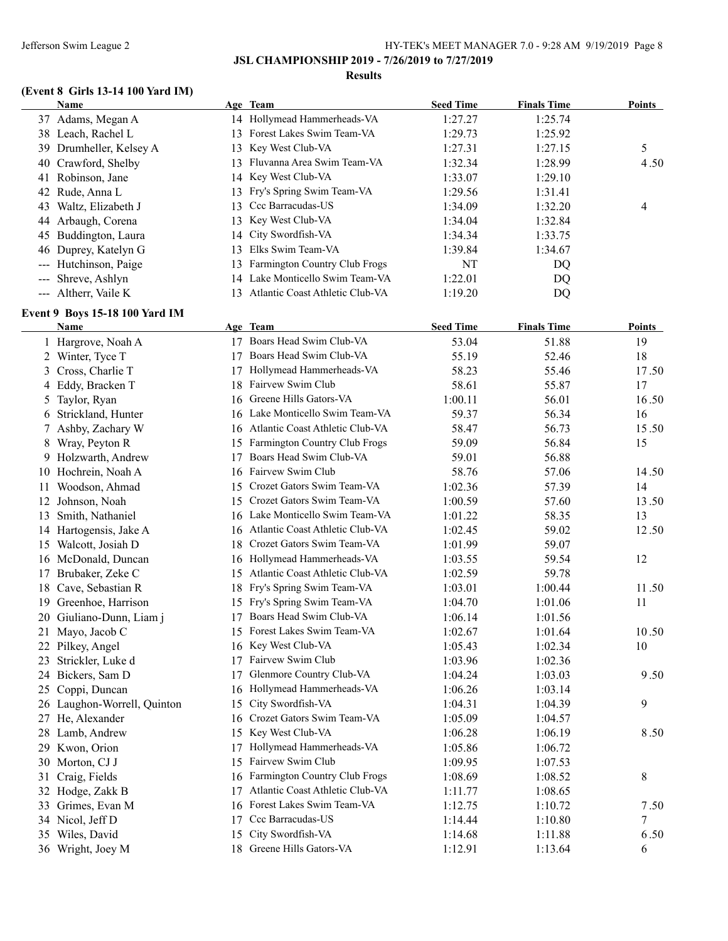#### **Results**

# **(Event 8 Girls 13-14 100 Yard IM)**

|       | Name                                  |    | Age Team                           | <b>Seed Time</b> | <b>Finals Time</b> | <b>Points</b> |
|-------|---------------------------------------|----|------------------------------------|------------------|--------------------|---------------|
|       | 37 Adams, Megan A                     |    | 14 Hollymead Hammerheads-VA        | 1:27.27          | 1:25.74            |               |
|       | 38 Leach, Rachel L                    |    | 13 Forest Lakes Swim Team-VA       | 1:29.73          | 1:25.92            |               |
|       | 39 Drumheller, Kelsey A               | 13 | Key West Club-VA                   | 1:27.31          | 1:27.15            | 5             |
|       | 40 Crawford, Shelby                   | 13 | Fluvanna Area Swim Team-VA         | 1:32.34          | 1:28.99            | 4.50          |
| 41    | Robinson, Jane                        | 14 | Key West Club-VA                   | 1:33.07          | 1:29.10            |               |
| 42    | Rude, Anna L                          | 13 | Fry's Spring Swim Team-VA          | 1:29.56          | 1:31.41            |               |
| 43    | Waltz, Elizabeth J                    | 13 | Ccc Barracudas-US                  | 1:34.09          | 1:32.20            | 4             |
|       | 44 Arbaugh, Corena                    | 13 | Key West Club-VA                   | 1:34.04          | 1:32.84            |               |
|       | 45 Buddington, Laura                  | 14 | City Swordfish-VA                  | 1:34.34          | 1:33.75            |               |
|       | 46 Duprey, Katelyn G                  | 13 | Elks Swim Team-VA                  | 1:39.84          | 1:34.67            |               |
|       | Hutchinson, Paige                     | 13 | Farmington Country Club Frogs      | NT               | DQ                 |               |
| $---$ | Shreve, Ashlyn                        | 14 | Lake Monticello Swim Team-VA       | 1:22.01          | DQ                 |               |
|       | --- Altherr, Vaile K                  |    | 13 Atlantic Coast Athletic Club-VA | 1:19.20          | DQ                 |               |
|       | <b>Event 9 Boys 15-18 100 Yard IM</b> |    |                                    |                  |                    |               |
|       | <b>Name</b>                           |    | Age Team                           | <b>Seed Time</b> | <b>Finals Time</b> | <b>Points</b> |
|       | 1 Hargrove, Noah A                    |    | 17 Boars Head Swim Club-VA         | 53.04            | 51.88              | 19            |
|       | 2 Winter, Tyce T                      |    | 17 Boars Head Swim Club-VA         | 55.19            | 52.46              | 18            |
|       | 3 Cross, Charlie T                    |    | 17 Hollymead Hammerheads-VA        | 58.23            | 55.46              | 17.50         |
|       | 4 Eddy, Bracken T                     |    | 18 Fairvew Swim Club               | 58.61            | 55.87              | 17            |
|       | 5 Taylor, Ryan                        |    | 16 Greene Hills Gators-VA          | 1:00.11          | 56.01              | 16.50         |
|       | 6 Strickland, Hunter                  |    | 16 Lake Monticello Swim Team-VA    | 59.37            | 56.34              | 16            |
|       | 7 Ashby, Zachary W                    |    | 16 Atlantic Coast Athletic Club-VA | 58.47            | 56.73              | 15.50         |
|       | 8 Wray, Peyton R                      |    | 15 Farmington Country Club Frogs   | 59.09            | 56.84              | 15            |
|       | 9 Holzwarth, Andrew                   | 17 | Boars Head Swim Club-VA            | 59.01            | 56.88              |               |
|       | 10 Hochrein, Noah A                   |    | 16 Fairvew Swim Club               | 58.76            | 57.06              | 14.50         |
| 11    | Woodson, Ahmad                        | 15 | Crozet Gators Swim Team-VA         | 1:02.36          | 57.39              | 14            |
| 12    | Johnson, Noah                         | 15 | Crozet Gators Swim Team-VA         | 1:00.59          | 57.60              | 13.50         |
| 13    | Smith, Nathaniel                      |    | 16 Lake Monticello Swim Team-VA    | 1:01.22          | 58.35              | 13            |
|       | 14 Hartogensis, Jake A                |    | 16 Atlantic Coast Athletic Club-VA | 1:02.45          | 59.02              | 12.50         |
|       | 15 Walcott, Josiah D                  |    | 18 Crozet Gators Swim Team-VA      | 1:01.99          | 59.07              |               |
|       | 16 McDonald, Duncan                   |    | 16 Hollymead Hammerheads-VA        | 1:03.55          | 59.54              | 12            |
|       | 17 Brubaker, Zeke C                   |    | 15 Atlantic Coast Athletic Club-VA | 1:02.59          | 59.78              |               |
|       | 18 Cave, Sebastian R                  |    | 18 Fry's Spring Swim Team-VA       | 1:03.01          | 1:00.44            | 11.50         |
|       | 19 Greenhoe, Harrison                 |    | 15 Fry's Spring Swim Team-VA       | 1:04.70          | 1:01.06            | 11            |
|       | 20 Giuliano-Dunn, Liam j              |    | 17 Boars Head Swim Club-VA         | 1:06.14          | 1:01.56            |               |
|       | 21 Mayo, Jacob C                      |    | 15 Forest Lakes Swim Team-VA       | 1:02.67          | 1:01.64            | 10.50         |
|       | 22 Pilkey, Angel                      |    | 16 Key West Club-VA                | 1:05.43          | 1:02.34            | 10            |
|       | 23 Strickler, Luke d                  |    | 17 Fairvew Swim Club               | 1:03.96          | 1:02.36            |               |
|       | 24 Bickers, Sam D                     | 17 | Glenmore Country Club-VA           | 1:04.24          | 1:03.03            | 9.50          |
|       | 25 Coppi, Duncan                      |    | 16 Hollymead Hammerheads-VA        | 1:06.26          | 1:03.14            |               |
|       | 26 Laughon-Worrell, Quinton           | 15 | City Swordfish-VA                  | 1:04.31          | 1:04.39            | 9             |
|       | 27 He, Alexander                      | 16 | Crozet Gators Swim Team-VA         | 1:05.09          | 1:04.57            |               |
|       | 28 Lamb, Andrew                       |    | 15 Key West Club-VA                | 1:06.28          | 1:06.19            | 8.50          |
|       | 29 Kwon, Orion                        | 17 | Hollymead Hammerheads-VA           | 1:05.86          | 1:06.72            |               |
|       | 30 Morton, CJ J                       |    | 15 Fairvew Swim Club               | 1:09.95          | 1:07.53            |               |
|       | 31 Craig, Fields                      |    | 16 Farmington Country Club Frogs   | 1:08.69          | 1:08.52            | 8             |
|       | 32 Hodge, Zakk B                      | 17 | Atlantic Coast Athletic Club-VA    | 1:11.77          | 1:08.65            |               |
|       | 33 Grimes, Evan M                     |    | 16 Forest Lakes Swim Team-VA       | 1:12.75          | 1:10.72            | 7.50          |
|       | 34 Nicol, Jeff D                      | 17 | Ccc Barracudas-US                  | 1:14.44          | 1:10.80            | 7             |
|       | 35 Wiles, David                       |    | 15 City Swordfish-VA               | 1:14.68          | 1:11.88            | 6.50          |
|       | 36 Wright, Joey M                     |    | 18 Greene Hills Gators-VA          | 1:12.91          | 1:13.64            | 6             |
|       |                                       |    |                                    |                  |                    |               |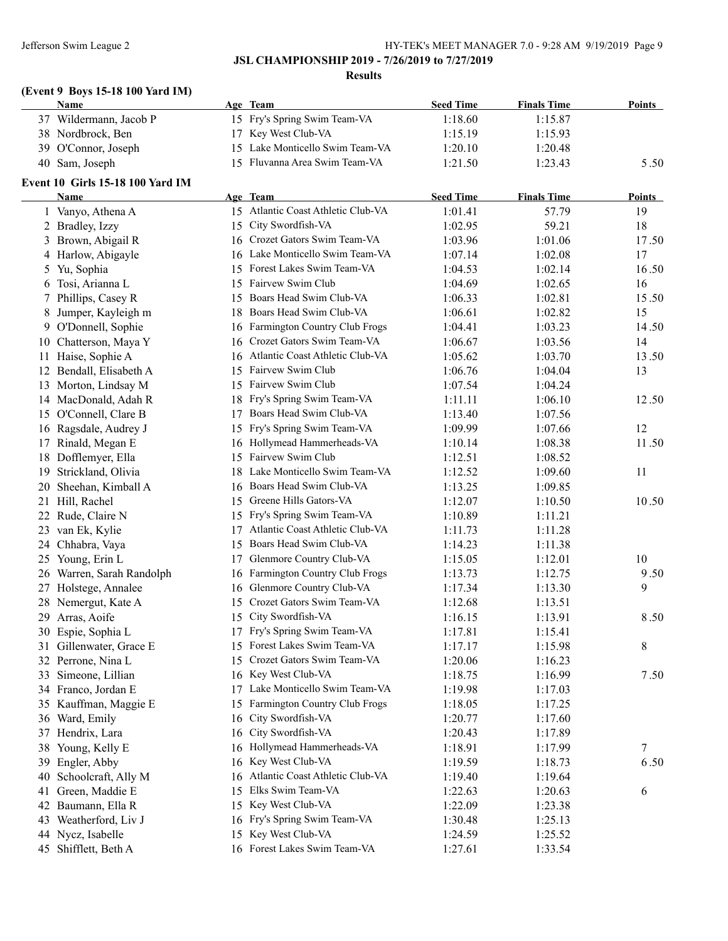### **JSL CHAMPIONSHIP 2019 - 7/26/2019 to 7/27/2019**

#### **Results**

# **(Event 9 Boys 15-18 100 Yard IM)**

| Name                   | Age Team                        | <b>Seed Time</b> | <b>Finals Time</b> | <b>Points</b> |
|------------------------|---------------------------------|------------------|--------------------|---------------|
| 37 Wildermann, Jacob P | 15 Fry's Spring Swim Team-VA    | 1:18.60          | 1:15.87            |               |
| 38 Nordbrock, Ben      | 17 Key West Club-VA             | 1:15.19          | 1:15.93            |               |
| 39 O'Connor, Joseph    | 15 Lake Monticello Swim Team-VA | 1:20.10          | 1:20.48            |               |
| 40 Sam, Joseph         | 15 Fluvanna Area Swim Team-VA   | 1:21.50          | 1:23.43            | 5.50          |

### **Event 10 Girls 15-18 100 Yard IM**

|    | Name                      |     | Age Team                           | <b>Seed Time</b> | <b>Finals Time</b> | <b>Points</b> |
|----|---------------------------|-----|------------------------------------|------------------|--------------------|---------------|
|    | 1 Vanyo, Athena A         |     | 15 Atlantic Coast Athletic Club-VA | 1:01.41          | 57.79              | 19            |
|    | 2 Bradley, Izzy           |     | 15 City Swordfish-VA               | 1:02.95          | 59.21              | 18            |
|    | 3 Brown, Abigail R        |     | 16 Crozet Gators Swim Team-VA      | 1:03.96          | 1:01.06            | 17.50         |
|    | 4 Harlow, Abigayle        |     | 16 Lake Monticello Swim Team-VA    | 1:07.14          | 1:02.08            | 17            |
|    | 5 Yu, Sophia              |     | 15 Forest Lakes Swim Team-VA       | 1:04.53          | 1:02.14            | 16.50         |
|    | 6 Tosi, Arianna L         | 15  | Fairvew Swim Club                  | 1:04.69          | 1:02.65            | 16            |
|    | 7 Phillips, Casey R       |     | 15 Boars Head Swim Club-VA         | 1:06.33          | 1:02.81            | 15.50         |
|    | 8 Jumper, Kayleigh m      |     | 18 Boars Head Swim Club-VA         | 1:06.61          | 1:02.82            | 15            |
|    | 9 O'Donnell, Sophie       |     | 16 Farmington Country Club Frogs   | 1:04.41          | 1:03.23            | 14.50         |
|    | 10 Chatterson, Maya Y     | 16  | Crozet Gators Swim Team-VA         | 1:06.67          | 1:03.56            | 14            |
|    | 11 Haise, Sophie A        | 16  | Atlantic Coast Athletic Club-VA    | 1:05.62          | 1:03.70            | 13.50         |
|    | 12 Bendall, Elisabeth A   | 15  | Fairvew Swim Club                  | 1:06.76          | 1:04.04            | 13            |
|    | 13 Morton, Lindsay M      | 15  | Fairvew Swim Club                  | 1:07.54          | 1:04.24            |               |
|    | 14 MacDonald, Adah R      | 18  | Fry's Spring Swim Team-VA          | 1:11.11          | 1:06.10            | 12.50         |
|    | 15 O'Connell, Clare B     | 17  | Boars Head Swim Club-VA            | 1:13.40          | 1:07.56            |               |
|    | 16 Ragsdale, Audrey J     | 15  | Fry's Spring Swim Team-VA          | 1:09.99          | 1:07.66            | 12            |
|    | 17 Rinald, Megan E        |     | 16 Hollymead Hammerheads-VA        | 1:10.14          | 1:08.38            | 11.50         |
|    | 18 Dofflemyer, Ella       | 15  | Fairvew Swim Club                  | 1:12.51          | 1:08.52            |               |
|    | 19 Strickland, Olivia     | 18. | Lake Monticello Swim Team-VA       | 1:12.52          | 1:09.60            | 11            |
|    | 20 Sheehan, Kimball A     |     | 16 Boars Head Swim Club-VA         | 1:13.25          | 1:09.85            |               |
|    | 21 Hill, Rachel           | 15  | Greene Hills Gators-VA             | 1:12.07          | 1:10.50            | 10.50         |
|    | 22 Rude, Claire N         |     | 15 Fry's Spring Swim Team-VA       | 1:10.89          | 1:11.21            |               |
|    | 23 van Ek, Kylie          | 17  | Atlantic Coast Athletic Club-VA    | 1:11.73          | 1:11.28            |               |
|    | 24 Chhabra, Vaya          |     | 15 Boars Head Swim Club-VA         | 1:14.23          | 1:11.38            |               |
|    | 25 Young, Erin L          | 17  | Glenmore Country Club-VA           | 1:15.05          | 1:12.01            | 10            |
|    | 26 Warren, Sarah Randolph |     | 16 Farmington Country Club Frogs   | 1:13.73          | 1:12.75            | 9.50          |
|    | 27 Holstege, Annalee      |     | 16 Glenmore Country Club-VA        | 1:17.34          | 1:13.30            | 9             |
|    | 28 Nemergut, Kate A       |     | 15 Crozet Gators Swim Team-VA      | 1:12.68          | 1:13.51            |               |
|    | 29 Arras, Aoife           |     | 15 City Swordfish-VA               | 1:16.15          | 1:13.91            | 8.50          |
|    | 30 Espie, Sophia L        | 17  | Fry's Spring Swim Team-VA          | 1:17.81          | 1:15.41            |               |
|    | 31 Gillenwater, Grace E   |     | 15 Forest Lakes Swim Team-VA       | 1:17.17          | 1:15.98            | 8             |
|    | 32 Perrone, Nina L        |     | 15 Crozet Gators Swim Team-VA      | 1:20.06          | 1:16.23            |               |
|    | 33 Simeone, Lillian       |     | 16 Key West Club-VA                | 1:18.75          | 1:16.99            | 7.50          |
|    | 34 Franco, Jordan E       | 17  | Lake Monticello Swim Team-VA       | 1:19.98          | 1:17.03            |               |
|    | 35 Kauffman, Maggie E     | 15  | Farmington Country Club Frogs      | 1:18.05          | 1:17.25            |               |
|    | 36 Ward, Emily            |     | 16 City Swordfish-VA               | 1:20.77          | 1:17.60            |               |
|    | 37 Hendrix, Lara          |     | 16 City Swordfish-VA               | 1:20.43          | 1:17.89            |               |
|    | 38 Young, Kelly E         |     | 16 Hollymead Hammerheads-VA        | 1:18.91          | 1:17.99            | 7             |
|    | 39 Engler, Abby           |     | 16 Key West Club-VA                | 1:19.59          | 1:18.73            | 6.50          |
|    | 40 Schoolcraft, Ally M    |     | 16 Atlantic Coast Athletic Club-VA | 1:19.40          | 1:19.64            |               |
| 41 | Green, Maddie E           | 15  | Elks Swim Team-VA                  | 1:22.63          | 1:20.63            | 6             |
|    | 42 Baumann, Ella R        |     | 15 Key West Club-VA                | 1:22.09          | 1:23.38            |               |
| 43 | Weatherford, Liv J        |     | 16 Fry's Spring Swim Team-VA       | 1:30.48          | 1:25.13            |               |
|    | 44 Nycz, Isabelle         |     | 15 Key West Club-VA                | 1:24.59          | 1:25.52            |               |
|    | 45 Shifflett, Beth A      |     | 16 Forest Lakes Swim Team-VA       | 1:27.61          | 1:33.54            |               |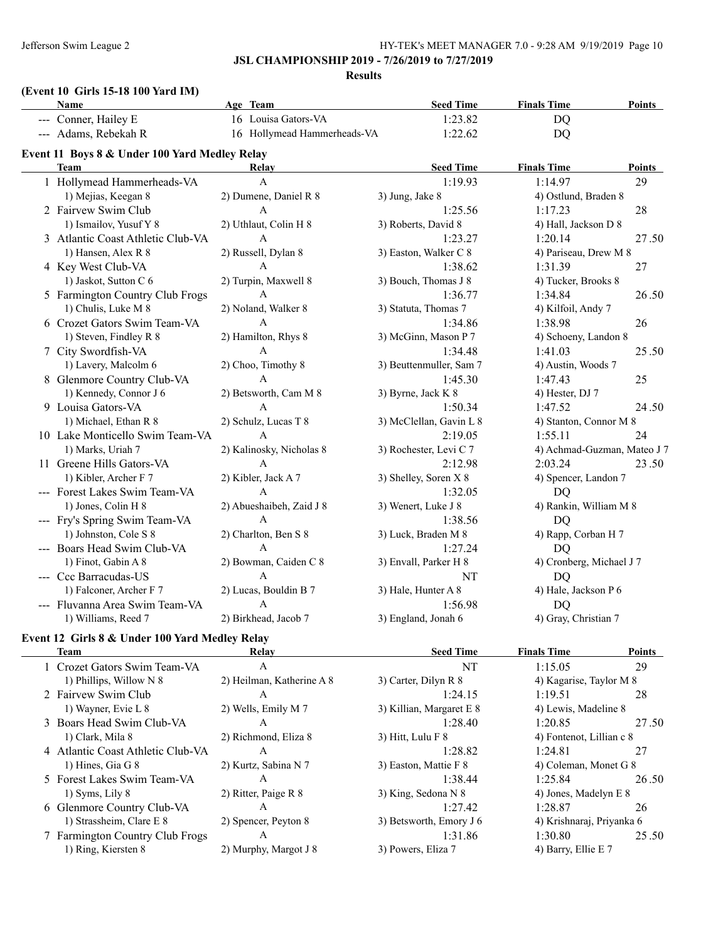### **JSL CHAMPIONSHIP 2019 - 7/26/2019 to 7/27/2019**

**Results**

### **(Event 10 Girls 15-18 100 Yard IM)**

| Name                                                                                                                | Age Team                    | <b>Seed Time</b>        | <b>Finals Time</b>          | <b>Points</b> |
|---------------------------------------------------------------------------------------------------------------------|-----------------------------|-------------------------|-----------------------------|---------------|
| --- Conner, Hailey E                                                                                                | 16 Louisa Gators-VA         | 1:23.82                 | DQ                          |               |
| --- Adams, Rebekah R                                                                                                | 16 Hollymead Hammerheads-VA | 1:22.62                 | DQ                          |               |
| Event 11 Boys 8 & Under 100 Yard Medley Relay                                                                       |                             |                         |                             |               |
| <b>Team</b>                                                                                                         | <b>Relay</b>                | <b>Seed Time</b>        | <b>Finals Time</b>          | Points        |
| 1 Hollymead Hammerheads-VA                                                                                          | A                           | 1:19.93                 | 1:14.97                     | 29            |
| 1) Mejias, Keegan 8                                                                                                 | 2) Dumene, Daniel R 8       | 3) Jung, Jake 8         | 4) Ostlund, Braden 8        |               |
| 2 Fairvew Swim Club                                                                                                 | A                           | 1:25.56                 | 1:17.23                     | 28            |
| 1) Ismailov, Yusuf Y 8                                                                                              | 2) Uthlaut, Colin H 8       | 3) Roberts, David 8     | 4) Hall, Jackson D 8        |               |
| 3 Atlantic Coast Athletic Club-VA                                                                                   | $\mathsf{A}$                | 1:23.27                 | 1:20.14                     | 27.50         |
| 1) Hansen, Alex R 8                                                                                                 | 2) Russell, Dylan 8         | 3) Easton, Walker C 8   | 4) Pariseau, Drew M 8       |               |
| 4 Key West Club-VA                                                                                                  | $\mathsf{A}$                | 1:38.62                 | 1:31.39                     | 27            |
| 1) Jaskot, Sutton C 6                                                                                               | 2) Turpin, Maxwell 8        | 3) Bouch, Thomas J 8    | 4) Tucker, Brooks 8         |               |
| 5 Farmington Country Club Frogs                                                                                     | $\mathbf{A}$                | 1:36.77                 | 1:34.84                     | 26.50         |
| 1) Chulis, Luke M 8                                                                                                 | 2) Noland, Walker 8         | 3) Statuta, Thomas 7    | 4) Kilfoil, Andy 7          |               |
| 6 Crozet Gators Swim Team-VA                                                                                        | $\mathsf{A}$                | 1:34.86                 | 1:38.98                     | 26            |
| 1) Steven, Findley R 8                                                                                              | 2) Hamilton, Rhys 8         | 3) McGinn, Mason P 7    | 4) Schoeny, Landon 8        |               |
| 7 City Swordfish-VA                                                                                                 | $\mathsf{A}$                | 1:34.48                 | 1:41.03                     | 25.50         |
| 1) Lavery, Malcolm 6                                                                                                | 2) Choo, Timothy 8          | 3) Beuttenmuller, Sam 7 | 4) Austin, Woods 7          |               |
| 8 Glenmore Country Club-VA                                                                                          | $\mathsf{A}$                | 1:45.30                 | 1:47.43                     | 25            |
| 1) Kennedy, Connor J 6                                                                                              | 2) Betsworth, Cam M 8       | 3) Byrne, Jack K 8      | 4) Hester, DJ 7             |               |
| 9 Louisa Gators-VA                                                                                                  | $\mathsf{A}$                | 1:50.34                 | 1:47.52                     | 24.50         |
| 1) Michael, Ethan R 8                                                                                               | 2) Schulz, Lucas T 8        | 3) McClellan, Gavin L 8 | 4) Stanton, Connor M 8      |               |
| 10 Lake Monticello Swim Team-VA                                                                                     | $\mathsf{A}$                | 2:19.05                 | 1:55.11                     | 24            |
| 1) Marks, Uriah 7                                                                                                   | 2) Kalinosky, Nicholas 8    | 3) Rochester, Levi C 7  | 4) Achmad-Guzman, Mateo J 7 |               |
| 11 Greene Hills Gators-VA                                                                                           | A                           | 2:12.98                 | 2:03.24                     | 23.50         |
| 1) Kibler, Archer F 7                                                                                               | 2) Kibler, Jack A 7         | 3) Shelley, Soren X 8   | 4) Spencer, Landon 7        |               |
| --- Forest Lakes Swim Team-VA                                                                                       | $\mathbf{A}$                | 1:32.05                 | DQ                          |               |
| 1) Jones, Colin H 8                                                                                                 | 2) Abueshaibeh, Zaid J 8    | 3) Wenert, Luke J 8     | 4) Rankin, William M 8      |               |
| --- Fry's Spring Swim Team-VA                                                                                       | $\mathsf{A}$                | 1:38.56                 | DQ                          |               |
| 1) Johnston, Cole S 8                                                                                               | 2) Charlton, Ben S 8        | 3) Luck, Braden M 8     | 4) Rapp, Corban H 7         |               |
| --- Boars Head Swim Club-VA                                                                                         | $\mathsf{A}$                | 1:27.24                 | DQ                          |               |
| 1) Finot, Gabin A 8                                                                                                 | 2) Bowman, Caiden C 8       | 3) Envall, Parker H 8   | 4) Cronberg, Michael J 7    |               |
| --- Ccc Barracudas-US                                                                                               | A                           | NT                      | <b>DQ</b>                   |               |
| 1) Falconer, Archer F 7                                                                                             | 2) Lucas, Bouldin B 7       | 3) Hale, Hunter A 8     | 4) Hale, Jackson P 6        |               |
| --- Fluvanna Area Swim Team-VA                                                                                      | $\mathbf{A}$                | 1:56.98                 | <b>DQ</b>                   |               |
| 1) Williams, Reed 7                                                                                                 | 2) Birkhead, Jacob 7        | 3) England, Jonah 6     | 4) Gray, Christian 7        |               |
| and a series of the series of the series of the series of the series of the series of the series of the series<br>. |                             |                         |                             |               |

# **Event 12 Girls 8 & Under 100 Yard Medley Relay**

| Team                              | Relay                     | <b>Seed Time</b>         | <b>Finals Time</b>        | <b>Points</b> |
|-----------------------------------|---------------------------|--------------------------|---------------------------|---------------|
| 1 Crozet Gators Swim Team-VA      | A                         | NT                       | 1:15.05                   | 29            |
| 1) Phillips, Willow $N$ 8         | 2) Heilman, Katherine A 8 | 3) Carter, Dilyn R 8     | 4) Kagarise, Taylor M 8   |               |
| 2 Fairvew Swim Club               | A                         | 1:24.15                  | 1:19.51                   | 28            |
| 1) Wayner, Evie L 8               | 2) Wells, Emily M 7       | 3) Killian, Margaret E 8 | 4) Lewis, Madeline 8      |               |
| 3 Boars Head Swim Club-VA         | A                         | 1:28.40                  | 1:20.85                   | 27.50         |
| 1) Clark, Mila 8                  | 2) Richmond, Eliza 8      | $3)$ Hitt, Lulu F $8$    | 4) Fontenot, Lillian c 8  |               |
| 4 Atlantic Coast Athletic Club-VA | A                         | 1:28.82                  | 1:24.81                   | 27            |
| 1) Hines, Gia G $8$               | 2) Kurtz, Sabina N 7      | 3) Easton, Mattie F 8    | 4) Coleman, Monet G 8     |               |
| 5 Forest Lakes Swim Team-VA       | A                         | 1:38.44                  | 1:25.84                   | 26.50         |
| $1)$ Syms, Lily $8$               | 2) Ritter, Paige R 8      | 3) King, Sedona N 8      | 4) Jones, Madelyn E 8     |               |
| 6 Glenmore Country Club-VA        | A                         | 1:27.42                  | 1:28.87                   | 26            |
| 1) Strassheim, Clare E 8          | 2) Spencer, Peyton 8      | 3) Betsworth, Emory J 6  | 4) Krishnaraj, Priyanka 6 |               |
| 7 Farmington Country Club Frogs   | A                         | 1:31.86                  | 1:30.80                   | 25.50         |
| 1) Ring, Kiersten 8               | 2) Murphy, Margot J 8     | 3) Powers, Eliza 7       | 4) Barry, Ellie E 7       |               |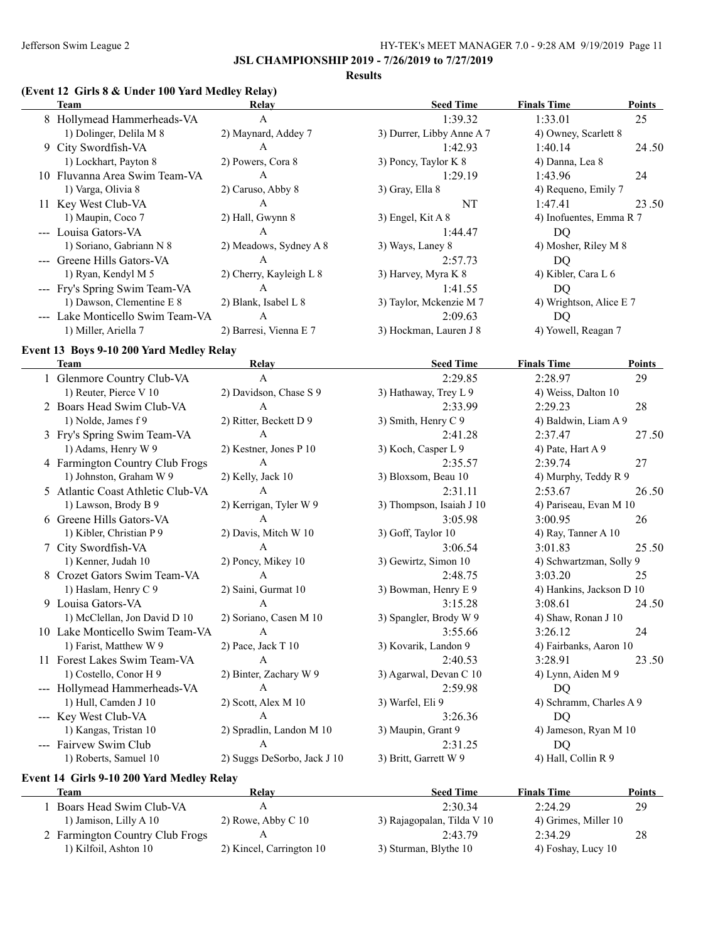**Results**

# **(Event 12 Girls 8 & Under 100 Yard Medley Relay)**

| Team                             | Relay                   | <b>Seed Time</b>          | <b>Finals Time</b>      | <b>Points</b> |
|----------------------------------|-------------------------|---------------------------|-------------------------|---------------|
| 8 Hollymead Hammerheads-VA       | A                       | 1:39.32                   | 1:33.01                 | 25            |
| 1) Dolinger, Delila M 8          | 2) Maynard, Addey 7     | 3) Durrer, Libby Anne A 7 | 4) Owney, Scarlett 8    |               |
| 9 City Swordfish-VA              | A                       | 1:42.93                   | 1:40.14                 | 24.50         |
| 1) Lockhart, Payton 8            | 2) Powers, Cora 8       | 3) Poncy, Taylor K 8      | 4) Danna, Lea 8         |               |
| 10 Fluvanna Area Swim Team-VA    | A                       | 1:29.19                   | 1:43.96                 | 24            |
| 1) Varga, Olivia 8               | 2) Caruso, Abby 8       | 3) Gray, Ella 8           | 4) Requeno, Emily 7     |               |
| 11 Key West Club-VA              | A                       | NT                        | 1:47.41                 | 23.50         |
| 1) Maupin, Coco 7                | 2) Hall, Gwynn 8        | 3) Engel, Kit $A_8$       | 4) Inofuentes, Emma R 7 |               |
| --- Louisa Gators-VA             | A                       | 1:44.47                   | DO.                     |               |
| 1) Soriano, Gabriann N 8         | 2) Meadows, Sydney A 8  | 3) Ways, Laney 8          | 4) Mosher, Riley M 8    |               |
| --- Greene Hills Gators-VA       | A                       | 2:57.73                   | DO                      |               |
| 1) Ryan, Kendyl M 5              | 2) Cherry, Kayleigh L 8 | 3) Harvey, Myra K 8       | 4) Kibler, Cara L 6     |               |
| --- Fry's Spring Swim Team-VA    | A                       | 1:41.55                   | DO                      |               |
| 1) Dawson, Clementine E 8        | 2) Blank, Isabel L 8    | 3) Taylor, Mckenzie M 7   | 4) Wrightson, Alice E 7 |               |
| --- Lake Monticello Swim Team-VA | A                       | 2:09.63                   | DQ                      |               |
| 1) Miller, Ariella 7             | 2) Barresi, Vienna E 7  | 3) Hockman, Lauren J 8    | 4) Yowell, Reagan 7     |               |
|                                  |                         |                           |                         |               |

### **Event 13 Boys 9-10 200 Yard Medley Relay**

| <b>Team</b>                       | Relay                       | <b>Seed Time</b>         | <b>Finals Time</b>       | Points |
|-----------------------------------|-----------------------------|--------------------------|--------------------------|--------|
| 1 Glenmore Country Club-VA        | A                           | 2:29.85                  | 2:28.97                  | 29     |
| 1) Reuter, Pierce V 10            | 2) Davidson, Chase S 9      | 3) Hathaway, Trey L 9    | 4) Weiss, Dalton 10      |        |
| 2 Boars Head Swim Club-VA         | A                           | 2:33.99                  | 2:29.23                  | 28     |
| 1) Nolde, James f 9               | 2) Ritter, Beckett D 9      | 3) Smith, Henry C 9      | 4) Baldwin, Liam A 9     |        |
| 3 Fry's Spring Swim Team-VA       | $\mathbf{A}$                | 2:41.28                  | 2:37.47                  | 27.50  |
| 1) Adams, Henry W 9               | 2) Kestner, Jones P 10      | 3) Koch, Casper L 9      | 4) Pate, Hart A 9        |        |
| 4 Farmington Country Club Frogs   | A                           | 2:35.57                  | 2:39.74                  | 27     |
| 1) Johnston, Graham W 9           | 2) Kelly, Jack 10           | 3) Bloxsom, Beau 10      | 4) Murphy, Teddy R 9     |        |
| 5 Atlantic Coast Athletic Club-VA | A                           | 2:31.11                  | 2:53.67                  | 26.50  |
| 1) Lawson, Brody B 9              | 2) Kerrigan, Tyler W 9      | 3) Thompson, Isaiah J 10 | 4) Pariseau, Evan M 10   |        |
| 6 Greene Hills Gators-VA          | $\mathsf{A}$                | 3:05.98                  | 3:00.95                  | 26     |
| 1) Kibler, Christian P 9          | 2) Davis, Mitch W 10        | 3) Goff, Taylor 10       | 4) Ray, Tanner A 10      |        |
| 7 City Swordfish-VA               | A                           | 3:06.54                  | 3:01.83                  | 25.50  |
| 1) Kenner, Judah 10               | 2) Poncy, Mikey 10          | 3) Gewirtz, Simon 10     | 4) Schwartzman, Solly 9  |        |
| 8 Crozet Gators Swim Team-VA      | A                           | 2:48.75                  | 3:03.20                  | 25     |
| 1) Haslam, Henry C 9              | 2) Saini, Gurmat 10         | 3) Bowman, Henry E 9     | 4) Hankins, Jackson D 10 |        |
| 9 Louisa Gators-VA                | $\overline{A}$              | 3:15.28                  | 3:08.61                  | 24.50  |
| 1) McClellan, Jon David D 10      | 2) Soriano, Casen M 10      | 3) Spangler, Brody W 9   | 4) Shaw, Ronan J 10      |        |
| 10 Lake Monticello Swim Team-VA   | $\mathbf{A}$                | 3:55.66                  | 3:26.12                  | 24     |
| 1) Farist, Matthew W 9            | 2) Pace, Jack T 10          | 3) Kovarik, Landon 9     | 4) Fairbanks, Aaron 10   |        |
| 11 Forest Lakes Swim Team-VA      | $\mathsf{A}$                | 2:40.53                  | 3:28.91                  | 23.50  |
| 1) Costello, Conor H 9            | 2) Binter, Zachary W 9      | 3) Agarwal, Devan C 10   | 4) Lynn, Aiden M 9       |        |
| --- Hollymead Hammerheads-VA      | $\mathbf{A}$                | 2:59.98                  | DQ                       |        |
| 1) Hull, Camden J 10              | 2) Scott, Alex M 10         | 3) Warfel, Eli 9         | 4) Schramm, Charles A 9  |        |
| --- Key West Club-VA              | A                           | 3:26.36                  | D <sub>O</sub>           |        |
| 1) Kangas, Tristan 10             | 2) Spradlin, Landon M 10    | 3) Maupin, Grant 9       | 4) Jameson, Ryan M 10    |        |
| --- Fairvew Swim Club             | A                           | 2:31.25                  | DQ                       |        |
| 1) Roberts, Samuel 10             | 2) Suggs DeSorbo, Jack J 10 | 3) Britt, Garrett W 9    | 4) Hall, Collin R 9      |        |
|                                   |                             |                          |                          |        |

### **Event 14 Girls 9-10 200 Yard Medley Relay**

 $\overline{a}$ 

| Team                            | Relay                    | <b>Seed Time</b>           | <b>Finals Time</b>   | Points |
|---------------------------------|--------------------------|----------------------------|----------------------|--------|
| Boars Head Swim Club-VA         |                          | 2:30.34                    | 2:24.29              | 29     |
| 1) Jamison, Lilly A 10          | 2) Rowe, Abby C $10$     | 3) Rajagopalan, Tilda V 10 | 4) Grimes, Miller 10 |        |
| 2 Farmington Country Club Frogs |                          | 2:43.79                    | 2:34.29              | 28     |
| 1) Kilfoil, Ashton 10           | 2) Kincel, Carrington 10 | 3) Sturman, Blythe 10      | 4) Foshay, Lucy 10   |        |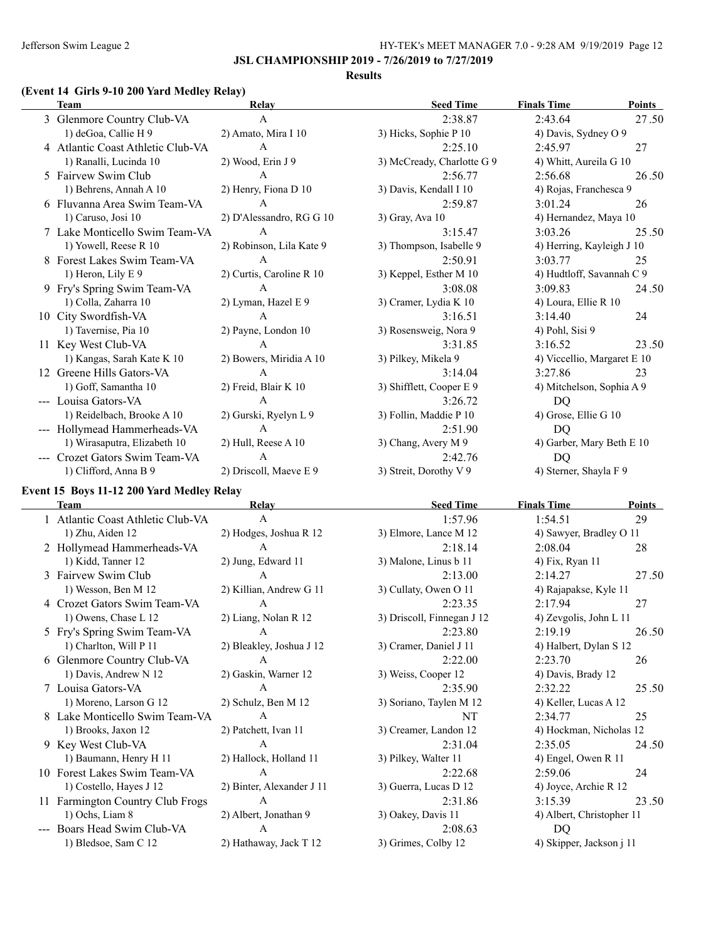#### **Results**

# **(Event 14 Girls 9-10 200 Yard Medley Relay)**

| <b>Team</b>                       | Relay                    | <b>Seed Time</b>           | <b>Finals Time</b>          | Points |
|-----------------------------------|--------------------------|----------------------------|-----------------------------|--------|
| 3 Glenmore Country Club-VA        | $\mathsf{A}$             | 2:38.87                    | 2:43.64                     | 27.50  |
| 1) deGoa, Callie H 9              | 2) Amato, Mira I 10      | 3) Hicks, Sophie P 10      | 4) Davis, Sydney O 9        |        |
| 4 Atlantic Coast Athletic Club-VA | $\mathsf{A}$             | 2:25.10                    | 2:45.97                     | 27     |
| 1) Ranalli, Lucinda 10            | 2) Wood, Erin J 9        | 3) McCready, Charlotte G 9 | 4) Whitt, Aureila G 10      |        |
| 5 Fairvew Swim Club               | $\mathsf{A}$             | 2:56.77                    | 2:56.68                     | 26.50  |
| 1) Behrens, Annah A 10            | 2) Henry, Fiona D 10     | 3) Davis, Kendall I 10     | 4) Rojas, Franchesca 9      |        |
| 6 Fluvanna Area Swim Team-VA      | $\mathsf{A}$             | 2:59.87                    | 3:01.24                     | 26     |
| 1) Caruso, Josi 10                | 2) D'Alessandro, RG G 10 | 3) Gray, Ava 10            | 4) Hernandez, Maya 10       |        |
| 7 Lake Monticello Swim Team-VA    | $\mathbf{A}$             | 3:15.47                    | 3:03.26                     | 25.50  |
| 1) Yowell, Reese R 10             | 2) Robinson, Lila Kate 9 | 3) Thompson, Isabelle 9    | 4) Herring, Kayleigh J 10   |        |
| 8 Forest Lakes Swim Team-VA       | A                        | 2:50.91                    | 3:03.77                     | 25     |
| 1) Heron, Lily E 9                | 2) Curtis, Caroline R 10 | 3) Keppel, Esther M 10     | 4) Hudtloff, Savannah C 9   |        |
| 9 Fry's Spring Swim Team-VA       | A                        | 3:08.08                    | 3:09.83                     | 24.50  |
| 1) Colla, Zaharra 10              | 2) Lyman, Hazel E 9      | 3) Cramer, Lydia K 10      | 4) Loura, Ellie R 10        |        |
| 10 City Swordfish-VA              | A                        | 3:16.51                    | 3:14.40                     | 24     |
| 1) Tavernise, Pia 10              | 2) Payne, London 10      | 3) Rosensweig, Nora 9      | 4) Pohl, Sisi 9             |        |
| 11 Key West Club-VA               | A                        | 3:31.85                    | 3:16.52                     | 23.50  |
| 1) Kangas, Sarah Kate K 10        | 2) Bowers, Miridia A 10  | 3) Pilkey, Mikela 9        | 4) Viccellio, Margaret E 10 |        |
| 12 Greene Hills Gators-VA         | A                        | 3:14.04                    | 3:27.86                     | 23     |
| 1) Goff, Samantha 10              | 2) Freid, Blair K 10     | 3) Shifflett, Cooper E 9   | 4) Mitchelson, Sophia A 9   |        |
| --- Louisa Gators-VA              | $\mathsf{A}$             | 3:26.72                    | DQ                          |        |
| 1) Reidelbach, Brooke A 10        | 2) Gurski, Ryelyn L 9    | 3) Follin, Maddie P 10     | 4) Grose, Ellie G 10        |        |
| --- Hollymead Hammerheads-VA      | $\mathsf{A}$             | 2:51.90                    | DO.                         |        |
| 1) Wirasaputra, Elizabeth 10      | 2) Hull, Reese A 10      | 3) Chang, Avery M 9        | 4) Garber, Mary Beth E 10   |        |
| --- Crozet Gators Swim Team-VA    | A                        | 2:42.76                    | DQ                          |        |
| 1) Clifford, Anna B 9             | 2) Driscoll, Maeve E 9   | 3) Streit, Dorothy V 9     | 4) Sterner, Shayla F 9      |        |

# **Event 15 Boys 11-12 200 Yard Medley Relay**

| <b>Team</b>                       | Relay                     | <b>Seed Time</b>           | <b>Finals Time</b>        | Points |
|-----------------------------------|---------------------------|----------------------------|---------------------------|--------|
| 1 Atlantic Coast Athletic Club-VA | A                         | 1:57.96                    | 1:54.51                   | 29     |
| 1) Zhu, Aiden 12                  | 2) Hodges, Joshua R 12    | 3) Elmore, Lance M 12      | 4) Sawyer, Bradley O 11   |        |
| 2 Hollymead Hammerheads-VA        | А                         | 2:18.14                    | 2:08.04                   | 28     |
| 1) Kidd, Tanner 12                | 2) Jung, Edward 11        | 3) Malone, Linus b 11      | 4) Fix, Ryan 11           |        |
| 3 Fairvew Swim Club               | A                         | 2:13.00                    | 2:14.27                   | 27.50  |
| 1) Wesson, Ben M 12               | 2) Killian, Andrew G 11   | 3) Cullaty, Owen O 11      | 4) Rajapakse, Kyle 11     |        |
| 4 Crozet Gators Swim Team-VA      | А                         | 2:23.35                    | 2:17.94                   | 27     |
| 1) Owens, Chase L 12              | 2) Liang, Nolan R 12      | 3) Driscoll, Finnegan J 12 | 4) Zevgolis, John L 11    |        |
| 5 Fry's Spring Swim Team-VA       | A                         | 2:23.80                    | 2:19.19                   | 26.50  |
| 1) Charlton, Will P 11            | 2) Bleakley, Joshua J 12  | 3) Cramer, Daniel J 11     | 4) Halbert, Dylan S 12    |        |
| 6 Glenmore Country Club-VA        | A                         | 2:22.00                    | 2:23.70                   | 26     |
| 1) Davis, Andrew N 12             | 2) Gaskin, Warner 12      | 3) Weiss, Cooper 12        | 4) Davis, Brady 12        |        |
| 7 Louisa Gators-VA                | $\mathsf{A}$              | 2:35.90                    | 2:32.22                   | 25.50  |
| 1) Moreno, Larson G 12            | 2) Schulz, Ben M 12       | 3) Soriano, Taylen M 12    | 4) Keller, Lucas A 12     |        |
| 8 Lake Monticello Swim Team-VA    | A                         | NT                         | 2:34.77                   | 25     |
| 1) Brooks, Jaxon 12               | 2) Patchett, Ivan 11      | 3) Creamer, Landon 12      | 4) Hockman, Nicholas 12   |        |
| 9 Key West Club-VA                | A                         | 2:31.04                    | 2:35.05                   | 24.50  |
| 1) Baumann, Henry H 11            | 2) Hallock, Holland 11    | 3) Pilkey, Walter 11       | 4) Engel, Owen R 11       |        |
| 10 Forest Lakes Swim Team-VA      | A                         | 2:22.68                    | 2:59.06                   | 24     |
| 1) Costello, Hayes J 12           | 2) Binter, Alexander J 11 | 3) Guerra, Lucas D 12      | 4) Joyce, Archie R 12     |        |
| Farmington Country Club Frogs     | A                         | 2:31.86                    | 3:15.39                   | 23.50  |
| 1) Ochs, Liam 8                   | 2) Albert, Jonathan 9     | 3) Oakey, Davis 11         | 4) Albert, Christopher 11 |        |
| --- Boars Head Swim Club-VA       | A                         | 2:08.63                    | DQ                        |        |
| 1) Bledsoe, Sam C 12              | 2) Hathaway, Jack T 12    | 3) Grimes, Colby 12        | 4) Skipper, Jackson j 11  |        |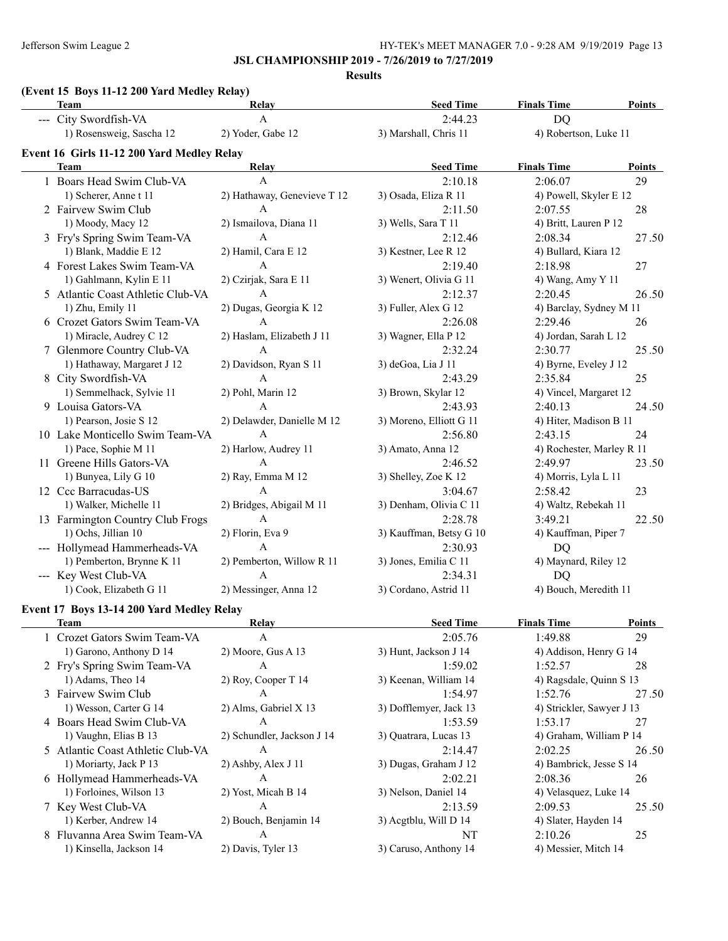### **JSL CHAMPIONSHIP 2019 - 7/26/2019 to 7/27/2019**

**Results**

| (Event 15 Boys 11-12 200 Yard Medley Relay) |  |
|---------------------------------------------|--|
|                                             |  |

| <b>Team</b>                                | Relay                             | <b>Seed Time</b>        | <b>Finals Time</b>        | <b>Points</b> |
|--------------------------------------------|-----------------------------------|-------------------------|---------------------------|---------------|
| --- City Swordfish-VA                      | $\mathbf{A}$                      | 2:44.23                 | DQ                        |               |
| 1) Rosensweig, Sascha 12                   | 2) Yoder, Gabe 12                 | 3) Marshall, Chris 11   | 4) Robertson, Luke 11     |               |
| Event 16 Girls 11-12 200 Yard Medley Relay |                                   |                         |                           |               |
| <b>Team</b>                                | Relay                             | <b>Seed Time</b>        | <b>Finals Time</b>        | <b>Points</b> |
| 1 Boars Head Swim Club-VA                  | $\mathbf{A}$                      | 2:10.18                 | 2:06.07                   | 29            |
| 1) Scherer, Anne t 11                      | 2) Hathaway, Genevieve T 12       | 3) Osada, Eliza R 11    | 4) Powell, Skyler E 12    |               |
| 2 Fairvew Swim Club                        | $\mathbf{A}$                      | 2:11.50                 | 2:07.55                   | 28            |
| 1) Moody, Macy 12                          | 2) Ismailova, Diana 11            | 3) Wells, Sara T 11     | 4) Britt, Lauren P 12     |               |
| 3 Fry's Spring Swim Team-VA                | A                                 | 2:12.46                 | 2:08.34                   | 27.50         |
| 1) Blank, Maddie E 12                      | 2) Hamil, Cara E 12               | 3) Kestner, Lee R 12    | 4) Bullard, Kiara 12      |               |
| 4 Forest Lakes Swim Team-VA                | A                                 | 2:19.40                 | 2:18.98                   | 27            |
| 1) Gahlmann, Kylin E 11                    | 2) Czirjak, Sara E 11             | 3) Wenert, Olivia G 11  | 4) Wang, Amy Y 11         |               |
| 5 Atlantic Coast Athletic Club-VA          | A                                 | 2:12.37                 | 2:20.45                   | 26.50         |
| 1) Zhu, Emily 11                           | 2) Dugas, Georgia K 12            | 3) Fuller, Alex G 12    | 4) Barclay, Sydney M 11   |               |
| 6 Crozet Gators Swim Team-VA               | A                                 | 2:26.08                 | 2:29.46                   | 26            |
| 1) Miracle, Audrey C 12                    | 2) Haslam, Elizabeth J 11         | 3) Wagner, Ella P 12    | 4) Jordan, Sarah L 12     |               |
| 7 Glenmore Country Club-VA                 | A                                 | 2:32.24                 | 2:30.77                   | 25.50         |
| 1) Hathaway, Margaret J 12                 | 2) Davidson, Ryan S 11            | 3) deGoa, Lia J 11      | 4) Byrne, Eveley J 12     |               |
| 8 City Swordfish-VA                        | A                                 | 2:43.29                 | 2:35.84                   | 25            |
| 1) Semmelhack, Sylvie 11                   | 2) Pohl, Marin 12                 | 3) Brown, Skylar 12     | 4) Vincel, Margaret 12    |               |
| 9 Louisa Gators-VA                         | A                                 | 2:43.93                 | 2:40.13                   | 24.50         |
| 1) Pearson, Josie S 12                     | 2) Delawder, Danielle M 12        | 3) Moreno, Elliott G 11 | 4) Hiter, Madison B 11    |               |
| 10 Lake Monticello Swim Team-VA            | A                                 | 2:56.80                 | 2:43.15                   | 24            |
| 1) Pace, Sophie M 11                       | 2) Harlow, Audrey 11              |                         | 4) Rochester, Marley R 11 |               |
| 11 Greene Hills Gators-VA                  | $\mathsf{A}$                      | 3) Amato, Anna 12       |                           |               |
|                                            |                                   | 2:46.52                 | 2:49.97                   | 23.50         |
| 1) Bunyea, Lily G 10                       | 2) Ray, Emma M 12<br>$\mathbf{A}$ | 3) Shelley, Zoe K 12    | 4) Morris, Lyla L 11      |               |
| 12 Ccc Barracudas-US                       |                                   | 3:04.67                 | 2:58.42                   | 23            |
| 1) Walker, Michelle 11                     | 2) Bridges, Abigail M 11          | 3) Denham, Olivia C 11  | 4) Waltz, Rebekah 11      |               |
| 13 Farmington Country Club Frogs           | $\mathbf{A}$                      | 2:28.78                 | 3:49.21                   | 22.50         |
| 1) Ochs, Jillian 10                        | 2) Florin, Eva 9                  | 3) Kauffman, Betsy G 10 | 4) Kauffman, Piper 7      |               |
| --- Hollymead Hammerheads-VA               | $\mathbf{A}$                      | 2:30.93                 | DQ                        |               |
| 1) Pemberton, Brynne K 11                  | 2) Pemberton, Willow R 11         | 3) Jones, Emilia C 11   | 4) Maynard, Riley 12      |               |
| --- Key West Club-VA                       | A                                 | 2:34.31                 | DQ                        |               |
| 1) Cook, Elizabeth G 11                    | 2) Messinger, Anna 12             | 3) Cordano, Astrid 11   | 4) Bouch, Meredith 11     |               |
| Event 17 Boys 13-14 200 Yard Medley Relay  |                                   |                         |                           |               |
| <b>Team</b>                                | <b>Relay</b>                      | <b>Seed Time</b>        | <b>Finals Time</b>        | <b>Points</b> |
| 1 Crozet Gators Swim Team-VA               | A                                 | 2:05.76                 | 1:49.88                   | 29            |
| 1) Garono, Anthony D 14                    | 2) Moore, Gus A 13                | 3) Hunt, Jackson J 14   | 4) Addison, Henry G 14    |               |
| 2 Fry's Spring Swim Team-VA                | $\boldsymbol{A}$                  | 1:59.02                 | 1:52.57                   | 28            |
| 1) Adams, Theo 14                          | 2) Roy, Cooper T 14               | 3) Keenan, William 14   | 4) Ragsdale, Quinn S 13   |               |
| 3 Fairvew Swim Club                        | A                                 | 1:54.97                 | 1:52.76                   | 27.50         |
| 1) Wesson, Carter G 14                     | 2) Alms, Gabriel X 13             | 3) Dofflemyer, Jack 13  | 4) Strickler, Sawyer J 13 |               |
| 4 Boars Head Swim Club-VA                  | A                                 | 1:53.59                 | 1:53.17                   | 27            |
| 1) Vaughn, Elias B 13                      | 2) Schundler, Jackson J 14        | 3) Quatrara, Lucas 13   | 4) Graham, William P 14   |               |
| 5 Atlantic Coast Athletic Club-VA          | Α                                 | 2:14.47                 | 2:02.25                   | 26.50         |

| Team                              | <b>Relav</b>               | Seed Time              | Finals Time               | Points |
|-----------------------------------|----------------------------|------------------------|---------------------------|--------|
| 1 Crozet Gators Swim Team-VA      | A                          | 2:05.76                | 1:49.88                   | 29     |
| 1) Garono, Anthony D 14           | $2)$ Moore, Gus A 13       | 3) Hunt, Jackson J 14  | 4) Addison, Henry G 14    |        |
| 2 Fry's Spring Swim Team-VA       | A                          | 1:59.02                | 1:52.57                   | 28     |
| 1) Adams, Theo 14                 | 2) Roy, Cooper T $14$      | 3) Keenan, William 14  | 4) Ragsdale, Quinn S 13   |        |
| 3 Fairvew Swim Club               | $\mathsf{A}$               | 1:54.97                | 1:52.76                   | 27.50  |
| 1) Wesson, Carter G 14            | 2) Alms, Gabriel X 13      | 3) Dofflemyer, Jack 13 | 4) Strickler, Sawyer J 13 |        |
| 4 Boars Head Swim Club-VA         | A                          | 1:53.59                | 1:53.17                   | 27     |
| 1) Vaughn, Elias B 13             | 2) Schundler, Jackson J 14 | 3) Quatrara, Lucas 13  | 4) Graham, William P 14   |        |
| 5 Atlantic Coast Athletic Club-VA | A                          | 2:14.47                | 2:02.25                   | 26.50  |
| 1) Moriarty, Jack P 13            | $2)$ Ashby, Alex J 11      | 3) Dugas, Graham J 12  | 4) Bambrick, Jesse S 14   |        |
| 6 Hollymead Hammerheads-VA        | A                          | 2:02.21                | 2:08.36                   | 26     |
| 1) Forloines, Wilson 13           | 2) Yost, Micah B 14        | 3) Nelson, Daniel 14   | 4) Velasquez, Luke 14     |        |
| 7 Key West Club-VA                | A                          | 2:13.59                | 2:09.53                   | 25.50  |
| 1) Kerber, Andrew 14              | 2) Bouch, Benjamin 14      | 3) Acgtblu, Will D 14  | 4) Slater, Hayden 14      |        |
| 8 Fluvanna Area Swim Team-VA      | A                          | NT                     | 2:10.26                   | 25     |
| 1) Kinsella, Jackson 14           | 2) Davis, Tyler 13         | 3) Caruso, Anthony 14  | 4) Messier, Mitch 14      |        |
|                                   |                            |                        |                           |        |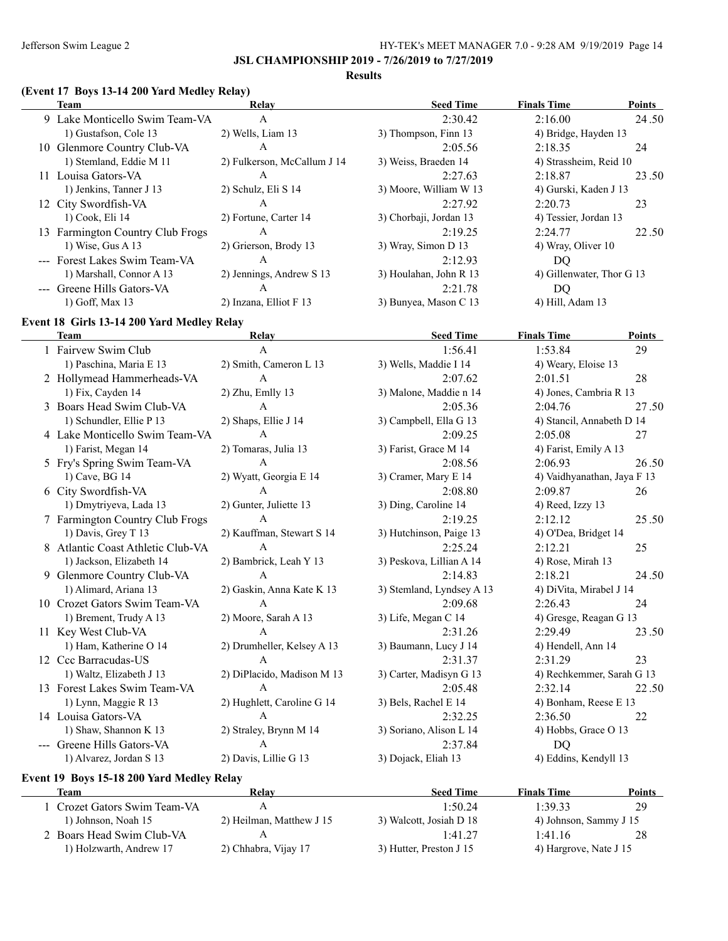#### **Results**

# **(Event 17 Boys 13-14 200 Yard Medley Relay)**

| Team                             | Relay                       | <b>Seed Time</b>       | <b>Finals Time</b>        | <b>Points</b> |
|----------------------------------|-----------------------------|------------------------|---------------------------|---------------|
| 9 Lake Monticello Swim Team-VA   | A                           | 2:30.42                | 2:16.00                   | 24.50         |
| 1) Gustafson, Cole 13            | 2) Wells, Liam 13           | 3) Thompson, Finn 13   | 4) Bridge, Hayden 13      |               |
| 10 Glenmore Country Club-VA      | A                           | 2:05.56                | 2:18.35                   | 24            |
| 1) Stemland, Eddie M 11          | 2) Fulkerson, McCallum J 14 | 3) Weiss, Braeden 14   | 4) Strassheim, Reid 10    |               |
| 11 Louisa Gators-VA              | А                           | 2:27.63                | 2:18.87                   | 23.50         |
| 1) Jenkins, Tanner J 13          | 2) Schulz, Eli S 14         | 3) Moore, William W 13 | 4) Gurski, Kaden J 13     |               |
| 12 City Swordfish-VA             | А                           | 2:27.92                | 2:20.73                   | 23            |
| 1) Cook, Eli 14                  | 2) Fortune, Carter 14       | 3) Chorbaji, Jordan 13 | 4) Tessier, Jordan 13     |               |
| 13 Farmington Country Club Frogs | А                           | 2:19.25                | 2:24.77                   | 22.50         |
| 1) Wise, Gus A $13$              | 2) Grierson, Brody 13       | 3) Wray, Simon D 13    | 4) Wray, Oliver 10        |               |
| --- Forest Lakes Swim Team-VA    | А                           | 2:12.93                | DO                        |               |
| 1) Marshall, Connor A 13         | 2) Jennings, Andrew S 13    | 3) Houlahan, John R 13 | 4) Gillenwater, Thor G 13 |               |
| --- Greene Hills Gators-VA       | A                           | 2:21.78                | DO                        |               |
| 1) Goff, Max 13                  | 2) Inzana, Elliot F 13      | 3) Bunyea, Mason C 13  | 4) Hill, Adam 13          |               |

# **Event 18 Girls 13-14 200 Yard Medley Relay**

| <b>Team</b>                       | Relay                      | <b>Seed Time</b>          | <b>Finals Time</b>          | <b>Points</b> |
|-----------------------------------|----------------------------|---------------------------|-----------------------------|---------------|
| 1 Fairvew Swim Club               | A                          | 1:56.41                   | 1:53.84                     | 29            |
| 1) Paschina, Maria E 13           | 2) Smith, Cameron L 13     | 3) Wells, Maddie I 14     | 4) Weary, Eloise 13         |               |
| 2 Hollymead Hammerheads-VA        | A                          | 2:07.62                   | 2:01.51                     | 28            |
| 1) Fix, Cayden 14                 | 2) Zhu, Emlly 13           | 3) Malone, Maddie n 14    | 4) Jones, Cambria R 13      |               |
| 3 Boars Head Swim Club-VA         | $\mathsf{A}$               | 2:05.36                   | 2:04.76                     | 27.50         |
| 1) Schundler, Ellie P 13          | 2) Shaps, Ellie J 14       | 3) Campbell, Ella G 13    | 4) Stancil, Annabeth D 14   |               |
| 4 Lake Monticello Swim Team-VA    | $\mathsf{A}$               | 2:09.25                   | 2:05.08                     | 27            |
| 1) Farist, Megan 14               | 2) Tomaras, Julia 13       | 3) Farist, Grace M 14     | 4) Farist, Emily A 13       |               |
| 5 Fry's Spring Swim Team-VA       | $\mathsf{A}$               | 2:08.56                   | 2:06.93                     | 26.50         |
| 1) Cave, BG 14                    | 2) Wyatt, Georgia E 14     | 3) Cramer, Mary E 14      | 4) Vaidhyanathan, Jaya F 13 |               |
| 6 City Swordfish-VA               | A                          | 2:08.80                   | 2:09.87                     | 26            |
| 1) Dmytriyeva, Lada 13            | 2) Gunter, Juliette 13     | 3) Ding, Caroline 14      | 4) Reed, Izzy 13            |               |
| 7 Farmington Country Club Frogs   | $\mathsf{A}$               | 2:19.25                   | 2:12.12                     | 25.50         |
| 1) Davis, Grey T 13               | 2) Kauffman, Stewart S 14  | 3) Hutchinson, Paige 13   | 4) O'Dea, Bridget 14        |               |
| 8 Atlantic Coast Athletic Club-VA | $\mathsf{A}$               | 2:25.24                   | 2:12.21                     | 25            |
| 1) Jackson, Elizabeth 14          | 2) Bambrick, Leah Y 13     | 3) Peskova, Lillian A 14  | 4) Rose, Mirah 13           |               |
| 9 Glenmore Country Club-VA        | $\mathsf{A}$               | 2:14.83                   | 2:18.21                     | 24.50         |
| 1) Alimard, Ariana 13             | 2) Gaskin, Anna Kate K 13  | 3) Stemland, Lyndsey A 13 | 4) DiVita, Mirabel J 14     |               |
| 10 Crozet Gators Swim Team-VA     | $\mathsf{A}$               | 2:09.68                   | 2:26.43                     | 24            |
| 1) Brement, Trudy A 13            | 2) Moore, Sarah A 13       | 3) Life, Megan C 14       | 4) Gresge, Reagan G 13      |               |
| 11 Key West Club-VA               | $\mathbf{A}$               | 2:31.26                   | 2:29.49                     | 23.50         |
| 1) Ham, Katherine O 14            | 2) Drumheller, Kelsey A 13 | 3) Baumann, Lucy J 14     | 4) Hendell, Ann 14          |               |
| 12 Ccc Barracudas-US              | $\mathsf{A}$               | 2:31.37                   | 2:31.29                     | 23            |
| 1) Waltz, Elizabeth J 13          | 2) DiPlacido, Madison M 13 | 3) Carter, Madisyn G 13   | 4) Rechkemmer, Sarah G 13   |               |
| 13 Forest Lakes Swim Team-VA      | $\mathbf{A}$               | 2:05.48                   | 2:32.14                     | 22.50         |
| 1) Lynn, Maggie R 13              | 2) Hughlett, Caroline G 14 | 3) Bels, Rachel E 14      | 4) Bonham, Reese E 13       |               |
| 14 Louisa Gators-VA               | A                          | 2:32.25                   | 2:36.50                     | 22            |
| 1) Shaw, Shannon K 13             | 2) Straley, Brynn M 14     | 3) Soriano, Alison L 14   | 4) Hobbs, Grace O 13        |               |
| --- Greene Hills Gators-VA        | A                          | 2:37.84                   | <b>DQ</b>                   |               |
| 1) Alvarez, Jordan S 13           | 2) Davis, Lillie G 13      | 3) Dojack, Eliah 13       | 4) Eddins, Kendyll 13       |               |

### **Event 19 Boys 15-18 200 Yard Medley Relay**

| <b>Team</b>                | Relav                    | <b>Seed Time</b>        | <b>Finals Time</b>     | Points |
|----------------------------|--------------------------|-------------------------|------------------------|--------|
| Crozet Gators Swim Team-VA | A                        | 1.5024                  | 1:39.33                | 29     |
| 1) Johnson, Noah 15        | 2) Heilman, Matthew J 15 | 3) Walcott, Josiah D 18 | 4) Johnson, Sammy J 15 |        |
| 2 Boars Head Swim Club-VA  |                          | 1.41 27                 | 1:41.16                | 28     |
| 1) Holzwarth, Andrew 17    | 2) Chhabra, Vijay 17     | 3) Hutter, Preston J 15 | 4) Hargrove, Nate J 15 |        |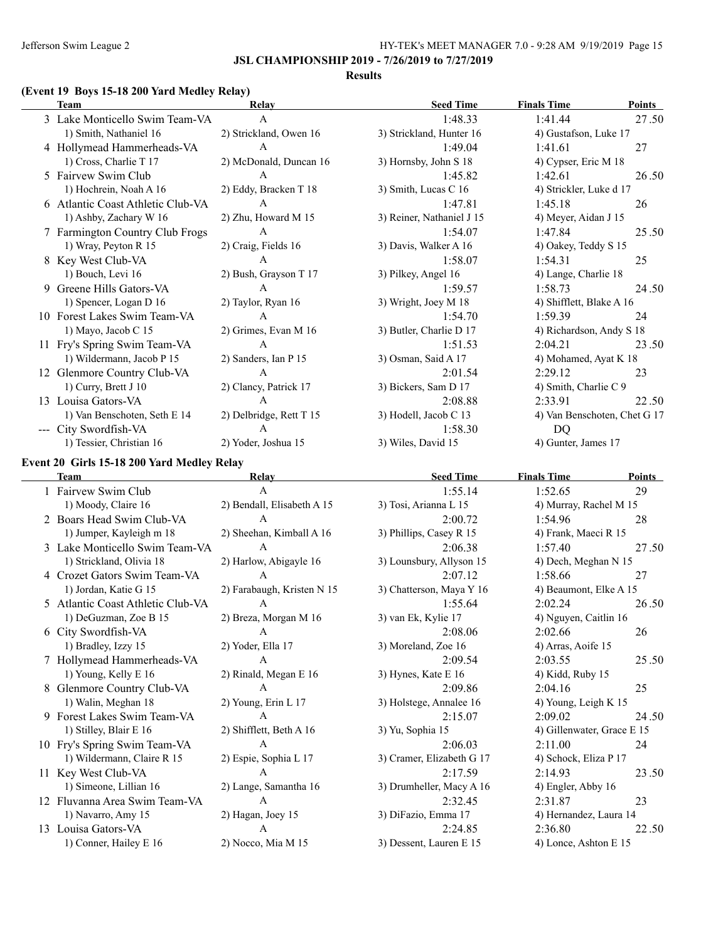#### **Results**

# **(Event 19 Boys 15-18 200 Yard Medley Relay)**

| <b>Team</b>                       | Relay                   | <b>Seed Time</b>          | <b>Finals Time</b>           | <b>Points</b> |
|-----------------------------------|-------------------------|---------------------------|------------------------------|---------------|
| 3 Lake Monticello Swim Team-VA    | $\mathsf{A}$            | 1:48.33                   | 1:41.44                      | 27.50         |
| 1) Smith, Nathaniel 16            | 2) Strickland, Owen 16  | 3) Strickland, Hunter 16  | 4) Gustafson, Luke 17        |               |
| 4 Hollymead Hammerheads-VA        | $\mathsf{A}$            | 1:49.04                   | 1:41.61                      | 27            |
| 1) Cross, Charlie T 17            | 2) McDonald, Duncan 16  | 3) Hornsby, John S 18     | 4) Cypser, Eric M 18         |               |
| 5 Fairvew Swim Club               | A                       | 1:45.82                   | 1:42.61                      | 26.50         |
| 1) Hochrein, Noah A 16            | 2) Eddy, Bracken T 18   | 3) Smith, Lucas C 16      | 4) Strickler, Luke d 17      |               |
| 6 Atlantic Coast Athletic Club-VA | A                       | 1:47.81                   | 1:45.18                      | 26            |
| 1) Ashby, Zachary W 16            | 2) Zhu, Howard M 15     | 3) Reiner, Nathaniel J 15 | 4) Meyer, Aidan J 15         |               |
| 7 Farmington Country Club Frogs   | A                       | 1:54.07                   | 1:47.84                      | 25.50         |
| 1) Wray, Peyton R 15              | 2) Craig, Fields 16     | 3) Davis, Walker A 16     | 4) Oakey, Teddy S 15         |               |
| 8 Key West Club-VA                | A                       | 1:58.07                   | 1:54.31                      | 25            |
| 1) Bouch, Levi 16                 | 2) Bush, Grayson T 17   | 3) Pilkey, Angel 16       | 4) Lange, Charlie 18         |               |
| Greene Hills Gators-VA            | A                       | 1:59.57                   | 1:58.73                      | 24.50         |
| 1) Spencer, Logan D 16            | 2) Taylor, Ryan 16      | 3) Wright, Joey M 18      | 4) Shifflett, Blake A 16     |               |
| 10 Forest Lakes Swim Team-VA      | A                       | 1:54.70                   | 1:59.39                      | 24            |
| 1) Mayo, Jacob C 15               | 2) Grimes, Evan M 16    | 3) Butler, Charlie D 17   | 4) Richardson, Andy S 18     |               |
| 11 Fry's Spring Swim Team-VA      | $\mathsf{A}$            | 1:51.53                   | 2:04.21                      | 23.50         |
| 1) Wildermann, Jacob P 15         | 2) Sanders, Ian P 15    | 3) Osman, Said A 17       | 4) Mohamed, Ayat K 18        |               |
| 12 Glenmore Country Club-VA       | A                       | 2:01.54                   | 2:29.12                      | 23            |
| 1) Curry, Brett J 10              | 2) Clancy, Patrick 17   | 3) Bickers, Sam D 17      | 4) Smith, Charlie C 9        |               |
| 13 Louisa Gators-VA               | $\mathsf{A}$            | 2:08.88                   | 2:33.91                      | 22.50         |
| 1) Van Benschoten, Seth E 14      | 2) Delbridge, Rett T 15 | 3) Hodell, Jacob C 13     | 4) Van Benschoten, Chet G 17 |               |
| City Swordfish-VA                 | $\mathsf{A}$            | 1:58.30                   | DQ                           |               |
| 1) Tessier, Christian 16          | 2) Yoder, Joshua 15     | 3) Wiles, David 15        | 4) Gunter, James 17          |               |

# **Event 20 Girls 15-18 200 Yard Medley Relay**

 $\overline{\phantom{0}}$ 

| <b>Team</b>                       | Relay                      | <b>Seed Time</b>          | <b>Finals Time</b>         | <b>Points</b> |
|-----------------------------------|----------------------------|---------------------------|----------------------------|---------------|
| 1 Fairvew Swim Club               | $\mathsf{A}$               | 1:55.14                   | 1:52.65                    | 29            |
| 1) Moody, Claire 16               | 2) Bendall, Elisabeth A 15 | 3) Tosi, Arianna L 15     | 4) Murray, Rachel M 15     |               |
| 2 Boars Head Swim Club-VA         | A                          | 2:00.72                   | 1:54.96                    | 28            |
| 1) Jumper, Kayleigh m 18          | 2) Sheehan, Kimball A 16   | 3) Phillips, Casey R 15   | 4) Frank, Maeci R 15       |               |
| 3 Lake Monticello Swim Team-VA    | $\mathsf{A}$               | 2:06.38                   | 1:57.40                    | 27.50         |
| 1) Strickland, Olivia 18          | 2) Harlow, Abigayle 16     | 3) Lounsbury, Allyson 15  | 4) Dech, Meghan N 15       |               |
| 4 Crozet Gators Swim Team-VA      | $\mathsf{A}$               | 2:07.12                   | 1:58.66                    | 27            |
| 1) Jordan, Katie G 15             | 2) Farabaugh, Kristen N 15 | 3) Chatterson, Maya Y 16  | 4) Beaumont, Elke A 15     |               |
| 5 Atlantic Coast Athletic Club-VA | $\mathsf{A}$               | 1:55.64                   | 2:02.24                    | 26.50         |
| 1) DeGuzman, Zoe B 15             | 2) Breza, Morgan M 16      | 3) van Ek, Kylie 17       | 4) Nguyen, Caitlin 16      |               |
| 6 City Swordfish-VA               | A                          | 2:08.06                   | 2:02.66                    | 26            |
| 1) Bradley, Izzy 15               | 2) Yoder, Ella 17          | 3) Moreland, Zoe 16       | 4) Arras, Aoife 15         |               |
| 7 Hollymead Hammerheads-VA        | $\mathsf{A}$               | 2:09.54                   | 2:03.55                    | 25.50         |
| 1) Young, Kelly E 16              | 2) Rinald, Megan E 16      | 3) Hynes, Kate E 16       | 4) Kidd, Ruby 15           |               |
| 8 Glenmore Country Club-VA        | $\mathsf{A}$               | 2:09.86                   | 2:04.16                    | 25            |
| 1) Walin, Meghan 18               | 2) Young, Erin L 17        | 3) Holstege, Annalee 16   | 4) Young, Leigh K 15       |               |
| 9 Forest Lakes Swim Team-VA       | $\mathsf{A}$               | 2:15.07                   | 2:09.02                    | 24.50         |
| 1) Stilley, Blair E 16            | 2) Shifflett, Beth A 16    | 3) Yu, Sophia 15          | 4) Gillenwater, Grace E 15 |               |
| 10 Fry's Spring Swim Team-VA      | $\mathbf{A}$               | 2:06.03                   | 2:11.00                    | 24            |
| 1) Wildermann, Claire R 15        | 2) Espie, Sophia L 17      | 3) Cramer, Elizabeth G 17 | 4) Schock, Eliza P 17      |               |
| 11 Key West Club-VA               | $\mathsf{A}$               | 2:17.59                   | 2:14.93                    | 23.50         |
| 1) Simeone, Lillian 16            | 2) Lange, Samantha 16      | 3) Drumheller, Macy A 16  | 4) Engler, Abby 16         |               |
| 12 Fluvanna Area Swim Team-VA     | $\mathsf{A}$               | 2:32.45                   | 2:31.87                    | 23            |
| 1) Navarro, Amy 15                | 2) Hagan, Joey 15          | 3) DiFazio, Emma 17       | 4) Hernandez, Laura 14     |               |
| 13 Louisa Gators-VA               | $\mathbf{A}$               | 2:24.85                   | 2:36.80                    | 22.50         |
| 1) Conner, Hailey E 16            | 2) Nocco, Mia M 15         | 3) Dessent, Lauren E 15   | 4) Lonce, Ashton E 15      |               |
|                                   |                            |                           |                            |               |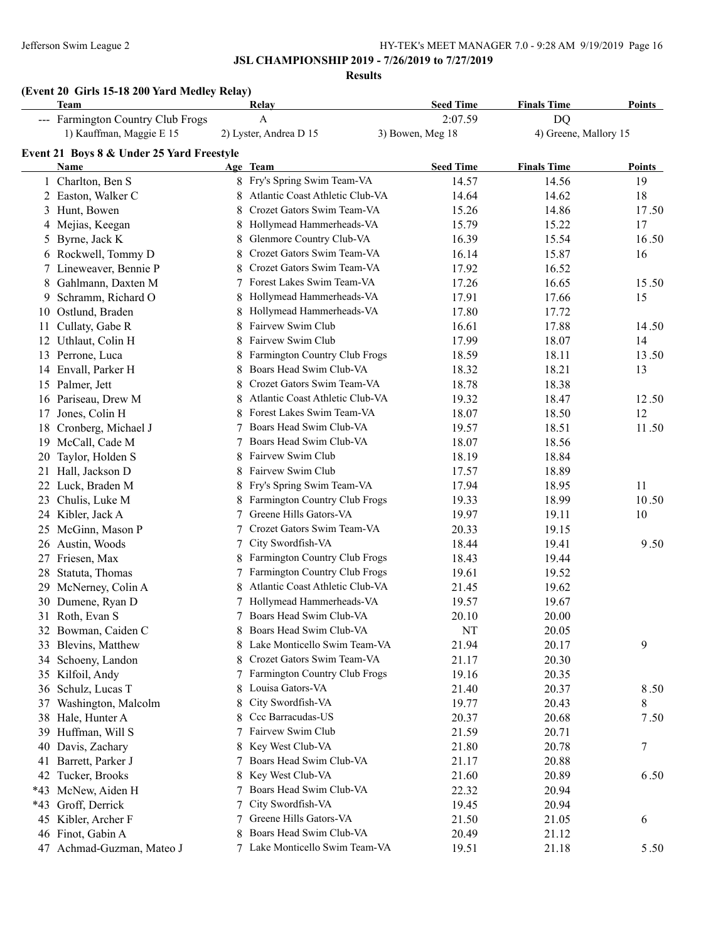### **JSL CHAMPIONSHIP 2019 - 7/26/2019 to 7/27/2019**

**Results**

# **(Event 20 Girls 15-18 200 Yard Medley Relay)**

|       | <b>Team</b>                               |   | Relay                                | <b>Seed Time</b> | <b>Finals Time</b>    | <b>Points</b> |
|-------|-------------------------------------------|---|--------------------------------------|------------------|-----------------------|---------------|
|       | --- Farmington Country Club Frogs         |   | $\mathbf{A}$                         | 2:07.59          | <b>DQ</b>             |               |
|       | 1) Kauffman, Maggie E 15                  |   | 2) Lyster, Andrea D 15               | 3) Bowen, Meg 18 | 4) Greene, Mallory 15 |               |
|       | Event 21 Boys 8 & Under 25 Yard Freestyle |   |                                      |                  |                       |               |
|       | Name                                      |   | Age Team                             | <b>Seed Time</b> | <b>Finals Time</b>    | Points        |
|       | 1 Charlton, Ben S                         |   | 8 Fry's Spring Swim Team-VA          | 14.57            | 14.56                 | 19            |
|       | 2 Easton, Walker C                        |   | Atlantic Coast Athletic Club-VA      | 14.64            | 14.62                 | 18            |
|       | 3 Hunt, Bowen                             | 8 | Crozet Gators Swim Team-VA           | 15.26            | 14.86                 | 17.50         |
|       | 4 Mejias, Keegan                          | 8 | Hollymead Hammerheads-VA             | 15.79            | 15.22                 | 17            |
| 5     | Byrne, Jack K                             | 8 | Glenmore Country Club-VA             | 16.39            | 15.54                 | 16.50         |
|       | 6 Rockwell, Tommy D                       | 8 | Crozet Gators Swim Team-VA           | 16.14            | 15.87                 | 16            |
|       | 7 Lineweaver, Bennie P                    | 8 | Crozet Gators Swim Team-VA           | 17.92            | 16.52                 |               |
|       | 8 Gahlmann, Daxten M                      | 7 | Forest Lakes Swim Team-VA            | 17.26            | 16.65                 | 15.50         |
|       | 9 Schramm, Richard O                      | 8 | Hollymead Hammerheads-VA             | 17.91            | 17.66                 | 15            |
|       | 10 Ostlund, Braden                        | 8 | Hollymead Hammerheads-VA             | 17.80            | 17.72                 |               |
|       | 11 Cullaty, Gabe R                        | 8 | Fairvew Swim Club                    | 16.61            | 17.88                 | 14.50         |
|       | 12 Uthlaut, Colin H                       | 8 | Fairvew Swim Club                    | 17.99            | 18.07                 | 14            |
|       | 13 Perrone, Luca                          | 8 | Farmington Country Club Frogs        | 18.59            | 18.11                 | 13.50         |
|       | 14 Envall, Parker H                       | 8 | Boars Head Swim Club-VA              | 18.32            | 18.21                 | 13            |
|       | 15 Palmer, Jett                           | 8 | Crozet Gators Swim Team-VA           | 18.78            | 18.38                 |               |
|       | 16 Pariseau, Drew M                       | 8 | Atlantic Coast Athletic Club-VA      | 19.32            | 18.47                 | 12.50         |
| 17    | Jones, Colin H                            | 8 | Forest Lakes Swim Team-VA            | 18.07            | 18.50                 | 12            |
|       | 18 Cronberg, Michael J                    |   | Boars Head Swim Club-VA              | 19.57            | 18.51                 | 11.50         |
|       | 19 McCall, Cade M                         |   | Boars Head Swim Club-VA              | 18.07            | 18.56                 |               |
|       | 20 Taylor, Holden S                       | 8 | Fairvew Swim Club                    | 18.19            | 18.84                 |               |
| 21    | Hall, Jackson D                           | 8 | Fairvew Swim Club                    | 17.57            | 18.89                 |               |
| 22    | Luck, Braden M                            | 8 | Fry's Spring Swim Team-VA            | 17.94            | 18.95                 | 11            |
| 23    | Chulis, Luke M                            |   | Farmington Country Club Frogs        | 19.33            | 18.99                 | 10.50         |
|       | 24 Kibler, Jack A                         | 7 | Greene Hills Gators-VA               | 19.97            | 19.11                 | 10            |
|       | 25 McGinn, Mason P                        | 7 | Crozet Gators Swim Team-VA           | 20.33            | 19.15                 |               |
|       | 26 Austin, Woods                          | 7 | City Swordfish-VA                    | 18.44            | 19.41                 | 9.50          |
| 27    | Friesen, Max                              |   | Farmington Country Club Frogs        | 18.43            | 19.44                 |               |
| 28    | Statuta, Thomas                           |   | <b>Farmington Country Club Frogs</b> | 19.61            | 19.52                 |               |
|       | 29 McNerney, Colin A                      |   | Atlantic Coast Athletic Club-VA      | 21.45            | 19.62                 |               |
|       | 30 Dumene, Ryan D                         |   | 7 Hollymead Hammerheads-VA           | 19.57            | 19.67                 |               |
|       | 31 Roth, Evan S                           |   | 7 Boars Head Swim Club-VA            | 20.10            | 20.00                 |               |
|       | 32 Bowman, Caiden C                       |   | Boars Head Swim Club-VA              | NT               | 20.05                 |               |
|       | 33 Blevins, Matthew                       |   | 8 Lake Monticello Swim Team-VA       | 21.94            | 20.17                 | 9             |
|       | 34 Schoeny, Landon                        | 8 | Crozet Gators Swim Team-VA           | 21.17            | 20.30                 |               |
|       | 35 Kilfoil, Andy                          |   | 7 Farmington Country Club Frogs      | 19.16            | 20.35                 |               |
|       | 36 Schulz, Lucas T                        | 8 | Louisa Gators-VA                     | 21.40            | 20.37                 | 8.50          |
| 37    | Washington, Malcolm                       | 8 | City Swordfish-VA                    | 19.77            | 20.43                 | 8             |
|       | 38 Hale, Hunter A                         | 8 | Ccc Barracudas-US                    | 20.37            | 20.68                 | 7.50          |
|       | 39 Huffman, Will S                        | 7 | Fairvew Swim Club                    | 21.59            | 20.71                 |               |
| 40    | Davis, Zachary                            | 8 | Key West Club-VA                     | 21.80            | 20.78                 | 7             |
| 41    | Barrett, Parker J                         | 7 | Boars Head Swim Club-VA              | 21.17            | 20.88                 |               |
|       | 42 Tucker, Brooks                         | 8 | Key West Club-VA                     | 21.60            | 20.89                 | 6.50          |
|       | *43 McNew, Aiden H                        | 7 | Boars Head Swim Club-VA              | 22.32            | 20.94                 |               |
| $*43$ | Groff, Derrick                            | 7 | City Swordfish-VA                    | 19.45            | 20.94                 |               |
|       | 45 Kibler, Archer F                       |   | Greene Hills Gators-VA               | 21.50            | 21.05                 | 6             |
|       | 46 Finot, Gabin A                         |   | Boars Head Swim Club-VA              | 20.49            | 21.12                 |               |
|       | 47 Achmad-Guzman, Mateo J                 |   | 7 Lake Monticello Swim Team-VA       | 19.51            | 21.18                 | 5.50          |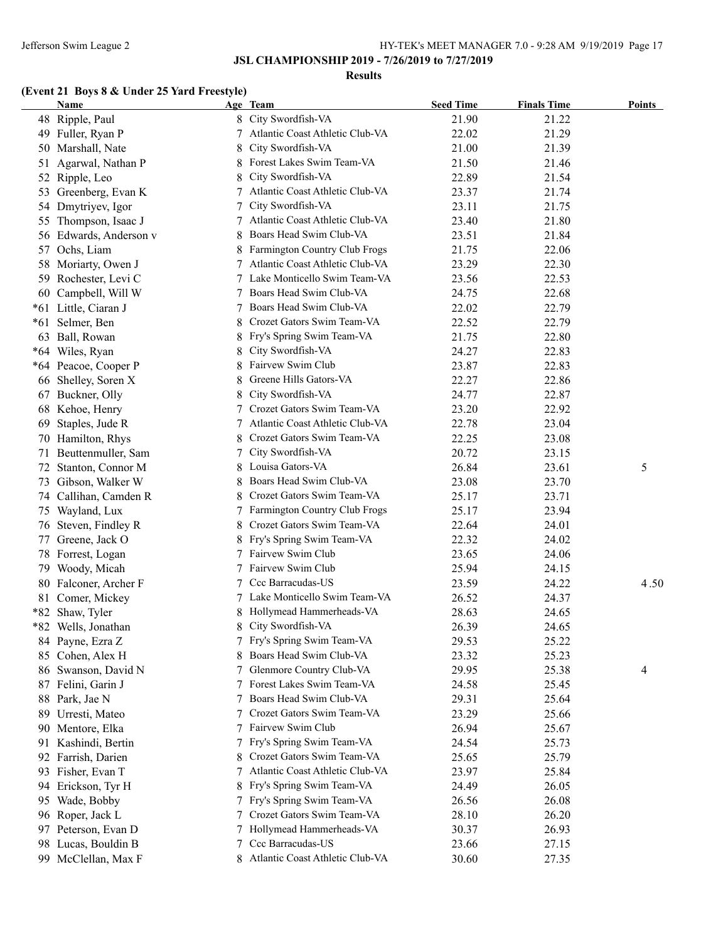#### **Results**

# **(Event 21 Boys 8 & Under 25 Yard Freestyle)**

|       | Name                   |    | Age Team                                       | <b>Seed Time</b> | <b>Finals Time</b> | <b>Points</b> |
|-------|------------------------|----|------------------------------------------------|------------------|--------------------|---------------|
|       | 48 Ripple, Paul        |    | 8 City Swordfish-VA                            | 21.90            | 21.22              |               |
|       | 49 Fuller, Ryan P      | 7  | Atlantic Coast Athletic Club-VA                | 22.02            | 21.29              |               |
|       | 50 Marshall, Nate      | 8  | City Swordfish-VA                              | 21.00            | 21.39              |               |
| 51    | Agarwal, Nathan P      | 8  | Forest Lakes Swim Team-VA                      | 21.50            | 21.46              |               |
|       | 52 Ripple, Leo         | 8  | City Swordfish-VA                              | 22.89            | 21.54              |               |
| 53    | Greenberg, Evan K      |    | Atlantic Coast Athletic Club-VA                | 23.37            | 21.74              |               |
|       | 54 Dmytriyev, Igor     |    | City Swordfish-VA                              | 23.11            | 21.75              |               |
| 55    | Thompson, Isaac J      |    | Atlantic Coast Athletic Club-VA                | 23.40            | 21.80              |               |
|       | 56 Edwards, Anderson v |    | Boars Head Swim Club-VA                        | 23.51            | 21.84              |               |
| 57    | Ochs, Liam             |    | Farmington Country Club Frogs                  | 21.75            | 22.06              |               |
|       | 58 Moriarty, Owen J    | 7  | Atlantic Coast Athletic Club-VA                | 23.29            | 22.30              |               |
|       | 59 Rochester, Levi C   |    | Lake Monticello Swim Team-VA                   | 23.56            | 22.53              |               |
|       | 60 Campbell, Will W    |    | Boars Head Swim Club-VA                        | 24.75            | 22.68              |               |
|       | *61 Little, Ciaran J   |    | Boars Head Swim Club-VA                        | 22.02            | 22.79              |               |
| $*61$ | Selmer, Ben            | 8  | Crozet Gators Swim Team-VA                     | 22.52            | 22.79              |               |
| 63    | Ball, Rowan            |    | Fry's Spring Swim Team-VA                      | 21.75            | 22.80              |               |
|       | *64 Wiles, Ryan        | 8  | City Swordfish-VA                              | 24.27            | 22.83              |               |
|       | *64 Peacoe, Cooper P   |    | Fairvew Swim Club                              | 23.87            | 22.83              |               |
|       | 66 Shelley, Soren X    | 8  | Greene Hills Gators-VA                         | 22.27            | 22.86              |               |
| 67    | Buckner, Olly          | 8  | City Swordfish-VA                              | 24.77            | 22.87              |               |
|       | 68 Kehoe, Henry        |    | Crozet Gators Swim Team-VA                     | 23.20            | 22.92              |               |
| 69    | Staples, Jude R        |    | 7 Atlantic Coast Athletic Club-VA              | 22.78            | 23.04              |               |
|       | 70 Hamilton, Rhys      | 8  | Crozet Gators Swim Team-VA                     | 22.25            | 23.08              |               |
| 71    | Beuttenmuller, Sam     | 7  | City Swordfish-VA                              | 20.72            | 23.15              |               |
| 72    | Stanton, Connor M      | 8  | Louisa Gators-VA                               | 26.84            | 23.61              | 5             |
|       | 73 Gibson, Walker W    | 8  | Boars Head Swim Club-VA                        | 23.08            | 23.70              |               |
|       | 74 Callihan, Camden R  | 8  | Crozet Gators Swim Team-VA                     | 25.17            | 23.71              |               |
|       |                        |    | 7 Farmington Country Club Frogs                | 25.17            | 23.94              |               |
| 75    | Wayland, Lux           | 8  | Crozet Gators Swim Team-VA                     |                  |                    |               |
|       | 76 Steven, Findley R   |    |                                                | 22.64            | 24.01              |               |
| 77    | Greene, Jack O         | 8  | Fry's Spring Swim Team-VA<br>Fairvew Swim Club | 22.32            | 24.02              |               |
|       | 78 Forrest, Logan      | 7  |                                                | 23.65            | 24.06              |               |
|       | 79 Woody, Micah        |    | 7 Fairvew Swim Club                            | 25.94            | 24.15              |               |
|       | 80 Falconer, Archer F  |    | 7 Ccc Barracudas-US                            | 23.59            | 24.22              | 4.50          |
|       | 81 Comer, Mickey       |    | 7 Lake Monticello Swim Team-VA                 | 26.52            | 24.37              |               |
|       | *82 Shaw, Tyler        |    | Hollymead Hammerheads-VA                       | 28.63            | 24.65              |               |
|       | *82 Wells, Jonathan    | 8  | City Swordfish-VA                              | 26.39            | 24.65              |               |
|       | 84 Payne, Ezra Z       |    | 7 Fry's Spring Swim Team-VA                    | 29.53            | 25.22              |               |
|       | 85 Cohen, Alex H       |    | Boars Head Swim Club-VA                        | 23.32            | 25.23              |               |
|       | 86 Swanson, David N    |    | Glenmore Country Club-VA                       | 29.95            | 25.38              | 4             |
| 87    | Felini, Garin J        |    | Forest Lakes Swim Team-VA                      | 24.58            | 25.45              |               |
|       | 88 Park, Jae N         |    | Boars Head Swim Club-VA                        | 29.31            | 25.64              |               |
| 89    | Urresti, Mateo         |    | Crozet Gators Swim Team-VA                     | 23.29            | 25.66              |               |
|       | 90 Mentore, Elka       |    | Fairvew Swim Club                              | 26.94            | 25.67              |               |
| 91    | Kashindi, Bertin       | 7. | Fry's Spring Swim Team-VA                      | 24.54            | 25.73              |               |
|       | 92 Farrish, Darien     | 8  | Crozet Gators Swim Team-VA                     | 25.65            | 25.79              |               |
|       | 93 Fisher, Evan T      |    | Atlantic Coast Athletic Club-VA                | 23.97            | 25.84              |               |
| 94    | Erickson, Tyr H        |    | Fry's Spring Swim Team-VA                      | 24.49            | 26.05              |               |
| 95    | Wade, Bobby            |    | 7 Fry's Spring Swim Team-VA                    | 26.56            | 26.08              |               |
|       | 96 Roper, Jack L       |    | Crozet Gators Swim Team-VA                     | 28.10            | 26.20              |               |
| 97    | Peterson, Evan D       |    | 7 Hollymead Hammerheads-VA                     | 30.37            | 26.93              |               |
|       | 98 Lucas, Bouldin B    |    | Ccc Barracudas-US                              | 23.66            | 27.15              |               |
|       | 99 McClellan, Max F    |    | 8 Atlantic Coast Athletic Club-VA              | 30.60            | 27.35              |               |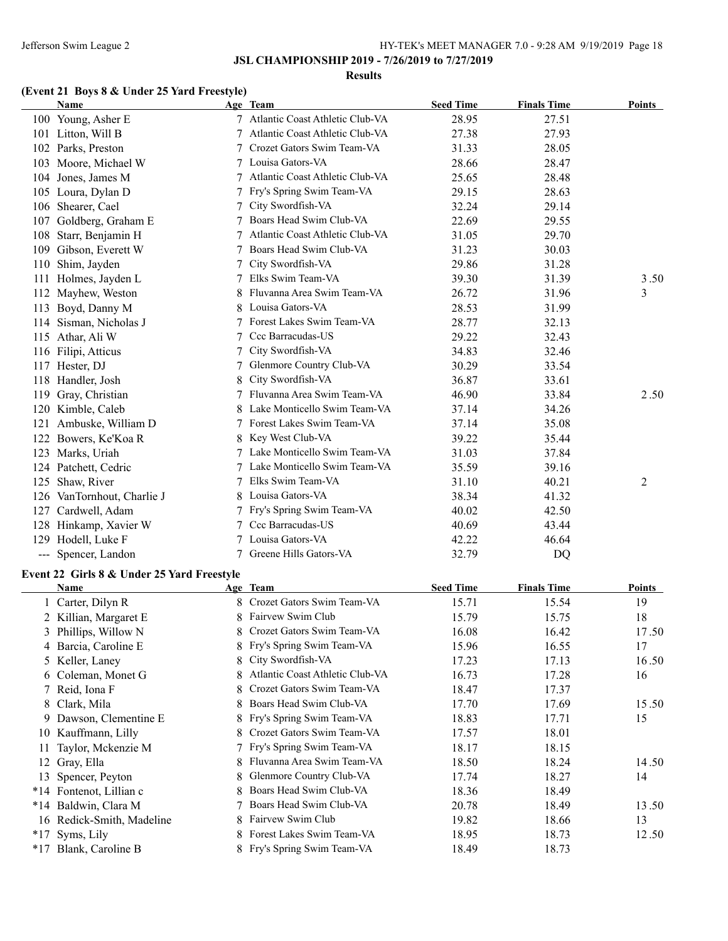#### **Results**

# **(Event 21 Boys 8 & Under 25 Yard Freestyle)**

| <b>Name</b>                   |   | Age Team                        | <b>Seed Time</b> | <b>Finals Time</b> | <b>Points</b>  |
|-------------------------------|---|---------------------------------|------------------|--------------------|----------------|
| 100 Young, Asher E            |   | Atlantic Coast Athletic Club-VA | 28.95            | 27.51              |                |
| Litton, Will B<br>101         |   | Atlantic Coast Athletic Club-VA | 27.38            | 27.93              |                |
| 102<br>Parks, Preston         |   | Crozet Gators Swim Team-VA      | 31.33            | 28.05              |                |
| Moore, Michael W<br>103       |   | Louisa Gators-VA                | 28.66            | 28.47              |                |
| Jones, James M<br>104         | 7 | Atlantic Coast Athletic Club-VA | 25.65            | 28.48              |                |
| Loura, Dylan D<br>105         |   | Fry's Spring Swim Team-VA       | 29.15            | 28.63              |                |
| Shearer, Cael<br>106          |   | City Swordfish-VA               | 32.24            | 29.14              |                |
| Goldberg, Graham E<br>107     |   | Boars Head Swim Club-VA         | 22.69            | 29.55              |                |
| 108<br>Starr, Benjamin H      |   | Atlantic Coast Athletic Club-VA | 31.05            | 29.70              |                |
| Gibson, Everett W<br>109      |   | Boars Head Swim Club-VA         | 31.23            | 30.03              |                |
| Shim, Jayden<br>110           |   | City Swordfish-VA               | 29.86            | 31.28              |                |
| Holmes, Jayden L<br>111       |   | Elks Swim Team-VA               | 39.30            | 31.39              | 3.50           |
| Mayhew, Weston<br>112         |   | Fluvanna Area Swim Team-VA      | 26.72            | 31.96              | 3              |
| Boyd, Danny M<br>113          | 8 | Louisa Gators-VA                | 28.53            | 31.99              |                |
| Sisman, Nicholas J<br>114     |   | Forest Lakes Swim Team-VA       | 28.77            | 32.13              |                |
| 115<br>Athar, Ali W           | 7 | Ccc Barracudas-US               | 29.22            | 32.43              |                |
| Filipi, Atticus<br>116        |   | City Swordfish-VA               | 34.83            | 32.46              |                |
| Hester, DJ<br>117             |   | Glenmore Country Club-VA        | 30.29            | 33.54              |                |
| 118<br>Handler, Josh          | 8 | City Swordfish-VA               | 36.87            | 33.61              |                |
| 119<br>Gray, Christian        |   | Fluvanna Area Swim Team-VA      | 46.90            | 33.84              | 2.50           |
| Kimble, Caleb<br>120          |   | Lake Monticello Swim Team-VA    | 37.14            | 34.26              |                |
| Ambuske, William D<br>121     |   | Forest Lakes Swim Team-VA       | 37.14            | 35.08              |                |
| Bowers, Ke'Koa R<br>122       |   | Key West Club-VA                | 39.22            | 35.44              |                |
| 123<br>Marks, Uriah           |   | Lake Monticello Swim Team-VA    | 31.03            | 37.84              |                |
| 124<br>Patchett, Cedric       |   | Lake Monticello Swim Team-VA    | 35.59            | 39.16              |                |
| 125<br>Shaw, River            |   | Elks Swim Team-VA               | 31.10            | 40.21              | $\overline{c}$ |
| VanTornhout, Charlie J<br>126 | 8 | Louisa Gators-VA                | 38.34            | 41.32              |                |
| Cardwell, Adam<br>127         |   | Fry's Spring Swim Team-VA       | 40.02            | 42.50              |                |
| Hinkamp, Xavier W<br>128      |   | Ccc Barracudas-US               | 40.69            | 43.44              |                |
| Hodell, Luke F<br>129         |   | Louisa Gators-VA                | 42.22            | 46.64              |                |
| Spencer, Landon<br>$---$      |   | Greene Hills Gators-VA          | 32.79            | D <sub>O</sub>     |                |

### **Event 22 Girls 8 & Under 25 Yard Freestyle**

|       | Name                      |    | Age Team                        | <b>Seed Time</b> | <b>Finals Time</b> | Points |
|-------|---------------------------|----|---------------------------------|------------------|--------------------|--------|
|       | 1 Carter, Dilyn R         | 8. | Crozet Gators Swim Team-VA      | 15.71            | 15.54              | 19     |
|       | 2 Killian, Margaret E     | 8  | Fairvew Swim Club               | 15.79            | 15.75              | 18     |
|       | 3 Phillips, Willow N      |    | Crozet Gators Swim Team-VA      | 16.08            | 16.42              | 17.50  |
|       | 4 Barcia, Caroline E      |    | 8 Fry's Spring Swim Team-VA     | 15.96            | 16.55              | 17     |
|       | 5 Keller, Laney           | 8  | City Swordfish-VA               | 17.23            | 17.13              | 16.50  |
|       | 6 Coleman, Monet G        | 8. | Atlantic Coast Athletic Club-VA | 16.73            | 17.28              | 16     |
|       | 7 Reid, Iona F            |    | Crozet Gators Swim Team-VA      | 18.47            | 17.37              |        |
|       | 8 Clark, Mila             | 8  | Boars Head Swim Club-VA         | 17.70            | 17.69              | 15.50  |
|       | 9 Dawson, Clementine E    |    | 8 Fry's Spring Swim Team-VA     | 18.83            | 17.71              | 15     |
|       | 10 Kauffmann, Lilly       |    | Crozet Gators Swim Team-VA      | 17.57            | 18.01              |        |
| 11    | Taylor, Mckenzie M        |    | 7 Fry's Spring Swim Team-VA     | 18.17            | 18.15              |        |
|       | 12 Gray, Ella             | 8  | Fluvanna Area Swim Team-VA      | 18.50            | 18.24              | 14.50  |
|       | 13 Spencer, Peyton        | 8  | Glenmore Country Club-VA        | 17.74            | 18.27              | 14     |
|       | *14 Fontenot, Lillian c   |    | Boars Head Swim Club-VA         | 18.36            | 18.49              |        |
| $*14$ | Baldwin, Clara M          |    | Boars Head Swim Club-VA         | 20.78            | 18.49              | 13.50  |
|       | 16 Redick-Smith, Madeline | 8. | Fairvew Swim Club               | 19.82            | 18.66              | 13     |
| $*17$ | Syms, Lily                |    | Forest Lakes Swim Team-VA       | 18.95            | 18.73              | 12.50  |
| $*17$ | Blank, Caroline B         |    | 8 Fry's Spring Swim Team-VA     | 18.49            | 18.73              |        |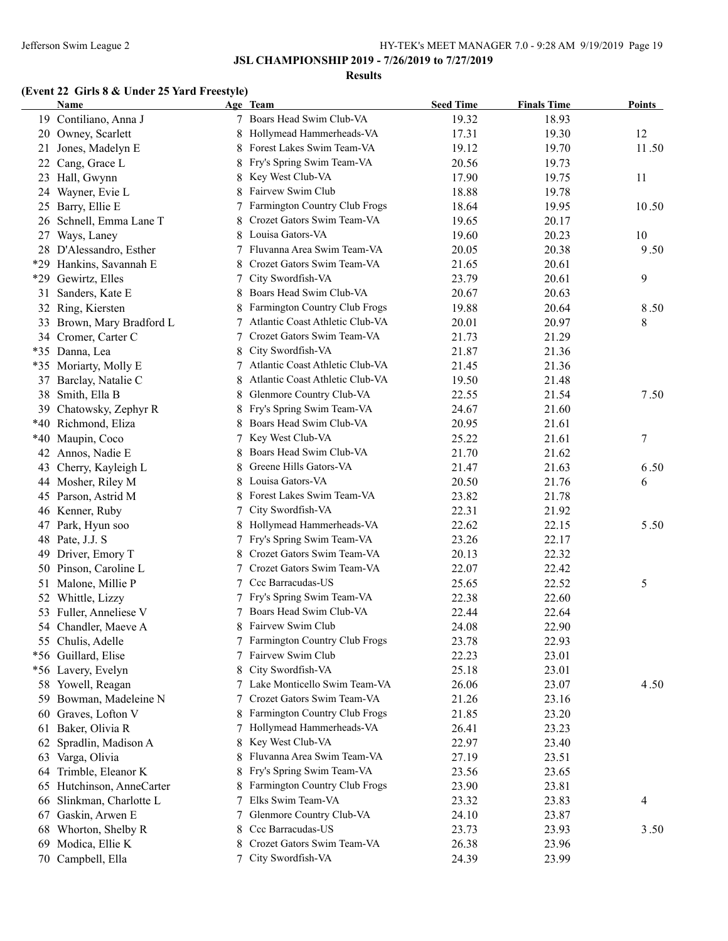#### **Results**

# **(Event 22 Girls 8 & Under 25 Yard Freestyle)**

|     | <b>Name</b>               |    | Age Team                        | <b>Seed Time</b> | <b>Finals Time</b> | <b>Points</b> |
|-----|---------------------------|----|---------------------------------|------------------|--------------------|---------------|
|     | 19 Contiliano, Anna J     | 7  | Boars Head Swim Club-VA         | 19.32            | 18.93              |               |
|     | 20 Owney, Scarlett        | 8  | Hollymead Hammerheads-VA        | 17.31            | 19.30              | 12            |
|     | 21 Jones, Madelyn E       |    | Forest Lakes Swim Team-VA       | 19.12            | 19.70              | 11.50         |
| 22  | Cang, Grace L             | 8  | Fry's Spring Swim Team-VA       | 20.56            | 19.73              |               |
| 23  | Hall, Gwynn               | 8  | Key West Club-VA                | 17.90            | 19.75              | 11            |
| 24  | Wayner, Evie L            |    | Fairvew Swim Club               | 18.88            | 19.78              |               |
| 25  | Barry, Ellie E            | 7  | Farmington Country Club Frogs   | 18.64            | 19.95              | 10.50         |
|     | 26 Schnell, Emma Lane T   |    | Crozet Gators Swim Team-VA      | 19.65            | 20.17              |               |
| 27  | Ways, Laney               |    | Louisa Gators-VA                | 19.60            | 20.23              | 10            |
|     | 28 D'Alessandro, Esther   |    | Fluvanna Area Swim Team-VA      | 20.05            | 20.38              | 9.50          |
| *29 | Hankins, Savannah E       |    | Crozet Gators Swim Team-VA      | 21.65            | 20.61              |               |
| *29 | Gewirtz, Elles            |    | City Swordfish-VA               | 23.79            | 20.61              | 9             |
| 31  | Sanders, Kate E           | 8  | Boars Head Swim Club-VA         | 20.67            | 20.63              |               |
|     | 32 Ring, Kiersten         |    | Farmington Country Club Frogs   | 19.88            | 20.64              | 8.50          |
|     | 33 Brown, Mary Bradford L |    | Atlantic Coast Athletic Club-VA | 20.01            | 20.97              | 8             |
|     | 34 Cromer, Carter C       |    | Crozet Gators Swim Team-VA      | 21.73            | 21.29              |               |
|     | *35 Danna, Lea            | 8  | City Swordfish-VA               | 21.87            | 21.36              |               |
|     | *35 Moriarty, Molly E     | 7  | Atlantic Coast Athletic Club-VA | 21.45            | 21.36              |               |
|     | 37 Barclay, Natalie C     | 8  | Atlantic Coast Athletic Club-VA | 19.50            | 21.48              |               |
|     | 38 Smith, Ella B          | 8  | Glenmore Country Club-VA        | 22.55            | 21.54              | 7.50          |
|     | 39 Chatowsky, Zephyr R    | 8  | Fry's Spring Swim Team-VA       | 24.67            | 21.60              |               |
|     | *40 Richmond, Eliza       | 8. | Boars Head Swim Club-VA         | 20.95            | 21.61              |               |
|     | *40 Maupin, Coco          | 7  | Key West Club-VA                | 25.22            | 21.61              | 7             |
| 42  | Annos, Nadie E            | 8  | Boars Head Swim Club-VA         | 21.70            | 21.62              |               |
| 43  | Cherry, Kayleigh L        | 8  | Greene Hills Gators-VA          | 21.47            | 21.63              | 6.50          |
|     | 44 Mosher, Riley M        | 8  | Louisa Gators-VA                | 20.50            | 21.76              | 6             |
|     | 45 Parson, Astrid M       | 8  | Forest Lakes Swim Team-VA       | 23.82            | 21.78              |               |
|     |                           | 7  | City Swordfish-VA               | 22.31            | 21.92              |               |
|     | 46 Kenner, Ruby           |    |                                 |                  |                    |               |
|     | 47 Park, Hyun soo         | 8  | Hollymead Hammerheads-VA        | 22.62            | 22.15              | 5.50          |
|     | 48 Pate, J.J. S           | 7  | Fry's Spring Swim Team-VA       | 23.26            | 22.17              |               |
| 49  | Driver, Emory T           | 8  | Crozet Gators Swim Team-VA      | 20.13            | 22.32              |               |
|     | 50 Pinson, Caroline L     | 7  | Crozet Gators Swim Team-VA      | 22.07            | 22.42              |               |
|     | 51 Malone, Millie P       | 7  | Ccc Barracudas-US               | 25.65            | 22.52              | 5             |
|     | 52 Whittle, Lizzy         | 7  | Fry's Spring Swim Team-VA       | 22.38            | 22.60              |               |
|     | 53 Fuller, Anneliese V    |    | Boars Head Swim Club-VA         | 22.44            | 22.64              |               |
|     | 54 Chandler, Maeve A      |    | 8 Fairvew Swim Club             | 24.08            | 22.90              |               |
|     | 55 Chulis, Adelle         | 7  | Farmington Country Club Frogs   | 23.78            | 22.93              |               |
|     | *56 Guillard, Elise       |    | Fairvew Swim Club               | 22.23            | 23.01              |               |
|     | *56 Lavery, Evelyn        | 8  | City Swordfish-VA               | 25.18            | 23.01              |               |
|     | 58 Yowell, Reagan         |    | Lake Monticello Swim Team-VA    | 26.06            | 23.07              | 4.50          |
|     | 59 Bowman, Madeleine N    |    | Crozet Gators Swim Team-VA      | 21.26            | 23.16              |               |
|     | 60 Graves, Lofton V       |    | Farmington Country Club Frogs   | 21.85            | 23.20              |               |
|     | 61 Baker, Olivia R        |    | Hollymead Hammerheads-VA        | 26.41            | 23.23              |               |
|     | 62 Spradlin, Madison A    | 8  | Key West Club-VA                | 22.97            | 23.40              |               |
| 63  | Varga, Olivia             |    | Fluvanna Area Swim Team-VA      | 27.19            | 23.51              |               |
| 64  | Trimble, Eleanor K        | 8  | Fry's Spring Swim Team-VA       | 23.56            | 23.65              |               |
|     | 65 Hutchinson, AnneCarter | 8. | Farmington Country Club Frogs   | 23.90            | 23.81              |               |
|     | 66 Slinkman, Charlotte L  | 7  | Elks Swim Team-VA               | 23.32            | 23.83              | 4             |
| 67  | Gaskin, Arwen E           | 7  | Glenmore Country Club-VA        | 24.10            | 23.87              |               |
| 68  | Whorton, Shelby R         | 8  | Ccc Barracudas-US               | 23.73            | 23.93              | 3.50          |
| 69  | Modica, Ellie K           | 8  | Crozet Gators Swim Team-VA      | 26.38            | 23.96              |               |
|     | 70 Campbell, Ella         | 7  | City Swordfish-VA               | 24.39            | 23.99              |               |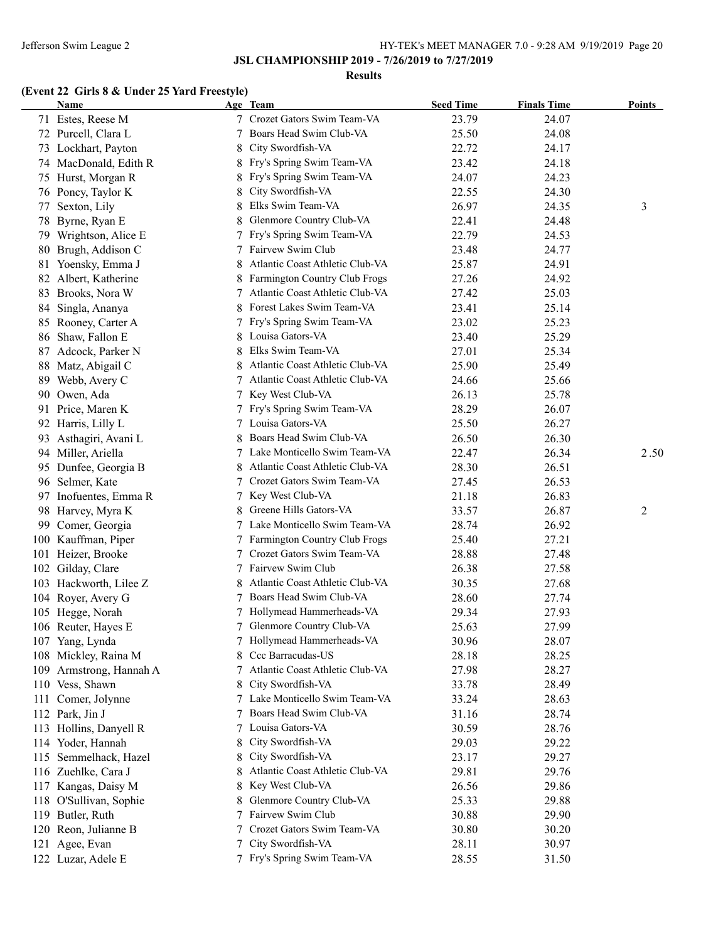### **Results**

# **(Event 22 Girls 8 & Under 25 Yard Freestyle)**

|     | Name                   |   | Age Team                                        | <b>Seed Time</b> | <b>Finals Time</b> | <b>Points</b> |
|-----|------------------------|---|-------------------------------------------------|------------------|--------------------|---------------|
|     | 71 Estes, Reese M      |   | 7 Crozet Gators Swim Team-VA                    | 23.79            | 24.07              |               |
|     | 72 Purcell, Clara L    |   | Boars Head Swim Club-VA                         | 25.50            | 24.08              |               |
|     | 73 Lockhart, Payton    | 8 | City Swordfish-VA                               | 22.72            | 24.17              |               |
|     | 74 MacDonald, Edith R  | 8 | Fry's Spring Swim Team-VA                       | 23.42            | 24.18              |               |
|     | 75 Hurst, Morgan R     | 8 | Fry's Spring Swim Team-VA                       | 24.07            | 24.23              |               |
|     | 76 Poncy, Taylor K     | 8 | City Swordfish-VA                               | 22.55            | 24.30              |               |
| 77  | Sexton, Lily           | 8 | Elks Swim Team-VA                               | 26.97            | 24.35              | 3             |
| 78  | Byrne, Ryan E          | 8 | Glenmore Country Club-VA                        | 22.41            | 24.48              |               |
| 79  | Wrightson, Alice E     |   | 7 Fry's Spring Swim Team-VA                     | 22.79            | 24.53              |               |
|     | 80 Brugh, Addison C    |   | Fairvew Swim Club                               | 23.48            | 24.77              |               |
|     | 81 Yoensky, Emma J     |   | Atlantic Coast Athletic Club-VA                 | 25.87            | 24.91              |               |
|     | 82 Albert, Katherine   |   | 8 Farmington Country Club Frogs                 | 27.26            | 24.92              |               |
|     | 83 Brooks, Nora W      |   | 7 Atlantic Coast Athletic Club-VA               | 27.42            | 25.03              |               |
|     | 84 Singla, Ananya      |   | 8 Forest Lakes Swim Team-VA                     | 23.41            | 25.14              |               |
|     | 85 Rooney, Carter A    |   | 7 Fry's Spring Swim Team-VA                     | 23.02            | 25.23              |               |
|     | 86 Shaw, Fallon E      |   | 8 Louisa Gators-VA                              | 23.40            | 25.29              |               |
|     | 87 Adcock, Parker N    |   | 8 Elks Swim Team-VA                             | 27.01            | 25.34              |               |
|     | 88 Matz, Abigail C     | 8 | Atlantic Coast Athletic Club-VA                 | 25.90            | 25.49              |               |
|     | 89 Webb, Avery C       |   | 7 Atlantic Coast Athletic Club-VA               | 24.66            | 25.66              |               |
|     | 90 Owen, Ada           |   | 7 Key West Club-VA                              | 26.13            | 25.78              |               |
|     | 91 Price, Maren K      |   | 7 Fry's Spring Swim Team-VA                     | 28.29            | 26.07              |               |
|     | 92 Harris, Lilly L     |   | 7 Louisa Gators-VA                              | 25.50            | 26.27              |               |
|     | 93 Asthagiri, Avani L  | 8 | Boars Head Swim Club-VA                         | 26.50            | 26.30              |               |
|     | 94 Miller, Ariella     |   | 7 Lake Monticello Swim Team-VA                  | 22.47            | 26.34              | 2.50          |
|     | 95 Dunfee, Georgia B   | 8 | Atlantic Coast Athletic Club-VA                 | 28.30            | 26.51              |               |
|     | 96 Selmer, Kate        |   | 7 Crozet Gators Swim Team-VA                    | 27.45            | 26.53              |               |
|     | 97 Inofuentes, Emma R  |   | 7 Key West Club-VA                              | 21.18            | 26.83              |               |
|     | 98 Harvey, Myra K      | 8 | Greene Hills Gators-VA                          | 33.57            | 26.87              | 2             |
|     | 99 Comer, Georgia      |   | 7 Lake Monticello Swim Team-VA                  | 28.74            | 26.92              |               |
|     | 100 Kauffman, Piper    |   | 7 Farmington Country Club Frogs                 | 25.40            | 27.21              |               |
|     | 101 Heizer, Brooke     |   | Crozet Gators Swim Team-VA                      | 28.88            | 27.48              |               |
|     | 102 Gilday, Clare      |   | 7 Fairvew Swim Club                             | 26.38            | 27.58              |               |
|     | 103 Hackworth, Lilee Z |   | Atlantic Coast Athletic Club-VA                 | 30.35            | 27.68              |               |
|     |                        |   | Boars Head Swim Club-VA                         |                  |                    |               |
|     | 104 Royer, Avery G     |   | 7 Hollymead Hammerheads-VA                      | 28.60            | 27.74<br>27.93     |               |
|     | 105 Hegge, Norah       |   |                                                 | 29.34            |                    |               |
|     | 106 Reuter, Hayes E    |   | 7 Glenmore Country Club-VA                      | 25.63            | 27.99              |               |
|     | 107 Yang, Lynda        |   | 7 Hollymead Hammerheads-VA<br>Ccc Barracudas-US | 30.96            | 28.07              |               |
| 108 | Mickley, Raina M       | 8 |                                                 | 28.18            | 28.25              |               |
| 109 | Armstrong, Hannah A    |   | Atlantic Coast Athletic Club-VA                 | 27.98            | 28.27              |               |
|     | 110 Vess, Shawn        | 8 | City Swordfish-VA                               | 33.78            | 28.49              |               |
|     | 111 Comer, Jolynne     |   | 7 Lake Monticello Swim Team-VA                  | 33.24            | 28.63              |               |
|     | 112 Park, Jin J        |   | 7 Boars Head Swim Club-VA                       | 31.16            | 28.74              |               |
|     | 113 Hollins, Danyell R |   | 7 Louisa Gators-VA                              | 30.59            | 28.76              |               |
|     | 114 Yoder, Hannah      | 8 | City Swordfish-VA                               | 29.03            | 29.22              |               |
|     | 115 Semmelhack, Hazel  | 8 | City Swordfish-VA                               | 23.17            | 29.27              |               |
|     | 116 Zuehlke, Cara J    | 8 | Atlantic Coast Athletic Club-VA                 | 29.81            | 29.76              |               |
|     | 117 Kangas, Daisy M    | 8 | Key West Club-VA                                | 26.56            | 29.86              |               |
|     | 118 O'Sullivan, Sophie | 8 | Glenmore Country Club-VA                        | 25.33            | 29.88              |               |
|     | 119 Butler, Ruth       | 7 | Fairvew Swim Club                               | 30.88            | 29.90              |               |
|     | 120 Reon, Julianne B   | 7 | Crozet Gators Swim Team-VA                      | 30.80            | 30.20              |               |
|     | 121 Agee, Evan         | 7 | City Swordfish-VA                               | 28.11            | 30.97              |               |
|     | 122 Luzar, Adele E     |   | 7 Fry's Spring Swim Team-VA                     | 28.55            | 31.50              |               |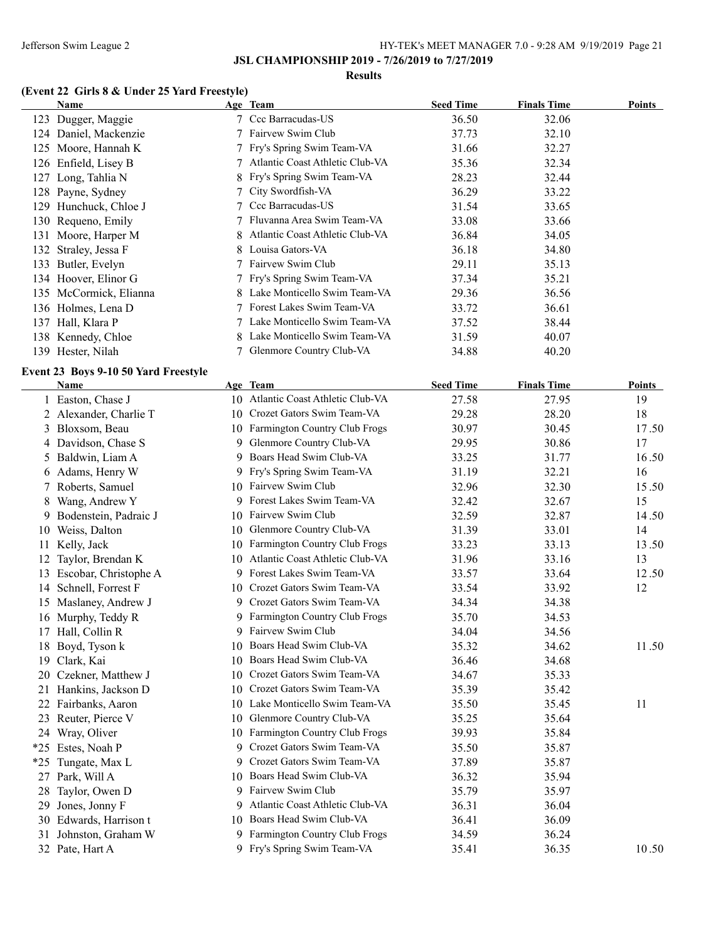### **Results**

# **(Event 22 Girls 8 & Under 25 Yard Freestyle)**

|    | <b>Name</b>                                  |   | Age Team                                            | <b>Seed Time</b> | <b>Finals Time</b> | <b>Points</b> |
|----|----------------------------------------------|---|-----------------------------------------------------|------------------|--------------------|---------------|
|    | 123 Dugger, Maggie                           |   | 7 Ccc Barracudas-US                                 | 36.50            | 32.06              |               |
|    | 124 Daniel, Mackenzie                        |   | 7 Fairvew Swim Club                                 | 37.73            | 32.10              |               |
|    | 125 Moore, Hannah K                          |   | 7 Fry's Spring Swim Team-VA                         | 31.66            | 32.27              |               |
|    | 126 Enfield, Lisey B                         | 7 | Atlantic Coast Athletic Club-VA                     | 35.36            | 32.34              |               |
|    | 127 Long, Tahlia N                           | 8 | Fry's Spring Swim Team-VA                           | 28.23            | 32.44              |               |
|    | 128 Payne, Sydney                            | 7 | City Swordfish-VA                                   | 36.29            | 33.22              |               |
|    | 129 Hunchuck, Chloe J                        |   | Ccc Barracudas-US                                   | 31.54            | 33.65              |               |
|    | 130 Requeno, Emily                           |   | Fluvanna Area Swim Team-VA                          | 33.08            | 33.66              |               |
|    | 131 Moore, Harper M                          |   | Atlantic Coast Athletic Club-VA                     | 36.84            | 34.05              |               |
|    | 132 Straley, Jessa F                         |   | 8 Louisa Gators-VA                                  | 36.18            | 34.80              |               |
|    | 133 Butler, Evelyn                           |   | 7 Fairvew Swim Club                                 | 29.11            | 35.13              |               |
|    | 134 Hoover, Elinor G                         |   | 7 Fry's Spring Swim Team-VA                         | 37.34            | 35.21              |               |
|    | 135 McCormick, Elianna                       |   | 8 Lake Monticello Swim Team-VA                      | 29.36            | 36.56              |               |
|    | 136 Holmes, Lena D                           |   | 7 Forest Lakes Swim Team-VA                         | 33.72            | 36.61              |               |
|    | 137 Hall, Klara P                            |   | 7 Lake Monticello Swim Team-VA                      | 37.52            | 38.44              |               |
|    | 138 Kennedy, Chloe                           |   | 8 Lake Monticello Swim Team-VA                      | 31.59            | 40.07              |               |
|    | 139 Hester, Nilah                            |   | 7 Glenmore Country Club-VA                          | 34.88            | 40.20              |               |
|    |                                              |   |                                                     |                  |                    |               |
|    | Event 23 Boys 9-10 50 Yard Freestyle<br>Name |   | Age Team                                            | <b>Seed Time</b> | <b>Finals Time</b> | Points        |
|    | 1 Easton, Chase J                            |   | 10 Atlantic Coast Athletic Club-VA                  | 27.58            | 27.95              | 19            |
|    |                                              |   | 10 Crozet Gators Swim Team-VA                       |                  |                    | 18            |
|    | 2 Alexander, Charlie T                       |   | 10 Farmington Country Club Frogs                    | 29.28            | 28.20              |               |
|    | 3 Bloxsom, Beau                              |   | 9 Glenmore Country Club-VA                          | 30.97            | 30.45              | 17.50         |
|    | 4 Davidson, Chase S                          |   | 9 Boars Head Swim Club-VA                           | 29.95            | 30.86              | 17            |
|    | 5 Baldwin, Liam A                            |   |                                                     | 33.25            | 31.77              | 16.50         |
|    | 6 Adams, Henry W                             |   | 9 Fry's Spring Swim Team-VA<br>10 Fairvew Swim Club | 31.19            | 32.21              | 16            |
|    | 7 Roberts, Samuel                            |   |                                                     | 32.96            | 32.30              | 15.50         |
| 8  | Wang, Andrew Y                               |   | 9 Forest Lakes Swim Team-VA                         | 32.42            | 32.67              | 15            |
| 9. | Bodenstein, Padraic J                        |   | 10 Fairvew Swim Club                                | 32.59            | 32.87              | 14.50         |
|    | 10 Weiss, Dalton                             |   | 10 Glenmore Country Club-VA                         | 31.39            | 33.01              | 14            |
|    | 11 Kelly, Jack                               |   | 10 Farmington Country Club Frogs                    | 33.23            | 33.13              | 13.50         |
|    | 12 Taylor, Brendan K                         |   | 10 Atlantic Coast Athletic Club-VA                  | 31.96            | 33.16              | 13            |
|    | 13 Escobar, Christophe A                     |   | 9 Forest Lakes Swim Team-VA                         | 33.57            | 33.64              | 12.50         |
|    | 14 Schnell, Forrest F                        |   | 10 Crozet Gators Swim Team-VA                       | 33.54            | 33.92              | 12            |
|    | 15 Maslaney, Andrew J                        |   | 9 Crozet Gators Swim Team-VA                        | 34.34            | 34.38              |               |
|    | 16 Murphy, Teddy R                           |   | 9 Farmington Country Club Frogs                     | 35.70            | 34.53              |               |
|    | 17 Hall, Collin R                            |   | 9 Fairvew Swim Club                                 | 34.04            | 34.56              |               |
|    | 18 Boyd, Tyson k                             |   | 10 Boars Head Swim Club-VA                          | 35.32            | 34.62              | 11.50         |
|    | 19 Clark, Kai                                |   | 10 Boars Head Swim Club-VA                          | 36.46            | 34.68              |               |
|    | 20 Czekner, Matthew J                        |   | 10 Crozet Gators Swim Team-VA                       | 34.67            | 35.33              |               |
|    | 21 Hankins, Jackson D                        |   | 10 Crozet Gators Swim Team-VA                       | 35.39            | 35.42              |               |
|    | 22 Fairbanks, Aaron                          |   | 10 Lake Monticello Swim Team-VA                     | 35.50            | 35.45              | 11            |
|    | 23 Reuter, Pierce V                          |   | 10 Glenmore Country Club-VA                         | 35.25            | 35.64              |               |
|    | 24 Wray, Oliver                              |   | 10 Farmington Country Club Frogs                    | 39.93            | 35.84              |               |
|    | *25 Estes, Noah P                            |   | 9 Crozet Gators Swim Team-VA                        | 35.50            | 35.87              |               |
|    | *25 Tungate, Max L                           |   | 9 Crozet Gators Swim Team-VA                        | 37.89            | 35.87              |               |
|    | 27 Park, Will A                              |   | 10 Boars Head Swim Club-VA                          | 36.32            | 35.94              |               |
|    | 28 Taylor, Owen D                            |   | 9 Fairvew Swim Club                                 | 35.79            | 35.97              |               |
|    | 29 Jones, Jonny F                            |   | 9 Atlantic Coast Athletic Club-VA                   | 36.31            | 36.04              |               |
|    | 30 Edwards, Harrison t                       |   | 10 Boars Head Swim Club-VA                          | 36.41            | 36.09              |               |
|    | 31 Johnston, Graham W                        |   | 9 Farmington Country Club Frogs                     | 34.59            | 36.24              |               |
|    | 32 Pate, Hart A                              |   | 9 Fry's Spring Swim Team-VA                         | 35.41            | 36.35              | 10.50         |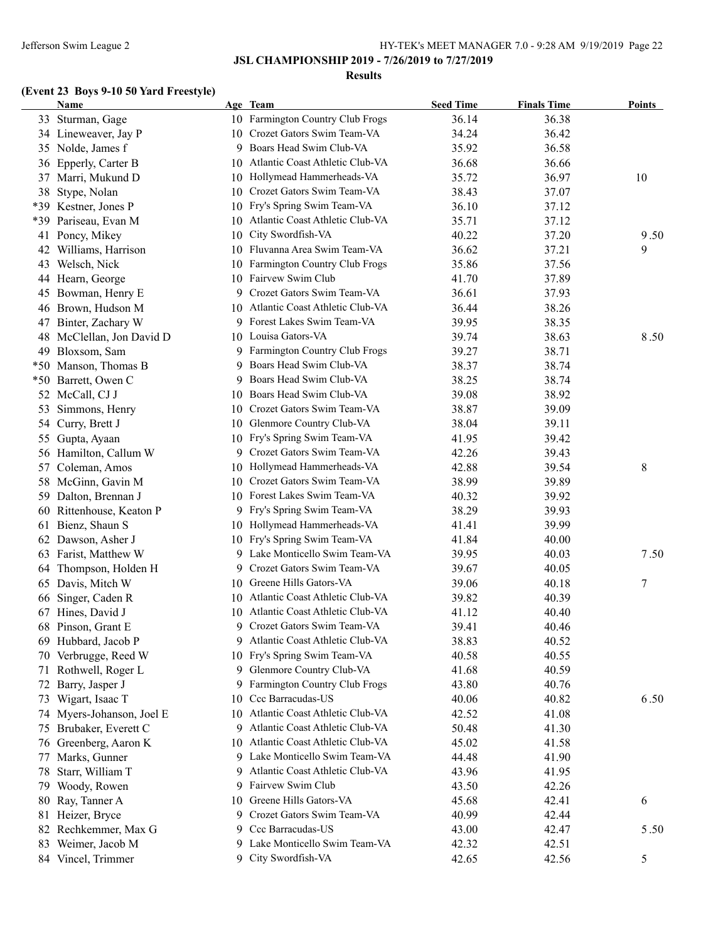### **JSL CHAMPIONSHIP 2019 - 7/26/2019 to 7/27/2019**

#### **Results**

# **(Event 23 Boys 9-10 50 Yard Freestyle)**

|       | <b>Name</b>                              |    | Age Team                             | <b>Seed Time</b> | <b>Finals Time</b> | <b>Points</b> |
|-------|------------------------------------------|----|--------------------------------------|------------------|--------------------|---------------|
|       | 33 Sturman, Gage                         |    | 10 Farmington Country Club Frogs     | 36.14            | 36.38              |               |
|       | 34 Lineweaver, Jay P                     | 10 | Crozet Gators Swim Team-VA           | 34.24            | 36.42              |               |
|       | 35 Nolde, James f                        | 9  | Boars Head Swim Club-VA              | 35.92            | 36.58              |               |
| 36    | Epperly, Carter B                        | 10 | Atlantic Coast Athletic Club-VA      | 36.68            | 36.66              |               |
| 37    | Marri, Mukund D                          |    | 10 Hollymead Hammerheads-VA          | 35.72            | 36.97              | 10            |
| 38    | Stype, Nolan                             | 10 | Crozet Gators Swim Team-VA           | 38.43            | 37.07              |               |
| *39   | Kestner, Jones P                         | 10 | Fry's Spring Swim Team-VA            | 36.10            | 37.12              |               |
| *39   | Pariseau, Evan M                         | 10 | Atlantic Coast Athletic Club-VA      | 35.71            | 37.12              |               |
| 41    | Poncy, Mikey                             | 10 | City Swordfish-VA                    | 40.22            | 37.20              | 9.50          |
|       | 42 Williams, Harrison                    | 10 | Fluvanna Area Swim Team-VA           | 36.62            | 37.21              | 9             |
| 43    | Welsch, Nick                             | 10 | Farmington Country Club Frogs        | 35.86            | 37.56              |               |
|       | 44 Hearn, George                         | 10 | Fairvew Swim Club                    | 41.70            | 37.89              |               |
| 45    | Bowman, Henry E                          | 9  | Crozet Gators Swim Team-VA           | 36.61            | 37.93              |               |
| 46    | Brown, Hudson M                          | 10 | Atlantic Coast Athletic Club-VA      | 36.44            | 38.26              |               |
| 47    | Binter, Zachary W                        | 9  | Forest Lakes Swim Team-VA            | 39.95            | 38.35              |               |
| 48    | McClellan, Jon David D                   |    | 10 Louisa Gators-VA                  | 39.74            | 38.63              | 8.50          |
| 49    | Bloxsom, Sam                             | 9. | <b>Farmington Country Club Frogs</b> | 39.27            | 38.71              |               |
| $*50$ | Manson, Thomas B                         | 9  | Boars Head Swim Club-VA              | 38.37            | 38.74              |               |
| $*50$ | Barrett, Owen C                          | 9  | Boars Head Swim Club-VA              | 38.25            | 38.74              |               |
|       | 52 McCall, CJ J                          |    | 10 Boars Head Swim Club-VA           | 39.08            | 38.92              |               |
| 53    | Simmons, Henry                           |    | 10 Crozet Gators Swim Team-VA        | 38.87            | 39.09              |               |
| 54    | Curry, Brett J                           |    | 10 Glenmore Country Club-VA          | 38.04            | 39.11              |               |
| 55    | Gupta, Ayaan                             |    | 10 Fry's Spring Swim Team-VA         | 41.95            | 39.42              |               |
| 56    | Hamilton, Callum W                       | 9. | Crozet Gators Swim Team-VA           | 42.26            | 39.43              |               |
| 57    | Coleman, Amos                            | 10 | Hollymead Hammerheads-VA             | 42.88            | 39.54              | 8             |
| 58    | McGinn, Gavin M                          | 10 | Crozet Gators Swim Team-VA           | 38.99            | 39.89              |               |
| 59    | Dalton, Brennan J                        | 10 | Forest Lakes Swim Team-VA            | 40.32            | 39.92              |               |
| 60    | Rittenhouse, Keaton P                    | 9. | Fry's Spring Swim Team-VA            | 38.29            | 39.93              |               |
| 61    | Bienz, Shaun S                           |    | 10 Hollymead Hammerheads-VA          | 41.41            | 39.99              |               |
| 62    | Dawson, Asher J                          | 10 | Fry's Spring Swim Team-VA            | 41.84            | 40.00              |               |
| 63    | Farist, Matthew W                        |    | 9 Lake Monticello Swim Team-VA       | 39.95            | 40.03              | 7.50          |
| 64    | Thompson, Holden H                       | 9. | Crozet Gators Swim Team-VA           | 39.67            | 40.05              |               |
| 65    | Davis, Mitch W                           | 10 | Greene Hills Gators-VA               | 39.06            | 40.18              | 7             |
| 66    | Singer, Caden R                          |    | 10 Atlantic Coast Athletic Club-VA   | 39.82            | 40.39              |               |
| 67    | Hines, David J                           | 10 | Atlantic Coast Athletic Club-VA      | 41.12            | 40.40              |               |
| 68    | Pinson, Grant E                          | 9  | Crozet Gators Swim Team-VA           | 39.41            | 40.46              |               |
| 69.   | Hubbard, Jacob P                         | 9. | Atlantic Coast Athletic Club-VA      | 38.83            | 40.52              |               |
| 70    | Verbrugge, Reed W                        | 10 | Fry's Spring Swim Team-VA            | 40.58            | 40.55              |               |
| 71    | Rothwell, Roger L                        | 9. | Glenmore Country Club-VA             | 41.68            | 40.59              |               |
| 72    | Barry, Jasper J                          | 9  | Farmington Country Club Frogs        | 43.80            | 40.76              |               |
| 73    | Wigart, Isaac T                          | 10 | Ccc Barracudas-US                    | 40.06            | 40.82              | 6.50          |
|       | 74 Myers-Johanson, Joel E                | 10 | Atlantic Coast Athletic Club-VA      | 42.52            | 41.08              |               |
| 75    | Brubaker, Everett C                      | 9  | Atlantic Coast Athletic Club-VA      | 50.48            | 41.30              |               |
|       | 76 Greenberg, Aaron K                    | 10 | Atlantic Coast Athletic Club-VA      | 45.02            | 41.58              |               |
| 77    | Marks, Gunner                            | 9. | Lake Monticello Swim Team-VA         | 44.48            | 41.90              |               |
| 78    | Starr, William T                         | 9. | Atlantic Coast Athletic Club-VA      | 43.96            | 41.95              |               |
| 79    | Woody, Rowen                             | 9. | Fairvew Swim Club                    | 43.50            | 42.26              |               |
| 80    | Ray, Tanner A                            | 10 | Greene Hills Gators-VA               | 45.68            | 42.41              | 6             |
|       |                                          | 9. | Crozet Gators Swim Team-VA           | 40.99            | 42.44              |               |
|       | 81 Heizer, Bryce<br>82 Rechkemmer, Max G | 9. | Ccc Barracudas-US                    |                  |                    |               |
|       |                                          |    | 9 Lake Monticello Swim Team-VA       | 43.00            | 42.47              | 5.50          |
| 83    | Weimer, Jacob M                          |    | City Swordfish-VA                    | 42.32            | 42.51              |               |
|       | 84 Vincel, Trimmer                       | 9. |                                      | 42.65            | 42.56              | 5             |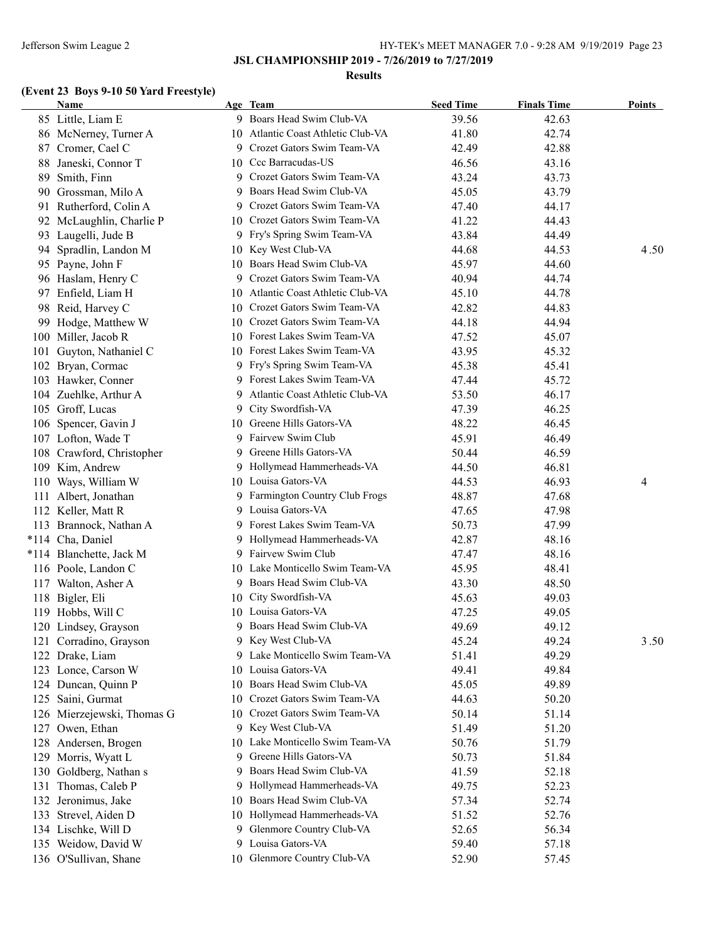### **JSL CHAMPIONSHIP 2019 - 7/26/2019 to 7/27/2019**

### **Results**

# **(Event 23 Boys 9-10 50 Yard Freestyle)**

|     | <b>Name</b>                |    | Age Team                           | <b>Seed Time</b> | <b>Finals Time</b> | <b>Points</b> |
|-----|----------------------------|----|------------------------------------|------------------|--------------------|---------------|
|     | 85 Little, Liam E          |    | 9 Boars Head Swim Club-VA          | 39.56            | 42.63              |               |
|     | 86 McNerney, Turner A      |    | 10 Atlantic Coast Athletic Club-VA | 41.80            | 42.74              |               |
|     | 87 Cromer, Cael C          |    | 9 Crozet Gators Swim Team-VA       | 42.49            | 42.88              |               |
| 88  | Janeski, Connor T          |    | 10 Ccc Barracudas-US               | 46.56            | 43.16              |               |
| 89  | Smith, Finn                |    | 9 Crozet Gators Swim Team-VA       | 43.24            | 43.73              |               |
|     | 90 Grossman, Milo A        |    | 9 Boars Head Swim Club-VA          | 45.05            | 43.79              |               |
|     | 91 Rutherford, Colin A     |    | 9 Crozet Gators Swim Team-VA       | 47.40            | 44.17              |               |
| 92  | McLaughlin, Charlie P      |    | 10 Crozet Gators Swim Team-VA      | 41.22            | 44.43              |               |
| 93  | Laugelli, Jude B           |    | 9 Fry's Spring Swim Team-VA        | 43.84            | 44.49              |               |
| 94  | Spradlin, Landon M         |    | 10 Key West Club-VA                | 44.68            | 44.53              | 4.50          |
|     | 95 Payne, John F           |    | 10 Boars Head Swim Club-VA         | 45.97            | 44.60              |               |
|     | 96 Haslam, Henry C         |    | 9 Crozet Gators Swim Team-VA       | 40.94            | 44.74              |               |
|     | 97 Enfield, Liam H         |    | 10 Atlantic Coast Athletic Club-VA | 45.10            | 44.78              |               |
|     | 98 Reid, Harvey C          |    | 10 Crozet Gators Swim Team-VA      | 42.82            | 44.83              |               |
|     | 99 Hodge, Matthew W        |    | 10 Crozet Gators Swim Team-VA      | 44.18            | 44.94              |               |
|     | 100 Miller, Jacob R        |    | 10 Forest Lakes Swim Team-VA       | 47.52            | 45.07              |               |
|     | 101 Guyton, Nathaniel C    |    | 10 Forest Lakes Swim Team-VA       | 43.95            | 45.32              |               |
|     | 102 Bryan, Cormac          |    | 9 Fry's Spring Swim Team-VA        | 45.38            | 45.41              |               |
|     | 103 Hawker, Conner         |    | 9 Forest Lakes Swim Team-VA        | 47.44            | 45.72              |               |
|     | 104 Zuehlke, Arthur A      |    | 9 Atlantic Coast Athletic Club-VA  | 53.50            | 46.17              |               |
|     | 105 Groff, Lucas           |    | 9 City Swordfish-VA                | 47.39            | 46.25              |               |
|     | 106 Spencer, Gavin J       |    | 10 Greene Hills Gators-VA          | 48.22            | 46.45              |               |
|     | 107 Lofton, Wade T         |    | 9 Fairvew Swim Club                | 45.91            | 46.49              |               |
|     | 108 Crawford, Christopher  |    | 9 Greene Hills Gators-VA           | 50.44            | 46.59              |               |
|     | 109 Kim, Andrew            |    | 9 Hollymead Hammerheads-VA         | 44.50            | 46.81              |               |
|     | 110 Ways, William W        |    | 10 Louisa Gators-VA                | 44.53            | 46.93              | 4             |
|     | 111 Albert, Jonathan       |    | 9 Farmington Country Club Frogs    | 48.87            | 47.68              |               |
|     | 112 Keller, Matt R         |    | 9 Louisa Gators-VA                 | 47.65            | 47.98              |               |
|     | 113 Brannock, Nathan A     |    | 9 Forest Lakes Swim Team-VA        | 50.73            | 47.99              |               |
|     | *114 Cha, Daniel           |    | 9 Hollymead Hammerheads-VA         | 42.87            | 48.16              |               |
|     | *114 Blanchette, Jack M    |    | 9 Fairvew Swim Club                | 47.47            | 48.16              |               |
|     | 116 Poole, Landon C        |    | 10 Lake Monticello Swim Team-VA    | 45.95            | 48.41              |               |
|     | 117 Walton, Asher A        |    | 9 Boars Head Swim Club-VA          | 43.30            | 48.50              |               |
|     | 118 Bigler, Eli            |    | 10 City Swordfish-VA               | 45.63            | 49.03              |               |
|     | 119 Hobbs, Will C          |    | 10 Louisa Gators-VA                | 47.25            | 49.05              |               |
|     | 120 Lindsey, Grayson       | 9  | Boars Head Swim Club-VA            | 49.69            | 49.12              |               |
|     | 121 Corradino, Grayson     |    | 9 Key West Club-VA                 | 45.24            | 49.24              | 3.50          |
| 122 | Drake, Liam                |    | 9 Lake Monticello Swim Team-VA     | 51.41            | 49.29              |               |
|     | 123 Lonce, Carson W        |    | 10 Louisa Gators-VA                | 49.41            | 49.84              |               |
|     | 124 Duncan, Quinn P        |    | 10 Boars Head Swim Club-VA         | 45.05            | 49.89              |               |
|     | 125 Saini, Gurmat          |    | 10 Crozet Gators Swim Team-VA      | 44.63            | 50.20              |               |
|     | 126 Mierzejewski, Thomas G |    | 10 Crozet Gators Swim Team-VA      | 50.14            | 51.14              |               |
|     | 127 Owen, Ethan            |    | 9 Key West Club-VA                 | 51.49            |                    |               |
|     |                            |    | 10 Lake Monticello Swim Team-VA    |                  | 51.20              |               |
|     | 128 Andersen, Brogen       |    |                                    | 50.76            | 51.79              |               |
|     | 129 Morris, Wyatt L        |    | 9 Greene Hills Gators-VA           | 50.73            | 51.84              |               |
|     | 130 Goldberg, Nathan s     |    | 9 Boars Head Swim Club-VA          | 41.59            | 52.18              |               |
| 131 | Thomas, Caleb P            |    | 9 Hollymead Hammerheads-VA         | 49.75            | 52.23              |               |
|     | 132 Jeronimus, Jake        | 10 | Boars Head Swim Club-VA            | 57.34            | 52.74              |               |
|     | 133 Strevel, Aiden D       |    | 10 Hollymead Hammerheads-VA        | 51.52            | 52.76              |               |
|     | 134 Lischke, Will D        |    | 9 Glenmore Country Club-VA         | 52.65            | 56.34              |               |
|     | 135 Weidow, David W        | 9  | Louisa Gators-VA                   | 59.40            | 57.18              |               |
|     | 136 O'Sullivan, Shane      |    | 10 Glenmore Country Club-VA        | 52.90            | 57.45              |               |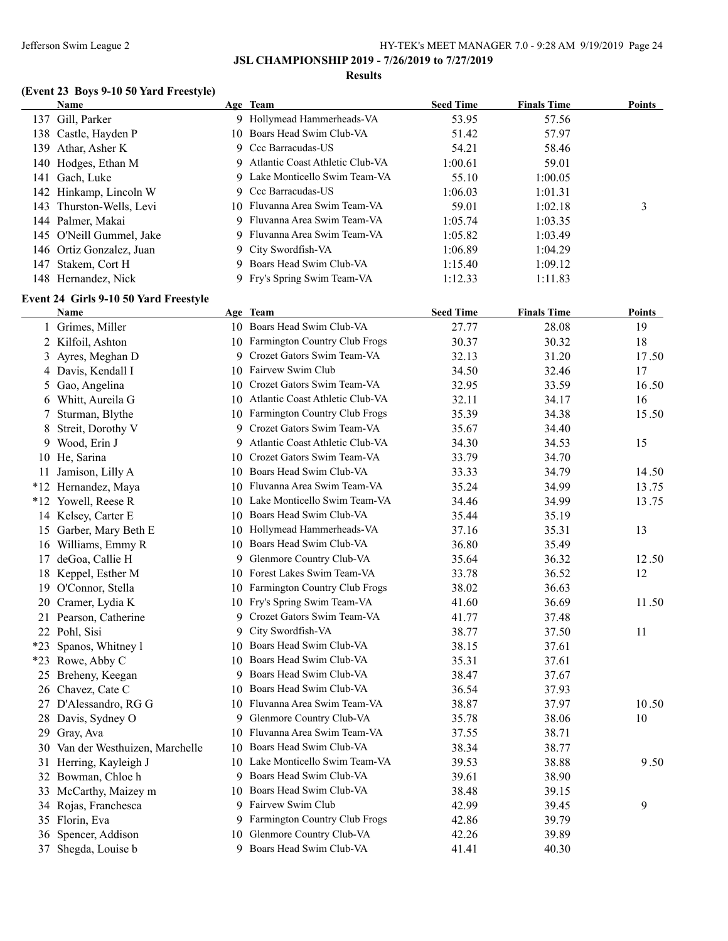### **Results**

# **(Event 23 Boys 9-10 50 Yard Freestyle)**

|      | <b>Name</b>              | Age Team                          | <b>Seed Time</b> | <b>Finals Time</b> | <b>Points</b> |
|------|--------------------------|-----------------------------------|------------------|--------------------|---------------|
|      | 137 Gill, Parker         | Hollymead Hammerheads-VA          | 53.95            | 57.56              |               |
|      | 138 Castle, Hayden P     | 10 Boars Head Swim Club-VA        | 51.42            | 57.97              |               |
| 139- | Athar, Asher K           | 9 Ccc Barracudas-US               | 54.21            | 58.46              |               |
|      | 140 Hodges, Ethan M      | 9 Atlantic Coast Athletic Club-VA | 1:00.61          | 59.01              |               |
|      | 141 Gach, Luke           | 9 Lake Monticello Swim Team-VA    | 55.10            | 1:00.05            |               |
|      | 142 Hinkamp, Lincoln W   | 9 Ccc Barracudas-US               | 1:06.03          | 1:01.31            |               |
|      | 143 Thurston-Wells, Levi | 10 Fluvanna Area Swim Team-VA     | 59.01            | 1:02.18            | 3             |
|      | 144 Palmer, Makai        | 9 Fluvanna Area Swim Team-VA      | 1:05.74          | 1:03.35            |               |
|      | 145 O'Neill Gummel, Jake | 9 Fluvanna Area Swim Team-VA      | 1:05.82          | 1:03.49            |               |
|      | 146 Ortiz Gonzalez, Juan | 9 City Swordfish-VA               | 1:06.89          | 1:04.29            |               |
|      | 147 Stakem, Cort H       | 9 Boars Head Swim Club-VA         | 1:15.40          | 1:09.12            |               |
|      | 148 Hernandez, Nick      | 9 Fry's Spring Swim Team-VA       | 1:12.33          | 1:11.83            |               |

### **Event 24 Girls 9-10 50 Yard Freestyle**

| Name                             |    | Age Team                           | <b>Seed Time</b> | <b>Finals Time</b> | <b>Points</b> |
|----------------------------------|----|------------------------------------|------------------|--------------------|---------------|
| 1 Grimes, Miller                 |    | 10 Boars Head Swim Club-VA         | 27.77            | 28.08              | 19            |
| 2 Kilfoil, Ashton                |    | 10 Farmington Country Club Frogs   | 30.37            | 30.32              | 18            |
| 3 Ayres, Meghan D                |    | 9 Crozet Gators Swim Team-VA       | 32.13            | 31.20              | 17.50         |
| 4 Davis, Kendall I               |    | 10 Fairvew Swim Club               | 34.50            | 32.46              | 17            |
| 5 Gao, Angelina                  |    | 10 Crozet Gators Swim Team-VA      | 32.95            | 33.59              | 16.50         |
| 6 Whitt, Aureila G               |    | 10 Atlantic Coast Athletic Club-VA | 32.11            | 34.17              | 16            |
| 7 Sturman, Blythe                |    | 10 Farmington Country Club Frogs   | 35.39            | 34.38              | 15.50         |
| 8 Streit, Dorothy V              |    | 9 Crozet Gators Swim Team-VA       | 35.67            | 34.40              |               |
| 9 Wood, Erin J                   |    | 9 Atlantic Coast Athletic Club-VA  | 34.30            | 34.53              | 15            |
| 10 He, Sarina                    |    | 10 Crozet Gators Swim Team-VA      | 33.79            | 34.70              |               |
| 11 Jamison, Lilly A              |    | 10 Boars Head Swim Club-VA         | 33.33            | 34.79              | 14.50         |
| *12 Hernandez, Maya              |    | 10 Fluvanna Area Swim Team-VA      | 35.24            | 34.99              | 13.75         |
| *12 Yowell, Reese R              |    | 10 Lake Monticello Swim Team-VA    | 34.46            | 34.99              | 13.75         |
| 14 Kelsey, Carter E              |    | 10 Boars Head Swim Club-VA         | 35.44            | 35.19              |               |
| 15 Garber, Mary Beth E           |    | 10 Hollymead Hammerheads-VA        | 37.16            | 35.31              | 13            |
| 16 Williams, Emmy R              |    | 10 Boars Head Swim Club-VA         | 36.80            | 35.49              |               |
| 17 deGoa, Callie H               |    | 9 Glenmore Country Club-VA         | 35.64            | 36.32              | 12.50         |
| 18 Keppel, Esther M              |    | 10 Forest Lakes Swim Team-VA       | 33.78            | 36.52              | 12            |
| 19 O'Connor, Stella              |    | 10 Farmington Country Club Frogs   | 38.02            | 36.63              |               |
| 20 Cramer, Lydia K               |    | 10 Fry's Spring Swim Team-VA       | 41.60            | 36.69              | 11.50         |
| 21 Pearson, Catherine            |    | 9 Crozet Gators Swim Team-VA       | 41.77            | 37.48              |               |
| 22 Pohl, Sisi                    |    | 9 City Swordfish-VA                | 38.77            | 37.50              | 11            |
| *23 Spanos, Whitney 1            |    | 10 Boars Head Swim Club-VA         | 38.15            | 37.61              |               |
| *23 Rowe, Abby C                 |    | 10 Boars Head Swim Club-VA         | 35.31            | 37.61              |               |
| 25 Breheny, Keegan               | 9. | Boars Head Swim Club-VA            | 38.47            | 37.67              |               |
| 26 Chavez, Cate C                |    | 10 Boars Head Swim Club-VA         | 36.54            | 37.93              |               |
| 27 D'Alessandro, RG G            |    | 10 Fluvanna Area Swim Team-VA      | 38.87            | 37.97              | 10.50         |
| 28 Davis, Sydney O               |    | 9 Glenmore Country Club-VA         | 35.78            | 38.06              | 10            |
| 29 Gray, Ava                     |    | 10 Fluvanna Area Swim Team-VA      | 37.55            | 38.71              |               |
| 30 Van der Westhuizen, Marchelle |    | 10 Boars Head Swim Club-VA         | 38.34            | 38.77              |               |
| 31 Herring, Kayleigh J           |    | 10 Lake Monticello Swim Team-VA    | 39.53            | 38.88              | 9.50          |
| 32 Bowman, Chloe h               |    | 9 Boars Head Swim Club-VA          | 39.61            | 38.90              |               |
| 33 McCarthy, Maizey m            |    | 10 Boars Head Swim Club-VA         | 38.48            | 39.15              |               |
| 34 Rojas, Franchesca             |    | 9 Fairvew Swim Club                | 42.99            | 39.45              | 9             |
| 35 Florin, Eva                   |    | 9 Farmington Country Club Frogs    | 42.86            | 39.79              |               |
| 36 Spencer, Addison              | 10 | Glenmore Country Club-VA           | 42.26            | 39.89              |               |
| 37 Shegda, Louise b              |    | 9 Boars Head Swim Club-VA          | 41.41            | 40.30              |               |
|                                  |    |                                    |                  |                    |               |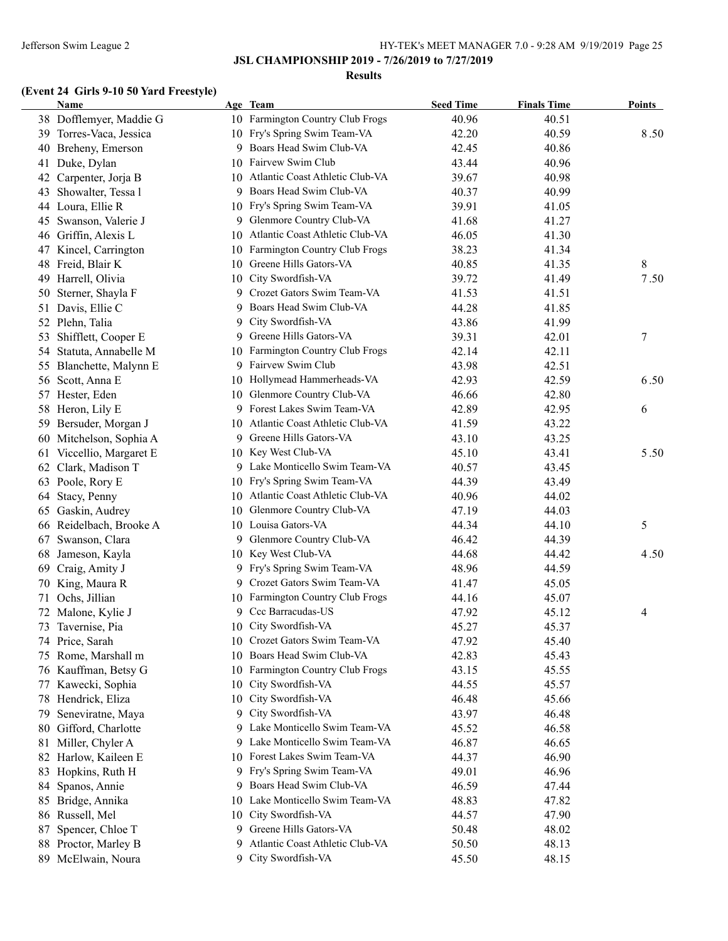#### **Results**

# **(Event 24 Girls 9-10 50 Yard Freestyle)**

|    | <b>Name</b>                            |    | Age Team                                                  | <b>Seed Time</b> | <b>Finals Time</b> | <b>Points</b> |
|----|----------------------------------------|----|-----------------------------------------------------------|------------------|--------------------|---------------|
|    | 38 Dofflemyer, Maddie G                |    | 10 Farmington Country Club Frogs                          | 40.96            | 40.51              |               |
|    | 39 Torres-Vaca, Jessica                |    | 10 Fry's Spring Swim Team-VA                              | 42.20            | 40.59              | 8.50          |
|    | 40 Breheny, Emerson                    | 9  | Boars Head Swim Club-VA                                   | 42.45            | 40.86              |               |
| 41 | Duke, Dylan                            | 10 | Fairvew Swim Club                                         | 43.44            | 40.96              |               |
|    | 42 Carpenter, Jorja B                  | 10 | Atlantic Coast Athletic Club-VA                           | 39.67            | 40.98              |               |
| 43 | Showalter, Tessa l                     | 9  | Boars Head Swim Club-VA                                   | 40.37            | 40.99              |               |
|    | 44 Loura, Ellie R                      | 10 | Fry's Spring Swim Team-VA                                 | 39.91            | 41.05              |               |
|    | 45 Swanson, Valerie J                  |    | 9 Glenmore Country Club-VA                                | 41.68            | 41.27              |               |
|    | 46 Griffin, Alexis L                   |    | 10 Atlantic Coast Athletic Club-VA                        | 46.05            | 41.30              |               |
|    | 47 Kincel, Carrington                  | 10 | Farmington Country Club Frogs                             | 38.23            | 41.34              |               |
|    | 48 Freid, Blair K                      |    | 10 Greene Hills Gators-VA                                 | 40.85            | 41.35              | 8             |
|    | 49 Harrell, Olivia                     | 10 | City Swordfish-VA                                         | 39.72            | 41.49              | 7.50          |
|    | 50 Sterner, Shayla F                   |    | 9 Crozet Gators Swim Team-VA                              | 41.53            | 41.51              |               |
|    | 51 Davis, Ellie C                      | 9. | Boars Head Swim Club-VA                                   | 44.28            | 41.85              |               |
|    | 52 Plehn, Talia                        | 9  | City Swordfish-VA                                         | 43.86            | 41.99              |               |
|    | 53 Shifflett, Cooper E                 | 9. | Greene Hills Gators-VA                                    | 39.31            | 42.01              | 7             |
|    | 54 Statuta, Annabelle M                | 10 | Farmington Country Club Frogs                             | 42.14            | 42.11              |               |
|    | 55 Blanchette, Malynn E                | 9. | Fairvew Swim Club                                         | 43.98            | 42.51              |               |
|    | 56 Scott, Anna E                       | 10 | Hollymead Hammerheads-VA                                  | 42.93            | 42.59              | 6.50          |
|    | 57 Hester, Eden                        | 10 | Glenmore Country Club-VA                                  | 46.66            | 42.80              |               |
|    | 58 Heron, Lily E                       |    | 9 Forest Lakes Swim Team-VA                               | 42.89            | 42.95              | 6             |
|    | 59 Bersuder, Morgan J                  |    | 10 Atlantic Coast Athletic Club-VA                        | 41.59            | 43.22              |               |
|    | 60 Mitchelson, Sophia A                |    | 9 Greene Hills Gators-VA                                  | 43.10            | 43.25              |               |
| 61 | Viccellio, Margaret E                  |    | 10 Key West Club-VA                                       | 45.10            | 43.41              | 5.50          |
|    | 62 Clark, Madison T                    |    | 9 Lake Monticello Swim Team-VA                            | 40.57            | 43.45              |               |
|    | 63 Poole, Rory E                       |    | 10 Fry's Spring Swim Team-VA                              | 44.39            | 43.49              |               |
|    | 64 Stacy, Penny                        |    | 10 Atlantic Coast Athletic Club-VA                        | 40.96            | 44.02              |               |
| 65 | Gaskin, Audrey                         |    | 10 Glenmore Country Club-VA                               | 47.19            | 44.03              |               |
|    | 66 Reidelbach, Brooke A                |    | 10 Louisa Gators-VA                                       | 44.34            | 44.10              | 5             |
|    | 67 Swanson, Clara                      | 9. | Glenmore Country Club-VA                                  | 46.42            | 44.39              |               |
| 68 | Jameson, Kayla                         |    | 10 Key West Club-VA                                       | 44.68            | 44.42              | 4.50          |
| 69 | Craig, Amity J                         |    | 9 Fry's Spring Swim Team-VA                               | 48.96            | 44.59              |               |
|    | 70 King, Maura R                       | 9. | Crozet Gators Swim Team-VA                                | 41.47            | 45.05              |               |
|    | Ochs, Jillian                          |    | 10 Farmington Country Club Frogs                          | 44.16            | 45.07              |               |
| 71 | 72 Malone, Kylie J                     |    | 9 Ccc Barracudas-US                                       | 47.92            | 45.12              |               |
|    | 73 Tavernise, Pia                      |    | 10 City Swordfish-VA                                      | 45.27            | 45.37              | 4             |
|    |                                        |    | 10 Crozet Gators Swim Team-VA                             |                  |                    |               |
|    | 74 Price, Sarah<br>75 Rome, Marshall m | 10 | Boars Head Swim Club-VA                                   | 47.92<br>42.83   | 45.40<br>45.43     |               |
|    | 76 Kauffman, Betsy G                   |    | Farmington Country Club Frogs                             | 43.15            | 45.55              |               |
|    |                                        | 10 | City Swordfish-VA                                         |                  |                    |               |
|    | 77 Kawecki, Sophia                     | 10 | City Swordfish-VA                                         | 44.55            | 45.57              |               |
|    | 78 Hendrick, Eliza                     | 10 | City Swordfish-VA                                         | 46.48            | 45.66              |               |
| 79 | Seneviratne, Maya                      | 9. | Lake Monticello Swim Team-VA                              | 43.97            | 46.48              |               |
|    | 80 Gifford, Charlotte                  | 9. |                                                           | 45.52            | 46.58              |               |
|    | 81 Miller, Chyler A                    | 9  | Lake Monticello Swim Team-VA<br>Forest Lakes Swim Team-VA | 46.87            | 46.65              |               |
|    | 82 Harlow, Kaileen E                   | 10 |                                                           | 44.37            | 46.90              |               |
|    | 83 Hopkins, Ruth H                     |    | 9 Fry's Spring Swim Team-VA                               | 49.01            | 46.96              |               |
|    | 84 Spanos, Annie                       | 9  | Boars Head Swim Club-VA                                   | 46.59            | 47.44              |               |
|    | 85 Bridge, Annika                      | 10 | Lake Monticello Swim Team-VA                              | 48.83            | 47.82              |               |
|    | 86 Russell, Mel                        | 10 | City Swordfish-VA                                         | 44.57            | 47.90              |               |
|    | 87 Spencer, Chloe T                    | 9  | Greene Hills Gators-VA                                    | 50.48            | 48.02              |               |
|    | 88 Proctor, Marley B                   | 9  | Atlantic Coast Athletic Club-VA                           | 50.50            | 48.13              |               |
|    | 89 McElwain, Noura                     |    | 9 City Swordfish-VA                                       | 45.50            | 48.15              |               |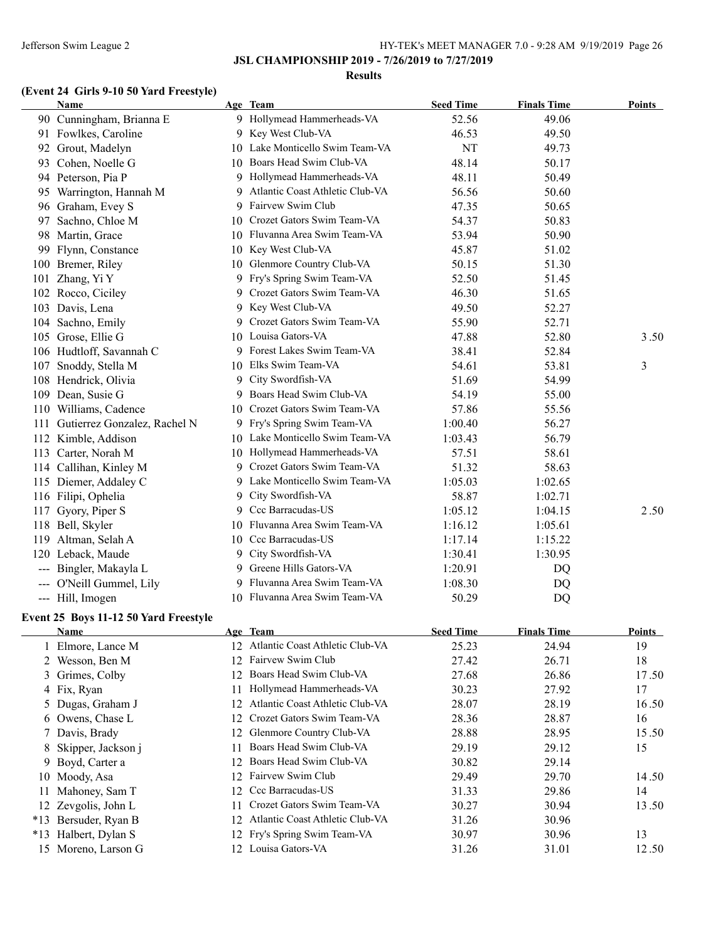#### **Results**

# **(Event 24 Girls 9-10 50 Yard Freestyle)**

|     | <b>Name</b>                  |    | Age Team                        | <b>Seed Time</b> | <b>Finals Time</b> | Points |
|-----|------------------------------|----|---------------------------------|------------------|--------------------|--------|
|     | 90 Cunningham, Brianna E     |    | 9 Hollymead Hammerheads-VA      | 52.56            | 49.06              |        |
|     | 91 Fowlkes, Caroline         |    | 9 Key West Club-VA              | 46.53            | 49.50              |        |
| 92  | Grout, Madelyn               |    | 10 Lake Monticello Swim Team-VA | NT               | 49.73              |        |
| 93  | Cohen, Noelle G              | 10 | Boars Head Swim Club-VA         | 48.14            | 50.17              |        |
|     | 94 Peterson, Pia P           |    | 9 Hollymead Hammerheads-VA      | 48.11            | 50.49              |        |
|     | 95 Warrington, Hannah M      | 9  | Atlantic Coast Athletic Club-VA | 56.56            | 50.60              |        |
|     | 96 Graham, Evey S            | 9. | Fairvew Swim Club               | 47.35            | 50.65              |        |
| 97  | Sachno, Chloe M              |    | 10 Crozet Gators Swim Team-VA   | 54.37            | 50.83              |        |
|     | 98 Martin, Grace             |    | 10 Fluvanna Area Swim Team-VA   | 53.94            | 50.90              |        |
| 99  | Flynn, Constance             |    | 10 Key West Club-VA             | 45.87            | 51.02              |        |
|     | 100 Bremer, Riley            |    | 10 Glenmore Country Club-VA     | 50.15            | 51.30              |        |
| 101 | Zhang, Yi Y                  |    | 9 Fry's Spring Swim Team-VA     | 52.50            | 51.45              |        |
| 102 | Rocco, Ciciley               | 9  | Crozet Gators Swim Team-VA      | 46.30            | 51.65              |        |
| 103 | Davis, Lena                  | 9  | Key West Club-VA                | 49.50            | 52.27              |        |
| 104 | Sachno, Emily                |    | 9 Crozet Gators Swim Team-VA    | 55.90            | 52.71              |        |
|     | 105 Grose, Ellie G           |    | 10 Louisa Gators-VA             | 47.88            | 52.80              | 3.50   |
|     | 106 Hudtloff, Savannah C     |    | 9 Forest Lakes Swim Team-VA     | 38.41            | 52.84              |        |
| 107 | Snoddy, Stella M             |    | 10 Elks Swim Team-VA            | 54.61            | 53.81              | 3      |
|     | 108 Hendrick, Olivia         |    | 9 City Swordfish-VA             | 51.69            | 54.99              |        |
|     | 109 Dean, Susie G            | 9. | Boars Head Swim Club-VA         | 54.19            | 55.00              |        |
|     | 110 Williams, Cadence        |    | 10 Crozet Gators Swim Team-VA   | 57.86            | 55.56              |        |
| 111 | Gutierrez Gonzalez, Rachel N |    | 9 Fry's Spring Swim Team-VA     | 1:00.40          | 56.27              |        |
| 112 | Kimble, Addison              |    | 10 Lake Monticello Swim Team-VA | 1:03.43          | 56.79              |        |
| 113 | Carter, Norah M              |    | 10 Hollymead Hammerheads-VA     | 57.51            | 58.61              |        |
|     | 114 Callihan, Kinley M       |    | 9 Crozet Gators Swim Team-VA    | 51.32            | 58.63              |        |
|     | 115 Diemer, Addaley C        | 9. | Lake Monticello Swim Team-VA    | 1:05.03          | 1:02.65            |        |
|     | 116 Filipi, Ophelia          | 9  | City Swordfish-VA               | 58.87            | 1:02.71            |        |
| 117 | Gyory, Piper S               |    | 9 Ccc Barracudas-US             | 1:05.12          | 1:04.15            | 2.50   |
|     | 118 Bell, Skyler             |    | 10 Fluvanna Area Swim Team-VA   | 1:16.12          | 1:05.61            |        |
| 119 | Altman, Selah A              |    | 10 Ccc Barracudas-US            | 1:17.14          | 1:15.22            |        |
| 120 | Leback, Maude                |    | 9 City Swordfish-VA             | 1:30.41          | 1:30.95            |        |
|     | --- Bingler, Makayla L       |    | 9 Greene Hills Gators-VA        | 1:20.91          | DQ                 |        |
|     | O'Neill Gummel, Lily         |    | 9 Fluvanna Area Swim Team-VA    | 1:08.30          | DQ                 |        |
|     | Hill, Imogen                 |    | 10 Fluvanna Area Swim Team-VA   | 50.29            | DQ                 |        |

### **Event 25 Boys 11-12 50 Yard Freestyle**

|       | <b>Name</b>          |     | Age Team                           | <b>Seed Time</b> | <b>Finals Time</b> | <b>Points</b> |
|-------|----------------------|-----|------------------------------------|------------------|--------------------|---------------|
|       | 1 Elmore, Lance M    |     | 12 Atlantic Coast Athletic Club-VA | 25.23            | 24.94              | 19            |
|       | 2 Wesson, Ben M      | 12  | Fairvew Swim Club                  | 27.42            | 26.71              | 18            |
|       | 3 Grimes, Colby      | 12  | Boars Head Swim Club-VA            | 27.68            | 26.86              | 17.50         |
|       | 4 Fix, Ryan          |     | Hollymead Hammerheads-VA           | 30.23            | 27.92              | 17            |
|       | 5 Dugas, Graham J    |     | 12 Atlantic Coast Athletic Club-VA | 28.07            | 28.19              | 16.50         |
|       | 6 Owens, Chase L     |     | 12 Crozet Gators Swim Team-VA      | 28.36            | 28.87              | 16            |
|       | 7 Davis, Brady       |     | 12 Glenmore Country Club-VA        | 28.88            | 28.95              | 15.50         |
|       | 8 Skipper, Jackson j | 11. | Boars Head Swim Club-VA            | 29.19            | 29.12              | 15            |
|       | 9 Boyd, Carter a     | 12  | Boars Head Swim Club-VA            | 30.82            | 29.14              |               |
|       | 10 Moody, Asa        |     | 12 Fairvew Swim Club               | 29.49            | 29.70              | 14.50         |
|       | Mahoney, Sam T       |     | 12 Ccc Barracudas-US               | 31.33            | 29.86              | 14            |
|       | 12 Zevgolis, John L  |     | Crozet Gators Swim Team-VA         | 30.27            | 30.94              | 13.50         |
| $*13$ | Bersuder, Ryan B     |     | 12 Atlantic Coast Athletic Club-VA | 31.26            | 30.96              |               |
|       | *13 Halbert, Dylan S |     | 12 Fry's Spring Swim Team-VA       | 30.97            | 30.96              | 13            |
|       | 15 Moreno, Larson G  |     | 12 Louisa Gators-VA                | 31.26            | 31.01              | 12.50         |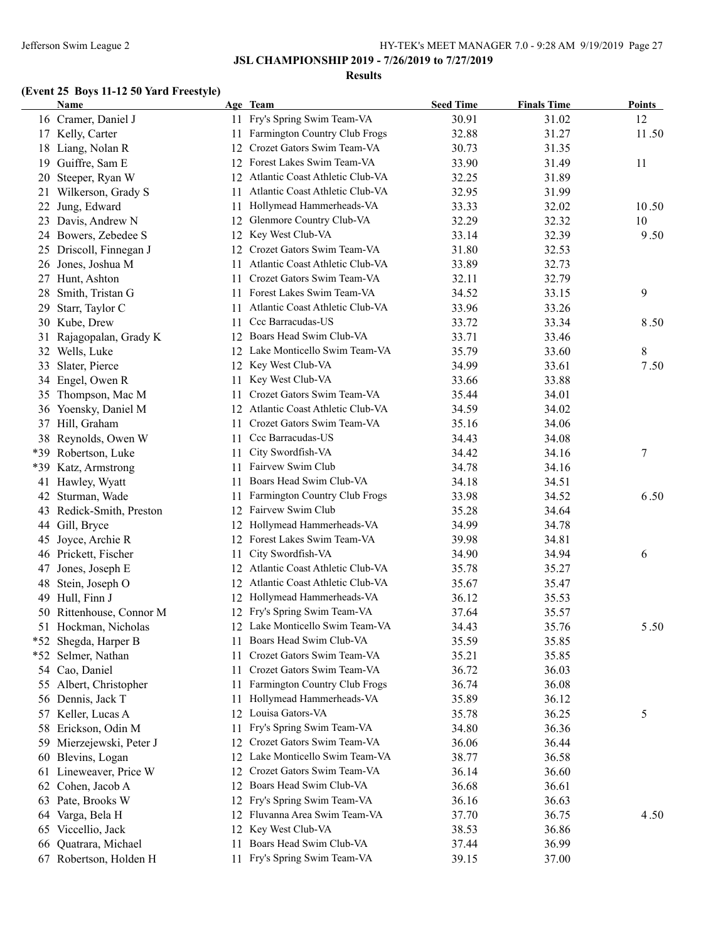**JSL CHAMPIONSHIP 2019 - 7/26/2019 to 7/27/2019**

#### **Results**

# **(Event 25 Boys 11-12 50 Yard Freestyle)**

|    | <b>Name</b>              |     | Age Team                           | <b>Seed Time</b> | <b>Finals Time</b> | <b>Points</b> |
|----|--------------------------|-----|------------------------------------|------------------|--------------------|---------------|
|    | 16 Cramer, Daniel J      |     | 11 Fry's Spring Swim Team-VA       | 30.91            | 31.02              | 12            |
|    | 17 Kelly, Carter         | 11  | Farmington Country Club Frogs      | 32.88            | 31.27              | 11.50         |
|    | 18 Liang, Nolan R        | 12  | Crozet Gators Swim Team-VA         | 30.73            | 31.35              |               |
|    | 19 Guiffre, Sam E        |     | 12 Forest Lakes Swim Team-VA       | 33.90            | 31.49              | 11            |
| 20 | Steeper, Ryan W          |     | 12 Atlantic Coast Athletic Club-VA | 32.25            | 31.89              |               |
| 21 | Wilkerson, Grady S       | 11  | Atlantic Coast Athletic Club-VA    | 32.95            | 31.99              |               |
|    | 22 Jung, Edward          | 11  | Hollymead Hammerheads-VA           | 33.33            | 32.02              | 10.50         |
|    | 23 Davis, Andrew N       | 12  | Glenmore Country Club-VA           | 32.29            | 32.32              | 10            |
|    | 24 Bowers, Zebedee S     | 12  | Key West Club-VA                   | 33.14            | 32.39              | 9.50          |
|    | 25 Driscoll, Finnegan J  | 12  | Crozet Gators Swim Team-VA         | 31.80            | 32.53              |               |
|    | 26 Jones, Joshua M       | 11  | Atlantic Coast Athletic Club-VA    | 33.89            | 32.73              |               |
|    | 27 Hunt, Ashton          | 11  | Crozet Gators Swim Team-VA         | 32.11            | 32.79              |               |
| 28 | Smith, Tristan G         | 11  | Forest Lakes Swim Team-VA          | 34.52            | 33.15              | 9             |
| 29 | Starr, Taylor C          | 11  | Atlantic Coast Athletic Club-VA    | 33.96            | 33.26              |               |
|    | 30 Kube, Drew            | 11  | Ccc Barracudas-US                  | 33.72            | 33.34              | 8.50          |
| 31 | Rajagopalan, Grady K     | 12  | Boars Head Swim Club-VA            | 33.71            | 33.46              |               |
|    | 32 Wells, Luke           | 12  | Lake Monticello Swim Team-VA       | 35.79            | 33.60              | 8             |
| 33 | Slater, Pierce           |     | 12 Key West Club-VA                | 34.99            | 33.61              | 7.50          |
|    | 34 Engel, Owen R         | 11. | Key West Club-VA                   | 33.66            | 33.88              |               |
|    | 35 Thompson, Mac M       | 11. | Crozet Gators Swim Team-VA         | 35.44            | 34.01              |               |
|    | 36 Yoensky, Daniel M     |     | 12 Atlantic Coast Athletic Club-VA | 34.59            | 34.02              |               |
|    | 37 Hill, Graham          | 11. | Crozet Gators Swim Team-VA         | 35.16            | 34.06              |               |
|    | 38 Reynolds, Owen W      | 11  | Ccc Barracudas-US                  | 34.43            | 34.08              |               |
|    | *39 Robertson, Luke      | 11  | City Swordfish-VA                  | 34.42            | 34.16              | $\tau$        |
|    | *39 Katz, Armstrong      | 11  | Fairvew Swim Club                  | 34.78            | 34.16              |               |
|    | 41 Hawley, Wyatt         | 11  | Boars Head Swim Club-VA            | 34.18            | 34.51              |               |
| 42 | Sturman, Wade            | 11  | Farmington Country Club Frogs      | 33.98            | 34.52              | 6.50          |
|    | 43 Redick-Smith, Preston | 12  | Fairvew Swim Club                  | 35.28            | 34.64              |               |
|    | 44 Gill, Bryce           | 12  | Hollymead Hammerheads-VA           | 34.99            | 34.78              |               |
|    | 45 Joyce, Archie R       | 12  | Forest Lakes Swim Team-VA          | 39.98            | 34.81              |               |
|    | 46 Prickett, Fischer     | 11  | City Swordfish-VA                  | 34.90            | 34.94              | 6             |
| 47 | Jones, Joseph E          | 12  | Atlantic Coast Athletic Club-VA    | 35.78            | 35.27              |               |
| 48 | Stein, Joseph O          | 12  | Atlantic Coast Athletic Club-VA    | 35.67            | 35.47              |               |
|    | 49 Hull, Finn J          |     | 12 Hollymead Hammerheads-VA        | 36.12            | 35.53              |               |
|    | 50 Rittenhouse, Connor M |     | 12 Fry's Spring Swim Team-VA       | 37.64            | 35.57              |               |
|    | 51 Hockman, Nicholas     |     | 12 Lake Monticello Swim Team-VA    | 34.43            | 35.76              | 5.50          |
|    | *52 Shegda, Harper B     |     | 11 Boars Head Swim Club-VA         | 35.59            | 35.85              |               |
|    | *52 Selmer, Nathan       | 11  | Crozet Gators Swim Team-VA         | 35.21            | 35.85              |               |
|    | 54 Cao, Daniel           |     | Crozet Gators Swim Team-VA         | 36.72            | 36.03              |               |
|    |                          | 11  | Farmington Country Club Frogs      |                  |                    |               |
|    | 55 Albert, Christopher   | 11  | Hollymead Hammerheads-VA           | 36.74            | 36.08              |               |
|    | 56 Dennis, Jack T        | 11  | Louisa Gators-VA                   | 35.89            | 36.12              |               |
|    | 57 Keller, Lucas A       | 12  |                                    | 35.78            | 36.25              | 5             |
|    | 58 Erickson, Odin M      | 11  | Fry's Spring Swim Team-VA          | 34.80            | 36.36              |               |
| 59 | Mierzejewski, Peter J    | 12  | Crozet Gators Swim Team-VA         | 36.06            | 36.44              |               |
| 60 | Blevins, Logan           | 12  | Lake Monticello Swim Team-VA       | 38.77            | 36.58              |               |
|    | 61 Lineweaver, Price W   | 12  | Crozet Gators Swim Team-VA         | 36.14            | 36.60              |               |
|    | 62 Cohen, Jacob A        | 12  | Boars Head Swim Club-VA            | 36.68            | 36.61              |               |
|    | 63 Pate, Brooks W        | 12  | Fry's Spring Swim Team-VA          | 36.16            | 36.63              |               |
|    | 64 Varga, Bela H         | 12  | Fluvanna Area Swim Team-VA         | 37.70            | 36.75              | 4.50          |
|    | 65 Viccellio, Jack       | 12  | Key West Club-VA                   | 38.53            | 36.86              |               |
| 66 | Quatrara, Michael        | 11  | Boars Head Swim Club-VA            | 37.44            | 36.99              |               |
|    | 67 Robertson, Holden H   | 11. | Fry's Spring Swim Team-VA          | 39.15            | 37.00              |               |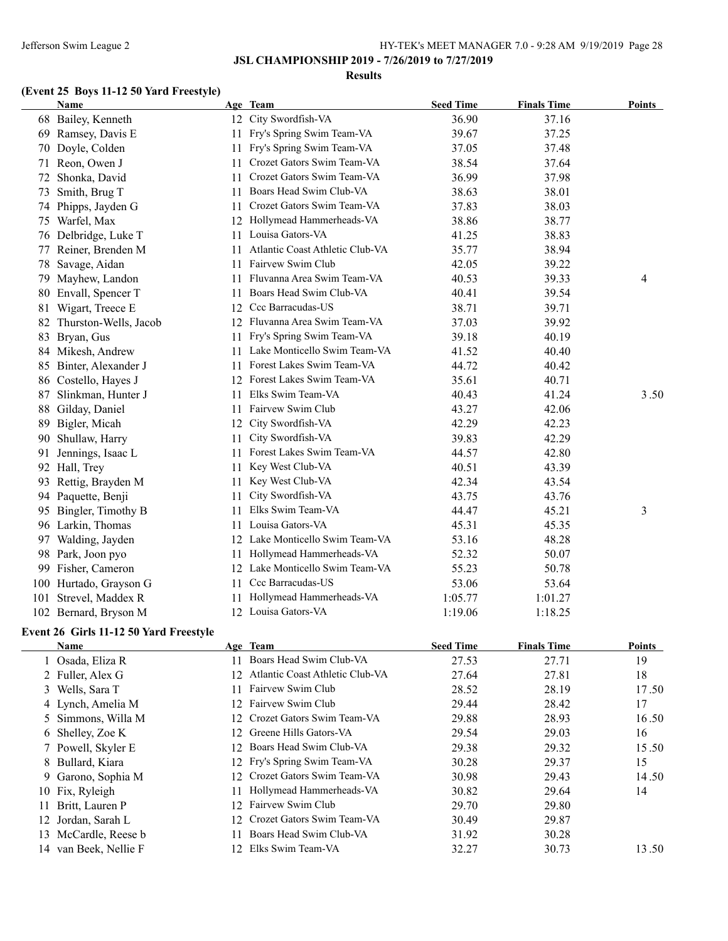### **JSL CHAMPIONSHIP 2019 - 7/26/2019 to 7/27/2019**

#### **Results**

# **(Event 25 Boys 11-12 50 Yard Freestyle)**

| Name                   |     |                                 | <b>Seed Time</b>                                                                                                                                                                                                                                                                                                                              | <b>Finals Time</b> | <b>Points</b> |
|------------------------|-----|---------------------------------|-----------------------------------------------------------------------------------------------------------------------------------------------------------------------------------------------------------------------------------------------------------------------------------------------------------------------------------------------|--------------------|---------------|
| 68 Bailey, Kenneth     |     |                                 | 36.90                                                                                                                                                                                                                                                                                                                                         | 37.16              |               |
| Ramsey, Davis E        |     |                                 | 39.67                                                                                                                                                                                                                                                                                                                                         | 37.25              |               |
| 70 Doyle, Colden       |     |                                 | 37.05                                                                                                                                                                                                                                                                                                                                         | 37.48              |               |
| 71 Reon, Owen J        | 11  | Crozet Gators Swim Team-VA      | 38.54                                                                                                                                                                                                                                                                                                                                         | 37.64              |               |
| Shonka, David          | 11. | Crozet Gators Swim Team-VA      | 36.99                                                                                                                                                                                                                                                                                                                                         | 37.98              |               |
| Smith, Brug T          | 11  | Boars Head Swim Club-VA         | 38.63                                                                                                                                                                                                                                                                                                                                         | 38.01              |               |
| Phipps, Jayden G       | 11  | Crozet Gators Swim Team-VA      | 37.83                                                                                                                                                                                                                                                                                                                                         | 38.03              |               |
| 75 Warfel, Max         | 12  | Hollymead Hammerheads-VA        | 38.86                                                                                                                                                                                                                                                                                                                                         | 38.77              |               |
| 76 Delbridge, Luke T   |     | Louisa Gators-VA                | 41.25                                                                                                                                                                                                                                                                                                                                         | 38.83              |               |
| 77 Reiner, Brenden M   | 11. | Atlantic Coast Athletic Club-VA | 35.77                                                                                                                                                                                                                                                                                                                                         | 38.94              |               |
| Savage, Aidan          | 11. | Fairvew Swim Club               | 42.05                                                                                                                                                                                                                                                                                                                                         | 39.22              |               |
| Mayhew, Landon         | 11  | Fluvanna Area Swim Team-VA      | 40.53                                                                                                                                                                                                                                                                                                                                         | 39.33              | 4             |
| 80 Envall, Spencer T   | 11  | Boars Head Swim Club-VA         | 40.41                                                                                                                                                                                                                                                                                                                                         | 39.54              |               |
| Wigart, Treece E       |     |                                 | 38.71                                                                                                                                                                                                                                                                                                                                         | 39.71              |               |
| Thurston-Wells, Jacob  |     |                                 | 37.03                                                                                                                                                                                                                                                                                                                                         | 39.92              |               |
| 83 Bryan, Gus          |     |                                 | 39.18                                                                                                                                                                                                                                                                                                                                         | 40.19              |               |
| 84 Mikesh, Andrew      |     |                                 | 41.52                                                                                                                                                                                                                                                                                                                                         | 40.40              |               |
| Binter, Alexander J    | 11  | Forest Lakes Swim Team-VA       | 44.72                                                                                                                                                                                                                                                                                                                                         | 40.42              |               |
| 86 Costello, Hayes J   | 12  | Forest Lakes Swim Team-VA       | 35.61                                                                                                                                                                                                                                                                                                                                         | 40.71              |               |
| Slinkman, Hunter J     | 11. | Elks Swim Team-VA               | 40.43                                                                                                                                                                                                                                                                                                                                         | 41.24              | 3.50          |
| Gilday, Daniel         | 11  | Fairvew Swim Club               | 43.27                                                                                                                                                                                                                                                                                                                                         | 42.06              |               |
| Bigler, Micah          |     | City Swordfish-VA               | 42.29                                                                                                                                                                                                                                                                                                                                         | 42.23              |               |
| Shullaw, Harry         | 11. | City Swordfish-VA               | 39.83                                                                                                                                                                                                                                                                                                                                         | 42.29              |               |
| Jennings, Isaac L      | 11. | Forest Lakes Swim Team-VA       | 44.57                                                                                                                                                                                                                                                                                                                                         | 42.80              |               |
| Hall, Trey             | 11  | Key West Club-VA                | 40.51                                                                                                                                                                                                                                                                                                                                         | 43.39              |               |
| 93 Rettig, Brayden M   | 11  | Key West Club-VA                | 42.34                                                                                                                                                                                                                                                                                                                                         | 43.54              |               |
| 94 Paquette, Benji     | 11  | City Swordfish-VA               | 43.75                                                                                                                                                                                                                                                                                                                                         | 43.76              |               |
| 95 Bingler, Timothy B  | 11. | Elks Swim Team-VA               | 44.47                                                                                                                                                                                                                                                                                                                                         | 45.21              | 3             |
| 96 Larkin, Thomas      | 11. | Louisa Gators-VA                | 45.31                                                                                                                                                                                                                                                                                                                                         | 45.35              |               |
| 97 Walding, Jayden     |     |                                 | 53.16                                                                                                                                                                                                                                                                                                                                         | 48.28              |               |
| 98 Park, Joon pyo      |     | Hollymead Hammerheads-VA        | 52.32                                                                                                                                                                                                                                                                                                                                         | 50.07              |               |
| 99 Fisher, Cameron     |     |                                 | 55.23                                                                                                                                                                                                                                                                                                                                         | 50.78              |               |
| 100 Hurtado, Grayson G | 11. | Ccc Barracudas-US               | 53.06                                                                                                                                                                                                                                                                                                                                         | 53.64              |               |
| 101 Strevel, Maddex R  |     | Hollymead Hammerheads-VA        | 1:05.77                                                                                                                                                                                                                                                                                                                                       | 1:01.27            |               |
| 102 Bernard, Bryson M  |     |                                 | 1:19.06                                                                                                                                                                                                                                                                                                                                       | 1:18.25            |               |
|                        |     |                                 | Age Team<br>12 City Swordfish-VA<br>11 Fry's Spring Swim Team-VA<br>11 Fry's Spring Swim Team-VA<br>11.<br>12 Ccc Barracudas-US<br>12 Fluvanna Area Swim Team-VA<br>11 Fry's Spring Swim Team-VA<br>11 Lake Monticello Swim Team-VA<br>12<br>12 Lake Monticello Swim Team-VA<br>11-<br>12 Lake Monticello Swim Team-VA<br>12 Louisa Gators-VA |                    |               |

### **Event 26 Girls 11-12 50 Yard Freestyle**

| Name                  |     | Age Team                           | <b>Seed Time</b> | <b>Finals Time</b> | <b>Points</b> |
|-----------------------|-----|------------------------------------|------------------|--------------------|---------------|
| 1 Osada, Eliza R      | 11  | Boars Head Swim Club-VA            | 27.53            | 27.71              | 19            |
| 2 Fuller, Alex G      |     | 12 Atlantic Coast Athletic Club-VA | 27.64            | 27.81              | 18            |
| 3 Wells, Sara T       | 11  | Fairvew Swim Club                  | 28.52            | 28.19              | 17.50         |
| 4 Lynch, Amelia M     |     | 12 Fairvew Swim Club               | 29.44            | 28.42              | 17            |
| 5 Simmons, Willa M    |     | 12 Crozet Gators Swim Team-VA      | 29.88            | 28.93              | 16.50         |
| 6 Shelley, Zoe K      |     | 12 Greene Hills Gators-VA          | 29.54            | 29.03              | 16            |
| 7 Powell, Skyler E    |     | 12 Boars Head Swim Club-VA         | 29.38            | 29.32              | 15.50         |
| 8 Bullard, Kiara      |     | 12 Fry's Spring Swim Team-VA       | 30.28            | 29.37              | 15            |
| 9 Garono, Sophia M    |     | 12 Crozet Gators Swim Team-VA      | 30.98            | 29.43              | 14.50         |
| 10 Fix, Ryleigh       | 11. | Hollymead Hammerheads-VA           | 30.82            | 29.64              | 14            |
| Britt, Lauren P<br>11 |     | 12 Fairvew Swim Club               | 29.70            | 29.80              |               |
| 12 Jordan, Sarah L    |     | 12 Crozet Gators Swim Team-VA      | 30.49            | 29.87              |               |
| 13 McCardle, Reese b  | 11. | Boars Head Swim Club-VA            | 31.92            | 30.28              |               |
| 14 van Beek, Nellie F |     | 12 Elks Swim Team-VA               | 32.27            | 30.73              | 13.50         |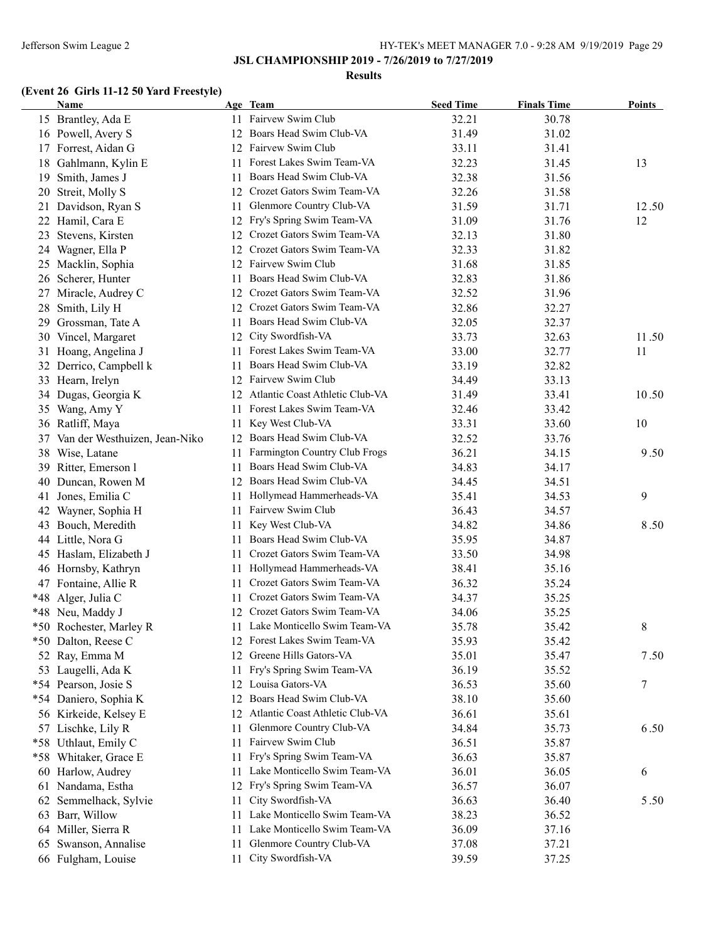### **Results**

# **(Event 26 Girls 11-12 50 Yard Freestyle)**

|    | <b>Name</b>                      |     | Age Team                           | <b>Seed Time</b> | <b>Finals Time</b> | Points |
|----|----------------------------------|-----|------------------------------------|------------------|--------------------|--------|
|    | 15 Brantley, Ada E               |     | 11 Fairvew Swim Club               | 32.21            | 30.78              |        |
|    | 16 Powell, Avery S               |     | 12 Boars Head Swim Club-VA         | 31.49            | 31.02              |        |
|    | 17 Forrest, Aidan G              |     | 12 Fairvew Swim Club               | 33.11            | 31.41              |        |
| 18 | Gahlmann, Kylin E                | 11  | Forest Lakes Swim Team-VA          | 32.23            | 31.45              | 13     |
| 19 | Smith, James J                   | 11  | Boars Head Swim Club-VA            | 32.38            | 31.56              |        |
|    | 20 Streit, Molly S               | 12  | Crozet Gators Swim Team-VA         | 32.26            | 31.58              |        |
|    | 21 Davidson, Ryan S              | 11  | Glenmore Country Club-VA           | 31.59            | 31.71              | 12.50  |
|    | 22 Hamil, Cara E                 | 12  | Fry's Spring Swim Team-VA          | 31.09            | 31.76              | 12     |
|    | 23 Stevens, Kirsten              | 12  | Crozet Gators Swim Team-VA         | 32.13            | 31.80              |        |
|    | 24 Wagner, Ella P                | 12  | Crozet Gators Swim Team-VA         | 32.33            | 31.82              |        |
|    | 25 Macklin, Sophia               | 12  | Fairvew Swim Club                  | 31.68            | 31.85              |        |
|    | 26 Scherer, Hunter               | 11  | Boars Head Swim Club-VA            | 32.83            | 31.86              |        |
|    | 27 Miracle, Audrey C             | 12  | Crozet Gators Swim Team-VA         | 32.52            | 31.96              |        |
|    | 28 Smith, Lily H                 |     | 12 Crozet Gators Swim Team-VA      | 32.86            | 32.27              |        |
|    | 29 Grossman, Tate A              | 11. | Boars Head Swim Club-VA            | 32.05            | 32.37              |        |
|    | 30 Vincel, Margaret              | 12  | City Swordfish-VA                  | 33.73            | 32.63              | 11.50  |
|    | 31 Hoang, Angelina J             |     | 11 Forest Lakes Swim Team-VA       | 33.00            | 32.77              | 11     |
|    | 32 Derrico, Campbell k           | 11  | Boars Head Swim Club-VA            | 33.19            | 32.82              |        |
|    | 33 Hearn, Irelyn                 |     | 12 Fairvew Swim Club               | 34.49            | 33.13              |        |
|    | 34 Dugas, Georgia K              |     | 12 Atlantic Coast Athletic Club-VA | 31.49            | 33.41              | 10.50  |
|    | 35 Wang, Amy Y                   | 11  | Forest Lakes Swim Team-VA          | 32.46            | 33.42              |        |
|    | 36 Ratliff, Maya                 | 11  | Key West Club-VA                   | 33.31            | 33.60              | 10     |
|    | 37 Van der Westhuizen, Jean-Niko | 12  | Boars Head Swim Club-VA            | 32.52            | 33.76              |        |
|    | 38 Wise, Latane                  | 11  | Farmington Country Club Frogs      | 36.21            | 34.15              | 9.50   |
|    | 39 Ritter, Emerson l             | 11  | Boars Head Swim Club-VA            | 34.83            | 34.17              |        |
| 40 | Duncan, Rowen M                  |     | 12 Boars Head Swim Club-VA         | 34.45            | 34.51              |        |
|    |                                  |     | Hollymead Hammerheads-VA           | 35.41            | 34.53              | 9      |
| 41 | Jones, Emilia C                  | 11  | Fairvew Swim Club                  | 36.43            | 34.57              |        |
| 42 | Wayner, Sophia H                 | 11. |                                    |                  |                    |        |
|    | 43 Bouch, Meredith               | 11  | Key West Club-VA                   | 34.82            | 34.86              | 8.50   |
|    | 44 Little, Nora G                |     | 11 Boars Head Swim Club-VA         | 35.95            | 34.87              |        |
|    | 45 Haslam, Elizabeth J           |     | 11 Crozet Gators Swim Team-VA      | 33.50            | 34.98              |        |
|    | 46 Hornsby, Kathryn              |     | 11 Hollymead Hammerheads-VA        | 38.41            | 35.16              |        |
|    | 47 Fontaine, Allie R             | 11  | Crozet Gators Swim Team-VA         | 36.32            | 35.24              |        |
|    | *48 Alger, Julia C               | 11  | Crozet Gators Swim Team-VA         | 34.37            | 35.25              |        |
|    | *48 Neu, Maddy J                 |     | 12 Crozet Gators Swim Team-VA      | 34.06            | 35.25              |        |
|    | *50 Rochester, Marley R          |     | 11 Lake Monticello Swim Team-VA    | 35.78            | 35.42              | 8      |
|    | *50 Dalton, Reese C              |     | 12 Forest Lakes Swim Team-VA       | 35.93            | 35.42              |        |
|    | 52 Ray, Emma M                   | 12  | Greene Hills Gators-VA             | 35.01            | 35.47              | 7.50   |
|    | 53 Laugelli, Ada K               | 11  | Fry's Spring Swim Team-VA          | 36.19            | 35.52              |        |
|    | *54 Pearson, Josie S             | 12  | Louisa Gators-VA                   | 36.53            | 35.60              | 7      |
|    | *54 Daniero, Sophia K            | 12  | Boars Head Swim Club-VA            | 38.10            | 35.60              |        |
|    | 56 Kirkeide, Kelsey E            | 12  | Atlantic Coast Athletic Club-VA    | 36.61            | 35.61              |        |
|    | 57 Lischke, Lily R               | 11  | Glenmore Country Club-VA           | 34.84            | 35.73              | 6.50   |
|    | *58 Uthlaut, Emily C             | 11  | Fairvew Swim Club                  | 36.51            | 35.87              |        |
|    | *58 Whitaker, Grace E            | 11  | Fry's Spring Swim Team-VA          | 36.63            | 35.87              |        |
|    | 60 Harlow, Audrey                | 11. | Lake Monticello Swim Team-VA       | 36.01            | 36.05              | 6      |
|    | 61 Nandama, Estha                |     | 12 Fry's Spring Swim Team-VA       | 36.57            | 36.07              |        |
|    | 62 Semmelhack, Sylvie            | 11  | City Swordfish-VA                  | 36.63            | 36.40              | 5.50   |
|    | 63 Barr, Willow                  | 11  | Lake Monticello Swim Team-VA       | 38.23            | 36.52              |        |
|    | 64 Miller, Sierra R              | 11  | Lake Monticello Swim Team-VA       | 36.09            | 37.16              |        |
| 65 | Swanson, Annalise                | 11  | Glenmore Country Club-VA           | 37.08            | 37.21              |        |
|    | 66 Fulgham, Louise               | 11  | City Swordfish-VA                  | 39.59            | 37.25              |        |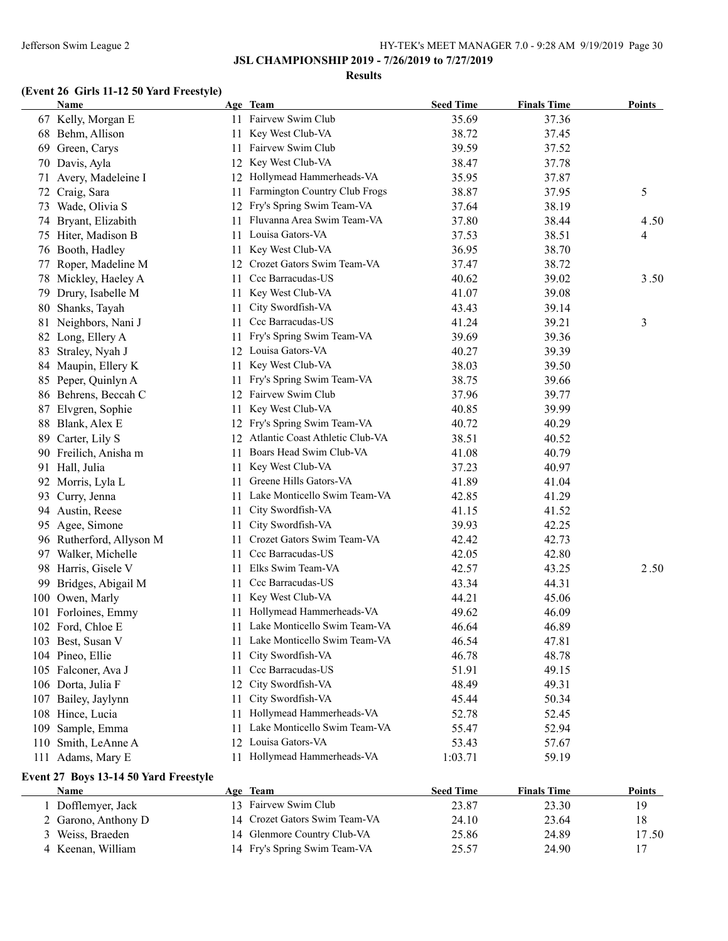### **Results**

# **(Event 26 Girls 11-12 50 Yard Freestyle)**

|     | <b>Name</b>              |     | Age Team                           | <b>Seed Time</b> | <b>Finals Time</b> | Points         |
|-----|--------------------------|-----|------------------------------------|------------------|--------------------|----------------|
|     | 67 Kelly, Morgan E       |     | 11 Fairvew Swim Club               | 35.69            | 37.36              |                |
|     | 68 Behm, Allison         | 11  | Key West Club-VA                   | 38.72            | 37.45              |                |
| 69  | Green, Carys             | 11. | Fairvew Swim Club                  | 39.59            | 37.52              |                |
|     | 70 Davis, Ayla           | 12  | Key West Club-VA                   | 38.47            | 37.78              |                |
| 71  | Avery, Madeleine I       |     | 12 Hollymead Hammerheads-VA        | 35.95            | 37.87              |                |
|     | 72 Craig, Sara           | 11  | Farmington Country Club Frogs      | 38.87            | 37.95              | 5              |
| 73  | Wade, Olivia S           |     | 12 Fry's Spring Swim Team-VA       | 37.64            | 38.19              |                |
|     | 74 Bryant, Elizabith     | 11  | Fluvanna Area Swim Team-VA         | 37.80            | 38.44              | 4.50           |
| 75  | Hiter, Madison B         | 11  | Louisa Gators-VA                   | 37.53            | 38.51              | $\overline{4}$ |
|     | 76 Booth, Hadley         | 11  | Key West Club-VA                   | 36.95            | 38.70              |                |
| 77  | Roper, Madeline M        | 12  | Crozet Gators Swim Team-VA         | 37.47            | 38.72              |                |
|     | 78 Mickley, Haeley A     | 11  | Ccc Barracudas-US                  | 40.62            | 39.02              | 3.50           |
| 79. | Drury, Isabelle M        | 11  | Key West Club-VA                   | 41.07            | 39.08              |                |
| 80  | Shanks, Tayah            | 11  | City Swordfish-VA                  | 43.43            | 39.14              |                |
|     | 81 Neighbors, Nani J     | 11  | Ccc Barracudas-US                  | 41.24            | 39.21              | 3              |
|     | 82 Long, Ellery A        | 11  | Fry's Spring Swim Team-VA          | 39.69            | 39.36              |                |
|     | 83 Straley, Nyah J       |     | 12 Louisa Gators-VA                | 40.27            | 39.39              |                |
|     | 84 Maupin, Ellery K      | 11. | Key West Club-VA                   | 38.03            | 39.50              |                |
|     | 85 Peper, Quinlyn A      | 11  | Fry's Spring Swim Team-VA          | 38.75            | 39.66              |                |
|     | 86 Behrens, Beccah C     |     | 12 Fairvew Swim Club               | 37.96            | 39.77              |                |
| 87  | Elvgren, Sophie          | 11  | Key West Club-VA                   | 40.85            | 39.99              |                |
|     | 88 Blank, Alex E         |     | 12 Fry's Spring Swim Team-VA       | 40.72            | 40.29              |                |
| 89  | Carter, Lily S           |     | 12 Atlantic Coast Athletic Club-VA | 38.51            | 40.52              |                |
|     | 90 Freilich, Anisha m    | 11  | Boars Head Swim Club-VA            | 41.08            | 40.79              |                |
| 91  | Hall, Julia              | 11  | Key West Club-VA                   | 37.23            | 40.97              |                |
|     | 92 Morris, Lyla L        | 11  | Greene Hills Gators-VA             | 41.89            | 41.04              |                |
| 93  | Curry, Jenna             | 11. | Lake Monticello Swim Team-VA       | 42.85            | 41.29              |                |
|     | 94 Austin, Reese         | 11  | City Swordfish-VA                  | 41.15            | 41.52              |                |
|     | 95 Agee, Simone          | 11  | City Swordfish-VA                  | 39.93            | 42.25              |                |
|     | 96 Rutherford, Allyson M | 11  | Crozet Gators Swim Team-VA         | 42.42            | 42.73              |                |
|     | 97 Walker, Michelle      | 11. | Ccc Barracudas-US                  | 42.05            | 42.80              |                |
|     | 98 Harris, Gisele V      | 11  | Elks Swim Team-VA                  | 42.57            | 43.25              | 2.50           |
| 99  | Bridges, Abigail M       | 11  | Ccc Barracudas-US                  | 43.34            | 44.31              |                |
|     | 100 Owen, Marly          | 11  | Key West Club-VA                   | 44.21            | 45.06              |                |
|     | 101 Forloines, Emmy      | 11  | Hollymead Hammerheads-VA           | 49.62            | 46.09              |                |
|     | 102 Ford, Chloe E        |     | 11 Lake Monticello Swim Team-VA    | 46.64            | 46.89              |                |
|     | 103 Best, Susan V        |     | 11 Lake Monticello Swim Team-VA    | 46.54            | 47.81              |                |
|     | 104 Pineo, Ellie         | 11  | City Swordfish-VA                  | 46.78            | 48.78              |                |
|     | 105 Falconer, Ava J      | 11  | Ccc Barracudas-US                  | 51.91            | 49.15              |                |
|     | 106 Dorta, Julia F       | 12  | City Swordfish-VA                  | 48.49            | 49.31              |                |
| 107 | Bailey, Jaylynn          | 11  | City Swordfish-VA                  | 45.44            | 50.34              |                |
|     | 108 Hince, Lucia         | 11  | Hollymead Hammerheads-VA           | 52.78            | 52.45              |                |
| 109 | Sample, Emma             | 11  | Lake Monticello Swim Team-VA       | 55.47            | 52.94              |                |
| 110 | Smith, LeAnne A          | 12  | Louisa Gators-VA                   | 53.43            | 57.67              |                |
|     | 111 Adams, Mary E        |     | 11 Hollymead Hammerheads-VA        | 1:03.71          | 59.19              |                |
|     |                          |     |                                    |                  |                    |                |

### **Event 27 Boys 13-14 50 Yard Freestyle**

| <b>Name</b>         | Age Team                      | <b>Seed Time</b> | <b>Finals Time</b> | Points |
|---------------------|-------------------------------|------------------|--------------------|--------|
| l Dofflemver, Jack  | 13 Fairvew Swim Club          | 23.87            | 23.30              | 19     |
| 2 Garono, Anthony D | 14 Crozet Gators Swim Team-VA | 24.10            | 23.64              | 18     |
| 3 Weiss, Braeden    | 14 Glenmore Country Club-VA   | 25.86            | 24.89              | 17.50  |
| 4 Keenan, William   | 14 Fry's Spring Swim Team-VA  | 25.57            | 24.90              |        |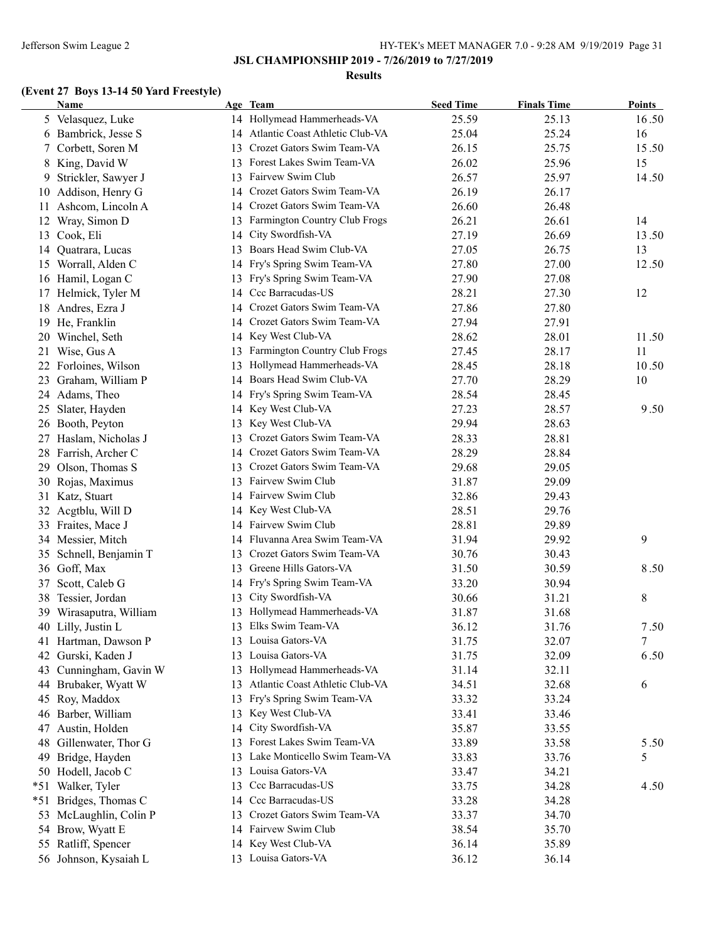**JSL CHAMPIONSHIP 2019 - 7/26/2019 to 7/27/2019**

#### **Results**

# **(Event 27 Boys 13-14 50 Yard Freestyle)**

|       | <b>Name</b>            |    | Age Team                                                | <b>Seed Time</b> | <b>Finals Time</b> | <b>Points</b> |
|-------|------------------------|----|---------------------------------------------------------|------------------|--------------------|---------------|
|       | 5 Velasquez, Luke      |    | 14 Hollymead Hammerheads-VA                             | 25.59            | 25.13              | 16.50         |
|       | 6 Bambrick, Jesse S    | 14 | Atlantic Coast Athletic Club-VA                         | 25.04            | 25.24              | 16            |
| 7.    | Corbett, Soren M       | 13 | Crozet Gators Swim Team-VA                              | 26.15            | 25.75              | 15.50         |
|       | 8 King, David W        | 13 | Forest Lakes Swim Team-VA                               | 26.02            | 25.96              | 15            |
| 9     | Strickler, Sawyer J    | 13 | Fairvew Swim Club                                       | 26.57            | 25.97              | 14.50         |
|       | 10 Addison, Henry G    | 14 | Crozet Gators Swim Team-VA                              | 26.19            | 26.17              |               |
| 11    | Ashcom, Lincoln A      | 14 | Crozet Gators Swim Team-VA                              | 26.60            | 26.48              |               |
| 12    | Wray, Simon D          | 13 | Farmington Country Club Frogs                           | 26.21            | 26.61              | 14            |
| 13    | Cook, Eli              | 14 | City Swordfish-VA                                       | 27.19            | 26.69              | 13.50         |
| 14    | Quatrara, Lucas        | 13 | Boars Head Swim Club-VA                                 | 27.05            | 26.75              | 13            |
|       | 15 Worrall, Alden C    | 14 | Fry's Spring Swim Team-VA                               | 27.80            | 27.00              | 12.50         |
|       | 16 Hamil, Logan C      | 13 | Fry's Spring Swim Team-VA                               | 27.90            | 27.08              |               |
|       | 17 Helmick, Tyler M    | 14 | Ccc Barracudas-US                                       | 28.21            | 27.30              | 12            |
|       | 18 Andres, Ezra J      | 14 | Crozet Gators Swim Team-VA                              | 27.86            | 27.80              |               |
|       | 19 He, Franklin        | 14 | Crozet Gators Swim Team-VA                              | 27.94            | 27.91              |               |
|       | 20 Winchel, Seth       | 14 | Key West Club-VA                                        | 28.62            | 28.01              | 11.50         |
|       | 21 Wise, Gus A         | 13 | Farmington Country Club Frogs                           | 27.45            | 28.17              | 11            |
|       | 22 Forloines, Wilson   | 13 | Hollymead Hammerheads-VA                                | 28.45            | 28.18              | 10.50         |
| 23    | Graham, William P      | 14 | Boars Head Swim Club-VA                                 | 27.70            | 28.29              | 10            |
|       | 24 Adams, Theo         | 14 | Fry's Spring Swim Team-VA                               | 28.54            | 28.45              |               |
|       | 25 Slater, Hayden      |    | 14 Key West Club-VA                                     | 27.23            | 28.57              | 9.50          |
|       | 26 Booth, Peyton       | 13 | Key West Club-VA                                        | 29.94            | 28.63              |               |
|       | 27 Haslam, Nicholas J  | 13 | Crozet Gators Swim Team-VA                              | 28.33            | 28.81              |               |
|       | 28 Farrish, Archer C   |    | 14 Crozet Gators Swim Team-VA                           | 28.29            | 28.84              |               |
| 29    | Olson, Thomas S        | 13 | Crozet Gators Swim Team-VA                              | 29.68            | 29.05              |               |
|       | 30 Rojas, Maximus      |    | 13 Fairvew Swim Club                                    | 31.87            | 29.09              |               |
|       | 31 Katz, Stuart        |    | 14 Fairvew Swim Club                                    | 32.86            | 29.43              |               |
|       |                        |    | 14 Key West Club-VA                                     | 28.51            | 29.76              |               |
|       | 32 Acgtblu, Will D     |    | 14 Fairvew Swim Club                                    |                  |                    |               |
|       | 33 Fraites, Mace J     |    | Fluvanna Area Swim Team-VA                              | 28.81            | 29.89              | 9             |
|       | 34 Messier, Mitch      | 14 |                                                         | 31.94            | 29.92              |               |
| 35    | Schnell, Benjamin T    | 13 | Crozet Gators Swim Team-VA<br>13 Greene Hills Gators-VA | 30.76            | 30.43              |               |
|       | 36 Goff, Max           |    |                                                         | 31.50            | 30.59              | 8.50          |
| 37    | Scott, Caleb G         | 14 | Fry's Spring Swim Team-VA                               | 33.20            | 30.94              |               |
|       | 38 Tessier, Jordan     | 13 | City Swordfish-VA                                       | 30.66            | 31.21              | 8             |
| 39    | Wirasaputra, William   | 13 | Hollymead Hammerheads-VA                                | 31.87            | 31.68              |               |
|       | 40 Lilly, Justin L     |    | 13 Elks Swim Team-VA                                    | 36.12            | 31.76              | 7.50          |
|       | 41 Hartman, Dawson P   |    | 13 Louisa Gators-VA                                     | 31.75            | 32.07              | 7             |
|       | 42 Gurski, Kaden J     | 13 | Louisa Gators-VA                                        | 31.75            | 32.09              | 6.50          |
| 43    | Cunningham, Gavin W    | 13 | Hollymead Hammerheads-VA                                | 31.14            | 32.11              |               |
|       | 44 Brubaker, Wyatt W   | 13 | Atlantic Coast Athletic Club-VA                         | 34.51            | 32.68              | 6             |
|       | 45 Roy, Maddox         | 13 | Fry's Spring Swim Team-VA                               | 33.32            | 33.24              |               |
|       | 46 Barber, William     | 13 | Key West Club-VA                                        | 33.41            | 33.46              |               |
|       | 47 Austin, Holden      | 14 | City Swordfish-VA                                       | 35.87            | 33.55              |               |
|       | 48 Gillenwater, Thor G | 13 | Forest Lakes Swim Team-VA                               | 33.89            | 33.58              | 5.50          |
|       | 49 Bridge, Hayden      | 13 | Lake Monticello Swim Team-VA                            | 33.83            | 33.76              | 5             |
|       | 50 Hodell, Jacob C     | 13 | Louisa Gators-VA                                        | 33.47            | 34.21              |               |
| *51   | Walker, Tyler          | 13 | Ccc Barracudas-US                                       | 33.75            | 34.28              | 4.50          |
| $*51$ | Bridges, Thomas C      | 14 | Ccc Barracudas-US                                       | 33.28            | 34.28              |               |
|       | 53 McLaughlin, Colin P | 13 | Crozet Gators Swim Team-VA                              | 33.37            | 34.70              |               |
|       | 54 Brow, Wyatt E       |    | 14 Fairvew Swim Club                                    | 38.54            | 35.70              |               |
|       | 55 Ratliff, Spencer    |    | 14 Key West Club-VA                                     | 36.14            | 35.89              |               |
|       | 56 Johnson, Kysaiah L  |    | 13 Louisa Gators-VA                                     | 36.12            | 36.14              |               |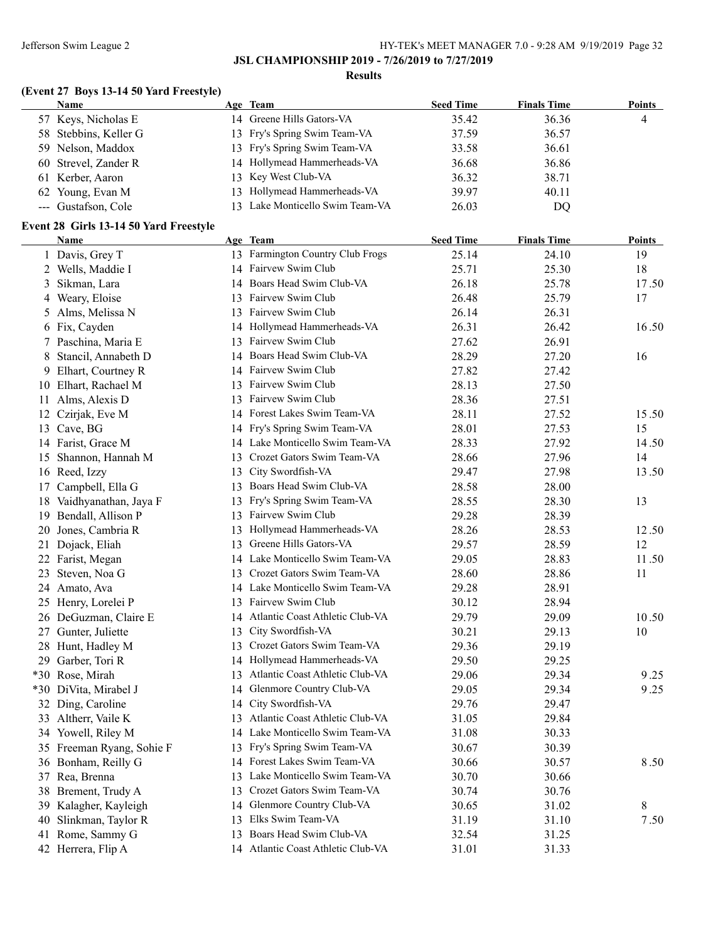### **JSL CHAMPIONSHIP 2019 - 7/26/2019 to 7/27/2019**

#### **Results**

# **(Event 27 Boys 13-14 50 Yard Freestyle)**

| <b>Name</b>           | Age Team                        | <b>Seed Time</b> | <b>Finals Time</b> | Points |
|-----------------------|---------------------------------|------------------|--------------------|--------|
| 57 Keys, Nicholas E   | 14 Greene Hills Gators-VA       | 35.42            | 36.36              | 4      |
| 58 Stebbins, Keller G | 13 Fry's Spring Swim Team-VA    | 37.59            | 36.57              |        |
| 59 Nelson, Maddox     | 13 Fry's Spring Swim Team-VA    | 33.58            | 36.61              |        |
| 60 Strevel, Zander R  | 14 Hollymead Hammerheads-VA     | 36.68            | 36.86              |        |
| 61 Kerber, Aaron      | 13 Key West Club-VA             | 36.32            | 38.71              |        |
| 62 Young, Evan M      | 13 Hollymead Hammerheads-VA     | 39.97            | 40.11              |        |
| --- Gustafson, Cole   | 13 Lake Monticello Swim Team-VA | 26.03            | DO                 |        |

### **Event 28 Girls 13-14 50 Yard Freestyle**

|   | <b>Name</b>               |    | Age Team                           | <b>Seed Time</b> | <b>Finals Time</b> | <b>Points</b> |
|---|---------------------------|----|------------------------------------|------------------|--------------------|---------------|
|   | 1 Davis, Grey T           |    | 13 Farmington Country Club Frogs   | 25.14            | 24.10              | 19            |
|   | 2 Wells, Maddie I         |    | 14 Fairvew Swim Club               | 25.71            | 25.30              | 18            |
|   | 3 Sikman, Lara            |    | 14 Boars Head Swim Club-VA         | 26.18            | 25.78              | 17.50         |
|   | 4 Weary, Eloise           |    | 13 Fairvew Swim Club               | 26.48            | 25.79              | 17            |
|   | 5 Alms, Melissa N         |    | 13 Fairvew Swim Club               | 26.14            | 26.31              |               |
|   | 6 Fix, Cayden             |    | 14 Hollymead Hammerheads-VA        | 26.31            | 26.42              | 16.50         |
|   | 7 Paschina, Maria E       |    | 13 Fairvew Swim Club               | 27.62            | 26.91              |               |
| 8 | Stancil, Annabeth D       |    | 14 Boars Head Swim Club-VA         | 28.29            | 27.20              | 16            |
|   | 9 Elhart, Courtney R      |    | 14 Fairvew Swim Club               | 27.82            | 27.42              |               |
|   | 10 Elhart, Rachael M      |    | 13 Fairvew Swim Club               | 28.13            | 27.50              |               |
|   | 11 Alms, Alexis D         |    | 13 Fairvew Swim Club               | 28.36            | 27.51              |               |
|   | 12 Czirjak, Eve M         |    | 14 Forest Lakes Swim Team-VA       | 28.11            | 27.52              | 15.50         |
|   | 13 Cave, BG               |    | 14 Fry's Spring Swim Team-VA       | 28.01            | 27.53              | 15            |
|   | 14 Farist, Grace M        |    | 14 Lake Monticello Swim Team-VA    | 28.33            | 27.92              | 14.50         |
|   | 15 Shannon, Hannah M      | 13 | Crozet Gators Swim Team-VA         | 28.66            | 27.96              | 14            |
|   | 16 Reed, Izzy             | 13 | City Swordfish-VA                  | 29.47            | 27.98              | 13.50         |
|   | 17 Campbell, Ella G       |    | 13 Boars Head Swim Club-VA         | 28.58            | 28.00              |               |
|   | 18 Vaidhyanathan, Jaya F  |    | 13 Fry's Spring Swim Team-VA       | 28.55            | 28.30              | 13            |
|   | 19 Bendall, Allison P     |    | 13 Fairvew Swim Club               | 29.28            | 28.39              |               |
|   | 20 Jones, Cambria R       |    | 13 Hollymead Hammerheads-VA        | 28.26            | 28.53              | 12.50         |
|   | 21 Dojack, Eliah          |    | 13 Greene Hills Gators-VA          | 29.57            | 28.59              | 12            |
|   | 22 Farist, Megan          |    | 14 Lake Monticello Swim Team-VA    | 29.05            | 28.83              | 11.50         |
|   | 23 Steven, Noa G          | 13 | Crozet Gators Swim Team-VA         | 28.60            | 28.86              | 11            |
|   | 24 Amato, Ava             |    | 14 Lake Monticello Swim Team-VA    | 29.28            | 28.91              |               |
|   | 25 Henry, Lorelei P       |    | 13 Fairvew Swim Club               | 30.12            | 28.94              |               |
|   | 26 DeGuzman, Claire E     |    | 14 Atlantic Coast Athletic Club-VA | 29.79            | 29.09              | 10.50         |
|   | 27 Gunter, Juliette       | 13 | City Swordfish-VA                  | 30.21            | 29.13              | 10            |
|   | 28 Hunt, Hadley M         |    | 13 Crozet Gators Swim Team-VA      | 29.36            | 29.19              |               |
|   | 29 Garber, Tori R         |    | 14 Hollymead Hammerheads-VA        | 29.50            | 29.25              |               |
|   | *30 Rose, Mirah           | 13 | Atlantic Coast Athletic Club-VA    | 29.06            | 29.34              | 9.25          |
|   | *30 DiVita, Mirabel J     | 14 | Glenmore Country Club-VA           | 29.05            | 29.34              | 9.25          |
|   | 32 Ding, Caroline         | 14 | City Swordfish-VA                  | 29.76            | 29.47              |               |
|   | 33 Altherr, Vaile K       |    | 13 Atlantic Coast Athletic Club-VA | 31.05            | 29.84              |               |
|   | 34 Yowell, Riley M        |    | 14 Lake Monticello Swim Team-VA    | 31.08            | 30.33              |               |
|   | 35 Freeman Ryang, Sohie F |    | 13 Fry's Spring Swim Team-VA       | 30.67            | 30.39              |               |
|   | 36 Bonham, Reilly G       |    | 14 Forest Lakes Swim Team-VA       | 30.66            | 30.57              | 8.50          |
|   | 37 Rea, Brenna            |    | 13 Lake Monticello Swim Team-VA    | 30.70            | 30.66              |               |
|   | 38 Brement, Trudy A       |    | 13 Crozet Gators Swim Team-VA      | 30.74            | 30.76              |               |
|   | 39 Kalagher, Kayleigh     |    | 14 Glenmore Country Club-VA        | 30.65            | 31.02              | 8             |
|   | 40 Slinkman, Taylor R     | 13 | Elks Swim Team-VA                  | 31.19            | 31.10              | 7.50          |
|   | 41 Rome, Sammy G          |    | 13 Boars Head Swim Club-VA         | 32.54            | 31.25              |               |
|   | 42 Herrera, Flip A        |    | 14 Atlantic Coast Athletic Club-VA | 31.01            | 31.33              |               |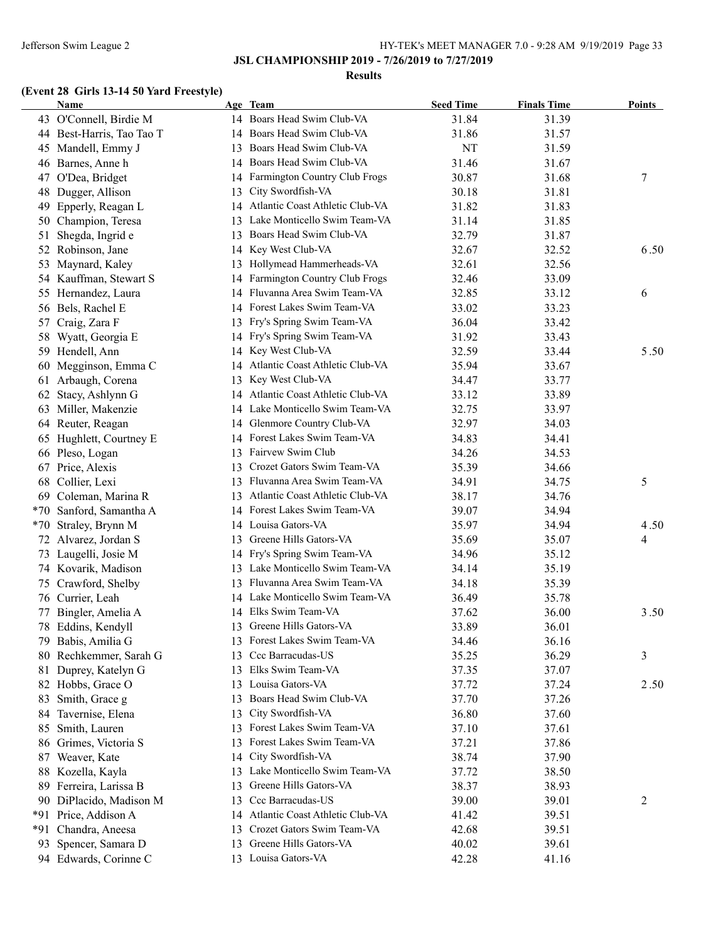### **JSL CHAMPIONSHIP 2019 - 7/26/2019 to 7/27/2019**

#### **Results**

# **(Event 28 Girls 13-14 50 Yard Freestyle)**

|       | Name                      |          | Age Team                           | <b>Seed Time</b> | <b>Finals Time</b> | <b>Points</b> |
|-------|---------------------------|----------|------------------------------------|------------------|--------------------|---------------|
|       | 43 O'Connell, Birdie M    |          | 14 Boars Head Swim Club-VA         | 31.84            | 31.39              |               |
|       | 44 Best-Harris, Tao Tao T |          | 14 Boars Head Swim Club-VA         | 31.86            | 31.57              |               |
| 45    | Mandell, Emmy J           |          | 13 Boars Head Swim Club-VA         | NT               | 31.59              |               |
|       | 46 Barnes, Anne h         |          | 14 Boars Head Swim Club-VA         | 31.46            | 31.67              |               |
|       | 47 O'Dea, Bridget         |          | 14 Farmington Country Club Frogs   | 30.87            | 31.68              | 7             |
| 48    | Dugger, Allison           | 13       | City Swordfish-VA                  | 30.18            | 31.81              |               |
| 49    | Epperly, Reagan L         | 14       | Atlantic Coast Athletic Club-VA    | 31.82            | 31.83              |               |
| 50    | Champion, Teresa          | 13       | Lake Monticello Swim Team-VA       | 31.14            | 31.85              |               |
| 51    | Shegda, Ingrid e          | 13       | Boars Head Swim Club-VA            | 32.79            | 31.87              |               |
|       | 52 Robinson, Jane         | 14       | Key West Club-VA                   | 32.67            | 32.52              | 6.50          |
| 53    | Maynard, Kaley            | 13       | Hollymead Hammerheads-VA           | 32.61            | 32.56              |               |
|       | 54 Kauffman, Stewart S    | 14       | Farmington Country Club Frogs      | 32.46            | 33.09              |               |
|       | 55 Hernandez, Laura       | 14       | Fluvanna Area Swim Team-VA         | 32.85            | 33.12              | 6             |
|       | 56 Bels, Rachel E         |          | 14 Forest Lakes Swim Team-VA       | 33.02            | 33.23              |               |
|       | 57 Craig, Zara F          |          | 13 Fry's Spring Swim Team-VA       | 36.04            | 33.42              |               |
| 58    | Wyatt, Georgia E          |          | 14 Fry's Spring Swim Team-VA       | 31.92            | 33.43              |               |
|       | 59 Hendell, Ann           |          | 14 Key West Club-VA                | 32.59            | 33.44              | 5.50          |
| 60    | Megginson, Emma C         |          | 14 Atlantic Coast Athletic Club-VA | 35.94            | 33.67              |               |
| 61    | Arbaugh, Corena           | 13       | Key West Club-VA                   | 34.47            | 33.77              |               |
| 62    | Stacy, Ashlynn G          |          | 14 Atlantic Coast Athletic Club-VA | 33.12            | 33.89              |               |
| 63    | Miller, Makenzie          |          | 14 Lake Monticello Swim Team-VA    | 32.75            | 33.97              |               |
| 64    | Reuter, Reagan            |          | 14 Glenmore Country Club-VA        | 32.97            | 34.03              |               |
| 65    | Hughlett, Courtney E      |          | 14 Forest Lakes Swim Team-VA       | 34.83            | 34.41              |               |
|       | 66 Pleso, Logan           |          | 13 Fairvew Swim Club               | 34.26            | 34.53              |               |
|       | 67 Price, Alexis          | 13       | Crozet Gators Swim Team-VA         | 35.39            | 34.66              |               |
| 68    | Collier, Lexi             |          | 13 Fluvanna Area Swim Team-VA      | 34.91            | 34.75              | 5             |
| 69    | Coleman, Marina R         |          | 13 Atlantic Coast Athletic Club-VA | 38.17            | 34.76              |               |
|       | *70 Sanford, Samantha A   |          | 14 Forest Lakes Swim Team-VA       | 39.07            | 34.94              |               |
| $*70$ | Straley, Brynn M          |          | 14 Louisa Gators-VA                | 35.97            | 34.94              | 4.50          |
|       | 72 Alvarez, Jordan S      |          | 13 Greene Hills Gators-VA          | 35.69            | 35.07              | 4             |
|       | 73 Laugelli, Josie M      |          | 14 Fry's Spring Swim Team-VA       | 34.96            | 35.12              |               |
|       | 74 Kovarik, Madison       |          | 13 Lake Monticello Swim Team-VA    | 34.14            | 35.19              |               |
| 75    | Crawford, Shelby          |          | 13 Fluvanna Area Swim Team-VA      | 34.18            | 35.39              |               |
|       | 76 Currier, Leah          |          | 14 Lake Monticello Swim Team-VA    | 36.49            | 35.78              |               |
| 77    | Bingler, Amelia A         |          | 14 Elks Swim Team-VA               | 37.62            | 36.00              | 3.50          |
| 78    | Eddins, Kendyll           | 13       | Greene Hills Gators-VA             | 33.89            | 36.01              |               |
|       | 79 Babis, Amilia G        |          | 13 Forest Lakes Swim Team-VA       | 34.46            | 36.16              |               |
| 80    | Rechkemmer, Sarah G       | 13       | Ccc Barracudas-US                  | 35.25            | 36.29              | 3             |
| 81    | Duprey, Katelyn G         | 13       | Elks Swim Team-VA                  | 37.35            | 37.07              |               |
| 82    | Hobbs, Grace O            | 13       | Louisa Gators-VA                   | 37.72            | 37.24              | 2.50          |
| 83    | Smith, Grace g            | 13       | Boars Head Swim Club-VA            | 37.70            | 37.26              |               |
|       | Tavernise, Elena          |          | City Swordfish-VA                  | 36.80            |                    |               |
| 84    | Smith, Lauren             | 13<br>13 | Forest Lakes Swim Team-VA          |                  | 37.60              |               |
| 85    |                           |          | Forest Lakes Swim Team-VA          | 37.10            | 37.61              |               |
| 86    | Grimes, Victoria S        | 13       | City Swordfish-VA                  | 37.21            | 37.86              |               |
| 87    | Weaver, Kate              | 14       | Lake Monticello Swim Team-VA       | 38.74            | 37.90              |               |
|       | 88 Kozella, Kayla         | 13       |                                    | 37.72            | 38.50              |               |
| 89    | Ferreira, Larissa B       | 13       | Greene Hills Gators-VA             | 38.37            | 38.93              |               |
| 90    | DiPlacido, Madison M      | 13       | Ccc Barracudas-US                  | 39.00            | 39.01              | 2             |
| *91   | Price, Addison A          | 14       | Atlantic Coast Athletic Club-VA    | 41.42            | 39.51              |               |
| *91   | Chandra, Aneesa           | 13       | Crozet Gators Swim Team-VA         | 42.68            | 39.51              |               |
| 93    | Spencer, Samara D         | 13       | Greene Hills Gators-VA             | 40.02            | 39.61              |               |
|       | 94 Edwards, Corinne C     |          | 13 Louisa Gators-VA                | 42.28            | 41.16              |               |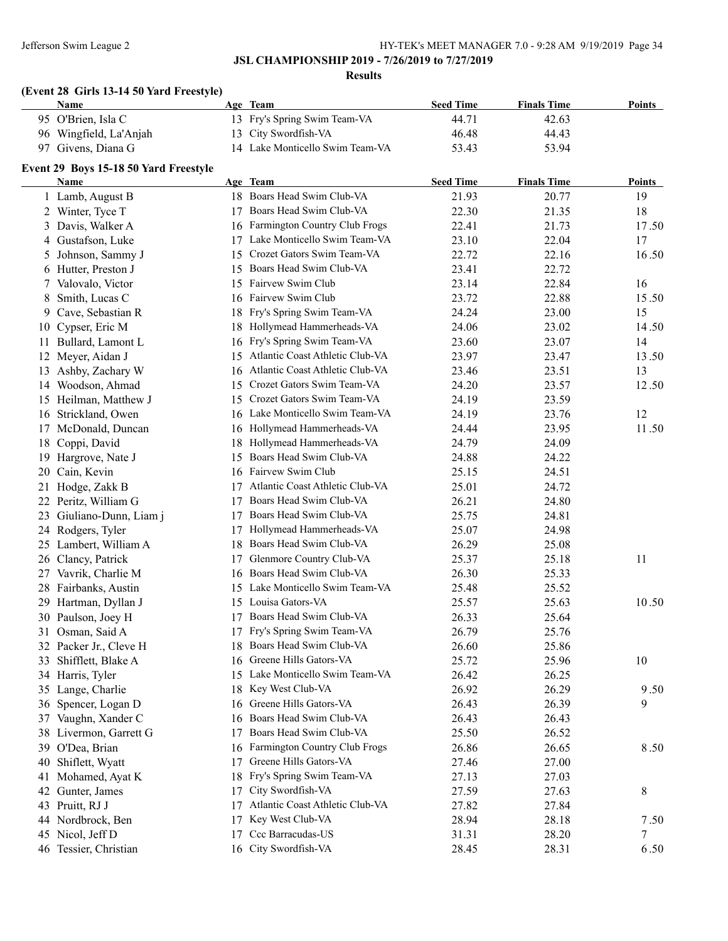**Results**

# **(Event 28 Girls 13-14 50 Yard Freestyle)**

| <b>Points</b> |
|---------------|
|               |
|               |
|               |
|               |
| <b>Points</b> |
| 19            |
| 18            |
| 17.50         |
| 17            |
| 16.50         |
|               |
| 16            |
| 15.50         |
| 15            |
| 14.50         |
| 14            |
| 13.50         |
| 13            |
| 12.50         |
|               |
| 12            |
| 11.50         |
|               |
|               |
|               |
|               |
|               |
|               |
|               |
|               |
| 11            |
|               |
|               |
| 10.50         |
|               |
|               |
|               |
| 10            |
|               |
| 9.50          |
| 9             |
|               |
|               |
| 8.50          |
|               |
|               |
| 8             |
|               |
| 7.50          |
|               |
| 7             |
|               |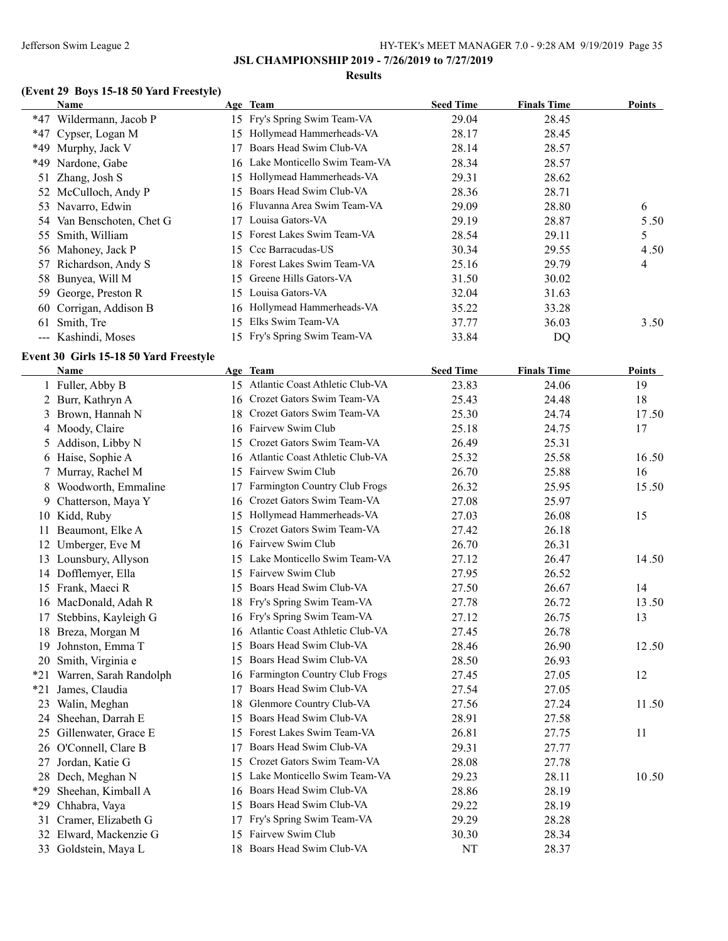### **JSL CHAMPIONSHIP 2019 - 7/26/2019 to 7/27/2019**

#### **Results**

# **(Event 29 Boys 15-18 50 Yard Freestyle)**

|    | Name                      |     | Age Team                        | <b>Seed Time</b> | <b>Finals Time</b> | <b>Points</b> |
|----|---------------------------|-----|---------------------------------|------------------|--------------------|---------------|
|    | *47 Wildermann, Jacob P   |     | 15 Fry's Spring Swim Team-VA    | 29.04            | 28.45              |               |
|    | *47 Cypser, Logan M       | 15  | Hollymead Hammerheads-VA        | 28.17            | 28.45              |               |
|    | *49 Murphy, Jack V        |     | Boars Head Swim Club-VA         | 28.14            | 28.57              |               |
|    | *49 Nardone, Gabe         |     | 16 Lake Monticello Swim Team-VA | 28.34            | 28.57              |               |
|    | 51 Zhang, Josh S          | 15  | Hollymead Hammerheads-VA        | 29.31            | 28.62              |               |
|    | 52 McCulloch, Andy P      | 15  | Boars Head Swim Club-VA         | 28.36            | 28.71              |               |
|    | 53 Navarro, Edwin         | 16. | Fluvanna Area Swim Team-VA      | 29.09            | 28.80              | 6             |
|    | 54 Van Benschoten, Chet G |     | Louisa Gators-VA                | 29.19            | 28.87              | 5.50          |
|    | 55 Smith, William         | 15  | Forest Lakes Swim Team-VA       | 28.54            | 29.11              | 5             |
|    | 56 Mahoney, Jack P        | 15. | Ccc Barracudas-US               | 30.34            | 29.55              | 4.50          |
|    | 57 Richardson, Andy S     | 18. | Forest Lakes Swim Team-VA       | 25.16            | 29.79              | 4             |
|    | 58 Bunyea, Will M         | 15. | Greene Hills Gators-VA          | 31.50            | 30.02              |               |
|    | 59 George, Preston R      | 15  | Louisa Gators-VA                | 32.04            | 31.63              |               |
|    | 60 Corrigan, Addison B    | 16  | Hollymead Hammerheads-VA        | 35.22            | 33.28              |               |
| 61 | Smith, Tre                | 15  | Elks Swim Team-VA               | 37.77            | 36.03              | 3.50          |
|    | --- Kashindi, Moses       |     | 15 Fry's Spring Swim Team-VA    | 33.84            | DQ                 |               |

### **Event 30 Girls 15-18 50 Yard Freestyle**

|       | <b>Name</b>            |    | Age Team                           | <b>Seed Time</b> | <b>Finals Time</b> | Points |
|-------|------------------------|----|------------------------------------|------------------|--------------------|--------|
|       | 1 Fuller, Abby B       |    | 15 Atlantic Coast Athletic Club-VA | 23.83            | 24.06              | 19     |
|       | 2 Burr, Kathryn A      | 16 | Crozet Gators Swim Team-VA         | 25.43            | 24.48              | 18     |
| 3     | Brown, Hannah N        | 18 | Crozet Gators Swim Team-VA         | 25.30            | 24.74              | 17.50  |
|       | 4 Moody, Claire        |    | 16 Fairvew Swim Club               | 25.18            | 24.75              | 17     |
|       | 5 Addison, Libby N     | 15 | Crozet Gators Swim Team-VA         | 26.49            | 25.31              |        |
|       | 6 Haise, Sophie A      | 16 | Atlantic Coast Athletic Club-VA    | 25.32            | 25.58              | 16.50  |
| 7.    | Murray, Rachel M       | 15 | Fairvew Swim Club                  | 26.70            | 25.88              | 16     |
| 8     | Woodworth, Emmaline    | 17 | Farmington Country Club Frogs      | 26.32            | 25.95              | 15.50  |
|       | 9 Chatterson, Maya Y   | 16 | Crozet Gators Swim Team-VA         | 27.08            | 25.97              |        |
|       | 10 Kidd, Ruby          | 15 | Hollymead Hammerheads-VA           | 27.03            | 26.08              | 15     |
| 11    | Beaumont, Elke A       | 15 | Crozet Gators Swim Team-VA         | 27.42            | 26.18              |        |
| 12    | Umberger, Eve M        | 16 | Fairvew Swim Club                  | 26.70            | 26.31              |        |
| 13    | Lounsbury, Allyson     | 15 | Lake Monticello Swim Team-VA       | 27.12            | 26.47              | 14.50  |
| 14    | Dofflemyer, Ella       | 15 | Fairvew Swim Club                  | 27.95            | 26.52              |        |
| 15    | Frank, Maeci R         | 15 | Boars Head Swim Club-VA            | 27.50            | 26.67              | 14     |
|       | 16 MacDonald, Adah R   | 18 | Fry's Spring Swim Team-VA          | 27.78            | 26.72              | 13.50  |
| 17    | Stebbins, Kayleigh G   | 16 | Fry's Spring Swim Team-VA          | 27.12            | 26.75              | 13     |
|       | 18 Breza, Morgan M     | 16 | Atlantic Coast Athletic Club-VA    | 27.45            | 26.78              |        |
| 19    | Johnston, Emma T       | 15 | Boars Head Swim Club-VA            | 28.46            | 26.90              | 12.50  |
|       | 20 Smith, Virginia e   | 15 | Boars Head Swim Club-VA            | 28.50            | 26.93              |        |
| $*21$ | Warren, Sarah Randolph | 16 | Farmington Country Club Frogs      | 27.45            | 27.05              | 12     |
| $*21$ | James, Claudia         | 17 | Boars Head Swim Club-VA            | 27.54            | 27.05              |        |
| 23    | Walin, Meghan          | 18 | Glenmore Country Club-VA           | 27.56            | 27.24              | 11.50  |
| 24    | Sheehan, Darrah E      | 15 | Boars Head Swim Club-VA            | 28.91            | 27.58              |        |
| 25    | Gillenwater, Grace E   | 15 | Forest Lakes Swim Team-VA          | 26.81            | 27.75              | 11     |
|       | 26 O'Connell, Clare B  | 17 | Boars Head Swim Club-VA            | 29.31            | 27.77              |        |
| 27    | Jordan, Katie G        | 15 | Crozet Gators Swim Team-VA         | 28.08            | 27.78              |        |
|       | 28 Dech, Meghan N      | 15 | Lake Monticello Swim Team-VA       | 29.23            | 28.11              | 10.50  |
| *29   | Sheehan, Kimball A     | 16 | Boars Head Swim Club-VA            | 28.86            | 28.19              |        |
| *29   | Chhabra, Vaya          | 15 | Boars Head Swim Club-VA            | 29.22            | 28.19              |        |
| 31    | Cramer, Elizabeth G    | 17 | Fry's Spring Swim Team-VA          | 29.29            | 28.28              |        |
|       | 32 Elward, Mackenzie G | 15 | Fairvew Swim Club                  | 30.30            | 28.34              |        |
|       | 33 Goldstein, Maya L   | 18 | Boars Head Swim Club-VA            | NT               | 28.37              |        |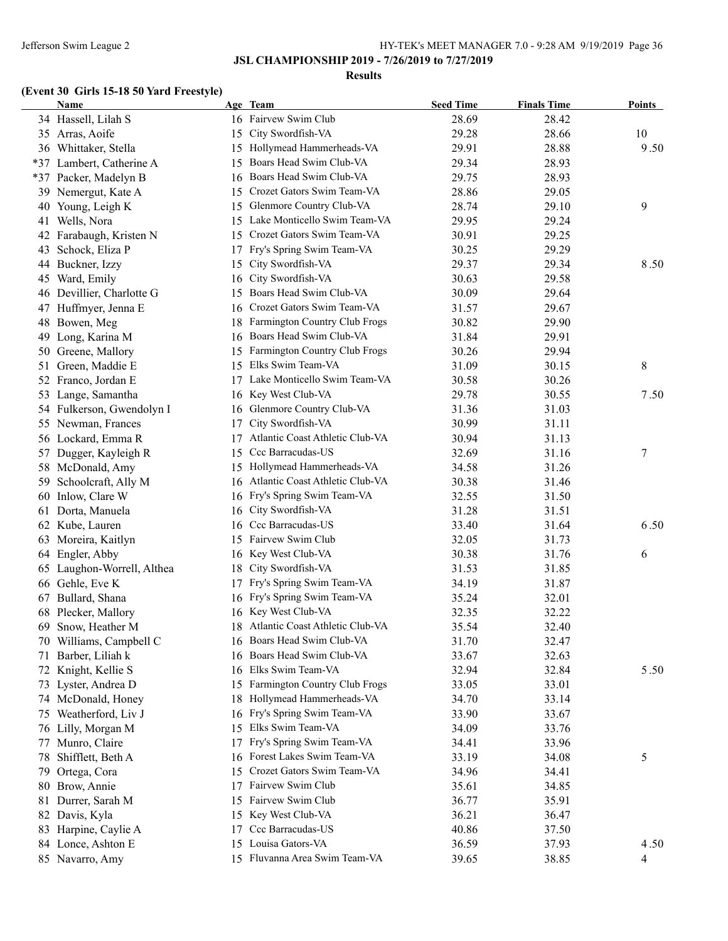#### **Results**

# **(Event 30 Girls 15-18 50 Yard Freestyle)**

|     | <b>Name</b>                |    | Age Team                           | <b>Seed Time</b> | <b>Finals Time</b> | <b>Points</b>  |
|-----|----------------------------|----|------------------------------------|------------------|--------------------|----------------|
|     | 34 Hassell, Lilah S        |    | 16 Fairvew Swim Club               | 28.69            | 28.42              |                |
|     | 35 Arras, Aoife            |    | 15 City Swordfish-VA               | 29.28            | 28.66              | 10             |
|     | 36 Whittaker, Stella       |    | 15 Hollymead Hammerheads-VA        | 29.91            | 28.88              | 9.50           |
|     | *37 Lambert, Catherine A   | 15 | Boars Head Swim Club-VA            | 29.34            | 28.93              |                |
|     | *37 Packer, Madelyn B      | 16 | Boars Head Swim Club-VA            | 29.75            | 28.93              |                |
|     | 39 Nemergut, Kate A        | 15 | Crozet Gators Swim Team-VA         | 28.86            | 29.05              |                |
|     | 40 Young, Leigh K          | 15 | Glenmore Country Club-VA           | 28.74            | 29.10              | 9              |
|     | 41 Wells, Nora             | 15 | Lake Monticello Swim Team-VA       | 29.95            | 29.24              |                |
|     | 42 Farabaugh, Kristen N    | 15 | Crozet Gators Swim Team-VA         | 30.91            | 29.25              |                |
| 43  | Schock, Eliza P            | 17 | Fry's Spring Swim Team-VA          | 30.25            | 29.29              |                |
|     | 44 Buckner, Izzy           | 15 | City Swordfish-VA                  | 29.37            | 29.34              | 8.50           |
|     | 45 Ward, Emily             | 16 | City Swordfish-VA                  | 30.63            | 29.58              |                |
|     | 46 Devillier, Charlotte G  | 15 | Boars Head Swim Club-VA            | 30.09            | 29.64              |                |
|     | 47 Huffmyer, Jenna E       | 16 | Crozet Gators Swim Team-VA         | 31.57            | 29.67              |                |
|     | 48 Bowen, Meg              | 18 | Farmington Country Club Frogs      | 30.82            | 29.90              |                |
|     | 49 Long, Karina M          | 16 | Boars Head Swim Club-VA            | 31.84            | 29.91              |                |
| 50  | Greene, Mallory            | 15 | Farmington Country Club Frogs      | 30.26            | 29.94              |                |
| 51  | Green, Maddie E            | 15 | Elks Swim Team-VA                  | 31.09            | 30.15              | 8              |
|     | 52 Franco, Jordan E        | 17 | Lake Monticello Swim Team-VA       | 30.58            | 30.26              |                |
| 53  | Lange, Samantha            |    | 16 Key West Club-VA                | 29.78            | 30.55              | 7.50           |
|     | 54 Fulkerson, Gwendolyn I  | 16 | Glenmore Country Club-VA           | 31.36            | 31.03              |                |
|     | 55 Newman, Frances         | 17 | City Swordfish-VA                  | 30.99            | 31.11              |                |
|     | 56 Lockard, Emma R         | 17 | Atlantic Coast Athletic Club-VA    | 30.94            | 31.13              |                |
|     | 57 Dugger, Kayleigh R      | 15 | Ccc Barracudas-US                  | 32.69            | 31.16              | $\tau$         |
|     | 58 McDonald, Amy           |    | 15 Hollymead Hammerheads-VA        | 34.58            | 31.26              |                |
| 59. | Schoolcraft, Ally M        |    | 16 Atlantic Coast Athletic Club-VA | 30.38            | 31.46              |                |
| 60  | Inlow, Clare W             |    | 16 Fry's Spring Swim Team-VA       | 32.55            | 31.50              |                |
|     | Dorta, Manuela             |    | 16 City Swordfish-VA               | 31.28            | 31.51              |                |
| 61  |                            |    | Ccc Barracudas-US                  |                  |                    |                |
|     | 62 Kube, Lauren            | 16 | 15 Fairvew Swim Club               | 33.40            | 31.64              | 6.50           |
| 63  | Moreira, Kaitlyn           |    |                                    | 32.05            | 31.73              |                |
| 64  | Engler, Abby               |    | 16 Key West Club-VA                | 30.38            | 31.76              | 6              |
|     | 65 Laughon-Worrell, Althea | 18 | City Swordfish-VA                  | 31.53            | 31.85              |                |
|     | 66 Gehle, Eve K            | 17 | Fry's Spring Swim Team-VA          | 34.19            | 31.87              |                |
|     | 67 Bullard, Shana          | 16 | Fry's Spring Swim Team-VA          | 35.24            | 32.01              |                |
|     | 68 Plecker, Mallory        |    | 16 Key West Club-VA                | 32.35            | 32.22              |                |
| 69  | Snow, Heather M            |    | 18 Atlantic Coast Athletic Club-VA | 35.54            | 32.40              |                |
|     | 70 Williams, Campbell C    |    | 16 Boars Head Swim Club-VA         | 31.70            | 32.47              |                |
| 71  | Barber, Liliah k           |    | Boars Head Swim Club-VA            | 33.67            | 32.63              |                |
|     | 72 Knight, Kellie S        | 16 | Elks Swim Team-VA                  | 32.94            | 32.84              | 5.50           |
| 73  | Lyster, Andrea D           | 15 | Farmington Country Club Frogs      | 33.05            | 33.01              |                |
|     | 74 McDonald, Honey         | 18 | Hollymead Hammerheads-VA           | 34.70            | 33.14              |                |
|     | 75 Weatherford, Liv J      | 16 | Fry's Spring Swim Team-VA          | 33.90            | 33.67              |                |
|     | 76 Lilly, Morgan M         | 15 | Elks Swim Team-VA                  | 34.09            | 33.76              |                |
|     | 77 Munro, Claire           | 17 | Fry's Spring Swim Team-VA          | 34.41            | 33.96              |                |
|     | 78 Shifflett, Beth A       | 16 | Forest Lakes Swim Team-VA          | 33.19            | 34.08              | 5              |
| 79  | Ortega, Cora               | 15 | Crozet Gators Swim Team-VA         | 34.96            | 34.41              |                |
| 80  | Brow, Annie                | 17 | Fairvew Swim Club                  | 35.61            | 34.85              |                |
| 81  | Durrer, Sarah M            | 15 | Fairvew Swim Club                  | 36.77            | 35.91              |                |
|     | 82 Davis, Kyla             | 15 | Key West Club-VA                   | 36.21            | 36.47              |                |
| 83  | Harpine, Caylie A          | 17 | Ccc Barracudas-US                  | 40.86            | 37.50              |                |
|     | 84 Lonce, Ashton E         |    | 15 Louisa Gators-VA                | 36.59            | 37.93              | 4.50           |
|     | 85 Navarro, Amy            |    | 15 Fluvanna Area Swim Team-VA      | 39.65            | 38.85              | $\overline{4}$ |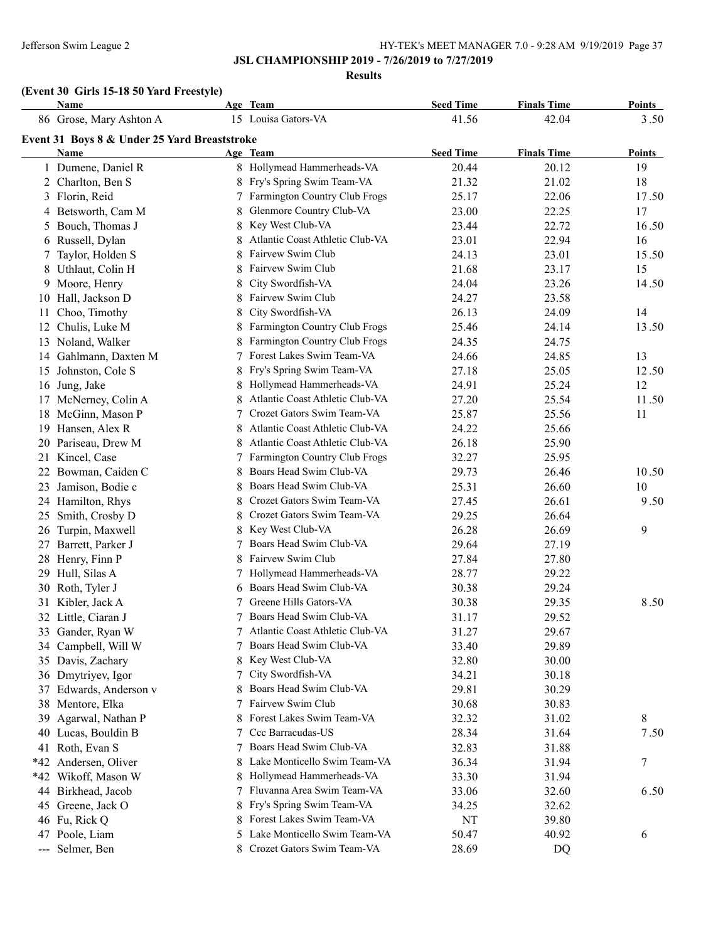**Results**

# **(Event 30 Girls 15-18 50 Yard Freestyle)**

|    | Name                                         |    | Age Team                          | <b>Seed Time</b> | <b>Finals Time</b> | <b>Points</b> |
|----|----------------------------------------------|----|-----------------------------------|------------------|--------------------|---------------|
|    | 86 Grose, Mary Ashton A                      |    | 15 Louisa Gators-VA               | 41.56            | 42.04              | 3.50          |
|    | Event 31 Boys 8 & Under 25 Yard Breaststroke |    |                                   |                  |                    |               |
|    | Name                                         |    | Age Team                          | <b>Seed Time</b> | <b>Finals Time</b> | <b>Points</b> |
|    | 1 Dumene, Daniel R                           |    | 8 Hollymead Hammerheads-VA        | 20.44            | 20.12              | 19            |
|    | 2 Charlton, Ben S                            |    | Fry's Spring Swim Team-VA         | 21.32            | 21.02              | 18            |
|    | 3 Florin, Reid                               | 7  | Farmington Country Club Frogs     | 25.17            | 22.06              | 17.50         |
|    | 4 Betsworth, Cam M                           | 8  | Glenmore Country Club-VA          | 23.00            | 22.25              | 17            |
|    | 5 Bouch, Thomas J                            | 8  | Key West Club-VA                  | 23.44            | 22.72              | 16.50         |
|    | 6 Russell, Dylan                             | 8  | Atlantic Coast Athletic Club-VA   | 23.01            | 22.94              | 16            |
|    | 7 Taylor, Holden S                           | 8  | Fairvew Swim Club                 | 24.13            | 23.01              | 15.50         |
|    | 8 Uthlaut, Colin H                           | 8  | Fairvew Swim Club                 | 21.68            | 23.17              | 15            |
|    | 9 Moore, Henry                               | 8  | City Swordfish-VA                 | 24.04            | 23.26              | 14.50         |
|    | 10 Hall, Jackson D                           | 8  | Fairvew Swim Club                 | 24.27            | 23.58              |               |
| 11 | Choo, Timothy                                | 8  | City Swordfish-VA                 | 26.13            | 24.09              | 14            |
|    | 12 Chulis, Luke M                            | 8  | Farmington Country Club Frogs     | 25.46            | 24.14              | 13.50         |
|    | 13 Noland, Walker                            |    | Farmington Country Club Frogs     | 24.35            | 24.75              |               |
|    | 14 Gahlmann, Daxten M                        |    | Forest Lakes Swim Team-VA         | 24.66            | 24.85              | 13            |
|    | 15 Johnston, Cole S                          | 8  | Fry's Spring Swim Team-VA         | 27.18            | 25.05              | 12.50         |
|    | 16 Jung, Jake                                | 8  | Hollymead Hammerheads-VA          | 24.91            | 25.24              | 12            |
|    | 17 McNerney, Colin A                         | 8  | Atlantic Coast Athletic Club-VA   | 27.20            | 25.54              | 11.50         |
|    | 18 McGinn, Mason P                           | 7  | Crozet Gators Swim Team-VA        | 25.87            | 25.56              | 11            |
| 19 | Hansen, Alex R                               |    | Atlantic Coast Athletic Club-VA   | 24.22            | 25.66              |               |
|    | 20 Pariseau, Drew M                          |    | Atlantic Coast Athletic Club-VA   | 26.18            | 25.90              |               |
|    | 21 Kincel, Case                              |    | Farmington Country Club Frogs     | 32.27            | 25.95              |               |
| 22 | Bowman, Caiden C                             |    | Boars Head Swim Club-VA           | 29.73            | 26.46              | 10.50         |
| 23 | Jamison, Bodie c                             | 8  | Boars Head Swim Club-VA           | 25.31            | 26.60              | 10            |
|    | 24 Hamilton, Rhys                            | 8  | Crozet Gators Swim Team-VA        | 27.45            | 26.61              | 9.50          |
|    | 25 Smith, Crosby D                           | 8  | Crozet Gators Swim Team-VA        | 29.25            | 26.64              |               |
|    | 26 Turpin, Maxwell                           | 8  | Key West Club-VA                  | 26.28            | 26.69              | 9             |
|    | 27 Barrett, Parker J                         |    | Boars Head Swim Club-VA           | 29.64            | 27.19              |               |
|    | 28 Henry, Finn P                             | 8  | Fairvew Swim Club                 | 27.84            | 27.80              |               |
|    | 29 Hull, Silas A                             |    | Hollymead Hammerheads-VA          | 28.77            | 29.22              |               |
|    | 30 Roth, Tyler J                             | 6  | Boars Head Swim Club-VA           | 30.38            | 29.24              |               |
|    | 31 Kibler, Jack A                            | 7  | Greene Hills Gators-VA            | 30.38            | 29.35              | 8.50          |
|    | 32 Little, Ciaran J                          | 7  | Boars Head Swim Club-VA           | 31.17            | 29.52              |               |
|    | 33 Gander, Ryan W                            |    | 7 Atlantic Coast Athletic Club-VA | 31.27            | 29.67              |               |
|    | 34 Campbell, Will W                          | 7  | Boars Head Swim Club-VA           | 33.40            | 29.89              |               |
|    | 35 Davis, Zachary                            | 8  | Key West Club-VA                  | 32.80            | 30.00              |               |
|    | 36 Dmytriyev, Igor                           | 7  | City Swordfish-VA                 | 34.21            | 30.18              |               |
|    | 37 Edwards, Anderson v                       | 8  | Boars Head Swim Club-VA           | 29.81            | 30.29              |               |
|    | 38 Mentore, Elka                             |    | Fairvew Swim Club                 | 30.68            | 30.83              |               |
|    | 39 Agarwal, Nathan P                         | 8  | Forest Lakes Swim Team-VA         | 32.32            | 31.02              | 8             |
|    | 40 Lucas, Bouldin B                          |    | Ccc Barracudas-US                 | 28.34            | 31.64              | 7.50          |
|    | 41 Roth, Evan S                              | 7  | Boars Head Swim Club-VA           | 32.83            | 31.88              |               |
|    | *42 Andersen, Oliver                         | 8. | Lake Monticello Swim Team-VA      | 36.34            | 31.94              | 7             |
|    | *42 Wikoff, Mason W                          |    | Hollymead Hammerheads-VA          | 33.30            | 31.94              |               |
|    | 44 Birkhead, Jacob                           |    | Fluvanna Area Swim Team-VA        | 33.06            | 32.60              | 6.50          |
|    | 45 Greene, Jack O                            | 8. | Fry's Spring Swim Team-VA         | 34.25            | 32.62              |               |
|    | 46 Fu, Rick Q                                |    | Forest Lakes Swim Team-VA         | NT               | 39.80              |               |
|    | 47 Poole, Liam                               |    | Lake Monticello Swim Team-VA      | 50.47            | 40.92              | 6             |
|    | --- Selmer, Ben                              |    | Crozet Gators Swim Team-VA        | 28.69            | DQ                 |               |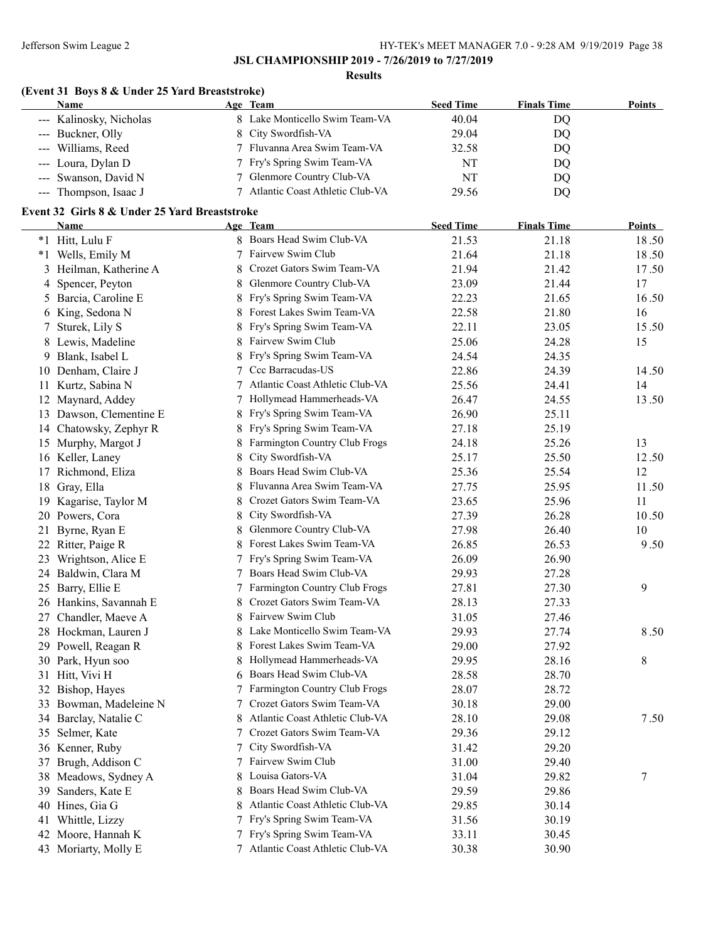**Results**

# **(Event 31 Boys 8 & Under 25 Yard Breaststroke)**

| <b>Name</b>             | Age Team                        | <b>Seed Time</b> | <b>Finals Time</b> | <b>Points</b> |
|-------------------------|---------------------------------|------------------|--------------------|---------------|
| --- Kalinosky, Nicholas | 8 Lake Monticello Swim Team-VA  | 40.04            | DO                 |               |
| --- Buckner, Olly       | 8 City Swordfish-VA             | 29.04            | DO                 |               |
| --- Williams, Reed      | 7 Fluvanna Area Swim Team-VA    | 32.58            | DO                 |               |
| --- Loura, Dylan D      | 7 Fry's Spring Swim Team-VA     | NT               | DO                 |               |
| --- Swanson, David N    | 7 Glenmore Country Club-VA      | NT               | DO                 |               |
| --- Thompson, Isaac J   | Atlantic Coast Athletic Club-VA | 29.56            | DO                 |               |
|                         |                                 |                  |                    |               |

### **Event 32 Girls 8 & Under 25 Yard Breaststroke**

|    | <b>Name</b>             |   | Age Team                        | <b>Seed Time</b> | <b>Finals Time</b> | Points |
|----|-------------------------|---|---------------------------------|------------------|--------------------|--------|
|    | *1 Hitt, Lulu F         |   | 8 Boars Head Swim Club-VA       | 21.53            | 21.18              | 18.50  |
|    | *1 Wells, Emily M       | 7 | Fairvew Swim Club               | 21.64            | 21.18              | 18.50  |
|    | 3 Heilman, Katherine A  | 8 | Crozet Gators Swim Team-VA      | 21.94            | 21.42              | 17.50  |
|    | 4 Spencer, Peyton       | 8 | Glenmore Country Club-VA        | 23.09            | 21.44              | 17     |
|    | 5 Barcia, Caroline E    | 8 | Fry's Spring Swim Team-VA       | 22.23            | 21.65              | 16.50  |
|    | 6 King, Sedona N        | 8 | Forest Lakes Swim Team-VA       | 22.58            | 21.80              | 16     |
|    | 7 Sturek, Lily S        | 8 | Fry's Spring Swim Team-VA       | 22.11            | 23.05              | 15.50  |
|    | 8 Lewis, Madeline       |   | Fairvew Swim Club               | 25.06            | 24.28              | 15     |
|    | 9 Blank, Isabel L       |   | Fry's Spring Swim Team-VA       | 24.54            | 24.35              |        |
|    | 10 Denham, Claire J     |   | Ccc Barracudas-US               | 22.86            | 24.39              | 14.50  |
|    | 11 Kurtz, Sabina N      |   | Atlantic Coast Athletic Club-VA | 25.56            | 24.41              | 14     |
| 12 | Maynard, Addey          |   | Hollymead Hammerheads-VA        | 26.47            | 24.55              | 13.50  |
|    | 13 Dawson, Clementine E |   | Fry's Spring Swim Team-VA       | 26.90            | 25.11              |        |
|    | 14 Chatowsky, Zephyr R  |   | Fry's Spring Swim Team-VA       | 27.18            | 25.19              |        |
|    | 15 Murphy, Margot J     |   | Farmington Country Club Frogs   | 24.18            | 25.26              | 13     |
|    | 16 Keller, Laney        | 8 | City Swordfish-VA               | 25.17            | 25.50              | 12.50  |
|    | 17 Richmond, Eliza      |   | Boars Head Swim Club-VA         | 25.36            | 25.54              | 12     |
|    | 18 Gray, Ella           |   | Fluvanna Area Swim Team-VA      | 27.75            | 25.95              | 11.50  |
|    | 19 Kagarise, Taylor M   | 8 | Crozet Gators Swim Team-VA      | 23.65            | 25.96              | 11     |
|    | 20 Powers, Cora         | 8 | City Swordfish-VA               | 27.39            | 26.28              | 10.50  |
| 21 | Byrne, Ryan E           | 8 | Glenmore Country Club-VA        | 27.98            | 26.40              | 10     |
|    | 22 Ritter, Paige R      | 8 | Forest Lakes Swim Team-VA       | 26.85            | 26.53              | 9.50   |
| 23 | Wrightson, Alice E      | 7 | Fry's Spring Swim Team-VA       | 26.09            | 26.90              |        |
|    | 24 Baldwin, Clara M     | 7 | Boars Head Swim Club-VA         | 29.93            | 27.28              |        |
|    | 25 Barry, Ellie E       | 7 | Farmington Country Club Frogs   | 27.81            | 27.30              | 9      |
|    | 26 Hankins, Savannah E  | 8 | Crozet Gators Swim Team-VA      | 28.13            | 27.33              |        |
|    | 27 Chandler, Maeve A    | 8 | Fairvew Swim Club               | 31.05            | 27.46              |        |
|    | 28 Hockman, Lauren J    | 8 | Lake Monticello Swim Team-VA    | 29.93            | 27.74              | 8.50   |
|    | 29 Powell, Reagan R     | 8 | Forest Lakes Swim Team-VA       | 29.00            | 27.92              |        |
|    | 30 Park, Hyun soo       | 8 | Hollymead Hammerheads-VA        | 29.95            | 28.16              | 8      |
|    | 31 Hitt, Vivi H         | 6 | Boars Head Swim Club-VA         | 28.58            | 28.70              |        |
|    | 32 Bishop, Hayes        | 7 | Farmington Country Club Frogs   | 28.07            | 28.72              |        |
|    | 33 Bowman, Madeleine N  | 7 | Crozet Gators Swim Team-VA      | 30.18            | 29.00              |        |
|    | 34 Barclay, Natalie C   | 8 | Atlantic Coast Athletic Club-VA | 28.10            | 29.08              | 7.50   |
|    | 35 Selmer, Kate         |   | Crozet Gators Swim Team-VA      | 29.36            | 29.12              |        |
|    | 36 Kenner, Ruby         | 7 | City Swordfish-VA               | 31.42            | 29.20              |        |
|    | 37 Brugh, Addison C     | 7 | Fairvew Swim Club               | 31.00            | 29.40              |        |
|    | 38 Meadows, Sydney A    | 8 | Louisa Gators-VA                | 31.04            | 29.82              | 7      |
| 39 | Sanders, Kate E         | 8 | Boars Head Swim Club-VA         | 29.59            | 29.86              |        |
| 40 | Hines, Gia G            |   | Atlantic Coast Athletic Club-VA | 29.85            | 30.14              |        |
| 41 | Whittle, Lizzy          |   | Fry's Spring Swim Team-VA       | 31.56            | 30.19              |        |
| 42 | Moore, Hannah K         |   | Fry's Spring Swim Team-VA       | 33.11            | 30.45              |        |
|    | 43 Moriarty, Molly E    |   | Atlantic Coast Athletic Club-VA | 30.38            | 30.90              |        |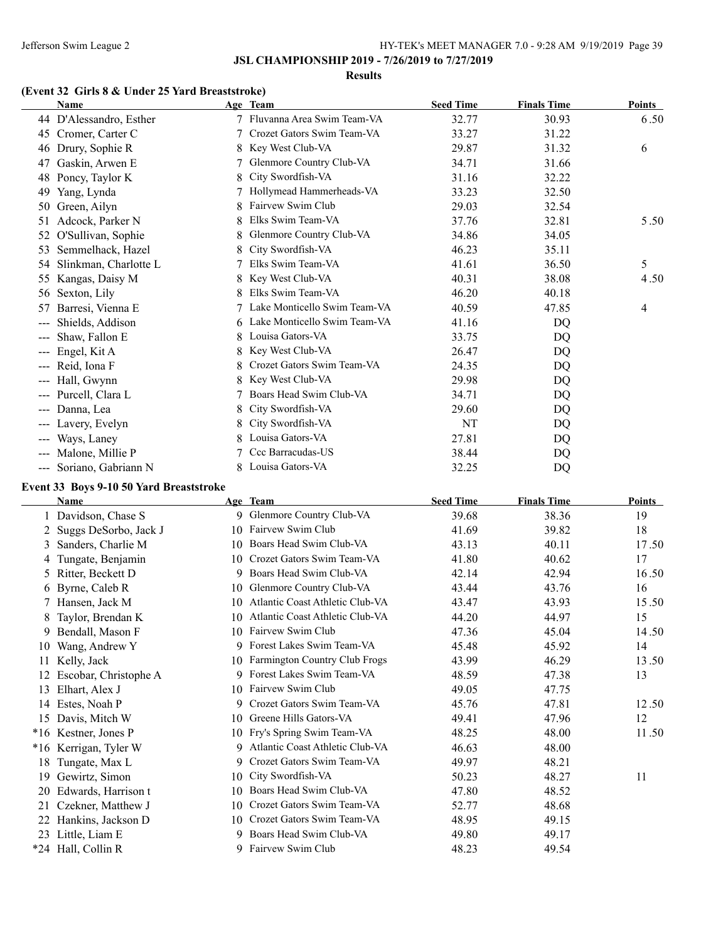#### **Results**

# **(Event 32 Girls 8 & Under 25 Yard Breaststroke)**

|                                                                                                                                                                                                                                                                                                                                                                                                                                                                            | <b>Name</b>                                                                                                                                     |    | Age Team                     | <b>Seed Time</b> | <b>Finals Time</b> | <b>Points</b> |
|----------------------------------------------------------------------------------------------------------------------------------------------------------------------------------------------------------------------------------------------------------------------------------------------------------------------------------------------------------------------------------------------------------------------------------------------------------------------------|-------------------------------------------------------------------------------------------------------------------------------------------------|----|------------------------------|------------------|--------------------|---------------|
|                                                                                                                                                                                                                                                                                                                                                                                                                                                                            | 44 D'Alessandro, Esther                                                                                                                         | 7  | Fluvanna Area Swim Team-VA   | 32.77            | 30.93              | 6.50          |
| 45                                                                                                                                                                                                                                                                                                                                                                                                                                                                         | Cromer, Carter C                                                                                                                                |    | Crozet Gators Swim Team-VA   | 33.27            | 31.22              |               |
| 46                                                                                                                                                                                                                                                                                                                                                                                                                                                                         | Drury, Sophie R                                                                                                                                 | 8. | Key West Club-VA             | 29.87            | 31.32              | 6             |
| 47                                                                                                                                                                                                                                                                                                                                                                                                                                                                         | Gaskin, Arwen E                                                                                                                                 | 7  | Glenmore Country Club-VA     | 34.71            | 31.66              |               |
| 48                                                                                                                                                                                                                                                                                                                                                                                                                                                                         | Poncy, Taylor K                                                                                                                                 |    | City Swordfish-VA            | 31.16            | 32.22              |               |
| 49                                                                                                                                                                                                                                                                                                                                                                                                                                                                         | Yang, Lynda                                                                                                                                     |    | Hollymead Hammerheads-VA     | 33.23            | 32.50              |               |
| 50                                                                                                                                                                                                                                                                                                                                                                                                                                                                         | Green, Ailyn                                                                                                                                    |    | Fairvew Swim Club            | 29.03            | 32.54              |               |
| 51                                                                                                                                                                                                                                                                                                                                                                                                                                                                         | Adcock, Parker N                                                                                                                                |    | Elks Swim Team-VA            | 37.76            | 32.81              | 5.50          |
| 52                                                                                                                                                                                                                                                                                                                                                                                                                                                                         | O'Sullivan, Sophie                                                                                                                              | 8  | Glenmore Country Club-VA     | 34.86            | 34.05              |               |
| 53                                                                                                                                                                                                                                                                                                                                                                                                                                                                         | Semmelhack, Hazel                                                                                                                               |    | City Swordfish-VA            | 46.23            | 35.11              |               |
| 54                                                                                                                                                                                                                                                                                                                                                                                                                                                                         | Slinkman, Charlotte L                                                                                                                           |    | Elks Swim Team-VA            | 41.61            | 36.50              | 5             |
| 55                                                                                                                                                                                                                                                                                                                                                                                                                                                                         | Kangas, Daisy M                                                                                                                                 |    | Key West Club-VA             | 40.31            | 38.08              | 4.50          |
| 56                                                                                                                                                                                                                                                                                                                                                                                                                                                                         | Sexton, Lily                                                                                                                                    |    | Elks Swim Team-VA            | 46.20            | 40.18              |               |
| 57                                                                                                                                                                                                                                                                                                                                                                                                                                                                         | Barresi, Vienna E                                                                                                                               |    | Lake Monticello Swim Team-VA | 40.59            | 47.85              | 4             |
| $\qquad \qquad -$                                                                                                                                                                                                                                                                                                                                                                                                                                                          | Shields, Addison                                                                                                                                | 6. | Lake Monticello Swim Team-VA | 41.16            | D <sub>O</sub>     |               |
| $\qquad \qquad \cdots$                                                                                                                                                                                                                                                                                                                                                                                                                                                     | Shaw, Fallon E                                                                                                                                  | 8  | Louisa Gators-VA             | 33.75            | DQ                 |               |
| $\scriptstyle\cdots\scriptstyle\cdots$                                                                                                                                                                                                                                                                                                                                                                                                                                     | Engel, Kit A                                                                                                                                    | 8  | Key West Club-VA             | 26.47            | DQ                 |               |
|                                                                                                                                                                                                                                                                                                                                                                                                                                                                            | Reid, Iona F                                                                                                                                    |    | Crozet Gators Swim Team-VA   | 24.35            | DQ                 |               |
| $---$                                                                                                                                                                                                                                                                                                                                                                                                                                                                      | Hall, Gwynn                                                                                                                                     |    | Key West Club-VA             | 29.98            | DQ                 |               |
|                                                                                                                                                                                                                                                                                                                                                                                                                                                                            | --- Purcell, Clara L                                                                                                                            |    | Boars Head Swim Club-VA      | 34.71            | DQ                 |               |
| $\frac{1}{2} \left( \frac{1}{2} \right) \left( \frac{1}{2} \right) \left( \frac{1}{2} \right) \left( \frac{1}{2} \right) \left( \frac{1}{2} \right) \left( \frac{1}{2} \right) \left( \frac{1}{2} \right) \left( \frac{1}{2} \right) \left( \frac{1}{2} \right) \left( \frac{1}{2} \right) \left( \frac{1}{2} \right) \left( \frac{1}{2} \right) \left( \frac{1}{2} \right) \left( \frac{1}{2} \right) \left( \frac{1}{2} \right) \left( \frac{1}{2} \right) \left( \frac$ | Danna, Lea                                                                                                                                      | 8  | City Swordfish-VA            | 29.60            | DQ                 |               |
|                                                                                                                                                                                                                                                                                                                                                                                                                                                                            | --- Lavery, Evelyn                                                                                                                              | 8. | City Swordfish-VA            | NT               | DQ                 |               |
| $\frac{1}{2} \frac{1}{2} \frac{1}{2} \frac{1}{2} \frac{1}{2} \frac{1}{2} \frac{1}{2} \frac{1}{2} \frac{1}{2} \frac{1}{2} \frac{1}{2} \frac{1}{2} \frac{1}{2} \frac{1}{2} \frac{1}{2} \frac{1}{2} \frac{1}{2} \frac{1}{2} \frac{1}{2} \frac{1}{2} \frac{1}{2} \frac{1}{2} \frac{1}{2} \frac{1}{2} \frac{1}{2} \frac{1}{2} \frac{1}{2} \frac{1}{2} \frac{1}{2} \frac{1}{2} \frac{1}{2} \frac{$                                                                               | Ways, Laney                                                                                                                                     |    | Louisa Gators-VA             | 27.81            | DQ                 |               |
| $\qquad \qquad \cdots$                                                                                                                                                                                                                                                                                                                                                                                                                                                     | Malone, Millie P                                                                                                                                |    | Ccc Barracudas-US            | 38.44            | DQ                 |               |
|                                                                                                                                                                                                                                                                                                                                                                                                                                                                            | --- Soriano, Gabriann N                                                                                                                         | 8. | Louisa Gators-VA             | 32.25            | DQ                 |               |
|                                                                                                                                                                                                                                                                                                                                                                                                                                                                            | $E$ <sub>v</sub> $\sim$ 42 $D$ <sub>avg</sub> $\sim$ 0.10 $\bar{\epsilon}$ <sub>0</sub> $\rm{V}$ <sub>and</sub> $\rm{D}$ <sub>reaststrake</sub> |    |                              |                  |                    |               |

#### **Event 33 Boys 9-10 50 Yard Breaststroke**

|       | Name                    |    | Age Team                        | <b>Seed Time</b> | <b>Finals Time</b> | <b>Points</b> |
|-------|-------------------------|----|---------------------------------|------------------|--------------------|---------------|
|       | 1 Davidson, Chase S     |    | 9 Glenmore Country Club-VA      | 39.68            | 38.36              | 19            |
|       | 2 Suggs DeSorbo, Jack J | 10 | Fairvew Swim Club               | 41.69            | 39.82              | 18            |
| 3     | Sanders, Charlie M      | 10 | Boars Head Swim Club-VA         | 43.13            | 40.11              | 17.50         |
| 4     | Tungate, Benjamin       | 10 | Crozet Gators Swim Team-VA      | 41.80            | 40.62              | 17            |
| 5.    | Ritter, Beckett D       | 9. | Boars Head Swim Club-VA         | 42.14            | 42.94              | 16.50         |
|       | 6 Byrne, Caleb R        | 10 | Glenmore Country Club-VA        | 43.44            | 43.76              | 16            |
|       | Hansen, Jack M          | 10 | Atlantic Coast Athletic Club-VA | 43.47            | 43.93              | 15.50         |
| 8     | Taylor, Brendan K       | 10 | Atlantic Coast Athletic Club-VA | 44.20            | 44.97              | 15            |
| 9     | Bendall, Mason F        | 10 | Fairvew Swim Club               | 47.36            | 45.04              | 14.50         |
| 10    | Wang, Andrew Y          |    | 9 Forest Lakes Swim Team-VA     | 45.48            | 45.92              | 14            |
| 11    | Kelly, Jack             | 10 | Farmington Country Club Frogs   | 43.99            | 46.29              | 13.50         |
|       | Escobar, Christophe A   | 9  | Forest Lakes Swim Team-VA       | 48.59            | 47.38              | 13            |
| 13    | Elhart, Alex J          |    | 10 Fairvew Swim Club            | 49.05            | 47.75              |               |
| 14    | Estes, Noah P           | 9. | Crozet Gators Swim Team-VA      | 45.76            | 47.81              | 12.50         |
| 15    | Davis, Mitch W          | 10 | Greene Hills Gators-VA          | 49.41            | 47.96              | 12            |
| $*16$ | Kestner, Jones P        | 10 | Fry's Spring Swim Team-VA       | 48.25            | 48.00              | 11.50         |
| $*16$ | Kerrigan, Tyler W       | 9  | Atlantic Coast Athletic Club-VA | 46.63            | 48.00              |               |
| 18    | Tungate, Max L          | 9  | Crozet Gators Swim Team-VA      | 49.97            | 48.21              |               |
| 19    | Gewirtz, Simon          | 10 | City Swordfish-VA               | 50.23            | 48.27              | 11            |
| 20    | Edwards, Harrison t     | 10 | Boars Head Swim Club-VA         | 47.80            | 48.52              |               |
| 21    | Czekner, Matthew J      | 10 | Crozet Gators Swim Team-VA      | 52.77            | 48.68              |               |
|       | Hankins, Jackson D      | 10 | Crozet Gators Swim Team-VA      | 48.95            | 49.15              |               |
| 23    | Little, Liam E          | 9  | Boars Head Swim Club-VA         | 49.80            | 49.17              |               |
|       | *24 Hall, Collin R      |    | 9 Fairvew Swim Club             | 48.23            | 49.54              |               |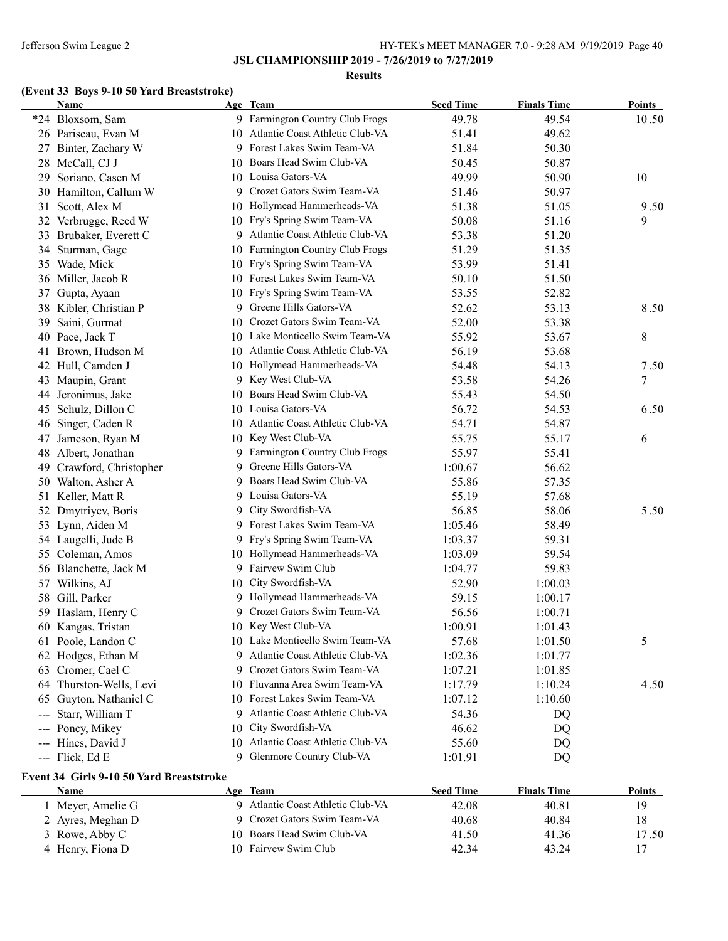### **Results**

# **(Event 33 Boys 9-10 50 Yard Breaststroke)**

|                        | <b>Name</b>                                      |    | Age Team                           | <b>Seed Time</b> | <b>Finals Time</b> | <b>Points</b> |
|------------------------|--------------------------------------------------|----|------------------------------------|------------------|--------------------|---------------|
|                        | *24 Bloxsom, Sam                                 |    | 9 Farmington Country Club Frogs    | 49.78            | 49.54              | 10.50         |
|                        | 26 Pariseau, Evan M                              |    | 10 Atlantic Coast Athletic Club-VA | 51.41            | 49.62              |               |
|                        | 27 Binter, Zachary W                             | 9. | Forest Lakes Swim Team-VA          | 51.84            | 50.30              |               |
|                        | 28 McCall, CJ J                                  |    | 10 Boars Head Swim Club-VA         | 50.45            | 50.87              |               |
| 29                     | Soriano, Casen M                                 |    | 10 Louisa Gators-VA                | 49.99            | 50.90              | 10            |
|                        | 30 Hamilton, Callum W                            | 9. | Crozet Gators Swim Team-VA         | 51.46            | 50.97              |               |
| 31                     | Scott, Alex M                                    |    | 10 Hollymead Hammerheads-VA        | 51.38            | 51.05              | 9.50          |
|                        | 32 Verbrugge, Reed W                             |    | 10 Fry's Spring Swim Team-VA       | 50.08            | 51.16              | 9             |
| 33                     | Brubaker, Everett C                              | 9  | Atlantic Coast Athletic Club-VA    | 53.38            | 51.20              |               |
| 34                     | Sturman, Gage                                    |    | 10 Farmington Country Club Frogs   | 51.29            | 51.35              |               |
|                        | 35 Wade, Mick                                    |    | 10 Fry's Spring Swim Team-VA       | 53.99            | 51.41              |               |
|                        | 36 Miller, Jacob R                               |    | 10 Forest Lakes Swim Team-VA       | 50.10            | 51.50              |               |
| 37                     | Gupta, Ayaan                                     | 10 | Fry's Spring Swim Team-VA          | 53.55            | 52.82              |               |
|                        | 38 Kibler, Christian P                           | 9. | Greene Hills Gators-VA             | 52.62            | 53.13              | 8.50          |
| 39                     | Saini, Gurmat                                    |    | 10 Crozet Gators Swim Team-VA      | 52.00            | 53.38              |               |
|                        | 40 Pace, Jack T                                  |    | 10 Lake Monticello Swim Team-VA    | 55.92            | 53.67              | 8             |
| 41                     | Brown, Hudson M                                  |    | 10 Atlantic Coast Athletic Club-VA | 56.19            | 53.68              |               |
|                        | 42 Hull, Camden J                                |    | 10 Hollymead Hammerheads-VA        | 54.48            | 54.13              | 7.50          |
| 43                     | Maupin, Grant                                    |    | 9 Key West Club-VA                 | 53.58            | 54.26              | 7             |
| 44                     | Jeronimus, Jake                                  |    | 10 Boars Head Swim Club-VA         | 55.43            | 54.50              |               |
| 45                     | Schulz, Dillon C                                 |    | 10 Louisa Gators-VA                | 56.72            | 54.53              | 6.50          |
| 46                     | Singer, Caden R                                  |    | 10 Atlantic Coast Athletic Club-VA | 54.71            | 54.87              |               |
| 47                     | Jameson, Ryan M                                  |    | 10 Key West Club-VA                | 55.75            | 55.17              | 6             |
| 48                     | Albert, Jonathan                                 |    | 9 Farmington Country Club Frogs    | 55.97            | 55.41              |               |
| 49                     | Crawford, Christopher                            | 9. | Greene Hills Gators-VA             | 1:00.67          | 56.62              |               |
|                        | 50 Walton, Asher A                               | 9. | Boars Head Swim Club-VA            | 55.86            | 57.35              |               |
| 51                     | Keller, Matt R                                   | 9. | Louisa Gators-VA                   | 55.19            | 57.68              |               |
| 52                     | Dmytriyev, Boris                                 | 9. | City Swordfish-VA                  | 56.85            | 58.06              | 5.50          |
|                        | 53 Lynn, Aiden M                                 | 9. | Forest Lakes Swim Team-VA          | 1:05.46          | 58.49              |               |
|                        | 54 Laugelli, Jude B                              | 9. | Fry's Spring Swim Team-VA          | 1:03.37          | 59.31              |               |
|                        | 55 Coleman, Amos                                 |    | 10 Hollymead Hammerheads-VA        | 1:03.09          | 59.54              |               |
|                        | 56 Blanchette, Jack M                            | 9  | Fairvew Swim Club                  | 1:04.77          | 59.83              |               |
|                        | 57 Wilkins, AJ                                   |    | 10 City Swordfish-VA               | 52.90            | 1:00.03            |               |
|                        | 58 Gill, Parker                                  |    | 9 Hollymead Hammerheads-VA         | 59.15            | 1:00.17            |               |
|                        | 59 Haslam, Henry C                               | 9. | Crozet Gators Swim Team-VA         | 56.56            | 1:00.71            |               |
|                        | 60 Kangas, Tristan                               |    | 10 Key West Club-VA                | 1:00.91          | 1:01.43            |               |
|                        | 61 Poole, Landon C                               |    | 10 Lake Monticello Swim Team-VA    | 57.68            | 1:01.50            | 5             |
|                        | 62 Hodges, Ethan M                               |    | 9 Atlantic Coast Athletic Club-VA  | 1:02.36          | 1:01.77            |               |
|                        | 63 Cromer, Cael C                                |    | 9 Crozet Gators Swim Team-VA       | 1:07.21          | 1:01.85            |               |
|                        | 64 Thurston-Wells, Levi                          |    | 10 Fluvanna Area Swim Team-VA      | 1:17.79          | 1:10.24            | 4.50          |
| 65                     | Guyton, Nathaniel C                              |    | 10 Forest Lakes Swim Team-VA       | 1:07.12          | 1:10.60            |               |
|                        | Starr, William T                                 |    | Atlantic Coast Athletic Club-VA    | 54.36            | DQ                 |               |
|                        | Poncy, Mikey                                     |    | 10 City Swordfish-VA               | 46.62            | DQ                 |               |
| $\qquad \qquad \cdots$ | Hines, David J                                   | 10 | Atlantic Coast Athletic Club-VA    | 55.60            | DQ                 |               |
|                        | --- Flick, Ed E                                  |    | 9 Glenmore Country Club-VA         | 1:01.91          | DQ                 |               |
|                        |                                                  |    |                                    |                  |                    |               |
|                        | Event 34 Girls 9-10 50 Yard Breaststroke<br>Name |    | Age Team                           | <b>Seed Time</b> | <b>Finals Time</b> | Points        |
|                        | 1 Meyer, Amelie G                                |    | 9 Atlantic Coast Athletic Club-VA  | 42.08            | 40.81              | 19            |
|                        | 2 Ayres, Meghan D                                |    | 9 Crozet Gators Swim Team-VA       | 40.68            | 40.84              | 18            |
|                        | 3 Rowe, Abby C                                   |    | 10 Boars Head Swim Club-VA         | 41.50            | 41.36              | 17.50         |
|                        | 4 Henry, Fiona D                                 |    | 10 Fairvew Swim Club               | 42.34            | 43.24              | 17            |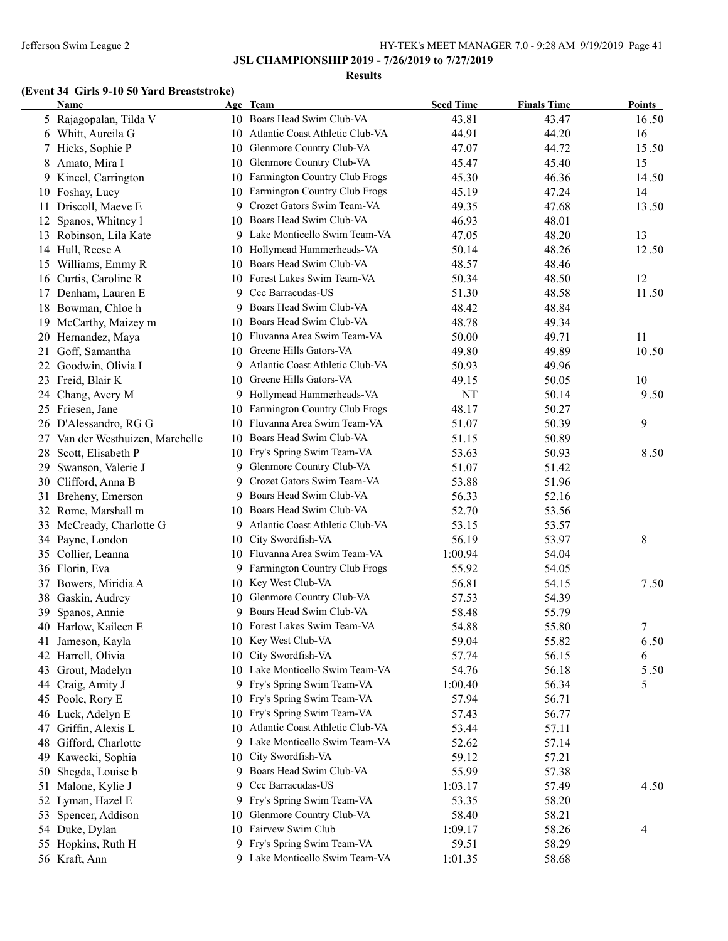#### **Results**

# **(Event 34 Girls 9-10 50 Yard Breaststroke)**

|          | Name                          |    | Age Team                           | <b>Seed Time</b> | <b>Finals Time</b> | <b>Points</b> |
|----------|-------------------------------|----|------------------------------------|------------------|--------------------|---------------|
|          | 5 Rajagopalan, Tilda V        |    | 10 Boars Head Swim Club-VA         | 43.81            | 43.47              | 16.50         |
|          | 6 Whitt, Aureila G            |    | 10 Atlantic Coast Athletic Club-VA | 44.91            | 44.20              | 16            |
| 7        | Hicks, Sophie P               | 10 | Glenmore Country Club-VA           | 47.07            | 44.72              | 15.50         |
| 8        | Amato, Mira I                 | 10 | Glenmore Country Club-VA           | 45.47            | 45.40              | 15            |
| 9        | Kincel, Carrington            |    | 10 Farmington Country Club Frogs   | 45.30            | 46.36              | 14.50         |
|          | 10 Foshay, Lucy               | 10 | Farmington Country Club Frogs      | 45.19            | 47.24              | 14            |
| 11       | Driscoll, Maeve E             | 9  | Crozet Gators Swim Team-VA         | 49.35            | 47.68              | 13.50         |
| 12       | Spanos, Whitney 1             | 10 | Boars Head Swim Club-VA            | 46.93            | 48.01              |               |
| 13       | Robinson, Lila Kate           | 9  | Lake Monticello Swim Team-VA       | 47.05            | 48.20              | 13            |
|          | 14 Hull, Reese A              | 10 | Hollymead Hammerheads-VA           | 50.14            | 48.26              | 12.50         |
| 15       | Williams, Emmy R              | 10 | Boars Head Swim Club-VA            | 48.57            | 48.46              |               |
|          | 16 Curtis, Caroline R         | 10 | Forest Lakes Swim Team-VA          | 50.34            | 48.50              | 12            |
|          | 17 Denham, Lauren E           | 9  | Ccc Barracudas-US                  | 51.30            | 48.58              | 11.50         |
| 18       | Bowman, Chloe h               | 9  | Boars Head Swim Club-VA            | 48.42            | 48.84              |               |
|          | 19 McCarthy, Maizey m         |    | 10 Boars Head Swim Club-VA         | 48.78            | 49.34              |               |
|          | 20 Hernandez, Maya            |    | 10 Fluvanna Area Swim Team-VA      | 50.00            | 49.71              | 11            |
| 21       | Goff, Samantha                |    | 10 Greene Hills Gators-VA          | 49.80            | 49.89              | 10.50         |
|          | 22 Goodwin, Olivia I          | 9  | Atlantic Coast Athletic Club-VA    | 50.93            | 49.96              |               |
|          | 23 Freid, Blair K             | 10 | Greene Hills Gators-VA             | 49.15            | 50.05              | 10            |
| 24       | Chang, Avery M                | 9. | Hollymead Hammerheads-VA           | NT               | 50.14              | $9.50\,$      |
|          | 25 Friesen, Jane              | 10 | Farmington Country Club Frogs      | 48.17            | 50.27              |               |
| 26       | D'Alessandro, RG G            |    | 10 Fluvanna Area Swim Team-VA      | 51.07            | 50.39              | 9             |
| 27       | Van der Westhuizen, Marchelle |    | 10 Boars Head Swim Club-VA         | 51.15            | 50.89              |               |
| 28       | Scott, Elisabeth P            |    | 10 Fry's Spring Swim Team-VA       | 53.63            | 50.93              | 8.50          |
| 29       | Swanson, Valerie J            | 9  | Glenmore Country Club-VA           | 51.07            | 51.42              |               |
|          | 30 Clifford, Anna B           | 9  | Crozet Gators Swim Team-VA         | 53.88            | 51.96              |               |
|          | Breheny, Emerson              | 9. | Boars Head Swim Club-VA            | 56.33            | 52.16              |               |
| 31<br>32 | Rome, Marshall m              | 10 | Boars Head Swim Club-VA            | 52.70            | 53.56              |               |
|          |                               |    | Atlantic Coast Athletic Club-VA    |                  |                    |               |
| 33       | McCready, Charlotte G         | 9. | City Swordfish-VA                  | 53.15            | 53.57              |               |
|          | 34 Payne, London              | 10 |                                    | 56.19            | 53.97              | $\,8\,$       |
| 35       | Collier, Leanna               |    | 10 Fluvanna Area Swim Team-VA      | 1:00.94          | 54.04              |               |
|          | 36 Florin, Eva                | 9  | Farmington Country Club Frogs      | 55.92            | 54.05              |               |
| 37       | Bowers, Miridia A             |    | 10 Key West Club-VA                | 56.81            | 54.15              | 7.50          |
| 38       | Gaskin, Audrey                | 10 | Glenmore Country Club-VA           | 57.53            | 54.39              |               |
| 39       | Spanos, Annie                 | 9  | Boars Head Swim Club-VA            | 58.48            | 55.79              |               |
|          | 40 Harlow, Kaileen E          |    | 10 Forest Lakes Swim Team-VA       | 54.88            | 55.80              | 7             |
| 41       | Jameson, Kayla                |    | 10 Key West Club-VA                | 59.04            | 55.82              | 6.50          |
| 42       | Harrell, Olivia               | 10 | City Swordfish-VA                  | 57.74            | 56.15              | 6             |
| 43       | Grout, Madelyn                | 10 | Lake Monticello Swim Team-VA       | 54.76            | 56.18              | 5.50          |
| 44       | Craig, Amity J                | 9  | Fry's Spring Swim Team-VA          | 1:00.40          | 56.34              | 5             |
|          | 45 Poole, Rory E              |    | 10 Fry's Spring Swim Team-VA       | 57.94            | 56.71              |               |
| 46       | Luck, Adelyn E                |    | 10 Fry's Spring Swim Team-VA       | 57.43            | 56.77              |               |
| 47       | Griffin, Alexis L             | 10 | Atlantic Coast Athletic Club-VA    | 53.44            | 57.11              |               |
| 48       | Gifford, Charlotte            | 9  | Lake Monticello Swim Team-VA       | 52.62            | 57.14              |               |
| 49       | Kawecki, Sophia               | 10 | City Swordfish-VA                  | 59.12            | 57.21              |               |
| 50       | Shegda, Louise b              | 9. | Boars Head Swim Club-VA            | 55.99            | 57.38              |               |
| 51       | Malone, Kylie J               | 9. | Ccc Barracudas-US                  | 1:03.17          | 57.49              | 4.50          |
|          | 52 Lyman, Hazel E             |    | 9 Fry's Spring Swim Team-VA        | 53.35            | 58.20              |               |
| 53       | Spencer, Addison              | 10 | Glenmore Country Club-VA           | 58.40            | 58.21              |               |
|          | 54 Duke, Dylan                |    | 10 Fairvew Swim Club               | 1:09.17          | 58.26              | 4             |
|          | 55 Hopkins, Ruth H            |    | 9 Fry's Spring Swim Team-VA        | 59.51            | 58.29              |               |
|          | 56 Kraft, Ann                 |    | 9 Lake Monticello Swim Team-VA     | 1:01.35          | 58.68              |               |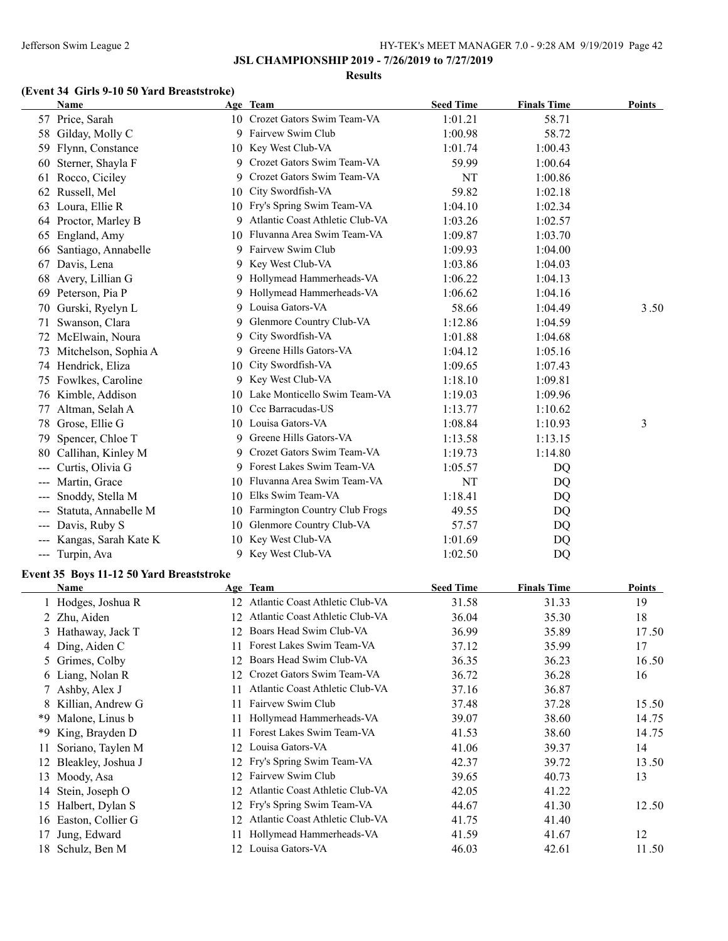#### **Results**

# **(Event 34 Girls 9-10 50 Yard Breaststroke)**

|     | <b>Name</b>          |     | Age Team                        | <b>Seed Time</b> | <b>Finals Time</b> | <b>Points</b> |
|-----|----------------------|-----|---------------------------------|------------------|--------------------|---------------|
|     | 57 Price, Sarah      |     | 10 Crozet Gators Swim Team-VA   | 1:01.21          | 58.71              |               |
| 58  | Gilday, Molly C      | 9   | Fairvew Swim Club               | 1:00.98          | 58.72              |               |
| 59  | Flynn, Constance     | 10  | Key West Club-VA                | 1:01.74          | 1:00.43            |               |
| 60  | Sterner, Shayla F    | 9   | Crozet Gators Swim Team-VA      | 59.99            | 1:00.64            |               |
| 61  | Rocco, Ciciley       | 9   | Crozet Gators Swim Team-VA      | NT               | 1:00.86            |               |
| 62  | Russell, Mel         | 10  | City Swordfish-VA               | 59.82            | 1:02.18            |               |
| 63  | Loura, Ellie R       | 10  | Fry's Spring Swim Team-VA       | 1:04.10          | 1:02.34            |               |
|     | 64 Proctor, Marley B | 9   | Atlantic Coast Athletic Club-VA | 1:03.26          | 1:02.57            |               |
| 65  | England, Amy         | 10  | Fluvanna Area Swim Team-VA      | 1:09.87          | 1:03.70            |               |
| 66  | Santiago, Annabelle  |     | Fairvew Swim Club               | 1:09.93          | 1:04.00            |               |
| 67  | Davis, Lena          |     | 9 Key West Club-VA              | 1:03.86          | 1:04.03            |               |
| 68  | Avery, Lillian G     | 9   | Hollymead Hammerheads-VA        | 1:06.22          | 1:04.13            |               |
| 69  | Peterson, Pia P      |     | Hollymead Hammerheads-VA        | 1:06.62          | 1:04.16            |               |
| 70  | Gurski, Ryelyn L     | 9   | Louisa Gators-VA                | 58.66            | 1:04.49            | 3.50          |
| 71  | Swanson, Clara       | 9   | Glenmore Country Club-VA        | 1:12.86          | 1:04.59            |               |
|     | 72 McElwain, Noura   | 9   | City Swordfish-VA               | 1:01.88          | 1:04.68            |               |
| 73  | Mitchelson, Sophia A | 9   | Greene Hills Gators-VA          | 1:04.12          | 1:05.16            |               |
|     | 74 Hendrick, Eliza   | 10  | City Swordfish-VA               | 1:09.65          | 1:07.43            |               |
| 75  | Fowlkes, Caroline    |     | 9 Key West Club-VA              | 1:18.10          | 1:09.81            |               |
|     | 76 Kimble, Addison   | 10  | Lake Monticello Swim Team-VA    | 1:19.03          | 1:09.96            |               |
| 77  | Altman, Selah A      | 10  | Ccc Barracudas-US               | 1:13.77          | 1:10.62            |               |
| 78  | Grose, Ellie G       | 10  | Louisa Gators-VA                | 1:08.84          | 1:10.93            | 3             |
| 79  | Spencer, Chloe T     | 9   | Greene Hills Gators-VA          | 1:13.58          | 1:13.15            |               |
| 80  | Callihan, Kinley M   | 9   | Crozet Gators Swim Team-VA      | 1:19.73          | 1:14.80            |               |
|     | Curtis, Olivia G     |     | 9 Forest Lakes Swim Team-VA     | 1:05.57          | DQ                 |               |
| --- | Martin, Grace        | 10  | Fluvanna Area Swim Team-VA      | NT               | DQ                 |               |
|     | Snoddy, Stella M     | 10  | Elks Swim Team-VA               | 1:18.41          | DQ                 |               |
| --- | Statuta, Annabelle M | 10. | Farmington Country Club Frogs   | 49.55            | DQ                 |               |
|     | Davis, Ruby S        | 10  | Glenmore Country Club-VA        | 57.57            | DQ                 |               |
|     | Kangas, Sarah Kate K | 10  | Key West Club-VA                | 1:01.69          | DQ                 |               |
| --- | Turpin, Ava          | 9   | Key West Club-VA                | 1:02.50          | DQ                 |               |
|     |                      |     |                                 |                  |                    |               |

## **Event 35 Boys 11-12 50 Yard Breaststroke**

|    | Name                 |     | Age Team                        | <b>Seed Time</b> | <b>Finals Time</b> | <b>Points</b> |
|----|----------------------|-----|---------------------------------|------------------|--------------------|---------------|
|    | 1 Hodges, Joshua R   | 12. | Atlantic Coast Athletic Club-VA | 31.58            | 31.33              | 19            |
|    | 2 Zhu, Aiden         | 12  | Atlantic Coast Athletic Club-VA | 36.04            | 35.30              | 18            |
|    | 3 Hathaway, Jack T   | 12. | Boars Head Swim Club-VA         | 36.99            | 35.89              | 17.50         |
|    | 4 Ding, Aiden C      |     | Forest Lakes Swim Team-VA       | 37.12            | 35.99              | 17            |
|    | 5 Grimes, Colby      | 12  | Boars Head Swim Club-VA         | 36.35            | 36.23              | 16.50         |
|    | 6 Liang, Nolan R     | 12  | Crozet Gators Swim Team-VA      | 36.72            | 36.28              | 16            |
|    | 7 Ashby, Alex J      |     | Atlantic Coast Athletic Club-VA | 37.16            | 36.87              |               |
|    | 8 Killian, Andrew G  |     | Fairvew Swim Club               | 37.48            | 37.28              | 15.50         |
| *9 | Malone, Linus b      |     | Hollymead Hammerheads-VA        | 39.07            | 38.60              | 14.75         |
| *9 | King, Brayden D      |     | Forest Lakes Swim Team-VA       | 41.53            | 38.60              | 14.75         |
|    | Soriano, Taylen M    |     | 12 Louisa Gators-VA             | 41.06            | 39.37              | 14            |
|    | Bleakley, Joshua J   | 12. | Fry's Spring Swim Team-VA       | 42.37            | 39.72              | 13.50         |
| 13 | Moody, Asa           | 12  | Fairvew Swim Club               | 39.65            | 40.73              | 13            |
| 14 | Stein, Joseph O      | 12  | Atlantic Coast Athletic Club-VA | 42.05            | 41.22              |               |
| 15 | Halbert, Dylan S     | 12  | Fry's Spring Swim Team-VA       | 44.67            | 41.30              | 12.50         |
|    | 16 Easton, Collier G |     | Atlantic Coast Athletic Club-VA | 41.75            | 41.40              |               |
| 17 | Jung, Edward         |     | Hollymead Hammerheads-VA        | 41.59            | 41.67              | 12            |
| 18 | Schulz, Ben M        | 12. | Louisa Gators-VA                | 46.03            | 42.61              | 11.50         |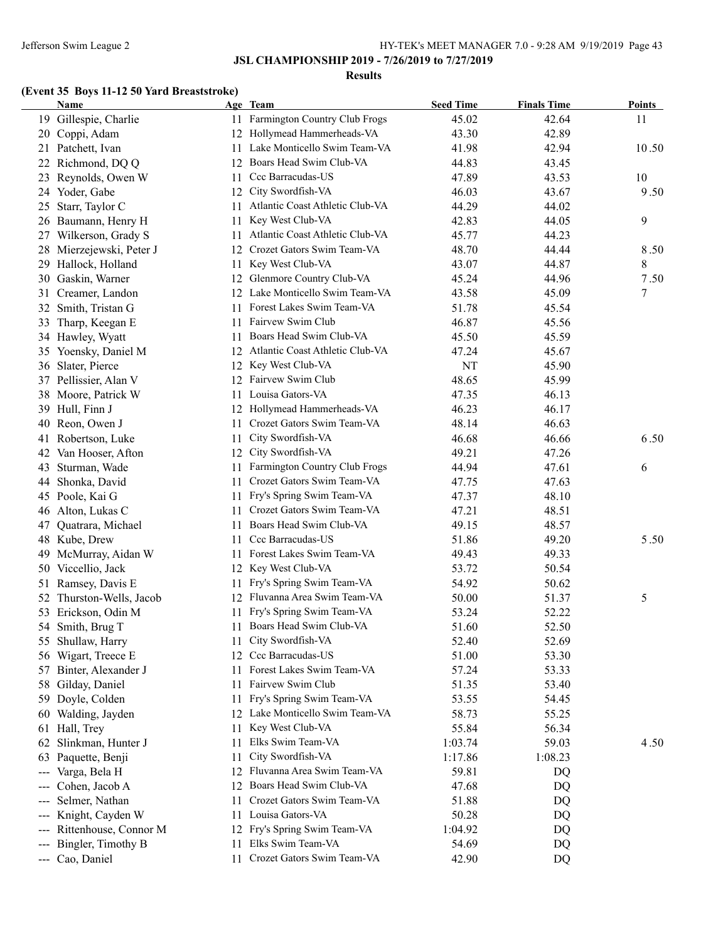#### **Results**

# **(Event 35 Boys 11-12 50 Yard Breaststroke)**

| Name                         |     | Age Team                           | <b>Seed Time</b> | <b>Finals Time</b> | <b>Points</b> |
|------------------------------|-----|------------------------------------|------------------|--------------------|---------------|
| 19 Gillespie, Charlie        |     | 11 Farmington Country Club Frogs   | 45.02            | 42.64              | 11            |
| 20 Coppi, Adam               |     | 12 Hollymead Hammerheads-VA        | 43.30            | 42.89              |               |
| 21 Patchett, Ivan            | 11  | Lake Monticello Swim Team-VA       | 41.98            | 42.94              | 10.50         |
| 22 Richmond, DQ Q            | 12  | Boars Head Swim Club-VA            | 44.83            | 43.45              |               |
| 23 Reynolds, Owen W          | 11  | Ccc Barracudas-US                  | 47.89            | 43.53              | 10            |
| 24 Yoder, Gabe               | 12  | City Swordfish-VA                  | 46.03            | 43.67              | 9.50          |
| Starr, Taylor C<br>25        | 11  | Atlantic Coast Athletic Club-VA    | 44.29            | 44.02              |               |
| 26 Baumann, Henry H          | 11  | Key West Club-VA                   | 42.83            | 44.05              | 9             |
| 27 Wilkerson, Grady S        | 11  | Atlantic Coast Athletic Club-VA    | 45.77            | 44.23              |               |
| 28 Mierzejewski, Peter J     | 12  | Crozet Gators Swim Team-VA         | 48.70            | 44.44              | 8.50          |
| 29 Hallock, Holland          | 11. | Key West Club-VA                   | 43.07            | 44.87              | 8             |
| 30 Gaskin, Warner            | 12  | Glenmore Country Club-VA           | 45.24            | 44.96              | 7.50          |
| Creamer, Landon<br>31        |     | 12 Lake Monticello Swim Team-VA    | 43.58            | 45.09              | 7             |
| 32 Smith, Tristan G          |     | 11 Forest Lakes Swim Team-VA       | 51.78            | 45.54              |               |
| 33 Tharp, Keegan E           |     | 11 Fairvew Swim Club               | 46.87            | 45.56              |               |
| 34 Hawley, Wyatt             | 11- | Boars Head Swim Club-VA            | 45.50            | 45.59              |               |
| 35 Yoensky, Daniel M         |     | 12 Atlantic Coast Athletic Club-VA | 47.24            | 45.67              |               |
| 36 Slater, Pierce            |     | 12 Key West Club-VA                | NT               | 45.90              |               |
| 37 Pellissier, Alan V        |     | 12 Fairvew Swim Club               | 48.65            | 45.99              |               |
| 38 Moore, Patrick W          | 11. | Louisa Gators-VA                   | 47.35            | 46.13              |               |
| 39 Hull, Finn J              |     | 12 Hollymead Hammerheads-VA        | 46.23            | 46.17              |               |
| Reon, Owen J<br>40           | 11  | Crozet Gators Swim Team-VA         | 48.14            | 46.63              |               |
| Robertson, Luke<br>41        | 11  | City Swordfish-VA                  | 46.68            | 46.66              | 6.50          |
| Van Hooser, Afton<br>42      | 12  | City Swordfish-VA                  | 49.21            | 47.26              |               |
| Sturman, Wade<br>43          | 11  | Farmington Country Club Frogs      | 44.94            | 47.61              | 6             |
| 44<br>Shonka, David          | 11  | Crozet Gators Swim Team-VA         | 47.75            | 47.63              |               |
| 45 Poole, Kai G              | 11  | Fry's Spring Swim Team-VA          | 47.37            | 48.10              |               |
| 46 Alton, Lukas C            | 11  | Crozet Gators Swim Team-VA         | 47.21            | 48.51              |               |
| Quatrara, Michael<br>47      | 11  | Boars Head Swim Club-VA            | 49.15            | 48.57              |               |
| 48 Kube, Drew                |     | 11 Ccc Barracudas-US               | 51.86            | 49.20              | 5.50          |
| 49 McMurray, Aidan W         |     | 11 Forest Lakes Swim Team-VA       | 49.43            | 49.33              |               |
| 50 Viccellio, Jack           |     | 12 Key West Club-VA                | 53.72            | 50.54              |               |
| 51 Ramsey, Davis E           | 11  | Fry's Spring Swim Team-VA          | 54.92            | 50.62              |               |
| 52 Thurston-Wells, Jacob     | 12  | Fluvanna Area Swim Team-VA         | 50.00            | 51.37              | 5             |
| 53 Erickson, Odin M          | 11  | Fry's Spring Swim Team-VA          | 53.24            | 52.22              |               |
| 54 Smith, Brug T             |     | 11 Boars Head Swim Club-VA         | 51.60            | 52.50              |               |
| 55 Shullaw, Harry            | 11. | City Swordfish-VA                  | 52.40            | 52.69              |               |
| 56 Wigart, Treece E          | 12  | Ccc Barracudas-US                  | 51.00            | 53.30              |               |
| 57 Binter, Alexander J       | 11  | Forest Lakes Swim Team-VA          | 57.24            | 53.33              |               |
| 58 Gilday, Daniel            | 11  | Fairvew Swim Club                  | 51.35            | 53.40              |               |
| Doyle, Colden<br>59          | 11  | Fry's Spring Swim Team-VA          | 53.55            | 54.45              |               |
| 60 Walding, Jayden           |     | 12 Lake Monticello Swim Team-VA    | 58.73            | 55.25              |               |
| 61 Hall, Trey                | 11. | Key West Club-VA                   | 55.84            | 56.34              |               |
| 62 Slinkman, Hunter J        | 11  | Elks Swim Team-VA                  | 1:03.74          | 59.03              | 4.50          |
| Paquette, Benji              | 11  | City Swordfish-VA                  | 1:17.86          | 1:08.23            |               |
| 63                           |     | 12 Fluvanna Area Swim Team-VA      | 59.81            |                    |               |
| Varga, Bela H<br>---         |     | Boars Head Swim Club-VA            |                  | DQ                 |               |
| Cohen, Jacob A               | 12  | Crozet Gators Swim Team-VA         | 47.68            | DQ                 |               |
| Selmer, Nathan<br>---        | 11  | Louisa Gators-VA                   | 51.88            | DQ                 |               |
| Knight, Cayden W<br>---      | 11  |                                    | 50.28            | DQ                 |               |
| Rittenhouse, Connor M<br>--- | 12  | Fry's Spring Swim Team-VA          | 1:04.92          | DQ                 |               |
| Bingler, Timothy B<br>---    | 11  | Elks Swim Team-VA                  | 54.69            | DQ                 |               |
| --- Cao, Daniel              | 11  | Crozet Gators Swim Team-VA         | 42.90            | DQ                 |               |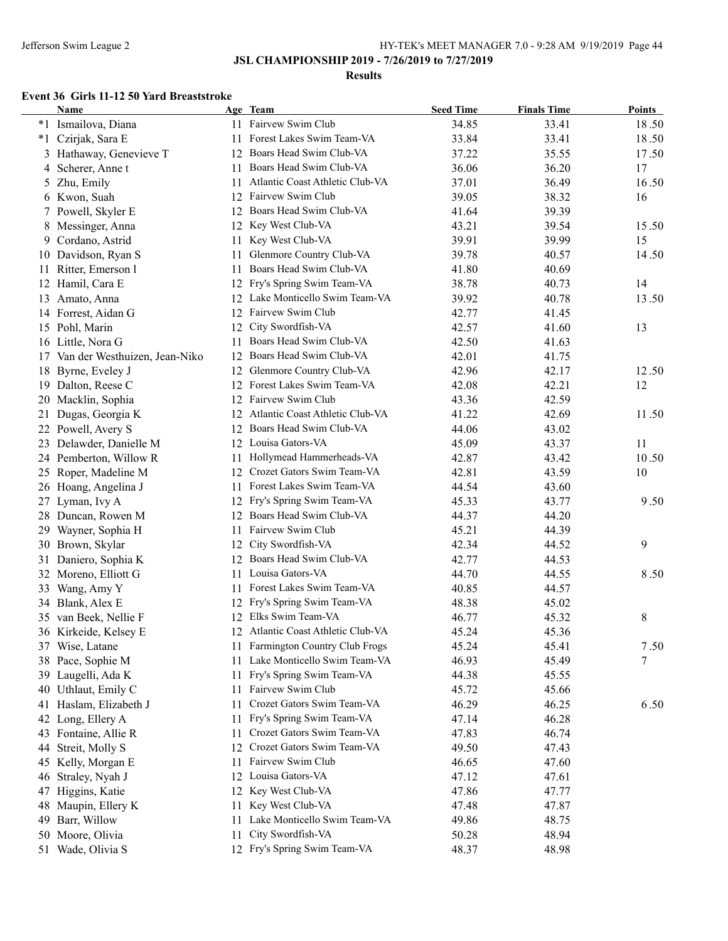### **Results**

### **Event 36 Girls 11-12 50 Yard Breaststroke**

|    | <b>Name</b>                      |     | Age Team                           | <b>Seed Time</b> | <b>Finals Time</b> | <b>Points</b> |
|----|----------------------------------|-----|------------------------------------|------------------|--------------------|---------------|
|    | *1 Ismailova, Diana              |     | 11 Fairvew Swim Club               | 34.85            | 33.41              | 18.50         |
|    | *1 Czirjak, Sara E               |     | 11 Forest Lakes Swim Team-VA       | 33.84            | 33.41              | 18.50         |
|    | 3 Hathaway, Genevieve T          |     | 12 Boars Head Swim Club-VA         | 37.22            | 35.55              | 17.50         |
|    | 4 Scherer, Anne t                | 11  | Boars Head Swim Club-VA            | 36.06            | 36.20              | 17            |
|    | 5 Zhu, Emily                     | 11  | Atlantic Coast Athletic Club-VA    | 37.01            | 36.49              | 16.50         |
|    | 6 Kwon, Suah                     |     | 12 Fairvew Swim Club               | 39.05            | 38.32              | 16            |
|    | 7 Powell, Skyler E               | 12  | Boars Head Swim Club-VA            | 41.64            | 39.39              |               |
| 8  | Messinger, Anna                  | 12  | Key West Club-VA                   | 43.21            | 39.54              | 15.50         |
| 9. | Cordano, Astrid                  | 11  | Key West Club-VA                   | 39.91            | 39.99              | 15            |
|    | 10 Davidson, Ryan S              | 11  | Glenmore Country Club-VA           | 39.78            | 40.57              | 14.50         |
|    | 11 Ritter, Emerson l             | 11  | Boars Head Swim Club-VA            | 41.80            | 40.69              |               |
|    | 12 Hamil, Cara E                 | 12  | Fry's Spring Swim Team-VA          | 38.78            | 40.73              | 14            |
|    | 13 Amato, Anna                   |     | 12 Lake Monticello Swim Team-VA    | 39.92            | 40.78              | 13.50         |
|    | 14 Forrest, Aidan G              |     | 12 Fairvew Swim Club               | 42.77            | 41.45              |               |
|    | 15 Pohl, Marin                   | 12  | City Swordfish-VA                  | 42.57            | 41.60              | 13            |
|    | 16 Little, Nora G                | 11  | Boars Head Swim Club-VA            | 42.50            | 41.63              |               |
|    | 17 Van der Westhuizen, Jean-Niko |     | 12 Boars Head Swim Club-VA         | 42.01            | 41.75              |               |
|    | 18 Byrne, Eveley J               |     | 12 Glenmore Country Club-VA        | 42.96            | 42.17              | 12.50         |
|    | 19 Dalton, Reese C               |     | 12 Forest Lakes Swim Team-VA       | 42.08            | 42.21              | 12            |
|    | 20 Macklin, Sophia               |     | 12 Fairvew Swim Club               | 43.36            | 42.59              |               |
| 21 | Dugas, Georgia K                 |     | 12 Atlantic Coast Athletic Club-VA | 41.22            | 42.69              | 11.50         |
|    | 22 Powell, Avery S               |     | 12 Boars Head Swim Club-VA         | 44.06            | 43.02              |               |
|    | 23 Delawder, Danielle M          |     | 12 Louisa Gators-VA                | 45.09            | 43.37              | 11            |
|    | 24 Pemberton, Willow R           | 11  | Hollymead Hammerheads-VA           | 42.87            | 43.42              | 10.50         |
|    | 25 Roper, Madeline M             | 12  | Crozet Gators Swim Team-VA         | 42.81            | 43.59              | 10            |
|    | 26 Hoang, Angelina J             |     | 11 Forest Lakes Swim Team-VA       | 44.54            | 43.60              |               |
|    | 27 Lyman, Ivy A                  |     | 12 Fry's Spring Swim Team-VA       | 45.33            | 43.77              | 9.50          |
|    | 28 Duncan, Rowen M               |     | 12 Boars Head Swim Club-VA         | 44.37            | 44.20              |               |
|    | 29 Wayner, Sophia H              | 11  | Fairvew Swim Club                  | 45.21            | 44.39              |               |
|    | 30 Brown, Skylar                 |     | 12 City Swordfish-VA               | 42.34            | 44.52              | 9             |
|    | 31 Daniero, Sophia K             | 12  | Boars Head Swim Club-VA            | 42.77            | 44.53              |               |
|    | 32 Moreno, Elliott G             |     | 11 Louisa Gators-VA                | 44.70            | 44.55              | 8.50          |
|    | 33 Wang, Amy Y                   |     | 11 Forest Lakes Swim Team-VA       | 40.85            | 44.57              |               |
|    | 34 Blank, Alex E                 |     | 12 Fry's Spring Swim Team-VA       | 48.38            | 45.02              |               |
|    | 35 van Beek, Nellie F            |     | 12 Elks Swim Team-VA               | 46.77            | 45.32              | 8             |
|    | 36 Kirkeide, Kelsey E            |     | 12 Atlantic Coast Athletic Club-VA | 45.24            | 45.36              |               |
|    | 37 Wise, Latane                  |     | 11 Farmington Country Club Frogs   | 45.24            | 45.41              | 7.50          |
|    | 38 Pace, Sophie M                | 11  | Lake Monticello Swim Team-VA       | 46.93            | 45.49              | 7             |
|    | 39 Laugelli, Ada K               | 11  | Fry's Spring Swim Team-VA          | 44.38            | 45.55              |               |
|    | 40 Uthlaut, Emily C              | 11  | Fairvew Swim Club                  | 45.72            | 45.66              |               |
|    | 41 Haslam, Elizabeth J           | 11  | Crozet Gators Swim Team-VA         | 46.29            | 46.25              | 6.50          |
|    | 42 Long, Ellery A                | 11  | Fry's Spring Swim Team-VA          | 47.14            | 46.28              |               |
|    | 43 Fontaine, Allie R             | 11  | Crozet Gators Swim Team-VA         | 47.83            | 46.74              |               |
| 44 | Streit, Molly S                  | 12  | Crozet Gators Swim Team-VA         | 49.50            | 47.43              |               |
|    | 45 Kelly, Morgan E               | 11  | Fairvew Swim Club                  | 46.65            | 47.60              |               |
| 46 | Straley, Nyah J                  |     | 12 Louisa Gators-VA                | 47.12            | 47.61              |               |
|    | 47 Higgins, Katie                |     | 12 Key West Club-VA                | 47.86            | 47.77              |               |
|    | 48 Maupin, Ellery K              | 11. | Key West Club-VA                   | 47.48            | 47.87              |               |
|    | 49 Barr, Willow                  | 11. | Lake Monticello Swim Team-VA       | 49.86            | 48.75              |               |
|    | 50 Moore, Olivia                 | 11  | City Swordfish-VA                  | 50.28            | 48.94              |               |
|    | 51 Wade, Olivia S                |     | 12 Fry's Spring Swim Team-VA       | 48.37            | 48.98              |               |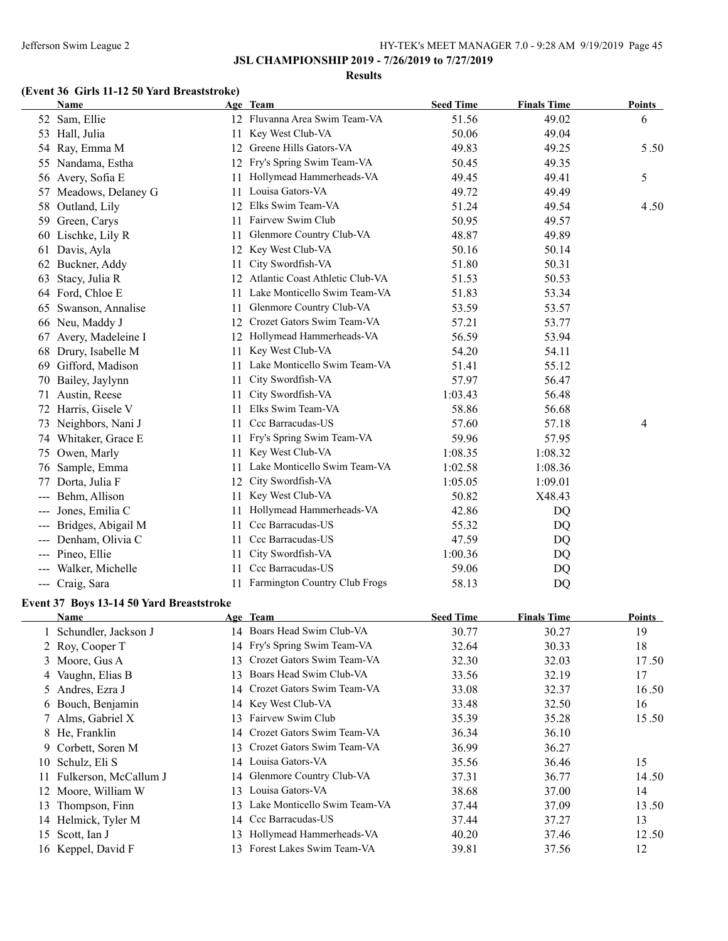### **Results**

# **(Event 36 Girls 11-12 50 Yard Breaststroke)**

|                        | Name                  |     | Age Team                        | <b>Seed Time</b> | <b>Finals Time</b> | <b>Points</b> |
|------------------------|-----------------------|-----|---------------------------------|------------------|--------------------|---------------|
|                        | 52 Sam, Ellie         |     | 12 Fluvanna Area Swim Team-VA   | 51.56            | 49.02              | 6             |
|                        | 53 Hall, Julia        | 11  | Key West Club-VA                | 50.06            | 49.04              |               |
| 54                     | Ray, Emma M           | 12  | Greene Hills Gators-VA          | 49.83            | 49.25              | 5.50          |
| 55                     | Nandama, Estha        | 12  | Fry's Spring Swim Team-VA       | 50.45            | 49.35              |               |
| 56                     | Avery, Sofia E        | 11  | Hollymead Hammerheads-VA        | 49.45            | 49.41              | 5             |
|                        | 57 Meadows, Delaney G | 11. | Louisa Gators-VA                | 49.72            | 49.49              |               |
| 58                     | Outland, Lily         | 12  | Elks Swim Team-VA               | 51.24            | 49.54              | 4.50          |
| 59                     | Green, Carys          | 11  | Fairvew Swim Club               | 50.95            | 49.57              |               |
| 60                     | Lischke, Lily R       | 11  | Glenmore Country Club-VA        | 48.87            | 49.89              |               |
| 61                     | Davis, Ayla           | 12  | Key West Club-VA                | 50.16            | 50.14              |               |
| 62                     | Buckner, Addy         | 11  | City Swordfish-VA               | 51.80            | 50.31              |               |
| 63                     | Stacy, Julia R        | 12  | Atlantic Coast Athletic Club-VA | 51.53            | 50.53              |               |
| 64                     | Ford, Chloe E         | 11. | Lake Monticello Swim Team-VA    | 51.83            | 53.34              |               |
| 65                     | Swanson, Annalise     | 11. | Glenmore Country Club-VA        | 53.59            | 53.57              |               |
|                        | 66 Neu, Maddy J       | 12  | Crozet Gators Swim Team-VA      | 57.21            | 53.77              |               |
| 67                     | Avery, Madeleine I    | 12  | Hollymead Hammerheads-VA        | 56.59            | 53.94              |               |
| 68                     | Drury, Isabelle M     | 11  | Key West Club-VA                | 54.20            | 54.11              |               |
| 69                     | Gifford, Madison      | 11  | Lake Monticello Swim Team-VA    | 51.41            | 55.12              |               |
| 70                     | Bailey, Jaylynn       | 11  | City Swordfish-VA               | 57.97            | 56.47              |               |
| 71                     | Austin, Reese         | 11  | City Swordfish-VA               | 1:03.43          | 56.48              |               |
| 72                     | Harris, Gisele V      | 11  | Elks Swim Team-VA               | 58.86            | 56.68              |               |
| 73                     | Neighbors, Nani J     | 11  | Ccc Barracudas-US               | 57.60            | 57.18              | 4             |
| 74                     | Whitaker, Grace E     | 11  | Fry's Spring Swim Team-VA       | 59.96            | 57.95              |               |
| 75                     | Owen, Marly           | 11  | Key West Club-VA                | 1:08.35          | 1:08.32            |               |
| 76                     | Sample, Emma          | 11. | Lake Monticello Swim Team-VA    | 1:02.58          | 1:08.36            |               |
| 77                     | Dorta, Julia F        | 12  | City Swordfish-VA               | 1:05.05          | 1:09.01            |               |
|                        | Behm, Allison         | 11. | Key West Club-VA                | 50.82            | X48.43             |               |
|                        | Jones, Emilia C       | 11  | Hollymead Hammerheads-VA        | 42.86            | DQ                 |               |
|                        | Bridges, Abigail M    | 11  | Ccc Barracudas-US               | 55.32            | DQ                 |               |
|                        | Denham, Olivia C      | 11. | Ccc Barracudas-US               | 47.59            | DQ                 |               |
| $---$                  | Pineo, Ellie          | 11  | City Swordfish-VA               | 1:00.36          | DQ                 |               |
| $\qquad \qquad \cdots$ | Walker, Michelle      | 11. | Ccc Barracudas-US               | 59.06            | DQ                 |               |
| $\frac{1}{2}$          | Craig, Sara           | 11  | Farmington Country Club Frogs   | 58.13            | DQ                 |               |

# **Event 37 Boys 13-14 50 Yard Breaststroke**

|     | Name                  |     | Age Team                     | <b>Seed Time</b> | <b>Finals Time</b> | Points |
|-----|-----------------------|-----|------------------------------|------------------|--------------------|--------|
|     | Schundler, Jackson J  |     | 14 Boars Head Swim Club-VA   | 30.77            | 30.27              | 19     |
|     | 2 Roy, Cooper T       |     | 14 Fry's Spring Swim Team-VA | 32.64            | 30.33              | 18     |
|     | 3 Moore, Gus A        | 13  | Crozet Gators Swim Team-VA   | 32.30            | 32.03              | 17.50  |
|     | 4 Vaughn, Elias B     | 13  | Boars Head Swim Club-VA      | 33.56            | 32.19              | 17     |
|     | 5 Andres, Ezra J      | 14  | Crozet Gators Swim Team-VA   | 33.08            | 32.37              | 16.50  |
|     | 6 Bouch, Benjamin     |     | 14 Key West Club-VA          | 33.48            | 32.50              | 16     |
|     | 7 Alms, Gabriel X     | 13  | Fairvew Swim Club            | 35.39            | 35.28              | 15.50  |
|     | 8 He, Franklin        | 14  | Crozet Gators Swim Team-VA   | 36.34            | 36.10              |        |
|     | 9 Corbett, Soren M    | 13. | Crozet Gators Swim Team-VA   | 36.99            | 36.27              |        |
|     | 10 Schulz, Eli S      | 14  | Louisa Gators-VA             | 35.56            | 36.46              | 15     |
| 11. | Fulkerson, McCallum J |     | 14 Glenmore Country Club-VA  | 37.31            | 36.77              | 14.50  |
|     | 12 Moore, William W   | 13  | Louisa Gators-VA             | 38.68            | 37.00              | 14     |
| 13  | Thompson, Finn        | 13  | Lake Monticello Swim Team-VA | 37.44            | 37.09              | 13.50  |
|     | 14 Helmick, Tyler M   | 14  | Ccc Barracudas-US            | 37.44            | 37.27              | 13     |
|     | 15 Scott, Ian J       | 13  | Hollymead Hammerheads-VA     | 40.20            | 37.46              | 12.50  |
|     | 16 Keppel, David F    |     | Forest Lakes Swim Team-VA    | 39.81            | 37.56              | 12     |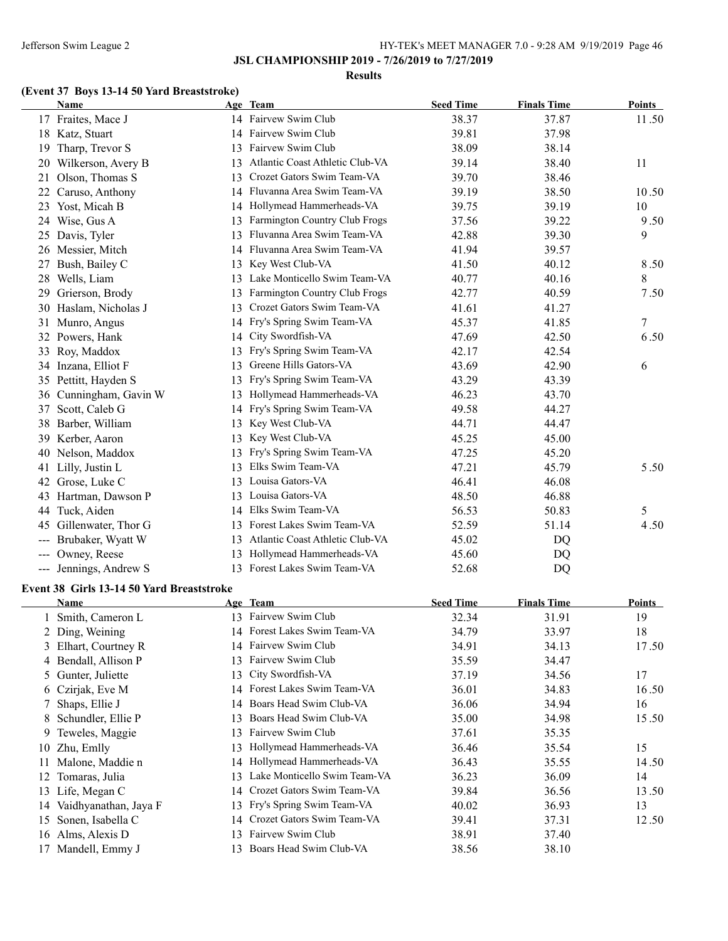#### **Results**

# **(Event 37 Boys 13-14 50 Yard Breaststroke)**

|     | Name                 |    | Age Team                        | <b>Seed Time</b> | <b>Finals Time</b> | <b>Points</b> |
|-----|----------------------|----|---------------------------------|------------------|--------------------|---------------|
|     | 17 Fraites, Mace J   |    | 14 Fairvew Swim Club            | 38.37            | 37.87              | 11.50         |
|     | 18 Katz, Stuart      | 14 | Fairvew Swim Club               | 39.81            | 37.98              |               |
| 19  | Tharp, Trevor S      | 13 | Fairvew Swim Club               | 38.09            | 38.14              |               |
| 20  | Wilkerson, Avery B   | 13 | Atlantic Coast Athletic Club-VA | 39.14            | 38.40              | 11            |
| 21  | Olson, Thomas S      | 13 | Crozet Gators Swim Team-VA      | 39.70            | 38.46              |               |
| 22  | Caruso, Anthony      | 14 | Fluvanna Area Swim Team-VA      | 39.19            | 38.50              | 10.50         |
| 23  | Yost, Micah B        | 14 | Hollymead Hammerheads-VA        | 39.75            | 39.19              | 10            |
| 24  | Wise, Gus A          | 13 | Farmington Country Club Frogs   | 37.56            | 39.22              | 9.50          |
|     | 25 Davis, Tyler      | 13 | Fluvanna Area Swim Team-VA      | 42.88            | 39.30              | 9             |
| 26  | Messier, Mitch       | 14 | Fluvanna Area Swim Team-VA      | 41.94            | 39.57              |               |
| 27  | Bush, Bailey C       | 13 | Key West Club-VA                | 41.50            | 40.12              | 8.50          |
| 28  | Wells, Liam          | 13 | Lake Monticello Swim Team-VA    | 40.77            | 40.16              | 8             |
| 29  | Grierson, Brody      | 13 | Farmington Country Club Frogs   | 42.77            | 40.59              | 7.50          |
| 30  | Haslam, Nicholas J   | 13 | Crozet Gators Swim Team-VA      | 41.61            | 41.27              |               |
| 31  | Munro, Angus         | 14 | Fry's Spring Swim Team-VA       | 45.37            | 41.85              | $\tau$        |
| 32  | Powers, Hank         | 14 | City Swordfish-VA               | 47.69            | 42.50              | 6.50          |
|     | 33 Roy, Maddox       | 13 | Fry's Spring Swim Team-VA       | 42.17            | 42.54              |               |
|     | 34 Inzana, Elliot F  | 13 | Greene Hills Gators-VA          | 43.69            | 42.90              | 6             |
|     | 35 Pettitt, Hayden S | 13 | Fry's Spring Swim Team-VA       | 43.29            | 43.39              |               |
| 36  | Cunningham, Gavin W  | 13 | Hollymead Hammerheads-VA        | 46.23            | 43.70              |               |
| 37  | Scott, Caleb G       | 14 | Fry's Spring Swim Team-VA       | 49.58            | 44.27              |               |
| 38  | Barber, William      | 13 | Key West Club-VA                | 44.71            | 44.47              |               |
| 39  | Kerber, Aaron        | 13 | Key West Club-VA                | 45.25            | 45.00              |               |
| 40  | Nelson, Maddox       | 13 | Fry's Spring Swim Team-VA       | 47.25            | 45.20              |               |
| 41  | Lilly, Justin L      | 13 | Elks Swim Team-VA               | 47.21            | 45.79              | 5.50          |
| 42  | Grose, Luke C        | 13 | Louisa Gators-VA                | 46.41            | 46.08              |               |
| 43  | Hartman, Dawson P    | 13 | Louisa Gators-VA                | 48.50            | 46.88              |               |
| 44  | Tuck, Aiden          | 14 | Elks Swim Team-VA               | 56.53            | 50.83              | 5             |
| 45  | Gillenwater, Thor G  | 13 | Forest Lakes Swim Team-VA       | 52.59            | 51.14              | 4.50          |
| --- | Brubaker, Wyatt W    | 13 | Atlantic Coast Athletic Club-VA | 45.02            | DQ                 |               |
| --- | Owney, Reese         | 13 | Hollymead Hammerheads-VA        | 45.60            | DQ                 |               |
| --- | Jennings, Andrew S   | 13 | Forest Lakes Swim Team-VA       | 52.68            | DQ                 |               |

## **Event 38 Girls 13-14 50 Yard Breaststroke**

|    | Name                  |     | Age Team                      | <b>Seed Time</b> | <b>Finals Time</b> | Points |
|----|-----------------------|-----|-------------------------------|------------------|--------------------|--------|
|    | 1 Smith, Cameron L    | 13  | Fairvew Swim Club             | 32.34            | 31.91              | 19     |
|    | 2 Ding, Weining       |     | 14 Forest Lakes Swim Team-VA  | 34.79            | 33.97              | 18     |
|    | 3 Elhart, Courtney R  |     | 14 Fairvew Swim Club          | 34.91            | 34.13              | 17.50  |
|    | 4 Bendall, Allison P  | 13. | Fairvew Swim Club             | 35.59            | 34.47              |        |
|    | 5 Gunter, Juliette    | 13. | City Swordfish-VA             | 37.19            | 34.56              | 17     |
|    | 6 Czirjak, Eve M      |     | 14 Forest Lakes Swim Team-VA  | 36.01            | 34.83              | 16.50  |
|    | 7 Shaps, Ellie J      |     | 14 Boars Head Swim Club-VA    | 36.06            | 34.94              | 16     |
|    | 8 Schundler, Ellie P  | 13. | Boars Head Swim Club-VA       | 35.00            | 34.98              | 15.50  |
| 9  | Teweles, Maggie       | 13  | Fairvew Swim Club             | 37.61            | 35.35              |        |
|    | 10 Zhu, Emlly         | 13. | Hollymead Hammerheads-VA      | 36.46            | 35.54              | 15     |
|    | Malone, Maddie n      |     | 14 Hollymead Hammerheads-VA   | 36.43            | 35.55              | 14.50  |
| 12 | Tomaras, Julia        | 13. | Lake Monticello Swim Team-VA  | 36.23            | 36.09              | 14     |
| 13 | Life, Megan C         |     | 14 Crozet Gators Swim Team-VA | 39.84            | 36.56              | 13.50  |
| 14 | Vaidhyanathan, Jaya F |     | 13 Fry's Spring Swim Team-VA  | 40.02            | 36.93              | 13     |
| 15 | Sonen, Isabella C     |     | 14 Crozet Gators Swim Team-VA | 39.41            | 37.31              | 12.50  |
|    | 16 Alms, Alexis D     | 13. | Fairvew Swim Club             | 38.91            | 37.40              |        |
|    | 17 Mandell, Emmy J    | 13. | Boars Head Swim Club-VA       | 38.56            | 38.10              |        |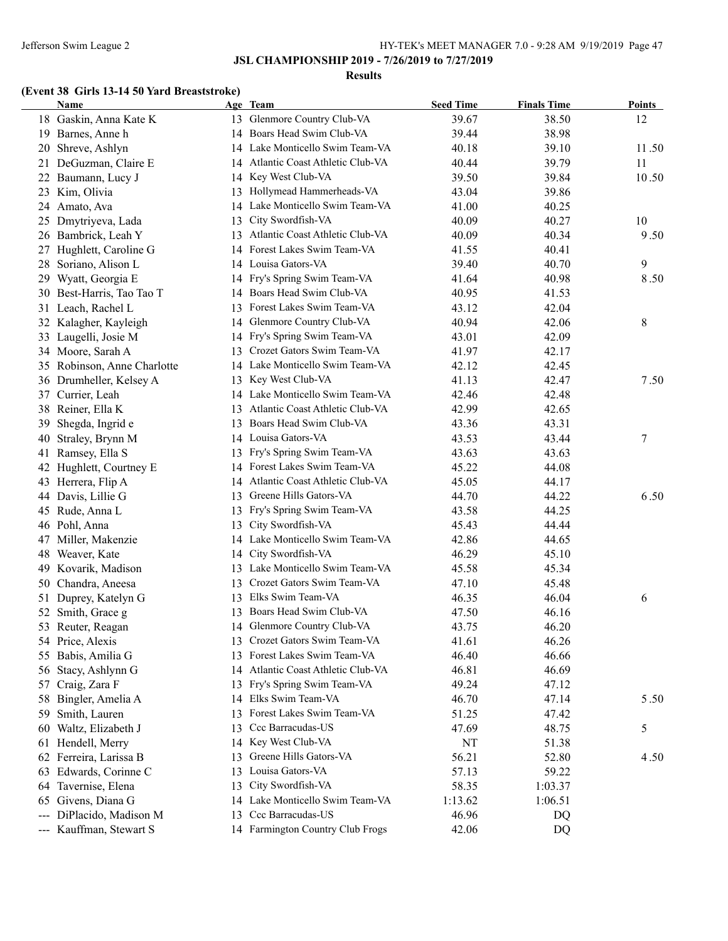#### **Results**

# **(Event 38 Girls 13-14 50 Yard Breaststroke)**

|                     | <b>Name</b>              |    | Age Team                           | <b>Seed Time</b> | <b>Finals Time</b> | Points           |
|---------------------|--------------------------|----|------------------------------------|------------------|--------------------|------------------|
|                     | 18 Gaskin, Anna Kate K   |    | 13 Glenmore Country Club-VA        | 39.67            | 38.50              | 12               |
| 19                  | Barnes, Anne h           | 14 | Boars Head Swim Club-VA            | 39.44            | 38.98              |                  |
| 20                  | Shreve, Ashlyn           |    | 14 Lake Monticello Swim Team-VA    | 40.18            | 39.10              | 11.50            |
| 21                  | DeGuzman, Claire E       |    | 14 Atlantic Coast Athletic Club-VA | 40.44            | 39.79              | 11               |
| 22                  | Baumann, Lucy J          |    | 14 Key West Club-VA                | 39.50            | 39.84              | 10.50            |
| 23                  | Kim, Olivia              | 13 | Hollymead Hammerheads-VA           | 43.04            | 39.86              |                  |
| 24                  | Amato, Ava               | 14 | Lake Monticello Swim Team-VA       | 41.00            | 40.25              |                  |
| 25                  | Dmytriyeva, Lada         | 13 | City Swordfish-VA                  | 40.09            | 40.27              | 10               |
| 26                  | Bambrick, Leah Y         | 13 | Atlantic Coast Athletic Club-VA    | 40.09            | 40.34              | 9.50             |
| 27                  | Hughlett, Caroline G     | 14 | Forest Lakes Swim Team-VA          | 41.55            | 40.41              |                  |
| 28                  | Soriano, Alison L        |    | 14 Louisa Gators-VA                | 39.40            | 40.70              | 9                |
| 29                  | Wyatt, Georgia E         | 14 | Fry's Spring Swim Team-VA          | 41.64            | 40.98              | 8.50             |
| 30                  | Best-Harris, Tao Tao T   | 14 | Boars Head Swim Club-VA            | 40.95            | 41.53              |                  |
|                     | 31 Leach, Rachel L       | 13 | Forest Lakes Swim Team-VA          | 43.12            | 42.04              |                  |
| 32                  | Kalagher, Kayleigh       | 14 | Glenmore Country Club-VA           | 40.94            | 42.06              | 8                |
| 33                  | Laugelli, Josie M        | 14 | Fry's Spring Swim Team-VA          | 43.01            | 42.09              |                  |
|                     | 34 Moore, Sarah A        | 13 | Crozet Gators Swim Team-VA         | 41.97            | 42.17              |                  |
| 35                  | Robinson, Anne Charlotte |    | 14 Lake Monticello Swim Team-VA    | 42.12            | 42.45              |                  |
| 36                  | Drumheller, Kelsey A     | 13 | Key West Club-VA                   | 41.13            | 42.47              | 7.50             |
|                     | 37 Currier, Leah         |    | 14 Lake Monticello Swim Team-VA    | 42.46            | 42.48              |                  |
| 38                  | Reiner, Ella K           | 13 | Atlantic Coast Athletic Club-VA    | 42.99            | 42.65              |                  |
| 39                  | Shegda, Ingrid e         | 13 | Boars Head Swim Club-VA            | 43.36            | 43.31              |                  |
| 40                  | Straley, Brynn M         |    | 14 Louisa Gators-VA                | 43.53            | 43.44              | $\boldsymbol{7}$ |
| 41                  | Ramsey, Ella S           | 13 | Fry's Spring Swim Team-VA          | 43.63            | 43.63              |                  |
| 42                  | Hughlett, Courtney E     |    | 14 Forest Lakes Swim Team-VA       | 45.22            | 44.08              |                  |
| 43                  | Herrera, Flip A          |    | 14 Atlantic Coast Athletic Club-VA | 45.05            | 44.17              |                  |
| 44                  | Davis, Lillie G          | 13 | Greene Hills Gators-VA             | 44.70            | 44.22              | 6.50             |
| 45                  | Rude, Anna L             | 13 | Fry's Spring Swim Team-VA          | 43.58            | 44.25              |                  |
|                     | 46 Pohl, Anna            | 13 | City Swordfish-VA                  | 45.43            | 44.44              |                  |
| 47                  | Miller, Makenzie         | 14 | Lake Monticello Swim Team-VA       | 42.86            | 44.65              |                  |
| 48                  | Weaver, Kate             |    | 14 City Swordfish-VA               | 46.29            | 45.10              |                  |
| 49                  | Kovarik, Madison         | 13 | Lake Monticello Swim Team-VA       | 45.58            | 45.34              |                  |
| 50                  | Chandra, Aneesa          | 13 | Crozet Gators Swim Team-VA         | 47.10            | 45.48              |                  |
| 51                  | Duprey, Katelyn G        | 13 | Elks Swim Team-VA                  | 46.35            | 46.04              | 6                |
| 52                  | Smith, Grace g           | 13 | Boars Head Swim Club-VA            | 47.50            | 46.16              |                  |
| 53                  | Reuter, Reagan           |    | 14 Glenmore Country Club-VA        | 43.75            | 46.20              |                  |
|                     | 54 Price, Alexis         | 13 | Crozet Gators Swim Team-VA         | 41.61            | 46.26              |                  |
| 55                  | Babis, Amilia G          | 13 | Forest Lakes Swim Team-VA          | 46.40            | 46.66              |                  |
| 56                  | Stacy, Ashlynn G         | 14 | Atlantic Coast Athletic Club-VA    | 46.81            | 46.69              |                  |
| 57                  | Craig, Zara F            | 13 | Fry's Spring Swim Team-VA          | 49.24            | 47.12              |                  |
| 58                  | Bingler, Amelia A        | 14 | Elks Swim Team-VA                  | 46.70            | 47.14              | 5.50             |
| 59                  | Smith, Lauren            | 13 | Forest Lakes Swim Team-VA          | 51.25            | 47.42              |                  |
| 60                  | Waltz, Elizabeth J       | 13 | Ccc Barracudas-US                  | 47.69            | 48.75              | 5                |
|                     | 61 Hendell, Merry        | 14 | Key West Club-VA                   | NT               | 51.38              |                  |
|                     | 62 Ferreira, Larissa B   | 13 | Greene Hills Gators-VA             | 56.21            | 52.80              | 4.50             |
| 63                  | Edwards, Corinne C       | 13 | Louisa Gators-VA                   | 57.13            | 59.22              |                  |
| 64                  | Tavernise, Elena         | 13 | City Swordfish-VA                  | 58.35            | 1:03.37            |                  |
| 65                  | Givens, Diana G          | 14 | Lake Monticello Swim Team-VA       | 1:13.62          | 1:06.51            |                  |
| $\qquad \qquad - -$ | DiPlacido, Madison M     | 13 | Ccc Barracudas-US                  | 46.96            | DQ                 |                  |
| $\qquad \qquad - -$ | Kauffman, Stewart S      |    | 14 Farmington Country Club Frogs   | 42.06            | DQ                 |                  |
|                     |                          |    |                                    |                  |                    |                  |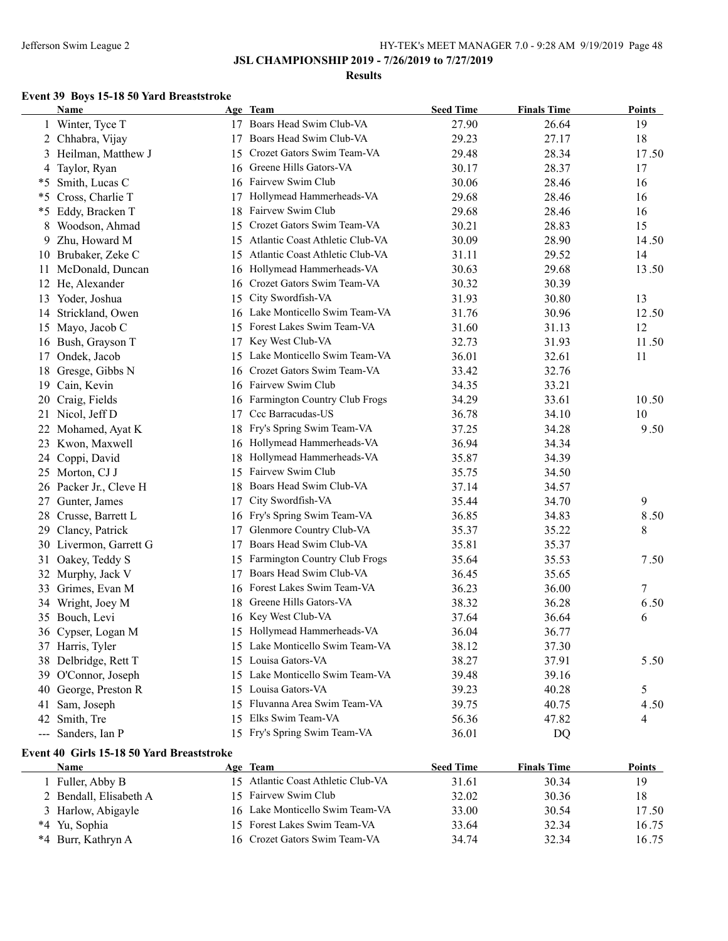### **Results**

## **Event 39 Boys 15-18 50 Yard Breaststroke**

|     | <b>Name</b>            |    | Age Team                        | <b>Seed Time</b> | <b>Finals Time</b> | <b>Points</b> |
|-----|------------------------|----|---------------------------------|------------------|--------------------|---------------|
|     | 1 Winter, Tyce T       |    | 17 Boars Head Swim Club-VA      | 27.90            | 26.64              | 19            |
|     | 2 Chhabra, Vijay       | 17 | Boars Head Swim Club-VA         | 29.23            | 27.17              | 18            |
|     | 3 Heilman, Matthew J   | 15 | Crozet Gators Swim Team-VA      | 29.48            | 28.34              | 17.50         |
|     | 4 Taylor, Ryan         | 16 | Greene Hills Gators-VA          | 30.17            | 28.37              | 17            |
|     | *5 Smith, Lucas C      | 16 | Fairvew Swim Club               | 30.06            | 28.46              | 16            |
| *5  | Cross, Charlie T       | 17 | Hollymead Hammerheads-VA        | 29.68            | 28.46              | 16            |
|     | *5 Eddy, Bracken T     | 18 | Fairvew Swim Club               | 29.68            | 28.46              | 16            |
| 8   | Woodson, Ahmad         | 15 | Crozet Gators Swim Team-VA      | 30.21            | 28.83              | 15            |
| 9   | Zhu, Howard M          | 15 | Atlantic Coast Athletic Club-VA | 30.09            | 28.90              | 14.50         |
|     | 10 Brubaker, Zeke C    | 15 | Atlantic Coast Athletic Club-VA | 31.11            | 29.52              | 14            |
| 11. | McDonald, Duncan       | 16 | Hollymead Hammerheads-VA        | 30.63            | 29.68              | 13.50         |
|     | 12 He, Alexander       | 16 | Crozet Gators Swim Team-VA      | 30.32            | 30.39              |               |
|     | 13 Yoder, Joshua       | 15 | City Swordfish-VA               | 31.93            | 30.80              | 13            |
| 14  | Strickland, Owen       | 16 | Lake Monticello Swim Team-VA    | 31.76            | 30.96              | 12.50         |
|     | 15 Mayo, Jacob C       | 15 | Forest Lakes Swim Team-VA       | 31.60            | 31.13              | 12            |
|     | 16 Bush, Grayson T     | 17 | Key West Club-VA                | 32.73            | 31.93              | 11.50         |
| 17  | Ondek, Jacob           | 15 | Lake Monticello Swim Team-VA    | 36.01            | 32.61              | 11            |
| 18  | Gresge, Gibbs N        | 16 | Crozet Gators Swim Team-VA      | 33.42            | 32.76              |               |
| 19  | Cain, Kevin            |    | 16 Fairvew Swim Club            | 34.35            | 33.21              |               |
| 20  | Craig, Fields          | 16 | Farmington Country Club Frogs   | 34.29            | 33.61              | 10.50         |
| 21  | Nicol, Jeff D          | 17 | Ccc Barracudas-US               | 36.78            | 34.10              | 10            |
|     | 22 Mohamed, Ayat K     | 18 | Fry's Spring Swim Team-VA       | 37.25            | 34.28              | 9.50          |
|     | 23 Kwon, Maxwell       |    | 16 Hollymead Hammerheads-VA     | 36.94            | 34.34              |               |
| 24  | Coppi, David           |    | 18 Hollymead Hammerheads-VA     | 35.87            | 34.39              |               |
|     | 25 Morton, CJ J        |    | 15 Fairvew Swim Club            | 35.75            | 34.50              |               |
| 26  | Packer Jr., Cleve H    | 18 | Boars Head Swim Club-VA         | 37.14            | 34.57              |               |
| 27  | Gunter, James          | 17 | City Swordfish-VA               | 35.44            | 34.70              | 9             |
| 28  | Crusse, Barrett L      | 16 | Fry's Spring Swim Team-VA       | 36.85            | 34.83              | 8.50          |
| 29  | Clancy, Patrick        | 17 | Glenmore Country Club-VA        | 35.37            | 35.22              | 8             |
|     | 30 Livermon, Garrett G | 17 | Boars Head Swim Club-VA         | 35.81            | 35.37              |               |
|     | 31 Oakey, Teddy S      | 15 | Farmington Country Club Frogs   | 35.64            | 35.53              | 7.50          |
|     | 32 Murphy, Jack V      | 17 | Boars Head Swim Club-VA         | 36.45            | 35.65              |               |
|     | 33 Grimes, Evan M      | 16 | Forest Lakes Swim Team-VA       | 36.23            | 36.00              | 7             |
|     | 34 Wright, Joey M      | 18 | Greene Hills Gators-VA          | 38.32            | 36.28              | 6.50          |
|     | 35 Bouch, Levi         | 16 | Key West Club-VA                | 37.64            | 36.64              | 6             |
|     | 36 Cypser, Logan M     |    | 15 Hollymead Hammerheads-VA     | 36.04            | 36.77              |               |
|     | 37 Harris, Tyler       |    | 15 Lake Monticello Swim Team-VA | 38.12            | 37.30              |               |
|     | 38 Delbridge, Rett T   |    | 15 Louisa Gators-VA             | 38.27            | 37.91              | 5.50          |
|     | 39 O'Connor, Joseph    |    | 15 Lake Monticello Swim Team-VA | 39.48            | 39.16              |               |
| 40  | George, Preston R      |    | 15 Louisa Gators-VA             | 39.23            | 40.28              | 5             |
| 41  | Sam, Joseph            |    | 15 Fluvanna Area Swim Team-VA   | 39.75            | 40.75              | 4.50          |
| 42  | Smith, Tre             |    | 15 Elks Swim Team-VA            | 56.36            | 47.82              | 4             |
|     | --- Sanders, Ian P     |    | 15 Fry's Spring Swim Team-VA    | 36.01            | DQ                 |               |

# **Event 40 Girls 15-18 50 Yard Breaststroke**

| Name                   | Age Team                           | <b>Seed Time</b> | <b>Finals Time</b> | <b>Points</b> |
|------------------------|------------------------------------|------------------|--------------------|---------------|
| l Fuller, Abby B       | 15 Atlantic Coast Athletic Club-VA | 31.61            | 30.34              | 19            |
| 2 Bendall, Elisabeth A | 15 Fairvew Swim Club               | 32.02            | 30.36              | 18            |
| 3 Harlow, Abigayle     | 16 Lake Monticello Swim Team-VA    | 33.00            | 30.54              | 17.50         |
| *4 Yu, Sophia          | 15 Forest Lakes Swim Team-VA       | 33.64            | 32.34              | 16.75         |
| *4 Burr, Kathryn A     | 16 Crozet Gators Swim Team-VA      | 34.74            | 32.34              | 16.75         |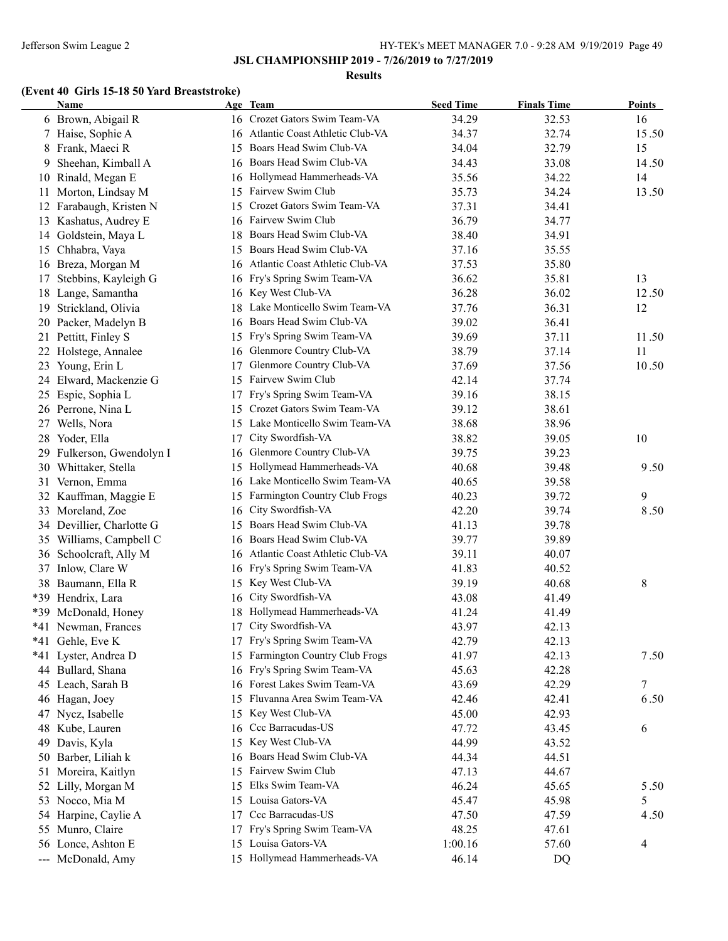#### **Results**

# **(Event 40 Girls 15-18 50 Yard Breaststroke)**

|     | <b>Name</b>            |    | Age Team                           | <b>Seed Time</b> | <b>Finals Time</b> | <b>Points</b> |
|-----|------------------------|----|------------------------------------|------------------|--------------------|---------------|
|     | 6 Brown, Abigail R     |    | 16 Crozet Gators Swim Team-VA      | 34.29            | 32.53              | 16            |
|     | 7 Haise, Sophie A      |    | 16 Atlantic Coast Athletic Club-VA | 34.37            | 32.74              | 15.50         |
| 8   | Frank, Maeci R         | 15 | Boars Head Swim Club-VA            | 34.04            | 32.79              | 15            |
| 9   | Sheehan, Kimball A     | 16 | Boars Head Swim Club-VA            | 34.43            | 33.08              | 14.50         |
| 10  | Rinald, Megan E        |    | 16 Hollymead Hammerheads-VA        | 35.56            | 34.22              | 14            |
| 11  | Morton, Lindsay M      | 15 | Fairvew Swim Club                  | 35.73            | 34.24              | 13.50         |
| 12  | Farabaugh, Kristen N   | 15 | Crozet Gators Swim Team-VA         | 37.31            | 34.41              |               |
| 13  | Kashatus, Audrey E     | 16 | Fairvew Swim Club                  | 36.79            | 34.77              |               |
|     | 14 Goldstein, Maya L   | 18 | Boars Head Swim Club-VA            | 38.40            | 34.91              |               |
| 15  | Chhabra, Vaya          | 15 | Boars Head Swim Club-VA            | 37.16            | 35.55              |               |
| 16  | Breza, Morgan M        | 16 | Atlantic Coast Athletic Club-VA    | 37.53            | 35.80              |               |
| 17  | Stebbins, Kayleigh G   | 16 | Fry's Spring Swim Team-VA          | 36.62            | 35.81              | 13            |
| 18  | Lange, Samantha        | 16 | Key West Club-VA                   | 36.28            | 36.02              | 12.50         |
| 19  | Strickland, Olivia     | 18 | Lake Monticello Swim Team-VA       | 37.76            | 36.31              | 12            |
| 20  | Packer, Madelyn B      | 16 | Boars Head Swim Club-VA            | 39.02            | 36.41              |               |
|     | 21 Pettitt, Finley S   | 15 | Fry's Spring Swim Team-VA          | 39.69            | 37.11              | 11.50         |
| 22  | Holstege, Annalee      | 16 | Glenmore Country Club-VA           | 38.79            | 37.14              | 11            |
| 23  | Young, Erin L          | 17 | Glenmore Country Club-VA           | 37.69            | 37.56              | 10.50         |
|     | 24 Elward, Mackenzie G |    | 15 Fairvew Swim Club               | 42.14            | 37.74              |               |
| 25  | Espie, Sophia L        | 17 | Fry's Spring Swim Team-VA          | 39.16            | 38.15              |               |
|     | 26 Perrone, Nina L     | 15 | Crozet Gators Swim Team-VA         | 39.12            | 38.61              |               |
|     | 27 Wells, Nora         |    | 15 Lake Monticello Swim Team-VA    | 38.68            | 38.96              |               |
| 28  | Yoder, Ella            | 17 | City Swordfish-VA                  | 38.82            | 39.05              | 10            |
| 29  | Fulkerson, Gwendolyn I |    | 16 Glenmore Country Club-VA        | 39.75            | 39.23              |               |
| 30  | Whittaker, Stella      | 15 | Hollymead Hammerheads-VA           | 40.68            | 39.48              | 9.50          |
| 31  | Vernon, Emma           | 16 | Lake Monticello Swim Team-VA       | 40.65            | 39.58              |               |
| 32  | Kauffman, Maggie E     | 15 | Farmington Country Club Frogs      | 40.23            | 39.72              | 9             |
| 33  | Moreland, Zoe          | 16 | City Swordfish-VA                  | 42.20            | 39.74              | 8.50          |
| 34  | Devillier, Charlotte G | 15 | Boars Head Swim Club-VA            | 41.13            | 39.78              |               |
| 35  | Williams, Campbell C   |    | 16 Boars Head Swim Club-VA         | 39.77            | 39.89              |               |
| 36  | Schoolcraft, Ally M    |    | 16 Atlantic Coast Athletic Club-VA | 39.11            | 40.07              |               |
| 37  | Inlow, Clare W         |    | 16 Fry's Spring Swim Team-VA       | 41.83            | 40.52              |               |
| 38  | Baumann, Ella R        | 15 | Key West Club-VA                   | 39.19            | 40.68              | 8             |
|     | *39 Hendrix, Lara      | 16 | City Swordfish-VA                  | 43.08            | 41.49              |               |
| *39 | McDonald, Honey        | 18 | Hollymead Hammerheads-VA           | 41.24            | 41.49              |               |
|     | *41 Newman, Frances    | 17 | City Swordfish-VA                  | 43.97            | 42.13              |               |
|     | *41 Gehle, Eve K       |    | 17 Fry's Spring Swim Team-VA       | 42.79            | 42.13              |               |
|     | *41 Lyster, Andrea D   | 15 | Farmington Country Club Frogs      | 41.97            | 42.13              | 7.50          |
| 44  | Bullard, Shana         | 16 | Fry's Spring Swim Team-VA          | 45.63            | 42.28              |               |
| 45  | Leach, Sarah B         | 16 | Forest Lakes Swim Team-VA          | 43.69            | 42.29              | $\tau$        |
| 46  | Hagan, Joey            | 15 | Fluvanna Area Swim Team-VA         | 42.46            | 42.41              | 6.50          |
| 47  | Nycz, Isabelle         | 15 | Key West Club-VA                   | 45.00            | 42.93              |               |
| 48  | Kube, Lauren           | 16 | Ccc Barracudas-US                  | 47.72            | 43.45              | 6             |
| 49  | Davis, Kyla            | 15 | Key West Club-VA                   | 44.99            | 43.52              |               |
| 50  | Barber, Liliah k       | 16 | Boars Head Swim Club-VA            | 44.34            | 44.51              |               |
| 51  | Moreira, Kaitlyn       | 15 | Fairvew Swim Club                  | 47.13            | 44.67              |               |
| 52  | Lilly, Morgan M        | 15 | Elks Swim Team-VA                  | 46.24            | 45.65              | 5.50          |
|     | 53 Nocco, Mia M        | 15 | Louisa Gators-VA                   | 45.47            | 45.98              | 5             |
|     | 54 Harpine, Caylie A   | 17 | Ccc Barracudas-US                  | 47.50            | 47.59              | 4.50          |
|     | 55 Munro, Claire       | 17 | Fry's Spring Swim Team-VA          | 48.25            | 47.61              |               |
|     | 56 Lonce, Ashton E     |    | 15 Louisa Gators-VA                | 1:00.16          | 57.60              | 4             |
|     | --- McDonald, Amy      |    | 15 Hollymead Hammerheads-VA        | 46.14            | DQ                 |               |
|     |                        |    |                                    |                  |                    |               |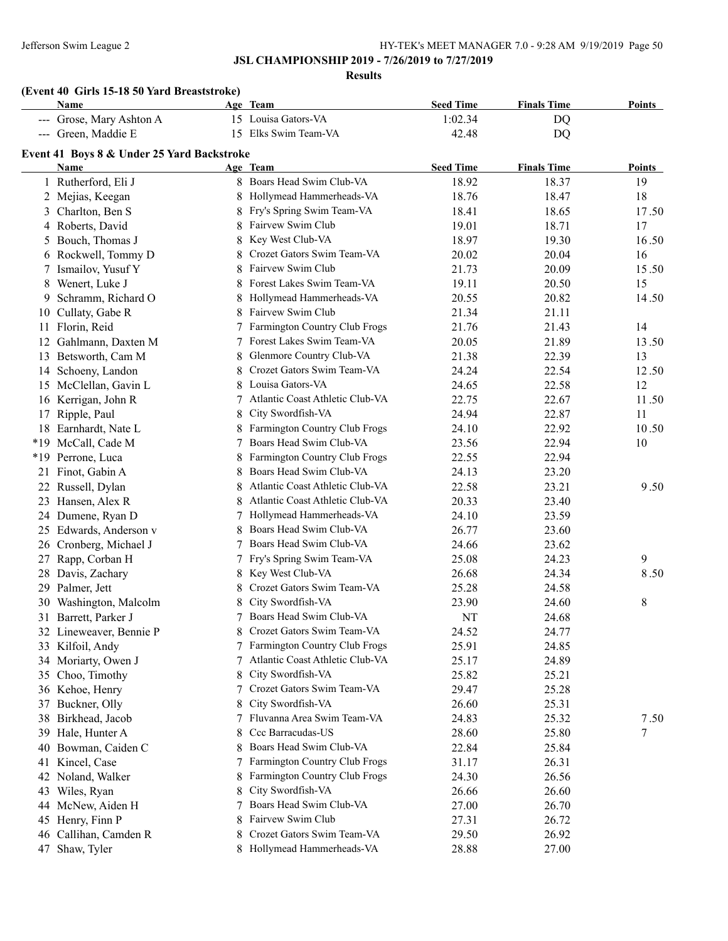**Results**

# **(Event 40 Girls 15-18 50 Yard Breaststroke)**

|    | Name                                       |   | Age Team                        | <b>Seed Time</b> | <b>Finals Time</b> | <b>Points</b> |
|----|--------------------------------------------|---|---------------------------------|------------------|--------------------|---------------|
|    | --- Grose, Mary Ashton A                   |   | 15 Louisa Gators-VA             | 1:02.34          | <b>DQ</b>          |               |
|    | --- Green, Maddie E                        |   | 15 Elks Swim Team-VA            | 42.48            | DQ                 |               |
|    | Event 41 Boys 8 & Under 25 Yard Backstroke |   |                                 |                  |                    |               |
|    | <b>Name</b>                                |   | Age Team                        | <b>Seed Time</b> | <b>Finals Time</b> | <b>Points</b> |
|    | 1 Rutherford, Eli J                        |   | 8 Boars Head Swim Club-VA       | 18.92            | 18.37              | 19            |
|    | 2 Mejias, Keegan                           | 8 | Hollymead Hammerheads-VA        | 18.76            | 18.47              | 18            |
|    | 3 Charlton, Ben S                          | 8 | Fry's Spring Swim Team-VA       | 18.41            | 18.65              | 17.50         |
|    | 4 Roberts, David                           | 8 | Fairvew Swim Club               | 19.01            | 18.71              | 17            |
|    | 5 Bouch, Thomas J                          | 8 | Key West Club-VA                | 18.97            | 19.30              | 16.50         |
|    | 6 Rockwell, Tommy D                        | 8 | Crozet Gators Swim Team-VA      | 20.02            | 20.04              | 16            |
|    | 7 Ismailov, Yusuf Y                        | 8 | Fairvew Swim Club               | 21.73            | 20.09              | 15.50         |
|    | 8 Wenert, Luke J                           | 8 | Forest Lakes Swim Team-VA       | 19.11            | 20.50              | 15            |
|    | 9 Schramm, Richard O                       | 8 | Hollymead Hammerheads-VA        | 20.55            | 20.82              | 14.50         |
|    | 10 Cullaty, Gabe R                         | 8 | Fairvew Swim Club               | 21.34            | 21.11              |               |
|    | 11 Florin, Reid                            |   | Farmington Country Club Frogs   | 21.76            | 21.43              | 14            |
|    | 12 Gahlmann, Daxten M                      | 7 | Forest Lakes Swim Team-VA       | 20.05            | 21.89              | 13.50         |
|    | 13 Betsworth, Cam M                        | 8 | Glenmore Country Club-VA        | 21.38            | 22.39              | 13            |
|    | 14 Schoeny, Landon                         | 8 | Crozet Gators Swim Team-VA      | 24.24            | 22.54              | 12.50         |
|    | 15 McClellan, Gavin L                      | 8 | Louisa Gators-VA                | 24.65            | 22.58              | 12            |
|    | 16 Kerrigan, John R                        |   | Atlantic Coast Athletic Club-VA | 22.75            | 22.67              | 11.50         |
| 17 | Ripple, Paul                               | 8 | City Swordfish-VA               | 24.94            | 22.87              | 11            |
|    | 18 Earnhardt, Nate L                       |   | Farmington Country Club Frogs   | 24.10            | 22.92              | 10.50         |
|    | *19 McCall, Cade M                         | 7 | Boars Head Swim Club-VA         | 23.56            | 22.94              | 10            |
|    | *19 Perrone, Luca                          |   | Farmington Country Club Frogs   | 22.55            | 22.94              |               |
|    | 21 Finot, Gabin A                          | 8 | Boars Head Swim Club-VA         | 24.13            | 23.20              |               |
|    | 22 Russell, Dylan                          | 8 | Atlantic Coast Athletic Club-VA | 22.58            | 23.21              | 9.50          |
|    | 23 Hansen, Alex R                          | 8 | Atlantic Coast Athletic Club-VA | 20.33            | 23.40              |               |
|    | 24 Dumene, Ryan D                          |   | 7 Hollymead Hammerheads-VA      | 24.10            | 23.59              |               |
|    | 25 Edwards, Anderson v                     | 8 | Boars Head Swim Club-VA         | 26.77            | 23.60              |               |
|    | 26 Cronberg, Michael J                     |   | 7 Boars Head Swim Club-VA       | 24.66            | 23.62              |               |
| 27 | Rapp, Corban H                             | 7 | Fry's Spring Swim Team-VA       | 25.08            | 24.23              | 9             |
|    | 28 Davis, Zachary                          | 8 | Key West Club-VA                | 26.68            | 24.34              | 8.50          |
|    | 29 Palmer, Jett                            | 8 | Crozet Gators Swim Team-VA      | 25.28            | 24.58              |               |
|    | 30 Washington, Malcolm                     | 8 | City Swordfish-VA               | 23.90            | 24.60              | 8             |
|    | 31 Barrett, Parker J                       |   | 7 Boars Head Swim Club-VA       | NT               | 24.68              |               |
|    | 32 Lineweaver, Bennie P                    |   | Crozet Gators Swim Team-VA      | 24.52            | 24.77              |               |
|    | 33 Kilfoil, Andy                           |   | 7 Farmington Country Club Frogs | 25.91            | 24.85              |               |
|    | 34 Moriarty, Owen J                        |   | Atlantic Coast Athletic Club-VA | 25.17            | 24.89              |               |
|    | 35 Choo, Timothy                           | 8 | City Swordfish-VA               | 25.82            | 25.21              |               |
|    | 36 Kehoe, Henry                            |   | Crozet Gators Swim Team-VA      | 29.47            | 25.28              |               |
|    | 37 Buckner, Olly                           | 8 | City Swordfish-VA               | 26.60            | 25.31              |               |
|    | 38 Birkhead, Jacob                         |   | Fluvanna Area Swim Team-VA      | 24.83            | 25.32              | 7.50          |
|    | 39 Hale, Hunter A                          | 8 | Ccc Barracudas-US               | 28.60            | 25.80              | 7             |
|    | 40 Bowman, Caiden C                        | 8 | Boars Head Swim Club-VA         | 22.84            | 25.84              |               |
| 41 | Kincel, Case                               |   | Farmington Country Club Frogs   | 31.17            | 26.31              |               |
| 42 | Noland, Walker                             | 8 | Farmington Country Club Frogs   | 24.30            | 26.56              |               |
| 43 | Wiles, Ryan                                | 8 | City Swordfish-VA               | 26.66            | 26.60              |               |
| 44 | McNew, Aiden H                             |   | Boars Head Swim Club-VA         | 27.00            | 26.70              |               |
| 45 | Henry, Finn P                              | 8 | Fairvew Swim Club               | 27.31            | 26.72              |               |
|    | 46 Callihan, Camden R                      | 8 | Crozet Gators Swim Team-VA      | 29.50            | 26.92              |               |
| 47 | Shaw, Tyler                                |   | Hollymead Hammerheads-VA        | 28.88            | 27.00              |               |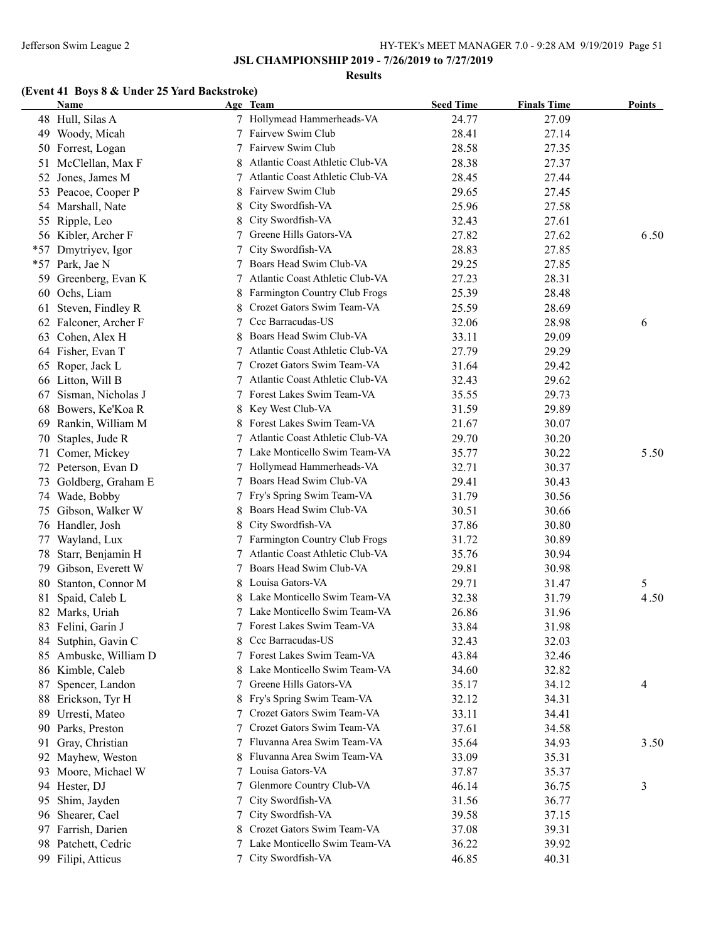#### **Results**

# **(Event 41 Boys 8 & Under 25 Yard Backstroke)**

|       | Name                  |        | Age Team                                             | <b>Seed Time</b> | <b>Finals Time</b> | Points |
|-------|-----------------------|--------|------------------------------------------------------|------------------|--------------------|--------|
|       | 48 Hull, Silas A      |        | 7 Hollymead Hammerheads-VA                           | 24.77            | 27.09              |        |
|       | 49 Woody, Micah       |        | Fairvew Swim Club                                    | 28.41            | 27.14              |        |
|       | 50 Forrest, Logan     |        | Fairvew Swim Club                                    | 28.58            | 27.35              |        |
| 51    | McClellan, Max F      |        | Atlantic Coast Athletic Club-VA                      | 28.38            | 27.37              |        |
| 52    | Jones, James M        | 7      | Atlantic Coast Athletic Club-VA                      | 28.45            | 27.44              |        |
| 53    | Peacoe, Cooper P      |        | Fairvew Swim Club                                    | 29.65            | 27.45              |        |
|       | 54 Marshall, Nate     | 8      | City Swordfish-VA                                    | 25.96            | 27.58              |        |
|       | 55 Ripple, Leo        | 8      | City Swordfish-VA                                    | 32.43            | 27.61              |        |
|       | 56 Kibler, Archer F   |        | Greene Hills Gators-VA                               | 27.82            | 27.62              | 6.50   |
| *57   | Dmytriyev, Igor       |        | City Swordfish-VA                                    | 28.83            | 27.85              |        |
| $*57$ | Park, Jae N           |        | Boars Head Swim Club-VA                              | 29.25            | 27.85              |        |
| 59    | Greenberg, Evan K     |        | Atlantic Coast Athletic Club-VA                      | 27.23            | 28.31              |        |
|       | 60 Ochs, Liam         |        | 8 Farmington Country Club Frogs                      | 25.39            | 28.48              |        |
|       | 61 Steven, Findley R  |        | Crozet Gators Swim Team-VA                           | 25.59            | 28.69              |        |
|       | 62 Falconer, Archer F |        | 7 Ccc Barracudas-US                                  | 32.06            | 28.98              | 6      |
|       | 63 Cohen, Alex H      |        | 8 Boars Head Swim Club-VA                            | 33.11            | 29.09              |        |
|       | 64 Fisher, Evan T     |        | 7 Atlantic Coast Athletic Club-VA                    | 27.79            | 29.29              |        |
|       | 65 Roper, Jack L      |        | 7 Crozet Gators Swim Team-VA                         | 31.64            | 29.42              |        |
|       | 66 Litton, Will B     | 7      | Atlantic Coast Athletic Club-VA                      | 32.43            | 29.62              |        |
| 67    | Sisman, Nicholas J    |        | 7 Forest Lakes Swim Team-VA                          | 35.55            | 29.73              |        |
| 68    | Bowers, Ke'Koa R      | 8      | Key West Club-VA                                     | 31.59            | 29.89              |        |
|       | 69 Rankin, William M  | 8      | Forest Lakes Swim Team-VA                            | 21.67            | 30.07              |        |
| 70    | Staples, Jude R       | 7      | Atlantic Coast Athletic Club-VA                      | 29.70            | 30.20              |        |
|       | 71 Comer, Mickey      |        | 7 Lake Monticello Swim Team-VA                       | 35.77            | 30.22              | 5.50   |
|       | 72 Peterson, Evan D   |        | Hollymead Hammerheads-VA                             | 32.71            | 30.37              |        |
|       | 73 Goldberg, Graham E | 7      | Boars Head Swim Club-VA                              | 29.41            | 30.43              |        |
|       |                       |        |                                                      |                  |                    |        |
|       | 74 Wade, Bobby        | 7<br>8 | Fry's Spring Swim Team-VA<br>Boars Head Swim Club-VA | 31.79            | 30.56              |        |
|       | 75 Gibson, Walker W   |        |                                                      | 30.51            | 30.66              |        |
|       | 76 Handler, Josh      | 8      | City Swordfish-VA                                    | 37.86            | 30.80              |        |
| 77    | Wayland, Lux          |        | <b>Farmington Country Club Frogs</b>                 | 31.72            | 30.89              |        |
| 78    | Starr, Benjamin H     | 7      | Atlantic Coast Athletic Club-VA                      | 35.76            | 30.94              |        |
| 79    | Gibson, Everett W     | 7      | Boars Head Swim Club-VA                              | 29.81            | 30.98              |        |
|       | 80 Stanton, Connor M  | 8      | Louisa Gators-VA                                     | 29.71            | 31.47              | 5      |
| 81    | Spaid, Caleb L        |        | Lake Monticello Swim Team-VA                         | 32.38            | 31.79              | 4.50   |
|       | 82 Marks, Uriah       |        | Lake Monticello Swim Team-VA                         | 26.86            | 31.96              |        |
|       | 83 Felini, Garin J    |        | 7 Forest Lakes Swim Team-VA                          | 33.84            | 31.98              |        |
|       | 84 Sutphin, Gavin C   | 8      | Ccc Barracudas-US                                    | 32.43            | 32.03              |        |
|       | 85 Ambuske, William D | 7      | Forest Lakes Swim Team-VA                            | 43.84            | 32.46              |        |
|       | 86 Kimble, Caleb      |        | Lake Monticello Swim Team-VA                         | 34.60            | 32.82              |        |
| 87    | Spencer, Landon       | 7      | Greene Hills Gators-VA                               | 35.17            | 34.12              | 4      |
|       | 88 Erickson, Tyr H    | 8      | Fry's Spring Swim Team-VA                            | 32.12            | 34.31              |        |
| 89    | Urresti, Mateo        | 7      | Crozet Gators Swim Team-VA                           | 33.11            | 34.41              |        |
|       | 90 Parks, Preston     |        | Crozet Gators Swim Team-VA                           | 37.61            | 34.58              |        |
| 91    | Gray, Christian       |        | 7 Fluvanna Area Swim Team-VA                         | 35.64            | 34.93              | 3.50   |
|       | 92 Mayhew, Weston     |        | 8 Fluvanna Area Swim Team-VA                         | 33.09            | 35.31              |        |
|       | 93 Moore, Michael W   |        | 7 Louisa Gators-VA                                   | 37.87            | 35.37              |        |
|       | 94 Hester, DJ         | 7      | Glenmore Country Club-VA                             | 46.14            | 36.75              | 3      |
| 95    | Shim, Jayden          | 7      | City Swordfish-VA                                    | 31.56            | 36.77              |        |
|       | 96 Shearer, Cael      | 7      | City Swordfish-VA                                    | 39.58            | 37.15              |        |
|       | 97 Farrish, Darien    | 8      | Crozet Gators Swim Team-VA                           | 37.08            | 39.31              |        |
|       | 98 Patchett, Cedric   | 7      | Lake Monticello Swim Team-VA                         | 36.22            | 39.92              |        |
|       | 99 Filipi, Atticus    |        | 7 City Swordfish-VA                                  | 46.85            | 40.31              |        |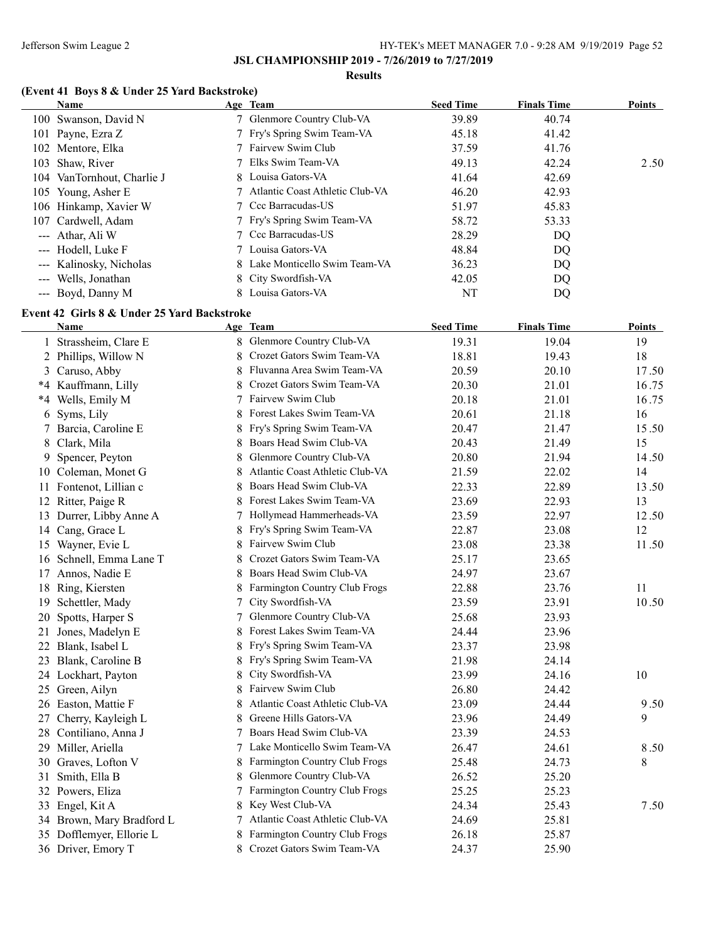#### **Results**

# **(Event 41 Boys 8 & Under 25 Yard Backstroke)**

| Name                       | Age Team                          | <b>Seed Time</b> | <b>Finals Time</b> | <b>Points</b> |
|----------------------------|-----------------------------------|------------------|--------------------|---------------|
| 100 Swanson, David N       | 7 Glenmore Country Club-VA        | 39.89            | 40.74              |               |
| 101 Payne, Ezra Z          | 7 Fry's Spring Swim Team-VA       | 45.18            | 41.42              |               |
| 102 Mentore, Elka          | 7 Fairvew Swim Club               | 37.59            | 41.76              |               |
| 103 Shaw, River            | 7 Elks Swim Team-VA               | 49.13            | 42.24              | 2.50          |
| 104 VanTornhout, Charlie J | 8 Louisa Gators-VA                | 41.64            | 42.69              |               |
| 105 Young, Asher E         | 7 Atlantic Coast Athletic Club-VA | 46.20            | 42.93              |               |
| 106 Hinkamp, Xavier W      | 7 Ccc Barracudas-US               | 51.97            | 45.83              |               |
| 107 Cardwell, Adam         | 7 Fry's Spring Swim Team-VA       | 58.72            | 53.33              |               |
| --- Athar, Ali W           | 7 Ccc Barracudas-US               | 28.29            | DQ                 |               |
| --- Hodell, Luke F         | 7 Louisa Gators-VA                | 48.84            | DQ                 |               |
| --- Kalinosky, Nicholas    | 8 Lake Monticello Swim Team-VA    | 36.23            | DQ                 |               |
| --- Wells, Jonathan        | 8 City Swordfish-VA               | 42.05            | DQ                 |               |
| --- Boyd, Danny M          | 8 Louisa Gators-VA                | NT               | DQ                 |               |

## **Event 42 Girls 8 & Under 25 Yard Backstroke**

|    | Name                      |   | Age Team                        | <b>Seed Time</b> | <b>Finals Time</b> | <u>Points</u> |
|----|---------------------------|---|---------------------------------|------------------|--------------------|---------------|
|    | 1 Strassheim, Clare E     |   | 8 Glenmore Country Club-VA      | 19.31            | 19.04              | 19            |
|    | 2 Phillips, Willow N      | 8 | Crozet Gators Swim Team-VA      | 18.81            | 19.43              | 18            |
|    | 3 Caruso, Abby            | 8 | Fluvanna Area Swim Team-VA      | 20.59            | 20.10              | 17.50         |
|    | *4 Kauffmann, Lilly       | 8 | Crozet Gators Swim Team-VA      | 20.30            | 21.01              | 16.75         |
|    | *4 Wells, Emily M         |   | Fairvew Swim Club               | 20.18            | 21.01              | 16.75         |
| 6  | Syms, Lily                | 8 | Forest Lakes Swim Team-VA       | 20.61            | 21.18              | 16            |
|    | 7 Barcia, Caroline E      | 8 | Fry's Spring Swim Team-VA       | 20.47            | 21.47              | 15.50         |
| 8  | Clark, Mila               | 8 | Boars Head Swim Club-VA         | 20.43            | 21.49              | 15            |
| 9  | Spencer, Peyton           | 8 | Glenmore Country Club-VA        | 20.80            | 21.94              | 14.50         |
|    | 10 Coleman, Monet G       | 8 | Atlantic Coast Athletic Club-VA | 21.59            | 22.02              | 14            |
|    | 11 Fontenot, Lillian c    | 8 | Boars Head Swim Club-VA         | 22.33            | 22.89              | 13.50         |
|    | 12 Ritter, Paige R        | 8 | Forest Lakes Swim Team-VA       | 23.69            | 22.93              | 13            |
|    | 13 Durrer, Libby Anne A   | 7 | Hollymead Hammerheads-VA        | 23.59            | 22.97              | 12.50         |
|    | 14 Cang, Grace L          | 8 | Fry's Spring Swim Team-VA       | 22.87            | 23.08              | 12            |
|    | 15 Wayner, Evie L         | 8 | Fairvew Swim Club               | 23.08            | 23.38              | 11.50         |
| 16 | Schnell, Emma Lane T      | 8 | Crozet Gators Swim Team-VA      | 25.17            | 23.65              |               |
|    | 17 Annos, Nadie E         | 8 | Boars Head Swim Club-VA         | 24.97            | 23.67              |               |
| 18 | Ring, Kiersten            |   | Farmington Country Club Frogs   | 22.88            | 23.76              | 11            |
| 19 | Schettler, Mady           | 7 | City Swordfish-VA               | 23.59            | 23.91              | 10.50         |
| 20 | Spotts, Harper S          |   | Glenmore Country Club-VA        | 25.68            | 23.93              |               |
| 21 | Jones, Madelyn E          |   | Forest Lakes Swim Team-VA       | 24.44            | 23.96              |               |
| 22 | Blank, Isabel L           | 8 | Fry's Spring Swim Team-VA       | 23.37            | 23.98              |               |
|    | 23 Blank, Caroline B      |   | Fry's Spring Swim Team-VA       | 21.98            | 24.14              |               |
|    | 24 Lockhart, Payton       | 8 | City Swordfish-VA               | 23.99            | 24.16              | 10            |
|    | 25 Green, Ailyn           |   | Fairvew Swim Club               | 26.80            | 24.42              |               |
|    | 26 Easton, Mattie F       |   | Atlantic Coast Athletic Club-VA | 23.09            | 24.44              | 9.50          |
| 27 | Cherry, Kayleigh L        |   | Greene Hills Gators-VA          | 23.96            | 24.49              | 9             |
|    | 28 Contiliano, Anna J     |   | Boars Head Swim Club-VA         | 23.39            | 24.53              |               |
|    | 29 Miller, Ariella        | 7 | Lake Monticello Swim Team-VA    | 26.47            | 24.61              | 8.50          |
|    | 30 Graves, Lofton V       | 8 | Farmington Country Club Frogs   | 25.48            | 24.73              | 8             |
| 31 | Smith, Ella B             | 8 | Glenmore Country Club-VA        | 26.52            | 25.20              |               |
|    | 32 Powers, Eliza          | 7 | Farmington Country Club Frogs   | 25.25            | 25.23              |               |
|    | 33 Engel, Kit A           | 8 | Key West Club-VA                | 24.34            | 25.43              | 7.50          |
|    | 34 Brown, Mary Bradford L | 7 | Atlantic Coast Athletic Club-VA | 24.69            | 25.81              |               |
|    | 35 Dofflemyer, Ellorie L  | 8 | Farmington Country Club Frogs   | 26.18            | 25.87              |               |
|    | 36 Driver, Emory T        | 8 | Crozet Gators Swim Team-VA      | 24.37            | 25.90              |               |
|    |                           |   |                                 |                  |                    |               |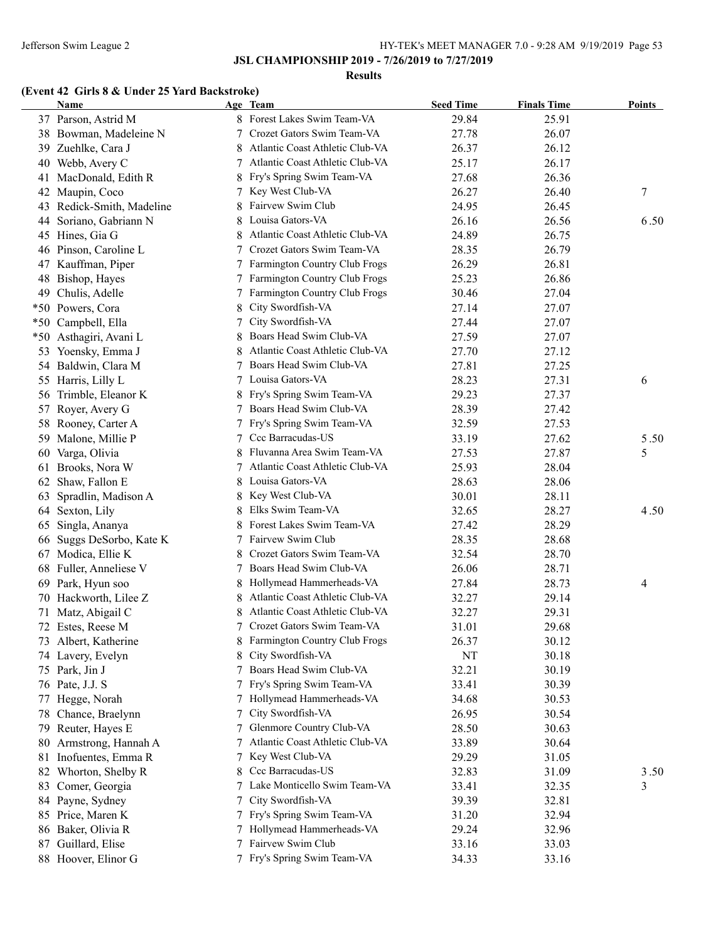#### **Results**

## **(Event 42 Girls 8 & Under 25 Yard Backstroke)**

|    | Name                      |   | Age Team                                                    | <b>Seed Time</b> | <b>Finals Time</b> | <b>Points</b>    |
|----|---------------------------|---|-------------------------------------------------------------|------------------|--------------------|------------------|
|    | 37 Parson, Astrid M       |   | 8 Forest Lakes Swim Team-VA                                 | 29.84            | 25.91              |                  |
|    | 38 Bowman, Madeleine N    |   | Crozet Gators Swim Team-VA                                  | 27.78            | 26.07              |                  |
|    | 39 Zuehlke, Cara J        |   | Atlantic Coast Athletic Club-VA                             | 26.37            | 26.12              |                  |
|    | 40 Webb, Avery C          | 7 | Atlantic Coast Athletic Club-VA                             | 25.17            | 26.17              |                  |
| 41 | MacDonald, Edith R        |   | Fry's Spring Swim Team-VA                                   | 27.68            | 26.36              |                  |
| 42 | Maupin, Coco              |   | Key West Club-VA                                            | 26.27            | 26.40              | $\boldsymbol{7}$ |
|    | 43 Redick-Smith, Madeline |   | Fairvew Swim Club                                           | 24.95            | 26.45              |                  |
| 44 | Soriano, Gabriann N       |   | Louisa Gators-VA                                            | 26.16            | 26.56              | 6.50             |
|    | 45 Hines, Gia G           |   | Atlantic Coast Athletic Club-VA                             | 24.89            | 26.75              |                  |
|    | 46 Pinson, Caroline L     |   | Crozet Gators Swim Team-VA                                  | 28.35            | 26.79              |                  |
|    | 47 Kauffman, Piper        |   | Farmington Country Club Frogs                               | 26.29            | 26.81              |                  |
|    | 48 Bishop, Hayes          |   | Farmington Country Club Frogs                               | 25.23            | 26.86              |                  |
|    | 49 Chulis, Adelle         | 7 | Farmington Country Club Frogs                               | 30.46            | 27.04              |                  |
|    | *50 Powers, Cora          | 8 | City Swordfish-VA                                           | 27.14            | 27.07              |                  |
|    | *50 Campbell, Ella        | 7 | City Swordfish-VA                                           | 27.44            | 27.07              |                  |
|    | *50 Asthagiri, Avani L    | 8 | Boars Head Swim Club-VA                                     | 27.59            | 27.07              |                  |
| 53 | Yoensky, Emma J           | 8 | Atlantic Coast Athletic Club-VA                             | 27.70            | 27.12              |                  |
|    | 54 Baldwin, Clara M       | 7 | Boars Head Swim Club-VA                                     | 27.81            | 27.25              |                  |
|    | 55 Harris, Lilly L        | 7 | Louisa Gators-VA                                            | 28.23            | 27.31              | 6                |
|    | 56 Trimble, Eleanor K     | 8 | Fry's Spring Swim Team-VA                                   | 29.23            | 27.37              |                  |
|    | 57 Royer, Avery G         |   | Boars Head Swim Club-VA                                     | 28.39            | 27.42              |                  |
|    | 58 Rooney, Carter A       | 7 | Fry's Spring Swim Team-VA                                   | 32.59            | 27.53              |                  |
|    | 59 Malone, Millie P       | 7 | Ccc Barracudas-US                                           | 33.19            | 27.62              | 5.50             |
| 60 | Varga, Olivia             | 8 | Fluvanna Area Swim Team-VA                                  | 27.53            | 27.87              | 5                |
|    | 61 Brooks, Nora W         | 7 | Atlantic Coast Athletic Club-VA                             | 25.93            | 28.04              |                  |
|    | 62 Shaw, Fallon E         | 8 | Louisa Gators-VA                                            | 28.63            | 28.06              |                  |
| 63 | Spradlin, Madison A       | 8 | Key West Club-VA                                            | 30.01            | 28.11              |                  |
|    | 64 Sexton, Lily           | 8 | Elks Swim Team-VA                                           | 32.65            | 28.27              | 4.50             |
|    |                           |   | Forest Lakes Swim Team-VA                                   |                  | 28.29              |                  |
| 65 | Singla, Ananya            |   | 7 Fairvew Swim Club                                         | 27.42<br>28.35   | 28.68              |                  |
|    | 66 Suggs DeSorbo, Kate K  |   | Crozet Gators Swim Team-VA                                  |                  | 28.70              |                  |
|    | 67 Modica, Ellie K        | 7 | Boars Head Swim Club-VA                                     | 32.54<br>26.06   | 28.71              |                  |
| 68 | Fuller, Anneliese V       |   |                                                             |                  |                    |                  |
|    | 69 Park, Hyun soo         | 8 | Hollymead Hammerheads-VA<br>Atlantic Coast Athletic Club-VA | 27.84            | 28.73              | 4                |
|    | 70 Hackworth, Lilee Z     |   |                                                             | 32.27            | 29.14              |                  |
| 71 | Matz, Abigail C           |   | Atlantic Coast Athletic Club-VA                             | 32.27            | 29.31              |                  |
|    | 72 Estes, Reese M         |   | Crozet Gators Swim Team-VA                                  | 31.01            | 29.68              |                  |
|    | 73 Albert, Katherine      |   | 8 Farmington Country Club Frogs                             | 26.37            | 30.12              |                  |
|    | 74 Lavery, Evelyn         |   | City Swordfish-VA                                           | NT               | 30.18              |                  |
|    | 75 Park, Jin J            |   | Boars Head Swim Club-VA                                     | 32.21            | 30.19              |                  |
|    | 76 Pate, J.J. S           |   | Fry's Spring Swim Team-VA                                   | 33.41            | 30.39              |                  |
|    | 77 Hegge, Norah           |   | Hollymead Hammerheads-VA                                    | 34.68            | 30.53              |                  |
|    | 78 Chance, Braelynn       |   | City Swordfish-VA                                           | 26.95            | 30.54              |                  |
|    | 79 Reuter, Hayes E        |   | Glenmore Country Club-VA                                    | 28.50            | 30.63              |                  |
| 80 | Armstrong, Hannah A       |   | Atlantic Coast Athletic Club-VA                             | 33.89            | 30.64              |                  |
|    | 81 Inofuentes, Emma R     | 7 | Key West Club-VA                                            | 29.29            | 31.05              |                  |
|    | 82 Whorton, Shelby R      | 8 | Ccc Barracudas-US                                           | 32.83            | 31.09              | 3.50             |
|    | 83 Comer, Georgia         | 7 | Lake Monticello Swim Team-VA                                | 33.41            | 32.35              | 3                |
|    | 84 Payne, Sydney          | 7 | City Swordfish-VA                                           | 39.39            | 32.81              |                  |
|    | 85 Price, Maren K         | 7 | Fry's Spring Swim Team-VA                                   | 31.20            | 32.94              |                  |
|    | 86 Baker, Olivia R        |   | Hollymead Hammerheads-VA                                    | 29.24            | 32.96              |                  |
|    | 87 Guillard, Elise        |   | Fairvew Swim Club                                           | 33.16            | 33.03              |                  |
|    | 88 Hoover, Elinor G       | 7 | Fry's Spring Swim Team-VA                                   | 34.33            | 33.16              |                  |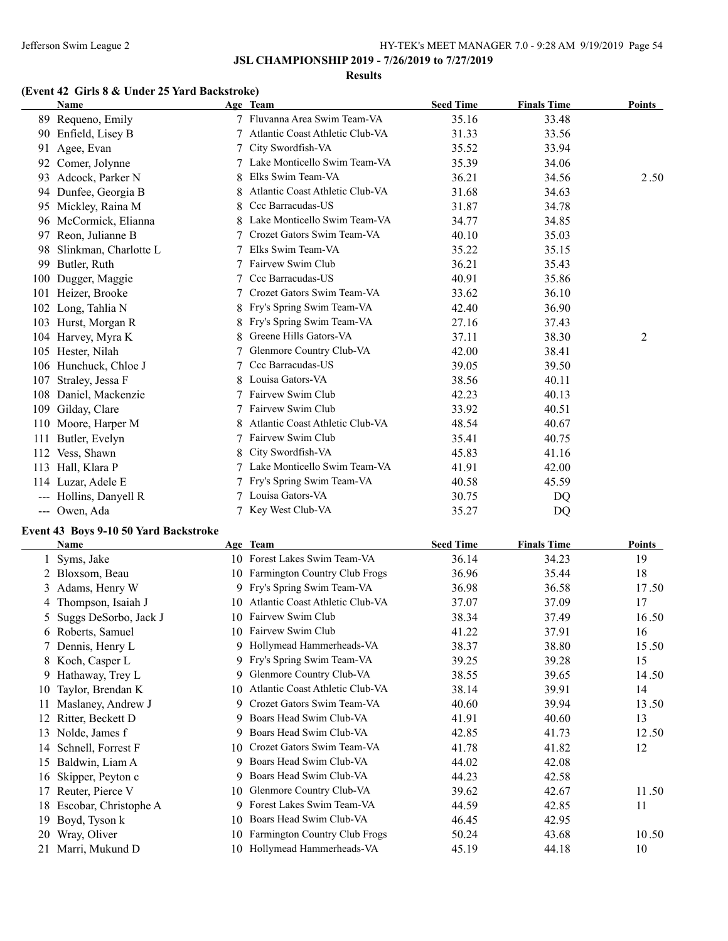#### **Results**

# **(Event 42 Girls 8 & Under 25 Yard Backstroke)**

|     | <b>Name</b>           |   | Age Team                        | <b>Seed Time</b> | <b>Finals Time</b> | <b>Points</b> |
|-----|-----------------------|---|---------------------------------|------------------|--------------------|---------------|
|     | 89 Requeno, Emily     |   | 7 Fluvanna Area Swim Team-VA    | 35.16            | 33.48              |               |
| 90  | Enfield, Lisey B      |   | Atlantic Coast Athletic Club-VA | 31.33            | 33.56              |               |
| 91  | Agee, Evan            |   | City Swordfish-VA               | 35.52            | 33.94              |               |
| 92  | Comer, Jolynne        |   | Lake Monticello Swim Team-VA    | 35.39            | 34.06              |               |
| 93  | Adcock, Parker N      | 8 | Elks Swim Team-VA               | 36.21            | 34.56              | 2.50          |
| 94  | Dunfee, Georgia B     | 8 | Atlantic Coast Athletic Club-VA | 31.68            | 34.63              |               |
| 95  | Mickley, Raina M      |   | Ccc Barracudas-US               | 31.87            | 34.78              |               |
| 96  | McCormick, Elianna    | 8 | Lake Monticello Swim Team-VA    | 34.77            | 34.85              |               |
| 97  | Reon, Julianne B      |   | Crozet Gators Swim Team-VA      | 40.10            | 35.03              |               |
| 98  | Slinkman, Charlotte L |   | Elks Swim Team-VA               | 35.22            | 35.15              |               |
| 99  | Butler, Ruth          |   | Fairvew Swim Club               | 36.21            | 35.43              |               |
| 100 | Dugger, Maggie        |   | Ccc Barracudas-US               | 40.91            | 35.86              |               |
| 101 | Heizer, Brooke        |   | Crozet Gators Swim Team-VA      | 33.62            | 36.10              |               |
| 102 | Long, Tahlia N        |   | Fry's Spring Swim Team-VA       | 42.40            | 36.90              |               |
| 103 | Hurst, Morgan R       | 8 | Fry's Spring Swim Team-VA       | 27.16            | 37.43              |               |
| 104 | Harvey, Myra K        |   | Greene Hills Gators-VA          | 37.11            | 38.30              | 2             |
| 105 | Hester, Nilah         |   | Glenmore Country Club-VA        | 42.00            | 38.41              |               |
| 106 | Hunchuck, Chloe J     |   | Ccc Barracudas-US               | 39.05            | 39.50              |               |
| 107 | Straley, Jessa F      |   | Louisa Gators-VA                | 38.56            | 40.11              |               |
| 108 | Daniel, Mackenzie     |   | Fairvew Swim Club               | 42.23            | 40.13              |               |
| 109 | Gilday, Clare         |   | Fairvew Swim Club               | 33.92            | 40.51              |               |
| 110 | Moore, Harper M       |   | Atlantic Coast Athletic Club-VA | 48.54            | 40.67              |               |
| 111 | Butler, Evelyn        |   | Fairvew Swim Club               | 35.41            | 40.75              |               |
| 112 | Vess, Shawn           |   | City Swordfish-VA               | 45.83            | 41.16              |               |
| 113 | Hall, Klara P         |   | Lake Monticello Swim Team-VA    | 41.91            | 42.00              |               |
| 114 | Luzar, Adele E        |   | Fry's Spring Swim Team-VA       | 40.58            | 45.59              |               |
|     | Hollins, Danyell R    |   | Louisa Gators-VA                | 30.75            | D <sub>O</sub>     |               |
|     | --- Owen, Ada         |   | Key West Club-VA                | 35.27            | DQ                 |               |

## **Event 43 Boys 9-10 50 Yard Backstroke**

|    | Name                  |     | Age Team                             | <b>Seed Time</b> | <b>Finals Time</b> | Points |
|----|-----------------------|-----|--------------------------------------|------------------|--------------------|--------|
|    | Syms, Jake            |     | 10 Forest Lakes Swim Team-VA         | 36.14            | 34.23              | 19     |
|    | 2 Bloxsom, Beau       | 10. | Farmington Country Club Frogs        | 36.96            | 35.44              | 18     |
|    | 3 Adams, Henry W      |     | 9 Fry's Spring Swim Team-VA          | 36.98            | 36.58              | 17.50  |
|    | Thompson, Isaiah J    | 10  | Atlantic Coast Athletic Club-VA      | 37.07            | 37.09              | 17     |
|    | Suggs DeSorbo, Jack J | 10  | Fairvew Swim Club                    | 38.34            | 37.49              | 16.50  |
|    | 6 Roberts, Samuel     | 10  | Fairvew Swim Club                    | 41.22            | 37.91              | 16     |
|    | 7 Dennis, Henry L     | 9   | Hollymead Hammerheads-VA             | 38.37            | 38.80              | 15.50  |
|    | 8 Koch, Casper L      | 9   | Fry's Spring Swim Team-VA            | 39.25            | 39.28              | 15     |
| 9. | Hathaway, Trey L      | 9.  | Glenmore Country Club-VA             | 38.55            | 39.65              | 14.50  |
| 10 | Taylor, Brendan K     | 10  | Atlantic Coast Athletic Club-VA      | 38.14            | 39.91              | 14     |
|    | Maslaney, Andrew J    | 9   | Crozet Gators Swim Team-VA           | 40.60            | 39.94              | 13.50  |
| 12 | Ritter, Beckett D     | 9   | Boars Head Swim Club-VA              | 41.91            | 40.60              | 13     |
| 13 | Nolde, James f        | 9   | Boars Head Swim Club-VA              | 42.85            | 41.73              | 12.50  |
| 14 | Schnell, Forrest F    | 10  | Crozet Gators Swim Team-VA           | 41.78            | 41.82              | 12     |
| 15 | Baldwin, Liam A       |     | Boars Head Swim Club-VA              | 44.02            | 42.08              |        |
| 16 | Skipper, Peyton c     | 9   | Boars Head Swim Club-VA              | 44.23            | 42.58              |        |
| 17 | Reuter, Pierce V      | 10  | Glenmore Country Club-VA             | 39.62            | 42.67              | 11.50  |
| 18 | Escobar, Christophe A | 9   | Forest Lakes Swim Team-VA            | 44.59            | 42.85              | 11     |
| 19 | Boyd, Tyson k         | 10  | Boars Head Swim Club-VA              | 46.45            | 42.95              |        |
| 20 | Wray, Oliver          | 10  | <b>Farmington Country Club Frogs</b> | 50.24            | 43.68              | 10.50  |
|    | 21 Marri, Mukund D    | 10. | Hollymead Hammerheads-VA             | 45.19            | 44.18              | 10     |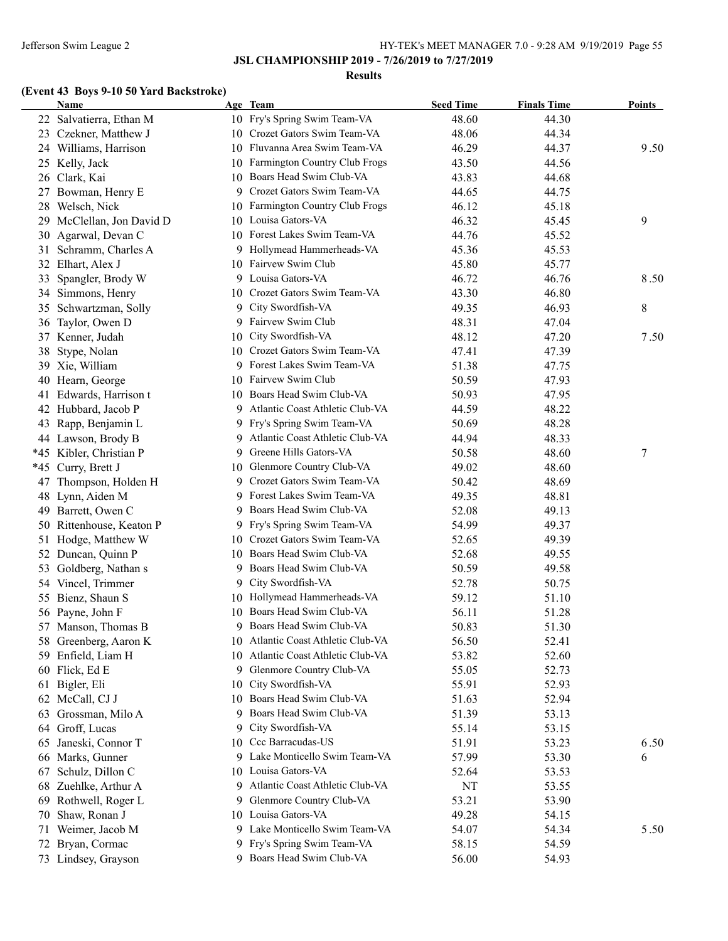#### **Results**

# **(Event 43 Boys 9-10 50 Yard Backstroke)**

|    | <b>Name</b>             |    | Age Team                                                     | <b>Seed Time</b> | <b>Finals Time</b> | Points |
|----|-------------------------|----|--------------------------------------------------------------|------------------|--------------------|--------|
|    | 22 Salvatierra, Ethan M |    | 10 Fry's Spring Swim Team-VA                                 | 48.60            | 44.30              |        |
|    | 23 Czekner, Matthew J   |    | 10 Crozet Gators Swim Team-VA                                | 48.06            | 44.34              |        |
|    | 24 Williams, Harrison   |    | 10 Fluvanna Area Swim Team-VA                                | 46.29            | 44.37              | 9.50   |
|    | 25 Kelly, Jack          |    | 10 Farmington Country Club Frogs                             | 43.50            | 44.56              |        |
| 26 | Clark, Kai              |    | 10 Boars Head Swim Club-VA                                   | 43.83            | 44.68              |        |
|    | 27 Bowman, Henry E      |    | 9 Crozet Gators Swim Team-VA                                 | 44.65            | 44.75              |        |
| 28 | Welsch, Nick            |    | 10 Farmington Country Club Frogs                             | 46.12            | 45.18              |        |
| 29 | McClellan, Jon David D  |    | 10 Louisa Gators-VA                                          | 46.32            | 45.45              | 9      |
| 30 | Agarwal, Devan C        | 10 | Forest Lakes Swim Team-VA                                    | 44.76            | 45.52              |        |
| 31 | Schramm, Charles A      |    | 9 Hollymead Hammerheads-VA                                   | 45.36            | 45.53              |        |
| 32 | Elhart, Alex J          |    | 10 Fairvew Swim Club                                         | 45.80            | 45.77              |        |
| 33 | Spangler, Brody W       |    | 9 Louisa Gators-VA                                           | 46.72            | 46.76              | 8.50   |
| 34 | Simmons, Henry          |    | 10 Crozet Gators Swim Team-VA                                | 43.30            | 46.80              |        |
| 35 | Schwartzman, Solly      | 9. | City Swordfish-VA                                            | 49.35            | 46.93              | 8      |
|    | 36 Taylor, Owen D       |    | 9 Fairvew Swim Club                                          | 48.31            | 47.04              |        |
|    | 37 Kenner, Judah        |    | 10 City Swordfish-VA                                         | 48.12            | 47.20              | 7.50   |
| 38 | Stype, Nolan            |    | 10 Crozet Gators Swim Team-VA                                | 47.41            | 47.39              |        |
|    | 39 Xie, William         |    | 9 Forest Lakes Swim Team-VA                                  | 51.38            | 47.75              |        |
|    | 40 Hearn, George        |    | 10 Fairvew Swim Club                                         | 50.59            | 47.93              |        |
|    | 41 Edwards, Harrison t  |    | 10 Boars Head Swim Club-VA                                   | 50.93            | 47.95              |        |
|    | 42 Hubbard, Jacob P     |    | 9 Atlantic Coast Athletic Club-VA                            | 44.59            | 48.22              |        |
|    | 43 Rapp, Benjamin L     |    | 9 Fry's Spring Swim Team-VA                                  | 50.69            | 48.28              |        |
|    | 44 Lawson, Brody B      |    | 9 Atlantic Coast Athletic Club-VA                            | 44.94            | 48.33              |        |
|    | *45 Kibler, Christian P |    | 9 Greene Hills Gators-VA                                     | 50.58            | 48.60              | 7      |
|    | *45 Curry, Brett J      |    | 10 Glenmore Country Club-VA                                  | 49.02            | 48.60              |        |
| 47 | Thompson, Holden H      |    | 9 Crozet Gators Swim Team-VA                                 | 50.42            | 48.69              |        |
|    | 48 Lynn, Aiden M        |    | 9 Forest Lakes Swim Team-VA                                  | 49.35            | 48.81              |        |
|    |                         |    | 9 Boars Head Swim Club-VA                                    | 52.08            | 49.13              |        |
|    | 49 Barrett, Owen C      |    |                                                              |                  |                    |        |
| 50 | Rittenhouse, Keaton P   |    | 9 Fry's Spring Swim Team-VA<br>10 Crozet Gators Swim Team-VA | 54.99            | 49.37              |        |
| 51 | Hodge, Matthew W        |    | 10 Boars Head Swim Club-VA                                   | 52.65            | 49.39              |        |
|    | 52 Duncan, Quinn P      |    |                                                              | 52.68            | 49.55              |        |
| 53 | Goldberg, Nathan s      |    | 9 Boars Head Swim Club-VA                                    | 50.59            | 49.58              |        |
|    | 54 Vincel, Trimmer      |    | 9 City Swordfish-VA                                          | 52.78            | 50.75              |        |
|    | 55 Bienz, Shaun S       |    | 10 Hollymead Hammerheads-VA                                  | 59.12            | 51.10              |        |
|    | 56 Payne, John F        |    | 10 Boars Head Swim Club-VA                                   | 56.11            | 51.28              |        |
|    | 57 Manson, Thomas B     |    | 9 Boars Head Swim Club-VA                                    | 50.83            | 51.30              |        |
|    | 58 Greenberg, Aaron K   |    | 10 Atlantic Coast Athletic Club-VA                           | 56.50            | 52.41              |        |
|    | 59 Enfield, Liam H      | 10 | Atlantic Coast Athletic Club-VA                              | 53.82            | 52.60              |        |
|    | 60 Flick, Ed E          | 9. | Glenmore Country Club-VA                                     | 55.05            | 52.73              |        |
| 61 | Bigler, Eli             | 10 | City Swordfish-VA                                            | 55.91            | 52.93              |        |
| 62 | McCall, CJ J            | 10 | Boars Head Swim Club-VA                                      | 51.63            | 52.94              |        |
| 63 | Grossman, Milo A        | 9  | Boars Head Swim Club-VA                                      | 51.39            | 53.13              |        |
| 64 | Groff, Lucas            | 9. | City Swordfish-VA                                            | 55.14            | 53.15              |        |
| 65 | Janeski, Connor T       |    | 10 Ccc Barracudas-US                                         | 51.91            | 53.23              | 6.50   |
| 66 | Marks, Gunner           |    | 9 Lake Monticello Swim Team-VA                               | 57.99            | 53.30              | 6      |
| 67 | Schulz, Dillon C        |    | 10 Louisa Gators-VA                                          | 52.64            | 53.53              |        |
| 68 | Zuehlke, Arthur A       |    | 9 Atlantic Coast Athletic Club-VA                            | NT               | 53.55              |        |
| 69 | Rothwell, Roger L       | 9. | Glenmore Country Club-VA                                     | 53.21            | 53.90              |        |
| 70 | Shaw, Ronan J           |    | 10 Louisa Gators-VA                                          | 49.28            | 54.15              |        |
|    | 71 Weimer, Jacob M      |    | 9 Lake Monticello Swim Team-VA                               | 54.07            | 54.34              | 5.50   |
|    | 72 Bryan, Cormac        |    | 9 Fry's Spring Swim Team-VA                                  | 58.15            | 54.59              |        |
|    | 73 Lindsey, Grayson     |    | 9 Boars Head Swim Club-VA                                    | 56.00            | 54.93              |        |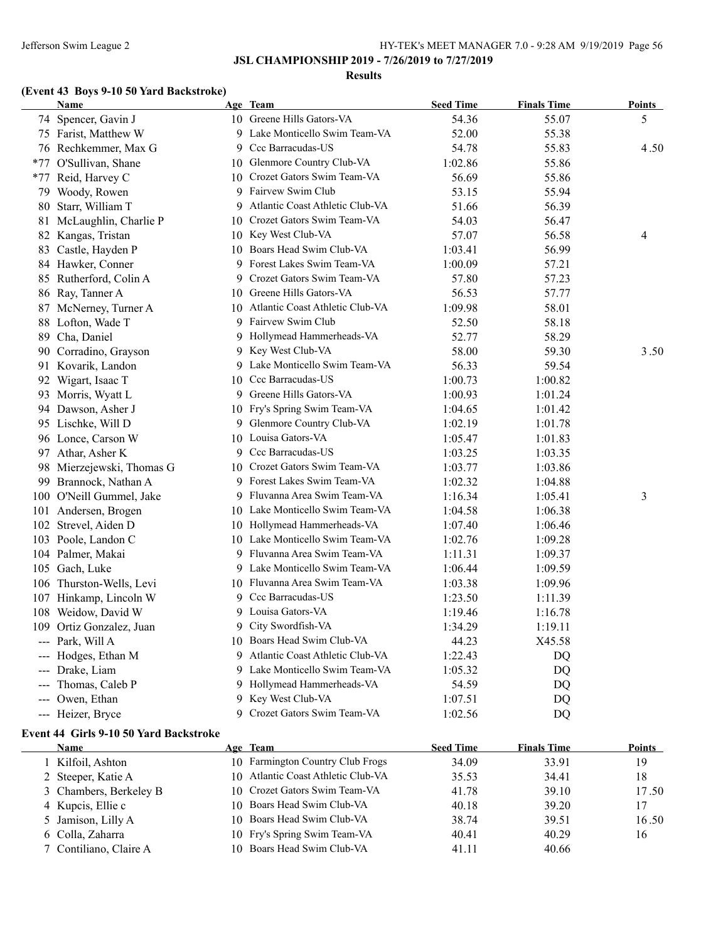#### **Results**

# **(Event 43 Boys 9-10 50 Yard Backstroke)**

| Name                      |   | Age Team                           | <b>Seed Time</b> | <b>Finals Time</b> | <u>Points</u> |
|---------------------------|---|------------------------------------|------------------|--------------------|---------------|
| 74 Spencer, Gavin J       |   | 10 Greene Hills Gators-VA          | 54.36            | 55.07              | 5             |
| 75 Farist, Matthew W      |   | 9 Lake Monticello Swim Team-VA     | 52.00            | 55.38              |               |
| 76 Rechkemmer, Max G      |   | 9 Ccc Barracudas-US                | 54.78            | 55.83              | 4.50          |
| *77 O'Sullivan, Shane     |   | 10 Glenmore Country Club-VA        | 1:02.86          | 55.86              |               |
| *77 Reid, Harvey C        |   | 10 Crozet Gators Swim Team-VA      | 56.69            | 55.86              |               |
| 79 Woody, Rowen           |   | 9 Fairvew Swim Club                | 53.15            | 55.94              |               |
| 80 Starr, William T       | 9 | Atlantic Coast Athletic Club-VA    | 51.66            | 56.39              |               |
| 81 McLaughlin, Charlie P  |   | 10 Crozet Gators Swim Team-VA      | 54.03            | 56.47              |               |
| 82 Kangas, Tristan        |   | 10 Key West Club-VA                | 57.07            | 56.58              | 4             |
| 83 Castle, Hayden P       |   | 10 Boars Head Swim Club-VA         | 1:03.41          | 56.99              |               |
| 84 Hawker, Conner         | 9 | Forest Lakes Swim Team-VA          | 1:00.09          | 57.21              |               |
| 85 Rutherford, Colin A    |   | 9 Crozet Gators Swim Team-VA       | 57.80            | 57.23              |               |
| 86 Ray, Tanner A          |   | 10 Greene Hills Gators-VA          | 56.53            | 57.77              |               |
| 87 McNerney, Turner A     |   | 10 Atlantic Coast Athletic Club-VA | 1:09.98          | 58.01              |               |
| 88 Lofton, Wade T         | 9 | Fairvew Swim Club                  | 52.50            | 58.18              |               |
| 89 Cha, Daniel            |   | 9 Hollymead Hammerheads-VA         | 52.77            | 58.29              |               |
| 90 Corradino, Grayson     |   | 9 Key West Club-VA                 | 58.00            | 59.30              | 3.50          |
| 91 Kovarik, Landon        |   | 9 Lake Monticello Swim Team-VA     | 56.33            | 59.54              |               |
| 92 Wigart, Isaac T        |   | 10 Ccc Barracudas-US               | 1:00.73          | 1:00.82            |               |
| 93 Morris, Wyatt L        |   | 9 Greene Hills Gators-VA           | 1:00.93          | 1:01.24            |               |
| 94 Dawson, Asher J        |   | 10 Fry's Spring Swim Team-VA       | 1:04.65          | 1:01.42            |               |
| 95 Lischke, Will D        |   | 9 Glenmore Country Club-VA         | 1:02.19          | 1:01.78            |               |
| 96 Lonce, Carson W        |   | 10 Louisa Gators-VA                | 1:05.47          | 1:01.83            |               |
| 97 Athar, Asher K         |   | 9 Ccc Barracudas-US                | 1:03.25          | 1:03.35            |               |
| 98 Mierzejewski, Thomas G |   | 10 Crozet Gators Swim Team-VA      | 1:03.77          | 1:03.86            |               |
| 99 Brannock, Nathan A     |   | 9 Forest Lakes Swim Team-VA        | 1:02.32          | 1:04.88            |               |
| 100 O'Neill Gummel, Jake  |   | 9 Fluvanna Area Swim Team-VA       | 1:16.34          | 1:05.41            | 3             |
| 101 Andersen, Brogen      |   | 10 Lake Monticello Swim Team-VA    | 1:04.58          | 1:06.38            |               |
| 102 Strevel, Aiden D      |   | 10 Hollymead Hammerheads-VA        | 1:07.40          | 1:06.46            |               |
| 103 Poole, Landon C       |   | 10 Lake Monticello Swim Team-VA    | 1:02.76          | 1:09.28            |               |
| 104 Palmer, Makai         | 9 | Fluvanna Area Swim Team-VA         | 1:11.31          | 1:09.37            |               |
| 105 Gach, Luke            |   | 9 Lake Monticello Swim Team-VA     | 1:06.44          | 1:09.59            |               |
| 106 Thurston-Wells, Levi  |   | 10 Fluvanna Area Swim Team-VA      | 1:03.38          | 1:09.96            |               |
| 107 Hinkamp, Lincoln W    |   | 9 Ccc Barracudas-US                | 1:23.50          | 1:11.39            |               |
| 108 Weidow, David W       |   | 9 Louisa Gators-VA                 | 1:19.46          | 1:16.78            |               |
| 109 Ortiz Gonzalez, Juan  |   | 9 City Swordfish-VA                | 1:34.29          | 1:19.11            |               |
| --- Park, Will A          |   | 10 Boars Head Swim Club-VA         | 44.23            | X45.58             |               |
| --- Hodges, Ethan M       |   | 9 Atlantic Coast Athletic Club-VA  | 1:22.43          | DQ                 |               |
| --- Drake, Liam           |   | 9 Lake Monticello Swim Team-VA     | 1:05.32          | DQ                 |               |
| --- Thomas, Caleb P       |   | 9 Hollymead Hammerheads-VA         | 54.59            | DQ                 |               |
| --- Owen, Ethan           |   | 9 Key West Club-VA                 | 1:07.51          | DQ                 |               |
| --- Heizer, Bryce         |   | 9 Crozet Gators Swim Team-VA       | 1:02.56          | DQ                 |               |

## **Event 44 Girls 9-10 50 Yard Backstroke**

 $\overline{a}$ 

| Name |                                   | Age Team                           | <b>Seed Time</b> | <b>Finals Time</b> | <b>Points</b> |
|------|-----------------------------------|------------------------------------|------------------|--------------------|---------------|
|      | Kilfoil, Ashton                   | 10 Farmington Country Club Frogs   | 34.09            | 33.91              | 19            |
|      | 2 Steeper, Katie A                | 10 Atlantic Coast Athletic Club-VA | 35.53            | 34.41              | 18            |
|      | 3 Chambers, Berkeley B            | 10 Crozet Gators Swim Team-VA      | 41.78            | 39.10              | 17.50         |
|      | 4 Kupcis, Ellie c                 | 10 Boars Head Swim Club-VA         | 40.18            | 39.20              | 17            |
|      | 5 Jamison, Lilly A                | 10 Boars Head Swim Club-VA         | 38.74            | 39.51              | 16.50         |
|      | 6 Colla, Zaharra                  | 10 Fry's Spring Swim Team-VA       | 40.41            | 40.29              | 16            |
|      | <sup>7</sup> Contiliano, Claire A | 10 Boars Head Swim Club-VA         | 41.11            | 40.66              |               |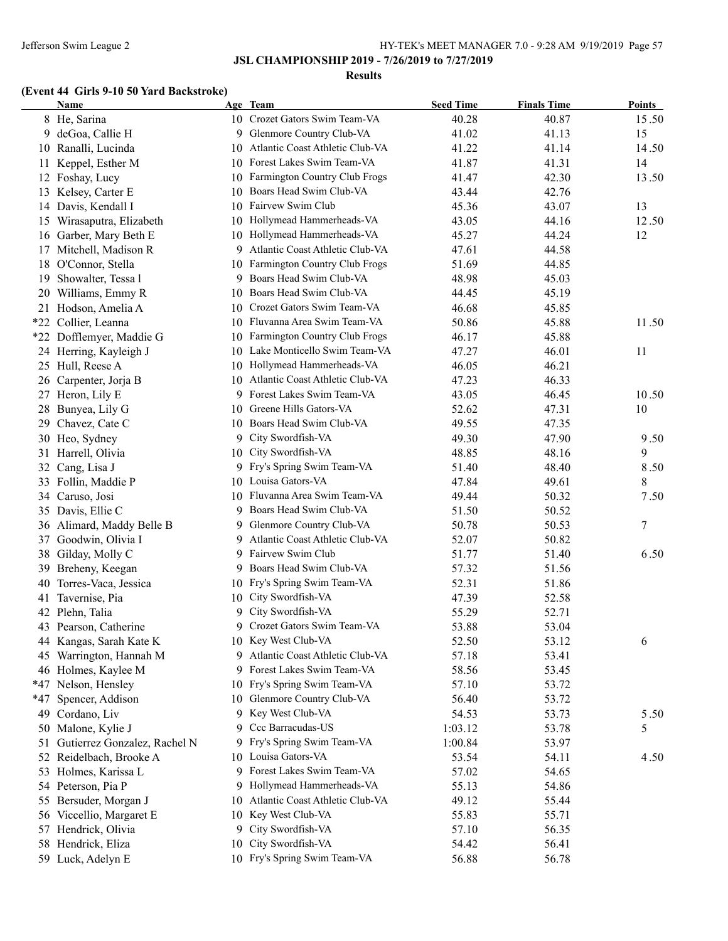#### **Results**

# **(Event 44 Girls 9-10 50 Yard Backstroke)**

|       | Name                         |         | Age Team                          | <b>Seed Time</b> | <b>Finals Time</b> | Points |
|-------|------------------------------|---------|-----------------------------------|------------------|--------------------|--------|
|       | 8 He, Sarina                 |         | 10 Crozet Gators Swim Team-VA     | 40.28            | 40.87              | 15.50  |
|       | 9 deGoa, Callie H            |         | 9 Glenmore Country Club-VA        | 41.02            | 41.13              | 15     |
|       | 10 Ranalli, Lucinda          | 10      | Atlantic Coast Athletic Club-VA   | 41.22            | 41.14              | 14.50  |
| 11    | Keppel, Esther M             | 10      | Forest Lakes Swim Team-VA         | 41.87            | 41.31              | 14     |
|       | 12 Foshay, Lucy              | 10      | Farmington Country Club Frogs     | 41.47            | 42.30              | 13.50  |
|       | 13 Kelsey, Carter E          | 10      | Boars Head Swim Club-VA           | 43.44            | 42.76              |        |
|       | 14 Davis, Kendall I          | 10      | Fairvew Swim Club                 | 45.36            | 43.07              | 13     |
| 15    | Wirasaputra, Elizabeth       | 10      | Hollymead Hammerheads-VA          | 43.05            | 44.16              | 12.50  |
|       | 16 Garber, Mary Beth E       |         | 10 Hollymead Hammerheads-VA       | 45.27            | 44.24              | 12     |
|       | 17 Mitchell, Madison R       |         | 9 Atlantic Coast Athletic Club-VA | 47.61            | 44.58              |        |
|       | 18 O'Connor, Stella          | 10      | Farmington Country Club Frogs     | 51.69            | 44.85              |        |
| 19    | Showalter, Tessa l           | 9       | Boars Head Swim Club-VA           | 48.98            | 45.03              |        |
|       | 20 Williams, Emmy R          | 10      | Boars Head Swim Club-VA           | 44.45            | 45.19              |        |
|       | 21 Hodson, Amelia A          | 10      | Crozet Gators Swim Team-VA        | 46.68            | 45.85              |        |
| $*22$ | Collier, Leanna              |         | 10 Fluvanna Area Swim Team-VA     | 50.86            | 45.88              | 11.50  |
|       | *22 Dofflemyer, Maddie G     | 10      | Farmington Country Club Frogs     | 46.17            | 45.88              |        |
|       | 24 Herring, Kayleigh J       | 10      | Lake Monticello Swim Team-VA      | 47.27            | 46.01              | 11     |
|       | 25 Hull, Reese A             | 10      | Hollymead Hammerheads-VA          | 46.05            | 46.21              |        |
|       | 26 Carpenter, Jorja B        | 10      | Atlantic Coast Athletic Club-VA   | 47.23            | 46.33              |        |
|       | 27 Heron, Lily E             | 9.      | Forest Lakes Swim Team-VA         | 43.05            | 46.45              | 10.50  |
|       | 28 Bunyea, Lily G            | 10      | Greene Hills Gators-VA            | 52.62            | 47.31              | 10     |
|       | 29 Chavez, Cate C            | 10      | Boars Head Swim Club-VA           | 49.55            | 47.35              |        |
|       | 30 Heo, Sydney               |         | 9 City Swordfish-VA               | 49.30            | 47.90              | 9.50   |
|       | 31 Harrell, Olivia           | 10      | City Swordfish-VA                 | 48.85            | 48.16              | 9      |
|       | 32 Cang, Lisa J              |         | 9 Fry's Spring Swim Team-VA       | 51.40            | 48.40              | 8.50   |
|       | 33 Follin, Maddie P          |         | 10 Louisa Gators-VA               | 47.84            | 49.61              | 8      |
|       | 34 Caruso, Josi              | 10      | Fluvanna Area Swim Team-VA        | 49.44            | 50.32              | 7.50   |
|       | 35 Davis, Ellie C            | 9       | Boars Head Swim Club-VA           | 51.50            | 50.52              |        |
|       |                              |         | Glenmore Country Club-VA          | 50.78            | 50.53              | $\tau$ |
|       | 36 Alimard, Maddy Belle B    | 9.<br>9 | Atlantic Coast Athletic Club-VA   | 52.07            | 50.82              |        |
|       | 37 Goodwin, Olivia I         |         | Fairvew Swim Club                 |                  |                    | 6.50   |
|       | 38 Gilday, Molly C           | 9       |                                   | 51.77            | 51.40              |        |
|       | 39 Breheny, Keegan           | 9       | Boars Head Swim Club-VA           | 57.32            | 51.56              |        |
| 40    | Torres-Vaca, Jessica         | 10      | Fry's Spring Swim Team-VA         | 52.31            | 51.86              |        |
| 41    | Tavernise, Pia               | 10      | City Swordfish-VA                 | 47.39            | 52.58              |        |
|       | 42 Plehn, Talia              | 9       | City Swordfish-VA                 | 55.29            | 52.71              |        |
|       | 43 Pearson, Catherine        | 9.      | Crozet Gators Swim Team-VA        | 53.88            | 53.04              |        |
|       | 44 Kangas, Sarah Kate K      |         | 10 Key West Club-VA               | 52.50            | 53.12              | 6      |
|       | 45 Warrington, Hannah M      |         | 9 Atlantic Coast Athletic Club-VA | 57.18            | 53.41              |        |
|       | 46 Holmes, Kaylee M          |         | 9 Forest Lakes Swim Team-VA       | 58.56            | 53.45              |        |
|       | *47 Nelson, Hensley          | 10      | Fry's Spring Swim Team-VA         | 57.10            | 53.72              |        |
| *47   | Spencer, Addison             | 10      | Glenmore Country Club-VA          | 56.40            | 53.72              |        |
| 49    | Cordano, Liv                 | 9       | Key West Club-VA                  | 54.53            | 53.73              | 5.50   |
|       | 50 Malone, Kylie J           | 9.      | Ccc Barracudas-US                 | 1:03.12          | 53.78              | 5      |
| 51    | Gutierrez Gonzalez, Rachel N |         | 9 Fry's Spring Swim Team-VA       | 1:00.84          | 53.97              |        |
|       | 52 Reidelbach, Brooke A      |         | 10 Louisa Gators-VA               | 53.54            | 54.11              | 4.50   |
|       | 53 Holmes, Karissa L         |         | Forest Lakes Swim Team-VA         | 57.02            | 54.65              |        |
|       | 54 Peterson, Pia P           | 9.      | Hollymead Hammerheads-VA          | 55.13            | 54.86              |        |
|       | 55 Bersuder, Morgan J        | 10      | Atlantic Coast Athletic Club-VA   | 49.12            | 55.44              |        |
|       | 56 Viccellio, Margaret E     | 10      | Key West Club-VA                  | 55.83            | 55.71              |        |
|       | 57 Hendrick, Olivia          | 9.      | City Swordfish-VA                 | 57.10            | 56.35              |        |
|       | 58 Hendrick, Eliza           | 10      | City Swordfish-VA                 | 54.42            | 56.41              |        |
|       | 59 Luck, Adelyn E            |         | 10 Fry's Spring Swim Team-VA      | 56.88            | 56.78              |        |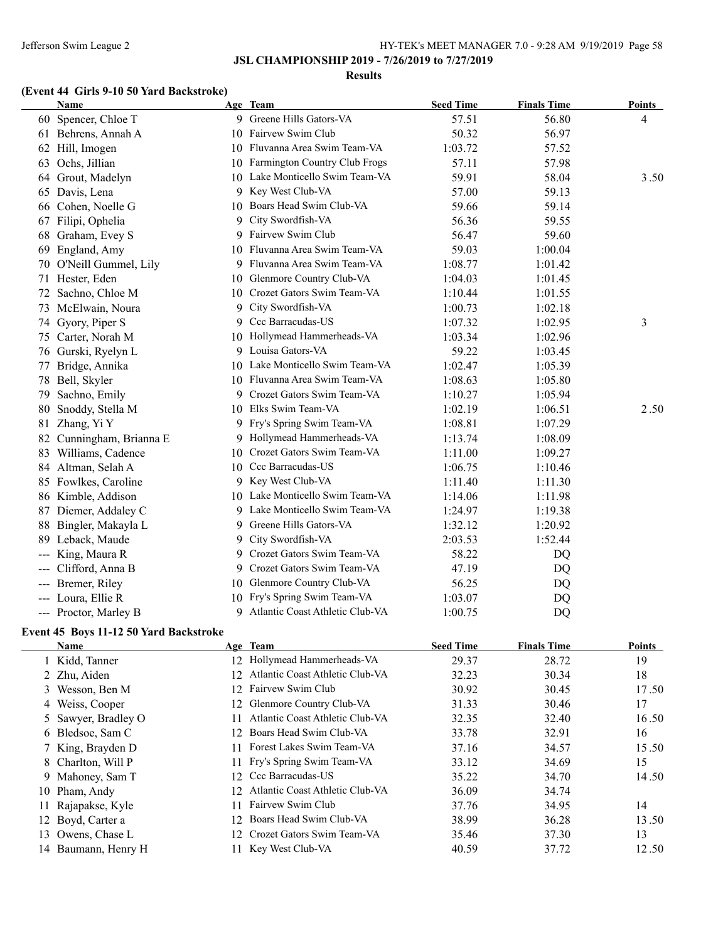#### **Results**

## **(Event 44 Girls 9-10 50 Yard Backstroke)**

|     | Name                     |    | Age Team                         | <b>Seed Time</b> | <b>Finals Time</b> | <b>Points</b> |
|-----|--------------------------|----|----------------------------------|------------------|--------------------|---------------|
|     | 60 Spencer, Chloe T      |    | 9 Greene Hills Gators-VA         | 57.51            | 56.80              | 4             |
|     | 61 Behrens, Annah A      | 10 | Fairvew Swim Club                | 50.32            | 56.97              |               |
|     | 62 Hill, Imogen          |    | 10 Fluvanna Area Swim Team-VA    | 1:03.72          | 57.52              |               |
|     | 63 Ochs, Jillian         |    | 10 Farmington Country Club Frogs | 57.11            | 57.98              |               |
| 64  | Grout, Madelyn           |    | 10 Lake Monticello Swim Team-VA  | 59.91            | 58.04              | 3.50          |
|     | 65 Davis, Lena           | 9  | Key West Club-VA                 | 57.00            | 59.13              |               |
|     | 66 Cohen, Noelle G       | 10 | Boars Head Swim Club-VA          | 59.66            | 59.14              |               |
|     | 67 Filipi, Ophelia       | 9  | City Swordfish-VA                | 56.36            | 59.55              |               |
|     | 68 Graham, Evey S        | 9. | Fairvew Swim Club                | 56.47            | 59.60              |               |
|     | 69 England, Amy          | 10 | Fluvanna Area Swim Team-VA       | 59.03            | 1:00.04            |               |
|     | 70 O'Neill Gummel, Lily  |    | 9 Fluvanna Area Swim Team-VA     | 1:08.77          | 1:01.42            |               |
| 71  | Hester, Eden             | 10 | Glenmore Country Club-VA         | 1:04.03          | 1:01.45            |               |
| 72  | Sachno, Chloe M          |    | 10 Crozet Gators Swim Team-VA    | 1:10.44          | 1:01.55            |               |
|     | 73 McElwain, Noura       | 9  | City Swordfish-VA                | 1:00.73          | 1:02.18            |               |
|     | 74 Gyory, Piper S        | 9  | Ccc Barracudas-US                | 1:07.32          | 1:02.95            | 3             |
|     | 75 Carter, Norah M       |    | 10 Hollymead Hammerheads-VA      | 1:03.34          | 1:02.96            |               |
|     | 76 Gurski, Ryelyn L      |    | 9 Louisa Gators-VA               | 59.22            | 1:03.45            |               |
| 77  | Bridge, Annika           | 10 | Lake Monticello Swim Team-VA     | 1:02.47          | 1:05.39            |               |
|     | 78 Bell, Skyler          |    | 10 Fluvanna Area Swim Team-VA    | 1:08.63          | 1:05.80            |               |
| 79  | Sachno, Emily            | 9  | Crozet Gators Swim Team-VA       | 1:10.27          | 1:05.94            |               |
| 80  | Snoddy, Stella M         | 10 | Elks Swim Team-VA                | 1:02.19          | 1:06.51            | 2.50          |
| 81  | Zhang, Yi Y              |    | 9 Fry's Spring Swim Team-VA      | 1:08.81          | 1:07.29            |               |
|     | 82 Cunningham, Brianna E | 9  | Hollymead Hammerheads-VA         | 1:13.74          | 1:08.09            |               |
|     | 83 Williams, Cadence     | 10 | Crozet Gators Swim Team-VA       | 1:11.00          | 1:09.27            |               |
|     | 84 Altman, Selah A       | 10 | Ccc Barracudas-US                | 1:06.75          | 1:10.46            |               |
|     | 85 Fowlkes, Caroline     | 9. | Key West Club-VA                 | 1:11.40          | 1:11.30            |               |
|     | 86 Kimble, Addison       |    | 10 Lake Monticello Swim Team-VA  | 1:14.06          | 1:11.98            |               |
|     | 87 Diemer, Addaley C     |    | 9 Lake Monticello Swim Team-VA   | 1:24.97          | 1:19.38            |               |
| 88  | Bingler, Makayla L       | 9. | Greene Hills Gators-VA           | 1:32.12          | 1:20.92            |               |
|     | 89 Leback, Maude         | 9  | City Swordfish-VA                | 2:03.53          | 1:52.44            |               |
| --- | King, Maura R            | 9  | Crozet Gators Swim Team-VA       | 58.22            | DQ                 |               |
| --- | Clifford, Anna B         | 9. | Crozet Gators Swim Team-VA       | 47.19            | DQ                 |               |
|     | --- Bremer, Riley        |    | 10 Glenmore Country Club-VA      | 56.25            | DQ                 |               |
| --- | Loura, Ellie R           | 10 | Fry's Spring Swim Team-VA        | 1:03.07          | DQ                 |               |
|     | --- Proctor, Marley B    | 9  | Atlantic Coast Athletic Club-VA  | 1:00.75          | DQ                 |               |

## **Event 45 Boys 11-12 50 Yard Backstroke**

| <b>Name</b>         |                 | Age Team                        | <b>Seed Time</b> | <b>Finals Time</b> | <b>Points</b> |
|---------------------|-----------------|---------------------------------|------------------|--------------------|---------------|
| 1 Kidd, Tanner      | 12              | Hollymead Hammerheads-VA        | 29.37            | 28.72              | 19            |
| 2 Zhu, Aiden        | 12.             | Atlantic Coast Athletic Club-VA | 32.23            | 30.34              | 18            |
| 3 Wesson, Ben M     | 12 <sup>1</sup> | Fairvew Swim Club               | 30.92            | 30.45              | 17.50         |
| 4 Weiss, Cooper     |                 | 12 Glenmore Country Club-VA     | 31.33            | 30.46              | 17            |
| 5 Sawyer, Bradley O |                 | Atlantic Coast Athletic Club-VA | 32.35            | 32.40              | 16.50         |
| 6 Bledsoe, Sam C    | 12.             | Boars Head Swim Club-VA         | 33.78            | 32.91              | 16            |
| 7 King, Brayden D   |                 | Forest Lakes Swim Team-VA       | 37.16            | 34.57              | 15.50         |
| 8 Charlton, Will P  |                 | Fry's Spring Swim Team-VA       | 33.12            | 34.69              | 15            |
| 9 Mahoney, Sam T    |                 | 12 Ccc Barracudas-US            | 35.22            | 34.70              | 14.50         |
| 10 Pham, Andy       | 12.             | Atlantic Coast Athletic Club-VA | 36.09            | 34.74              |               |
| 11 Rajapakse, Kyle  |                 | Fairvew Swim Club               | 37.76            | 34.95              | 14            |
| 12 Boyd, Carter a   | 12.             | Boars Head Swim Club-VA         | 38.99            | 36.28              | 13.50         |
| 13 Owens, Chase L   |                 | 12 Crozet Gators Swim Team-VA   | 35.46            | 37.30              | 13            |
| 14 Baumann, Henry H |                 | Key West Club-VA                | 40.59            | 37.72              | 12.50         |
|                     |                 |                                 |                  |                    |               |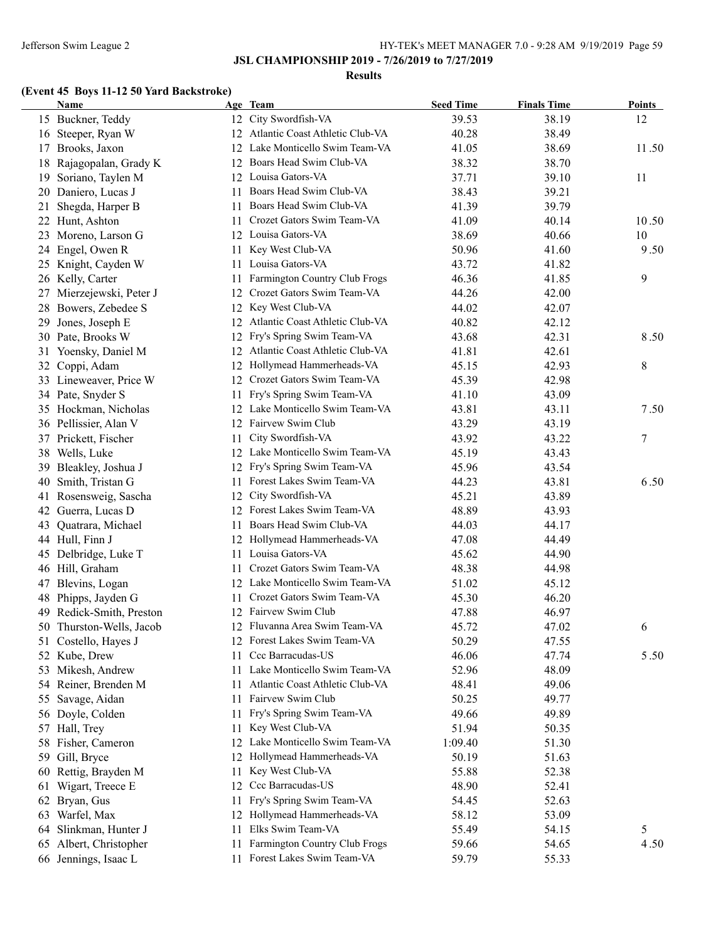#### **Results**

# **(Event 45 Boys 11-12 50 Yard Backstroke)**

|    | Name                     |    | Age Team                           | <b>Seed Time</b> | <b>Finals Time</b> | <b>Points</b> |
|----|--------------------------|----|------------------------------------|------------------|--------------------|---------------|
|    | 15 Buckner, Teddy        |    | 12 City Swordfish-VA               | 39.53            | 38.19              | 12            |
|    | 16 Steeper, Ryan W       |    | 12 Atlantic Coast Athletic Club-VA | 40.28            | 38.49              |               |
| 17 | Brooks, Jaxon            |    | 12 Lake Monticello Swim Team-VA    | 41.05            | 38.69              | 11.50         |
|    | 18 Rajagopalan, Grady K  | 12 | Boars Head Swim Club-VA            | 38.32            | 38.70              |               |
| 19 | Soriano, Taylen M        | 12 | Louisa Gators-VA                   | 37.71            | 39.10              | 11            |
|    | 20 Daniero, Lucas J      | 11 | Boars Head Swim Club-VA            | 38.43            | 39.21              |               |
| 21 | Shegda, Harper B         | 11 | Boars Head Swim Club-VA            | 41.39            | 39.79              |               |
|    | 22 Hunt, Ashton          | 11 | Crozet Gators Swim Team-VA         | 41.09            | 40.14              | 10.50         |
|    | 23 Moreno, Larson G      |    | 12 Louisa Gators-VA                | 38.69            | 40.66              | 10            |
|    | 24 Engel, Owen R         | 11 | Key West Club-VA                   | 50.96            | 41.60              | 9.50          |
|    | 25 Knight, Cayden W      | 11 | Louisa Gators-VA                   | 43.72            | 41.82              |               |
|    | 26 Kelly, Carter         | 11 | Farmington Country Club Frogs      | 46.36            | 41.85              | 9             |
| 27 | Mierzejewski, Peter J    | 12 | Crozet Gators Swim Team-VA         | 44.26            | 42.00              |               |
| 28 | Bowers, Zebedee S        | 12 | Key West Club-VA                   | 44.02            | 42.07              |               |
| 29 | Jones, Joseph E          | 12 | Atlantic Coast Athletic Club-VA    | 40.82            | 42.12              |               |
|    | 30 Pate, Brooks W        | 12 | Fry's Spring Swim Team-VA          | 43.68            | 42.31              | 8.50          |
| 31 | Yoensky, Daniel M        | 12 | Atlantic Coast Athletic Club-VA    | 41.81            | 42.61              |               |
| 32 | Coppi, Adam              | 12 | Hollymead Hammerheads-VA           | 45.15            | 42.93              | 8             |
|    | 33 Lineweaver, Price W   | 12 | Crozet Gators Swim Team-VA         | 45.39            | 42.98              |               |
|    | 34 Pate, Snyder S        | 11 | Fry's Spring Swim Team-VA          | 41.10            | 43.09              |               |
|    | 35 Hockman, Nicholas     | 12 | Lake Monticello Swim Team-VA       | 43.81            | 43.11              | 7.50          |
|    | 36 Pellissier, Alan V    | 12 | Fairvew Swim Club                  | 43.29            | 43.19              |               |
|    | 37 Prickett, Fischer     | 11 | City Swordfish-VA                  | 43.92            | 43.22              | 7             |
|    | 38 Wells, Luke           |    | 12 Lake Monticello Swim Team-VA    | 45.19            | 43.43              |               |
|    | 39 Bleakley, Joshua J    |    | 12 Fry's Spring Swim Team-VA       | 45.96            | 43.54              |               |
| 40 | Smith, Tristan G         |    | 11 Forest Lakes Swim Team-VA       | 44.23            | 43.81              | 6.50          |
| 41 | Rosensweig, Sascha       | 12 | City Swordfish-VA                  | 45.21            | 43.89              |               |
|    | 42 Guerra, Lucas D       |    | 12 Forest Lakes Swim Team-VA       | 48.89            | 43.93              |               |
| 43 | Quatrara, Michael        | 11 | Boars Head Swim Club-VA            | 44.03            | 44.17              |               |
|    | 44 Hull, Finn J          |    | 12 Hollymead Hammerheads-VA        | 47.08            | 44.49              |               |
|    | 45 Delbridge, Luke T     | 11 | Louisa Gators-VA                   | 45.62            | 44.90              |               |
|    | 46 Hill, Graham          | 11 | Crozet Gators Swim Team-VA         | 48.38            | 44.98              |               |
| 47 | Blevins, Logan           |    | 12 Lake Monticello Swim Team-VA    | 51.02            | 45.12              |               |
| 48 | Phipps, Jayden G         | 11 | Crozet Gators Swim Team-VA         | 45.30            | 46.20              |               |
| 49 | Redick-Smith, Preston    |    | 12 Fairvew Swim Club               | 47.88            | 46.97              |               |
|    | 50 Thurston-Wells, Jacob |    | 12 Fluvanna Area Swim Team-VA      | 45.72            | 47.02              | 6             |
|    | 51 Costello, Hayes J     |    | 12 Forest Lakes Swim Team-VA       | 50.29            | 47.55              |               |
|    | 52 Kube, Drew            | 11 | Ccc Barracudas-US                  | 46.06            | 47.74              | 5.50          |
|    | 53 Mikesh, Andrew        |    | 11 Lake Monticello Swim Team-VA    | 52.96            | 48.09              |               |
|    | 54 Reiner, Brenden M     | 11 | Atlantic Coast Athletic Club-VA    | 48.41            | 49.06              |               |
|    | 55 Savage, Aidan         | 11 | Fairvew Swim Club                  | 50.25            | 49.77              |               |
|    | 56 Doyle, Colden         | 11 | Fry's Spring Swim Team-VA          | 49.66            | 49.89              |               |
|    | 57 Hall, Trey            | 11 | Key West Club-VA                   | 51.94            | 50.35              |               |
|    | 58 Fisher, Cameron       | 12 | Lake Monticello Swim Team-VA       | 1:09.40          | 51.30              |               |
|    | 59 Gill, Bryce           | 12 | Hollymead Hammerheads-VA           | 50.19            | 51.63              |               |
|    | 60 Rettig, Brayden M     | 11 | Key West Club-VA                   | 55.88            | 52.38              |               |
| 61 | Wigart, Treece E         | 12 | Ccc Barracudas-US                  | 48.90            | 52.41              |               |
|    | 62 Bryan, Gus            | 11 | Fry's Spring Swim Team-VA          | 54.45            | 52.63              |               |
|    | 63 Warfel, Max           | 12 | Hollymead Hammerheads-VA           | 58.12            | 53.09              |               |
| 64 | Slinkman, Hunter J       | 11 | Elks Swim Team-VA                  | 55.49            | 54.15              | 5             |
|    | 65 Albert, Christopher   | 11 | Farmington Country Club Frogs      | 59.66            | 54.65              | 4.50          |
|    | 66 Jennings, Isaac L     | 11 | Forest Lakes Swim Team-VA          | 59.79            | 55.33              |               |
|    |                          |    |                                    |                  |                    |               |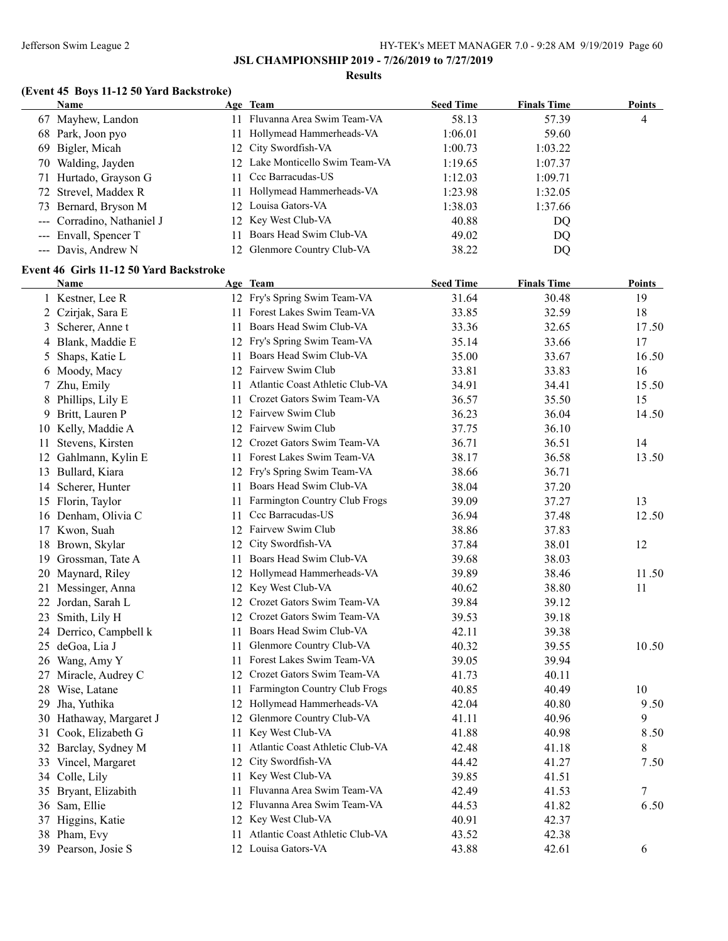### Jefferson Swim League 2 HY-TEK's MEET MANAGER 7.0 - 9:28 AM 9/19/2019 Page 60

### **JSL CHAMPIONSHIP 2019 - 7/26/2019 to 7/27/2019**

#### **Results**

# **(Event 45 Boys 11-12 50 Yard Backstroke)**

| <b>Name</b>                |     | Age Team                        | <b>Seed Time</b> | <b>Finals Time</b> | <b>Points</b> |
|----------------------------|-----|---------------------------------|------------------|--------------------|---------------|
| 67 Mayhew, Landon          | 11  | Fluvanna Area Swim Team-VA      | 58.13            | 57.39              | 4             |
| 68 Park, Joon pyo          | 11. | Hollymead Hammerheads-VA        | 1:06.01          | 59.60              |               |
| 69 Bigler, Micah           |     | 12 City Swordfish-VA            | 1:00.73          | 1:03.22            |               |
| 70 Walding, Jayden         |     | 12 Lake Monticello Swim Team-VA | 1:19.65          | 1:07.37            |               |
| 71 Hurtado, Grayson G      |     | 11 Ccc Barracudas-US            | 1:12.03          | 1:09.71            |               |
| 72 Strevel, Maddex R       |     | Hollymead Hammerheads-VA        | 1:23.98          | 1:32.05            |               |
| 73 Bernard, Bryson M       |     | 12 Louisa Gators-VA             | 1:38.03          | 1:37.66            |               |
| --- Corradino, Nathaniel J |     | 12 Key West Club-VA             | 40.88            | D <sub>O</sub>     |               |
| --- Envall, Spencer T      |     | Boars Head Swim Club-VA         | 49.02            | DQ                 |               |
| --- Davis, Andrew N        |     | 12 Glenmore Country Club-VA     | 38.22            | DQ                 |               |

## **Event 46 Girls 11-12 50 Yard Backstroke**

|    | Name                    |     | Age Team                           | <b>Seed Time</b> | <b>Finals Time</b> | <b>Points</b> |
|----|-------------------------|-----|------------------------------------|------------------|--------------------|---------------|
|    | 1 Kestner, Lee R        |     | 12 Fry's Spring Swim Team-VA       | 31.64            | 30.48              | 19            |
|    | 2 Czirjak, Sara E       |     | 11 Forest Lakes Swim Team-VA       | 33.85            | 32.59              | 18            |
| 3  | Scherer, Anne t         |     | 11 Boars Head Swim Club-VA         | 33.36            | 32.65              | 17.50         |
|    | 4 Blank, Maddie E       |     | 12 Fry's Spring Swim Team-VA       | 35.14            | 33.66              | 17            |
| 5  | Shaps, Katie L          |     | 11 Boars Head Swim Club-VA         | 35.00            | 33.67              | 16.50         |
|    | 6 Moody, Macy           |     | 12 Fairvew Swim Club               | 33.81            | 33.83              | 16            |
| 7  | Zhu, Emily              |     | 11 Atlantic Coast Athletic Club-VA | 34.91            | 34.41              | 15.50         |
| 8  | Phillips, Lily E        | 11  | Crozet Gators Swim Team-VA         | 36.57            | 35.50              | 15            |
| 9  | Britt, Lauren P         |     | 12 Fairvew Swim Club               | 36.23            | 36.04              | 14.50         |
|    | 10 Kelly, Maddie A      |     | 12 Fairvew Swim Club               | 37.75            | 36.10              |               |
|    | 11 Stevens, Kirsten     |     | 12 Crozet Gators Swim Team-VA      | 36.71            | 36.51              | 14            |
|    | 12 Gahlmann, Kylin E    | 11  | Forest Lakes Swim Team-VA          | 38.17            | 36.58              | 13.50         |
|    | 13 Bullard, Kiara       |     | 12 Fry's Spring Swim Team-VA       | 38.66            | 36.71              |               |
|    | 14 Scherer, Hunter      | 11  | Boars Head Swim Club-VA            | 38.04            | 37.20              |               |
|    | 15 Florin, Taylor       | 11  | Farmington Country Club Frogs      | 39.09            | 37.27              | 13            |
|    | 16 Denham, Olivia C     | 11  | Ccc Barracudas-US                  | 36.94            | 37.48              | 12.50         |
|    | 17 Kwon, Suah           |     | 12 Fairvew Swim Club               | 38.86            | 37.83              |               |
|    | 18 Brown, Skylar        |     | 12 City Swordfish-VA               | 37.84            | 38.01              | 12            |
|    | 19 Grossman, Tate A     | 11. | Boars Head Swim Club-VA            | 39.68            | 38.03              |               |
| 20 | Maynard, Riley          |     | 12 Hollymead Hammerheads-VA        | 39.89            | 38.46              | 11.50         |
| 21 | Messinger, Anna         |     | 12 Key West Club-VA                | 40.62            | 38.80              | 11            |
|    | 22 Jordan, Sarah L      |     | 12 Crozet Gators Swim Team-VA      | 39.84            | 39.12              |               |
|    | 23 Smith, Lily H        |     | 12 Crozet Gators Swim Team-VA      | 39.53            | 39.18              |               |
|    | 24 Derrico, Campbell k  | 11  | Boars Head Swim Club-VA            | 42.11            | 39.38              |               |
|    | 25 deGoa, Lia J         |     | 11 Glenmore Country Club-VA        | 40.32            | 39.55              | 10.50         |
|    | 26 Wang, Amy Y          |     | 11 Forest Lakes Swim Team-VA       | 39.05            | 39.94              |               |
|    | 27 Miracle, Audrey C    |     | 12 Crozet Gators Swim Team-VA      | 41.73            | 40.11              |               |
|    | 28 Wise, Latane         | 11  | Farmington Country Club Frogs      | 40.85            | 40.49              | 10            |
| 29 | Jha, Yuthika            |     | 12 Hollymead Hammerheads-VA        | 42.04            | 40.80              | 9.50          |
|    | 30 Hathaway, Margaret J | 12  | Glenmore Country Club-VA           | 41.11            | 40.96              | 9             |
|    | 31 Cook, Elizabeth G    | 11  | Key West Club-VA                   | 41.88            | 40.98              | 8.50          |
|    | 32 Barclay, Sydney M    | 11  | Atlantic Coast Athletic Club-VA    | 42.48            | 41.18              | 8             |
|    | 33 Vincel, Margaret     |     | 12 City Swordfish-VA               | 44.42            | 41.27              | 7.50          |
|    | 34 Colle, Lily          | 11  | Key West Club-VA                   | 39.85            | 41.51              |               |
|    | 35 Bryant, Elizabith    |     | 11 Fluvanna Area Swim Team-VA      | 42.49            | 41.53              | 7             |
|    | 36 Sam, Ellie           |     | 12 Fluvanna Area Swim Team-VA      | 44.53            | 41.82              | 6.50          |
|    | 37 Higgins, Katie       |     | 12 Key West Club-VA                | 40.91            | 42.37              |               |
|    | 38 Pham, Evy            | 11  | Atlantic Coast Athletic Club-VA    | 43.52            | 42.38              |               |
|    | 39 Pearson, Josie S     |     | 12 Louisa Gators-VA                | 43.88            | 42.61              | 6             |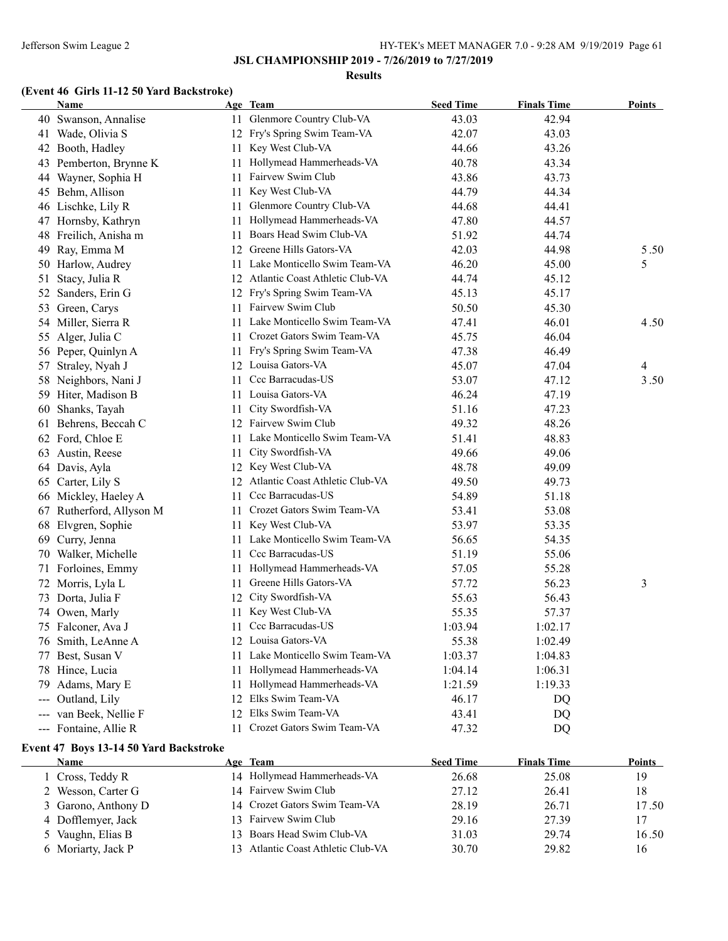#### **Results**

# **(Event 46 Girls 11-12 50 Yard Backstroke)**

|     | Name                   |     | Age Team                           | <b>Seed Time</b> | <b>Finals Time</b> | <b>Points</b> |
|-----|------------------------|-----|------------------------------------|------------------|--------------------|---------------|
|     | 40 Swanson, Annalise   |     | 11 Glenmore Country Club-VA        | 43.03            | 42.94              |               |
|     | 41 Wade, Olivia S      | 12  | Fry's Spring Swim Team-VA          | 42.07            | 43.03              |               |
|     | 42 Booth, Hadley       | 11  | Key West Club-VA                   | 44.66            | 43.26              |               |
|     | 43 Pemberton, Brynne K | 11  | Hollymead Hammerheads-VA           | 40.78            | 43.34              |               |
|     | 44 Wayner, Sophia H    | 11  | Fairvew Swim Club                  | 43.86            | 43.73              |               |
|     | 45 Behm, Allison       | 11  | Key West Club-VA                   | 44.79            | 44.34              |               |
|     | 46 Lischke, Lily R     | 11  | Glenmore Country Club-VA           | 44.68            | 44.41              |               |
|     | 47 Hornsby, Kathryn    | 11  | Hollymead Hammerheads-VA           | 47.80            | 44.57              |               |
|     | 48 Freilich, Anisha m  | 11  | Boars Head Swim Club-VA            | 51.92            | 44.74              |               |
| 49  | Ray, Emma M            | 12  | Greene Hills Gators-VA             | 42.03            | 44.98              | 5.50          |
|     | 50 Harlow, Audrey      | 11  | Lake Monticello Swim Team-VA       | 46.20            | 45.00              | 5             |
| 51  | Stacy, Julia R         | 12  | Atlantic Coast Athletic Club-VA    | 44.74            | 45.12              |               |
| 52  | Sanders, Erin G        | 12  | Fry's Spring Swim Team-VA          | 45.13            | 45.17              |               |
| 53  | Green, Carys           | 11  | Fairvew Swim Club                  | 50.50            | 45.30              |               |
|     | 54 Miller, Sierra R    | 11  | Lake Monticello Swim Team-VA       | 47.41            | 46.01              | 4.50          |
| 55  | Alger, Julia C         | 11. | Crozet Gators Swim Team-VA         | 45.75            | 46.04              |               |
|     | 56 Peper, Quinlyn A    | 11  | Fry's Spring Swim Team-VA          | 47.38            | 46.49              |               |
| 57  | Straley, Nyah J        |     | 12 Louisa Gators-VA                | 45.07            | 47.04              | 4             |
| 58  | Neighbors, Nani J      | 11  | Ccc Barracudas-US                  | 53.07            | 47.12              | 3.50          |
|     | 59 Hiter, Madison B    | 11. | Louisa Gators-VA                   | 46.24            | 47.19              |               |
| 60  | Shanks, Tayah          | 11  | City Swordfish-VA                  | 51.16            | 47.23              |               |
|     | 61 Behrens, Beccah C   |     | 12 Fairvew Swim Club               | 49.32            | 48.26              |               |
|     | 62 Ford, Chloe E       | 11. | Lake Monticello Swim Team-VA       | 51.41            | 48.83              |               |
|     | 63 Austin, Reese       | 11. | City Swordfish-VA                  | 49.66            | 49.06              |               |
|     | 64 Davis, Ayla         |     | 12 Key West Club-VA                | 48.78            | 49.09              |               |
| 65  | Carter, Lily S         |     | 12 Atlantic Coast Athletic Club-VA | 49.50            | 49.73              |               |
|     | 66 Mickley, Haeley A   | 11  | Ccc Barracudas-US                  | 54.89            | 51.18              |               |
| 67  | Rutherford, Allyson M  | 11  | Crozet Gators Swim Team-VA         | 53.41            | 53.08              |               |
| 68  | Elvgren, Sophie        | 11. | Key West Club-VA                   | 53.97            | 53.35              |               |
| 69  | Curry, Jenna           | 11  | Lake Monticello Swim Team-VA       | 56.65            | 54.35              |               |
| 70  | Walker, Michelle       | 11  | Ccc Barracudas-US                  | 51.19            | 55.06              |               |
| 71  | Forloines, Emmy        | 11  | Hollymead Hammerheads-VA           | 57.05            | 55.28              |               |
|     | 72 Morris, Lyla L      | 11  | Greene Hills Gators-VA             | 57.72            | 56.23              | 3             |
|     | 73 Dorta, Julia F      | 12  | City Swordfish-VA                  | 55.63            | 56.43              |               |
|     | 74 Owen, Marly         | 11  | Key West Club-VA                   | 55.35            | 57.37              |               |
|     | 75 Falconer, Ava J     | 11  | Ccc Barracudas-US                  | 1:03.94          | 1:02.17            |               |
|     | 76 Smith, LeAnne A     |     | 12 Louisa Gators-VA                | 55.38            | 1:02.49            |               |
|     | 77 Best, Susan V       | 11  | Lake Monticello Swim Team-VA       | 1:03.37          | 1:04.83            |               |
|     | 78 Hince, Lucia        | 11  | Hollymead Hammerheads-VA           | 1:04.14          | 1:06.31            |               |
| 79  | Adams, Mary E          | 11  | Hollymead Hammerheads-VA           | 1:21.59          | 1:19.33            |               |
| --- | Outland, Lily          | 12  | Elks Swim Team-VA                  | 46.17            | DQ                 |               |
| --- | van Beek, Nellie F     | 12  | Elks Swim Team-VA                  | 43.41            | DQ                 |               |
|     | --- Fontaine, Allie R  | 11  | Crozet Gators Swim Team-VA         | 47.32            | DQ                 |               |
|     |                        |     |                                    |                  |                    |               |

## **Event 47 Boys 13-14 50 Yard Backstroke**

| Name                | Age Team                           | <b>Seed Time</b> | <b>Finals Time</b> | <b>Points</b> |
|---------------------|------------------------------------|------------------|--------------------|---------------|
| 1 Cross, Teddy R    | 14 Hollymead Hammerheads-VA        | 26.68            | 25.08              | 19            |
| 2 Wesson, Carter G  | 14 Fairvew Swim Club               | 27.12            | 26.41              | 18            |
| 3 Garono, Anthony D | 14 Crozet Gators Swim Team-VA      | 28.19            | 26.71              | 17.50         |
| 4 Dofflemyer, Jack  | 13 Fairvew Swim Club               | 29.16            | 27.39              | 17            |
| 5 Vaughn, Elias B   | 13 Boars Head Swim Club-VA         | 31.03            | 29.74              | 16.50         |
| 6 Moriarty, Jack P  | 13 Atlantic Coast Athletic Club-VA | 30.70            | 29.82              | 16            |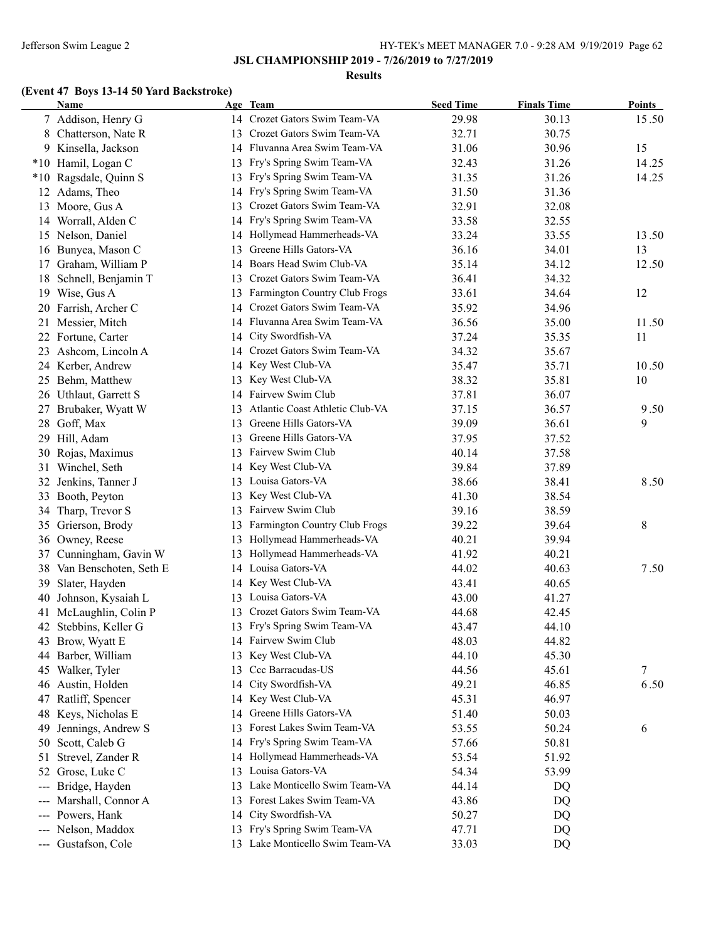### Jefferson Swim League 2 HY-TEK's MEET MANAGER 7.0 - 9:28 AM 9/19/2019 Page 62

**JSL CHAMPIONSHIP 2019 - 7/26/2019 to 7/27/2019**

#### **Results**

# **(Event 47 Boys 13-14 50 Yard Backstroke)**

|                        | Name                   |    | Age Team                        | <b>Seed Time</b> | <b>Finals Time</b> | <b>Points</b> |
|------------------------|------------------------|----|---------------------------------|------------------|--------------------|---------------|
|                        | 7 Addison, Henry G     |    | 14 Crozet Gators Swim Team-VA   | 29.98            | 30.13              | 15.50         |
| 8                      | Chatterson, Nate R     | 13 | Crozet Gators Swim Team-VA      | 32.71            | 30.75              |               |
|                        | 9 Kinsella, Jackson    |    | 14 Fluvanna Area Swim Team-VA   | 31.06            | 30.96              | 15            |
|                        | *10 Hamil, Logan C     | 13 | Fry's Spring Swim Team-VA       | 32.43            | 31.26              | 14.25         |
| $*10$                  | Ragsdale, Quinn S      | 13 | Fry's Spring Swim Team-VA       | 31.35            | 31.26              | 14.25         |
| 12                     | Adams, Theo            | 14 | Fry's Spring Swim Team-VA       | 31.50            | 31.36              |               |
| 13                     | Moore, Gus A           | 13 | Crozet Gators Swim Team-VA      | 32.91            | 32.08              |               |
|                        | 14 Worrall, Alden C    | 14 | Fry's Spring Swim Team-VA       | 33.58            | 32.55              |               |
|                        | 15 Nelson, Daniel      |    | 14 Hollymead Hammerheads-VA     | 33.24            | 33.55              | 13.50         |
|                        | 16 Bunyea, Mason C     | 13 | Greene Hills Gators-VA          | 36.16            | 34.01              | 13            |
| 17                     | Graham, William P      | 14 | Boars Head Swim Club-VA         | 35.14            | 34.12              | 12.50         |
| 18                     | Schnell, Benjamin T    | 13 | Crozet Gators Swim Team-VA      | 36.41            | 34.32              |               |
| 19                     | Wise, Gus A            | 13 | Farmington Country Club Frogs   | 33.61            | 34.64              | 12            |
| 20                     | Farrish, Archer C      |    | 14 Crozet Gators Swim Team-VA   | 35.92            | 34.96              |               |
|                        | 21 Messier, Mitch      |    | 14 Fluvanna Area Swim Team-VA   | 36.56            | 35.00              | 11.50         |
|                        | 22 Fortune, Carter     |    | 14 City Swordfish-VA            | 37.24            | 35.35              | 11            |
| 23                     | Ashcom, Lincoln A      |    | 14 Crozet Gators Swim Team-VA   | 34.32            | 35.67              |               |
|                        | 24 Kerber, Andrew      |    | 14 Key West Club-VA             | 35.47            | 35.71              | 10.50         |
| 25                     | Behm, Matthew          | 13 | Key West Club-VA                | 38.32            | 35.81              | 10            |
| 26                     | Uthlaut, Garrett S     |    | 14 Fairvew Swim Club            | 37.81            | 36.07              |               |
| 27                     | Brubaker, Wyatt W      | 13 | Atlantic Coast Athletic Club-VA | 37.15            | 36.57              | 9.50          |
| 28                     | Goff, Max              | 13 | Greene Hills Gators-VA          | 39.09            | 36.61              | 9             |
| 29                     | Hill, Adam             | 13 | Greene Hills Gators-VA          | 37.95            | 37.52              |               |
| 30                     | Rojas, Maximus         | 13 | Fairvew Swim Club               | 40.14            | 37.58              |               |
| 31                     | Winchel, Seth          | 14 | Key West Club-VA                | 39.84            | 37.89              |               |
| 32                     | Jenkins, Tanner J      | 13 | Louisa Gators-VA                | 38.66            | 38.41              | 8.50          |
| 33                     | Booth, Peyton          | 13 | Key West Club-VA                | 41.30            | 38.54              |               |
| 34                     | Tharp, Trevor S        | 13 | Fairvew Swim Club               | 39.16            | 38.59              |               |
| 35                     | Grierson, Brody        | 13 | Farmington Country Club Frogs   | 39.22            | 39.64              | 8             |
|                        | 36 Owney, Reese        | 13 | Hollymead Hammerheads-VA        | 40.21            | 39.94              |               |
| 37                     | Cunningham, Gavin W    | 13 | Hollymead Hammerheads-VA        | 41.92            | 40.21              |               |
| 38                     | Van Benschoten, Seth E |    | 14 Louisa Gators-VA             | 44.02            | 40.63              | 7.50          |
| 39                     | Slater, Hayden         | 14 | Key West Club-VA                | 43.41            | 40.65              |               |
| 40                     | Johnson, Kysaiah L     | 13 | Louisa Gators-VA                | 43.00            | 41.27              |               |
| 41                     | McLaughlin, Colin P    | 13 | Crozet Gators Swim Team-VA      | 44.68            | 42.45              |               |
| 42                     | Stebbins, Keller G     | 13 | Fry's Spring Swim Team-VA       | 43.47            | 44.10              |               |
|                        | 43 Brow, Wyatt E       |    | 14 Fairvew Swim Club            | 48.03            | 44.82              |               |
| 44                     | Barber, William        | 13 | Key West Club-VA                | 44.10            | 45.30              |               |
| 45                     | Walker, Tyler          | 13 | Ccc Barracudas-US               | 44.56            | 45.61              | 7             |
| 46                     | Austin, Holden         | 14 | City Swordfish-VA               | 49.21            | 46.85              | 6.50          |
| 47                     | Ratliff, Spencer       | 14 | Key West Club-VA                | 45.31            | 46.97              |               |
| 48                     | Keys, Nicholas E       | 14 | Greene Hills Gators-VA          | 51.40            | 50.03              |               |
| 49                     | Jennings, Andrew S     | 13 | Forest Lakes Swim Team-VA       | 53.55            | 50.24              | 6             |
| 50                     | Scott, Caleb G         | 14 | Fry's Spring Swim Team-VA       | 57.66            | 50.81              |               |
| 51                     | Strevel, Zander R      |    | 14 Hollymead Hammerheads-VA     | 53.54            | 51.92              |               |
|                        | 52 Grose, Luke C       | 13 | Louisa Gators-VA                | 54.34            | 53.99              |               |
| $\qquad \qquad \cdots$ | Bridge, Hayden         | 13 | Lake Monticello Swim Team-VA    | 44.14            | DQ                 |               |
| $---$                  | Marshall, Connor A     | 13 | Forest Lakes Swim Team-VA       | 43.86            | DQ                 |               |
| ---                    | Powers, Hank           | 14 | City Swordfish-VA               | 50.27            | DQ                 |               |
|                        | --- Nelson, Maddox     | 13 | Fry's Spring Swim Team-VA       | 47.71            | DQ                 |               |
|                        | --- Gustafson, Cole    |    | 13 Lake Monticello Swim Team-VA | 33.03            | DQ                 |               |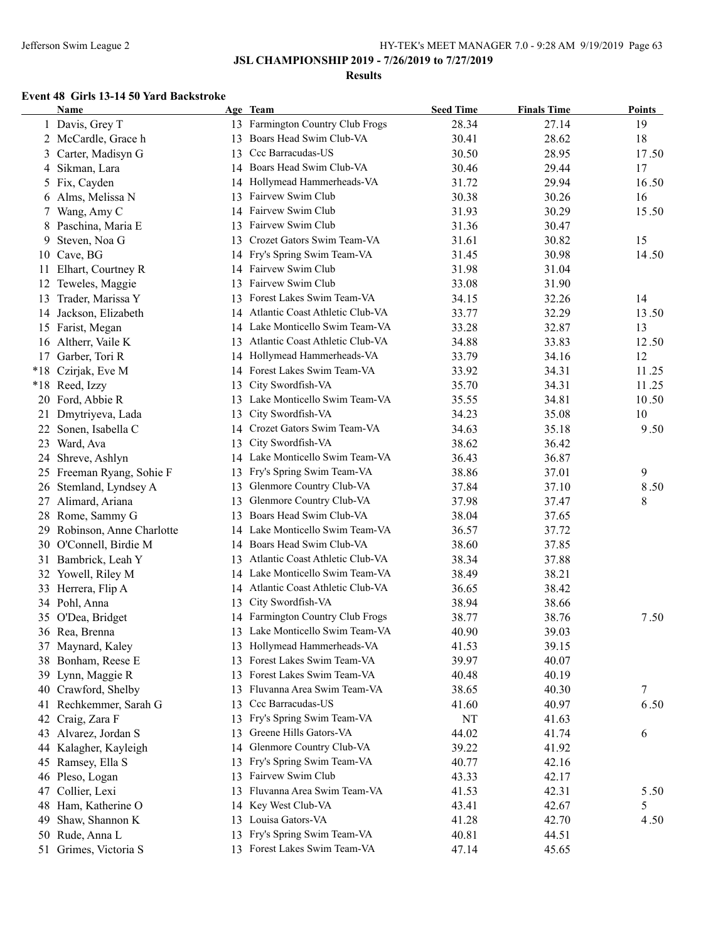### **Results**

### **Event 48 Girls 13-14 50 Yard Backstroke**

|    | <b>Name</b>                 |    | Age Team                           | <b>Seed Time</b> | <b>Finals Time</b> | <b>Points</b> |
|----|-----------------------------|----|------------------------------------|------------------|--------------------|---------------|
|    | 1 Davis, Grey T             |    | 13 Farmington Country Club Frogs   | 28.34            | 27.14              | 19            |
|    | 2 McCardle, Grace h         | 13 | Boars Head Swim Club-VA            | 30.41            | 28.62              | 18            |
|    | 3 Carter, Madisyn G         | 13 | Ccc Barracudas-US                  | 30.50            | 28.95              | 17.50         |
|    | 4 Sikman, Lara              |    | 14 Boars Head Swim Club-VA         | 30.46            | 29.44              | 17            |
|    | 5 Fix, Cayden               | 14 | Hollymead Hammerheads-VA           | 31.72            | 29.94              | 16.50         |
|    | 6 Alms, Melissa N           | 13 | Fairvew Swim Club                  | 30.38            | 30.26              | 16            |
|    | 7 Wang, Amy C               | 14 | Fairvew Swim Club                  | 31.93            | 30.29              | 15.50         |
|    | 8 Paschina, Maria E         | 13 | Fairvew Swim Club                  | 31.36            | 30.47              |               |
| 9  | Steven, Noa G               | 13 | Crozet Gators Swim Team-VA         | 31.61            | 30.82              | 15            |
| 10 | Cave, BG                    |    | 14 Fry's Spring Swim Team-VA       | 31.45            | 30.98              | 14.50         |
|    | 11 Elhart, Courtney R       |    | 14 Fairvew Swim Club               | 31.98            | 31.04              |               |
| 12 | Teweles, Maggie             | 13 | Fairvew Swim Club                  | 33.08            | 31.90              |               |
| 13 | Trader, Marissa Y           | 13 | Forest Lakes Swim Team-VA          | 34.15            | 32.26              | 14            |
| 14 | Jackson, Elizabeth          | 14 | Atlantic Coast Athletic Club-VA    | 33.77            | 32.29              | 13.50         |
|    | 15 Farist, Megan            |    | 14 Lake Monticello Swim Team-VA    | 33.28            | 32.87              | 13            |
|    | 16 Altherr, Vaile K         |    | 13 Atlantic Coast Athletic Club-VA | 34.88            | 33.83              | 12.50         |
|    | 17 Garber, Tori R           |    | 14 Hollymead Hammerheads-VA        | 33.79            | 34.16              | 12            |
|    | *18 Czirjak, Eve M          |    | 14 Forest Lakes Swim Team-VA       | 33.92            | 34.31              | 11.25         |
|    | *18 Reed, Izzy              | 13 | City Swordfish-VA                  | 35.70            | 34.31              | 11.25         |
|    | 20 Ford, Abbie R            |    | 13 Lake Monticello Swim Team-VA    | 35.55            | 34.81              | 10.50         |
| 21 | Dmytriyeva, Lada            | 13 | City Swordfish-VA                  | 34.23            | 35.08              | 10            |
| 22 | Sonen, Isabella C           |    | 14 Crozet Gators Swim Team-VA      | 34.63            | 35.18              | 9.50          |
|    | 23 Ward, Ava                | 13 | City Swordfish-VA                  | 38.62            | 36.42              |               |
| 24 | Shreve, Ashlyn              |    | 14 Lake Monticello Swim Team-VA    | 36.43            | 36.87              |               |
|    | 25 Freeman Ryang, Sohie F   | 13 | Fry's Spring Swim Team-VA          | 38.86            | 37.01              | 9             |
|    | 26 Stemland, Lyndsey A      | 13 | Glenmore Country Club-VA           | 37.84            | 37.10              | 8.50          |
|    | 27 Alimard, Ariana          | 13 | Glenmore Country Club-VA           | 37.98            | 37.47              | 8             |
|    | 28 Rome, Sammy G            | 13 | Boars Head Swim Club-VA            | 38.04            | 37.65              |               |
|    | 29 Robinson, Anne Charlotte |    | 14 Lake Monticello Swim Team-VA    | 36.57            | 37.72              |               |
|    | 30 O'Connell, Birdie M      | 14 | Boars Head Swim Club-VA            | 38.60            | 37.85              |               |
|    | 31 Bambrick, Leah Y         |    | 13 Atlantic Coast Athletic Club-VA | 38.34            | 37.88              |               |
|    | 32 Yowell, Riley M          |    | 14 Lake Monticello Swim Team-VA    | 38.49            | 38.21              |               |
|    | 33 Herrera, Flip A          |    | 14 Atlantic Coast Athletic Club-VA | 36.65            | 38.42              |               |
|    | 34 Pohl, Anna               | 13 | City Swordfish-VA                  | 38.94            | 38.66              |               |
|    | 35 O'Dea, Bridget           |    | 14 Farmington Country Club Frogs   | 38.77            | 38.76              | 7.50          |
|    | 36 Rea, Brenna              |    | 13 Lake Monticello Swim Team-VA    | 40.90            | 39.03              |               |
|    | 37 Maynard, Kaley           |    | 13 Hollymead Hammerheads-VA        | 41.53            | 39.15              |               |
|    | 38 Bonham, Reese E          | 13 | Forest Lakes Swim Team-VA          | 39.97            | 40.07              |               |
| 39 | Lynn, Maggie R              | 13 | Forest Lakes Swim Team-VA          | 40.48            | 40.19              |               |
| 40 | Crawford, Shelby            | 13 | Fluvanna Area Swim Team-VA         | 38.65            | 40.30              | 7             |
|    | 41 Rechkemmer, Sarah G      | 13 | Ccc Barracudas-US                  | 41.60            | 40.97              | 6.50          |
| 42 | Craig, Zara F               | 13 | Fry's Spring Swim Team-VA          | NT               | 41.63              |               |
| 43 | Alvarez, Jordan S           | 13 | Greene Hills Gators-VA             | 44.02            | 41.74              | 6             |
| 44 | Kalagher, Kayleigh          | 14 | Glenmore Country Club-VA           | 39.22            | 41.92              |               |
|    | 45 Ramsey, Ella S           | 13 | Fry's Spring Swim Team-VA          | 40.77            | 42.16              |               |
|    | 46 Pleso, Logan             | 13 | Fairvew Swim Club                  | 43.33            | 42.17              |               |
| 47 | Collier, Lexi               | 13 | Fluvanna Area Swim Team-VA         | 41.53            | 42.31              | 5.50          |
|    | 48 Ham, Katherine O         |    | 14 Key West Club-VA                | 43.41            | 42.67              | 5             |
| 49 | Shaw, Shannon K             |    | 13 Louisa Gators-VA                | 41.28            | 42.70              | 4.50          |
|    | 50 Rude, Anna L             | 13 | Fry's Spring Swim Team-VA          | 40.81            | 44.51              |               |
|    | 51 Grimes, Victoria S       |    | 13 Forest Lakes Swim Team-VA       | 47.14            | 45.65              |               |
|    |                             |    |                                    |                  |                    |               |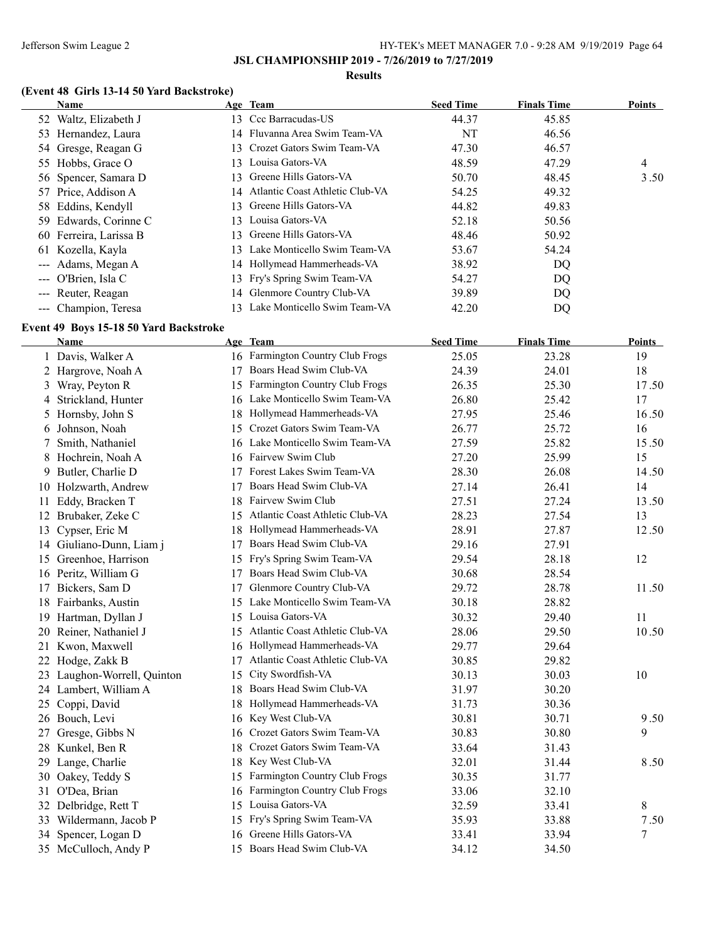### **Results**

# **(Event 48 Girls 13-14 50 Yard Backstroke)**

|    | Name                                                  |     | Age Team                                                  | <b>Seed Time</b> | <b>Finals Time</b> | <b>Points</b> |
|----|-------------------------------------------------------|-----|-----------------------------------------------------------|------------------|--------------------|---------------|
|    | 52 Waltz, Elizabeth J                                 |     | 13 Ccc Barracudas-US                                      | 44.37            | 45.85              |               |
|    | 53 Hernandez, Laura                                   |     | 14 Fluvanna Area Swim Team-VA                             | NT               | 46.56              |               |
|    | 54 Gresge, Reagan G                                   | 13  | Crozet Gators Swim Team-VA                                | 47.30            | 46.57              |               |
|    | 55 Hobbs, Grace O                                     | 13  | Louisa Gators-VA                                          | 48.59            | 47.29              | 4             |
|    | 56 Spencer, Samara D                                  | 13  | Greene Hills Gators-VA                                    | 50.70            | 48.45              | 3.50          |
|    | 57 Price, Addison A                                   | 14  | Atlantic Coast Athletic Club-VA                           | 54.25            | 49.32              |               |
|    | 58 Eddins, Kendyll                                    | 13  | Greene Hills Gators-VA                                    | 44.82            | 49.83              |               |
|    | 59 Edwards, Corinne C                                 | 13  | Louisa Gators-VA                                          | 52.18            | 50.56              |               |
|    | 60 Ferreira, Larissa B                                | 13  | Greene Hills Gators-VA                                    | 48.46            | 50.92              |               |
|    | 61 Kozella, Kayla                                     | 13  | Lake Monticello Swim Team-VA                              | 53.67            | 54.24              |               |
|    | --- Adams, Megan A                                    |     | 14 Hollymead Hammerheads-VA                               | 38.92            | DQ                 |               |
|    | --- O'Brien, Isla C                                   | 13  | Fry's Spring Swim Team-VA                                 | 54.27            | DQ                 |               |
|    | --- Reuter, Reagan                                    | 14  | Glenmore Country Club-VA                                  | 39.89            | DQ                 |               |
|    | --- Champion, Teresa                                  | 13  | Lake Monticello Swim Team-VA                              | 42.20            | DQ                 |               |
|    |                                                       |     |                                                           |                  |                    |               |
|    | Event 49 Boys 15-18 50 Yard Backstroke<br><b>Name</b> |     | Age Team                                                  | <b>Seed Time</b> | <b>Finals Time</b> | <b>Points</b> |
|    | 1 Davis, Walker A                                     |     | 16 Farmington Country Club Frogs                          | 25.05            | 23.28              | 19            |
|    |                                                       |     | 17 Boars Head Swim Club-VA                                | 24.39            | 24.01              | 18            |
|    | 2 Hargrove, Noah A                                    |     | 15 Farmington Country Club Frogs                          |                  |                    |               |
|    | 3 Wray, Peyton R                                      |     | 16 Lake Monticello Swim Team-VA                           | 26.35            | 25.30              | 17.50<br>17   |
| 4  | Strickland, Hunter                                    |     |                                                           | 26.80            | 25.42              |               |
| 5  | Hornsby, John S                                       |     | 18 Hollymead Hammerheads-VA<br>Crozet Gators Swim Team-VA | 27.95            | 25.46              | 16.50         |
| 6  | Johnson, Noah                                         | 15  | 16 Lake Monticello Swim Team-VA                           | 26.77            | 25.72              | 16            |
| 7  | Smith, Nathaniel                                      |     | 16 Fairvew Swim Club                                      | 27.59            | 25.82              | 15.50         |
| 8  | Hochrein, Noah A                                      |     |                                                           | 27.20            | 25.99              | 15            |
| 9. | Butler, Charlie D                                     | 17  | Forest Lakes Swim Team-VA                                 | 28.30            | 26.08              | 14.50         |
|    | 10 Holzwarth, Andrew                                  | 17  | Boars Head Swim Club-VA                                   | 27.14            | 26.41              | 14            |
| 11 | Eddy, Bracken T                                       | 18  | Fairvew Swim Club                                         | 27.51            | 27.24              | 13.50         |
| 12 | Brubaker, Zeke C                                      | 15  | Atlantic Coast Athletic Club-VA                           | 28.23            | 27.54              | 13            |
| 13 | Cypser, Eric M                                        | 18  | Hollymead Hammerheads-VA                                  | 28.91            | 27.87              | 12.50         |
|    | 14 Giuliano-Dunn, Liam j                              | 17  | Boars Head Swim Club-VA                                   | 29.16            | 27.91              |               |
|    | 15 Greenhoe, Harrison                                 |     | 15 Fry's Spring Swim Team-VA                              | 29.54            | 28.18              | 12            |
|    | 16 Peritz, William G                                  | 17  | Boars Head Swim Club-VA                                   | 30.68            | 28.54              |               |
|    | 17 Bickers, Sam D                                     | 17  | Glenmore Country Club-VA                                  | 29.72            | 28.78              | 11.50         |
|    | 18 Fairbanks, Austin                                  |     | 15 Lake Monticello Swim Team-VA                           | 30.18            | 28.82              |               |
|    | 19 Hartman, Dyllan J                                  |     | 15 Louisa Gators-VA                                       | 30.32            | 29.40              | 11            |
|    | 20 Reiner, Nathaniel J                                |     | 15 Atlantic Coast Athletic Club-VA                        | 28.06            | 29.50              | 10.50         |
|    | 21 Kwon, Maxwell                                      |     | 16 Hollymead Hammerheads-VA                               | 29.77            | 29.64              |               |
|    | 22 Hodge, Zakk B                                      | 17  | Atlantic Coast Athletic Club-VA                           | 30.85            | 29.82              |               |
|    | 23 Laughon-Worrell, Quinton                           | 15  | City Swordfish-VA                                         | 30.13            | 30.03              | 10            |
|    | 24 Lambert, William A                                 | 18  | Boars Head Swim Club-VA                                   | 31.97            | 30.20              |               |
|    | 25 Coppi, David                                       | 18  | Hollymead Hammerheads-VA                                  | 31.73            | 30.36              |               |
|    | 26 Bouch, Levi                                        | 16  | Key West Club-VA                                          | 30.81            | 30.71              | 9.50          |
|    | 27 Gresge, Gibbs N                                    | 16  | Crozet Gators Swim Team-VA                                | 30.83            | 30.80              | 9             |
|    | 28 Kunkel, Ben R                                      | 18  | Crozet Gators Swim Team-VA                                | 33.64            | 31.43              |               |
|    | 29 Lange, Charlie                                     | 18. | Key West Club-VA                                          | 32.01            | 31.44              | 8.50          |
|    | 30 Oakey, Teddy S                                     |     | 15 Farmington Country Club Frogs                          | 30.35            | 31.77              |               |
|    | 31 O'Dea, Brian                                       |     | 16 Farmington Country Club Frogs                          | 33.06            | 32.10              |               |
|    | 32 Delbridge, Rett T                                  |     | 15 Louisa Gators-VA                                       | 32.59            | 33.41              | 8             |
|    | 33 Wildermann, Jacob P                                |     | 15 Fry's Spring Swim Team-VA                              | 35.93            | 33.88              | 7.50          |
|    | 34 Spencer, Logan D                                   |     | 16 Greene Hills Gators-VA                                 | 33.41            | 33.94              | 7             |
|    | 35 McCulloch, Andy P                                  |     | 15 Boars Head Swim Club-VA                                | 34.12            | 34.50              |               |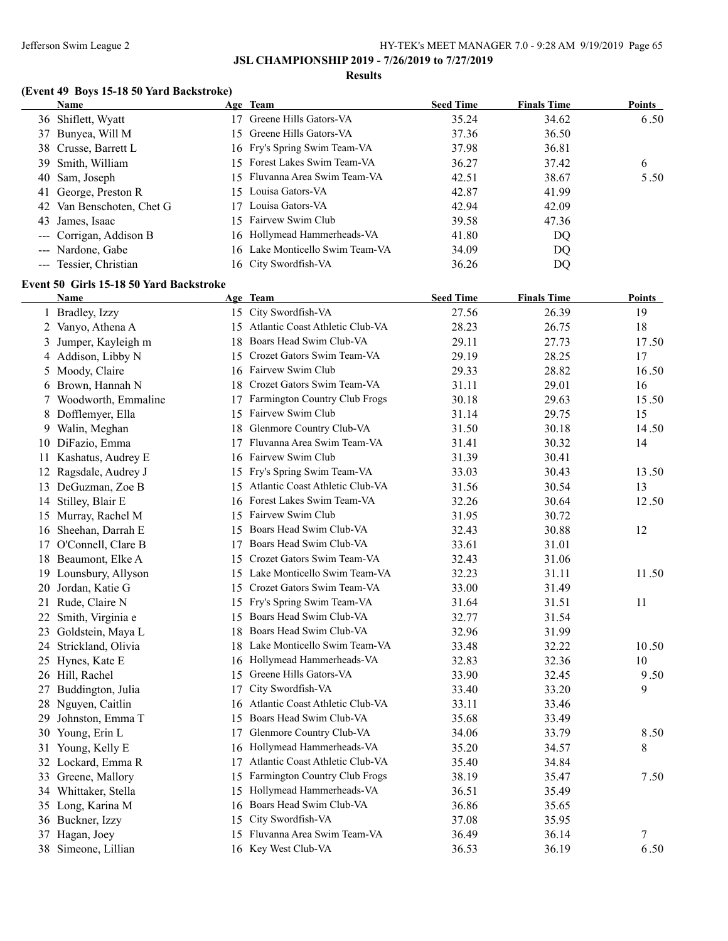#### **Results**

# **(Event 49 Boys 15-18 50 Yard Backstroke)**

| <b>Name</b>               | Age Team                        | <b>Seed Time</b> | <b>Finals Time</b> | Points |
|---------------------------|---------------------------------|------------------|--------------------|--------|
| 36 Shiflett, Wyatt        | Greene Hills Gators-VA          | 35.24            | 34.62              | 6.50   |
| 37 Bunyea, Will M         | 15 Greene Hills Gators-VA       | 37.36            | 36.50              |        |
| 38 Crusse, Barrett L      | 16 Fry's Spring Swim Team-VA    | 37.98            | 36.81              |        |
| 39 Smith, William         | 15 Forest Lakes Swim Team-VA    | 36.27            | 37.42              | 6      |
| 40 Sam, Joseph            | 15 Fluvanna Area Swim Team-VA   | 42.51            | 38.67              | 5.50   |
| 41 George, Preston R      | 15 Louisa Gators-VA             | 42.87            | 41.99              |        |
| 42 Van Benschoten, Chet G | 17 Louisa Gators-VA             | 42.94            | 42.09              |        |
| 43 James, Isaac           | 15 Fairvew Swim Club            | 39.58            | 47.36              |        |
| --- Corrigan, Addison B   | 16 Hollymead Hammerheads-VA     | 41.80            | DQ                 |        |
| --- Nardone, Gabe         | 16 Lake Monticello Swim Team-VA | 34.09            | DQ                 |        |
| --- Tessier, Christian    | 16 City Swordfish-VA            | 36.26            | DQ                 |        |

## **Event 50 Girls 15-18 50 Yard Backstroke**

|    | <b>Name</b>           |    | Age Team                           | <b>Seed Time</b> | <b>Finals Time</b> | <b>Points</b> |
|----|-----------------------|----|------------------------------------|------------------|--------------------|---------------|
|    | 1 Bradley, Izzy       |    | 15 City Swordfish-VA               | 27.56            | 26.39              | 19            |
|    | 2 Vanyo, Athena A     |    | 15 Atlantic Coast Athletic Club-VA | 28.23            | 26.75              | 18            |
| 3  | Jumper, Kayleigh m    | 18 | Boars Head Swim Club-VA            | 29.11            | 27.73              | 17.50         |
|    | 4 Addison, Libby N    |    | 15 Crozet Gators Swim Team-VA      | 29.19            | 28.25              | 17            |
| 5  | Moody, Claire         |    | 16 Fairvew Swim Club               | 29.33            | 28.82              | 16.50         |
| 6  | Brown, Hannah N       |    | 18 Crozet Gators Swim Team-VA      | 31.11            | 29.01              | 16            |
|    | 7 Woodworth, Emmaline |    | 17 Farmington Country Club Frogs   | 30.18            | 29.63              | 15.50         |
| 8  | Dofflemyer, Ella      |    | 15 Fairvew Swim Club               | 31.14            | 29.75              | 15            |
| 9  | Walin, Meghan         | 18 | Glenmore Country Club-VA           | 31.50            | 30.18              | 14.50         |
|    | 10 DiFazio, Emma      | 17 | Fluvanna Area Swim Team-VA         | 31.41            | 30.32              | 14            |
| 11 | Kashatus, Audrey E    |    | 16 Fairvew Swim Club               | 31.39            | 30.41              |               |
| 12 | Ragsdale, Audrey J    |    | 15 Fry's Spring Swim Team-VA       | 33.03            | 30.43              | 13.50         |
|    | 13 DeGuzman, Zoe B    |    | 15 Atlantic Coast Athletic Club-VA | 31.56            | 30.54              | 13            |
|    | 14 Stilley, Blair E   |    | 16 Forest Lakes Swim Team-VA       | 32.26            | 30.64              | 12.50         |
|    | 15 Murray, Rachel M   |    | 15 Fairvew Swim Club               | 31.95            | 30.72              |               |
|    | 16 Sheehan, Darrah E  |    | 15 Boars Head Swim Club-VA         | 32.43            | 30.88              | 12            |
|    | 17 O'Connell, Clare B |    | 17 Boars Head Swim Club-VA         | 33.61            | 31.01              |               |
| 18 | Beaumont, Elke A      |    | 15 Crozet Gators Swim Team-VA      | 32.43            | 31.06              |               |
|    | 19 Lounsbury, Allyson |    | 15 Lake Monticello Swim Team-VA    | 32.23            | 31.11              | 11.50         |
| 20 | Jordan, Katie G       |    | 15 Crozet Gators Swim Team-VA      | 33.00            | 31.49              |               |
|    | 21 Rude, Claire N     | 15 | Fry's Spring Swim Team-VA          | 31.64            | 31.51              | 11            |
| 22 | Smith, Virginia e     | 15 | Boars Head Swim Club-VA            | 32.77            | 31.54              |               |
| 23 | Goldstein, Maya L     | 18 | Boars Head Swim Club-VA            | 32.96            | 31.99              |               |
| 24 | Strickland, Olivia    | 18 | Lake Monticello Swim Team-VA       | 33.48            | 32.22              | 10.50         |
|    | 25 Hynes, Kate E      | 16 | Hollymead Hammerheads-VA           | 32.83            | 32.36              | 10            |
|    | 26 Hill, Rachel       | 15 | Greene Hills Gators-VA             | 33.90            | 32.45              | 9.50          |
|    | 27 Buddington, Julia  | 17 | City Swordfish-VA                  | 33.40            | 33.20              | 9             |
| 28 | Nguyen, Caitlin       |    | 16 Atlantic Coast Athletic Club-VA | 33.11            | 33.46              |               |
| 29 | Johnston, Emma T      | 15 | Boars Head Swim Club-VA            | 35.68            | 33.49              |               |
| 30 | Young, Erin L         | 17 | Glenmore Country Club-VA           | 34.06            | 33.79              | 8.50          |
|    | 31 Young, Kelly E     |    | 16 Hollymead Hammerheads-VA        | 35.20            | 34.57              | 8             |
|    | 32 Lockard, Emma R    | 17 | Atlantic Coast Athletic Club-VA    | 35.40            | 34.84              |               |
|    | 33 Greene, Mallory    |    | 15 Farmington Country Club Frogs   | 38.19            | 35.47              | 7.50          |
|    | 34 Whittaker, Stella  | 15 | Hollymead Hammerheads-VA           | 36.51            | 35.49              |               |
|    | 35 Long, Karina M     |    | 16 Boars Head Swim Club-VA         | 36.86            | 35.65              |               |
|    | 36 Buckner, Izzy      | 15 | City Swordfish-VA                  | 37.08            | 35.95              |               |
| 37 | Hagan, Joey           | 15 | Fluvanna Area Swim Team-VA         | 36.49            | 36.14              | 7             |
|    | 38 Simeone, Lillian   |    | 16 Key West Club-VA                | 36.53            | 36.19              | 6.50          |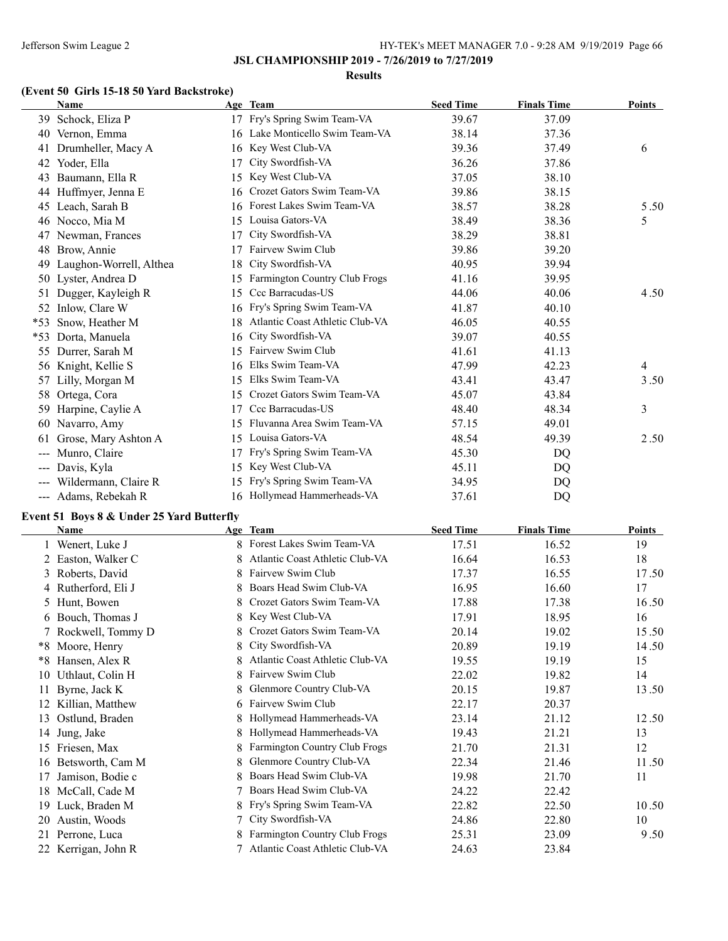#### **Results**

## **(Event 50 Girls 15-18 50 Yard Backstroke)**

|                        | <b>Name</b>             |    | Age Team                        | <b>Seed Time</b> | <b>Finals Time</b> | Points |
|------------------------|-------------------------|----|---------------------------------|------------------|--------------------|--------|
| 39                     | Schock, Eliza P         | 17 | Fry's Spring Swim Team-VA       | 39.67            | 37.09              |        |
| 40                     | Vernon, Emma            | 16 | Lake Monticello Swim Team-VA    | 38.14            | 37.36              |        |
| 41                     | Drumheller, Macy A      | 16 | Key West Club-VA                | 39.36            | 37.49              | 6      |
| 42                     | Yoder, Ella             | 17 | City Swordfish-VA               | 36.26            | 37.86              |        |
| 43                     | Baumann, Ella R         | 15 | Key West Club-VA                | 37.05            | 38.10              |        |
| 44                     | Huffmyer, Jenna E       | 16 | Crozet Gators Swim Team-VA      | 39.86            | 38.15              |        |
| 45                     | Leach, Sarah B          | 16 | Forest Lakes Swim Team-VA       | 38.57            | 38.28              | 5.50   |
| 46                     | Nocco, Mia M            | 15 | Louisa Gators-VA                | 38.49            | 38.36              | 5      |
| 47                     | Newman, Frances         | 17 | City Swordfish-VA               | 38.29            | 38.81              |        |
| 48                     | Brow, Annie             | 17 | Fairvew Swim Club               | 39.86            | 39.20              |        |
| 49                     | Laughon-Worrell, Althea | 18 | City Swordfish-VA               | 40.95            | 39.94              |        |
| 50                     | Lyster, Andrea D        | 15 | Farmington Country Club Frogs   | 41.16            | 39.95              |        |
| 51                     | Dugger, Kayleigh R      | 15 | Ccc Barracudas-US               | 44.06            | 40.06              | 4.50   |
| 52                     | Inlow, Clare W          | 16 | Fry's Spring Swim Team-VA       | 41.87            | 40.10              |        |
| $*53$                  | Snow, Heather M         | 18 | Atlantic Coast Athletic Club-VA | 46.05            | 40.55              |        |
| *53                    | Dorta, Manuela          | 16 | City Swordfish-VA               | 39.07            | 40.55              |        |
| 55                     | Durrer, Sarah M         | 15 | Fairvew Swim Club               | 41.61            | 41.13              |        |
| 56                     | Knight, Kellie S        | 16 | Elks Swim Team-VA               | 47.99            | 42.23              | 4      |
| 57                     | Lilly, Morgan M         | 15 | Elks Swim Team-VA               | 43.41            | 43.47              | 3.50   |
| 58                     | Ortega, Cora            | 15 | Crozet Gators Swim Team-VA      | 45.07            | 43.84              |        |
| 59                     | Harpine, Caylie A       | 17 | Ccc Barracudas-US               | 48.40            | 48.34              | 3      |
| 60                     | Navarro, Amy            | 15 | Fluvanna Area Swim Team-VA      | 57.15            | 49.01              |        |
| 61                     | Grose, Mary Ashton A    | 15 | Louisa Gators-VA                | 48.54            | 49.39              | 2.50   |
| $\qquad \qquad \cdots$ | Munro, Claire           | 17 | Fry's Spring Swim Team-VA       | 45.30            | DQ                 |        |
| $\qquad \qquad -$      | Davis, Kyla             | 15 | Key West Club-VA                | 45.11            | DQ                 |        |
|                        | Wildermann, Claire R    | 15 | Fry's Spring Swim Team-VA       | 34.95            | DQ                 |        |
|                        | --- Adams, Rebekah R    | 16 | Hollymead Hammerheads-VA        | 37.61            | DQ                 |        |

## **Event 51 Boys 8 & Under 25 Yard Butterfly**

|    | Name                |    | Age Team                             | <b>Seed Time</b> | <b>Finals Time</b> | <b>Points</b> |
|----|---------------------|----|--------------------------------------|------------------|--------------------|---------------|
|    | Wenert, Luke J      |    | Forest Lakes Swim Team-VA            | 17.51            | 16.52              | 19            |
|    | 2 Easton, Walker C  | 8  | Atlantic Coast Athletic Club-VA      | 16.64            | 16.53              | 18            |
|    | 3 Roberts, David    |    | Fairvew Swim Club                    | 17.37            | 16.55              | 17.50         |
|    | 4 Rutherford, Eli J | 8  | Boars Head Swim Club-VA              | 16.95            | 16.60              | 17            |
|    | 5 Hunt, Bowen       | 8. | Crozet Gators Swim Team-VA           | 17.88            | 17.38              | 16.50         |
|    | 6 Bouch, Thomas J   | 8. | Key West Club-VA                     | 17.91            | 18.95              | 16            |
|    | 7 Rockwell, Tommy D |    | Crozet Gators Swim Team-VA           | 20.14            | 19.02              | 15.50         |
|    | *8 Moore, Henry     | 8. | City Swordfish-VA                    | 20.89            | 19.19              | 14.50         |
| *8 | Hansen, Alex R      |    | Atlantic Coast Athletic Club-VA      | 19.55            | 19.19              | 15            |
| 10 | Uthlaut, Colin H    | 8. | Fairvew Swim Club                    | 22.02            | 19.82              | 14            |
| 11 | Byrne, Jack K       |    | Glenmore Country Club-VA             | 20.15            | 19.87              | 13.50         |
| 12 | Killian, Matthew    | 6  | Fairvew Swim Club                    | 22.17            | 20.37              |               |
| 13 | Ostlund, Braden     |    | Hollymead Hammerheads-VA             | 23.14            | 21.12              | 12.50         |
| 14 | Jung, Jake          |    | Hollymead Hammerheads-VA             | 19.43            | 21.21              | 13            |
| 15 | Friesen, Max        | 8  | <b>Farmington Country Club Frogs</b> | 21.70            | 21.31              | 12            |
| 16 | Betsworth, Cam M    | 8. | Glenmore Country Club-VA             | 22.34            | 21.46              | 11.50         |
| 17 | Jamison, Bodie c    |    | Boars Head Swim Club-VA              | 19.98            | 21.70              | 11            |
| 18 | McCall, Cade M      |    | Boars Head Swim Club-VA              | 24.22            | 22.42              |               |
| 19 | Luck, Braden M      | 8  | Fry's Spring Swim Team-VA            | 22.82            | 22.50              | 10.50         |
| 20 | Austin, Woods       |    | City Swordfish-VA                    | 24.86            | 22.80              | 10            |
|    | 21 Perrone, Luca    |    | <b>Farmington Country Club Frogs</b> | 25.31            | 23.09              | 9.50          |
|    | 22 Kerrigan, John R |    | Atlantic Coast Athletic Club-VA      | 24.63            | 23.84              |               |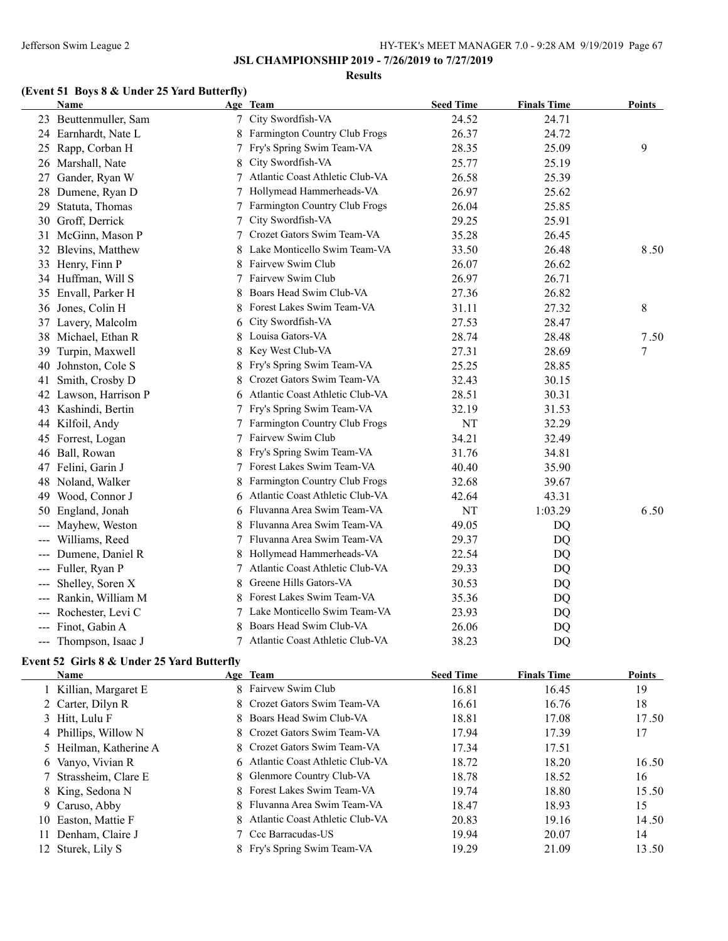#### **Results**

# **(Event 51 Boys 8 & Under 25 Yard Butterfly)**

|       | Name                  |   | Age Team                        | <b>Seed Time</b> | <b>Finals Time</b> | <b>Points</b> |
|-------|-----------------------|---|---------------------------------|------------------|--------------------|---------------|
|       | 23 Beuttenmuller, Sam |   | 7 City Swordfish-VA             | 24.52            | 24.71              |               |
|       | 24 Earnhardt, Nate L  | 8 | Farmington Country Club Frogs   | 26.37            | 24.72              |               |
|       | 25 Rapp, Corban H     | 7 | Fry's Spring Swim Team-VA       | 28.35            | 25.09              | 9             |
|       | 26 Marshall, Nate     |   | 8 City Swordfish-VA             | 25.77            | 25.19              |               |
|       | 27 Gander, Ryan W     | 7 | Atlantic Coast Athletic Club-VA | 26.58            | 25.39              |               |
|       | 28 Dumene, Ryan D     | 7 | Hollymead Hammerheads-VA        | 26.97            | 25.62              |               |
|       | 29 Statuta, Thomas    | 7 | Farmington Country Club Frogs   | 26.04            | 25.85              |               |
|       | 30 Groff, Derrick     | 7 | City Swordfish-VA               | 29.25            | 25.91              |               |
|       | 31 McGinn, Mason P    | 7 | Crozet Gators Swim Team-VA      | 35.28            | 26.45              |               |
|       | 32 Blevins, Matthew   |   | Lake Monticello Swim Team-VA    | 33.50            | 26.48              | 8.50          |
|       | 33 Henry, Finn P      | 8 | Fairvew Swim Club               | 26.07            | 26.62              |               |
|       | 34 Huffman, Will S    | 7 | Fairvew Swim Club               | 26.97            | 26.71              |               |
|       | 35 Envall, Parker H   | 8 | Boars Head Swim Club-VA         | 27.36            | 26.82              |               |
|       | 36 Jones, Colin H     | 8 | Forest Lakes Swim Team-VA       | 31.11            | 27.32              | 8             |
|       | 37 Lavery, Malcolm    | 6 | City Swordfish-VA               | 27.53            | 28.47              |               |
|       | 38 Michael, Ethan R   | 8 | Louisa Gators-VA                | 28.74            | 28.48              | 7.50          |
| 39    | Turpin, Maxwell       | 8 | Key West Club-VA                | 27.31            | 28.69              | 7             |
| 40    | Johnston, Cole S      | 8 | Fry's Spring Swim Team-VA       | 25.25            | 28.85              |               |
| 41    | Smith, Crosby D       |   | Crozet Gators Swim Team-VA      | 32.43            | 30.15              |               |
|       | 42 Lawson, Harrison P | 6 | Atlantic Coast Athletic Club-VA | 28.51            | 30.31              |               |
|       | 43 Kashindi, Bertin   |   | Fry's Spring Swim Team-VA       | 32.19            | 31.53              |               |
|       | 44 Kilfoil, Andy      |   | Farmington Country Club Frogs   | NT               | 32.29              |               |
|       | 45 Forrest, Logan     |   | Fairvew Swim Club               | 34.21            | 32.49              |               |
|       | 46 Ball, Rowan        |   | Fry's Spring Swim Team-VA       | 31.76            | 34.81              |               |
|       | 47 Felini, Garin J    |   | Forest Lakes Swim Team-VA       | 40.40            | 35.90              |               |
|       | 48 Noland, Walker     | 8 | Farmington Country Club Frogs   | 32.68            | 39.67              |               |
|       | 49 Wood, Connor J     | 6 | Atlantic Coast Athletic Club-VA | 42.64            | 43.31              |               |
| 50    | England, Jonah        |   | 6 Fluvanna Area Swim Team-VA    | NT               | 1:03.29            | 6.50          |
|       | Mayhew, Weston        |   | Fluvanna Area Swim Team-VA      | 49.05            | DQ                 |               |
| $---$ | Williams, Reed        | 7 | Fluvanna Area Swim Team-VA      | 29.37            | DQ                 |               |
|       | Dumene, Daniel R      |   | Hollymead Hammerheads-VA        | 22.54            | DQ                 |               |
|       | --- Fuller, Ryan P    | 7 | Atlantic Coast Athletic Club-VA | 29.33            | DQ                 |               |
| ---   | Shelley, Soren X      | 8 | Greene Hills Gators-VA          | 30.53            | DQ                 |               |
|       | Rankin, William M     |   | Forest Lakes Swim Team-VA       | 35.36            | DQ                 |               |
|       | --- Rochester, Levi C | 7 | Lake Monticello Swim Team-VA    | 23.93            | DQ                 |               |
|       | --- Finot, Gabin A    |   | Boars Head Swim Club-VA         | 26.06            | DQ                 |               |
|       | --- Thompson, Isaac J | 7 | Atlantic Coast Athletic Club-VA | 38.23            | DQ                 |               |

## **Event 52 Girls 8 & Under 25 Yard Butterfly**

| <b>Name</b>            | Age Team                          | <b>Seed Time</b> | <b>Finals Time</b> | <b>Points</b> |
|------------------------|-----------------------------------|------------------|--------------------|---------------|
| 1 Killian, Margaret E  | 8 Fairvew Swim Club               | 16.81            | 16.45              | 19            |
| 2 Carter, Dilyn R      | 8 Crozet Gators Swim Team-VA      | 16.61            | 16.76              | 18            |
| 3 Hitt, Lulu F         | 8 Boars Head Swim Club-VA         | 18.81            | 17.08              | 17.50         |
| 4 Phillips, Willow N   | 8 Crozet Gators Swim Team-VA      | 17.94            | 17.39              | 17            |
| 5 Heilman, Katherine A | 8 Crozet Gators Swim Team-VA      | 17.34            | 17.51              |               |
| 6 Vanyo, Vivian R      | 6 Atlantic Coast Athletic Club-VA | 18.72            | 18.20              | 16.50         |
| 7 Strassheim, Clare E  | 8 Glenmore Country Club-VA        | 18.78            | 18.52              | 16            |
| 8 King, Sedona N       | 8 Forest Lakes Swim Team-VA       | 19.74            | 18.80              | 15.50         |
| 9 Caruso, Abby         | 8 Fluvanna Area Swim Team-VA      | 18.47            | 18.93              | 15            |
| 10 Easton, Mattie F    | 8 Atlantic Coast Athletic Club-VA | 20.83            | 19.16              | 14.50         |
| 11 Denham, Claire J    | 7 Ccc Barracudas-US               | 19.94            | 20.07              | 14            |
| 12 Sturek, Lily S      | 8 Fry's Spring Swim Team-VA       | 19.29            | 21.09              | 13.50         |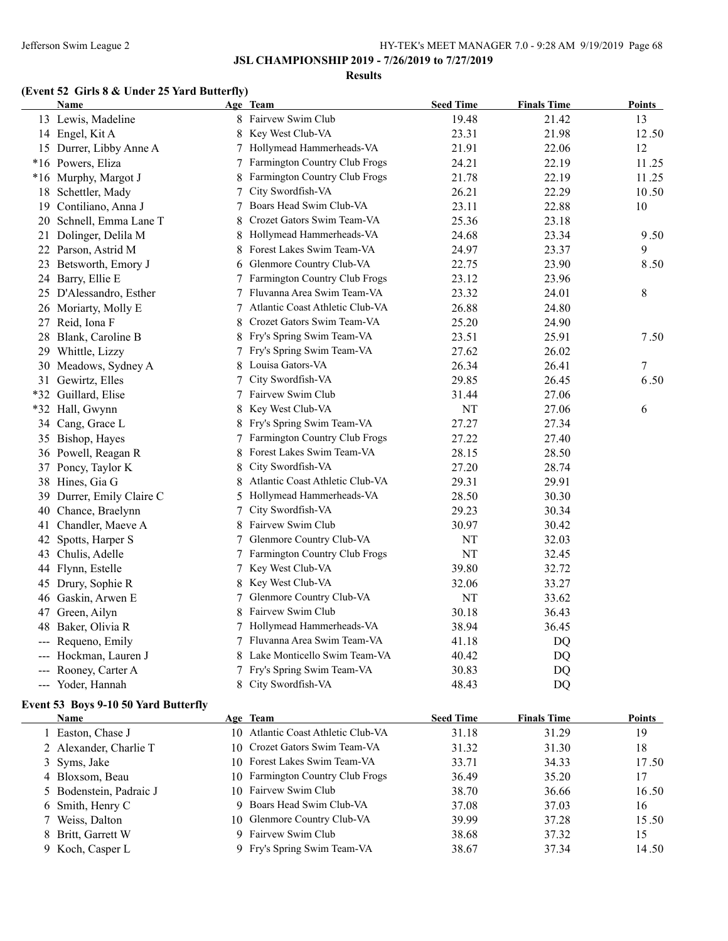#### **Results**

#### **(Event 52 Girls 8 & Under 25 Yard Butterfly)**

|       | Name                                 |   | Age Team                                       | <b>Seed Time</b> | <b>Finals Time</b> | <u>Points</u> |
|-------|--------------------------------------|---|------------------------------------------------|------------------|--------------------|---------------|
|       | 13 Lewis, Madeline                   |   | 8 Fairvew Swim Club                            | 19.48            | 21.42              | 13            |
|       | 14 Engel, Kit A                      | 8 | Key West Club-VA                               | 23.31            | 21.98              | 12.50         |
|       | 15 Durrer, Libby Anne A              | 7 | Hollymead Hammerheads-VA                       | 21.91            | 22.06              | 12            |
|       | *16 Powers, Eliza                    |   | Farmington Country Club Frogs                  | 24.21            | 22.19              | 11.25         |
|       | *16 Murphy, Margot J                 | 8 | Farmington Country Club Frogs                  | 21.78            | 22.19              | 11.25         |
|       | 18 Schettler, Mady                   | 7 | City Swordfish-VA                              | 26.21            | 22.29              | 10.50         |
|       | 19 Contiliano, Anna J                | 7 | Boars Head Swim Club-VA                        | 23.11            | 22.88              | 10            |
|       | 20 Schnell, Emma Lane T              | 8 | Crozet Gators Swim Team-VA                     | 25.36            | 23.18              |               |
|       | 21 Dolinger, Delila M                | 8 | Hollymead Hammerheads-VA                       | 24.68            | 23.34              | 9.50          |
|       | 22 Parson, Astrid M                  | 8 | Forest Lakes Swim Team-VA                      | 24.97            | 23.37              | 9             |
|       | 23 Betsworth, Emory J                | 6 | Glenmore Country Club-VA                       | 22.75            | 23.90              | 8.50          |
|       | 24 Barry, Ellie E                    |   | Farmington Country Club Frogs                  | 23.12            | 23.96              |               |
|       | 25 D'Alessandro, Esther              |   | Fluvanna Area Swim Team-VA                     | 23.32            | 24.01              | 8             |
|       | 26 Moriarty, Molly E                 | 7 | Atlantic Coast Athletic Club-VA                | 26.88            | 24.80              |               |
|       | 27 Reid, Iona F                      |   | Crozet Gators Swim Team-VA                     | 25.20            | 24.90              |               |
|       | 28 Blank, Caroline B                 |   | Fry's Spring Swim Team-VA                      | 23.51            | 25.91              | 7.50          |
|       | 29 Whittle, Lizzy                    |   | Fry's Spring Swim Team-VA                      | 27.62            | 26.02              |               |
|       | 30 Meadows, Sydney A                 |   | Louisa Gators-VA                               | 26.34            | 26.41              | 7             |
|       | 31 Gewirtz, Elles                    |   | City Swordfish-VA                              | 29.85            | 26.45              | 6.50          |
| $*32$ | Guillard, Elise                      |   | Fairvew Swim Club                              | 31.44            | 27.06              |               |
| $*32$ | Hall, Gwynn                          |   | Key West Club-VA                               | NT               | 27.06              | 6             |
|       | 34 Cang, Grace L                     |   | Fry's Spring Swim Team-VA                      | 27.27            | 27.34              |               |
|       | 35 Bishop, Hayes                     |   | Farmington Country Club Frogs                  | 27.22            | 27.40              |               |
|       | 36 Powell, Reagan R                  | 8 | Forest Lakes Swim Team-VA                      | 28.15            | 28.50              |               |
|       | 37 Poncy, Taylor K                   | 8 | City Swordfish-VA                              | 27.20            | 28.74              |               |
|       | 38 Hines, Gia G                      | 8 | Atlantic Coast Athletic Club-VA                | 29.31            | 29.91              |               |
| 39    | Durrer, Emily Claire C               | 5 | Hollymead Hammerheads-VA                       | 28.50            | 30.30              |               |
| 40    | Chance, Braelynn                     | 7 | City Swordfish-VA                              | 29.23            | 30.34              |               |
| 41    | Chandler, Maeve A                    | 8 | Fairvew Swim Club                              | 30.97            | 30.42              |               |
| 42    | Spotts, Harper S                     | 7 | Glenmore Country Club-VA                       | NT               | 32.03              |               |
|       | 43 Chulis, Adelle                    | 7 | Farmington Country Club Frogs                  | NT               | 32.45              |               |
|       | 44 Flynn, Estelle                    | 7 | Key West Club-VA                               | 39.80            | 32.72              |               |
|       | 45 Drury, Sophie R                   | 8 | Key West Club-VA                               | 32.06            | 33.27              |               |
|       | 46 Gaskin, Arwen E                   | 7 | Glenmore Country Club-VA                       | NT               | 33.62              |               |
| 47    | Green, Ailyn                         | 8 | Fairvew Swim Club                              | 30.18            | 36.43              |               |
|       | 48 Baker, Olivia R                   |   | 7 Hollymead Hammerheads-VA                     | 38.94            | 36.45              |               |
|       | --- Requeno, Emily                   | 7 | Fluvanna Area Swim Team-VA                     | 41.18            | DQ                 |               |
|       | Hockman, Lauren J                    |   | Lake Monticello Swim Team-VA                   | 40.42            | DQ                 |               |
|       | --- Rooney, Carter A                 | 7 | Fry's Spring Swim Team-VA                      | 30.83            | DQ                 |               |
|       | --- Yoder, Hannah                    |   | 8 City Swordfish-VA                            | 48.43            | DQ                 |               |
|       |                                      |   |                                                |                  |                    |               |
|       | Event 53 Boys 9-10 50 Yard Butterfly |   |                                                |                  |                    | <b>Points</b> |
|       | Name                                 |   | Age Team<br>10 Atlantic Coast Athletic Club-VA | <b>Seed Time</b> | <b>Finals Time</b> |               |
|       | 1 Easton, Chase J                    |   | 10 Crozet Gators Swim Team-VA                  | 31.18            | 31.29              | 19            |
|       | 2 Alexander, Charlie T               |   |                                                | 31.32            | 31.30              | 18            |
|       | 3 Syms, Jake                         |   | 10 Forest Lakes Swim Team-VA                   | 33.71            | 34.33              | 17.50         |
|       | 4 Bloxsom, Beau                      |   | 10 Farmington Country Club Frogs               | 36.49            | 35.20              | 17            |
|       | 5 Bodenstein, Padraic J              |   | 10 Fairvew Swim Club                           | 38.70            | 36.66              | 16.50         |
|       | 6 Smith, Henry C                     |   | 9 Boars Head Swim Club-VA                      | 37.08            | 37.03              | 16            |
|       | 7 Weiss, Dalton                      |   | 10 Glenmore Country Club-VA                    | 39.99            | 37.28              | 15.50         |
|       | 8 Britt, Garrett W                   |   | 9 Fairvew Swim Club                            | 38.68            | 37.32              | 15            |
|       | 9 Koch, Casper L                     |   | 9 Fry's Spring Swim Team-VA                    | 38.67            | 37.34              | 14.50         |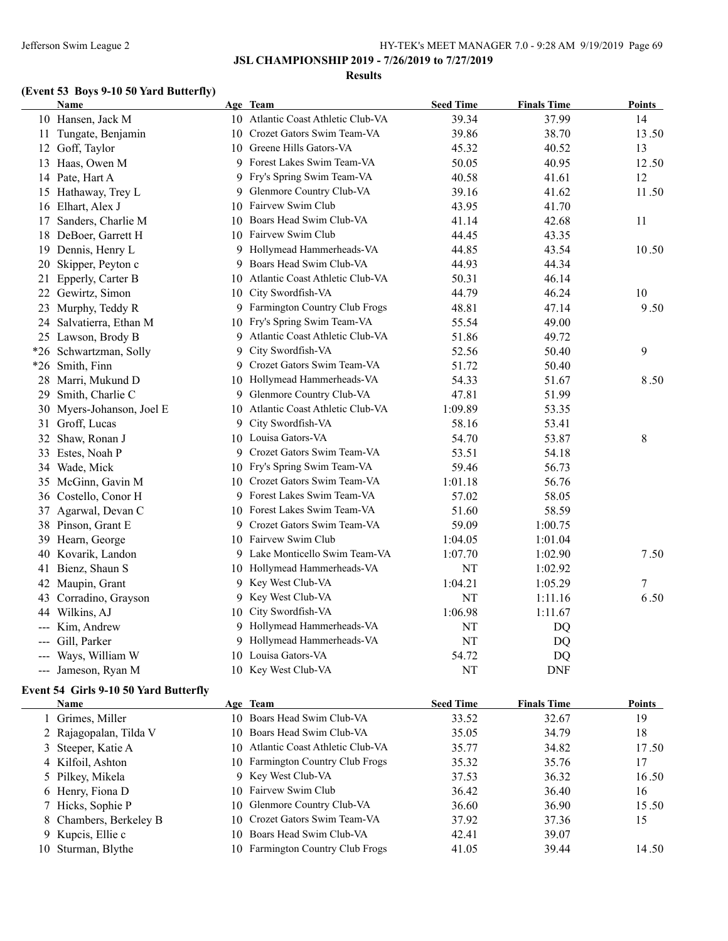### Jefferson Swim League 2 HY-TEK's MEET MANAGER 7.0 - 9:28 AM 9/19/2019 Page 69

**JSL CHAMPIONSHIP 2019 - 7/26/2019 to 7/27/2019**

#### **Results**

# **(Event 53 Boys 9-10 50 Yard Butterfly)**

|       | Name                      |    | Age Team                           | <b>Seed Time</b> | <b>Finals Time</b> | <b>Points</b> |
|-------|---------------------------|----|------------------------------------|------------------|--------------------|---------------|
|       | 10 Hansen, Jack M         |    | 10 Atlantic Coast Athletic Club-VA | 39.34            | 37.99              | 14            |
|       | 11 Tungate, Benjamin      |    | 10 Crozet Gators Swim Team-VA      | 39.86            | 38.70              | 13.50         |
|       | 12 Goff, Taylor           |    | 10 Greene Hills Gators-VA          | 45.32            | 40.52              | 13            |
|       | 13 Haas, Owen M           |    | 9 Forest Lakes Swim Team-VA        | 50.05            | 40.95              | 12.50         |
|       | 14 Pate, Hart A           |    | 9 Fry's Spring Swim Team-VA        | 40.58            | 41.61              | 12            |
|       | 15 Hathaway, Trey L       |    | 9 Glenmore Country Club-VA         | 39.16            | 41.62              | 11.50         |
|       | 16 Elhart, Alex J         |    | 10 Fairvew Swim Club               | 43.95            | 41.70              |               |
| 17    | Sanders, Charlie M        |    | 10 Boars Head Swim Club-VA         | 41.14            | 42.68              | 11            |
|       | 18 DeBoer, Garrett H      |    | 10 Fairvew Swim Club               | 44.45            | 43.35              |               |
|       | 19 Dennis, Henry L        |    | 9 Hollymead Hammerheads-VA         | 44.85            | 43.54              | 10.50         |
| 20    | Skipper, Peyton c         |    | 9 Boars Head Swim Club-VA          | 44.93            | 44.34              |               |
| 21    | Epperly, Carter B         | 10 | Atlantic Coast Athletic Club-VA    | 50.31            | 46.14              |               |
|       | 22 Gewirtz, Simon         | 10 | City Swordfish-VA                  | 44.79            | 46.24              | 10            |
|       | 23 Murphy, Teddy R        |    | 9 Farmington Country Club Frogs    | 48.81            | 47.14              | 9.50          |
| 24    | Salvatierra, Ethan M      |    | 10 Fry's Spring Swim Team-VA       | 55.54            | 49.00              |               |
|       | 25 Lawson, Brody B        | 9  | Atlantic Coast Athletic Club-VA    | 51.86            | 49.72              |               |
|       | *26 Schwartzman, Solly    | 9  | City Swordfish-VA                  | 52.56            | 50.40              | 9             |
|       | *26 Smith, Finn           |    | 9 Crozet Gators Swim Team-VA       | 51.72            | 50.40              |               |
|       | 28 Marri, Mukund D        |    | 10 Hollymead Hammerheads-VA        | 54.33            | 51.67              | 8.50          |
|       | 29 Smith, Charlie C       |    | 9 Glenmore Country Club-VA         | 47.81            | 51.99              |               |
|       | 30 Myers-Johanson, Joel E |    | 10 Atlantic Coast Athletic Club-VA | 1:09.89          | 53.35              |               |
|       | 31 Groff, Lucas           |    | 9 City Swordfish-VA                | 58.16            | 53.41              |               |
|       | 32 Shaw, Ronan J          |    | 10 Louisa Gators-VA                | 54.70            | 53.87              | 8             |
|       | 33 Estes, Noah P          |    | 9 Crozet Gators Swim Team-VA       | 53.51            | 54.18              |               |
|       | 34 Wade, Mick             |    | 10 Fry's Spring Swim Team-VA       | 59.46            | 56.73              |               |
|       | 35 McGinn, Gavin M        |    | 10 Crozet Gators Swim Team-VA      | 1:01.18          | 56.76              |               |
|       | 36 Costello, Conor H      |    | 9 Forest Lakes Swim Team-VA        | 57.02            | 58.05              |               |
| 37    | Agarwal, Devan C          |    | 10 Forest Lakes Swim Team-VA       | 51.60            | 58.59              |               |
|       | 38 Pinson, Grant E        |    | 9 Crozet Gators Swim Team-VA       | 59.09            | 1:00.75            |               |
|       | 39 Hearn, George          |    | 10 Fairvew Swim Club               | 1:04.05          | 1:01.04            |               |
|       | 40 Kovarik, Landon        |    | 9 Lake Monticello Swim Team-VA     | 1:07.70          | 1:02.90            | 7.50          |
| 41    | Bienz, Shaun S            |    | 10 Hollymead Hammerheads-VA        | NT               | 1:02.92            |               |
| 42    | Maupin, Grant             |    | 9 Key West Club-VA                 | 1:04.21          | 1:05.29            | 7             |
| 43    | Corradino, Grayson        |    | 9 Key West Club-VA                 | <b>NT</b>        | 1:11.16            | 6.50          |
|       | 44 Wilkins, AJ            |    | 10 City Swordfish-VA               | 1:06.98          | 1:11.67            |               |
|       | Kim, Andrew               |    | 9 Hollymead Hammerheads-VA         | NT               | DQ                 |               |
| ---   | Gill, Parker              |    | 9 Hollymead Hammerheads-VA         | NT               | DQ                 |               |
|       | Ways, William W           |    | 10 Louisa Gators-VA                | 54.72            | DQ                 |               |
| $---$ | Jameson, Ryan M           |    | 10 Key West Club-VA                | NT               | <b>DNF</b>         |               |

### **Event 54 Girls 9-10 50 Yard Butterfly**

| <b>Name</b>            | Age Team                           | <b>Seed Time</b> | <b>Finals Time</b> | <b>Points</b> |
|------------------------|------------------------------------|------------------|--------------------|---------------|
| 1 Grimes, Miller       | 10 Boars Head Swim Club-VA         | 33.52            | 32.67              | 19            |
| 2 Rajagopalan, Tilda V | 10 Boars Head Swim Club-VA         | 35.05            | 34.79              | 18            |
| 3 Steeper, Katie A     | 10 Atlantic Coast Athletic Club-VA | 35.77            | 34.82              | 17.50         |
| 4 Kilfoil, Ashton      | 10 Farmington Country Club Frogs   | 35.32            | 35.76              | 17            |
| 5 Pilkey, Mikela       | 9 Key West Club-VA                 | 37.53            | 36.32              | 16.50         |
| 6 Henry, Fiona D       | 10 Fairvew Swim Club               | 36.42            | 36.40              | 16            |
| 7 Hicks, Sophie P      | 10 Glenmore Country Club-VA        | 36.60            | 36.90              | 15.50         |
| 8 Chambers, Berkeley B | 10 Crozet Gators Swim Team-VA      | 37.92            | 37.36              | 15            |
| 9 Kupcis, Ellie c      | 10 Boars Head Swim Club-VA         | 42.41            | 39.07              |               |
| 10 Sturman, Blythe     | 10 Farmington Country Club Frogs   | 41.05            | 39.44              | 14.50         |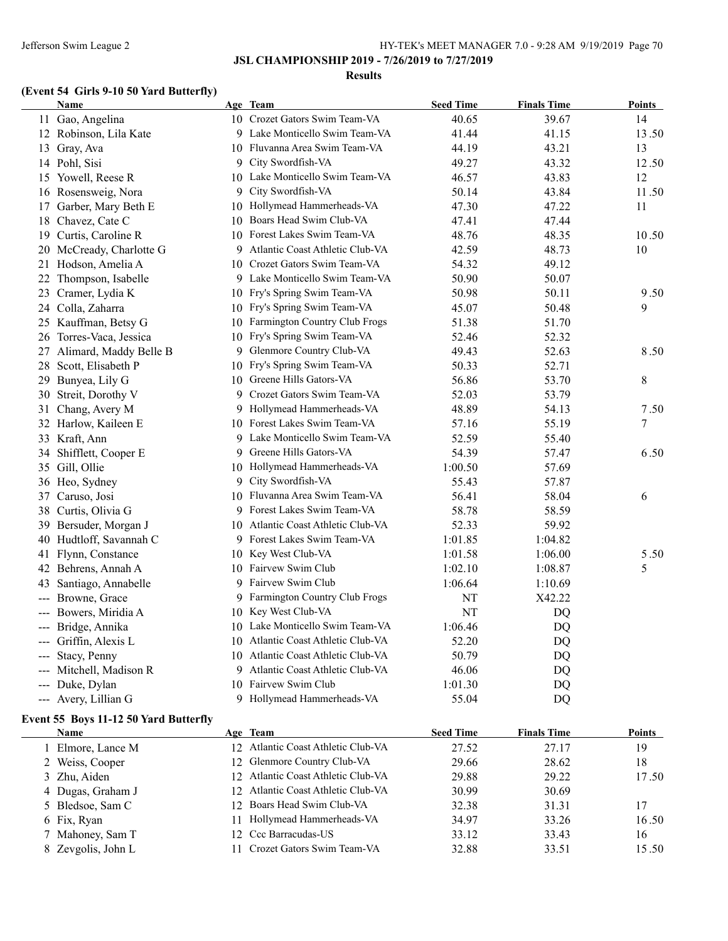### Jefferson Swim League 2 HY-TEK's MEET MANAGER 7.0 - 9:28 AM 9/19/2019 Page 70

**JSL CHAMPIONSHIP 2019 - 7/26/2019 to 7/27/2019**

#### **Results**

## **(Event 54 Girls 9-10 50 Yard Butterfly)**

|    | <b>Name</b>                                          |    | Age Team                           | <b>Seed Time</b> | <b>Finals Time</b> | <b>Points</b> |
|----|------------------------------------------------------|----|------------------------------------|------------------|--------------------|---------------|
|    | 11 Gao, Angelina                                     |    | 10 Crozet Gators Swim Team-VA      | 40.65            | 39.67              | 14            |
|    | 12 Robinson, Lila Kate                               |    | 9 Lake Monticello Swim Team-VA     | 41.44            | 41.15              | 13.50         |
|    | 13 Gray, Ava                                         |    | 10 Fluvanna Area Swim Team-VA      | 44.19            | 43.21              | 13            |
|    | 14 Pohl, Sisi                                        |    | 9 City Swordfish-VA                | 49.27            | 43.32              | 12.50         |
|    | 15 Yowell, Reese R                                   |    | 10 Lake Monticello Swim Team-VA    | 46.57            | 43.83              | 12            |
|    | 16 Rosensweig, Nora                                  | 9  | City Swordfish-VA                  | 50.14            | 43.84              | 11.50         |
| 17 | Garber, Mary Beth E                                  |    | 10 Hollymead Hammerheads-VA        | 47.30            | 47.22              | 11            |
| 18 | Chavez, Cate C                                       | 10 | Boars Head Swim Club-VA            | 47.41            | 47.44              |               |
| 19 | Curtis, Caroline R                                   | 10 | Forest Lakes Swim Team-VA          | 48.76            | 48.35              | 10.50         |
|    | 20 McCready, Charlotte G                             |    | 9 Atlantic Coast Athletic Club-VA  | 42.59            | 48.73              | 10            |
| 21 | Hodson, Amelia A                                     |    | 10 Crozet Gators Swim Team-VA      | 54.32            | 49.12              |               |
| 22 | Thompson, Isabelle                                   |    | 9 Lake Monticello Swim Team-VA     | 50.90            | 50.07              |               |
| 23 | Cramer, Lydia K                                      |    | 10 Fry's Spring Swim Team-VA       | 50.98            | 50.11              | 9.50          |
|    | 24 Colla, Zaharra                                    |    | 10 Fry's Spring Swim Team-VA       | 45.07            | 50.48              | 9             |
|    | 25 Kauffman, Betsy G                                 |    | 10 Farmington Country Club Frogs   | 51.38            | 51.70              |               |
| 26 | Torres-Vaca, Jessica                                 |    | 10 Fry's Spring Swim Team-VA       | 52.46            | 52.32              |               |
| 27 | Alimard, Maddy Belle B                               |    | 9 Glenmore Country Club-VA         | 49.43            | 52.63              | 8.50          |
|    | 28 Scott, Elisabeth P                                | 10 | Fry's Spring Swim Team-VA          | 50.33            | 52.71              |               |
| 29 | Bunyea, Lily G                                       |    | 10 Greene Hills Gators-VA          | 56.86            | 53.70              | 8             |
| 30 | Streit, Dorothy V                                    |    | 9 Crozet Gators Swim Team-VA       | 52.03            | 53.79              |               |
| 31 | Chang, Avery M                                       |    | 9 Hollymead Hammerheads-VA         | 48.89            | 54.13              | 7.50          |
|    | 32 Harlow, Kaileen E                                 |    | 10 Forest Lakes Swim Team-VA       | 57.16            | 55.19              | $\tau$        |
|    | 33 Kraft, Ann                                        |    | 9 Lake Monticello Swim Team-VA     | 52.59            | 55.40              |               |
|    | 34 Shifflett, Cooper E                               | 9. | Greene Hills Gators-VA             | 54.39            | 57.47              | 6.50          |
|    | 35 Gill, Ollie                                       |    | 10 Hollymead Hammerheads-VA        | 1:00.50          | 57.69              |               |
|    | 36 Heo, Sydney                                       |    | 9 City Swordfish-VA                | 55.43            | 57.87              |               |
| 37 | Caruso, Josi                                         |    | 10 Fluvanna Area Swim Team-VA      | 56.41            | 58.04              | 6             |
|    | 38 Curtis, Olivia G                                  |    | 9 Forest Lakes Swim Team-VA        | 58.78            | 58.59              |               |
| 39 | Bersuder, Morgan J                                   |    | 10 Atlantic Coast Athletic Club-VA | 52.33            | 59.92              |               |
| 40 | Hudtloff, Savannah C                                 |    | 9 Forest Lakes Swim Team-VA        | 1:01.85          | 1:04.82            |               |
|    | 41 Flynn, Constance                                  |    | 10 Key West Club-VA                | 1:01.58          | 1:06.00            | 5.50          |
|    | 42 Behrens, Annah A                                  |    | 10 Fairvew Swim Club               | 1:02.10          | 1:08.87            | 5             |
| 43 | Santiago, Annabelle                                  |    | 9 Fairvew Swim Club                | 1:06.64          | 1:10.69            |               |
|    | Browne, Grace                                        |    | 9 Farmington Country Club Frogs    | NT               | X42.22             |               |
|    | Bowers, Miridia A                                    |    | 10 Key West Club-VA                | NT               | DQ                 |               |
|    | --- Bridge, Annika                                   |    | 10 Lake Monticello Swim Team-VA    | 1:06.46          | <b>DQ</b>          |               |
|    | --- Griffin, Alexis L                                |    | 10 Atlantic Coast Athletic Club-VA | 52.20            | DQ                 |               |
|    | Stacy, Penny                                         |    | 10 Atlantic Coast Athletic Club-VA | 50.79            | DQ                 |               |
|    | Mitchell, Madison R                                  |    | 9 Atlantic Coast Athletic Club-VA  | 46.06            | DQ                 |               |
|    | Duke, Dylan                                          |    | 10 Fairvew Swim Club               | 1:01.30          | DQ                 |               |
|    | --- Avery, Lillian G                                 |    | 9 Hollymead Hammerheads-VA         | 55.04            | DQ                 |               |
|    |                                                      |    |                                    |                  |                    |               |
|    | Event 55 Boys 11-12 50 Yard Butterfly<br><b>Name</b> |    | Age Team                           | <b>Seed Time</b> | <b>Finals Time</b> | <b>Points</b> |
|    | 1 Elmore, Lance M                                    |    | 12 Atlantic Coast Athletic Club-VA | 27.52            | 27.17              | 19            |
|    | 2 Weiss, Cooper                                      | 12 | Glenmore Country Club-VA           | 29.66            | 28.62              | 18            |
|    | 3 Zhu, Aiden                                         |    | 12 Atlantic Coast Athletic Club-VA | 29.88            | 29.22              | 17.50         |
|    | 4 Dugas, Graham J                                    |    | 12 Atlantic Coast Athletic Club-VA | 30.99            | 30.69              |               |
|    | 5 Bledsoe, Sam C                                     |    | 12 Boars Head Swim Club-VA         | 32.38            | 31.31              | 17            |
|    |                                                      |    |                                    |                  |                    |               |

6 Fix, Ryan 16.50 16.50 16.50 16.50 16.50 16.50 16.50 16.50 16.50 16.50 16.50 16.50 16.50 16.50 16.50 16.50 16.50 16.50 16.50 16.50 16.50 16.50 16.50 16.50 16.50 16.50 16.50 16.50 16.50 16.50 16.50 16.50 16.50 16.50 16.50 7 Mahoney, Sam T 12 Ccc Barracudas-US 33.12 33.43 16 8 Zevgolis, John L 11 Crozet Gators Swim Team-VA 32.88 33.51 15.50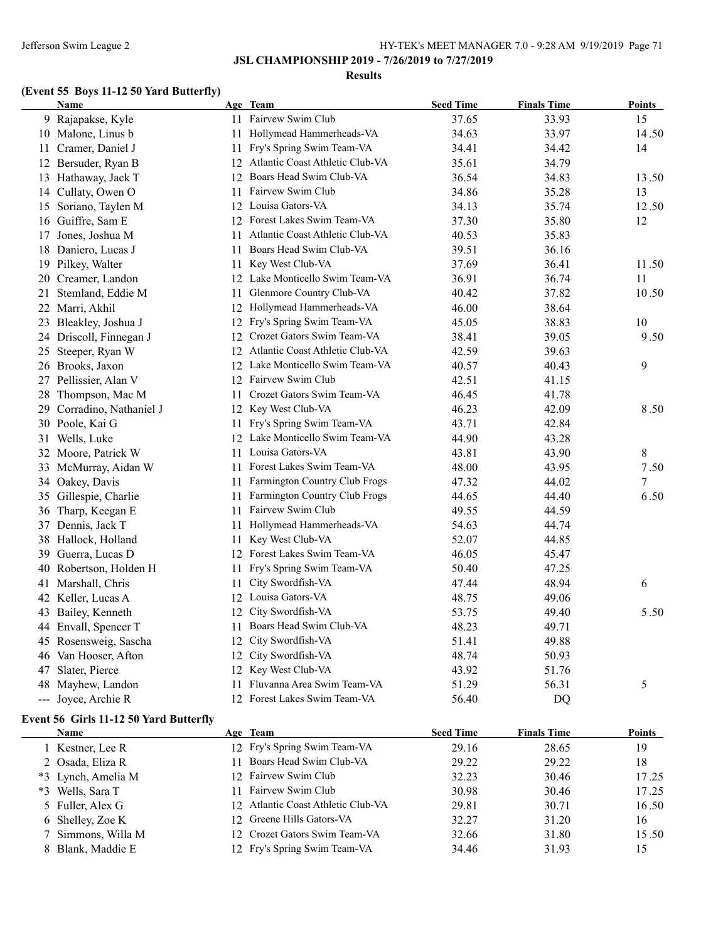#### **Results**

# **(Event 55 Boys 11-12 50 Yard Butterfly)**

| Name                      |    | Age Team                           | <b>Seed Time</b> | <b>Finals Time</b> | <b>Points</b> |
|---------------------------|----|------------------------------------|------------------|--------------------|---------------|
| 9 Rajapakse, Kyle         |    | 11 Fairvew Swim Club               | 37.65            | 33.93              | 15            |
| 10 Malone, Linus b        |    | 11 Hollymead Hammerheads-VA        | 34.63            | 33.97              | 14.50         |
| 11 Cramer, Daniel J       |    | 11 Fry's Spring Swim Team-VA       | 34.41            | 34.42              | 14            |
| 12 Bersuder, Ryan B       |    | 12 Atlantic Coast Athletic Club-VA | 35.61            | 34.79              |               |
| 13 Hathaway, Jack T       |    | 12 Boars Head Swim Club-VA         | 36.54            | 34.83              | 13.50         |
| 14 Cullaty, Owen O        |    | 11 Fairvew Swim Club               | 34.86            | 35.28              | 13            |
| 15 Soriano, Taylen M      |    | 12 Louisa Gators-VA                | 34.13            | 35.74              | 12.50         |
| 16 Guiffre, Sam E         |    | 12 Forest Lakes Swim Team-VA       | 37.30            | 35.80              | 12            |
| 17 Jones, Joshua M        | 11 | Atlantic Coast Athletic Club-VA    | 40.53            | 35.83              |               |
| 18 Daniero, Lucas J       |    | 11 Boars Head Swim Club-VA         | 39.51            | 36.16              |               |
| 19 Pilkey, Walter         |    | 11 Key West Club-VA                | 37.69            | 36.41              | 11.50         |
| 20 Creamer, Landon        |    | 12 Lake Monticello Swim Team-VA    | 36.91            | 36.74              | 11            |
| 21 Stemland, Eddie M      | 11 | Glenmore Country Club-VA           | 40.42            | 37.82              | 10.50         |
| 22 Marri, Akhil           |    | 12 Hollymead Hammerheads-VA        | 46.00            | 38.64              |               |
| 23 Bleakley, Joshua J     |    | 12 Fry's Spring Swim Team-VA       | 45.05            | 38.83              | 10            |
| 24 Driscoll, Finnegan J   |    | 12 Crozet Gators Swim Team-VA      | 38.41            | 39.05              | 9.50          |
| 25 Steeper, Ryan W        |    | 12 Atlantic Coast Athletic Club-VA | 42.59            | 39.63              |               |
| 26 Brooks, Jaxon          |    | 12 Lake Monticello Swim Team-VA    | 40.57            | 40.43              | 9             |
| 27 Pellissier, Alan V     |    | 12 Fairvew Swim Club               | 42.51            | 41.15              |               |
| 28 Thompson, Mac M        |    | 11 Crozet Gators Swim Team-VA      | 46.45            | 41.78              |               |
| 29 Corradino, Nathaniel J |    | 12 Key West Club-VA                | 46.23            | 42.09              | 8.50          |
| 30 Poole, Kai G           |    | 11 Fry's Spring Swim Team-VA       | 43.71            | 42.84              |               |
| 31 Wells, Luke            |    | 12 Lake Monticello Swim Team-VA    | 44.90            | 43.28              |               |
| 32 Moore, Patrick W       |    | 11 Louisa Gators-VA                | 43.81            | 43.90              | 8             |
| 33 McMurray, Aidan W      |    | 11 Forest Lakes Swim Team-VA       | 48.00            | 43.95              | 7.50          |
| 34 Oakey, Davis           | 11 | Farmington Country Club Frogs      | 47.32            | 44.02              | 7             |
| 35 Gillespie, Charlie     | 11 | Farmington Country Club Frogs      | 44.65            | 44.40              | 6.50          |
| 36 Tharp, Keegan E        | 11 | Fairvew Swim Club                  | 49.55            | 44.59              |               |
| 37 Dennis, Jack T         |    | 11 Hollymead Hammerheads-VA        | 54.63            | 44.74              |               |
| 38 Hallock, Holland       | 11 | Key West Club-VA                   | 52.07            | 44.85              |               |
| 39 Guerra, Lucas D        |    | 12 Forest Lakes Swim Team-VA       | 46.05            | 45.47              |               |
| 40 Robertson, Holden H    |    | 11 Fry's Spring Swim Team-VA       | 50.40            | 47.25              |               |
| 41 Marshall, Chris        | 11 | City Swordfish-VA                  | 47.44            | 48.94              | 6             |
| 42 Keller, Lucas A        |    | 12 Louisa Gators-VA                | 48.75            | 49.06              |               |
| 43 Bailey, Kenneth        |    | 12 City Swordfish-VA               | 53.75            | 49.40              | 5.50          |
| 44 Envall, Spencer T      | 11 | Boars Head Swim Club-VA            | 48.23            | 49.71              |               |
| 45 Rosensweig, Sascha     | 12 | City Swordfish-VA                  | 51.41            | 49.88              |               |
| 46 Van Hooser, Afton      |    | 12 City Swordfish-VA               | 48.74            | 50.93              |               |
| 47 Slater, Pierce         |    | 12 Key West Club-VA                | 43.92            | 51.76              |               |
| 48 Mayhew, Landon         | 11 | Fluvanna Area Swim Team-VA         | 51.29            | 56.31              | 5             |
| --- Joyce, Archie R       |    | 12 Forest Lakes Swim Team-VA       | 56.40            | <b>DQ</b>          |               |

## **Event 56 Girls 11-12 50 Yard Butterfly**

| <b>Name</b>        | Age Team                           | <b>Seed Time</b> | <b>Finals Time</b> | <b>Points</b> |
|--------------------|------------------------------------|------------------|--------------------|---------------|
| 1 Kestner, Lee R   | 12 Fry's Spring Swim Team-VA       | 29.16            | 28.65              | 19            |
| 2 Osada, Eliza R   | Boars Head Swim Club-VA            | 29.22            | 29.22              | 18            |
| *3 Lynch, Amelia M | 12 Fairvew Swim Club               | 32.23            | 30.46              | 17.25         |
| *3 Wells, Sara T   | 11 Fairvew Swim Club               | 30.98            | 30.46              | 17.25         |
| 5 Fuller, Alex G   | 12 Atlantic Coast Athletic Club-VA | 29.81            | 30.71              | 16.50         |
| 6 Shelley, Zoe K   | 12 Greene Hills Gators-VA          | 32.27            | 31.20              | 16            |
| 7 Simmons, Willa M | 12 Crozet Gators Swim Team-VA      | 32.66            | 31.80              | 15.50         |
| 8 Blank, Maddie E  | 12 Fry's Spring Swim Team-VA       | 34.46            | 31.93              | 15            |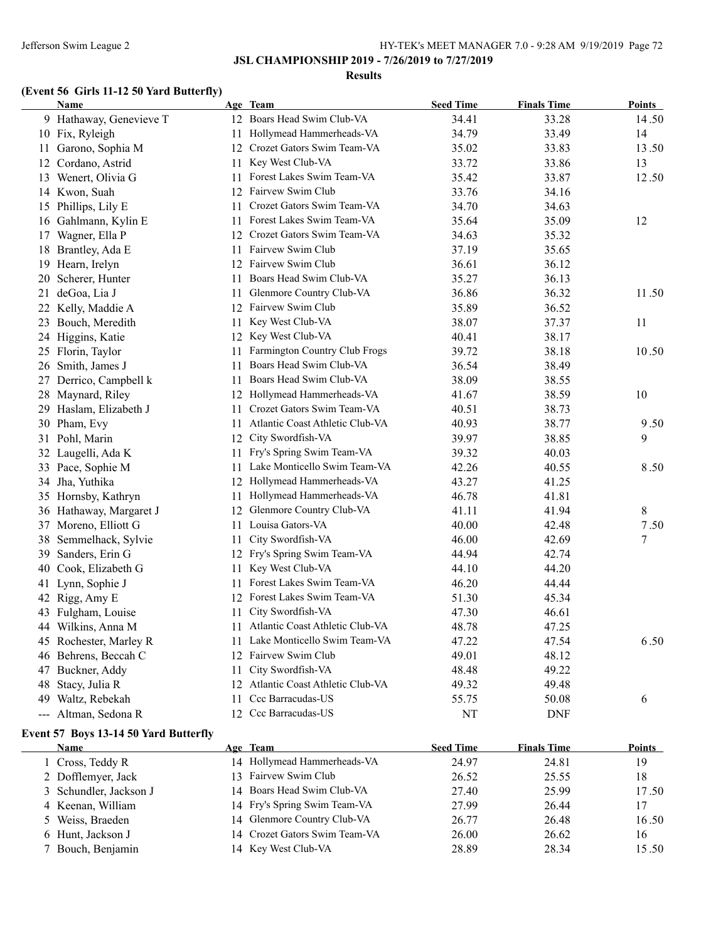#### **Results**

# **(Event 56 Girls 11-12 50 Yard Butterfly)**

| Name                    |    | Age Team                           | <b>Seed Time</b> | <b>Finals Time</b> | <u>Points</u> |
|-------------------------|----|------------------------------------|------------------|--------------------|---------------|
| 9 Hathaway, Genevieve T |    | 12 Boars Head Swim Club-VA         | 34.41            | 33.28              | 14.50         |
| 10 Fix, Ryleigh         |    | 11 Hollymead Hammerheads-VA        | 34.79            | 33.49              | 14            |
| 11 Garono, Sophia M     |    | 12 Crozet Gators Swim Team-VA      | 35.02            | 33.83              | 13.50         |
| 12 Cordano, Astrid      |    | 11 Key West Club-VA                | 33.72            | 33.86              | 13            |
| 13 Wenert, Olivia G     |    | 11 Forest Lakes Swim Team-VA       | 35.42            | 33.87              | 12.50         |
| 14 Kwon, Suah           | 12 | Fairvew Swim Club                  | 33.76            | 34.16              |               |
| 15 Phillips, Lily E     |    | 11 Crozet Gators Swim Team-VA      | 34.70            | 34.63              |               |
| 16 Gahlmann, Kylin E    |    | 11 Forest Lakes Swim Team-VA       | 35.64            | 35.09              | 12            |
| 17 Wagner, Ella P       |    | 12 Crozet Gators Swim Team-VA      | 34.63            | 35.32              |               |
| 18 Brantley, Ada E      |    | 11 Fairvew Swim Club               | 37.19            | 35.65              |               |
| 19 Hearn, Irelyn        |    | 12 Fairvew Swim Club               | 36.61            | 36.12              |               |
| 20 Scherer, Hunter      |    | 11 Boars Head Swim Club-VA         | 35.27            | 36.13              |               |
| 21 deGoa, Lia J         |    | 11 Glenmore Country Club-VA        | 36.86            | 36.32              | 11.50         |
| 22 Kelly, Maddie A      |    | 12 Fairvew Swim Club               | 35.89            | 36.52              |               |
| 23 Bouch, Meredith      | 11 | Key West Club-VA                   | 38.07            | 37.37              | 11            |
| 24 Higgins, Katie       |    | 12 Key West Club-VA                | 40.41            | 38.17              |               |
| 25 Florin, Taylor       |    | 11 Farmington Country Club Frogs   | 39.72            | 38.18              | 10.50         |
| 26 Smith, James J       | 11 | Boars Head Swim Club-VA            | 36.54            | 38.49              |               |
| 27 Derrico, Campbell k  | 11 | Boars Head Swim Club-VA            | 38.09            | 38.55              |               |
| 28 Maynard, Riley       |    | 12 Hollymead Hammerheads-VA        | 41.67            | 38.59              | 10            |
| 29 Haslam, Elizabeth J  | 11 | Crozet Gators Swim Team-VA         | 40.51            | 38.73              |               |
| 30 Pham, Evy            | 11 | Atlantic Coast Athletic Club-VA    | 40.93            | 38.77              | 9.50          |
| 31 Pohl, Marin          |    | 12 City Swordfish-VA               | 39.97            | 38.85              | 9             |
| 32 Laugelli, Ada K      |    | 11 Fry's Spring Swim Team-VA       | 39.32            | 40.03              |               |
| 33 Pace, Sophie M       |    | 11 Lake Monticello Swim Team-VA    | 42.26            | 40.55              | 8.50          |
| 34 Jha, Yuthika         |    | 12 Hollymead Hammerheads-VA        | 43.27            | 41.25              |               |
| 35 Hornsby, Kathryn     |    | 11 Hollymead Hammerheads-VA        | 46.78            | 41.81              |               |
| 36 Hathaway, Margaret J |    | 12 Glenmore Country Club-VA        | 41.11            | 41.94              | 8             |
| 37 Moreno, Elliott G    |    | 11 Louisa Gators-VA                | 40.00            | 42.48              | 7.50          |
| 38 Semmelhack, Sylvie   | 11 | City Swordfish-VA                  | 46.00            | 42.69              | 7             |
| 39 Sanders, Erin G      |    | 12 Fry's Spring Swim Team-VA       | 44.94            | 42.74              |               |
| 40 Cook, Elizabeth G    |    | 11 Key West Club-VA                | 44.10            | 44.20              |               |
| 41 Lynn, Sophie J       |    | 11 Forest Lakes Swim Team-VA       | 46.20            | 44.44              |               |
| 42 Rigg, Amy E          | 12 | Forest Lakes Swim Team-VA          | 51.30            | 45.34              |               |
| 43 Fulgham, Louise      | 11 | City Swordfish-VA                  | 47.30            | 46.61              |               |
| 44 Wilkins, Anna M      | 11 | Atlantic Coast Athletic Club-VA    | 48.78            | 47.25              |               |
| 45 Rochester, Marley R  |    | 11 Lake Monticello Swim Team-VA    | 47.22            | 47.54              | 6.50          |
| 46 Behrens, Beccah C    |    | 12 Fairvew Swim Club               | 49.01            | 48.12              |               |
| 47 Buckner, Addy        | 11 | City Swordfish-VA                  | 48.48            | 49.22              |               |
| 48<br>Stacy, Julia R    |    | 12 Atlantic Coast Athletic Club-VA | 49.32            | 49.48              |               |
| 49 Waltz, Rebekah       |    | 11 Ccc Barracudas-US               | 55.75            | 50.08              | 6             |
| --- Altman, Sedona R    |    | 12 Ccc Barracudas-US               | NT               | <b>DNF</b>         |               |

# **Event 57 Boys 13-14 50 Yard Butterfly**

| Name                   | Age Team                      | <b>Seed Time</b> | <b>Finals Time</b> | <b>Points</b> |
|------------------------|-------------------------------|------------------|--------------------|---------------|
| 1 Cross, Teddy R       | 14 Hollymead Hammerheads-VA   | 24.97            | 24.81              | 19            |
| 2 Dofflemyer, Jack     | 13 Fairvew Swim Club          | 26.52            | 25.55              | 18            |
| 3 Schundler, Jackson J | 14 Boars Head Swim Club-VA    | 27.40            | 25.99              | 17.50         |
| 4 Keenan, William      | 14 Fry's Spring Swim Team-VA  | 27.99            | 26.44              | 17            |
| 5 Weiss, Braeden       | 14 Glenmore Country Club-VA   | 26.77            | 26.48              | 16.50         |
| 6 Hunt, Jackson J      | 14 Crozet Gators Swim Team-VA | 26.00            | 26.62              | 16            |
| 7 Bouch, Benjamin      | 14 Key West Club-VA           | 28.89            | 28.34              | 15.50         |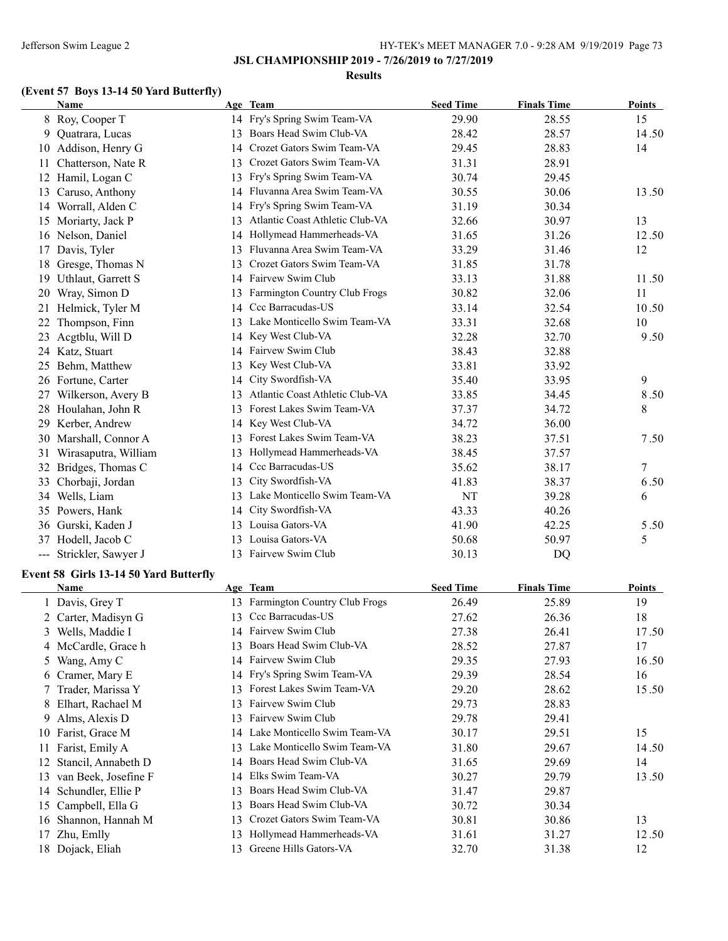#### **Results**

# **(Event 57 Boys 13-14 50 Yard Butterfly)**

|    | <b>Name</b>             |    | Age Team                        | <b>Seed Time</b> | <b>Finals Time</b> | Points  |
|----|-------------------------|----|---------------------------------|------------------|--------------------|---------|
|    | 8 Roy, Cooper T         |    | 14 Fry's Spring Swim Team-VA    | 29.90            | 28.55              | 15      |
| 9. | Quatrara, Lucas         | 13 | Boars Head Swim Club-VA         | 28.42            | 28.57              | 14.50   |
| 10 | Addison, Henry G        | 14 | Crozet Gators Swim Team-VA      | 29.45            | 28.83              | 14      |
| 11 | Chatterson, Nate R      | 13 | Crozet Gators Swim Team-VA      | 31.31            | 28.91              |         |
| 12 | Hamil, Logan C          | 13 | Fry's Spring Swim Team-VA       | 30.74            | 29.45              |         |
| 13 | Caruso, Anthony         | 14 | Fluvanna Area Swim Team-VA      | 30.55            | 30.06              | 13.50   |
| 14 | Worrall, Alden C        | 14 | Fry's Spring Swim Team-VA       | 31.19            | 30.34              |         |
| 15 | Moriarty, Jack P        | 13 | Atlantic Coast Athletic Club-VA | 32.66            | 30.97              | 13      |
|    | 16 Nelson, Daniel       | 14 | Hollymead Hammerheads-VA        | 31.65            | 31.26              | 12.50   |
| 17 | Davis, Tyler            | 13 | Fluvanna Area Swim Team-VA      | 33.29            | 31.46              | 12      |
| 18 | Gresge, Thomas N        | 13 | Crozet Gators Swim Team-VA      | 31.85            | 31.78              |         |
| 19 | Uthlaut, Garrett S      | 14 | Fairvew Swim Club               | 33.13            | 31.88              | 11.50   |
| 20 | Wray, Simon D           | 13 | Farmington Country Club Frogs   | 30.82            | 32.06              | 11      |
| 21 | Helmick, Tyler M        | 14 | Ccc Barracudas-US               | 33.14            | 32.54              | 10.50   |
| 22 | Thompson, Finn          | 13 | Lake Monticello Swim Team-VA    | 33.31            | 32.68              | 10      |
| 23 | Acgtblu, Will D         | 14 | Key West Club-VA                | 32.28            | 32.70              | 9.50    |
|    | 24 Katz, Stuart         | 14 | Fairvew Swim Club               | 38.43            | 32.88              |         |
| 25 | Behm, Matthew           | 13 | Key West Club-VA                | 33.81            | 33.92              |         |
|    | 26 Fortune, Carter      | 14 | City Swordfish-VA               | 35.40            | 33.95              | 9       |
| 27 | Wilkerson, Avery B      | 13 | Atlantic Coast Athletic Club-VA | 33.85            | 34.45              | 8.50    |
| 28 | Houlahan, John R        | 13 | Forest Lakes Swim Team-VA       | 37.37            | 34.72              | $\,8\,$ |
| 29 | Kerber, Andrew          | 14 | Key West Club-VA                | 34.72            | 36.00              |         |
|    | 30 Marshall, Connor A   | 13 | Forest Lakes Swim Team-VA       | 38.23            | 37.51              | 7.50    |
| 31 | Wirasaputra, William    | 13 | Hollymead Hammerheads-VA        | 38.45            | 37.57              |         |
| 32 | Bridges, Thomas C       | 14 | Ccc Barracudas-US               | 35.62            | 38.17              | $\tau$  |
| 33 | Chorbaji, Jordan        | 13 | City Swordfish-VA               | 41.83            | 38.37              | 6.50    |
| 34 | Wells, Liam             | 13 | Lake Monticello Swim Team-VA    | NT               | 39.28              | 6       |
|    | 35 Powers, Hank         | 14 | City Swordfish-VA               | 43.33            | 40.26              |         |
|    | 36 Gurski, Kaden J      | 13 | Louisa Gators-VA                | 41.90            | 42.25              | 5.50    |
| 37 | Hodell, Jacob C         | 13 | Louisa Gators-VA                | 50.68            | 50.97              | 5       |
|    | --- Strickler, Sawyer J | 13 | Fairvew Swim Club               | 30.13            | DQ                 |         |

### **Event 58 Girls 13-14 50 Yard Butterfly**

|     | <b>Name</b>          |    | Age Team                             | <b>Seed Time</b> | <b>Finals Time</b> | <b>Points</b> |
|-----|----------------------|----|--------------------------------------|------------------|--------------------|---------------|
|     | 1 Davis, Grey T      | 13 | <b>Farmington Country Club Frogs</b> | 26.49            | 25.89              | 19            |
|     | 2 Carter, Madisyn G  | 13 | Ccc Barracudas-US                    | 27.62            | 26.36              | 18            |
|     | 3 Wells, Maddie I    | 14 | Fairvew Swim Club                    | 27.38            | 26.41              | 17.50         |
|     | 4 McCardle, Grace h  |    | Boars Head Swim Club-VA              | 28.52            | 27.87              | 17            |
|     | 5 Wang, Amy C        |    | 14 Fairvew Swim Club                 | 29.35            | 27.93              | 16.50         |
|     | 6 Cramer, Mary E     |    | 14 Fry's Spring Swim Team-VA         | 29.39            | 28.54              | 16            |
|     | 7 Trader, Marissa Y  |    | Forest Lakes Swim Team-VA            | 29.20            | 28.62              | 15.50         |
|     | 8 Elhart, Rachael M  | 13 | Fairvew Swim Club                    | 29.73            | 28.83              |               |
|     | 9 Alms, Alexis D     | 13 | Fairvew Swim Club                    | 29.78            | 29.41              |               |
| 10  | Farist, Grace M      | 14 | Lake Monticello Swim Team-VA         | 30.17            | 29.51              | 15            |
| 11  | Farist, Emily A      |    | Lake Monticello Swim Team-VA         | 31.80            | 29.67              | 14.50         |
| 12. | Stancil, Annabeth D  | 14 | Boars Head Swim Club-VA              | 31.65            | 29.69              | 14            |
| 13  | van Beek, Josefine F | 14 | Elks Swim Team-VA                    | 30.27            | 29.79              | 13.50         |
| 14  | Schundler, Ellie P   | 13 | Boars Head Swim Club-VA              | 31.47            | 29.87              |               |
| 15  | Campbell, Ella G     | 13 | Boars Head Swim Club-VA              | 30.72            | 30.34              |               |
| 16  | Shannon, Hannah M    | 13 | Crozet Gators Swim Team-VA           | 30.81            | 30.86              | 13            |
| 17  | Zhu, Emlly           | 13 | Hollymead Hammerheads-VA             | 31.61            | 31.27              | 12.50         |
|     | 18 Dojack, Eliah     |    | Greene Hills Gators-VA               | 32.70            | 31.38              | 12            |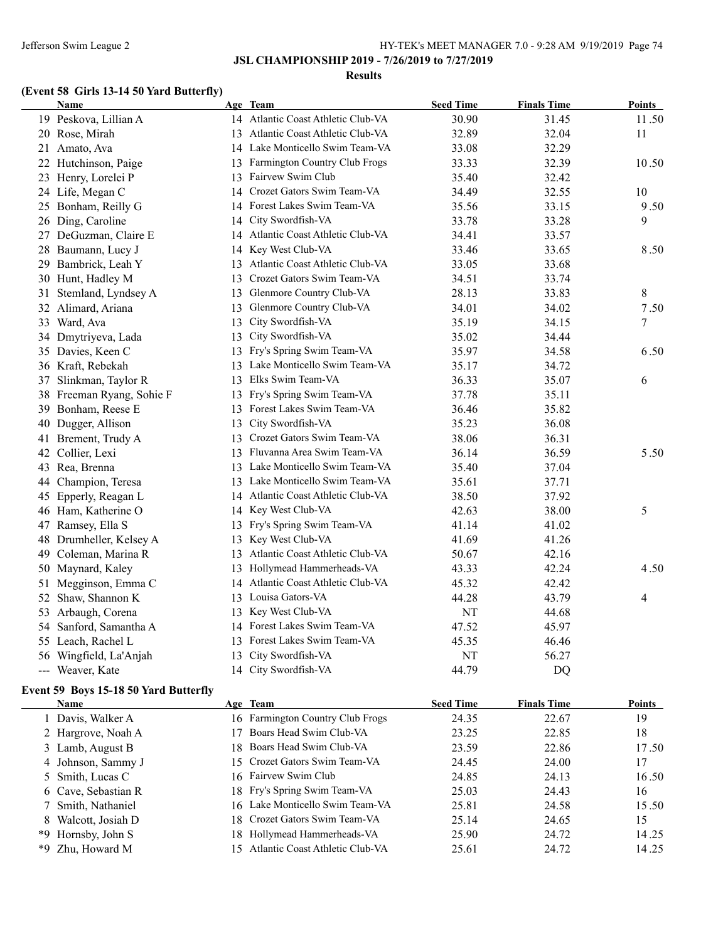**JSL CHAMPIONSHIP 2019 - 7/26/2019 to 7/27/2019**

#### **Results**

### **(Event 58 Girls 13-14 50 Yard Butterfly)**

|    | Name                   |    | Age Team                           | <b>Seed Time</b> | <b>Finals Time</b> | <b>Points</b>  |
|----|------------------------|----|------------------------------------|------------------|--------------------|----------------|
|    | 19 Peskova, Lillian A  |    | 14 Atlantic Coast Athletic Club-VA | 30.90            | 31.45              | 11.50          |
|    | 20 Rose, Mirah         |    | 13 Atlantic Coast Athletic Club-VA | 32.89            | 32.04              | 11             |
| 21 | Amato, Ava             |    | 14 Lake Monticello Swim Team-VA    | 33.08            | 32.29              |                |
| 22 | Hutchinson, Paige      | 13 | Farmington Country Club Frogs      | 33.33            | 32.39              | 10.50          |
|    | 23 Henry, Lorelei P    | 13 | Fairvew Swim Club                  | 35.40            | 32.42              |                |
|    | 24 Life, Megan C       |    | 14 Crozet Gators Swim Team-VA      | 34.49            | 32.55              | 10             |
| 25 | Bonham, Reilly G       |    | 14 Forest Lakes Swim Team-VA       | 35.56            | 33.15              | 9.50           |
|    | 26 Ding, Caroline      |    | 14 City Swordfish-VA               | 33.78            | 33.28              | 9              |
|    | 27 DeGuzman, Claire E  |    | 14 Atlantic Coast Athletic Club-VA | 34.41            | 33.57              |                |
|    | 28 Baumann, Lucy J     | 14 | Key West Club-VA                   | 33.46            | 33.65              | 8.50           |
| 29 | Bambrick, Leah Y       | 13 | Atlantic Coast Athletic Club-VA    | 33.05            | 33.68              |                |
|    | 30 Hunt, Hadley M      | 13 | Crozet Gators Swim Team-VA         | 34.51            | 33.74              |                |
| 31 | Stemland, Lyndsey A    | 13 | Glenmore Country Club-VA           | 28.13            | 33.83              | $\,8\,$        |
|    | 32 Alimard, Ariana     | 13 | Glenmore Country Club-VA           | 34.01            | 34.02              | 7.50           |
|    | 33 Ward, Ava           | 13 | City Swordfish-VA                  | 35.19            | 34.15              | $\overline{7}$ |
| 34 | Dmytriyeva, Lada       | 13 | City Swordfish-VA                  | 35.02            | 34.44              |                |
|    | 35 Davies, Keen C      |    | 13 Fry's Spring Swim Team-VA       | 35.97            | 34.58              | 6.50           |
|    | 36 Kraft, Rebekah      |    | 13 Lake Monticello Swim Team-VA    | 35.17            | 34.72              |                |
|    | 37 Slinkman, Taylor R  | 13 | Elks Swim Team-VA                  | 36.33            | 35.07              | 6              |
| 38 | Freeman Ryang, Sohie F | 13 | Fry's Spring Swim Team-VA          | 37.78            | 35.11              |                |
| 39 | Bonham, Reese E        |    | 13 Forest Lakes Swim Team-VA       | 36.46            | 35.82              |                |
| 40 | Dugger, Allison        | 13 | City Swordfish-VA                  | 35.23            | 36.08              |                |
|    | 41 Brement, Trudy A    | 13 | Crozet Gators Swim Team-VA         | 38.06            | 36.31              |                |
|    | 42 Collier, Lexi       |    | 13 Fluvanna Area Swim Team-VA      | 36.14            | 36.59              | 5.50           |
| 43 | Rea, Brenna            |    | 13 Lake Monticello Swim Team-VA    | 35.40            | 37.04              |                |
|    | 44 Champion, Teresa    |    | 13 Lake Monticello Swim Team-VA    | 35.61            | 37.71              |                |
| 45 | Epperly, Reagan L      | 14 | Atlantic Coast Athletic Club-VA    | 38.50            | 37.92              |                |
|    | 46 Ham, Katherine O    | 14 | Key West Club-VA                   | 42.63            | 38.00              | 5              |
|    | 47 Ramsey, Ella S      | 13 | Fry's Spring Swim Team-VA          | 41.14            | 41.02              |                |
| 48 | Drumheller, Kelsey A   | 13 | Key West Club-VA                   | 41.69            | 41.26              |                |
| 49 | Coleman, Marina R      | 13 | Atlantic Coast Athletic Club-VA    | 50.67            | 42.16              |                |
| 50 | Maynard, Kaley         | 13 | Hollymead Hammerheads-VA           | 43.33            | 42.24              | 4.50           |
| 51 | Megginson, Emma C      |    | 14 Atlantic Coast Athletic Club-VA | 45.32            | 42.42              |                |
|    | 52 Shaw, Shannon K     |    | 13 Louisa Gators-VA                | 44.28            | 43.79              | $\overline{4}$ |
|    | 53 Arbaugh, Corena     |    | 13 Key West Club-VA                | NT               | 44.68              |                |
| 54 | Sanford, Samantha A    | 14 | Forest Lakes Swim Team-VA          | 47.52            | 45.97              |                |
|    | 55 Leach, Rachel L     | 13 | Forest Lakes Swim Team-VA          | 45.35            | 46.46              |                |
|    | 56 Wingfield, La'Anjah | 13 | City Swordfish-VA                  | NT               | 56.27              |                |
|    | --- Weaver, Kate       |    | 14 City Swordfish-VA               | 44.79            | <b>DQ</b>          |                |

### **Event 59 Boys 15-18 50 Yard Butterfly**

| <b>Name</b>         | Age Team                           | <b>Seed Time</b> | <b>Finals Time</b> | <b>Points</b> |
|---------------------|------------------------------------|------------------|--------------------|---------------|
| l Davis, Walker A   | 16 Farmington Country Club Frogs   | 24.35            | 22.67              | 19            |
| 2 Hargrove, Noah A  | 17 Boars Head Swim Club-VA         | 23.25            | 22.85              | 18            |
| 3 Lamb, August B    | 18 Boars Head Swim Club-VA         | 23.59            | 22.86              | 17.50         |
| 4 Johnson, Sammy J  | 15 Crozet Gators Swim Team-VA      | 24.45            | 24.00              | 17            |
| 5 Smith, Lucas C    | 16 Fairvew Swim Club               | 24.85            | 24.13              | 16.50         |
| 6 Cave, Sebastian R | 18 Fry's Spring Swim Team-VA       | 25.03            | 24.43              | 16            |
| 7 Smith, Nathaniel  | 16 Lake Monticello Swim Team-VA    | 25.81            | 24.58              | 15.50         |
| 8 Walcott, Josiah D | 18 Crozet Gators Swim Team-VA      | 25.14            | 24.65              | 15            |
| *9 Hornsby, John S  | 18 Hollymead Hammerheads-VA        | 25.90            | 24.72              | 14.25         |
| *9 Zhu, Howard M    | 15 Atlantic Coast Athletic Club-VA | 25.61            | 24.72              | 14.25         |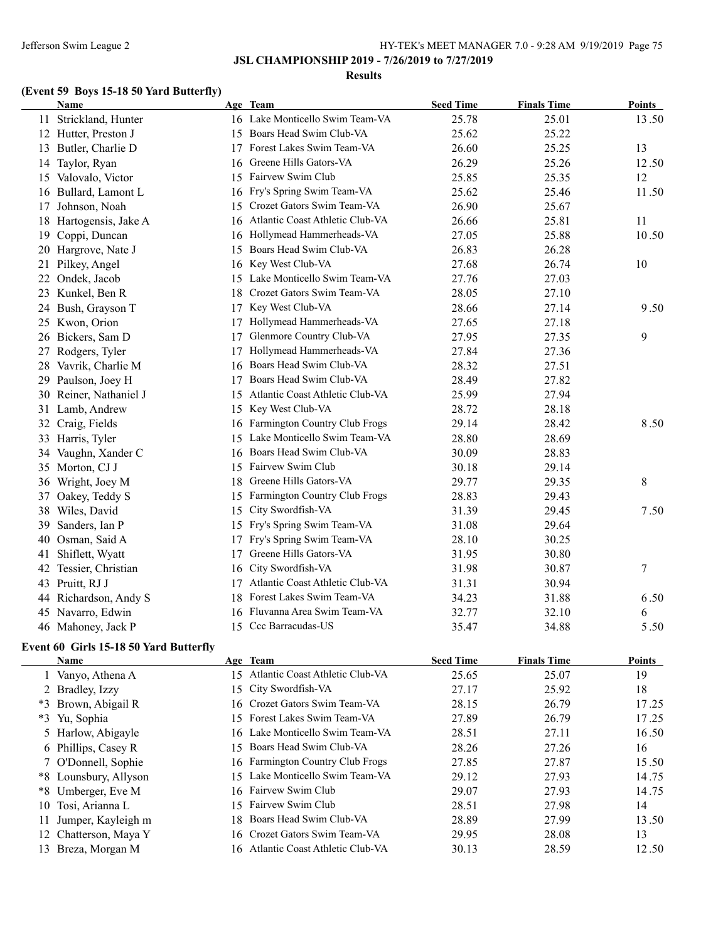**JSL CHAMPIONSHIP 2019 - 7/26/2019 to 7/27/2019**

#### **Results**

# **(Event 59 Boys 15-18 50 Yard Butterfly)**

|    | Name                   |     | Age Team                         | <b>Seed Time</b> | <b>Finals Time</b> | <b>Points</b> |
|----|------------------------|-----|----------------------------------|------------------|--------------------|---------------|
|    | 11 Strickland, Hunter  |     | 16 Lake Monticello Swim Team-VA  | 25.78            | 25.01              | 13.50         |
|    | 12 Hutter, Preston J   |     | 15 Boars Head Swim Club-VA       | 25.62            | 25.22              |               |
|    | 13 Butler, Charlie D   | 17  | Forest Lakes Swim Team-VA        | 26.60            | 25.25              | 13            |
|    | 14 Taylor, Ryan        | 16  | Greene Hills Gators-VA           | 26.29            | 25.26              | 12.50         |
| 15 | Valovalo, Victor       | 15  | Fairvew Swim Club                | 25.85            | 25.35              | 12            |
|    | 16 Bullard, Lamont L   | 16  | Fry's Spring Swim Team-VA        | 25.62            | 25.46              | 11.50         |
| 17 | Johnson, Noah          | 15  | Crozet Gators Swim Team-VA       | 26.90            | 25.67              |               |
| 18 | Hartogensis, Jake A    | 16  | Atlantic Coast Athletic Club-VA  | 26.66            | 25.81              | 11            |
|    | 19 Coppi, Duncan       | 16  | Hollymead Hammerheads-VA         | 27.05            | 25.88              | 10.50         |
|    | 20 Hargrove, Nate J    | 15  | Boars Head Swim Club-VA          | 26.83            | 26.28              |               |
| 21 | Pilkey, Angel          | 16  | Key West Club-VA                 | 27.68            | 26.74              | 10            |
| 22 | Ondek, Jacob           | 15  | Lake Monticello Swim Team-VA     | 27.76            | 27.03              |               |
| 23 | Kunkel, Ben R          | 18  | Crozet Gators Swim Team-VA       | 28.05            | 27.10              |               |
| 24 | Bush, Grayson T        | 17  | Key West Club-VA                 | 28.66            | 27.14              | 9.50          |
|    | 25 Kwon, Orion         | 17  | Hollymead Hammerheads-VA         | 27.65            | 27.18              |               |
|    | 26 Bickers, Sam D      | 17  | Glenmore Country Club-VA         | 27.95            | 27.35              | 9             |
| 27 | Rodgers, Tyler         | 17  | Hollymead Hammerheads-VA         | 27.84            | 27.36              |               |
| 28 | Vavrik, Charlie M      | 16. | Boars Head Swim Club-VA          | 28.32            | 27.51              |               |
| 29 | Paulson, Joey H        | 17  | Boars Head Swim Club-VA          | 28.49            | 27.82              |               |
|    | 30 Reiner, Nathaniel J | 15  | Atlantic Coast Athletic Club-VA  | 25.99            | 27.94              |               |
|    | 31 Lamb, Andrew        | 15  | Key West Club-VA                 | 28.72            | 28.18              |               |
|    | 32 Craig, Fields       |     | 16 Farmington Country Club Frogs | 29.14            | 28.42              | 8.50          |
| 33 | Harris, Tyler          | 15  | Lake Monticello Swim Team-VA     | 28.80            | 28.69              |               |
| 34 | Vaughn, Xander C       |     | 16 Boars Head Swim Club-VA       | 30.09            | 28.83              |               |
| 35 | Morton, CJ J           |     | 15 Fairvew Swim Club             | 30.18            | 29.14              |               |
| 36 | Wright, Joey M         |     | 18 Greene Hills Gators-VA        | 29.77            | 29.35              | 8             |
| 37 | Oakey, Teddy S         | 15  | Farmington Country Club Frogs    | 28.83            | 29.43              |               |
|    | 38 Wiles, David        | 15  | City Swordfish-VA                | 31.39            | 29.45              | 7.50          |
| 39 | Sanders, Ian P         |     | 15 Fry's Spring Swim Team-VA     | 31.08            | 29.64              |               |
|    | 40 Osman, Said A       | 17  | Fry's Spring Swim Team-VA        | 28.10            | 30.25              |               |
| 41 | Shiflett, Wyatt        | 17  | Greene Hills Gators-VA           | 31.95            | 30.80              |               |
|    | 42 Tessier, Christian  | 16  | City Swordfish-VA                | 31.98            | 30.87              | $\tau$        |
|    | 43 Pruitt, RJ J        | 17  | Atlantic Coast Athletic Club-VA  | 31.31            | 30.94              |               |
|    | 44 Richardson, Andy S  | 18  | Forest Lakes Swim Team-VA        | 34.23            | 31.88              | 6.50          |
|    | 45 Navarro, Edwin      |     | 16 Fluvanna Area Swim Team-VA    | 32.77            | 32.10              | 6             |
|    | 46 Mahoney, Jack P     |     | 15 Ccc Barracudas-US             | 35.47            | 34.88              | 5.50          |

### **Event 60 Girls 15-18 50 Yard Butterfly**

|      | Name                  |     | Age Team                           | <b>Seed Time</b> | <b>Finals Time</b> | <b>Points</b> |
|------|-----------------------|-----|------------------------------------|------------------|--------------------|---------------|
|      | 1 Vanyo, Athena A     | 15. | Atlantic Coast Athletic Club-VA    | 25.65            | 25.07              | 19            |
|      | 2 Bradley, Izzy       |     | 15 City Swordfish-VA               | 27.17            | 25.92              | 18            |
| $*3$ | Brown, Abigail R      |     | 16 Crozet Gators Swim Team-VA      | 28.15            | 26.79              | 17.25         |
|      | *3 Yu, Sophia         |     | 15 Forest Lakes Swim Team-VA       | 27.89            | 26.79              | 17.25         |
|      | 5 Harlow, Abigayle    |     | 16 Lake Monticello Swim Team-VA    | 28.51            | 27.11              | 16.50         |
|      | 6 Phillips, Casey R   |     | 15 Boars Head Swim Club-VA         | 28.26            | 27.26              | 16            |
|      | 7 O'Donnell, Sophie   |     | 16 Farmington Country Club Frogs   | 27.85            | 27.87              | 15.50         |
|      | *8 Lounsbury, Allyson |     | 15 Lake Monticello Swim Team-VA    | 29.12            | 27.93              | 14.75         |
|      | *8 Umberger, Eve M    |     | 16 Fairvew Swim Club               | 29.07            | 27.93              | 14.75         |
|      | 10 Tosi, Arianna L    |     | 15 Fairvew Swim Club               | 28.51            | 27.98              | 14            |
| 11   | Jumper, Kayleigh m    | 18. | Boars Head Swim Club-VA            | 28.89            | 27.99              | 13.50         |
|      | 12 Chatterson, Maya Y |     | 16 Crozet Gators Swim Team-VA      | 29.95            | 28.08              | 13            |
|      | 13 Breza, Morgan M    |     | 16 Atlantic Coast Athletic Club-VA | 30.13            | 28.59              | 12.50         |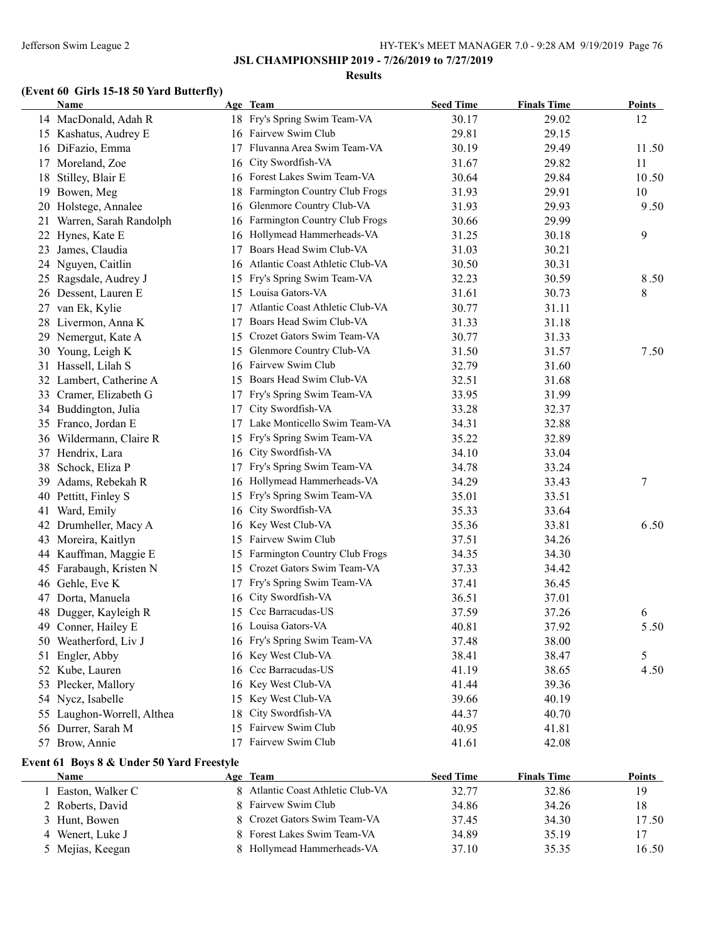#### **Results**

# **(Event 60 Girls 15-18 50 Yard Butterfly)**

|    | Name                                      |    | Age Team                        | <b>Seed Time</b> | <b>Finals Time</b> | <b>Points</b> |
|----|-------------------------------------------|----|---------------------------------|------------------|--------------------|---------------|
|    | 14 MacDonald, Adah R                      |    | 18 Fry's Spring Swim Team-VA    | 30.17            | 29.02              | 12            |
|    | 15 Kashatus, Audrey E                     |    | 16 Fairvew Swim Club            | 29.81            | 29.15              |               |
|    | 16 DiFazio, Emma                          | 17 | Fluvanna Area Swim Team-VA      | 30.19            | 29.49              | 11.50         |
| 17 | Moreland, Zoe                             | 16 | City Swordfish-VA               | 31.67            | 29.82              | 11            |
| 18 | Stilley, Blair E                          | 16 | Forest Lakes Swim Team-VA       | 30.64            | 29.84              | 10.50         |
|    | 19 Bowen, Meg                             | 18 | Farmington Country Club Frogs   | 31.93            | 29.91              | 10            |
|    | 20 Holstege, Annalee                      | 16 | Glenmore Country Club-VA        | 31.93            | 29.93              | 9.50          |
| 21 | Warren, Sarah Randolph                    | 16 | Farmington Country Club Frogs   | 30.66            | 29.99              |               |
| 22 | Hynes, Kate E                             | 16 | Hollymead Hammerheads-VA        | 31.25            | 30.18              | 9             |
| 23 | James, Claudia                            | 17 | Boars Head Swim Club-VA         | 31.03            | 30.21              |               |
|    | 24 Nguyen, Caitlin                        | 16 | Atlantic Coast Athletic Club-VA | 30.50            | 30.31              |               |
|    | 25 Ragsdale, Audrey J                     | 15 | Fry's Spring Swim Team-VA       | 32.23            | 30.59              | 8.50          |
|    | 26 Dessent, Lauren E                      | 15 | Louisa Gators-VA                | 31.61            | 30.73              | 8             |
|    | 27 van Ek, Kylie                          | 17 | Atlantic Coast Athletic Club-VA | 30.77            | 31.11              |               |
|    | 28 Livermon, Anna K                       | 17 | Boars Head Swim Club-VA         | 31.33            | 31.18              |               |
|    | 29 Nemergut, Kate A                       | 15 | Crozet Gators Swim Team-VA      | 30.77            | 31.33              |               |
|    | 30 Young, Leigh K                         |    | 15 Glenmore Country Club-VA     | 31.50            | 31.57              | 7.50          |
|    | 31 Hassell, Lilah S                       |    | 16 Fairvew Swim Club            | 32.79            | 31.60              |               |
|    | 32 Lambert, Catherine A                   |    | 15 Boars Head Swim Club-VA      | 32.51            | 31.68              |               |
|    | 33 Cramer, Elizabeth G                    |    | 17 Fry's Spring Swim Team-VA    | 33.95            | 31.99              |               |
|    | 34 Buddington, Julia                      | 17 | City Swordfish-VA               | 33.28            | 32.37              |               |
|    | 35 Franco, Jordan E                       | 17 | Lake Monticello Swim Team-VA    | 34.31            | 32.88              |               |
|    | 36 Wildermann, Claire R                   | 15 | Fry's Spring Swim Team-VA       | 35.22            | 32.89              |               |
|    | 37 Hendrix, Lara                          | 16 | City Swordfish-VA               | 34.10            | 33.04              |               |
| 38 | Schock, Eliza P                           | 17 | Fry's Spring Swim Team-VA       | 34.78            | 33.24              |               |
|    | 39 Adams, Rebekah R                       | 16 | Hollymead Hammerheads-VA        | 34.29            | 33.43              | 7             |
|    | 40 Pettitt, Finley S                      | 15 | Fry's Spring Swim Team-VA       | 35.01            | 33.51              |               |
| 41 | Ward, Emily                               | 16 | City Swordfish-VA               | 35.33            | 33.64              |               |
| 42 | Drumheller, Macy A                        | 16 | Key West Club-VA                | 35.36            | 33.81              | 6.50          |
|    | 43 Moreira, Kaitlyn                       | 15 | Fairvew Swim Club               | 37.51            | 34.26              |               |
|    | 44 Kauffman, Maggie E                     | 15 | Farmington Country Club Frogs   | 34.35            | 34.30              |               |
|    | 45 Farabaugh, Kristen N                   |    | 15 Crozet Gators Swim Team-VA   | 37.33            | 34.42              |               |
|    | 46 Gehle, Eve K                           | 17 | Fry's Spring Swim Team-VA       | 37.41            | 36.45              |               |
|    | 47 Dorta, Manuela                         | 16 | City Swordfish-VA               | 36.51            | 37.01              |               |
|    | 48 Dugger, Kayleigh R                     | 15 | Ccc Barracudas-US               | 37.59            | 37.26              | 6             |
|    | 49 Conner, Hailey E                       |    | 16 Louisa Gators-VA             | 40.81            | 37.92              | 5.50          |
|    | 50 Weatherford, Liv J                     |    | 16 Fry's Spring Swim Team-VA    | 37.48            | 38.00              |               |
| 51 | Engler, Abby                              | 16 | Key West Club-VA                | 38.41            | 38.47              | 5             |
| 52 | Kube, Lauren                              | 16 | Ccc Barracudas-US               | 41.19            | 38.65              | 4.50          |
| 53 | Plecker, Mallory                          | 16 | Key West Club-VA                | 41.44            | 39.36              |               |
| 54 | Nycz, Isabelle                            | 15 | Key West Club-VA                | 39.66            | 40.19              |               |
| 55 | Laughon-Worrell, Althea                   | 18 | City Swordfish-VA               | 44.37            | 40.70              |               |
|    | 56 Durrer, Sarah M                        | 15 | Fairvew Swim Club               | 40.95            | 41.81              |               |
|    | 57 Brow, Annie                            | 17 | Fairvew Swim Club               | 41.61            | 42.08              |               |
|    |                                           |    |                                 |                  |                    |               |
|    | Event 61 Boys 8 & Under 50 Yard Freestyle |    |                                 |                  |                    |               |
|    | <b>Name</b>                               |    | Age Team                        | <b>Seed Time</b> | <b>Finals Time</b> | <b>Points</b> |
|    | 1 Easton, Walker C                        | 8  | Atlantic Coast Athletic Club-VA | 32.77            | 32.86              | 19            |
|    | 2 Roberts, David                          | 8  | Fairvew Swim Club               | 34.86            | 34.26              | 18            |
| 3  | Hunt, Bowen                               | 8  | Crozet Gators Swim Team-VA      | 37.45            | 34.30              | 17.50         |
| 4  | Wenert, Luke J                            | 8  | Forest Lakes Swim Team-VA       | 34.89            | 35.19              | 17            |
|    | 5 Mejias, Keegan                          |    | Hollymead Hammerheads-VA        | 37.10            | 35.35              | 16.50         |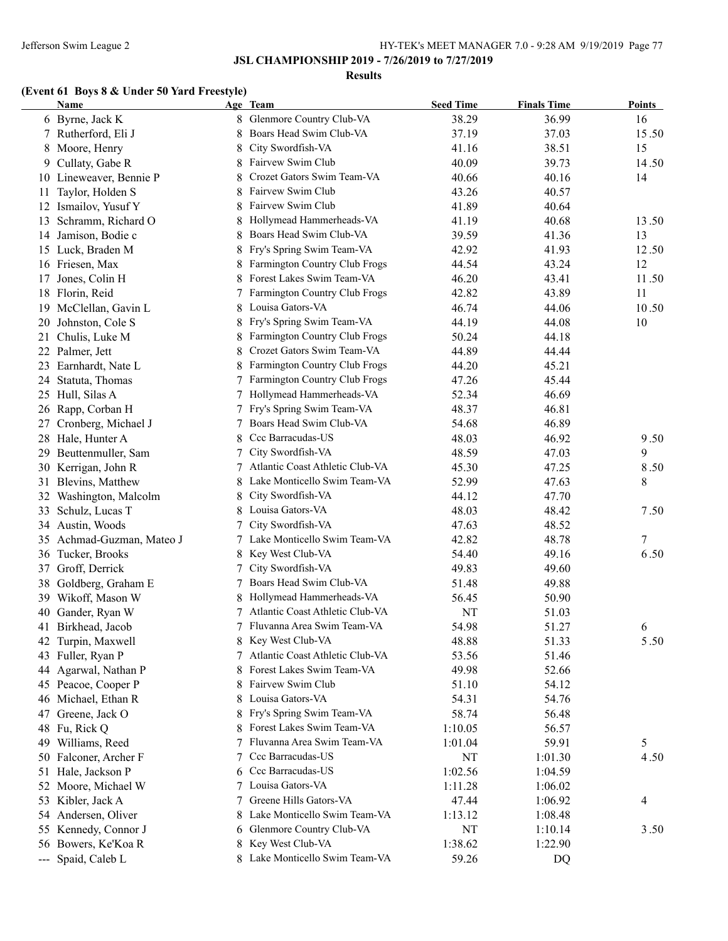#### **Results**

# **(Event 61 Boys 8 & Under 50 Yard Freestyle)**

| <b>Name</b>               |   | Age Team                        | <b>Seed Time</b> | <b>Finals Time</b> | <b>Points</b> |
|---------------------------|---|---------------------------------|------------------|--------------------|---------------|
| 6 Byrne, Jack K           | 8 | Glenmore Country Club-VA        | 38.29            | 36.99              | 16            |
| 7 Rutherford, Eli J       |   | Boars Head Swim Club-VA         | 37.19            | 37.03              | 15.50         |
| Moore, Henry<br>8         |   | City Swordfish-VA               | 41.16            | 38.51              | 15            |
| Cullaty, Gabe R<br>9.     |   | Fairvew Swim Club               | 40.09            | 39.73              | 14.50         |
| 10 Lineweaver, Bennie P   |   | Crozet Gators Swim Team-VA      | 40.66            | 40.16              | 14            |
| Taylor, Holden S<br>11    |   | Fairvew Swim Club               | 43.26            | 40.57              |               |
| Ismailov, Yusuf Y<br>12   |   | Fairvew Swim Club               | 41.89            | 40.64              |               |
| Schramm, Richard O<br>13  |   | Hollymead Hammerheads-VA        | 41.19            | 40.68              | 13.50         |
| Jamison, Bodie c<br>14    |   | Boars Head Swim Club-VA         | 39.59            | 41.36              | 13            |
| 15 Luck, Braden M         |   | Fry's Spring Swim Team-VA       | 42.92            | 41.93              | 12.50         |
| 16 Friesen, Max           |   | Farmington Country Club Frogs   | 44.54            | 43.24              | 12            |
| 17 Jones, Colin H         |   | Forest Lakes Swim Team-VA       | 46.20            | 43.41              | 11.50         |
| 18 Florin, Reid           |   | Farmington Country Club Frogs   | 42.82            | 43.89              | 11            |
| 19 McClellan, Gavin L     | 8 | Louisa Gators-VA                | 46.74            | 44.06              | 10.50         |
| Johnston, Cole S<br>20    |   | Fry's Spring Swim Team-VA       | 44.19            | 44.08              | 10            |
| 21 Chulis, Luke M         | 8 | Farmington Country Club Frogs   | 50.24            | 44.18              |               |
| 22 Palmer, Jett           | 8 | Crozet Gators Swim Team-VA      | 44.89            | 44.44              |               |
| 23 Earnhardt, Nate L      | 8 | Farmington Country Club Frogs   | 44.20            | 45.21              |               |
| Statuta, Thomas<br>24     | 7 | Farmington Country Club Frogs   | 47.26            | 45.44              |               |
| 25 Hull, Silas A          | 7 | Hollymead Hammerheads-VA        | 52.34            | 46.69              |               |
| 26 Rapp, Corban H         | 7 | Fry's Spring Swim Team-VA       | 48.37            | 46.81              |               |
| 27<br>Cronberg, Michael J | 7 | Boars Head Swim Club-VA         | 54.68            | 46.89              |               |
| 28 Hale, Hunter A         | 8 | Ccc Barracudas-US               | 48.03            | 46.92              | 9.50          |
| 29 Beuttenmuller, Sam     | 7 | City Swordfish-VA               | 48.59            | 47.03              | 9             |
| 30 Kerrigan, John R       | 7 | Atlantic Coast Athletic Club-VA | 45.30            | 47.25              | 8.50          |
| 31 Blevins, Matthew       | 8 | Lake Monticello Swim Team-VA    | 52.99            | 47.63              | 8             |
| 32 Washington, Malcolm    | 8 | City Swordfish-VA               | 44.12            | 47.70              |               |
| Schulz, Lucas T<br>33     | 8 | Louisa Gators-VA                | 48.03            | 48.42              | 7.50          |
| 34 Austin, Woods          | 7 | City Swordfish-VA               | 47.63            | 48.52              |               |
| 35 Achmad-Guzman, Mateo J | 7 | Lake Monticello Swim Team-VA    | 42.82            | 48.78              | 7             |
|                           |   | Key West Club-VA                | 54.40            | 49.16              | 6.50          |
| 36 Tucker, Brooks         | 8 | City Swordfish-VA               | 49.83            | 49.60              |               |
| 37 Groff, Derrick         | 7 | Boars Head Swim Club-VA         |                  |                    |               |
| Goldberg, Graham E<br>38  | 7 |                                 | 51.48            | 49.88              |               |
| 39 Wikoff, Mason W        |   | Hollymead Hammerheads-VA        | 56.45            | 50.90              |               |
| Gander, Ryan W<br>40      |   | Atlantic Coast Athletic Club-VA | NT               | 51.03              |               |
| 41<br>Birkhead, Jacob     |   | 7 Fluvanna Area Swim Team-VA    | 54.98            | 51.27              | 6             |
| 42 Turpin, Maxwell        |   | Key West Club-VA                | 48.88            | 51.33              | 5.50          |
| 43 Fuller, Ryan P         |   | Atlantic Coast Athletic Club-VA | 53.56            | 51.46              |               |
| Agarwal, Nathan P<br>44   |   | Forest Lakes Swim Team-VA       | 49.98            | 52.66              |               |
| 45 Peacoe, Cooper P       |   | Fairvew Swim Club               | 51.10            | 54.12              |               |
| 46 Michael, Ethan R       | 8 | Louisa Gators-VA                | 54.31            | 54.76              |               |
| Greene, Jack O<br>47      |   | Fry's Spring Swim Team-VA       | 58.74            | 56.48              |               |
| 48 Fu, Rick Q             |   | Forest Lakes Swim Team-VA       | 1:10.05          | 56.57              |               |
| 49 Williams, Reed         | 7 | Fluvanna Area Swim Team-VA      | 1:01.04          | 59.91              | 5             |
| 50 Falconer, Archer F     | 7 | Ccc Barracudas-US               | NT               | 1:01.30            | 4.50          |
| Hale, Jackson P<br>51     | 6 | Ccc Barracudas-US               | 1:02.56          | 1:04.59            |               |
| 52 Moore, Michael W       | 7 | Louisa Gators-VA                | 1:11.28          | 1:06.02            |               |
| Kibler, Jack A<br>53      | 7 | Greene Hills Gators-VA          | 47.44            | 1:06.92            | 4             |
| 54 Andersen, Oliver       | 8 | Lake Monticello Swim Team-VA    | 1:13.12          | 1:08.48            |               |
| 55 Kennedy, Connor J      | 6 | Glenmore Country Club-VA        | NT               | 1:10.14            | 3.50          |
| 56 Bowers, Ke'Koa R       | 8 | Key West Club-VA                | 1:38.62          | 1:22.90            |               |
| --- Spaid, Caleb L        |   | 8 Lake Monticello Swim Team-VA  | 59.26            | DQ                 |               |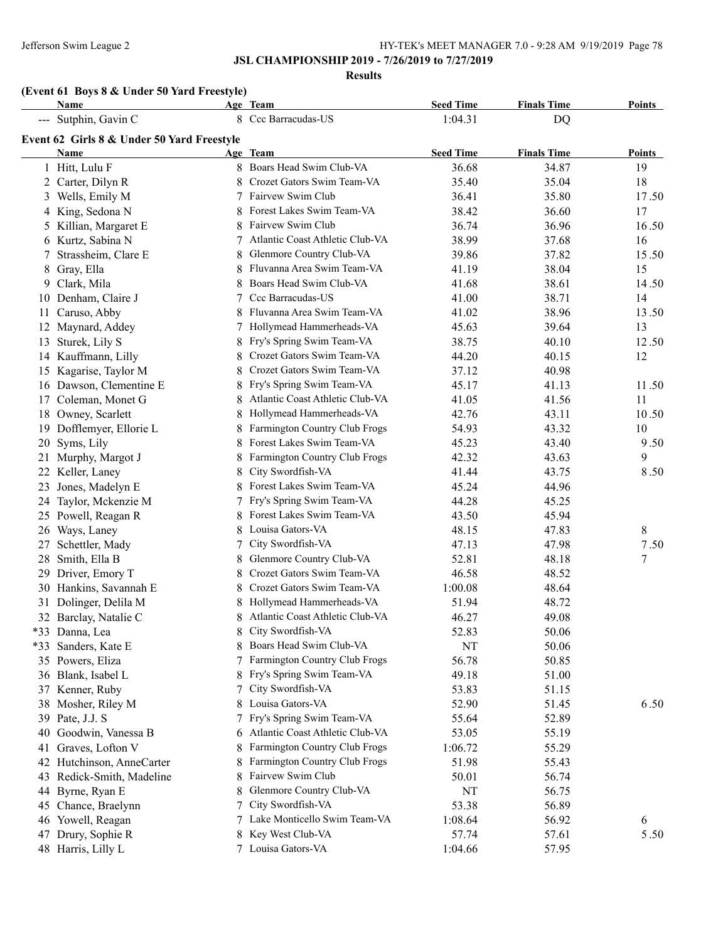**Results**

# **(Event 61 Boys 8 & Under 50 Yard Freestyle)**

|    | Name                                       |    | Age Team                        | <b>Seed Time</b> | <b>Finals Time</b> | <b>Points</b> |
|----|--------------------------------------------|----|---------------------------------|------------------|--------------------|---------------|
|    | --- Sutphin, Gavin C                       |    | 8 Ccc Barracudas-US             | 1:04.31          | DQ                 |               |
|    | Event 62 Girls 8 & Under 50 Yard Freestyle |    |                                 |                  |                    |               |
|    | Name                                       |    | Age Team                        | <b>Seed Time</b> | <b>Finals Time</b> | Points        |
|    | 1 Hitt, Lulu F                             |    | 8 Boars Head Swim Club-VA       | 36.68            | 34.87              | 19            |
|    | 2 Carter, Dilyn R                          |    | Crozet Gators Swim Team-VA      | 35.40            | 35.04              | 18            |
|    | 3 Wells, Emily M                           | 7  | Fairvew Swim Club               | 36.41            | 35.80              | 17.50         |
|    | 4 King, Sedona N                           | 8  | Forest Lakes Swim Team-VA       | 38.42            | 36.60              | 17            |
|    | 5 Killian, Margaret E                      | 8  | Fairvew Swim Club               | 36.74            | 36.96              | 16.50         |
|    | 6 Kurtz, Sabina N                          | 7  | Atlantic Coast Athletic Club-VA | 38.99            | 37.68              | 16            |
| 7  | Strassheim, Clare E                        | 8  | Glenmore Country Club-VA        | 39.86            | 37.82              | 15.50         |
|    | 8 Gray, Ella                               | 8  | Fluvanna Area Swim Team-VA      | 41.19            | 38.04              | 15            |
|    | 9 Clark, Mila                              | 8  | Boars Head Swim Club-VA         | 41.68            | 38.61              | 14.50         |
|    | 10 Denham, Claire J                        | 7  | Ccc Barracudas-US               | 41.00            | 38.71              | 14            |
| 11 | Caruso, Abby                               | 8  | Fluvanna Area Swim Team-VA      | 41.02            | 38.96              | 13.50         |
|    | 12 Maynard, Addey                          |    | Hollymead Hammerheads-VA        | 45.63            | 39.64              | 13            |
|    | 13 Sturek, Lily S                          | 8  | Fry's Spring Swim Team-VA       | 38.75            | 40.10              | 12.50         |
|    | 14 Kauffmann, Lilly                        | 8  | Crozet Gators Swim Team-VA      | 44.20            | 40.15              | 12            |
|    | 15 Kagarise, Taylor M                      |    | Crozet Gators Swim Team-VA      | 37.12            | 40.98              |               |
|    | 16 Dawson, Clementine E                    | 8  | Fry's Spring Swim Team-VA       | 45.17            | 41.13              | 11.50         |
|    | 17 Coleman, Monet G                        | 8  | Atlantic Coast Athletic Club-VA | 41.05            | 41.56              | 11            |
|    | 18 Owney, Scarlett                         | 8  | Hollymead Hammerheads-VA        | 42.76            | 43.11              | 10.50         |
|    | 19 Dofflemyer, Ellorie L                   |    | Farmington Country Club Frogs   | 54.93            | 43.32              | 10            |
|    | 20 Syms, Lily                              |    | Forest Lakes Swim Team-VA       | 45.23            | 43.40              | 9.50          |
| 21 | Murphy, Margot J                           |    | Farmington Country Club Frogs   | 42.32            | 43.63              | 9             |
| 22 | Keller, Laney                              |    | City Swordfish-VA               | 41.44            | 43.75              | 8.50          |
| 23 | Jones, Madelyn E                           |    | Forest Lakes Swim Team-VA       | 45.24            | 44.96              |               |
|    | 24 Taylor, Mckenzie M                      |    | Fry's Spring Swim Team-VA       | 44.28            | 45.25              |               |
|    | 25 Powell, Reagan R                        |    | Forest Lakes Swim Team-VA       | 43.50            | 45.94              |               |
|    | 26 Ways, Laney                             | 8  | Louisa Gators-VA                | 48.15            | 47.83              | 8             |
| 27 | Schettler, Mady                            |    | City Swordfish-VA               | 47.13            | 47.98              | 7.50          |
|    | 28 Smith, Ella B                           | 8  | Glenmore Country Club-VA        | 52.81            | 48.18              | 7             |
|    | 29 Driver, Emory T                         | 8  | Crozet Gators Swim Team-VA      | 46.58            | 48.52              |               |
|    | 30 Hankins, Savannah E                     |    | Crozet Gators Swim Team-VA      | 1:00.08          | 48.64              |               |
|    | 31 Dolinger, Delila M                      |    | 8 Hollymead Hammerheads-VA      | 51.94            | 48.72              |               |
|    | 32 Barclay, Natalie C                      |    | Atlantic Coast Athletic Club-VA | 46.27            | 49.08              |               |
|    | *33 Danna, Lea                             | 8  | City Swordfish-VA               | 52.83            | 50.06              |               |
|    | *33 Sanders, Kate E                        |    | 8 Boars Head Swim Club-VA       | NT               | 50.06              |               |
|    | 35 Powers, Eliza                           | 7  | Farmington Country Club Frogs   | 56.78            | 50.85              |               |
|    | 36 Blank, Isabel L                         | 8  | Fry's Spring Swim Team-VA       | 49.18            | 51.00              |               |
|    | 37 Kenner, Ruby                            | 7  | City Swordfish-VA               | 53.83            | 51.15              |               |
|    | 38 Mosher, Riley M                         | 8  | Louisa Gators-VA                | 52.90            | 51.45              | 6.50          |
|    | 39 Pate, J.J. S                            |    | Fry's Spring Swim Team-VA       | 55.64            | 52.89              |               |
| 40 | Goodwin, Vanessa B                         | 6  | Atlantic Coast Athletic Club-VA | 53.05            | 55.19              |               |
| 41 | Graves, Lofton V                           | 8  | Farmington Country Club Frogs   | 1:06.72          | 55.29              |               |
|    | 42 Hutchinson, AnneCarter                  | 8  | Farmington Country Club Frogs   | 51.98            | 55.43              |               |
|    | 43 Redick-Smith, Madeline                  | 8  | Fairvew Swim Club               | 50.01            | 56.74              |               |
|    | 44 Byrne, Ryan E                           |    | Glenmore Country Club-VA        | NT               | 56.75              |               |
|    | 45 Chance, Braelynn                        | 7  | City Swordfish-VA               | 53.38            | 56.89              |               |
|    | 46 Yowell, Reagan                          | 7. | Lake Monticello Swim Team-VA    | 1:08.64          | 56.92              | 6             |
|    | 47 Drury, Sophie R                         | 8  | Key West Club-VA                | 57.74            | 57.61              | 5.50          |
|    | 48 Harris, Lilly L                         |    | 7 Louisa Gators-VA              | 1:04.66          | 57.95              |               |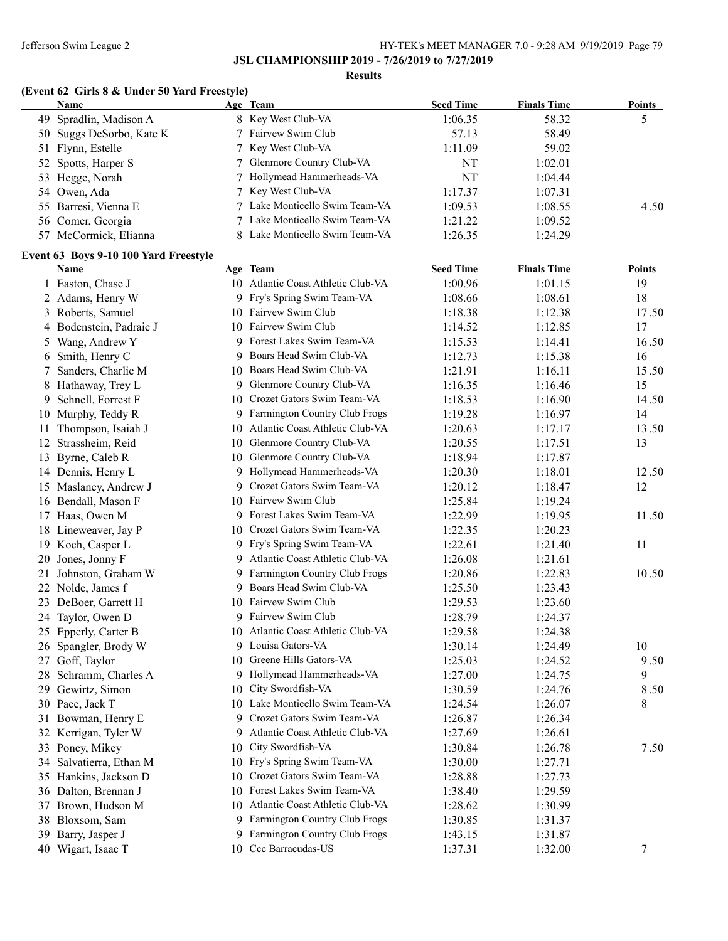#### **Results**

# **(Event 62 Girls 8 & Under 50 Yard Freestyle)**

| <b>Name</b>              | Age Team                       | <b>Seed Time</b> | <b>Finals Time</b> | <b>Points</b> |
|--------------------------|--------------------------------|------------------|--------------------|---------------|
| 49 Spradlin, Madison A   | 8 Key West Club-VA             | 1:06.35          | 58.32              |               |
| 50 Suggs DeSorbo, Kate K | 7 Fairvew Swim Club            | 57.13            | 58.49              |               |
| 51 Flynn, Estelle        | 7 Key West Club-VA             | 1:11.09          | 59.02              |               |
| 52 Spotts, Harper S      | 7 Glenmore Country Club-VA     | NT               | 1:02.01            |               |
| 53 Hegge, Norah          | 7 Hollymead Hammerheads-VA     | NT               | 1:04.44            |               |
| 54 Owen, Ada             | 7 Key West Club-VA             | 1:17.37          | 1:07.31            |               |
| 55 Barresi, Vienna E     | 7 Lake Monticello Swim Team-VA | 1:09.53          | 1:08.55            | 4.50          |
| 56 Comer, Georgia        | 7 Lake Monticello Swim Team-VA | 1:21.22          | 1:09.52            |               |
| 57 McCormick, Elianna    | 8 Lake Monticello Swim Team-VA | 1:26.35          | 1:24.29            |               |

### **Event 63 Boys 9-10 100 Yard Freestyle**

| <b>Name</b>        |                                                                                                                                                                                                                                                                                                                                                                                                                                                                                                                                                                                                                                                                                                                                                                                                                                                                              |                         | <b>Seed Time</b>                                                                                                                                                                                                                                                                                                                                                                                                                                                                                                                                                                                                                                                                                                                                                                                                                                                                                                                                                                                                                                                                                                                                                                                                                                            | <b>Finals Time</b> | <u>Points</u> |
|--------------------|------------------------------------------------------------------------------------------------------------------------------------------------------------------------------------------------------------------------------------------------------------------------------------------------------------------------------------------------------------------------------------------------------------------------------------------------------------------------------------------------------------------------------------------------------------------------------------------------------------------------------------------------------------------------------------------------------------------------------------------------------------------------------------------------------------------------------------------------------------------------------|-------------------------|-------------------------------------------------------------------------------------------------------------------------------------------------------------------------------------------------------------------------------------------------------------------------------------------------------------------------------------------------------------------------------------------------------------------------------------------------------------------------------------------------------------------------------------------------------------------------------------------------------------------------------------------------------------------------------------------------------------------------------------------------------------------------------------------------------------------------------------------------------------------------------------------------------------------------------------------------------------------------------------------------------------------------------------------------------------------------------------------------------------------------------------------------------------------------------------------------------------------------------------------------------------|--------------------|---------------|
|                    |                                                                                                                                                                                                                                                                                                                                                                                                                                                                                                                                                                                                                                                                                                                                                                                                                                                                              |                         | 1:00.96                                                                                                                                                                                                                                                                                                                                                                                                                                                                                                                                                                                                                                                                                                                                                                                                                                                                                                                                                                                                                                                                                                                                                                                                                                                     | 1:01.15            | 19            |
|                    |                                                                                                                                                                                                                                                                                                                                                                                                                                                                                                                                                                                                                                                                                                                                                                                                                                                                              |                         | 1:08.66                                                                                                                                                                                                                                                                                                                                                                                                                                                                                                                                                                                                                                                                                                                                                                                                                                                                                                                                                                                                                                                                                                                                                                                                                                                     | 1:08.61            | 18            |
|                    |                                                                                                                                                                                                                                                                                                                                                                                                                                                                                                                                                                                                                                                                                                                                                                                                                                                                              |                         | 1:18.38                                                                                                                                                                                                                                                                                                                                                                                                                                                                                                                                                                                                                                                                                                                                                                                                                                                                                                                                                                                                                                                                                                                                                                                                                                                     | 1:12.38            | 17.50         |
|                    |                                                                                                                                                                                                                                                                                                                                                                                                                                                                                                                                                                                                                                                                                                                                                                                                                                                                              |                         | 1:14.52                                                                                                                                                                                                                                                                                                                                                                                                                                                                                                                                                                                                                                                                                                                                                                                                                                                                                                                                                                                                                                                                                                                                                                                                                                                     | 1:12.85            | 17            |
|                    |                                                                                                                                                                                                                                                                                                                                                                                                                                                                                                                                                                                                                                                                                                                                                                                                                                                                              |                         | 1:15.53                                                                                                                                                                                                                                                                                                                                                                                                                                                                                                                                                                                                                                                                                                                                                                                                                                                                                                                                                                                                                                                                                                                                                                                                                                                     | 1:14.41            | 16.50         |
|                    |                                                                                                                                                                                                                                                                                                                                                                                                                                                                                                                                                                                                                                                                                                                                                                                                                                                                              |                         | 1:12.73                                                                                                                                                                                                                                                                                                                                                                                                                                                                                                                                                                                                                                                                                                                                                                                                                                                                                                                                                                                                                                                                                                                                                                                                                                                     | 1:15.38            | 16            |
|                    |                                                                                                                                                                                                                                                                                                                                                                                                                                                                                                                                                                                                                                                                                                                                                                                                                                                                              |                         | 1:21.91                                                                                                                                                                                                                                                                                                                                                                                                                                                                                                                                                                                                                                                                                                                                                                                                                                                                                                                                                                                                                                                                                                                                                                                                                                                     | 1:16.11            | 15.50         |
|                    |                                                                                                                                                                                                                                                                                                                                                                                                                                                                                                                                                                                                                                                                                                                                                                                                                                                                              |                         | 1:16.35                                                                                                                                                                                                                                                                                                                                                                                                                                                                                                                                                                                                                                                                                                                                                                                                                                                                                                                                                                                                                                                                                                                                                                                                                                                     | 1:16.46            | 15            |
| Schnell, Forrest F |                                                                                                                                                                                                                                                                                                                                                                                                                                                                                                                                                                                                                                                                                                                                                                                                                                                                              |                         | 1:18.53                                                                                                                                                                                                                                                                                                                                                                                                                                                                                                                                                                                                                                                                                                                                                                                                                                                                                                                                                                                                                                                                                                                                                                                                                                                     | 1:16.90            | 14.50         |
|                    |                                                                                                                                                                                                                                                                                                                                                                                                                                                                                                                                                                                                                                                                                                                                                                                                                                                                              |                         | 1:19.28                                                                                                                                                                                                                                                                                                                                                                                                                                                                                                                                                                                                                                                                                                                                                                                                                                                                                                                                                                                                                                                                                                                                                                                                                                                     | 1:16.97            | 14            |
|                    |                                                                                                                                                                                                                                                                                                                                                                                                                                                                                                                                                                                                                                                                                                                                                                                                                                                                              |                         | 1:20.63                                                                                                                                                                                                                                                                                                                                                                                                                                                                                                                                                                                                                                                                                                                                                                                                                                                                                                                                                                                                                                                                                                                                                                                                                                                     | 1:17.17            | 13.50         |
|                    |                                                                                                                                                                                                                                                                                                                                                                                                                                                                                                                                                                                                                                                                                                                                                                                                                                                                              |                         | 1:20.55                                                                                                                                                                                                                                                                                                                                                                                                                                                                                                                                                                                                                                                                                                                                                                                                                                                                                                                                                                                                                                                                                                                                                                                                                                                     | 1:17.51            | 13            |
|                    |                                                                                                                                                                                                                                                                                                                                                                                                                                                                                                                                                                                                                                                                                                                                                                                                                                                                              |                         | 1:18.94                                                                                                                                                                                                                                                                                                                                                                                                                                                                                                                                                                                                                                                                                                                                                                                                                                                                                                                                                                                                                                                                                                                                                                                                                                                     | 1:17.87            |               |
|                    |                                                                                                                                                                                                                                                                                                                                                                                                                                                                                                                                                                                                                                                                                                                                                                                                                                                                              |                         | 1:20.30                                                                                                                                                                                                                                                                                                                                                                                                                                                                                                                                                                                                                                                                                                                                                                                                                                                                                                                                                                                                                                                                                                                                                                                                                                                     | 1:18.01            | 12.50         |
|                    |                                                                                                                                                                                                                                                                                                                                                                                                                                                                                                                                                                                                                                                                                                                                                                                                                                                                              |                         | 1:20.12                                                                                                                                                                                                                                                                                                                                                                                                                                                                                                                                                                                                                                                                                                                                                                                                                                                                                                                                                                                                                                                                                                                                                                                                                                                     | 1:18.47            | 12            |
|                    |                                                                                                                                                                                                                                                                                                                                                                                                                                                                                                                                                                                                                                                                                                                                                                                                                                                                              |                         | 1:25.84                                                                                                                                                                                                                                                                                                                                                                                                                                                                                                                                                                                                                                                                                                                                                                                                                                                                                                                                                                                                                                                                                                                                                                                                                                                     | 1:19.24            |               |
|                    |                                                                                                                                                                                                                                                                                                                                                                                                                                                                                                                                                                                                                                                                                                                                                                                                                                                                              |                         | 1:22.99                                                                                                                                                                                                                                                                                                                                                                                                                                                                                                                                                                                                                                                                                                                                                                                                                                                                                                                                                                                                                                                                                                                                                                                                                                                     | 1:19.95            | 11.50         |
|                    |                                                                                                                                                                                                                                                                                                                                                                                                                                                                                                                                                                                                                                                                                                                                                                                                                                                                              |                         | 1:22.35                                                                                                                                                                                                                                                                                                                                                                                                                                                                                                                                                                                                                                                                                                                                                                                                                                                                                                                                                                                                                                                                                                                                                                                                                                                     | 1:20.23            |               |
|                    |                                                                                                                                                                                                                                                                                                                                                                                                                                                                                                                                                                                                                                                                                                                                                                                                                                                                              |                         | 1:22.61                                                                                                                                                                                                                                                                                                                                                                                                                                                                                                                                                                                                                                                                                                                                                                                                                                                                                                                                                                                                                                                                                                                                                                                                                                                     | 1:21.40            | 11            |
|                    |                                                                                                                                                                                                                                                                                                                                                                                                                                                                                                                                                                                                                                                                                                                                                                                                                                                                              |                         | 1:26.08                                                                                                                                                                                                                                                                                                                                                                                                                                                                                                                                                                                                                                                                                                                                                                                                                                                                                                                                                                                                                                                                                                                                                                                                                                                     | 1:21.61            |               |
| Johnston, Graham W |                                                                                                                                                                                                                                                                                                                                                                                                                                                                                                                                                                                                                                                                                                                                                                                                                                                                              |                         | 1:20.86                                                                                                                                                                                                                                                                                                                                                                                                                                                                                                                                                                                                                                                                                                                                                                                                                                                                                                                                                                                                                                                                                                                                                                                                                                                     | 1:22.83            | 10.50         |
|                    | 9                                                                                                                                                                                                                                                                                                                                                                                                                                                                                                                                                                                                                                                                                                                                                                                                                                                                            | Boars Head Swim Club-VA | 1:25.50                                                                                                                                                                                                                                                                                                                                                                                                                                                                                                                                                                                                                                                                                                                                                                                                                                                                                                                                                                                                                                                                                                                                                                                                                                                     | 1:23.43            |               |
|                    |                                                                                                                                                                                                                                                                                                                                                                                                                                                                                                                                                                                                                                                                                                                                                                                                                                                                              |                         | 1:29.53                                                                                                                                                                                                                                                                                                                                                                                                                                                                                                                                                                                                                                                                                                                                                                                                                                                                                                                                                                                                                                                                                                                                                                                                                                                     | 1:23.60            |               |
|                    |                                                                                                                                                                                                                                                                                                                                                                                                                                                                                                                                                                                                                                                                                                                                                                                                                                                                              |                         | 1:28.79                                                                                                                                                                                                                                                                                                                                                                                                                                                                                                                                                                                                                                                                                                                                                                                                                                                                                                                                                                                                                                                                                                                                                                                                                                                     | 1:24.37            |               |
|                    |                                                                                                                                                                                                                                                                                                                                                                                                                                                                                                                                                                                                                                                                                                                                                                                                                                                                              |                         | 1:29.58                                                                                                                                                                                                                                                                                                                                                                                                                                                                                                                                                                                                                                                                                                                                                                                                                                                                                                                                                                                                                                                                                                                                                                                                                                                     | 1:24.38            |               |
|                    |                                                                                                                                                                                                                                                                                                                                                                                                                                                                                                                                                                                                                                                                                                                                                                                                                                                                              |                         | 1:30.14                                                                                                                                                                                                                                                                                                                                                                                                                                                                                                                                                                                                                                                                                                                                                                                                                                                                                                                                                                                                                                                                                                                                                                                                                                                     | 1:24.49            | 10            |
|                    |                                                                                                                                                                                                                                                                                                                                                                                                                                                                                                                                                                                                                                                                                                                                                                                                                                                                              |                         | 1:25.03                                                                                                                                                                                                                                                                                                                                                                                                                                                                                                                                                                                                                                                                                                                                                                                                                                                                                                                                                                                                                                                                                                                                                                                                                                                     | 1:24.52            | 9.50          |
|                    | 9.                                                                                                                                                                                                                                                                                                                                                                                                                                                                                                                                                                                                                                                                                                                                                                                                                                                                           |                         | 1:27.00                                                                                                                                                                                                                                                                                                                                                                                                                                                                                                                                                                                                                                                                                                                                                                                                                                                                                                                                                                                                                                                                                                                                                                                                                                                     | 1:24.75            | 9             |
|                    |                                                                                                                                                                                                                                                                                                                                                                                                                                                                                                                                                                                                                                                                                                                                                                                                                                                                              |                         | 1:30.59                                                                                                                                                                                                                                                                                                                                                                                                                                                                                                                                                                                                                                                                                                                                                                                                                                                                                                                                                                                                                                                                                                                                                                                                                                                     | 1:24.76            | 8.50          |
|                    |                                                                                                                                                                                                                                                                                                                                                                                                                                                                                                                                                                                                                                                                                                                                                                                                                                                                              |                         | 1:24.54                                                                                                                                                                                                                                                                                                                                                                                                                                                                                                                                                                                                                                                                                                                                                                                                                                                                                                                                                                                                                                                                                                                                                                                                                                                     | 1:26.07            | 8             |
|                    |                                                                                                                                                                                                                                                                                                                                                                                                                                                                                                                                                                                                                                                                                                                                                                                                                                                                              |                         | 1:26.87                                                                                                                                                                                                                                                                                                                                                                                                                                                                                                                                                                                                                                                                                                                                                                                                                                                                                                                                                                                                                                                                                                                                                                                                                                                     | 1:26.34            |               |
|                    |                                                                                                                                                                                                                                                                                                                                                                                                                                                                                                                                                                                                                                                                                                                                                                                                                                                                              |                         | 1:27.69                                                                                                                                                                                                                                                                                                                                                                                                                                                                                                                                                                                                                                                                                                                                                                                                                                                                                                                                                                                                                                                                                                                                                                                                                                                     | 1:26.61            |               |
|                    |                                                                                                                                                                                                                                                                                                                                                                                                                                                                                                                                                                                                                                                                                                                                                                                                                                                                              |                         | 1:30.84                                                                                                                                                                                                                                                                                                                                                                                                                                                                                                                                                                                                                                                                                                                                                                                                                                                                                                                                                                                                                                                                                                                                                                                                                                                     | 1:26.78            | 7.50          |
|                    |                                                                                                                                                                                                                                                                                                                                                                                                                                                                                                                                                                                                                                                                                                                                                                                                                                                                              |                         | 1:30.00                                                                                                                                                                                                                                                                                                                                                                                                                                                                                                                                                                                                                                                                                                                                                                                                                                                                                                                                                                                                                                                                                                                                                                                                                                                     | 1:27.71            |               |
|                    |                                                                                                                                                                                                                                                                                                                                                                                                                                                                                                                                                                                                                                                                                                                                                                                                                                                                              |                         | 1:28.88                                                                                                                                                                                                                                                                                                                                                                                                                                                                                                                                                                                                                                                                                                                                                                                                                                                                                                                                                                                                                                                                                                                                                                                                                                                     | 1:27.73            |               |
|                    |                                                                                                                                                                                                                                                                                                                                                                                                                                                                                                                                                                                                                                                                                                                                                                                                                                                                              |                         | 1:38.40                                                                                                                                                                                                                                                                                                                                                                                                                                                                                                                                                                                                                                                                                                                                                                                                                                                                                                                                                                                                                                                                                                                                                                                                                                                     | 1:29.59            |               |
|                    |                                                                                                                                                                                                                                                                                                                                                                                                                                                                                                                                                                                                                                                                                                                                                                                                                                                                              |                         | 1:28.62                                                                                                                                                                                                                                                                                                                                                                                                                                                                                                                                                                                                                                                                                                                                                                                                                                                                                                                                                                                                                                                                                                                                                                                                                                                     | 1:30.99            |               |
|                    |                                                                                                                                                                                                                                                                                                                                                                                                                                                                                                                                                                                                                                                                                                                                                                                                                                                                              |                         | 1:30.85                                                                                                                                                                                                                                                                                                                                                                                                                                                                                                                                                                                                                                                                                                                                                                                                                                                                                                                                                                                                                                                                                                                                                                                                                                                     | 1:31.37            |               |
|                    |                                                                                                                                                                                                                                                                                                                                                                                                                                                                                                                                                                                                                                                                                                                                                                                                                                                                              |                         | 1:43.15                                                                                                                                                                                                                                                                                                                                                                                                                                                                                                                                                                                                                                                                                                                                                                                                                                                                                                                                                                                                                                                                                                                                                                                                                                                     | 1:31.87            |               |
|                    |                                                                                                                                                                                                                                                                                                                                                                                                                                                                                                                                                                                                                                                                                                                                                                                                                                                                              |                         | 1:37.31                                                                                                                                                                                                                                                                                                                                                                                                                                                                                                                                                                                                                                                                                                                                                                                                                                                                                                                                                                                                                                                                                                                                                                                                                                                     | 1:32.00            | 7             |
| 9<br>11            | 1 Easton, Chase J<br>2 Adams, Henry W<br>3 Roberts, Samuel<br>4 Bodenstein, Padraic J<br>5 Wang, Andrew Y<br>6 Smith, Henry C<br>7 Sanders, Charlie M<br>8 Hathaway, Trey L<br>10 Murphy, Teddy R<br>Thompson, Isaiah J<br>12 Strassheim, Reid<br>13 Byrne, Caleb R<br>14 Dennis, Henry L<br>15 Maslaney, Andrew J<br>16 Bendall, Mason F<br>17 Haas, Owen M<br>18 Lineweaver, Jay P<br>19 Koch, Casper L<br>20 Jones, Jonny F<br>21<br>22 Nolde, James f<br>23 DeBoer, Garrett H<br>24 Taylor, Owen D<br>25 Epperly, Carter B<br>26 Spangler, Brody W<br>27 Goff, Taylor<br>28 Schramm, Charles A<br>29 Gewirtz, Simon<br>30 Pace, Jack T<br>31 Bowman, Henry E<br>32 Kerrigan, Tyler W<br>33 Poncy, Mikey<br>34 Salvatierra, Ethan M<br>35 Hankins, Jackson D<br>36 Dalton, Brennan J<br>37 Brown, Hudson M<br>38 Bloxsom, Sam<br>39 Barry, Jasper J<br>40 Wigart, Isaac T |                         | Age Team<br>10 Atlantic Coast Athletic Club-VA<br>9 Fry's Spring Swim Team-VA<br>10 Fairvew Swim Club<br>10 Fairvew Swim Club<br>9 Forest Lakes Swim Team-VA<br>9 Boars Head Swim Club-VA<br>10 Boars Head Swim Club-VA<br>9 Glenmore Country Club-VA<br>10 Crozet Gators Swim Team-VA<br>9 Farmington Country Club Frogs<br>10 Atlantic Coast Athletic Club-VA<br>10 Glenmore Country Club-VA<br>10 Glenmore Country Club-VA<br>9 Hollymead Hammerheads-VA<br>9 Crozet Gators Swim Team-VA<br>10 Fairvew Swim Club<br>9 Forest Lakes Swim Team-VA<br>10 Crozet Gators Swim Team-VA<br>9 Fry's Spring Swim Team-VA<br>9 Atlantic Coast Athletic Club-VA<br>9 Farmington Country Club Frogs<br>10 Fairvew Swim Club<br>9 Fairvew Swim Club<br>10 Atlantic Coast Athletic Club-VA<br>9 Louisa Gators-VA<br>10 Greene Hills Gators-VA<br>Hollymead Hammerheads-VA<br>10 City Swordfish-VA<br>10 Lake Monticello Swim Team-VA<br>9 Crozet Gators Swim Team-VA<br>9 Atlantic Coast Athletic Club-VA<br>10 City Swordfish-VA<br>10 Fry's Spring Swim Team-VA<br>10 Crozet Gators Swim Team-VA<br>10 Forest Lakes Swim Team-VA<br>10 Atlantic Coast Athletic Club-VA<br>9 Farmington Country Club Frogs<br>9 Farmington Country Club Frogs<br>10 Ccc Barracudas-US |                    |               |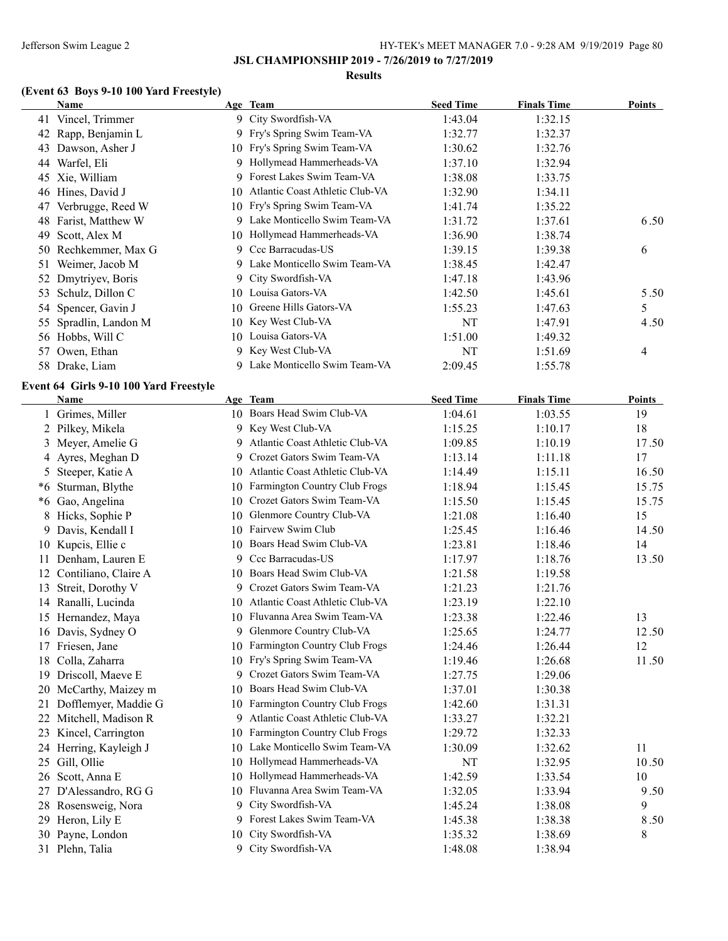**JSL CHAMPIONSHIP 2019 - 7/26/2019 to 7/27/2019**

### **Results**

# **(Event 63 Boys 9-10 100 Yard Freestyle)**

|      | <b>Name</b>                            |    | Age Team                           | <b>Seed Time</b> | <b>Finals Time</b> | <b>Points</b> |
|------|----------------------------------------|----|------------------------------------|------------------|--------------------|---------------|
|      | 41 Vincel, Trimmer                     |    | 9 City Swordfish-VA                | 1:43.04          | 1:32.15            |               |
| 42   | Rapp, Benjamin L                       |    | 9 Fry's Spring Swim Team-VA        | 1:32.77          | 1:32.37            |               |
|      | 43 Dawson, Asher J                     |    | 10 Fry's Spring Swim Team-VA       | 1:30.62          | 1:32.76            |               |
|      | 44 Warfel, Eli                         |    | 9 Hollymead Hammerheads-VA         | 1:37.10          | 1:32.94            |               |
|      | 45 Xie, William                        | 9  | Forest Lakes Swim Team-VA          | 1:38.08          | 1:33.75            |               |
|      | 46 Hines, David J                      | 10 | Atlantic Coast Athletic Club-VA    | 1:32.90          | 1:34.11            |               |
| 47   | Verbrugge, Reed W                      |    | 10 Fry's Spring Swim Team-VA       | 1:41.74          | 1:35.22            |               |
| 48   | Farist, Matthew W                      |    | 9 Lake Monticello Swim Team-VA     | 1:31.72          | 1:37.61            | 6.50          |
| 49   | Scott, Alex M                          |    | 10 Hollymead Hammerheads-VA        | 1:36.90          | 1:38.74            |               |
|      | 50 Rechkemmer, Max G                   |    | 9 Ccc Barracudas-US                | 1:39.15          | 1:39.38            | 6             |
| 51   | Weimer, Jacob M                        |    | 9 Lake Monticello Swim Team-VA     | 1:38.45          | 1:42.47            |               |
| 52   | Dmytriyev, Boris                       |    | 9 City Swordfish-VA                | 1:47.18          | 1:43.96            |               |
| 53   | Schulz, Dillon C                       |    | 10 Louisa Gators-VA                | 1:42.50          | 1:45.61            | 5.50          |
| 54   | Spencer, Gavin J                       | 10 | Greene Hills Gators-VA             | 1:55.23          | 1:47.63            | 5             |
| 55   | Spradlin, Landon M                     | 10 | Key West Club-VA                   | <b>NT</b>        | 1:47.91            | 4.50          |
|      | 56 Hobbs, Will C                       |    | 10 Louisa Gators-VA                | 1:51.00          | 1:49.32            |               |
|      | 57 Owen, Ethan                         |    | 9 Key West Club-VA                 | <b>NT</b>        | 1:51.69            | 4             |
|      | 58 Drake, Liam                         |    | 9 Lake Monticello Swim Team-VA     | 2:09.45          | 1:55.78            |               |
|      |                                        |    |                                    |                  |                    |               |
|      | Event 64 Girls 9-10 100 Yard Freestyle |    |                                    |                  |                    |               |
|      | <b>Name</b>                            |    | Age Team                           | <b>Seed Time</b> | <b>Finals Time</b> | <b>Points</b> |
|      | 1 Grimes, Miller                       |    | 10 Boars Head Swim Club-VA         | 1:04.61          | 1:03.55            | 19            |
| 2    | Pilkey, Mikela                         |    | 9 Key West Club-VA                 | 1:15.25          | 1:10.17            | 18            |
| 3    | Meyer, Amelie G                        |    | 9 Atlantic Coast Athletic Club-VA  | 1:09.85          | 1:10.19            | 17.50         |
| 4    | Ayres, Meghan D                        |    | 9 Crozet Gators Swim Team-VA       | 1:13.14          | 1:11.18            | 17            |
| 5    | Steeper, Katie A                       | 10 | Atlantic Coast Athletic Club-VA    | 1:14.49          | 1:15.11            | 16.50         |
| *6   | Sturman, Blythe                        |    | 10 Farmington Country Club Frogs   | 1:18.94          | 1:15.45            | 15.75         |
| $*6$ | Gao, Angelina                          |    | 10 Crozet Gators Swim Team-VA      | 1:15.50          | 1:15.45            | 15.75         |
| 8    | Hicks, Sophie P                        |    | 10 Glenmore Country Club-VA        | 1:21.08          | 1:16.40            | 15            |
| 9    | Davis, Kendall I                       |    | 10 Fairvew Swim Club               | 1:25.45          | 1:16.46            | 14.50         |
| 10   | Kupcis, Ellie c                        |    | 10 Boars Head Swim Club-VA         | 1:23.81          | 1:18.46            | 14            |
| 11   | Denham, Lauren E                       | 9  | Ccc Barracudas-US                  | 1:17.97          | 1:18.76            | 13.50         |
|      | 12 Contiliano, Claire A                |    | 10 Boars Head Swim Club-VA         | 1:21.58          | 1:19.58            |               |
| 13   | Streit, Dorothy V                      | 9  | Crozet Gators Swim Team-VA         | 1:21.23          | 1:21.76            |               |
|      | 14 Ranalli, Lucinda                    |    | 10 Atlantic Coast Athletic Club-VA | 1:23.19          | 1:22.10            |               |
|      | 15 Hernandez, Maya                     |    | 10 Fluvanna Area Swim Team-VA      | 1:23.38          | 1:22.46            | 13            |
|      | 16 Davis, Sydney O                     |    | 9 Glenmore Country Club-VA         | 1:25.65          | 1:24.77            | 12.50         |
|      | 17 Friesen, Jane                       |    | 10 Farmington Country Club Frogs   | 1:24.46          | 1:26.44            | 12            |
| 18   | Colla, Zaharra                         |    | 10 Fry's Spring Swim Team-VA       | 1:19.46          | 1:26.68            | 11.50         |
|      | 19 Driscoll, Maeve E                   |    | 9 Crozet Gators Swim Team-VA       | 1:27.75          | 1:29.06            |               |
| 20   | McCarthy, Maizey m                     | 10 | Boars Head Swim Club-VA            | 1:37.01          | 1:30.38            |               |
| 21   | Dofflemyer, Maddie G                   |    | 10 Farmington Country Club Frogs   | 1:42.60          | 1:31.31            |               |
| 22   | Mitchell, Madison R                    |    | 9 Atlantic Coast Athletic Club-VA  | 1:33.27          | 1:32.21            |               |
|      | 23 Kincel, Carrington                  |    | 10 Farmington Country Club Frogs   | 1:29.72          | 1:32.33            |               |
|      | 24 Herring, Kayleigh J                 |    | 10 Lake Monticello Swim Team-VA    | 1:30.09          | 1:32.62            | 11            |
|      | 25 Gill, Ollie                         |    | 10 Hollymead Hammerheads-VA        | NT               | 1:32.95            | 10.50         |
| 26   | Scott, Anna E                          |    | 10 Hollymead Hammerheads-VA        | 1:42.59          | 1:33.54            | 10            |
|      | 27 D'Alessandro, RG G                  |    | 10 Fluvanna Area Swim Team-VA      | 1:32.05          | 1:33.94            | 9.50          |
|      | 28 Rosensweig, Nora                    |    | 9 City Swordfish-VA                | 1:45.24          | 1:38.08            | 9             |
|      | 29 Heron, Lily E                       |    | 9 Forest Lakes Swim Team-VA        | 1:45.38          | 1:38.38            | 8.50          |
|      | 30 Payne, London                       |    | 10 City Swordfish-VA               | 1:35.32          | 1:38.69            | 8             |
|      | 31 Plehn, Talia                        |    | 9 City Swordfish-VA                | 1:48.08          | 1:38.94            |               |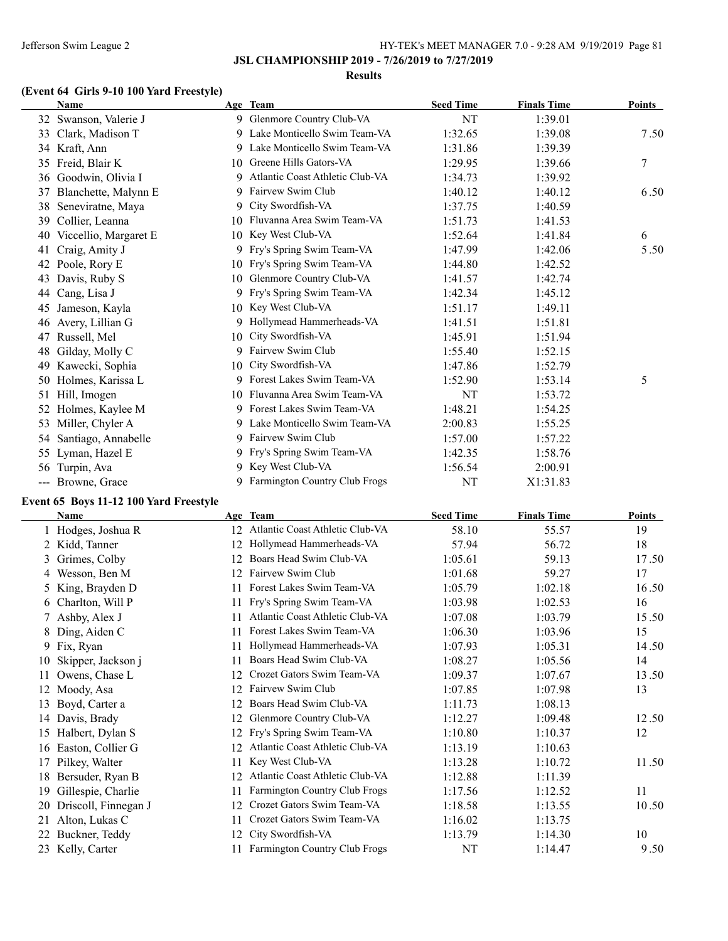#### **Results**

# **(Event 64 Girls 9-10 100 Yard Freestyle)**

|    | <b>Name</b>           |    | Age Team                             | <b>Seed Time</b> | <b>Finals Time</b> | <b>Points</b> |
|----|-----------------------|----|--------------------------------------|------------------|--------------------|---------------|
|    | 32 Swanson, Valerie J |    | 9 Glenmore Country Club-VA           | NT               | 1:39.01            |               |
| 33 | Clark, Madison T      | 9  | Lake Monticello Swim Team-VA         | 1:32.65          | 1:39.08            | 7.50          |
|    | 34 Kraft, Ann         |    | 9 Lake Monticello Swim Team-VA       | 1:31.86          | 1:39.39            |               |
| 35 | Freid, Blair K        | 10 | Greene Hills Gators-VA               | 1:29.95          | 1:39.66            | 7             |
| 36 | Goodwin, Olivia I     | 9  | Atlantic Coast Athletic Club-VA      | 1:34.73          | 1:39.92            |               |
| 37 | Blanchette, Malynn E  |    | 9 Fairvew Swim Club                  | 1:40.12          | 1:40.12            | 6.50          |
| 38 | Seneviratne, Maya     | 9  | City Swordfish-VA                    | 1:37.75          | 1:40.59            |               |
| 39 | Collier, Leanna       | 10 | Fluvanna Area Swim Team-VA           | 1:51.73          | 1:41.53            |               |
| 40 | Viccellio, Margaret E | 10 | Key West Club-VA                     | 1:52.64          | 1:41.84            | 6             |
| 41 | Craig, Amity J        | 9. | Fry's Spring Swim Team-VA            | 1:47.99          | 1:42.06            | 5.50          |
| 42 | Poole, Rory E         | 10 | Fry's Spring Swim Team-VA            | 1:44.80          | 1:42.52            |               |
| 43 | Davis, Ruby S         | 10 | Glenmore Country Club-VA             | 1:41.57          | 1:42.74            |               |
| 44 | Cang, Lisa J          | 9. | Fry's Spring Swim Team-VA            | 1:42.34          | 1:45.12            |               |
| 45 | Jameson, Kayla        | 10 | Key West Club-VA                     | 1:51.17          | 1:49.11            |               |
| 46 | Avery, Lillian G      | 9. | Hollymead Hammerheads-VA             | 1:41.51          | 1:51.81            |               |
| 47 | Russell, Mel          | 10 | City Swordfish-VA                    | 1:45.91          | 1:51.94            |               |
| 48 | Gilday, Molly C       | 9. | Fairvew Swim Club                    | 1:55.40          | 1:52.15            |               |
| 49 | Kawecki, Sophia       | 10 | City Swordfish-VA                    | 1:47.86          | 1:52.79            |               |
| 50 | Holmes, Karissa L     | 9. | Forest Lakes Swim Team-VA            | 1:52.90          | 1:53.14            | 5             |
| 51 | Hill, Imogen          |    | 10 Fluvanna Area Swim Team-VA        | NT               | 1:53.72            |               |
| 52 | Holmes, Kaylee M      |    | 9 Forest Lakes Swim Team-VA          | 1:48.21          | 1:54.25            |               |
| 53 | Miller, Chyler A      |    | 9 Lake Monticello Swim Team-VA       | 2:00.83          | 1:55.25            |               |
| 54 | Santiago, Annabelle   |    | 9 Fairvew Swim Club                  | 1:57.00          | 1:57.22            |               |
|    | 55 Lyman, Hazel E     |    | 9 Fry's Spring Swim Team-VA          | 1:42.35          | 1:58.76            |               |
| 56 | Turpin, Ava           | 9. | Key West Club-VA                     | 1:56.54          | 2:00.91            |               |
|    | --- Browne, Grace     | 9  | <b>Farmington Country Club Frogs</b> | NT               | X1:31.83           |               |

# **Event 65 Boys 11-12 100 Yard Freestyle**

|    | <b>Name</b>          |    | Age Team                             | <b>Seed Time</b> | <b>Finals Time</b> | <b>Points</b> |
|----|----------------------|----|--------------------------------------|------------------|--------------------|---------------|
|    | Hodges, Joshua R     | 12 | Atlantic Coast Athletic Club-VA      | 58.10            | 55.57              | 19            |
|    | 2 Kidd, Tanner       | 12 | Hollymead Hammerheads-VA             | 57.94            | 56.72              | 18            |
| 3  | Grimes, Colby        | 12 | Boars Head Swim Club-VA              | 1:05.61          | 59.13              | 17.50         |
| 4  | Wesson, Ben M        | 12 | Fairvew Swim Club                    | 1:01.68          | 59.27              | 17            |
|    | 5 King, Brayden D    |    | Forest Lakes Swim Team-VA            | 1:05.79          | 1:02.18            | 16.50         |
|    | 6 Charlton, Will P   | 11 | Fry's Spring Swim Team-VA            | 1:03.98          | 1:02.53            | 16            |
|    | 7 Ashby, Alex J      |    | Atlantic Coast Athletic Club-VA      | 1:07.08          | 1:03.79            | 15.50         |
| 8  | Ding, Aiden C        |    | Forest Lakes Swim Team-VA            | 1:06.30          | 1:03.96            | 15            |
|    | 9 Fix, Ryan          | 11 | Hollymead Hammerheads-VA             | 1:07.93          | 1:05.31            | 14.50         |
| 10 | Skipper, Jackson j   | 11 | Boars Head Swim Club-VA              | 1:08.27          | 1:05.56            | 14            |
| 11 | Owens, Chase L       | 12 | Crozet Gators Swim Team-VA           | 1:09.37          | 1:07.67            | 13.50         |
| 12 | Moody, Asa           | 12 | Fairvew Swim Club                    | 1:07.85          | 1:07.98            | 13            |
| 13 | Boyd, Carter a       | 12 | Boars Head Swim Club-VA              | 1:11.73          | 1:08.13            |               |
| 14 | Davis, Brady         | 12 | Glenmore Country Club-VA             | 1:12.27          | 1:09.48            | 12.50         |
| 15 | Halbert, Dylan S     |    | Fry's Spring Swim Team-VA            | 1:10.80          | 1:10.37            | 12            |
| 16 | Easton, Collier G    | 12 | Atlantic Coast Athletic Club-VA      | 1:13.19          | 1:10.63            |               |
| 17 | Pilkey, Walter       | 11 | Key West Club-VA                     | 1:13.28          | 1:10.72            | 11.50         |
| 18 | Bersuder, Ryan B     | 12 | Atlantic Coast Athletic Club-VA      | 1:12.88          | 1:11.39            |               |
| 19 | Gillespie, Charlie   | 11 | <b>Farmington Country Club Frogs</b> | 1:17.56          | 1:12.52            | 11            |
| 20 | Driscoll, Finnegan J | 12 | Crozet Gators Swim Team-VA           | 1:18.58          | 1:13.55            | 10.50         |
| 21 | Alton, Lukas C       |    | Crozet Gators Swim Team-VA           | 1:16.02          | 1:13.75            |               |
| 22 | Buckner, Teddy       | 12 | City Swordfish-VA                    | 1:13.79          | 1:14.30            | 10            |
|    | 23 Kelly, Carter     |    | Farmington Country Club Frogs        | NT               | 1:14.47            | 9.50          |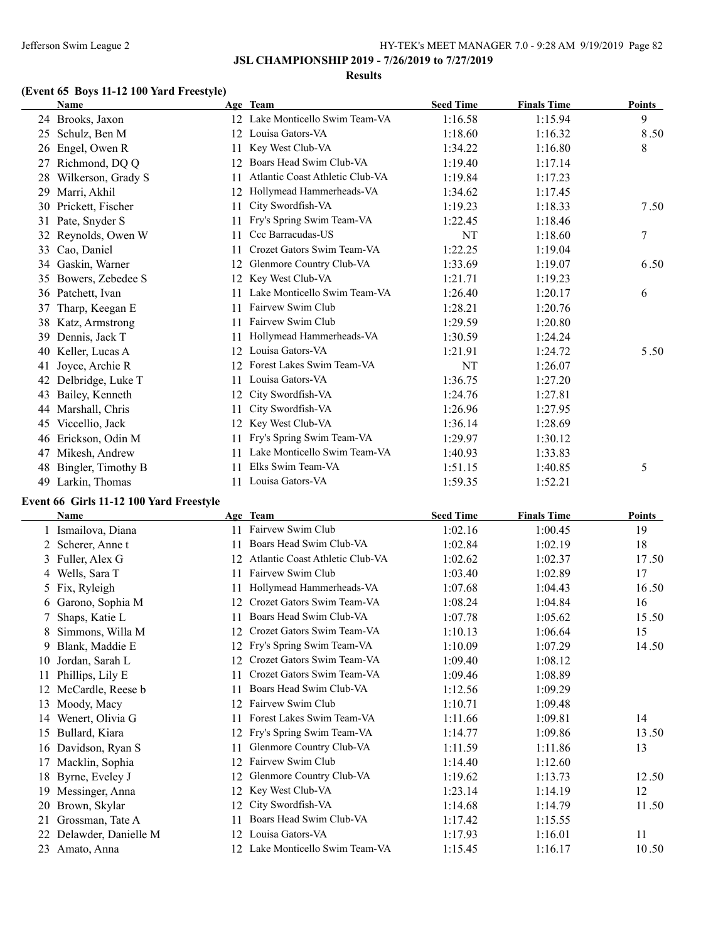#### **Results**

# **(Event 65 Boys 11-12 100 Yard Freestyle)**

|    | <b>Name</b>        |    | Age Team                        | <b>Seed Time</b> | <b>Finals Time</b> | <b>Points</b> |
|----|--------------------|----|---------------------------------|------------------|--------------------|---------------|
|    | 24 Brooks, Jaxon   | 12 | Lake Monticello Swim Team-VA    | 1:16.58          | 1:15.94            | 9             |
| 25 | Schulz, Ben M      | 12 | Louisa Gators-VA                | 1:18.60          | 1:16.32            | 8.50          |
| 26 | Engel, Owen R      | 11 | Key West Club-VA                | 1:34.22          | 1:16.80            | 8             |
| 27 | Richmond, DQ Q     | 12 | Boars Head Swim Club-VA         | 1:19.40          | 1:17.14            |               |
| 28 | Wilkerson, Grady S | 11 | Atlantic Coast Athletic Club-VA | 1:19.84          | 1:17.23            |               |
| 29 | Marri, Akhil       | 12 | Hollymead Hammerheads-VA        | 1:34.62          | 1:17.45            |               |
| 30 | Prickett, Fischer  | 11 | City Swordfish-VA               | 1:19.23          | 1:18.33            | 7.50          |
| 31 | Pate, Snyder S     | 11 | Fry's Spring Swim Team-VA       | 1:22.45          | 1:18.46            |               |
| 32 | Reynolds, Owen W   | 11 | Ccc Barracudas-US               | NT               | 1:18.60            | 7             |
| 33 | Cao, Daniel        | 11 | Crozet Gators Swim Team-VA      | 1:22.25          | 1:19.04            |               |
| 34 | Gaskin, Warner     | 12 | Glenmore Country Club-VA        | 1:33.69          | 1:19.07            | 6.50          |
| 35 | Bowers, Zebedee S  | 12 | Key West Club-VA                | 1:21.71          | 1:19.23            |               |
| 36 | Patchett, Ivan     |    | Lake Monticello Swim Team-VA    | 1:26.40          | 1:20.17            | 6             |
| 37 | Tharp, Keegan E    | 11 | Fairvew Swim Club               | 1:28.21          | 1:20.76            |               |
| 38 | Katz, Armstrong    | 11 | Fairvew Swim Club               | 1:29.59          | 1:20.80            |               |
| 39 | Dennis, Jack T     |    | Hollymead Hammerheads-VA        | 1:30.59          | 1:24.24            |               |
| 40 | Keller, Lucas A    | 12 | Louisa Gators-VA                | 1:21.91          | 1:24.72            | 5.50          |
| 41 | Joyce, Archie R    | 12 | Forest Lakes Swim Team-VA       | NT               | 1:26.07            |               |
| 42 | Delbridge, Luke T  | 11 | Louisa Gators-VA                | 1:36.75          | 1:27.20            |               |
| 43 | Bailey, Kenneth    | 12 | City Swordfish-VA               | 1:24.76          | 1:27.81            |               |
| 44 | Marshall, Chris    | 11 | City Swordfish-VA               | 1:26.96          | 1:27.95            |               |
| 45 | Viccellio, Jack    | 12 | Key West Club-VA                | 1:36.14          | 1:28.69            |               |
| 46 | Erickson, Odin M   | 11 | Fry's Spring Swim Team-VA       | 1:29.97          | 1:30.12            |               |
| 47 | Mikesh, Andrew     | 11 | Lake Monticello Swim Team-VA    | 1:40.93          | 1:33.83            |               |
| 48 | Bingler, Timothy B |    | Elks Swim Team-VA               | 1:51.15          | 1:40.85            | 5             |
| 49 | Larkin, Thomas     | 11 | Louisa Gators-VA                | 1:59.35          | 1:52.21            |               |

# **Event 66 Girls 11-12 100 Yard Freestyle**

 $\overline{\phantom{0}}$ 

|    | <b>Name</b>          |     | Age Team                        | <b>Seed Time</b> | <b>Finals Time</b> | <b>Points</b> |
|----|----------------------|-----|---------------------------------|------------------|--------------------|---------------|
|    | Ismailova, Diana     | 11  | Fairvew Swim Club               | 1:02.16          | 1:00.45            | 19            |
|    | 2 Scherer, Anne t    | 11. | Boars Head Swim Club-VA         | 1:02.84          | 1:02.19            | 18            |
| 3  | Fuller, Alex G       | 12  | Atlantic Coast Athletic Club-VA | 1:02.62          | 1:02.37            | 17.50         |
| 4  | Wells, Sara T        | 11  | Fairvew Swim Club               | 1:03.40          | 1:02.89            | 17            |
| 5  | Fix, Ryleigh         | 11. | Hollymead Hammerheads-VA        | 1:07.68          | 1:04.43            | 16.50         |
|    | 6 Garono, Sophia M   | 12  | Crozet Gators Swim Team-VA      | 1:08.24          | 1:04.84            | 16            |
|    | Shaps, Katie L       | 11. | Boars Head Swim Club-VA         | 1:07.78          | 1:05.62            | 15.50         |
|    | Simmons, Willa M     | 12  | Crozet Gators Swim Team-VA      | 1:10.13          | 1:06.64            | 15            |
| 9  | Blank, Maddie E      | 12  | Fry's Spring Swim Team-VA       | 1:10.09          | 1:07.29            | 14.50         |
| 10 | Jordan, Sarah L      | 12  | Crozet Gators Swim Team-VA      | 1:09.40          | 1:08.12            |               |
| 11 | Phillips, Lily E     | 11. | Crozet Gators Swim Team-VA      | 1:09.46          | 1:08.89            |               |
| 12 | McCardle, Reese b    | 11. | Boars Head Swim Club-VA         | 1:12.56          | 1:09.29            |               |
| 13 | Moody, Macy          | 12  | Fairvew Swim Club               | 1:10.71          | 1:09.48            |               |
| 14 | Wenert, Olivia G     | 11. | Forest Lakes Swim Team-VA       | 1:11.66          | 1:09.81            | 14            |
| 15 | Bullard, Kiara       | 12  | Fry's Spring Swim Team-VA       | 1:14.77          | 1:09.86            | 13.50         |
| 16 | Davidson, Ryan S     | 11  | Glenmore Country Club-VA        | 1:11.59          | 1:11.86            | 13            |
| 17 | Macklin, Sophia      | 12  | Fairvew Swim Club               | 1:14.40          | 1:12.60            |               |
| 18 | Byrne, Eveley J      | 12  | Glenmore Country Club-VA        | 1:19.62          | 1:13.73            | 12.50         |
| 19 | Messinger, Anna      | 12  | Key West Club-VA                | 1:23.14          | 1:14.19            | 12            |
| 20 | Brown, Skylar        | 12  | City Swordfish-VA               | 1:14.68          | 1:14.79            | 11.50         |
| 21 | Grossman, Tate A     | 11. | Boars Head Swim Club-VA         | 1:17.42          | 1:15.55            |               |
| 22 | Delawder, Danielle M |     | 12 Louisa Gators-VA             | 1:17.93          | 1:16.01            | 11            |
| 23 | Amato, Anna          |     | 12 Lake Monticello Swim Team-VA | 1:15.45          | 1:16.17            | 10.50         |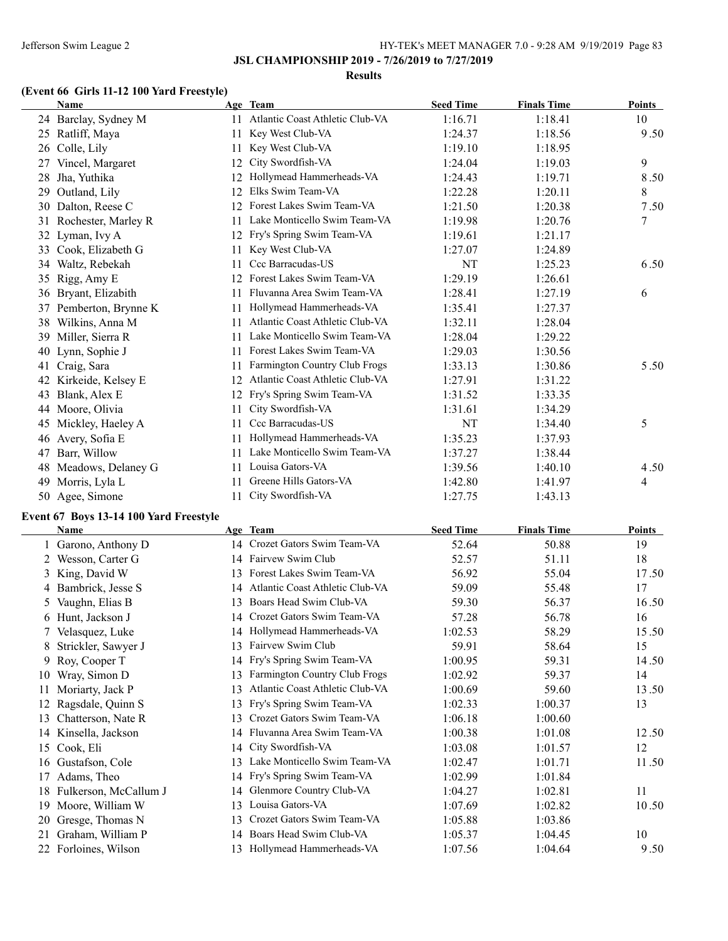#### **Results**

# **(Event 66 Girls 11-12 100 Yard Freestyle)**

|    | <b>Name</b>          |    | Age Team                        | <b>Seed Time</b> | <b>Finals Time</b> | Points |
|----|----------------------|----|---------------------------------|------------------|--------------------|--------|
|    | 24 Barclay, Sydney M | 11 | Atlantic Coast Athletic Club-VA | 1:16.71          | 1:18.41            | 10     |
| 25 | Ratliff, Maya        | 11 | Key West Club-VA                | 1:24.37          | 1:18.56            | 9.50   |
| 26 | Colle, Lily          | 11 | Key West Club-VA                | 1:19.10          | 1:18.95            |        |
| 27 | Vincel, Margaret     | 12 | City Swordfish-VA               | 1:24.04          | 1:19.03            | 9      |
| 28 | Jha, Yuthika         | 12 | Hollymead Hammerheads-VA        | 1:24.43          | 1:19.71            | 8.50   |
| 29 | Outland, Lily        | 12 | Elks Swim Team-VA               | 1:22.28          | 1:20.11            | 8      |
| 30 | Dalton, Reese C      | 12 | Forest Lakes Swim Team-VA       | 1:21.50          | 1:20.38            | 7.50   |
| 31 | Rochester, Marley R  | 11 | Lake Monticello Swim Team-VA    | 1:19.98          | 1:20.76            | 7      |
| 32 | Lyman, Ivy A         | 12 | Fry's Spring Swim Team-VA       | 1:19.61          | 1:21.17            |        |
| 33 | Cook, Elizabeth G    | 11 | Key West Club-VA                | 1:27.07          | 1:24.89            |        |
| 34 | Waltz, Rebekah       | 11 | Ccc Barracudas-US               | NT               | 1:25.23            | 6.50   |
| 35 | Rigg, Amy E          | 12 | Forest Lakes Swim Team-VA       | 1:29.19          | 1:26.61            |        |
| 36 | Bryant, Elizabith    | 11 | Fluvanna Area Swim Team-VA      | 1:28.41          | 1:27.19            | 6      |
| 37 | Pemberton, Brynne K  | 11 | Hollymead Hammerheads-VA        | 1:35.41          | 1:27.37            |        |
| 38 | Wilkins, Anna M      | 11 | Atlantic Coast Athletic Club-VA | 1:32.11          | 1:28.04            |        |
| 39 | Miller, Sierra R     | 11 | Lake Monticello Swim Team-VA    | 1:28.04          | 1:29.22            |        |
| 40 | Lynn, Sophie J       | 11 | Forest Lakes Swim Team-VA       | 1:29.03          | 1:30.56            |        |
| 41 | Craig, Sara          | 11 | Farmington Country Club Frogs   | 1:33.13          | 1:30.86            | 5.50   |
| 42 | Kirkeide, Kelsey E   | 12 | Atlantic Coast Athletic Club-VA | 1:27.91          | 1:31.22            |        |
| 43 | Blank, Alex E        | 12 | Fry's Spring Swim Team-VA       | 1:31.52          | 1:33.35            |        |
| 44 | Moore, Olivia        | 11 | City Swordfish-VA               | 1:31.61          | 1:34.29            |        |
| 45 | Mickley, Haeley A    | 11 | Ccc Barracudas-US               | NT               | 1:34.40            | 5      |
| 46 | Avery, Sofia E       | 11 | Hollymead Hammerheads-VA        | 1:35.23          | 1:37.93            |        |
| 47 | Barr, Willow         | 11 | Lake Monticello Swim Team-VA    | 1:37.27          | 1:38.44            |        |
| 48 | Meadows, Delaney G   | 11 | Louisa Gators-VA                | 1:39.56          | 1:40.10            | 4.50   |
| 49 | Morris, Lyla L       | 11 | Greene Hills Gators-VA          | 1:42.80          | 1:41.97            | 4      |
| 50 | Agee, Simone         | 11 | City Swordfish-VA               | 1:27.75          | 1:43.13            |        |

# **Event 67 Boys 13-14 100 Yard Freestyle**

 $\overline{a}$ 

|    | <b>Name</b>           |    | Age Team                        | <b>Seed Time</b> | <b>Finals Time</b> | Points |
|----|-----------------------|----|---------------------------------|------------------|--------------------|--------|
|    | Garono, Anthony D     | 14 | Crozet Gators Swim Team-VA      | 52.64            | 50.88              | 19     |
|    | 2 Wesson, Carter G    |    | 14 Fairvew Swim Club            | 52.57            | 51.11              | 18     |
|    | 3 King, David W       | 13 | Forest Lakes Swim Team-VA       | 56.92            | 55.04              | 17.50  |
|    | Bambrick, Jesse S     | 14 | Atlantic Coast Athletic Club-VA | 59.09            | 55.48              | 17     |
| 5  | Vaughn, Elias B       | 13 | Boars Head Swim Club-VA         | 59.30            | 56.37              | 16.50  |
|    | 6 Hunt, Jackson J     | 14 | Crozet Gators Swim Team-VA      | 57.28            | 56.78              | 16     |
|    | Velasquez, Luke       | 14 | Hollymead Hammerheads-VA        | 1:02.53          | 58.29              | 15.50  |
| 8  | Strickler, Sawyer J   | 13 | Fairvew Swim Club               | 59.91            | 58.64              | 15     |
| 9. | Roy, Cooper T         | 14 | Fry's Spring Swim Team-VA       | 1:00.95          | 59.31              | 14.50  |
| 10 | Wray, Simon D         | 13 | Farmington Country Club Frogs   | 1:02.92          | 59.37              | 14     |
|    | Moriarty, Jack P      | 13 | Atlantic Coast Athletic Club-VA | 1:00.69          | 59.60              | 13.50  |
|    | Ragsdale, Quinn S     | 13 | Fry's Spring Swim Team-VA       | 1:02.33          | 1:00.37            | 13     |
| 13 | Chatterson, Nate R    | 13 | Crozet Gators Swim Team-VA      | 1:06.18          | 1:00.60            |        |
| 14 | Kinsella, Jackson     | 14 | Fluvanna Area Swim Team-VA      | 1:00.38          | 1:01.08            | 12.50  |
| 15 | Cook, Eli             | 14 | City Swordfish-VA               | 1:03.08          | 1:01.57            | 12     |
| 16 | Gustafson, Cole       | 13 | Lake Monticello Swim Team-VA    | 1:02.47          | 1:01.71            | 11.50  |
|    | Adams, Theo           | 14 | Fry's Spring Swim Team-VA       | 1:02.99          | 1:01.84            |        |
| 18 | Fulkerson, McCallum J | 14 | Glenmore Country Club-VA        | 1:04.27          | 1:02.81            | 11     |
| 19 | Moore, William W      | 13 | Louisa Gators-VA                | 1:07.69          | 1:02.82            | 10.50  |
| 20 | Gresge, Thomas N      | 13 | Crozet Gators Swim Team-VA      | 1:05.88          | 1:03.86            |        |
| 21 | Graham, William P     | 14 | Boars Head Swim Club-VA         | 1:05.37          | 1:04.45            | 10     |
| 22 | Forloines, Wilson     | 13 | Hollymead Hammerheads-VA        | 1:07.56          | 1:04.64            | 9.50   |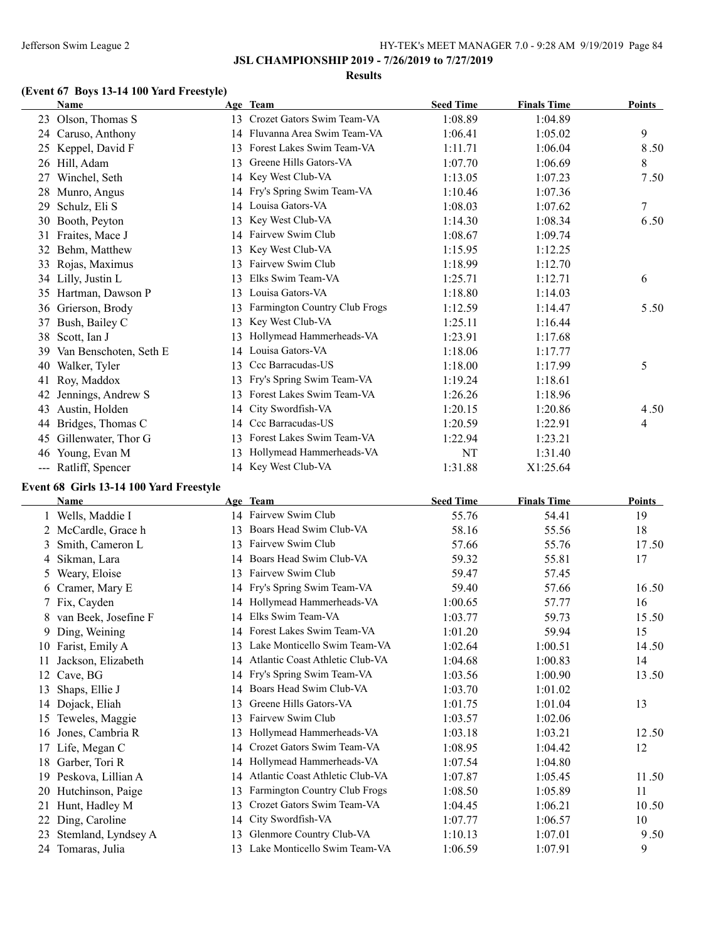### **JSL CHAMPIONSHIP 2019 - 7/26/2019 to 7/27/2019**

#### **Results**

# **(Event 67 Boys 13-14 100 Yard Freestyle)**

| Name                                                       |                 | Age Team                      | <b>Seed Time</b> | <b>Finals Time</b> | Points |
|------------------------------------------------------------|-----------------|-------------------------------|------------------|--------------------|--------|
| Olson, Thomas S<br>23                                      | 13 <sup>7</sup> | Crozet Gators Swim Team-VA    | 1:08.89          | 1:04.89            |        |
| Caruso, Anthony<br>24                                      |                 | 14 Fluvanna Area Swim Team-VA | 1:06.41          | 1:05.02            | 9      |
| Keppel, David F<br>25                                      | 13              | Forest Lakes Swim Team-VA     | 1:11.71          | 1:06.04            | 8.50   |
| Hill, Adam<br>26                                           | 13              | Greene Hills Gators-VA        | 1:07.70          | 1:06.69            | 8      |
| Winchel, Seth<br>27                                        | 14              | Key West Club-VA              | 1:13.05          | 1:07.23            | 7.50   |
| Munro, Angus<br>28                                         |                 | 14 Fry's Spring Swim Team-VA  | 1:10.46          | 1:07.36            |        |
| Schulz, Eli S<br>29                                        | 14              | Louisa Gators-VA              | 1:08.03          | 1:07.62            | 7      |
| Booth, Peyton<br>30                                        | 13              | Key West Club-VA              | 1:14.30          | 1:08.34            | 6.50   |
| Fraites, Mace J<br>31                                      | 14              | Fairvew Swim Club             | 1:08.67          | 1:09.74            |        |
| Behm, Matthew<br>32                                        | 13              | Key West Club-VA              | 1:15.95          | 1:12.25            |        |
| Rojas, Maximus<br>33                                       | 13              | Fairvew Swim Club             | 1:18.99          | 1:12.70            |        |
| 34 Lilly, Justin L                                         | 13              | Elks Swim Team-VA             | 1:25.71          | 1:12.71            | 6      |
| Hartman, Dawson P<br>35                                    | 13              | Louisa Gators-VA              | 1:18.80          | 1:14.03            |        |
| Grierson, Brody<br>36                                      | 13              | Farmington Country Club Frogs | 1:12.59          | 1:14.47            | 5.50   |
| Bush, Bailey C<br>37                                       | 13              | Key West Club-VA              | 1:25.11          | 1:16.44            |        |
| Scott, Ian J<br>38                                         | 13              | Hollymead Hammerheads-VA      | 1:23.91          | 1:17.68            |        |
| Van Benschoten, Seth E<br>39                               | 14              | Louisa Gators-VA              | 1:18.06          | 1:17.77            |        |
| Walker, Tyler<br>40                                        | 13              | Ccc Barracudas-US             | 1:18.00          | 1:17.99            | 5      |
| Roy, Maddox<br>41                                          | 13              | Fry's Spring Swim Team-VA     | 1:19.24          | 1:18.61            |        |
| Jennings, Andrew S<br>42                                   | 13              | Forest Lakes Swim Team-VA     | 1:26.26          | 1:18.96            |        |
| Austin, Holden<br>43                                       | 14              | City Swordfish-VA             | 1:20.15          | 1:20.86            | 4.50   |
| Bridges, Thomas C<br>44                                    | 14              | Ccc Barracudas-US             | 1:20.59          | 1:22.91            | 4      |
| Gillenwater, Thor G<br>45                                  | 13              | Forest Lakes Swim Team-VA     | 1:22.94          | 1:23.21            |        |
| Young, Evan M<br>46                                        | 13              | Hollymead Hammerheads-VA      | NT               | 1:31.40            |        |
| Ratliff, Spencer<br>$\scriptstyle\cdots\scriptstyle\cdots$ | 14              | Key West Club-VA              | 1:31.88          | X1:25.64           |        |
| <b>Event 68 Cirls 13-14 100 Vard Erectvle</b>              |                 |                               |                  |                    |        |

#### **Event 68 Girls 13-14 100 Yard Freestyle**

|    | Name                 |    | Age Team                        | <b>Seed Time</b> | <b>Finals Time</b> | <b>Points</b> |
|----|----------------------|----|---------------------------------|------------------|--------------------|---------------|
|    | Wells, Maddie I      |    | 14 Fairvew Swim Club            | 55.76            | 54.41              | 19            |
|    | 2 McCardle, Grace h  | 13 | Boars Head Swim Club-VA         | 58.16            | 55.56              | 18            |
| 3  | Smith, Cameron L     | 13 | Fairvew Swim Club               | 57.66            | 55.76              | 17.50         |
| 4  | Sikman, Lara         | 14 | Boars Head Swim Club-VA         | 59.32            | 55.81              | 17            |
| 5  | Weary, Eloise        | 13 | Fairvew Swim Club               | 59.47            | 57.45              |               |
| 6  | Cramer, Mary E       |    | 14 Fry's Spring Swim Team-VA    | 59.40            | 57.66              | 16.50         |
|    | Fix, Cayden          | 14 | Hollymead Hammerheads-VA        | 1:00.65          | 57.77              | 16            |
| 8  | van Beek, Josefine F | 14 | Elks Swim Team-VA               | 1:03.77          | 59.73              | 15.50         |
| 9  | Ding, Weining        | 14 | Forest Lakes Swim Team-VA       | 1:01.20          | 59.94              | 15            |
| 10 | Farist, Emily A      | 13 | Lake Monticello Swim Team-VA    | 1:02.64          | 1:00.51            | 14.50         |
| 11 | Jackson, Elizabeth   | 14 | Atlantic Coast Athletic Club-VA | 1:04.68          | 1:00.83            | 14            |
| 12 | Cave, BG             |    | 14 Fry's Spring Swim Team-VA    | 1:03.56          | 1:00.90            | 13.50         |
| 13 | Shaps, Ellie J       | 14 | Boars Head Swim Club-VA         | 1:03.70          | 1:01.02            |               |
|    | 14 Dojack, Eliah     | 13 | Greene Hills Gators-VA          | 1:01.75          | 1:01.04            | 13            |
| 15 | Teweles, Maggie      | 13 | Fairvew Swim Club               | 1:03.57          | 1:02.06            |               |
| 16 | Jones, Cambria R     | 13 | Hollymead Hammerheads-VA        | 1:03.18          | 1:03.21            | 12.50         |
| 17 | Life, Megan C        | 14 | Crozet Gators Swim Team-VA      | 1:08.95          | 1:04.42            | 12            |
| 18 | Garber, Tori R       | 14 | Hollymead Hammerheads-VA        | 1:07.54          | 1:04.80            |               |
| 19 | Peskova, Lillian A   | 14 | Atlantic Coast Athletic Club-VA | 1:07.87          | 1:05.45            | 11.50         |
| 20 | Hutchinson, Paige    | 13 | Farmington Country Club Frogs   | 1:08.50          | 1:05.89            | 11            |
| 21 | Hunt, Hadley M       | 13 | Crozet Gators Swim Team-VA      | 1:04.45          | 1:06.21            | 10.50         |
| 22 | Ding, Caroline       | 14 | City Swordfish-VA               | 1:07.77          | 1:06.57            | 10            |
| 23 | Stemland, Lyndsey A  | 13 | Glenmore Country Club-VA        | 1:10.13          | 1:07.01            | 9.50          |
|    | 24 Tomaras, Julia    | 13 | Lake Monticello Swim Team-VA    | 1:06.59          | 1:07.91            | 9             |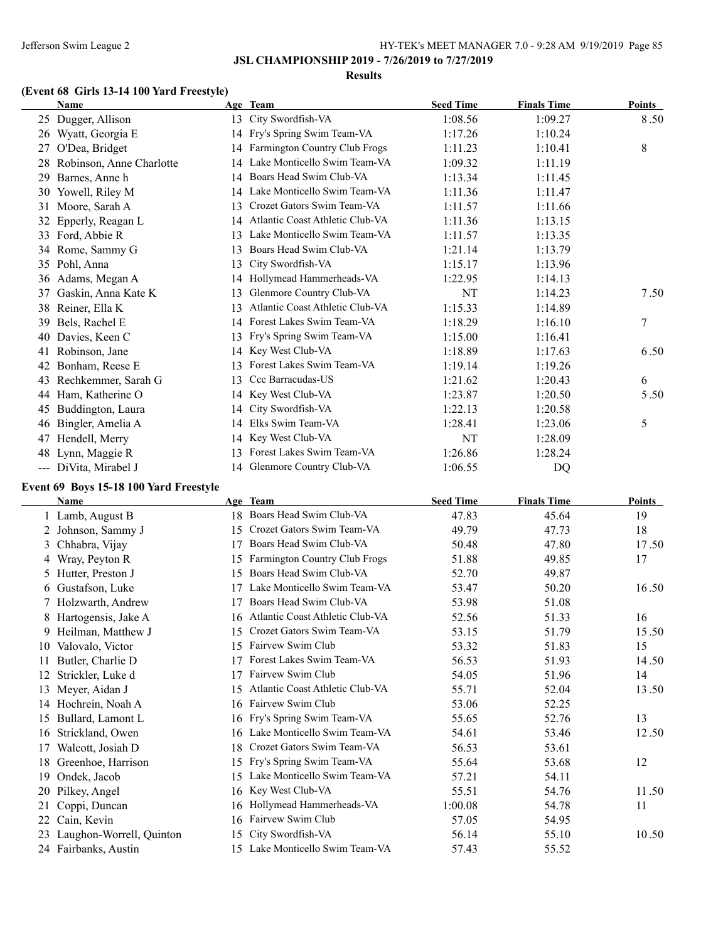**JSL CHAMPIONSHIP 2019 - 7/26/2019 to 7/27/2019**

#### **Results**

#### **(Event 68 Girls 13-14 100 Yard Freestyle)**

| <b>Name</b>                            |    | Age Team                         | <b>Seed Time</b> | <b>Finals Time</b> | Points        |
|----------------------------------------|----|----------------------------------|------------------|--------------------|---------------|
| 25 Dugger, Allison                     |    | 13 City Swordfish-VA             | 1:08.56          | 1:09.27            | 8.50          |
| Wyatt, Georgia E<br>26                 |    | 14 Fry's Spring Swim Team-VA     | 1:17.26          | 1:10.24            |               |
| O'Dea, Bridget<br>27                   |    | 14 Farmington Country Club Frogs | 1:11.23          | 1:10.41            | 8             |
| 28 Robinson, Anne Charlotte            | 14 | Lake Monticello Swim Team-VA     | 1:09.32          | 1:11.19            |               |
| Barnes, Anne h<br>29                   | 14 | Boars Head Swim Club-VA          | 1:13.34          | 1:11.45            |               |
| Yowell, Riley M<br>30                  | 14 | Lake Monticello Swim Team-VA     | 1:11.36          | 1:11.47            |               |
| Moore, Sarah A<br>31                   | 13 | Crozet Gators Swim Team-VA       | 1:11.57          | 1:11.66            |               |
| Epperly, Reagan L<br>32                | 14 | Atlantic Coast Athletic Club-VA  | 1:11.36          | 1:13.15            |               |
| 33 Ford, Abbie R                       | 13 | Lake Monticello Swim Team-VA     | 1:11.57          | 1:13.35            |               |
| 34 Rome, Sammy G                       | 13 | Boars Head Swim Club-VA          | 1:21.14          | 1:13.79            |               |
| 35 Pohl, Anna                          | 13 | City Swordfish-VA                | 1:15.17          | 1:13.96            |               |
| 36 Adams, Megan A                      | 14 | Hollymead Hammerheads-VA         | 1:22.95          | 1:14.13            |               |
| Gaskin, Anna Kate K<br>37              | 13 | Glenmore Country Club-VA         | NT               | 1:14.23            | 7.50          |
| 38 Reiner, Ella K                      | 13 | Atlantic Coast Athletic Club-VA  | 1:15.33          | 1:14.89            |               |
| Bels, Rachel E<br>39                   | 14 | Forest Lakes Swim Team-VA        | 1:18.29          | 1:16.10            | 7             |
| Davies, Keen C<br>40                   | 13 | Fry's Spring Swim Team-VA        | 1:15.00          | 1:16.41            |               |
| Robinson, Jane<br>41                   |    | 14 Key West Club-VA              | 1:18.89          | 1:17.63            | 6.50          |
| Bonham, Reese E<br>42                  | 13 | Forest Lakes Swim Team-VA        | 1:19.14          | 1:19.26            |               |
| 43 Rechkemmer, Sarah G                 | 13 | Ccc Barracudas-US                | 1:21.62          | 1:20.43            | 6             |
| 44 Ham, Katherine O                    | 14 | Key West Club-VA                 | 1:23.87          | 1:20.50            | 5.50          |
| Buddington, Laura<br>45                | 14 | City Swordfish-VA                | 1:22.13          | 1:20.58            |               |
| Bingler, Amelia A<br>46                | 14 | Elks Swim Team-VA                | 1:28.41          | 1:23.06            | 5             |
| Hendell, Merry<br>47                   | 14 | Key West Club-VA                 | NT               | 1:28.09            |               |
| Lynn, Maggie R<br>48                   | 13 | Forest Lakes Swim Team-VA        | 1:26.86          | 1:28.24            |               |
| --- DiVita, Mirabel J                  | 14 | Glenmore Country Club-VA         | 1:06.55          | DQ                 |               |
| Event 69 Boys 15-18 100 Yard Freestyle |    |                                  |                  |                    |               |
| <b>Name</b>                            |    | Age Team                         | <b>Seed Time</b> | <b>Finals Time</b> | <b>Points</b> |
| 1 Lamb, August B                       |    | 18 Boars Head Swim Club-VA       | 47.83            | 45.64              | 19            |
| 2<br>Johnson, Sammy J                  |    | 15 Crozet Gators Swim Team-VA    | 49.79            | 47.73              | 18            |

2 Johnson, Sammy J 15 Crozet Gators Swim Team-VA 49.79 47.73 18 3 Chhabra, Vijay 17 Boars Head Swim Club-VA 50.48 47.80 47.50 50.48 47.80 17.50 4 Wray, Peyton R 15 Farmington Country Club Frogs 51.88 49.85 17 5 Hutter, Preston J 15 Boars Head Swim Club-VA 52.70 49.87 6 Gustafson, Luke 17 Lake Monticello Swim Team-VA 53.47 50.20 16.50 7 Holzwarth, Andrew 17 Boars Head Swim Club-VA 53.98 51.08 8 Hartogensis, Jake A 16 Atlantic Coast Athletic Club-VA 52.56 51.33 16 9 Heilman, Matthew J 15 Crozet Gators Swim Team-VA 53.15 51.79 15.50 10 Valovalo, Victor 15 Fairvew Swim Club 53.32 51.83 15 11 Butler, Charlie D 17 Forest Lakes Swim Team-VA 56.53 51.93 14.50 12 Strickler, Luke d 17 Fairvew Swim Club 54.05 51.96 51.96 14 13 Meyer, Aidan J 15 Atlantic Coast Athletic Club-VA 55.71 52.04 13.50 14 Hochrein, Noah A 16 Fairvew Swim Club 53.06 52.25 15 Bullard, Lamont L 16 Fry's Spring Swim Team-VA 55.65 52.76 52.76 13 16 Strickland, Owen 16 Lake Monticello Swim Team-VA 54.61 53.46 12.50 17 Walcott, Josiah D 18 Crozet Gators Swim Team-VA 56.53 53.61 18 Greenhoe, Harrison 15 Fry's Spring Swim Team-VA 55.64 53.68 12 19 Ondek, Jacob 15 Lake Monticello Swim Team-VA 57.21 54.11 20 Pilkey, Angel 11.50 16 Key West Club-VA 55.51 54.76 11.50 21 Coppi, Duncan 16 Hollymead Hammerheads-VA 1:00.08 54.78 11 22 Cain, Kevin 16 Fairvew Swim Club 57.05 54.95 23 Laughon-Worrell, Quinton 15 City Swordfish-VA 56.14 55.10 50.50 24 Fairbanks, Austin 15 Lake Monticello Swim Team-VA 57.43 55.52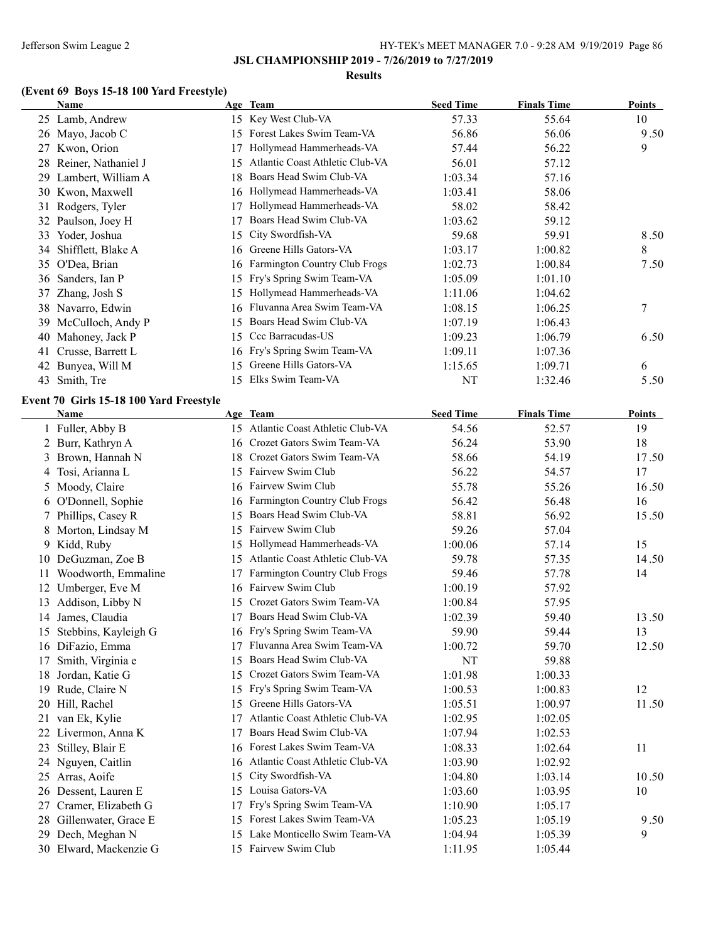#### **Results**

# **(Event 69 Boys 15-18 100 Yard Freestyle)**

|    | Name                                                   |    | Age Team                           | <b>Seed Time</b> | <b>Finals Time</b> | <b>Points</b> |
|----|--------------------------------------------------------|----|------------------------------------|------------------|--------------------|---------------|
|    | 25 Lamb, Andrew                                        |    | 15 Key West Club-VA                | 57.33            | 55.64              | 10            |
|    | 26 Mayo, Jacob C                                       |    | 15 Forest Lakes Swim Team-VA       | 56.86            | 56.06              | 9.50          |
|    | 27 Kwon, Orion                                         |    | 17 Hollymead Hammerheads-VA        | 57.44            | 56.22              | 9             |
| 28 | Reiner, Nathaniel J                                    | 15 | Atlantic Coast Athletic Club-VA    | 56.01            | 57.12              |               |
| 29 | Lambert, William A                                     | 18 | Boars Head Swim Club-VA            | 1:03.34          | 57.16              |               |
| 30 | Kwon, Maxwell                                          |    | 16 Hollymead Hammerheads-VA        | 1:03.41          | 58.06              |               |
| 31 | Rodgers, Tyler                                         |    | 17 Hollymead Hammerheads-VA        | 58.02            | 58.42              |               |
| 32 | Paulson, Joey H                                        | 17 | Boars Head Swim Club-VA            | 1:03.62          | 59.12              |               |
|    | 33 Yoder, Joshua                                       | 15 | City Swordfish-VA                  | 59.68            | 59.91              | 8.50          |
| 34 | Shifflett, Blake A                                     | 16 | Greene Hills Gators-VA             | 1:03.17          | 1:00.82            | 8             |
|    | 35 O'Dea, Brian                                        |    | 16 Farmington Country Club Frogs   | 1:02.73          | 1:00.84            | 7.50          |
| 36 | Sanders, Ian P                                         |    | 15 Fry's Spring Swim Team-VA       | 1:05.09          | 1:01.10            |               |
| 37 | Zhang, Josh S                                          |    | 15 Hollymead Hammerheads-VA        | 1:11.06          | 1:04.62            |               |
|    | 38 Navarro, Edwin                                      |    | 16 Fluvanna Area Swim Team-VA      | 1:08.15          | 1:06.25            | 7             |
| 39 | McCulloch, Andy P                                      |    | 15 Boars Head Swim Club-VA         | 1:07.19          | 1:06.43            |               |
| 40 | Mahoney, Jack P                                        |    | 15 Ccc Barracudas-US               | 1:09.23          | 1:06.79            | 6.50          |
| 41 | Crusse, Barrett L                                      |    | 16 Fry's Spring Swim Team-VA       | 1:09.11          | 1:07.36            |               |
|    | 42 Bunyea, Will M                                      | 15 | Greene Hills Gators-VA             | 1:15.65          | 1:09.71            | 6             |
| 43 | Smith, Tre                                             | 15 | Elks Swim Team-VA                  | NT               | 1:32.46            | 5.50          |
|    |                                                        |    |                                    |                  |                    |               |
|    | Event 70 Girls 15-18 100 Yard Freestyle<br><b>Name</b> |    | Age Team                           | <b>Seed Time</b> | <b>Finals Time</b> | <b>Points</b> |
|    | 1 Fuller, Abby B                                       |    | 15 Atlantic Coast Athletic Club-VA | 54.56            | 52.57              | 19            |
|    | 2 Burr, Kathryn A                                      |    | 16 Crozet Gators Swim Team-VA      | 56.24            | 53.90              | 18            |
| 3  | Brown, Hannah N                                        |    | 18 Crozet Gators Swim Team-VA      | 58.66            | 54.19              | 17.50         |
| 4  | Tosi, Arianna L                                        | 15 | Fairvew Swim Club                  | 56.22            | 54.57              | 17            |
| 5  | Moody, Claire                                          |    | 16 Fairvew Swim Club               | 55.78            | 55.26              | 16.50         |
| 6  | O'Donnell, Sophie                                      | 16 | Farmington Country Club Frogs      | 56.42            | 56.48              | 16            |
| 7  | Phillips, Casey R                                      | 15 | Boars Head Swim Club-VA            | 58.81            | 56.92              | 15.50         |
| 8  | Morton, Lindsay M                                      | 15 | Fairvew Swim Club                  | 59.26            | 57.04              |               |
| 9  | Kidd, Ruby                                             | 15 | Hollymead Hammerheads-VA           | 1:00.06          | 57.14              | 15            |
| 10 | DeGuzman, Zoe B                                        | 15 | Atlantic Coast Athletic Club-VA    | 59.78            | 57.35              | 14.50         |
| 11 | Woodworth, Emmaline                                    | 17 | Farmington Country Club Frogs      | 59.46            | 57.78              | 14            |
| 12 | Umberger, Eve M                                        | 16 | Fairvew Swim Club                  | 1:00.19          | 57.92              |               |
| 13 | Addison, Libby N                                       | 15 | Crozet Gators Swim Team-VA         | 1:00.84          | 57.95              |               |
|    | 14 James, Claudia                                      |    | 17 Boars Head Swim Club-VA         | 1:02.39          | 59.40              | 13.50         |
|    | 15 Stebbins, Kayleigh G                                |    | 16 Fry's Spring Swim Team-VA       | 59.90            | 59.44              | 13            |
|    | 16 DiFazio, Emma                                       |    | 17 Fluvanna Area Swim Team-VA      | 1:00.72          | 59.70              | 12.50         |
| 17 | Smith, Virginia e                                      | 15 | Boars Head Swim Club-VA            | NT               | 59.88              |               |
| 18 | Jordan, Katie G                                        |    | 15 Crozet Gators Swim Team-VA      | 1:01.98          | 1:00.33            |               |
| 19 | Rude, Claire N                                         | 15 | Fry's Spring Swim Team-VA          | 1:00.53          | 1:00.83            | 12            |
| 20 | Hill, Rachel                                           | 15 | Greene Hills Gators-VA             | 1:05.51          | 1:00.97            | 11.50         |
| 21 | van Ek, Kylie                                          | 17 | Atlantic Coast Athletic Club-VA    | 1:02.95          | 1:02.05            |               |
|    | 22 Livermon, Anna K                                    | 17 | Boars Head Swim Club-VA            | 1:07.94          | 1:02.53            |               |
| 23 | Stilley, Blair E                                       |    | 16 Forest Lakes Swim Team-VA       | 1:08.33          | 1:02.64            | 11            |
| 24 | Nguyen, Caitlin                                        |    | 16 Atlantic Coast Athletic Club-VA | 1:03.90          | 1:02.92            |               |
| 25 | Arras, Aoife                                           | 15 | City Swordfish-VA                  | 1:04.80          | 1:03.14            | 10.50         |
| 26 | Dessent, Lauren E                                      | 15 | Louisa Gators-VA                   | 1:03.60          | 1:03.95            | 10            |
| 27 | Cramer, Elizabeth G                                    | 17 | Fry's Spring Swim Team-VA          | 1:10.90          | 1:05.17            |               |
| 28 | Gillenwater, Grace E                                   | 15 | Forest Lakes Swim Team-VA          | 1:05.23          | 1:05.19            | 9.50          |
| 29 | Dech, Meghan N                                         | 15 | Lake Monticello Swim Team-VA       | 1:04.94          | 1:05.39            | 9             |
|    | 30 Elward, Mackenzie G                                 |    | 15 Fairvew Swim Club               | 1:11.95          | 1:05.44            |               |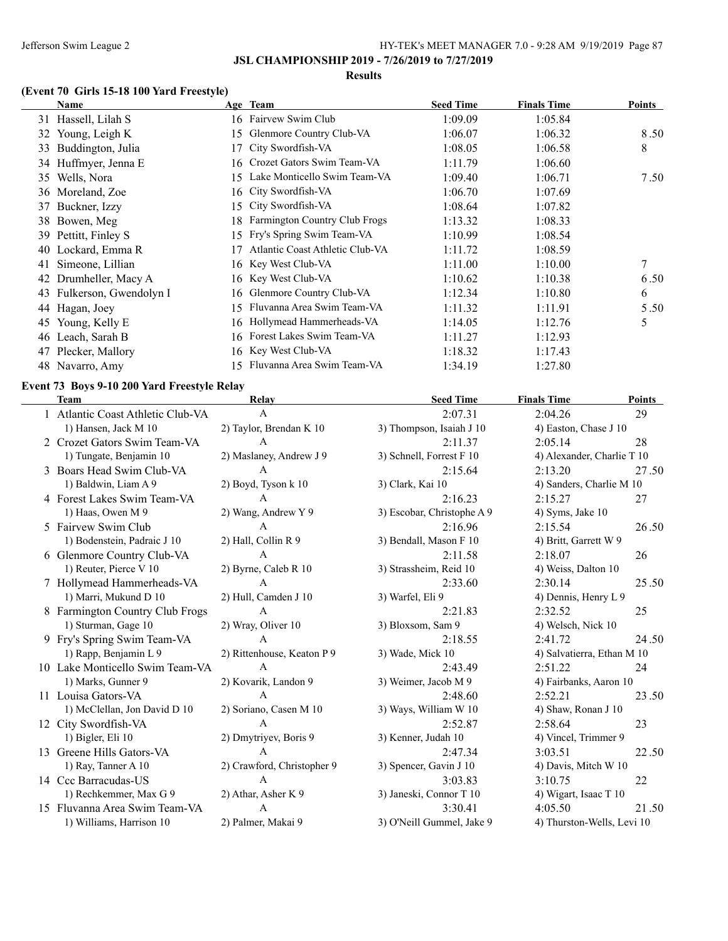**JSL CHAMPIONSHIP 2019 - 7/26/2019 to 7/27/2019**

#### **Results**

# **(Event 70 Girls 15-18 100 Yard Freestyle)**

|    | Name                   |    | Age Team                             | <b>Seed Time</b> | <b>Finals Time</b> | Points |
|----|------------------------|----|--------------------------------------|------------------|--------------------|--------|
|    | 31 Hassell, Lilah S    |    | 16 Fairvew Swim Club                 | 1:09.09          | 1:05.84            |        |
|    | 32 Young, Leigh K      | 15 | Glenmore Country Club-VA             | 1:06.07          | 1:06.32            | 8.50   |
| 33 | Buddington, Julia      |    | City Swordfish-VA                    | 1:08.05          | 1:06.58            | 8      |
|    | 34 Huffmyer, Jenna E   |    | 16 Crozet Gators Swim Team-VA        | 1:11.79          | 1:06.60            |        |
| 35 | Wells, Nora            | 15 | Lake Monticello Swim Team-VA         | 1:09.40          | 1:06.71            | 7.50   |
|    | 36 Moreland, Zoe       |    | 16 City Swordfish-VA                 | 1:06.70          | 1:07.69            |        |
| 37 | Buckner, Izzy          | 15 | City Swordfish-VA                    | 1:08.64          | 1:07.82            |        |
|    | 38 Bowen, Meg          | 18 | <b>Farmington Country Club Frogs</b> | 1:13.32          | 1:08.33            |        |
|    | 39 Pettitt, Finley S   | 15 | Fry's Spring Swim Team-VA            | 1:10.99          | 1:08.54            |        |
| 40 | Lockard, Emma R        |    | Atlantic Coast Athletic Club-VA      | 1:11.72          | 1:08.59            |        |
| 41 | Simeone, Lillian       |    | 16 Key West Club-VA                  | 1:11.00          | 1:10.00            | 7      |
| 42 | Drumheller, Macy A     |    | 16 Key West Club-VA                  | 1:10.62          | 1:10.38            | 6.50   |
| 43 | Fulkerson, Gwendolyn I |    | 16 Glenmore Country Club-VA          | 1:12.34          | 1:10.80            | 6      |
| 44 | Hagan, Joey            |    | 15 Fluvanna Area Swim Team-VA        | 1:11.32          | 1:11.91            | 5.50   |
| 45 | Young, Kelly E         |    | 16 Hollymead Hammerheads-VA          | 1:14.05          | 1:12.76            | 5      |
| 46 | Leach, Sarah B         |    | 16 Forest Lakes Swim Team-VA         | 1:11.27          | 1:12.93            |        |
| 47 | Plecker, Mallory       |    | 16 Key West Club-VA                  | 1:18.32          | 1:17.43            |        |
|    | 48 Navarro, Amy        |    | 15 Fluvanna Area Swim Team-VA        | 1:34.19          | 1:27.80            |        |

### **Event 73 Boys 9-10 200 Yard Freestyle Relay**

| <b>Team</b>                       | Relay                      | <b>Seed Time</b>           | <b>Finals Time</b>         | Points |
|-----------------------------------|----------------------------|----------------------------|----------------------------|--------|
| 1 Atlantic Coast Athletic Club-VA | A                          | 2:07.31                    | 2:04.26                    | 29     |
| 1) Hansen, Jack M 10              | 2) Taylor, Brendan K 10    | 3) Thompson, Isaiah J 10   | 4) Easton, Chase J 10      |        |
| 2 Crozet Gators Swim Team-VA      | A                          | 2:11.37                    | 2:05.14                    | 28     |
| 1) Tungate, Benjamin 10           | 2) Maslaney, Andrew J 9    | 3) Schnell, Forrest F 10   | 4) Alexander, Charlie T 10 |        |
| 3 Boars Head Swim Club-VA         | $\mathbf{A}$               | 2:15.64                    | 2:13.20                    | 27.50  |
| 1) Baldwin, Liam A 9              | 2) Boyd, Tyson k 10        | 3) Clark, Kai 10           | 4) Sanders, Charlie M 10   |        |
| 4 Forest Lakes Swim Team-VA       | $\mathbf{A}$               | 2:16.23                    | 2:15.27                    | 27     |
| 1) Haas, Owen M 9                 | 2) Wang, Andrew Y 9        | 3) Escobar, Christophe A 9 | 4) Syms, Jake 10           |        |
| 5 Fairvew Swim Club               | A                          | 2:16.96                    | 2:15.54                    | 26.50  |
| 1) Bodenstein, Padraic J 10       | 2) Hall, Collin R 9        | 3) Bendall, Mason F 10     | 4) Britt, Garrett W 9      |        |
| 6 Glenmore Country Club-VA        | $\mathsf{A}$               | 2:11.58                    | 2:18.07                    | 26     |
| 1) Reuter, Pierce V 10            | 2) Byrne, Caleb R 10       | 3) Strassheim, Reid 10     | 4) Weiss, Dalton 10        |        |
| 7 Hollymead Hammerheads-VA        | $\mathbf{A}$               | 2:33.60                    | 2:30.14                    | 25.50  |
| 1) Marri, Mukund D 10             | 2) Hull, Camden J 10       | 3) Warfel, Eli 9           | 4) Dennis, Henry L 9       |        |
| 8 Farmington Country Club Frogs   | $\mathsf{A}$               | 2:21.83                    | 2:32.52                    | 25     |
| 1) Sturman, Gage 10               | 2) Wray, Oliver 10         | 3) Bloxsom, Sam 9          | 4) Welsch, Nick 10         |        |
| 9 Fry's Spring Swim Team-VA       | $\mathbf{A}$               | 2:18.55                    | 2:41.72                    | 24.50  |
| 1) Rapp, Benjamin L 9             | 2) Rittenhouse, Keaton P 9 | 3) Wade, Mick 10           | 4) Salvatierra, Ethan M 10 |        |
| 10 Lake Monticello Swim Team-VA   | $\mathbf{A}$               | 2:43.49                    | 2:51.22                    | 24     |
| 1) Marks, Gunner 9                | 2) Kovarik, Landon 9       | 3) Weimer, Jacob M 9       | 4) Fairbanks, Aaron 10     |        |
| 11 Louisa Gators-VA               | $\mathbf{A}$               | 2:48.60                    | 2:52.21                    | 23.50  |
| 1) McClellan, Jon David D 10      | 2) Soriano, Casen M 10     | 3) Ways, William W 10      | 4) Shaw, Ronan J 10        |        |
| 12 City Swordfish-VA              | $\mathsf{A}$               | 2:52.87                    | 2:58.64                    | 23     |
| 1) Bigler, Eli 10                 | 2) Dmytriyev, Boris 9      | 3) Kenner, Judah 10        | 4) Vincel, Trimmer 9       |        |
| 13 Greene Hills Gators-VA         | A                          | 2:47.34                    | 3:03.51                    | 22.50  |
| 1) Ray, Tanner A 10               | 2) Crawford, Christopher 9 | 3) Spencer, Gavin J 10     | 4) Davis, Mitch W 10       |        |
| 14 Ccc Barracudas-US              | A                          | 3:03.83                    | 3:10.75                    | 22     |
| 1) Rechkemmer, Max G 9            | 2) Athar, Asher K 9        | 3) Janeski, Connor T 10    | 4) Wigart, Isaac T 10      |        |
| 15 Fluvanna Area Swim Team-VA     | $\mathbf{A}$               | 3:30.41                    | 4:05.50                    | 21.50  |
| 1) Williams, Harrison 10          | 2) Palmer, Makai 9         | 3) O'Neill Gummel, Jake 9  | 4) Thurston-Wells, Levi 10 |        |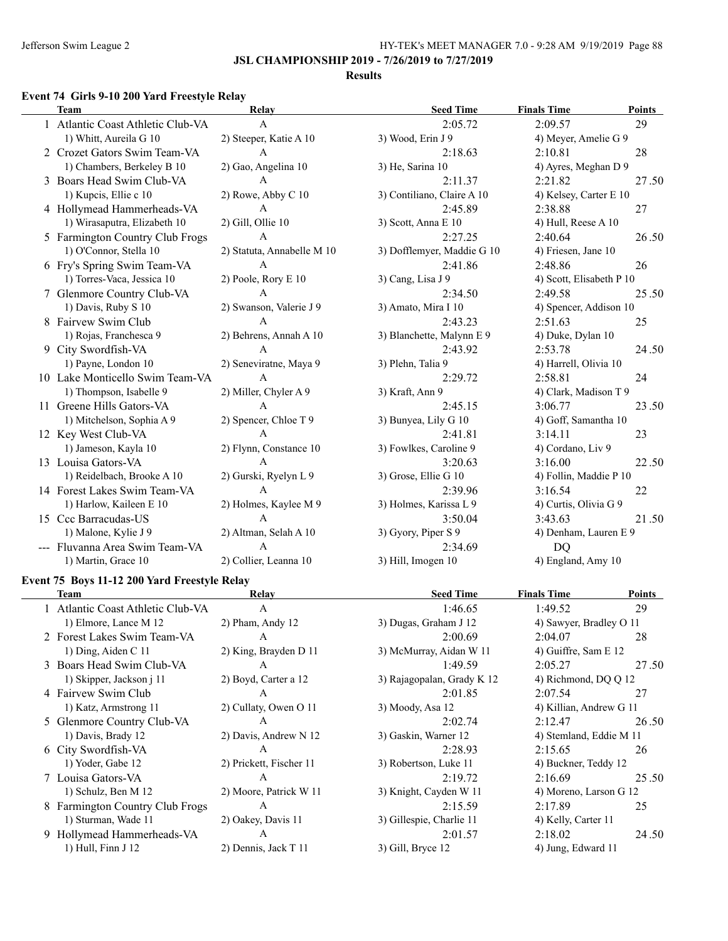#### **Results**

#### **Event 74 Girls 9-10 200 Yard Freestyle Relay**

| <b>Team</b>                       | Relay                      | <b>Seed Time</b>           | <b>Finals Time</b>       | <b>Points</b> |
|-----------------------------------|----------------------------|----------------------------|--------------------------|---------------|
| 1 Atlantic Coast Athletic Club-VA | A                          | 2:05.72                    | 2:09.57                  | 29            |
| 1) Whitt, Aureila G 10            | 2) Steeper, Katie A 10     | 3) Wood, Erin J 9          | 4) Meyer, Amelie G 9     |               |
| 2 Crozet Gators Swim Team-VA      | $\mathbf{A}$               | 2:18.63                    | 2:10.81                  | 28            |
| 1) Chambers, Berkeley B 10        | 2) Gao, Angelina 10        | 3) He, Sarina 10           | 4) Ayres, Meghan D 9     |               |
| 3 Boars Head Swim Club-VA         | A                          | 2:11.37                    | 2:21.82                  | 27.50         |
| 1) Kupcis, Ellie c 10             | 2) Rowe, Abby C 10         | 3) Contiliano, Claire A 10 | 4) Kelsey, Carter E 10   |               |
| 4 Hollymead Hammerheads-VA        | $\mathbf{A}$               | 2:45.89                    | 2:38.88                  | 27            |
| 1) Wirasaputra, Elizabeth 10      | 2) Gill, Ollie 10          | 3) Scott, Anna E 10        | 4) Hull, Reese A 10      |               |
| 5 Farmington Country Club Frogs   | $\mathbf{A}$               | 2:27.25                    | 2:40.64                  | 26.50         |
| 1) O'Connor, Stella 10            | 2) Statuta, Annabelle M 10 | 3) Dofflemyer, Maddie G 10 | 4) Friesen, Jane 10      |               |
| 6 Fry's Spring Swim Team-VA       | $\mathbf{A}$               | 2:41.86                    | 2:48.86                  | 26            |
| 1) Torres-Vaca, Jessica 10        | 2) Poole, Rory E 10        | 3) Cang, Lisa J 9          | 4) Scott, Elisabeth P 10 |               |
| 7 Glenmore Country Club-VA        | A                          | 2:34.50                    | 2:49.58                  | 25.50         |
| 1) Davis, Ruby S 10               | 2) Swanson, Valerie J 9    | 3) Amato, Mira I 10        | 4) Spencer, Addison 10   |               |
| 8 Fairvew Swim Club               | A                          | 2:43.23                    | 2:51.63                  | 25            |
| 1) Rojas, Franchesca 9            | 2) Behrens, Annah A 10     | 3) Blanchette, Malynn E 9  | 4) Duke, Dylan 10        |               |
| 9 City Swordfish-VA               | $\mathbf{A}$               | 2:43.92                    | 2:53.78                  | 24.50         |
| 1) Payne, London 10               | 2) Seneviratne, Maya 9     | 3) Plehn, Talia 9          | 4) Harrell, Olivia 10    |               |
| 10 Lake Monticello Swim Team-VA   | $\mathbf{A}$               | 2:29.72                    | 2:58.81                  | 24            |
| 1) Thompson, Isabelle 9           | 2) Miller, Chyler A 9      | 3) Kraft, Ann 9            | 4) Clark, Madison T 9    |               |
| 11 Greene Hills Gators-VA         | $\mathbf{A}$               | 2:45.15                    | 3:06.77                  | 23.50         |
| 1) Mitchelson, Sophia A 9         | 2) Spencer, Chloe T 9      | 3) Bunyea, Lily G 10       | 4) Goff, Samantha 10     |               |
| 12 Key West Club-VA               | A                          | 2:41.81                    | 3:14.11                  | 23            |
| 1) Jameson, Kayla 10              | 2) Flynn, Constance 10     | 3) Fowlkes, Caroline 9     | 4) Cordano, Liv 9        |               |
| 13 Louisa Gators-VA               | $\mathbf{A}$               | 3:20.63                    | 3:16.00                  | 22.50         |
| 1) Reidelbach, Brooke A 10        | 2) Gurski, Ryelyn L 9      | 3) Grose, Ellie G 10       | 4) Follin, Maddie P 10   |               |
| 14 Forest Lakes Swim Team-VA      | $\mathsf{A}$               | 2:39.96                    | 3:16.54                  | 22            |
| 1) Harlow, Kaileen E 10           | 2) Holmes, Kaylee M 9      | 3) Holmes, Karissa L 9     | 4) Curtis, Olivia G 9    |               |
| 15 Ccc Barracudas-US              | $\mathsf{A}$               | 3:50.04                    | 3:43.63                  | 21.50         |
| 1) Malone, Kylie J 9              | 2) Altman, Selah A 10      | 3) Gyory, Piper S 9        | 4) Denham, Lauren E 9    |               |
| --- Fluvanna Area Swim Team-VA    | A                          | 2:34.69                    | <b>DQ</b>                |               |
| 1) Martin, Grace 10               | 2) Collier, Leanna 10      | 3) Hill, Imogen 10         | 4) England, Amy 10       |               |

### **Event 75 Boys 11-12 200 Yard Freestyle Relay**

| Team                              | Relay                   | <b>Seed Time</b>           | <b>Finals Time</b>      | Points |
|-----------------------------------|-------------------------|----------------------------|-------------------------|--------|
| 1 Atlantic Coast Athletic Club-VA | A                       | 1:46.65                    | 1:49.52                 | 29     |
| 1) Elmore, Lance M 12             | $2)$ Pham, Andy 12      | 3) Dugas, Graham J 12      | 4) Sawyer, Bradley O 11 |        |
| 2 Forest Lakes Swim Team-VA       | A                       | 2:00.69                    | 2:04.07                 | 28     |
| 1) Ding, Aiden C $11$             | 2) King, Brayden D 11   | 3) McMurray, Aidan W 11    | 4) Guiffre, Sam E 12    |        |
| 3 Boars Head Swim Club-VA         | A                       | 1:49.59                    | 2:05.27                 | 27.50  |
| 1) Skipper, Jackson j 11          | 2) Boyd, Carter a 12    | 3) Rajagopalan, Grady K 12 | 4) Richmond, DQ Q 12    |        |
| 4 Fairvew Swim Club               | A                       | 2:01.85                    | 2:07.54                 | 27     |
| 1) Katz, Armstrong 11             | 2) Cullaty, Owen O 11   | 3) Moody, Asa 12           | 4) Killian, Andrew G 11 |        |
| 5 Glenmore Country Club-VA        | A                       | 2:02.74                    | 2:12.47                 | 26.50  |
| 1) Davis, Brady 12                | 2) Davis, Andrew N 12   | 3) Gaskin, Warner 12       | 4) Stemland, Eddie M 11 |        |
| 6 City Swordfish-VA               | A                       | 2:28.93                    | 2:15.65                 | 26     |
| 1) Yoder, Gabe 12                 | 2) Prickett, Fischer 11 | 3) Robertson, Luke 11      | 4) Buckner, Teddy 12    |        |
| 7 Louisa Gators-VA                | A                       | 2:19.72                    | 2:16.69                 | 25.50  |
| 1) Schulz, Ben M 12               | 2) Moore, Patrick W 11  | 3) Knight, Cayden W 11     | 4) Moreno, Larson G 12  |        |
| 8 Farmington Country Club Frogs   | A                       | 2:15.59                    | 2:17.89                 | 25     |
| 1) Sturman, Wade 11               | 2) Oakey, Davis 11      | 3) Gillespie, Charlie 11   | 4) Kelly, Carter 11     |        |
| 9 Hollymead Hammerheads-VA        | A                       | 2:01.57                    | 2:18.02                 | 24.50  |
| 1) Hull, Finn J 12                | 2) Dennis, Jack T 11    | $3)$ Gill, Bryce 12        | 4) Jung, Edward 11      |        |
|                                   |                         |                            |                         |        |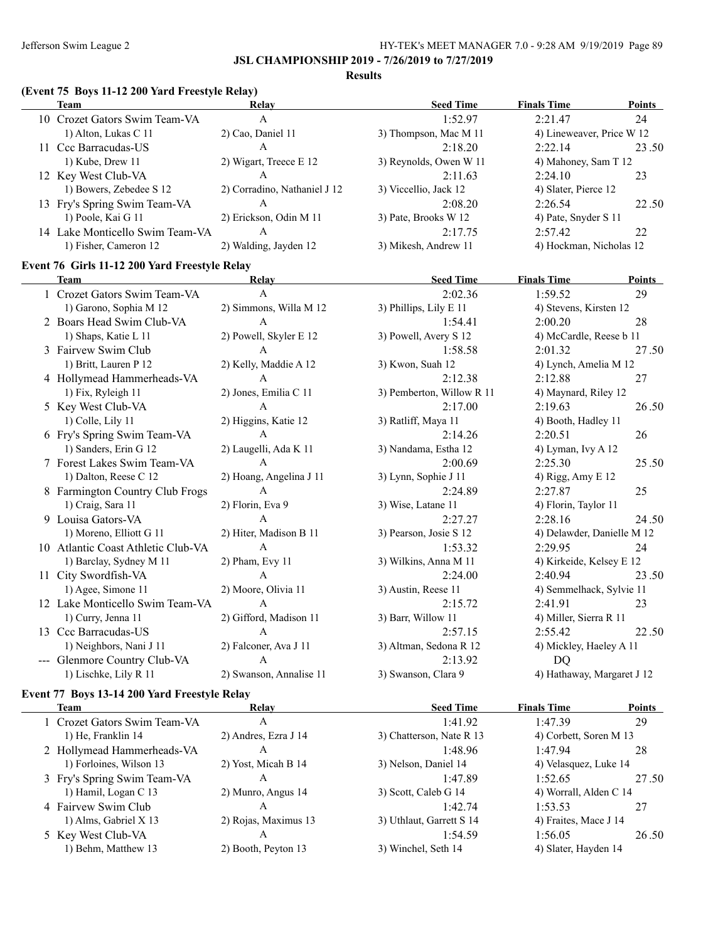$\overline{\phantom{0}}$ 

### **JSL CHAMPIONSHIP 2019 - 7/26/2019 to 7/27/2019**

#### **Results**

# **(Event 75 Boys 11-12 200 Yard Freestyle Relay)**

|     | Team                            | Relay                        | <b>Seed Time</b>       | <b>Finals Time</b>        | <b>Points</b> |
|-----|---------------------------------|------------------------------|------------------------|---------------------------|---------------|
|     | 10 Crozet Gators Swim Team-VA   | Α                            | 1:52.97                | 2:21.47                   | 24            |
|     | 1) Alton, Lukas C 11            | 2) Cao, Daniel 11            | 3) Thompson, Mac M 11  | 4) Lineweaver, Price W 12 |               |
| 11. | Ccc Barracudas-US               | A                            | 2:18.20                | 2:22.14                   | 23.50         |
|     | $1)$ Kube, Drew $11$            | 2) Wigart, Treece E 12       | 3) Reynolds, Owen W 11 | 4) Mahoney, Sam T 12      |               |
|     | 12 Key West Club-VA             | А                            | 2:11.63                | 2:24.10                   | 23            |
|     | 1) Bowers, Zebedee S 12         | 2) Corradino, Nathaniel J 12 | 3) Viccellio, Jack 12  | 4) Slater, Pierce 12      |               |
|     | 13 Fry's Spring Swim Team-VA    | А                            | 2:08.20                | 2:26.54                   | 22.50         |
|     | 1) Poole, Kai G 11              | 2) Erickson, Odin M 11       | 3) Pate, Brooks W 12   | 4) Pate, Snyder S 11      |               |
|     | 14 Lake Monticello Swim Team-VA | А                            | 2:17.75                | 2:57.42                   | 22            |
|     | 1) Fisher, Cameron 12           | 2) Walding, Jayden 12        | 3) Mikesh, Andrew 11   | 4) Hockman, Nicholas 12   |               |

### **Event 76 Girls 11-12 200 Yard Freestyle Relay**

| <b>Team</b>                        | Relay                   | <b>Seed Time</b>          | <b>Finals Time</b>         | <b>Points</b> |
|------------------------------------|-------------------------|---------------------------|----------------------------|---------------|
| 1 Crozet Gators Swim Team-VA       | A                       | 2:02.36                   | 1:59.52                    | 29            |
| 1) Garono, Sophia M 12             | 2) Simmons, Willa M 12  | 3) Phillips, Lily E 11    | 4) Stevens, Kirsten 12     |               |
| 2 Boars Head Swim Club-VA          | $\mathbf{A}$            | 1:54.41                   | 2:00.20                    | 28            |
| 1) Shaps, Katie L 11               | 2) Powell, Skyler E 12  | 3) Powell, Avery S 12     | 4) McCardle, Reese b 11    |               |
| 3 Fairvew Swim Club                | $\mathbf{A}$            | 1:58.58                   | 2:01.32                    | 27.50         |
| 1) Britt, Lauren P 12              | 2) Kelly, Maddie A 12   | 3) Kwon, Suah 12          | 4) Lynch, Amelia M 12      |               |
| 4 Hollymead Hammerheads-VA         | A                       | 2:12.38                   | 2:12.88                    | 27            |
| 1) Fix, Ryleigh 11                 | 2) Jones, Emilia C 11   | 3) Pemberton, Willow R 11 | 4) Maynard, Riley 12       |               |
| 5 Key West Club-VA                 | A                       | 2:17.00                   | 2:19.63                    | 26.50         |
| 1) Colle, Lily 11                  | 2) Higgins, Katie 12    | 3) Ratliff, Maya 11       | 4) Booth, Hadley 11        |               |
| 6 Fry's Spring Swim Team-VA        | A                       | 2:14.26                   | 2:20.51                    | 26            |
| 1) Sanders, Erin G 12              | 2) Laugelli, Ada K 11   | 3) Nandama, Estha 12      | 4) Lyman, Ivy A 12         |               |
| 7 Forest Lakes Swim Team-VA        | A                       | 2:00.69                   | 2:25.30                    | 25.50         |
| 1) Dalton, Reese C 12              | 2) Hoang, Angelina J 11 | 3) Lynn, Sophie J 11      | 4) Rigg, Amy E 12          |               |
| 8 Farmington Country Club Frogs    | $\overline{A}$          | 2:24.89                   | 2:27.87                    | 25            |
| 1) Craig, Sara 11                  | 2) Florin, Eva 9        | 3) Wise, Latane 11        | 4) Florin, Taylor 11       |               |
| 9 Louisa Gators-VA                 | $\mathsf{A}$            | 2:27.27                   | 2:28.16                    | 24.50         |
| 1) Moreno, Elliott G 11            | 2) Hiter, Madison B 11  | 3) Pearson, Josie S 12    | 4) Delawder, Danielle M 12 |               |
| 10 Atlantic Coast Athletic Club-VA | $\mathbf{A}$            | 1:53.32                   | 2:29.95                    | 24            |
| 1) Barclay, Sydney M 11            | $2)$ Pham, Evy 11       | 3) Wilkins, Anna M 11     | 4) Kirkeide, Kelsey E 12   |               |
| 11 City Swordfish-VA               | A                       | 2:24.00                   | 2:40.94                    | 23.50         |
| 1) Agee, Simone 11                 | 2) Moore, Olivia 11     | 3) Austin, Reese 11       | 4) Semmelhack, Sylvie 11   |               |
| 12 Lake Monticello Swim Team-VA    | $\mathsf{A}$            | 2:15.72                   | 2:41.91                    | 23            |
| 1) Curry, Jenna 11                 | 2) Gifford, Madison 11  | 3) Barr, Willow 11        | 4) Miller, Sierra R 11     |               |
| 13 Ccc Barracudas-US               | $\overline{A}$          | 2:57.15                   | 2:55.42                    | 22.50         |
| 1) Neighbors, Nani J 11            | 2) Falconer, Ava J 11   | 3) Altman, Sedona R 12    | 4) Mickley, Haeley A 11    |               |
| --- Glenmore Country Club-VA       | A                       | 2:13.92                   | D <sub>O</sub>             |               |
| 1) Lischke, Lily R 11              | 2) Swanson, Annalise 11 | 3) Swanson, Clara 9       | 4) Hathaway, Margaret J 12 |               |

### **Event 77 Boys 13-14 200 Yard Freestyle Relay**

| Team                         | Relav                | <b>Seed Time</b>         | <b>Finals Time</b>     | <b>Points</b> |
|------------------------------|----------------------|--------------------------|------------------------|---------------|
| 1 Crozet Gators Swim Team-VA | А                    | 1:41.92                  | 1:47.39                | 29            |
| 1) He, Franklin 14           | 2) Andres, Ezra J 14 | 3) Chatterson, Nate R 13 | 4) Corbett, Soren M 13 |               |
| 2 Hollymead Hammerheads-VA   | Α                    | 1:48.96                  | 1:47.94                | 28            |
| 1) Forloines, Wilson 13      | 2) Yost, Micah B 14  | 3) Nelson, Daniel 14     | 4) Velasquez, Luke 14  |               |
| 3 Fry's Spring Swim Team-VA  | Α                    | 1:47.89                  | 1:52.65                | 27.50         |
| 1) Hamil, Logan C 13         | 2) Munro, Angus 14   | 3) Scott, Caleb G 14     | 4) Worrall, Alden C 14 |               |
| 4 Fairvew Swim Club          | А                    | 1:42.74                  | 1:53.53                | 27            |
| 1) Alms, Gabriel X 13        | 2) Rojas, Maximus 13 | 3) Uthlaut, Garrett S 14 | 4) Fraites, Mace J 14  |               |
| 5 Key West Club-VA           | A                    | 1:54.59                  | 1:56.05                | 26.50         |
| 1) Behm, Matthew 13          | 2) Booth, Peyton 13  | 3) Winchel, Seth 14      | 4) Slater, Hayden 14   |               |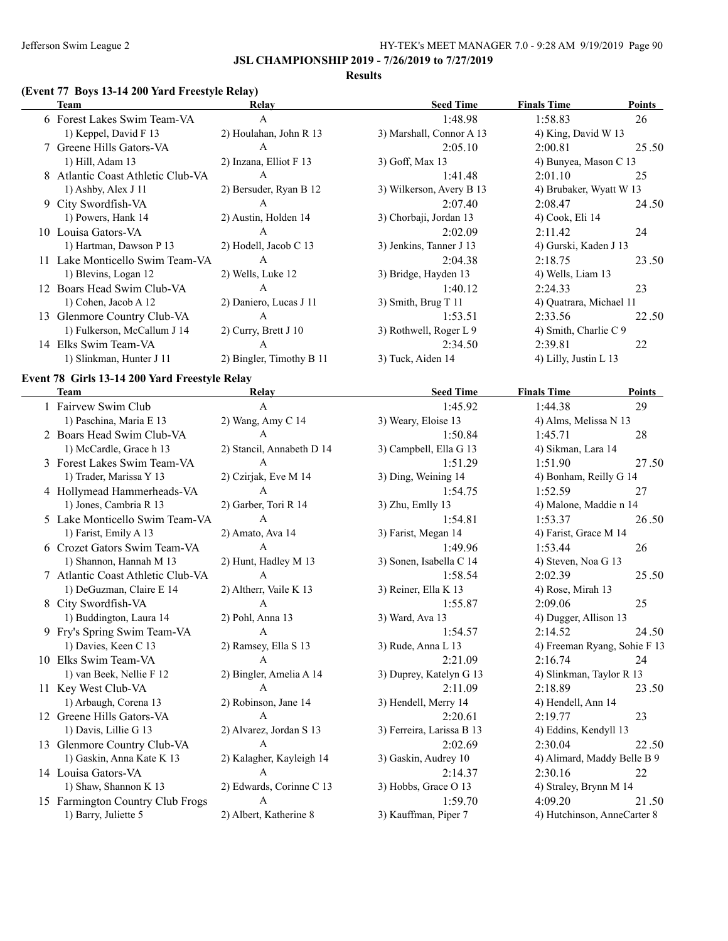#### **Results**

# **(Event 77 Boys 13-14 200 Yard Freestyle Relay)**

| Team                              | Relay                    | <b>Seed Time</b>         | <b>Finals Time</b>      | <b>Points</b> |
|-----------------------------------|--------------------------|--------------------------|-------------------------|---------------|
| 6 Forest Lakes Swim Team-VA       | A                        | 1:48.98                  | 1:58.83                 | 26            |
| 1) Keppel, David F 13             | 2) Houlahan, John R 13   | 3) Marshall, Connor A 13 | 4) King, David W 13     |               |
| 7 Greene Hills Gators-VA          | A                        | 2:05.10                  | 2:00.81                 | 25.50         |
| 1) Hill, Adam 13                  | 2) Inzana, Elliot F 13   | 3) Goff, Max 13          | 4) Bunyea, Mason C 13   |               |
| 8 Atlantic Coast Athletic Club-VA | A                        | 1:41.48                  | 2:01.10                 | 25            |
| $1)$ Ashby, Alex J $11$           | 2) Bersuder, Ryan B 12   | 3) Wilkerson, Avery B 13 | 4) Brubaker, Wyatt W 13 |               |
| 9 City Swordfish-VA               | A                        | 2:07.40                  | 2:08.47                 | 24.50         |
| 1) Powers, Hank 14                | 2) Austin, Holden 14     | 3) Chorbaji, Jordan 13   | 4) Cook, Eli 14         |               |
| 10 Louisa Gators-VA               | A                        | 2:02.09                  | 2:11.42                 | 24            |
| 1) Hartman, Dawson P 13           | 2) Hodell, Jacob C 13    | 3) Jenkins, Tanner J 13  | 4) Gurski, Kaden J 13   |               |
| 11 Lake Monticello Swim Team-VA   | A                        | 2:04.38                  | 2:18.75                 | 23.50         |
| 1) Blevins, Logan 12              | 2) Wells, Luke 12        | 3) Bridge, Hayden 13     | 4) Wells, Liam 13       |               |
| Boars Head Swim Club-VA           | $\mathsf{A}$             | 1:40.12                  | 2:24.33                 | 23            |
| 1) Cohen, Jacob A 12              | 2) Daniero, Lucas J 11   | $3)$ Smith, Brug T 11    | 4) Quatrara, Michael 11 |               |
| 13 Glenmore Country Club-VA       | A                        | 1:53.51                  | 2:33.56                 | 22.50         |
| 1) Fulkerson, McCallum J 14       | 2) Curry, Brett $J_1$ 10 | 3) Rothwell, Roger L 9   | 4) Smith, Charlie C 9   |               |
| 14 Elks Swim Team-VA              | A                        | 2:34.50                  | 2:39.81                 | 22            |
| 1) Slinkman, Hunter J 11          | 2) Bingler, Timothy B 11 | 3) Tuck, Aiden 14        | 4) Lilly, Justin L 13   |               |
|                                   |                          |                          |                         |               |

### **Event 78 Girls 13-14 200 Yard Freestyle Relay**

| <b>Team</b>                       | Relay                     | <b>Seed Time</b>          | <b>Finals Time</b>           | Points |
|-----------------------------------|---------------------------|---------------------------|------------------------------|--------|
| 1 Fairvew Swim Club               | A                         | 1:45.92                   | 1:44.38                      | 29     |
| 1) Paschina, Maria E 13           | 2) Wang, Amy C 14         | 3) Weary, Eloise 13       | 4) Alms, Melissa N 13        |        |
| 2 Boars Head Swim Club-VA         | $\mathsf{A}$              | 1:50.84                   | 1:45.71                      | 28     |
| 1) McCardle, Grace h 13           | 2) Stancil, Annabeth D 14 | 3) Campbell, Ella G 13    | 4) Sikman, Lara 14           |        |
| 3 Forest Lakes Swim Team-VA       | $\mathsf{A}$              | 1:51.29                   | 1:51.90                      | 27.50  |
| 1) Trader, Marissa Y 13           | 2) Czirjak, Eve M 14      | 3) Ding, Weining 14       | 4) Bonham, Reilly G 14       |        |
| 4 Hollymead Hammerheads-VA        | $\mathbf{A}$              | 1:54.75                   | 1:52.59                      | 27     |
| 1) Jones, Cambria R 13            | 2) Garber, Tori R 14      | 3) Zhu, Emlly 13          | 4) Malone, Maddie n 14       |        |
| 5 Lake Monticello Swim Team-VA    | $\overline{A}$            | 1:54.81                   | 1:53.37                      | 26.50  |
| 1) Farist, Emily A 13             | 2) Amato, Ava 14          | 3) Farist, Megan 14       | 4) Farist, Grace M 14        |        |
| 6 Crozet Gators Swim Team-VA      | A                         | 1:49.96                   | 1:53.44                      | 26     |
| 1) Shannon, Hannah M 13           | 2) Hunt, Hadley M 13      | 3) Sonen, Isabella C 14   | 4) Steven, Noa G 13          |        |
| 7 Atlantic Coast Athletic Club-VA | $\mathsf{A}$              | 1:58.54                   | 2:02.39                      | 25.50  |
| 1) DeGuzman, Claire E 14          | 2) Altherr, Vaile K 13    | 3) Reiner, Ella K 13      | 4) Rose, Mirah 13            |        |
| 8 City Swordfish-VA               | $\mathsf{A}$              | 1:55.87                   | 2:09.06                      | 25     |
| 1) Buddington, Laura 14           | 2) Pohl, Anna 13          | 3) Ward, Ava 13           | 4) Dugger, Allison 13        |        |
| 9 Fry's Spring Swim Team-VA       | $\mathbf{A}$              | 1:54.57                   | 2:14.52                      | 24.50  |
| 1) Davies, Keen C 13              | 2) Ramsey, Ella S 13      | 3) Rude, Anna L 13        | 4) Freeman Ryang, Sohie F 13 |        |
| 10 Elks Swim Team-VA              | $\overline{A}$            | 2:21.09                   | 2:16.74                      | 24     |
| 1) van Beek, Nellie F 12          | 2) Bingler, Amelia A 14   | 3) Duprey, Katelyn G 13   | 4) Slinkman, Taylor R 13     |        |
| 11 Key West Club-VA               | $\Delta$                  | 2:11.09                   | 2:18.89                      | 23.50  |
| 1) Arbaugh, Corena 13             | 2) Robinson, Jane 14      | 3) Hendell, Merry 14      | 4) Hendell, Ann 14           |        |
| 12 Greene Hills Gators-VA         | $\mathsf{A}$              | 2:20.61                   | 2:19.77                      | 23     |
| 1) Davis, Lillie G 13             | 2) Alvarez, Jordan S 13   | 3) Ferreira, Larissa B 13 | 4) Eddins, Kendyll 13        |        |
| 13 Glenmore Country Club-VA       | $\mathsf{A}$              | 2:02.69                   | 2:30.04                      | 22.50  |
| 1) Gaskin, Anna Kate K 13         | 2) Kalagher, Kayleigh 14  | 3) Gaskin, Audrey 10      | 4) Alimard, Maddy Belle B 9  |        |
| 14 Louisa Gators-VA               | $\overline{A}$            | 2:14.37                   | 2:30.16                      | 22     |
| 1) Shaw, Shannon K 13             | 2) Edwards, Corinne C 13  | 3) Hobbs, Grace O 13      | 4) Straley, Brynn M 14       |        |
| 15 Farmington Country Club Frogs  | $\mathsf{A}$              | 1:59.70                   | 4:09.20                      | 21.50  |
| 1) Barry, Juliette 5              | 2) Albert, Katherine 8    | 3) Kauffman, Piper 7      | 4) Hutchinson, AnneCarter 8  |        |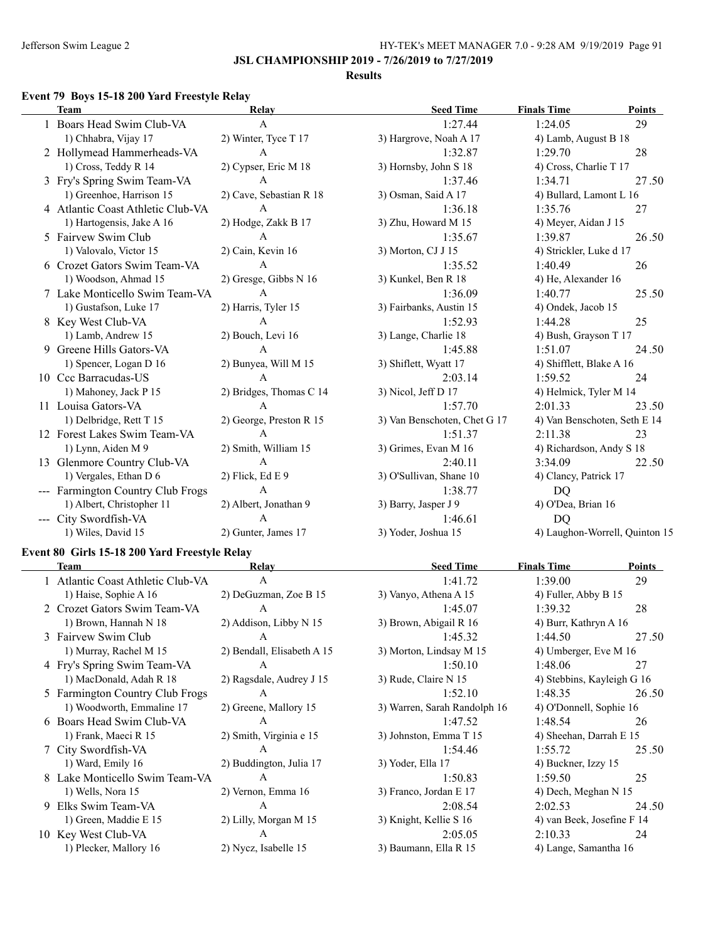**JSL CHAMPIONSHIP 2019 - 7/26/2019 to 7/27/2019**

### **Results**

### **Event 79 Boys 15-18 200 Yard Freestyle Relay**

| <b>Team</b>                       | Relay                   | <b>Seed Time</b>             | <b>Finals Time</b>           | Points                         |
|-----------------------------------|-------------------------|------------------------------|------------------------------|--------------------------------|
| 1 Boars Head Swim Club-VA         | A                       | 1:27.44                      | 1:24.05                      | 29                             |
| 1) Chhabra, Vijay 17              | 2) Winter, Tyce T 17    | 3) Hargrove, Noah A 17       | 4) Lamb, August B 18         |                                |
| 2 Hollymead Hammerheads-VA        | $\mathbf{A}$            | 1:32.87                      | 1:29.70                      | 28                             |
| 1) Cross, Teddy R 14              | 2) Cypser, Eric M 18    | 3) Hornsby, John S 18        | 4) Cross, Charlie T 17       |                                |
| 3 Fry's Spring Swim Team-VA       | $\overline{A}$          | 1:37.46                      | 1:34.71                      | 27.50                          |
| 1) Greenhoe, Harrison 15          | 2) Cave, Sebastian R 18 | 3) Osman, Said A 17          | 4) Bullard, Lamont L 16      |                                |
| 4 Atlantic Coast Athletic Club-VA | $\mathbf{A}$            | 1:36.18                      | 1:35.76                      | 27                             |
| 1) Hartogensis, Jake A 16         | 2) Hodge, Zakk B 17     | 3) Zhu, Howard M 15          | 4) Meyer, Aidan J 15         |                                |
| 5 Fairvew Swim Club               | $\mathbf{A}$            | 1:35.67                      | 1:39.87                      | 26.50                          |
| 1) Valovalo, Victor 15            | 2) Cain, Kevin 16       | 3) Morton, CJ J 15           | 4) Strickler, Luke d 17      |                                |
| 6 Crozet Gators Swim Team-VA      | A                       | 1:35.52                      | 1:40.49                      | 26                             |
| 1) Woodson, Ahmad 15              | 2) Gresge, Gibbs N 16   | 3) Kunkel, Ben R 18          | 4) He, Alexander 16          |                                |
| 7 Lake Monticello Swim Team-VA    | $\mathbf{A}$            | 1:36.09                      | 1:40.77                      | 25.50                          |
| 1) Gustafson, Luke 17             | 2) Harris, Tyler 15     | 3) Fairbanks, Austin 15      | 4) Ondek, Jacob 15           |                                |
| 8 Key West Club-VA                | $\overline{A}$          | 1:52.93                      | 1:44.28                      | 25                             |
| 1) Lamb, Andrew 15                | 2) Bouch, Levi 16       | 3) Lange, Charlie 18         | 4) Bush, Grayson T 17        |                                |
| 9 Greene Hills Gators-VA          | $\mathbf{A}$            | 1:45.88                      | 1:51.07                      | 24.50                          |
| 1) Spencer, Logan D 16            | 2) Bunyea, Will M 15    | 3) Shiflett, Wyatt 17        | 4) Shifflett, Blake A 16     |                                |
| 10 Ccc Barracudas-US              | $\overline{A}$          | 2:03.14                      | 1:59.52                      | 24                             |
| 1) Mahoney, Jack P 15             | 2) Bridges, Thomas C 14 | 3) Nicol, Jeff D 17          | 4) Helmick, Tyler M 14       |                                |
| 11 Louisa Gators-VA               | A                       | 1:57.70                      | 2:01.33                      | 23.50                          |
| 1) Delbridge, Rett T 15           | 2) George, Preston R 15 | 3) Van Benschoten, Chet G 17 | 4) Van Benschoten, Seth E 14 |                                |
| 12 Forest Lakes Swim Team-VA      | $\overline{A}$          | 1:51.37                      | 2:11.38                      | 23                             |
| 1) Lynn, Aiden M 9                | 2) Smith, William 15    | 3) Grimes, Evan M 16         | 4) Richardson, Andy S 18     |                                |
| 13 Glenmore Country Club-VA       | $\overline{A}$          | 2:40.11                      | 3:34.09                      | 22.50                          |
| 1) Vergales, Ethan D 6            | $2)$ Flick, Ed E 9      | 3) O'Sullivan, Shane 10      | 4) Clancy, Patrick 17        |                                |
| --- Farmington Country Club Frogs | $\mathbf{A}$            | 1:38.77                      | <b>DQ</b>                    |                                |
| 1) Albert, Christopher 11         | 2) Albert, Jonathan 9   | 3) Barry, Jasper J 9         | 4) O'Dea, Brian 16           |                                |
| --- City Swordfish-VA             | $\overline{A}$          | 1:46.61                      | D <sub>O</sub>               |                                |
| 1) Wiles, David 15                | 2) Gunter, James 17     | 3) Yoder, Joshua 15          |                              | 4) Laughon-Worrell, Quinton 15 |
|                                   |                         |                              |                              |                                |

# **Event 80 Girls 15-18 200 Yard Freestyle Relay**

 $\overline{a}$ 

|    | Team                              | Relay                      | <b>Seed Time</b>             | <b>Finals Time</b>         | Points |
|----|-----------------------------------|----------------------------|------------------------------|----------------------------|--------|
|    | 1 Atlantic Coast Athletic Club-VA | $\mathsf{A}$               | 1:41.72                      | 1:39.00                    | 29     |
|    | 1) Haise, Sophie A 16             | 2) DeGuzman, Zoe B 15      | 3) Vanyo, Athena A 15        | 4) Fuller, Abby B 15       |        |
|    | 2 Crozet Gators Swim Team-VA      | A                          | 1:45.07                      | 1:39.32                    | 28     |
|    | 1) Brown, Hannah N 18             | 2) Addison, Libby N 15     | 3) Brown, Abigail R 16       | 4) Burr, Kathryn A 16      |        |
|    | 3 Fairvew Swim Club               | $\mathsf{A}$               | 1:45.32                      | 1:44.50                    | 27.50  |
|    | 1) Murray, Rachel M 15            | 2) Bendall, Elisabeth A 15 | 3) Morton, Lindsay M 15      | 4) Umberger, Eve M 16      |        |
|    | 4 Fry's Spring Swim Team-VA       | A                          | 1:50.10                      | 1:48.06                    | 27     |
|    | 1) MacDonald, Adah R 18           | 2) Ragsdale, Audrey J 15   | 3) Rude, Claire N 15         | 4) Stebbins, Kayleigh G 16 |        |
|    | 5 Farmington Country Club Frogs   | A                          | 1:52.10                      | 1:48.35                    | 26.50  |
|    | 1) Woodworth, Emmaline 17         | 2) Greene, Mallory 15      | 3) Warren, Sarah Randolph 16 | 4) O'Donnell, Sophie 16    |        |
|    | 6 Boars Head Swim Club-VA         | A                          | 1:47.52                      | 1:48.54                    | 26     |
|    | 1) Frank, Maeci R 15              | 2) Smith, Virginia e 15    | 3) Johnston, Emma T 15       | 4) Sheehan, Darrah E 15    |        |
|    | 7 City Swordfish-VA               | A                          | 1:54.46                      | 1:55.72                    | 25.50  |
|    | 1) Ward, Emily 16                 | 2) Buddington, Julia 17    | 3) Yoder, Ella 17            | 4) Buckner, Izzy 15        |        |
|    | 8 Lake Monticello Swim Team-VA    | $\mathsf{A}$               | 1:50.83                      | 1:59.50                    | 25     |
|    | 1) Wells, Nora 15                 | 2) Vernon, Emma 16         | 3) Franco, Jordan E 17       | 4) Dech, Meghan N 15       |        |
| 9. | Elks Swim Team-VA                 | A                          | 2:08.54                      | 2:02.53                    | 24.50  |
|    | 1) Green, Maddie E 15             | 2) Lilly, Morgan M 15      | 3) Knight, Kellie S 16       | 4) van Beek, Josefine F 14 |        |
|    | 10 Key West Club-VA               | A                          | 2:05.05                      | 2:10.33                    | 24     |
|    | 1) Plecker, Mallory 16            | 2) Nycz, Isabelle 15       | 3) Baumann, Ella R 15        | 4) Lange, Samantha 16      |        |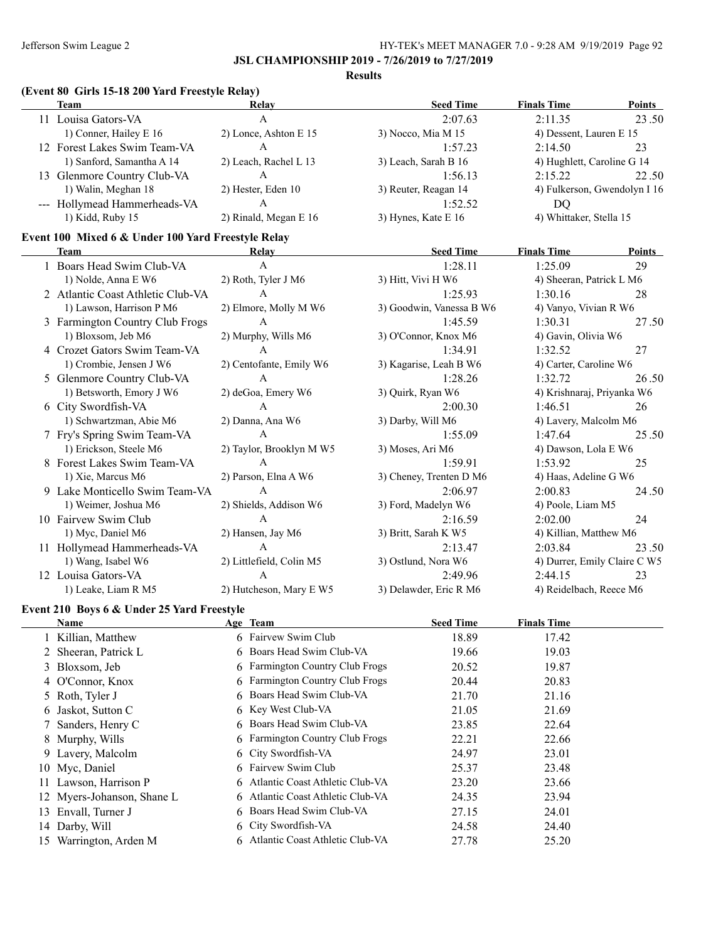**Results**

# **(Event 80 Girls 15-18 200 Yard Freestyle Relay)**

| Team                         | Relay                 | <b>Seed Time</b>      | <b>Finals Time</b>           | <b>Points</b> |
|------------------------------|-----------------------|-----------------------|------------------------------|---------------|
| 11 Louisa Gators-VA          | А                     | 2:07.63               | 2:11.35                      | 23.50         |
| 1) Conner, Hailey E 16       | 2) Lonce, Ashton E 15 | $3)$ Nocco, Mia M 15  | 4) Dessent, Lauren E 15      |               |
| 12 Forest Lakes Swim Team-VA | A                     | 1:57.23               | 2:14.50                      | 23            |
| 1) Sanford, Samantha A 14    | 2) Leach, Rachel L 13 | 3) Leach, Sarah B 16  | 4) Hughlett, Caroline G 14   |               |
| 13 Glenmore Country Club-VA  | A                     | 1:56.13               | 2:15.22                      | 22.50         |
| 1) Walin, Meghan 18          | 2) Hester, Eden 10    | 3) Reuter, Reagan 14  | 4) Fulkerson, Gwendolyn I 16 |               |
| --- Hollymead Hammerheads-VA | A                     | 1:52.52               | DO                           |               |
| 1) Kidd, Ruby 15             | 2) Rinald, Megan E 16 | 3) Hynes, Kate E $16$ | 4) Whittaker, Stella 15      |               |

### **Event 100 Mixed 6 & Under 100 Yard Freestyle Relay**

|    | <b>Team</b>                       | Relay                    | <b>Seed Time</b>         | <b>Finals Time</b>           | Points |
|----|-----------------------------------|--------------------------|--------------------------|------------------------------|--------|
|    | 1 Boars Head Swim Club-VA         | A                        | 1:28.11                  | 1:25.09                      | 29     |
|    | 1) Nolde, Anna E W6               | 2) Roth, Tyler J M6      | 3) Hitt, Vivi H W6       | 4) Sheeran, Patrick L M6     |        |
|    | 2 Atlantic Coast Athletic Club-VA | $\mathsf{A}$             | 1:25.93                  | 1:30.16                      | 28     |
|    | 1) Lawson, Harrison P M6          | 2) Elmore, Molly M W6    | 3) Goodwin, Vanessa B W6 | 4) Vanyo, Vivian R W6        |        |
|    | 3 Farmington Country Club Frogs   | A                        | 1:45.59                  | 1:30.31                      | 27.50  |
|    | 1) Bloxsom, Jeb M6                | 2) Murphy, Wills M6      | 3) O'Connor, Knox M6     | 4) Gavin, Olivia W6          |        |
|    | 4 Crozet Gators Swim Team-VA      | A                        | 1:34.91                  | 1:32.52                      | 27     |
|    | 1) Crombie, Jensen J W6           | 2) Centofante, Emily W6  | 3) Kagarise, Leah B W6   | 4) Carter, Caroline W6       |        |
|    | 5 Glenmore Country Club-VA        | A                        | 1:28.26                  | 1:32.72                      | 26.50  |
|    | 1) Betsworth, Emory J W6          | 2) deGoa, Emery W6       | 3) Quirk, Ryan W6        | 4) Krishnaraj, Priyanka W6   |        |
|    | 6 City Swordfish-VA               | A                        | 2:00.30                  | 1:46.51                      | 26     |
|    | 1) Schwartzman, Abie M6           | 2) Danna, Ana W6         | 3) Darby, Will M6        | 4) Lavery, Malcolm M6        |        |
|    | 7 Fry's Spring Swim Team-VA       | $\mathsf{A}$             | 1:55.09                  | 1:47.64                      | 25.50  |
|    | 1) Erickson, Steele M6            | 2) Taylor, Brooklyn M W5 | 3) Moses, Ari M6         | 4) Dawson, Lola E W6         |        |
|    | 8 Forest Lakes Swim Team-VA       | $\mathsf{A}$             | 1:59.91                  | 1:53.92                      | 25     |
|    | 1) Xie, Marcus M6                 | 2) Parson, Elna A W6     | 3) Cheney, Trenten D M6  | 4) Haas, Adeline G W6        |        |
|    | 9 Lake Monticello Swim Team-VA    | A                        | 2:06.97                  | 2:00.83                      | 24.50  |
|    | 1) Weimer, Joshua M6              | 2) Shields, Addison W6   | 3) Ford, Madelyn W6      | 4) Poole, Liam M5            |        |
|    | 10 Fairvew Swim Club              | $\mathsf{A}$             | 2:16.59                  | 2:02.00                      | 24     |
|    | 1) Myc, Daniel M6                 | 2) Hansen, Jay M6        | 3) Britt, Sarah K W5     | 4) Killian, Matthew M6       |        |
|    | 11 Hollymead Hammerheads-VA       | $\mathbf{A}$             | 2:13.47                  | 2:03.84                      | 23.50  |
|    | 1) Wang, Isabel W6                | 2) Littlefield, Colin M5 | 3) Ostlund, Nora W6      | 4) Durrer, Emily Claire C W5 |        |
| 12 | Louisa Gators-VA                  | $\mathbf{A}$             | 2:49.96                  | 2:44.15                      | 23     |
|    | 1) Leake, Liam R M5               | 2) Hutcheson, Mary E W5  | 3) Delawder, Eric R M6   | 4) Reidelbach, Reece M6      |        |

### **Event 210 Boys 6 & Under 25 Yard Freestyle**

| Name                       | Age Team                          | <b>Seed Time</b> | <b>Finals Time</b> |  |
|----------------------------|-----------------------------------|------------------|--------------------|--|
| 1 Killian, Matthew         | 6 Fairvew Swim Club               | 18.89            | 17.42              |  |
| 2 Sheeran, Patrick L       | 6 Boars Head Swim Club-VA         | 19.66            | 19.03              |  |
| 3 Bloxsom, Jeb             | 6 Farmington Country Club Frogs   | 20.52            | 19.87              |  |
| 4 O'Connor, Knox           | 6 Farmington Country Club Frogs   | 20.44            | 20.83              |  |
| 5 Roth, Tyler J            | 6 Boars Head Swim Club-VA         | 21.70            | 21.16              |  |
| 6 Jaskot, Sutton C         | 6 Key West Club-VA                | 21.05            | 21.69              |  |
| 7 Sanders, Henry C         | 6 Boars Head Swim Club-VA         | 23.85            | 22.64              |  |
| 8 Murphy, Wills            | 6 Farmington Country Club Frogs   | 22.21            | 22.66              |  |
| 9 Lavery, Malcolm          | 6 City Swordfish-VA               | 24.97            | 23.01              |  |
| 10 Myc, Daniel             | 6 Fairvew Swim Club               | 25.37            | 23.48              |  |
| 11 Lawson, Harrison P      | 6 Atlantic Coast Athletic Club-VA | 23.20            | 23.66              |  |
| 12 Myers-Johanson, Shane L | 6 Atlantic Coast Athletic Club-VA | 24.35            | 23.94              |  |
| 13 Envall, Turner J        | 6 Boars Head Swim Club-VA         | 27.15            | 24.01              |  |
| 14 Darby, Will             | 6 City Swordfish-VA               | 24.58            | 24.40              |  |
| 15 Warrington, Arden M     | 6 Atlantic Coast Athletic Club-VA | 27.78            | 25.20              |  |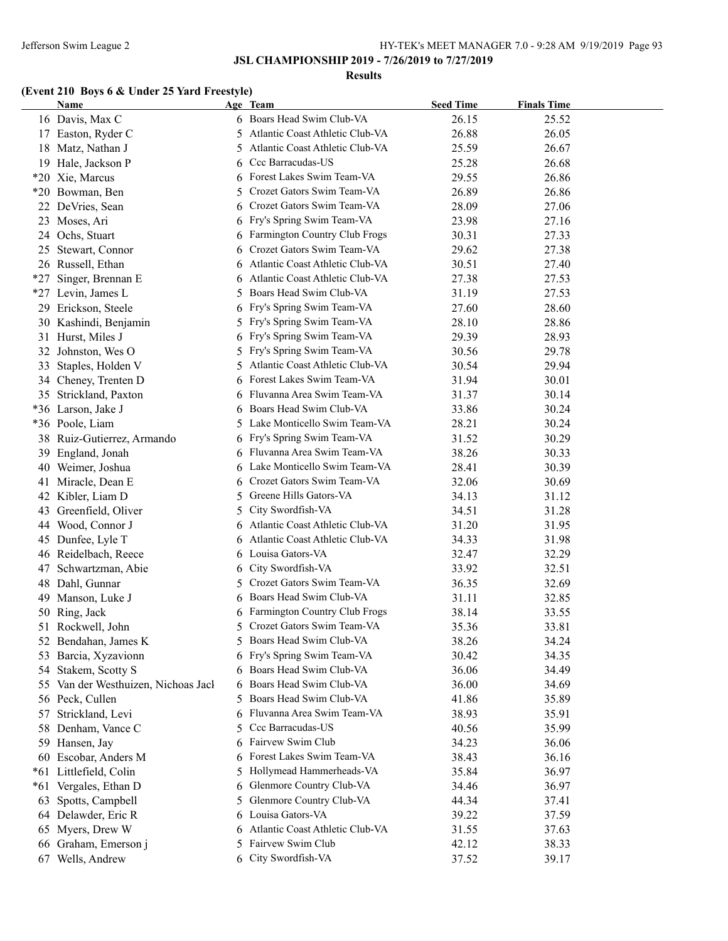#### **Results**

# **(Event 210 Boys 6 & Under 25 Yard Freestyle)**

|       | <b>Name</b>                      |    | Age Team                        | <b>Seed Time</b> | <b>Finals Time</b> |  |
|-------|----------------------------------|----|---------------------------------|------------------|--------------------|--|
|       | 16 Davis, Max C                  |    | 6 Boars Head Swim Club-VA       | 26.15            | 25.52              |  |
|       | 17 Easton, Ryder C               | 5  | Atlantic Coast Athletic Club-VA | 26.88            | 26.05              |  |
|       | 18 Matz, Nathan J                | 5  | Atlantic Coast Athletic Club-VA | 25.59            | 26.67              |  |
|       | 19 Hale, Jackson P               |    | Ccc Barracudas-US               | 25.28            | 26.68              |  |
|       | *20 Xie, Marcus                  |    | Forest Lakes Swim Team-VA       | 29.55            | 26.86              |  |
|       | *20 Bowman, Ben                  | 5  | Crozet Gators Swim Team-VA      | 26.89            | 26.86              |  |
|       | 22 DeVries, Sean                 |    | Crozet Gators Swim Team-VA      | 28.09            | 27.06              |  |
|       | 23 Moses, Ari                    |    | Fry's Spring Swim Team-VA       | 23.98            | 27.16              |  |
|       | 24 Ochs, Stuart                  |    | Farmington Country Club Frogs   | 30.31            | 27.33              |  |
|       | 25 Stewart, Connor               |    | Crozet Gators Swim Team-VA      | 29.62            | 27.38              |  |
|       | 26 Russell, Ethan                | 6  | Atlantic Coast Athletic Club-VA | 30.51            | 27.40              |  |
| $*27$ | Singer, Brennan E                | 6  | Atlantic Coast Athletic Club-VA | 27.38            | 27.53              |  |
|       | *27 Levin, James L               | 5  | Boars Head Swim Club-VA         | 31.19            | 27.53              |  |
|       | 29 Erickson, Steele              | 6  | Fry's Spring Swim Team-VA       | 27.60            | 28.60              |  |
|       | 30 Kashindi, Benjamin            | 5  | Fry's Spring Swim Team-VA       | 28.10            | 28.86              |  |
|       | 31 Hurst, Miles J                | 6  | Fry's Spring Swim Team-VA       | 29.39            | 28.93              |  |
|       | 32 Johnston, Wes O               | 5  | Fry's Spring Swim Team-VA       | 30.56            | 29.78              |  |
| 33    | Staples, Holden V                | 5  | Atlantic Coast Athletic Club-VA | 30.54            | 29.94              |  |
|       | 34 Cheney, Trenten D             | 6  | Forest Lakes Swim Team-VA       | 31.94            | 30.01              |  |
|       | 35 Strickland, Paxton            | 6  | Fluvanna Area Swim Team-VA      | 31.37            | 30.14              |  |
|       | *36 Larson, Jake J               | 6  | Boars Head Swim Club-VA         | 33.86            | 30.24              |  |
|       | *36 Poole, Liam                  | 5  | Lake Monticello Swim Team-VA    | 28.21            | 30.24              |  |
|       | 38 Ruiz-Gutierrez, Armando       | 6  | Fry's Spring Swim Team-VA       | 31.52            | 30.29              |  |
|       | 39 England, Jonah                | 6  | Fluvanna Area Swim Team-VA      | 38.26            | 30.33              |  |
|       | 40 Weimer, Joshua                | 6  | Lake Monticello Swim Team-VA    | 28.41            | 30.39              |  |
|       | 41 Miracle, Dean E               | 6  | Crozet Gators Swim Team-VA      | 32.06            | 30.69              |  |
|       | 42 Kibler, Liam D                | 5  | Greene Hills Gators-VA          | 34.13            | 31.12              |  |
|       | 43 Greenfield, Oliver            | 5  | City Swordfish-VA               | 34.51            | 31.28              |  |
|       | 44 Wood, Connor J                | 6  | Atlantic Coast Athletic Club-VA | 31.20            | 31.95              |  |
|       | 45 Dunfee, Lyle T                | 6  | Atlantic Coast Athletic Club-VA | 34.33            | 31.98              |  |
|       | 46 Reidelbach, Reece             | 6  | Louisa Gators-VA                | 32.47            | 32.29              |  |
| 47    | Schwartzman, Abie                | 6  | City Swordfish-VA               | 33.92            | 32.51              |  |
|       | 48 Dahl, Gunnar                  | 5  | Crozet Gators Swim Team-VA      | 36.35            | 32.69              |  |
|       | 49 Manson, Luke J                |    | Boars Head Swim Club-VA         | 31.11            | 32.85              |  |
|       | 50 Ring, Jack                    |    | Farmington Country Club Frogs   | 38.14            | 33.55              |  |
| 51    | Rockwell, John                   | 5  | Crozet Gators Swim Team-VA      | 35.36            | 33.81              |  |
|       | 52 Bendahan, James K             | 5. | Boars Head Swim Club-VA         | 38.26            | 34.24              |  |
|       | 53 Barcia, Xyzavionn             |    | Fry's Spring Swim Team-VA       | 30.42            | 34.35              |  |
| 54    | Stakem, Scotty S                 | 6  | Boars Head Swim Club-VA         | 36.06            | 34.49              |  |
| 55    | Van der Westhuizen, Nichoas Jacl |    | Boars Head Swim Club-VA         | 36.00            | 34.69              |  |
|       | 56 Peck, Cullen                  | 5  | Boars Head Swim Club-VA         | 41.86            | 35.89              |  |
| 57    | Strickland, Levi                 | 6  | Fluvanna Area Swim Team-VA      | 38.93            | 35.91              |  |
|       | 58 Denham, Vance C               | 5  | Ccc Barracudas-US               | 40.56            | 35.99              |  |
|       | 59 Hansen, Jay                   | 6  | Fairvew Swim Club               | 34.23            | 36.06              |  |
|       | 60 Escobar, Anders M             | 6  | Forest Lakes Swim Team-VA       | 38.43            | 36.16              |  |
|       | *61 Littlefield, Colin           | 5  | Hollymead Hammerheads-VA        | 35.84            | 36.97              |  |
| $*61$ | Vergales, Ethan D                | 6  | Glenmore Country Club-VA        | 34.46            | 36.97              |  |
| 63    | Spotts, Campbell                 | 5  | Glenmore Country Club-VA        | 44.34            | 37.41              |  |
|       | 64 Delawder, Eric R              | 6  | Louisa Gators-VA                | 39.22            | 37.59              |  |
|       | 65 Myers, Drew W                 | 6  | Atlantic Coast Athletic Club-VA | 31.55            | 37.63              |  |
|       | 66 Graham, Emerson j             | 5  | Fairvew Swim Club               | 42.12            | 38.33              |  |
|       | 67 Wells, Andrew                 |    | 6 City Swordfish-VA             | 37.52            | 39.17              |  |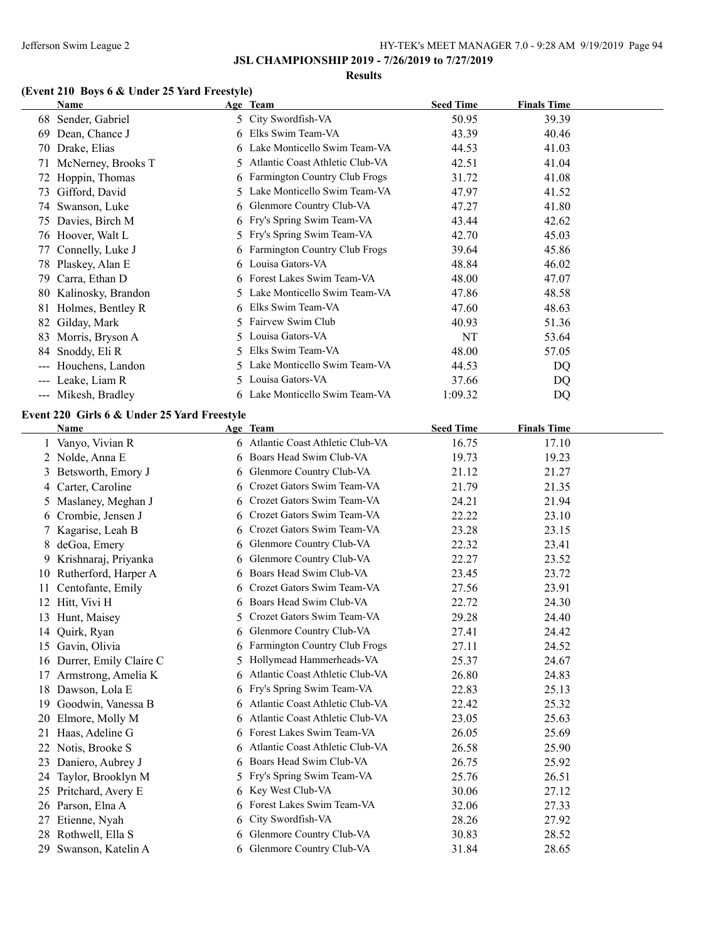#### **Results**

# **(Event 210 Boys 6 & Under 25 Yard Freestyle)**

|                                          | Name                |    | Age Team                             | <b>Seed Time</b> | <b>Finals Time</b> |
|------------------------------------------|---------------------|----|--------------------------------------|------------------|--------------------|
| 68                                       | Sender, Gabriel     |    | 5 City Swordfish-VA                  | 50.95            | 39.39              |
| 69                                       | Dean, Chance J      | 6. | Elks Swim Team-VA                    | 43.39            | 40.46              |
| 70                                       | Drake, Elias        |    | 6 Lake Monticello Swim Team-VA       | 44.53            | 41.03              |
| 71                                       | McNerney, Brooks T  | 5. | Atlantic Coast Athletic Club-VA      | 42.51            | 41.04              |
|                                          | 72 Hoppin, Thomas   | 6  | <b>Farmington Country Club Frogs</b> | 31.72            | 41.08              |
| 73                                       | Gifford, David      | 5. | Lake Monticello Swim Team-VA         | 47.97            | 41.52              |
| 74                                       | Swanson, Luke       | 6. | Glenmore Country Club-VA             | 47.27            | 41.80              |
| 75                                       | Davies, Birch M     |    | 6 Fry's Spring Swim Team-VA          | 43.44            | 42.62              |
|                                          | 76 Hoover, Walt L   |    | 5 Fry's Spring Swim Team-VA          | 42.70            | 45.03              |
|                                          | 77 Connelly, Luke J |    | 6 Farmington Country Club Frogs      | 39.64            | 45.86              |
|                                          | 78 Plaskey, Alan E  |    | 6 Louisa Gators-VA                   | 48.84            | 46.02              |
| 79                                       | Carra, Ethan D      |    | 6 Forest Lakes Swim Team-VA          | 48.00            | 47.07              |
| 80                                       | Kalinosky, Brandon  |    | 5 Lake Monticello Swim Team-VA       | 47.86            | 48.58              |
| 81                                       | Holmes, Bentley R   | 6. | Elks Swim Team-VA                    | 47.60            | 48.63              |
| 82                                       | Gilday, Mark        | 5. | Fairvew Swim Club                    | 40.93            | 51.36              |
| 83                                       | Morris, Bryson A    |    | 5 Louisa Gators-VA                   | NT               | 53.64              |
| 84                                       | Snoddy, Eli R       | 5. | Elks Swim Team-VA                    | 48.00            | 57.05              |
| $\hspace{0.05cm} \ldots \hspace{0.05cm}$ | Houchens, Landon    | 5. | Lake Monticello Swim Team-VA         | 44.53            | DQ                 |
|                                          | Leake, Liam R       |    | 5 Louisa Gators-VA                   | 37.66            | DQ                 |
|                                          | --- Mikesh, Bradley | 6. | Lake Monticello Swim Team-VA         | 1:09.32          | DQ                 |

### **Event 220 Girls 6 & Under 25 Yard Freestyle**

|    | <b>Name</b>             |    | Age Team                          | <b>Seed Time</b> | <b>Finals Time</b> |  |
|----|-------------------------|----|-----------------------------------|------------------|--------------------|--|
|    | Vanyo, Vivian R         |    | 6 Atlantic Coast Athletic Club-VA | 16.75            | 17.10              |  |
|    | 2 Nolde, Anna E         |    | 6 Boars Head Swim Club-VA         | 19.73            | 19.23              |  |
| 3  | Betsworth, Emory J      | 6  | Glenmore Country Club-VA          | 21.12            | 21.27              |  |
|    | 4 Carter, Caroline      | 6. | Crozet Gators Swim Team-VA        | 21.79            | 21.35              |  |
|    | 5 Maslaney, Meghan J    | 6. | Crozet Gators Swim Team-VA        | 24.21            | 21.94              |  |
|    | 6 Crombie, Jensen J     | 6  | Crozet Gators Swim Team-VA        | 22.22            | 23.10              |  |
|    | 7 Kagarise, Leah B      | 6  | Crozet Gators Swim Team-VA        | 23.28            | 23.15              |  |
| 8  | deGoa, Emery            | 6. | Glenmore Country Club-VA          | 22.32            | 23.41              |  |
|    | 9 Krishnaraj, Priyanka  | 6  | Glenmore Country Club-VA          | 22.27            | 23.52              |  |
|    | 10 Rutherford, Harper A |    | Boars Head Swim Club-VA           | 23.45            | 23.72              |  |
| 11 | Centofante, Emily       | 6. | Crozet Gators Swim Team-VA        | 27.56            | 23.91              |  |
| 12 | Hitt, Vivi H            |    | Boars Head Swim Club-VA           | 22.72            | 24.30              |  |
| 13 | Hunt, Maisey            | 5  | Crozet Gators Swim Team-VA        | 29.28            | 24.40              |  |
| 14 | Quirk, Ryan             |    | Glenmore Country Club-VA          | 27.41            | 24.42              |  |
| 15 | Gavin, Olivia           | 6  | Farmington Country Club Frogs     | 27.11            | 24.52              |  |
| 16 | Durrer, Emily Claire C  |    | Hollymead Hammerheads-VA          | 25.37            | 24.67              |  |
| 17 | Armstrong, Amelia K     | 6  | Atlantic Coast Athletic Club-VA   | 26.80            | 24.83              |  |
| 18 | Dawson, Lola E          |    | 6 Fry's Spring Swim Team-VA       | 22.83            | 25.13              |  |
| 19 | Goodwin, Vanessa B      | 6  | Atlantic Coast Athletic Club-VA   | 22.42            | 25.32              |  |
| 20 | Elmore, Molly M         |    | Atlantic Coast Athletic Club-VA   | 23.05            | 25.63              |  |
| 21 | Haas, Adeline G         | 6  | Forest Lakes Swim Team-VA         | 26.05            | 25.69              |  |
| 22 | Notis, Brooke S         |    | Atlantic Coast Athletic Club-VA   | 26.58            | 25.90              |  |
| 23 | Daniero, Aubrey J       | 6  | Boars Head Swim Club-VA           | 26.75            | 25.92              |  |
| 24 | Taylor, Brooklyn M      |    | Fry's Spring Swim Team-VA         | 25.76            | 26.51              |  |
| 25 | Pritchard, Avery E      |    | 6 Key West Club-VA                | 30.06            | 27.12              |  |
|    | 26 Parson, Elna A       |    | Forest Lakes Swim Team-VA         | 32.06            | 27.33              |  |
| 27 | Etienne, Nyah           | 6  | City Swordfish-VA                 | 28.26            | 27.92              |  |
| 28 | Rothwell, Ella S        |    | Glenmore Country Club-VA          | 30.83            | 28.52              |  |
| 29 | Swanson, Katelin A      |    | 6 Glenmore Country Club-VA        | 31.84            | 28.65              |  |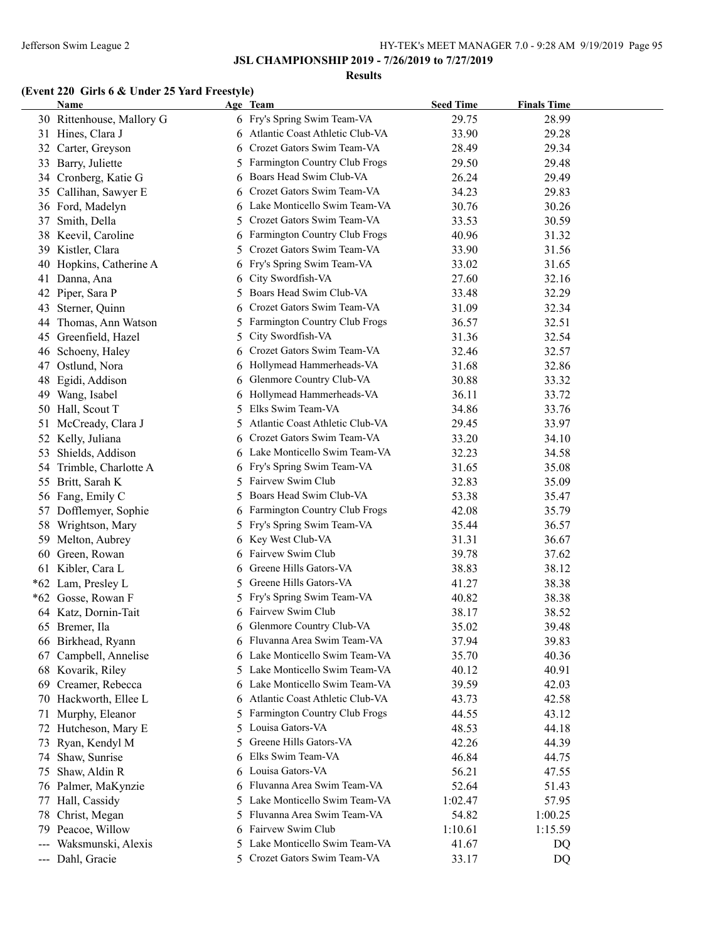#### **Results**

# **(Event 220 Girls 6 & Under 25 Yard Freestyle)**

|                     | Name                      |    | Age Team                          | <b>Seed Time</b> | <b>Finals Time</b> |  |
|---------------------|---------------------------|----|-----------------------------------|------------------|--------------------|--|
|                     | 30 Rittenhouse, Mallory G |    | 6 Fry's Spring Swim Team-VA       | 29.75            | 28.99              |  |
|                     | 31 Hines, Clara J         |    | 6 Atlantic Coast Athletic Club-VA | 33.90            | 29.28              |  |
| 32                  | Carter, Greyson           | 6  | Crozet Gators Swim Team-VA        | 28.49            | 29.34              |  |
| 33                  | Barry, Juliette           | 5  | Farmington Country Club Frogs     | 29.50            | 29.48              |  |
|                     | 34 Cronberg, Katie G      | 6  | Boars Head Swim Club-VA           | 26.24            | 29.49              |  |
| 35                  | Callihan, Sawyer E        |    | Crozet Gators Swim Team-VA        | 34.23            | 29.83              |  |
|                     | 36 Ford, Madelyn          |    | Lake Monticello Swim Team-VA      | 30.76            | 30.26              |  |
| 37                  | Smith, Della              | 5  | Crozet Gators Swim Team-VA        | 33.53            | 30.59              |  |
| 38                  | Keevil, Caroline          | 6  | Farmington Country Club Frogs     | 40.96            | 31.32              |  |
| 39                  | Kistler, Clara            | 5  | Crozet Gators Swim Team-VA        | 33.90            | 31.56              |  |
| 40                  | Hopkins, Catherine A      |    | Fry's Spring Swim Team-VA         | 33.02            | 31.65              |  |
|                     | 41 Danna, Ana             | 6  | City Swordfish-VA                 | 27.60            | 32.16              |  |
| 42                  | Piper, Sara P             | 5. | Boars Head Swim Club-VA           | 33.48            | 32.29              |  |
| 43                  | Sterner, Quinn            | 6  | Crozet Gators Swim Team-VA        | 31.09            | 32.34              |  |
| 44                  | Thomas, Ann Watson        |    | 5 Farmington Country Club Frogs   | 36.57            | 32.51              |  |
|                     | 45 Greenfield, Hazel      | 5  | City Swordfish-VA                 | 31.36            | 32.54              |  |
| 46                  | Schoeny, Haley            | 6  | Crozet Gators Swim Team-VA        | 32.46            | 32.57              |  |
| 47                  | Ostlund, Nora             | 6  | Hollymead Hammerheads-VA          | 31.68            | 32.86              |  |
| 48                  | Egidi, Addison            | 6  | Glenmore Country Club-VA          | 30.88            | 33.32              |  |
| 49                  | Wang, Isabel              | 6  | Hollymead Hammerheads-VA          | 36.11            | 33.72              |  |
| 50                  | Hall, Scout T             | 5  | Elks Swim Team-VA                 | 34.86            | 33.76              |  |
| 51                  | McCready, Clara J         | 5  | Atlantic Coast Athletic Club-VA   | 29.45            | 33.97              |  |
| 52                  | Kelly, Juliana            | 6. | Crozet Gators Swim Team-VA        | 33.20            | 34.10              |  |
| 53                  | Shields, Addison          |    | 6 Lake Monticello Swim Team-VA    | 32.23            | 34.58              |  |
| 54                  | Trimble, Charlotte A      |    | 6 Fry's Spring Swim Team-VA       | 31.65            | 35.08              |  |
|                     | 55 Britt, Sarah K         |    | 5 Fairvew Swim Club               | 32.83            | 35.09              |  |
|                     | 56 Fang, Emily C          | 5  | Boars Head Swim Club-VA           | 53.38            | 35.47              |  |
|                     | 57 Dofflemyer, Sophie     | 6  | Farmington Country Club Frogs     | 42.08            | 35.79              |  |
| 58                  | Wrightson, Mary           |    | 5 Fry's Spring Swim Team-VA       | 35.44            | 36.57              |  |
| 59                  | Melton, Aubrey            |    | 6 Key West Club-VA                | 31.31            | 36.67              |  |
|                     | 60 Green, Rowan           |    | 6 Fairvew Swim Club               | 39.78            | 37.62              |  |
|                     | 61 Kibler, Cara L         | 6  | Greene Hills Gators-VA            | 38.83            | 38.12              |  |
|                     | *62 Lam, Presley L        | 5  | Greene Hills Gators-VA            | 41.27            | 38.38              |  |
|                     | *62 Gosse, Rowan F        | 5. | Fry's Spring Swim Team-VA         | 40.82            | 38.38              |  |
|                     | 64 Katz, Dornin-Tait      |    | 6 Fairvew Swim Club               | 38.17            | 38.52              |  |
|                     | 65 Bremer, Ila            |    | 6 Glenmore Country Club-VA        | 35.02            | 39.48              |  |
|                     | 66 Birkhead, Ryann        |    | 6 Fluvanna Area Swim Team-VA      | 37.94            | 39.83              |  |
| 67                  | Campbell, Annelise        |    | Lake Monticello Swim Team-VA      | 35.70            | 40.36              |  |
| 68                  | Kovarik, Riley            | 5. | Lake Monticello Swim Team-VA      | 40.12            | 40.91              |  |
| 69                  | Creamer, Rebecca          | 6  | Lake Monticello Swim Team-VA      | 39.59            | 42.03              |  |
|                     | 70 Hackworth, Ellee L     |    | Atlantic Coast Athletic Club-VA   | 43.73            | 42.58              |  |
| 71                  | Murphy, Eleanor           | 5  | Farmington Country Club Frogs     | 44.55            | 43.12              |  |
|                     | 72 Hutcheson, Mary E      | 5. | Louisa Gators-VA                  | 48.53            | 44.18              |  |
| 73                  | Ryan, Kendyl M            | 5  | Greene Hills Gators-VA            | 42.26            | 44.39              |  |
|                     | 74 Shaw, Sunrise          | 6  | Elks Swim Team-VA                 | 46.84            | 44.75              |  |
| 75                  | Shaw, Aldin R             | 6  | Louisa Gators-VA                  | 56.21            | 47.55              |  |
|                     | 76 Palmer, MaKynzie       |    | 6 Fluvanna Area Swim Team-VA      | 52.64            | 51.43              |  |
| 77                  | Hall, Cassidy             | 5  | Lake Monticello Swim Team-VA      | 1:02.47          | 57.95              |  |
| 78                  | Christ, Megan             | 5. | Fluvanna Area Swim Team-VA        | 54.82            | 1:00.25            |  |
| 79                  | Peacoe, Willow            | 6  | Fairvew Swim Club                 | 1:10.61          | 1:15.59            |  |
| $\qquad \qquad - -$ | Waksmunski, Alexis        | 5. | Lake Monticello Swim Team-VA      | 41.67            | DQ                 |  |
|                     | --- Dahl, Gracie          |    | 5 Crozet Gators Swim Team-VA      | 33.17            | DQ                 |  |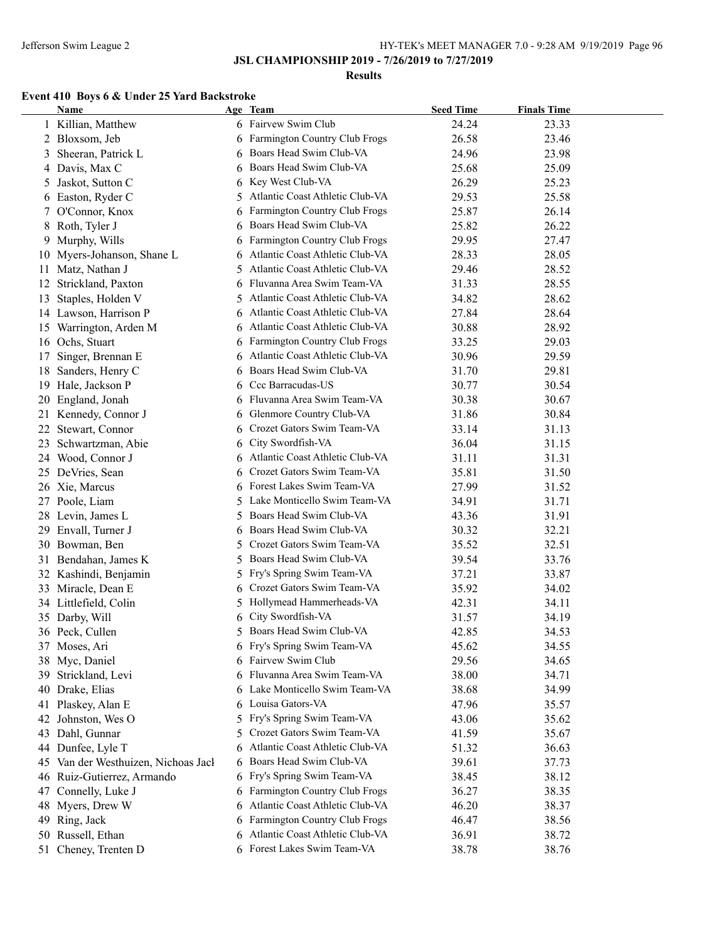### **Results**

### **Event 410 Boys 6 & Under 25 Yard Backstroke**

|    | <b>Name</b>                      |    | Age Team                          | <b>Seed Time</b> | <b>Finals Time</b> |  |
|----|----------------------------------|----|-----------------------------------|------------------|--------------------|--|
|    | 1 Killian, Matthew               |    | 6 Fairvew Swim Club               | 24.24            | 23.33              |  |
|    | 2 Bloxsom, Jeb                   |    | 6 Farmington Country Club Frogs   | 26.58            | 23.46              |  |
| 3  | Sheeran, Patrick L               |    | 6 Boars Head Swim Club-VA         | 24.96            | 23.98              |  |
| 4  | Davis, Max C                     | 6  | Boars Head Swim Club-VA           | 25.68            | 25.09              |  |
| 5  | Jaskot, Sutton C                 | 6  | Key West Club-VA                  | 26.29            | 25.23              |  |
| 6  | Easton, Ryder C                  | 5  | Atlantic Coast Athletic Club-VA   | 29.53            | 25.58              |  |
| 7  | O'Connor, Knox                   | 6  | Farmington Country Club Frogs     | 25.87            | 26.14              |  |
| 8  | Roth, Tyler J                    | 6  | Boars Head Swim Club-VA           | 25.82            | 26.22              |  |
| 9  | Murphy, Wills                    | 6  | Farmington Country Club Frogs     | 29.95            | 27.47              |  |
| 10 | Myers-Johanson, Shane L          | 6  | Atlantic Coast Athletic Club-VA   | 28.33            | 28.05              |  |
| 11 | Matz, Nathan J                   | 5. | Atlantic Coast Athletic Club-VA   | 29.46            | 28.52              |  |
| 12 | Strickland, Paxton               | 6  | Fluvanna Area Swim Team-VA        | 31.33            | 28.55              |  |
| 13 | Staples, Holden V                | 5  | Atlantic Coast Athletic Club-VA   | 34.82            | 28.62              |  |
|    | 14 Lawson, Harrison P            | 6  | Atlantic Coast Athletic Club-VA   | 27.84            | 28.64              |  |
|    | 15 Warrington, Arden M           |    | 6 Atlantic Coast Athletic Club-VA | 30.88            | 28.92              |  |
|    | 16 Ochs, Stuart                  |    | 6 Farmington Country Club Frogs   | 33.25            | 29.03              |  |
| 17 | Singer, Brennan E                |    | 6 Atlantic Coast Athletic Club-VA | 30.96            | 29.59              |  |
| 18 | Sanders, Henry C                 |    | 6 Boars Head Swim Club-VA         | 31.70            | 29.81              |  |
| 19 | Hale, Jackson P                  |    | 6 Ccc Barracudas-US               | 30.77            | 30.54              |  |
| 20 | England, Jonah                   |    | 6 Fluvanna Area Swim Team-VA      | 30.38            | 30.67              |  |
| 21 | Kennedy, Connor J                | 6  | Glenmore Country Club-VA          | 31.86            | 30.84              |  |
| 22 | Stewart, Connor                  | 6  | Crozet Gators Swim Team-VA        | 33.14            | 31.13              |  |
| 23 | Schwartzman, Abie                | 6  | City Swordfish-VA                 | 36.04            | 31.15              |  |
| 24 | Wood, Connor J                   |    | 6 Atlantic Coast Athletic Club-VA | 31.11            | 31.31              |  |
|    | 25 DeVries, Sean                 | 6  | Crozet Gators Swim Team-VA        | 35.81            | 31.50              |  |
|    | 26 Xie, Marcus                   |    | 6 Forest Lakes Swim Team-VA       | 27.99            | 31.52              |  |
|    | 27 Poole, Liam                   |    | 5 Lake Monticello Swim Team-VA    | 34.91            | 31.71              |  |
|    | 28 Levin, James L                |    | 5 Boars Head Swim Club-VA         | 43.36            | 31.91              |  |
|    | 29 Envall, Turner J              |    | 6 Boars Head Swim Club-VA         | 30.32            | 32.21              |  |
|    | 30 Bowman, Ben                   | 5. | Crozet Gators Swim Team-VA        | 35.52            | 32.51              |  |
|    | 31 Bendahan, James K             | 5. | Boars Head Swim Club-VA           | 39.54            | 33.76              |  |
|    | 32 Kashindi, Benjamin            |    | 5 Fry's Spring Swim Team-VA       | 37.21            | 33.87              |  |
|    | 33 Miracle, Dean E               | 6  | Crozet Gators Swim Team-VA        | 35.92            | 34.02              |  |
|    | 34 Littlefield, Colin            |    | 5 Hollymead Hammerheads-VA        | 42.31            | 34.11              |  |
|    | 35 Darby, Will                   | 6  | City Swordfish-VA                 | 31.57            | 34.19              |  |
|    | 36 Peck, Cullen                  |    | 5 Boars Head Swim Club-VA         | 42.85            | 34.53              |  |
|    | 37 Moses, Ari                    |    | 6 Fry's Spring Swim Team-VA       | 45.62            | 34.55              |  |
| 38 | Myc, Daniel                      |    | 6 Fairvew Swim Club               | 29.56            | 34.65              |  |
| 39 | Strickland, Levi                 |    | Fluvanna Area Swim Team-VA        | 38.00            | 34.71              |  |
| 40 | Drake, Elias                     |    | 6 Lake Monticello Swim Team-VA    | 38.68            | 34.99              |  |
| 41 | Plaskey, Alan E                  |    | 6 Louisa Gators-VA                | 47.96            | 35.57              |  |
| 42 | Johnston, Wes O                  | 5. | Fry's Spring Swim Team-VA         | 43.06            | 35.62              |  |
| 43 | Dahl, Gunnar                     | 5. | Crozet Gators Swim Team-VA        | 41.59            | 35.67              |  |
|    | 44 Dunfee, Lyle T                | 6  | Atlantic Coast Athletic Club-VA   | 51.32            | 36.63              |  |
| 45 | Van der Westhuizen, Nichoas Jacl |    | 6 Boars Head Swim Club-VA         | 39.61            | 37.73              |  |
|    | 46 Ruiz-Gutierrez, Armando       |    | 6 Fry's Spring Swim Team-VA       | 38.45            | 38.12              |  |
| 47 | Connelly, Luke J                 |    | 6 Farmington Country Club Frogs   | 36.27            | 38.35              |  |
|    | 48 Myers, Drew W                 |    | 6 Atlantic Coast Athletic Club-VA | 46.20            | 38.37              |  |
|    | 49 Ring, Jack                    |    | 6 Farmington Country Club Frogs   | 46.47            | 38.56              |  |
|    | 50 Russell, Ethan                |    | 6 Atlantic Coast Athletic Club-VA | 36.91            | 38.72              |  |
|    | 51 Cheney, Trenten D             |    | 6 Forest Lakes Swim Team-VA       | 38.78            | 38.76              |  |
|    |                                  |    |                                   |                  |                    |  |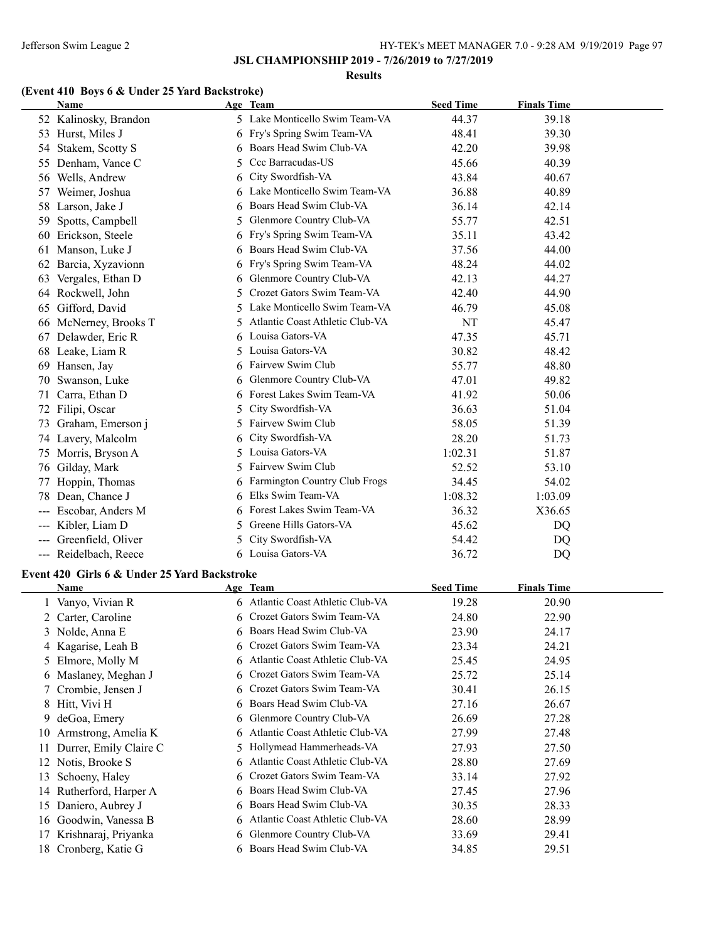#### **Results**

# **(Event 410 Boys 6 & Under 25 Yard Backstroke)**

|     | Name                                         |         | Age Team                          | <b>Seed Time</b> | <b>Finals Time</b> |
|-----|----------------------------------------------|---------|-----------------------------------|------------------|--------------------|
|     | 52 Kalinosky, Brandon                        |         | 5 Lake Monticello Swim Team-VA    | 44.37            | 39.18              |
|     | 53 Hurst, Miles J                            |         | 6 Fry's Spring Swim Team-VA       | 48.41            | 39.30              |
|     | 54 Stakem, Scotty S                          | 6       | Boars Head Swim Club-VA           | 42.20            | 39.98              |
|     | 55 Denham, Vance C                           | 5       | Ccc Barracudas-US                 | 45.66            | 40.39              |
|     | 56 Wells, Andrew                             | 6       | City Swordfish-VA                 | 43.84            | 40.67              |
|     | 57 Weimer, Joshua                            | 6       | Lake Monticello Swim Team-VA      | 36.88            | 40.89              |
|     | 58 Larson, Jake J                            | 6       | Boars Head Swim Club-VA           | 36.14            | 42.14              |
| 59  | Spotts, Campbell                             | 5       | Glenmore Country Club-VA          | 55.77            | 42.51              |
|     | 60 Erickson, Steele                          | 6       | Fry's Spring Swim Team-VA         | 35.11            | 43.42              |
| 61  | Manson, Luke J                               |         | Boars Head Swim Club-VA           | 37.56            | 44.00              |
|     | 62 Barcia, Xyzavionn                         | 6       | Fry's Spring Swim Team-VA         | 48.24            | 44.02              |
|     | 63 Vergales, Ethan D                         | 6       | Glenmore Country Club-VA          | 42.13            | 44.27              |
|     | 64 Rockwell, John                            | 5       | Crozet Gators Swim Team-VA        | 42.40            | 44.90              |
|     | 65 Gifford, David                            |         | Lake Monticello Swim Team-VA      | 46.79            | 45.08              |
|     | 66 McNerney, Brooks T                        |         | Atlantic Coast Athletic Club-VA   | NT               | 45.47              |
|     | 67 Delawder, Eric R                          |         | Louisa Gators-VA                  | 47.35            | 45.71              |
|     | 68 Leake, Liam R                             |         | Louisa Gators-VA                  | 30.82            | 48.42              |
|     | 69 Hansen, Jay                               | 6       | Fairvew Swim Club                 | 55.77            | 48.80              |
|     | 70 Swanson, Luke                             | 6       | Glenmore Country Club-VA          | 47.01            | 49.82              |
| 71  | Carra, Ethan D                               |         | 6 Forest Lakes Swim Team-VA       | 41.92            | 50.06              |
|     | 72 Filipi, Oscar                             | 5.      | City Swordfish-VA                 | 36.63            | 51.04              |
|     | 73 Graham, Emerson j                         | 5.      | Fairvew Swim Club                 | 58.05            | 51.39              |
|     | 74 Lavery, Malcolm                           | 6       | City Swordfish-VA                 | 28.20            | 51.73              |
|     | 75 Morris, Bryson A                          | 5.      | Louisa Gators-VA                  | 1:02.31          | 51.87              |
|     | 76 Gilday, Mark                              | 5.      | Fairvew Swim Club                 | 52.52            | 53.10              |
|     | 77 Hoppin, Thomas                            | 6       | Farmington Country Club Frogs     | 34.45            | 54.02              |
|     | 78 Dean, Chance J                            | 6       | Elks Swim Team-VA                 | 1:08.32          | 1:03.09            |
|     | Escobar, Anders M                            | 6       | Forest Lakes Swim Team-VA         | 36.32            | X36.65             |
| --- | Kibler, Liam D                               | 5.      | Greene Hills Gators-VA            | 45.62            | DQ                 |
|     | --- Greenfield, Oliver                       | 5.      | City Swordfish-VA                 | 54.42            | DQ                 |
|     | --- Reidelbach, Reece                        |         | 6 Louisa Gators-VA                | 36.72            | DQ                 |
|     | Event 420 Girls 6 & Under 25 Yard Backstroke |         |                                   |                  |                    |
|     | <b>Name</b>                                  |         | Age Team                          | <b>Seed Time</b> | <b>Finals Time</b> |
|     | 1 Vanyo, Vivian R                            |         | 6 Atlantic Coast Athletic Club-VA | 19.28            | 20.90              |
|     | 2 Carter, Caroline                           |         | 6 Crozet Gators Swim Team-VA      | 24.80            | 22.90              |
|     | 3 Nolde, Anna E                              |         | 6 Boars Head Swim Club-VA         | 23.90            | 24.17              |
|     | 4 Kagarise, Leah B                           | 6.      | Crozet Gators Swim Team-VA        | 23.34            | 24.21              |
|     | 5 Elmore, Molly M                            | 6       | Atlantic Coast Athletic Club-VA   | 25.45            | 24.95              |
|     | 6 Maslaney, Meghan J                         | 6       | Crozet Gators Swim Team-VA        | 25.72            | 25.14              |
|     | 7 Crombie, Jensen J                          | 6       | Crozet Gators Swim Team-VA        | 30.41            | 26.15              |
|     | 8 Hitt, Vivi H                               | 6       | Boars Head Swim Club-VA           | 27.16            | 26.67              |
| 9   | deGoa, Emery                                 | 6       | Glenmore Country Club-VA          | 26.69            | 27.28              |
| 10  | Armstrong, Amelia K                          | 6       | Atlantic Coast Athletic Club-VA   | 27.99            | 27.48              |
|     | Durrer, Emily Claire C                       |         | Hollymead Hammerheads-VA          | 27.93            | 27.50              |
| 11. | 12 Notis, Brooke S                           | 5.<br>6 | Atlantic Coast Athletic Club-VA   | 28.80            | 27.69              |
|     |                                              |         | Crozet Gators Swim Team-VA        |                  | 27.92              |
| 13  | Schoeny, Haley<br>14 Rutherford, Harper A    | 6<br>6  | Boars Head Swim Club-VA           | 33.14<br>27.45   | 27.96              |
|     | 15 Daniero, Aubrey J                         |         | Boars Head Swim Club-VA           | 30.35            | 28.33              |
|     | 16 Goodwin, Vanessa B                        |         | Atlantic Coast Athletic Club-VA   | 28.60            | 28.99              |
|     | 17 Krishnaraj, Priyanka                      |         | Glenmore Country Club-VA          | 33.69            | 29.41              |
|     |                                              | 6       | Boars Head Swim Club-VA           |                  |                    |
|     | 18 Cronberg, Katie G                         |         |                                   | 34.85            | 29.51              |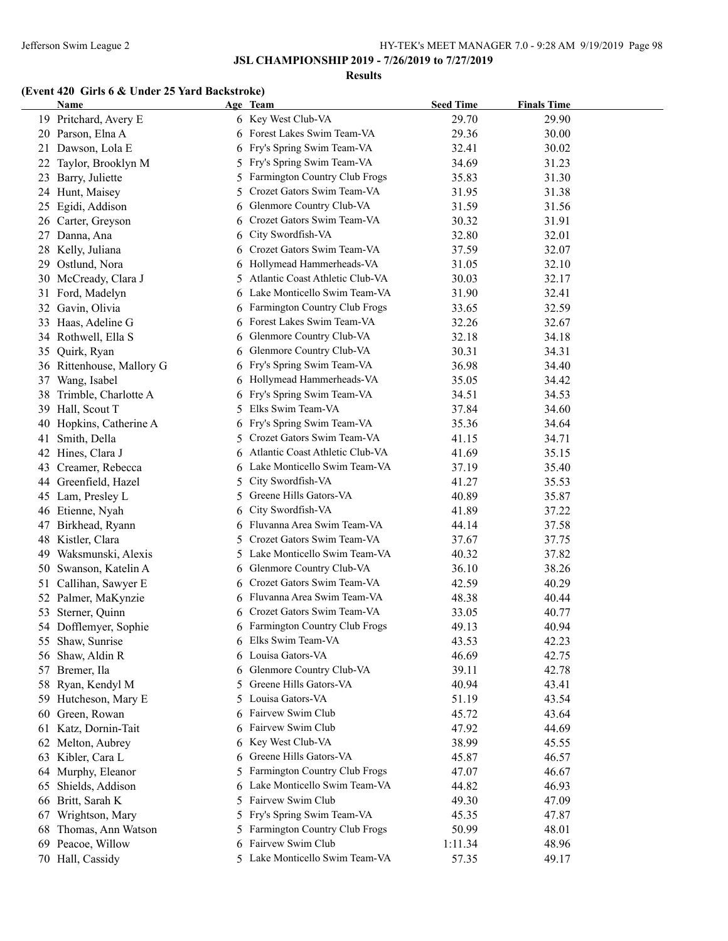**Results**

# **(Event 420 Girls 6 & Under 25 Yard Backstroke)**

|    | <b>Name</b>               |    | Age Team                        | <b>Seed Time</b> | <b>Finals Time</b> |
|----|---------------------------|----|---------------------------------|------------------|--------------------|
|    | 19 Pritchard, Avery E     |    | 6 Key West Club-VA              | 29.70            | 29.90              |
|    | 20 Parson, Elna A         |    | 6 Forest Lakes Swim Team-VA     | 29.36            | 30.00              |
|    | 21 Dawson, Lola E         | 6  | Fry's Spring Swim Team-VA       | 32.41            | 30.02              |
| 22 | Taylor, Brooklyn M        | 5  | Fry's Spring Swim Team-VA       | 34.69            | 31.23              |
| 23 | Barry, Juliette           | 5  | Farmington Country Club Frogs   | 35.83            | 31.30              |
|    | 24 Hunt, Maisey           | 5  | Crozet Gators Swim Team-VA      | 31.95            | 31.38              |
| 25 | Egidi, Addison            | 6  | Glenmore Country Club-VA        | 31.59            | 31.56              |
|    | 26 Carter, Greyson        | 6  | Crozet Gators Swim Team-VA      | 30.32            | 31.91              |
| 27 | Danna, Ana                | 6  | City Swordfish-VA               | 32.80            | 32.01              |
| 28 | Kelly, Juliana            | 6  | Crozet Gators Swim Team-VA      | 37.59            | 32.07              |
| 29 | Ostlund, Nora             | 6  | Hollymead Hammerheads-VA        | 31.05            | 32.10              |
|    | 30 McCready, Clara J      |    | Atlantic Coast Athletic Club-VA | 30.03            | 32.17              |
|    | 31 Ford, Madelyn          |    | Lake Monticello Swim Team-VA    | 31.90            | 32.41              |
|    | 32 Gavin, Olivia          | 6  | Farmington Country Club Frogs   | 33.65            | 32.59              |
|    | 33 Haas, Adeline G        | 6  | Forest Lakes Swim Team-VA       | 32.26            | 32.67              |
|    | 34 Rothwell, Ella S       | 6  | Glenmore Country Club-VA        | 32.18            | 34.18              |
| 35 | Quirk, Ryan               | 6  | Glenmore Country Club-VA        | 30.31            | 34.31              |
|    | 36 Rittenhouse, Mallory G | 6  | Fry's Spring Swim Team-VA       | 36.98            | 34.40              |
| 37 | Wang, Isabel              | 6  | Hollymead Hammerheads-VA        | 35.05            | 34.42              |
| 38 | Trimble, Charlotte A      | 6  | Fry's Spring Swim Team-VA       | 34.51            | 34.53              |
| 39 | Hall, Scout T             | 5  | Elks Swim Team-VA               | 37.84            | 34.60              |
| 40 | Hopkins, Catherine A      | 6  | Fry's Spring Swim Team-VA       | 35.36            | 34.64              |
| 41 | Smith, Della              | 5. | Crozet Gators Swim Team-VA      | 41.15            | 34.71              |
| 42 | Hines, Clara J            | 6  | Atlantic Coast Athletic Club-VA | 41.69            | 35.15              |
| 43 | Creamer, Rebecca          | 6  | Lake Monticello Swim Team-VA    | 37.19            | 35.40              |
| 44 | Greenfield, Hazel         | 5. | City Swordfish-VA               | 41.27            | 35.53              |
|    | 45 Lam, Presley L         | 5. | Greene Hills Gators-VA          | 40.89            | 35.87              |
|    | 46 Etienne, Nyah          | 6  | City Swordfish-VA               | 41.89            | 37.22              |
| 47 | Birkhead, Ryann           | 6  | Fluvanna Area Swim Team-VA      | 44.14            | 37.58              |
|    | 48 Kistler, Clara         | 5. | Crozet Gators Swim Team-VA      | 37.67            | 37.75              |
| 49 | Waksmunski, Alexis        | 5. | Lake Monticello Swim Team-VA    | 40.32            | 37.82              |
| 50 | Swanson, Katelin A        | 6  | Glenmore Country Club-VA        | 36.10            | 38.26              |
| 51 | Callihan, Sawyer E        | 6  | Crozet Gators Swim Team-VA      | 42.59            | 40.29              |
| 52 | Palmer, MaKynzie          | 6  | Fluvanna Area Swim Team-VA      | 48.38            | 40.44              |
| 53 | Sterner, Quinn            |    | Crozet Gators Swim Team-VA      | 33.05            | 40.77              |
|    | 54 Dofflemyer, Sophie     |    | 6 Farmington Country Club Frogs | 49.13            | 40.94              |
|    | 55 Shaw, Sunrise          | 6  | Elks Swim Team-VA               | 43.53            | 42.23              |
|    | 56 Shaw, Aldin R          |    | Louisa Gators-VA                | 46.69            | 42.75              |
| 57 | Bremer, Ila               | 6  | Glenmore Country Club-VA        | 39.11            | 42.78              |
| 58 | Ryan, Kendyl M            | 5. | Greene Hills Gators-VA          | 40.94            | 43.41              |
| 59 | Hutcheson, Mary E         | 5. | Louisa Gators-VA                | 51.19            | 43.54              |
| 60 | Green, Rowan              |    | Fairvew Swim Club               | 45.72            | 43.64              |
|    | 61 Katz, Dornin-Tait      |    | Fairvew Swim Club               | 47.92            | 44.69              |
|    | 62 Melton, Aubrey         | 6  | Key West Club-VA                | 38.99            | 45.55              |
|    | 63 Kibler, Cara L         | 6  | Greene Hills Gators-VA          | 45.87            | 46.57              |
|    | 64 Murphy, Eleanor        | 5  | Farmington Country Club Frogs   | 47.07            | 46.67              |
| 65 | Shields, Addison          | 6  | Lake Monticello Swim Team-VA    | 44.82            | 46.93              |
|    | 66 Britt, Sarah K         | 5. | Fairvew Swim Club               | 49.30            | 47.09              |
| 67 | Wrightson, Mary           | 5. | Fry's Spring Swim Team-VA       | 45.35            | 47.87              |
| 68 | Thomas, Ann Watson        | 5  | Farmington Country Club Frogs   | 50.99            | 48.01              |
|    | 69 Peacoe, Willow         | 6  | Fairvew Swim Club               | 1:11.34          | 48.96              |
|    | 70 Hall, Cassidy          |    | 5 Lake Monticello Swim Team-VA  | 57.35            | 49.17              |